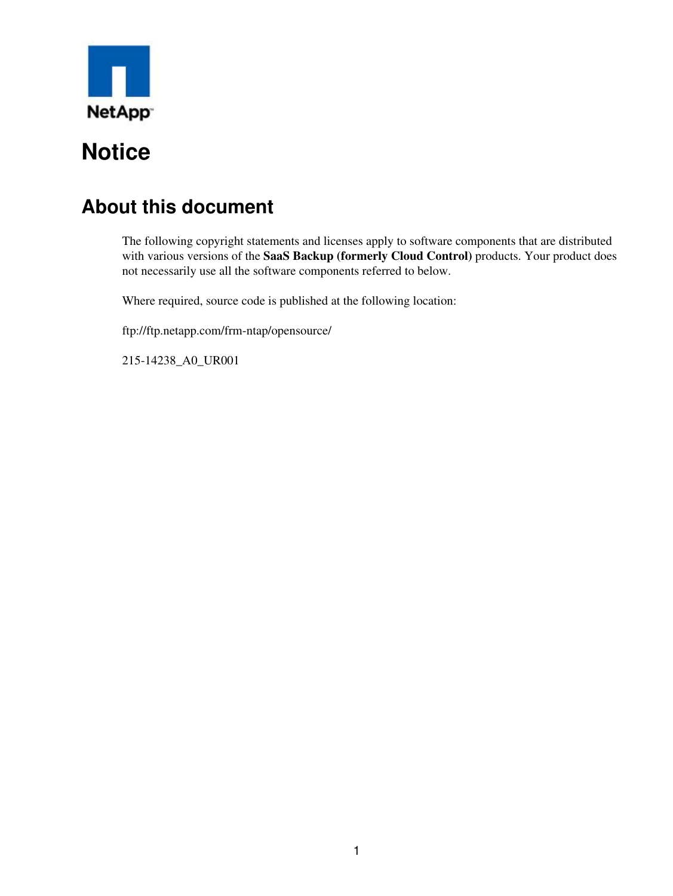

## **About this document**

The following copyright statements and licenses apply to software components that are distributed with various versions of the **SaaS Backup (formerly Cloud Control)** products. Your product does not necessarily use all the software components referred to below.

Where required, source code is published at the following location:

ftp://ftp.netapp.com/frm-ntap/opensource/

215-14238\_A0\_UR001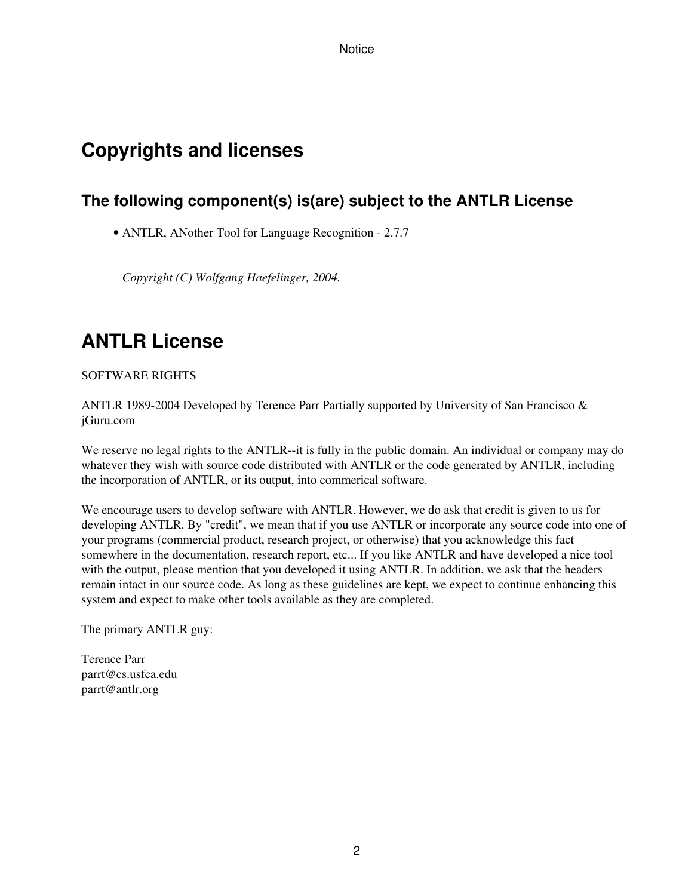## **Copyrights and licenses**

### **The following component(s) is(are) subject to the ANTLR License**

• ANTLR, ANother Tool for Language Recognition - 2.7.7

*Copyright (C) Wolfgang Haefelinger, 2004.*

## **ANTLR License**

SOFTWARE RIGHTS

ANTLR 1989-2004 Developed by Terence Parr Partially supported by University of San Francisco & jGuru.com

We reserve no legal rights to the ANTLR--it is fully in the public domain. An individual or company may do whatever they wish with source code distributed with ANTLR or the code generated by ANTLR, including the incorporation of ANTLR, or its output, into commerical software.

We encourage users to develop software with ANTLR. However, we do ask that credit is given to us for developing ANTLR. By "credit", we mean that if you use ANTLR or incorporate any source code into one of your programs (commercial product, research project, or otherwise) that you acknowledge this fact somewhere in the documentation, research report, etc... If you like ANTLR and have developed a nice tool with the output, please mention that you developed it using ANTLR. In addition, we ask that the headers remain intact in our source code. As long as these guidelines are kept, we expect to continue enhancing this system and expect to make other tools available as they are completed.

The primary ANTLR guy:

Terence Parr parrt@cs.usfca.edu parrt@antlr.org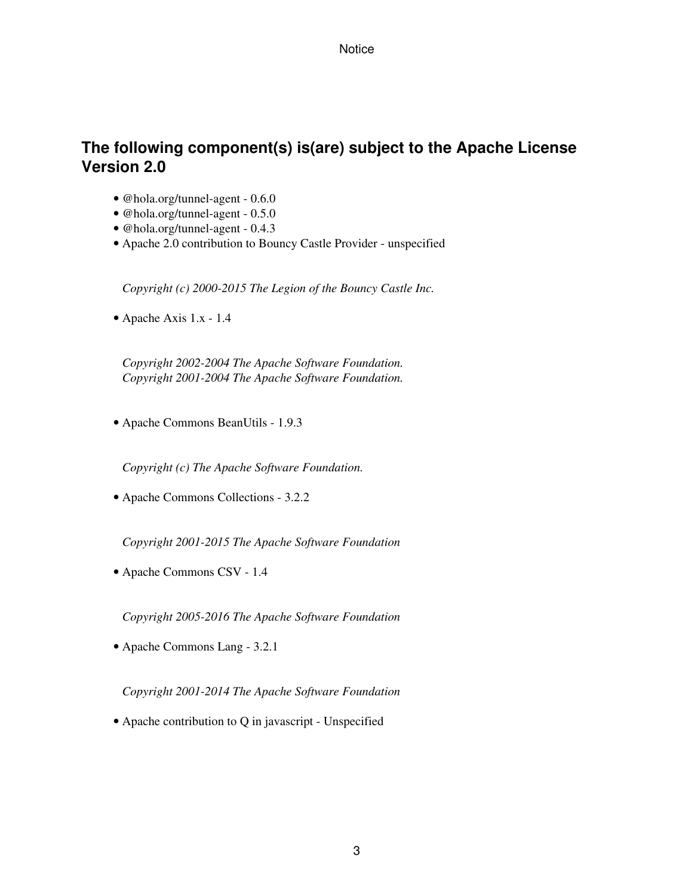### **The following component(s) is(are) subject to the Apache License Version 2.0**

- @hola.org/tunnel-agent 0.6.0
- @hola.org/tunnel-agent 0.5.0
- @hola.org/tunnel-agent 0.4.3
- Apache 2.0 contribution to Bouncy Castle Provider unspecified

*Copyright (c) 2000-2015 The Legion of the Bouncy Castle Inc.*

• Apache Axis 1.x - 1.4

*Copyright 2002-2004 The Apache Software Foundation. Copyright 2001-2004 The Apache Software Foundation.*

• Apache Commons BeanUtils - 1.9.3

*Copyright (c) The Apache Software Foundation.*

• Apache Commons Collections - 3.2.2

*Copyright 2001-2015 The Apache Software Foundation*

• Apache Commons CSV - 1.4

*Copyright 2005-2016 The Apache Software Foundation*

• Apache Commons Lang - 3.2.1

*Copyright 2001-2014 The Apache Software Foundation*

• Apache contribution to Q in javascript - Unspecified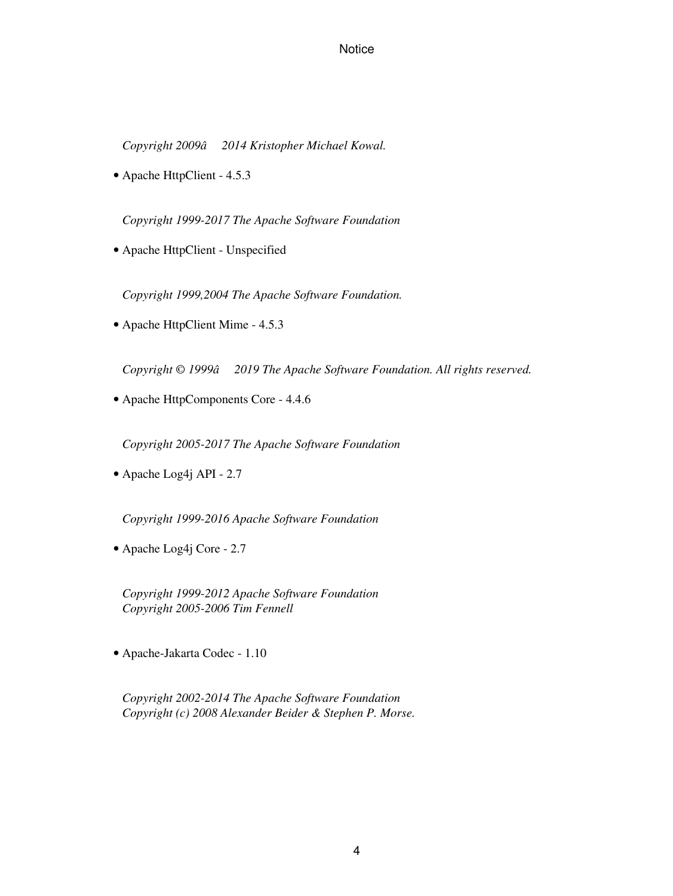*Copyright 2009â2014 Kristopher Michael Kowal.*

• Apache HttpClient - 4.5.3

*Copyright 1999-2017 The Apache Software Foundation*

• Apache HttpClient - Unspecified

*Copyright 1999,2004 The Apache Software Foundation.*

• Apache HttpClient Mime - 4.5.3

*Copyright © 1999â* 2019 The Apache Software Foundation. All rights reserved.

• Apache HttpComponents Core - 4.4.6

*Copyright 2005-2017 The Apache Software Foundation*

• Apache Log4j API - 2.7

*Copyright 1999-2016 Apache Software Foundation*

• Apache Log4j Core - 2.7

*Copyright 1999-2012 Apache Software Foundation Copyright 2005-2006 Tim Fennell*

• Apache-Jakarta Codec - 1.10

*Copyright 2002-2014 The Apache Software Foundation Copyright (c) 2008 Alexander Beider & Stephen P. Morse.*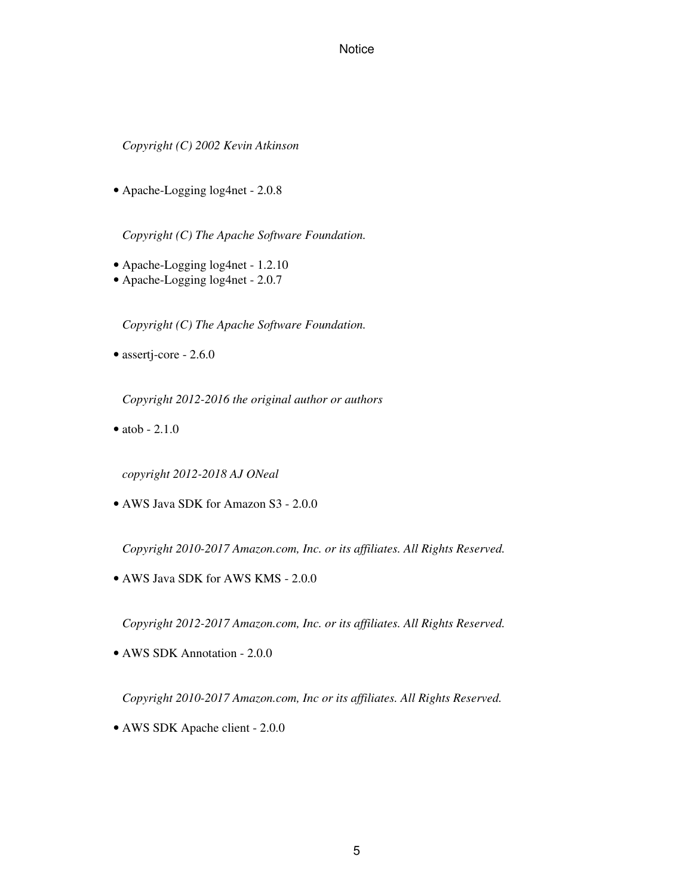#### *Copyright (C) 2002 Kevin Atkinson*

• Apache-Logging log4net - 2.0.8

*Copyright (C) The Apache Software Foundation.*

- Apache-Logging log4net 1.2.10
- Apache-Logging log4net 2.0.7

*Copyright (C) The Apache Software Foundation.*

• assertj-core - 2.6.0

*Copyright 2012-2016 the original author or authors*

 $\bullet$  atob  $-2.1.0$ 

*copyright 2012-2018 AJ ONeal*

• AWS Java SDK for Amazon S3 - 2.0.0

*Copyright 2010-2017 Amazon.com, Inc. or its affiliates. All Rights Reserved.*

• AWS Java SDK for AWS KMS - 2.0.0

*Copyright 2012-2017 Amazon.com, Inc. or its affiliates. All Rights Reserved.*

• AWS SDK Annotation - 2.0.0

*Copyright 2010-2017 Amazon.com, Inc or its affiliates. All Rights Reserved.*

• AWS SDK Apache client - 2.0.0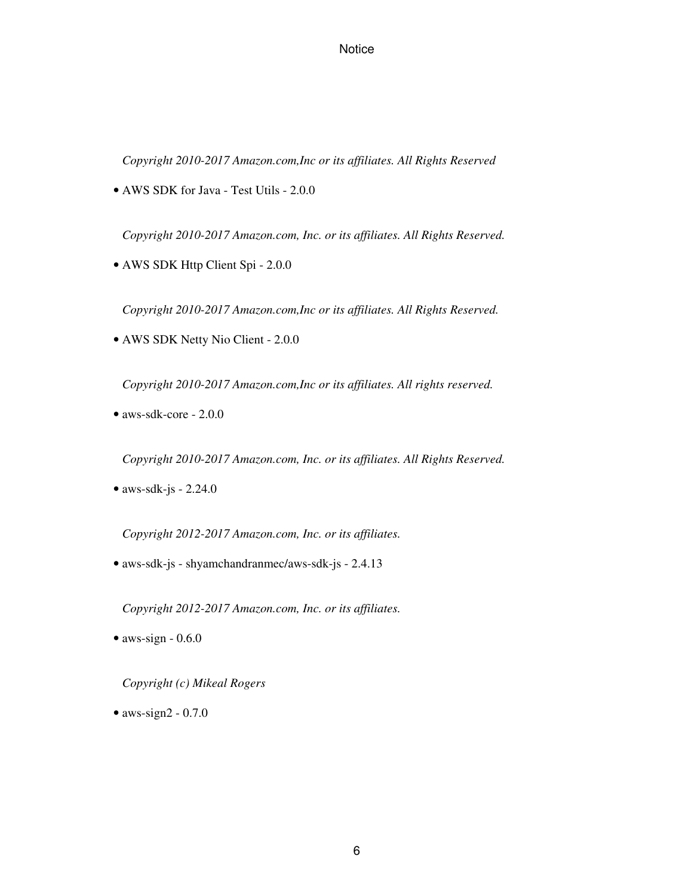*Copyright 2010-2017 Amazon.com,Inc or its affiliates. All Rights Reserved*

• AWS SDK for Java - Test Utils - 2.0.0

*Copyright 2010-2017 Amazon.com, Inc. or its affiliates. All Rights Reserved.*

• AWS SDK Http Client Spi - 2.0.0

*Copyright 2010-2017 Amazon.com,Inc or its affiliates. All Rights Reserved.*

• AWS SDK Netty Nio Client - 2.0.0

*Copyright 2010-2017 Amazon.com,Inc or its affiliates. All rights reserved.*

• aws-sdk-core - 2.0.0

*Copyright 2010-2017 Amazon.com, Inc. or its affiliates. All Rights Reserved.*

 $\bullet$  aws-sdk-js - 2.24.0

*Copyright 2012-2017 Amazon.com, Inc. or its affiliates.*

• aws-sdk-js - shyamchandranmec/aws-sdk-js - 2.4.13

*Copyright 2012-2017 Amazon.com, Inc. or its affiliates.*

 $\bullet$  aws-sign - 0.6.0

*Copyright (c) Mikeal Rogers*

 $\bullet$  aws-sign2 - 0.7.0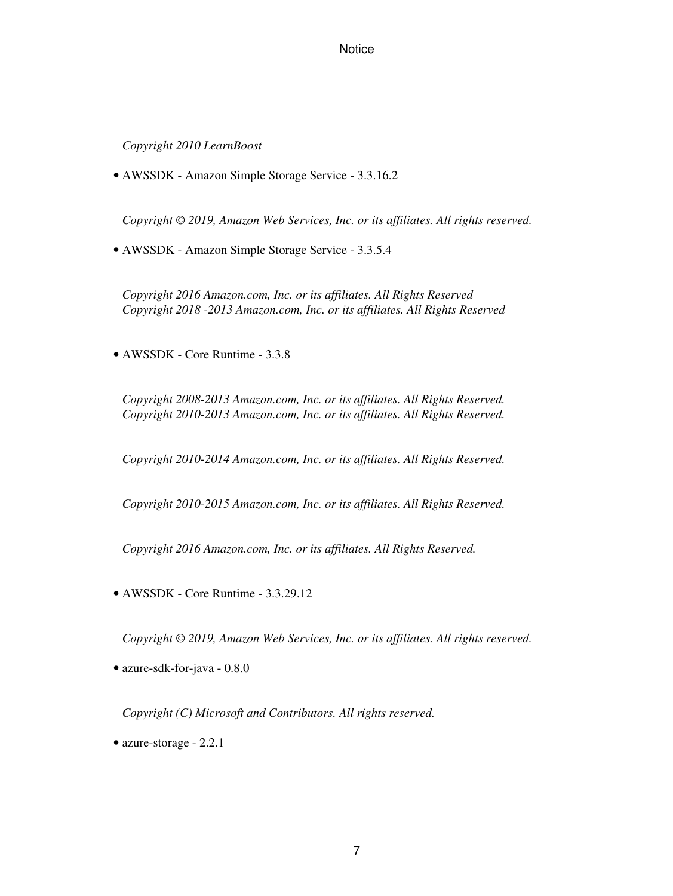*Copyright 2010 LearnBoost*

• AWSSDK - Amazon Simple Storage Service - 3.3.16.2

*Copyright © 2019, Amazon Web Services, Inc. or its affiliates. All rights reserved.*

• AWSSDK - Amazon Simple Storage Service - 3.3.5.4

*Copyright 2016 Amazon.com, Inc. or its affiliates. All Rights Reserved Copyright 2018 -2013 Amazon.com, Inc. or its affiliates. All Rights Reserved*

• AWSSDK - Core Runtime - 3.3.8

*Copyright 2008-2013 Amazon.com, Inc. or its affiliates. All Rights Reserved. Copyright 2010-2013 Amazon.com, Inc. or its affiliates. All Rights Reserved.*

*Copyright 2010-2014 Amazon.com, Inc. or its affiliates. All Rights Reserved.*

*Copyright 2010-2015 Amazon.com, Inc. or its affiliates. All Rights Reserved.*

*Copyright 2016 Amazon.com, Inc. or its affiliates. All Rights Reserved.*

• AWSSDK - Core Runtime - 3.3.29.12

*Copyright © 2019, Amazon Web Services, Inc. or its affiliates. All rights reserved.*

• azure-sdk-for-java - 0.8.0

*Copyright (C) Microsoft and Contributors. All rights reserved.*

• azure-storage - 2.2.1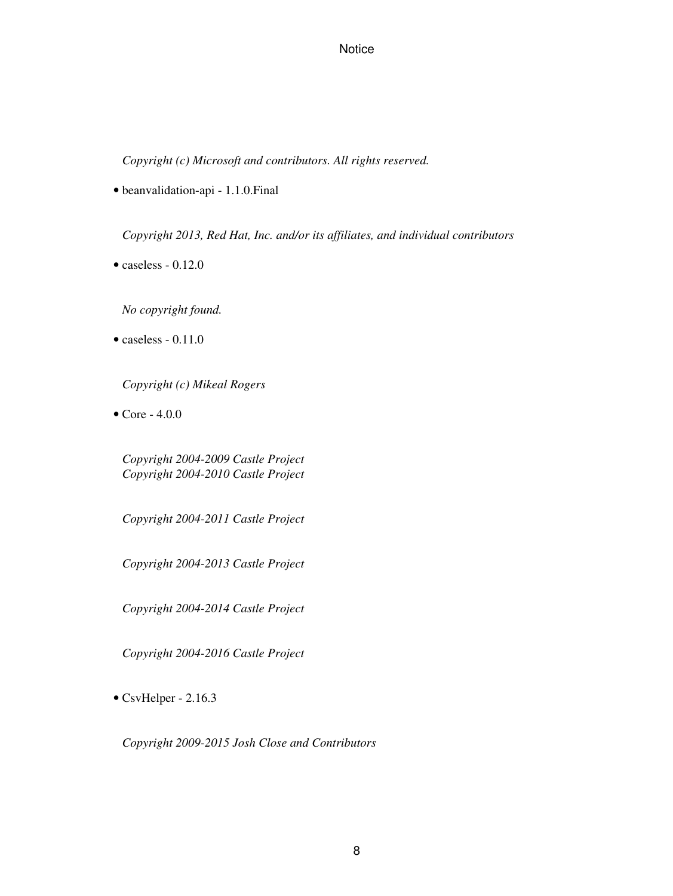*Copyright (c) Microsoft and contributors. All rights reserved.*

• beanvalidation-api - 1.1.0.Final

*Copyright 2013, Red Hat, Inc. and/or its affiliates, and individual contributors*

• caseless - 0.12.0

*No copyright found.*

 $\bullet$  caseless - 0.11.0

*Copyright (c) Mikeal Rogers*

• Core - 4.0.0

*Copyright 2004-2009 Castle Project Copyright 2004-2010 Castle Project*

*Copyright 2004-2011 Castle Project*

*Copyright 2004-2013 Castle Project*

*Copyright 2004-2014 Castle Project*

*Copyright 2004-2016 Castle Project*

• CsvHelper - 2.16.3

*Copyright 2009-2015 Josh Close and Contributors*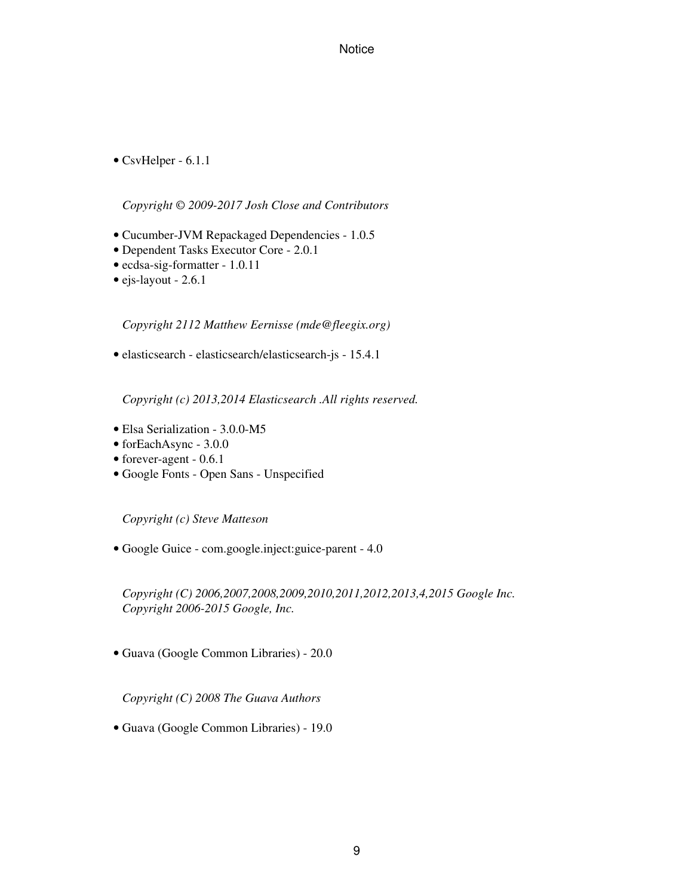• CsvHelper - 6.1.1

*Copyright © 2009-2017 Josh Close and Contributors*

- Cucumber-JVM Repackaged Dependencies 1.0.5
- Dependent Tasks Executor Core 2.0.1
- ecdsa-sig-formatter 1.0.11
- ejs-layout 2.6.1

*Copyright 2112 Matthew Eernisse (mde@fleegix.org)*

• elasticsearch - elasticsearch/elasticsearch-js - 15.4.1

*Copyright (c) 2013,2014 Elasticsearch .All rights reserved.*

- Elsa Serialization 3.0.0-M5
- forEachAsync 3.0.0
- forever-agent 0.6.1
- Google Fonts Open Sans Unspecified

*Copyright (c) Steve Matteson*

• Google Guice - com.google.inject:guice-parent - 4.0

*Copyright (C) 2006,2007,2008,2009,2010,2011,2012,2013,4,2015 Google Inc. Copyright 2006-2015 Google, Inc.*

• Guava (Google Common Libraries) - 20.0

*Copyright (C) 2008 The Guava Authors*

• Guava (Google Common Libraries) - 19.0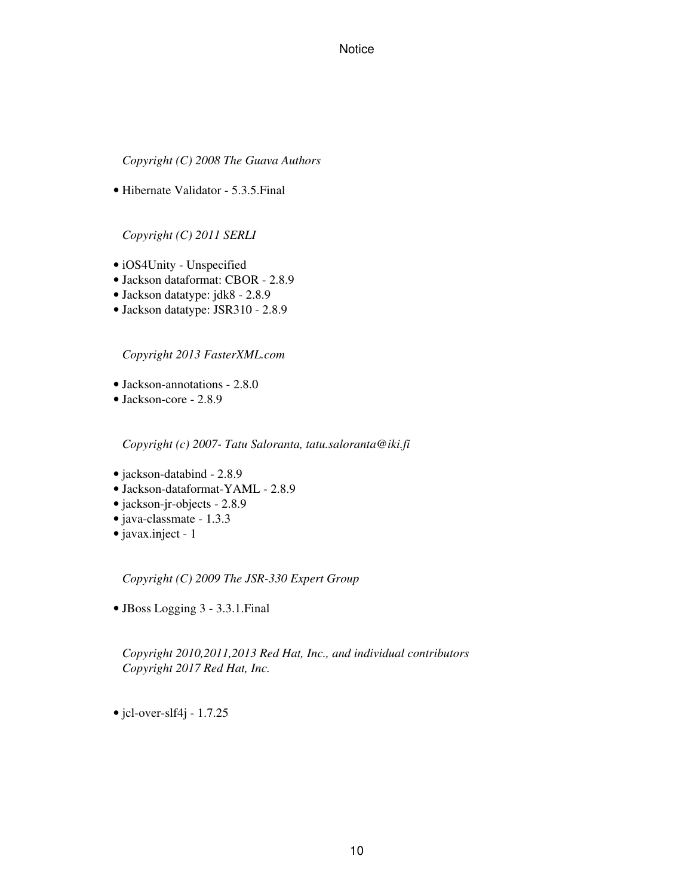*Copyright (C) 2008 The Guava Authors*

• Hibernate Validator - 5.3.5.Final

*Copyright (C) 2011 SERLI*

- iOS4Unity Unspecified
- Jackson dataformat: CBOR 2.8.9
- Jackson datatype: jdk8 2.8.9
- Jackson datatype: JSR310 2.8.9

*Copyright 2013 FasterXML.com*

- Jackson-annotations 2.8.0
- Jackson-core 2.8.9

*Copyright (c) 2007- Tatu Saloranta, tatu.saloranta@iki.fi*

- jackson-databind 2.8.9
- Jackson-dataformat-YAML 2.8.9
- jackson-jr-objects 2.8.9
- java-classmate 1.3.3
- javax.inject 1

*Copyright (C) 2009 The JSR-330 Expert Group*

• JBoss Logging 3 - 3.3.1.Final

*Copyright 2010,2011,2013 Red Hat, Inc., and individual contributors Copyright 2017 Red Hat, Inc.*

 $\bullet$  jcl-over-slf4j - 1.7.25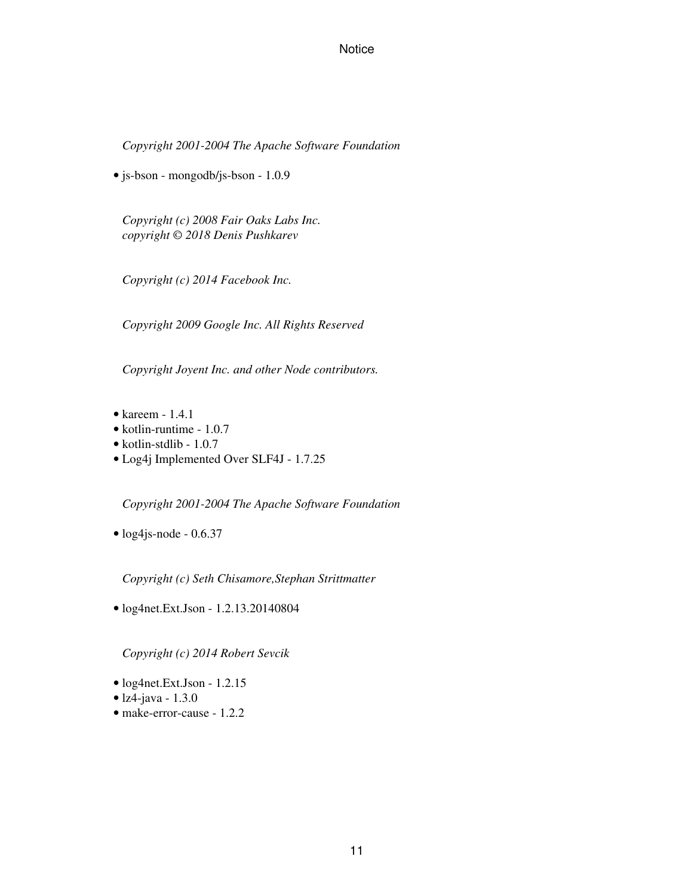*Copyright 2001-2004 The Apache Software Foundation*

• js-bson - mongodb/js-bson - 1.0.9

*Copyright (c) 2008 Fair Oaks Labs Inc. copyright © 2018 Denis Pushkarev*

*Copyright (c) 2014 Facebook Inc.*

*Copyright 2009 Google Inc. All Rights Reserved*

*Copyright Joyent Inc. and other Node contributors.*

- kareem 1.4.1
- kotlin-runtime 1.0.7
- kotlin-stdlib 1.0.7
- Log4j Implemented Over SLF4J 1.7.25

*Copyright 2001-2004 The Apache Software Foundation*

• log4js-node - 0.6.37

*Copyright (c) Seth Chisamore,Stephan Strittmatter*

• log4net.Ext.Json - 1.2.13.20140804

*Copyright (c) 2014 Robert Sevcik*

- log4net.Ext.Json 1.2.15
- lz4-java 1.3.0
- make-error-cause 1.2.2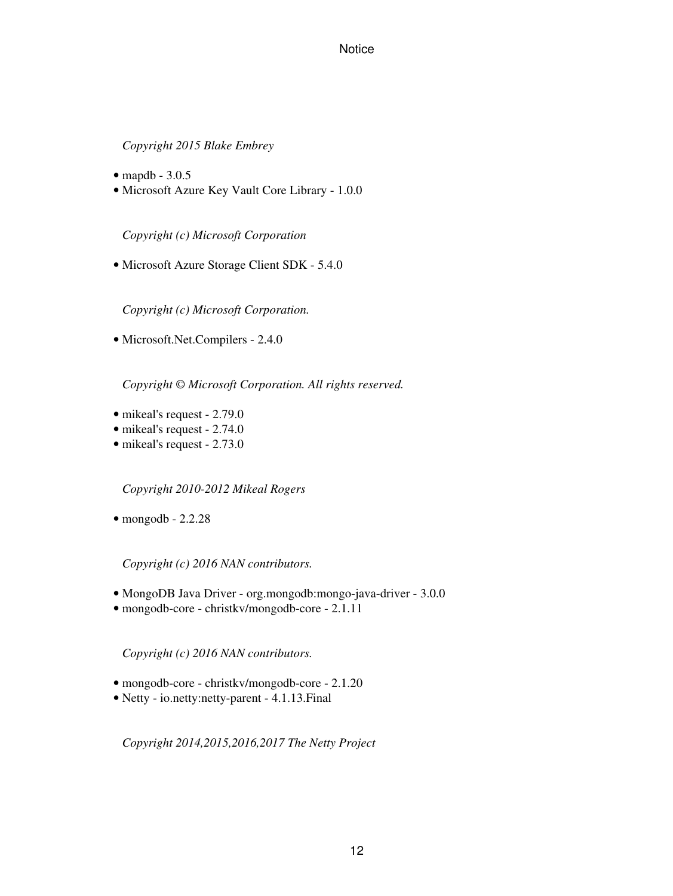#### *Copyright 2015 Blake Embrey*

- mapdb 3.0.5
- Microsoft Azure Key Vault Core Library 1.0.0

*Copyright (c) Microsoft Corporation*

• Microsoft Azure Storage Client SDK - 5.4.0

*Copyright (c) Microsoft Corporation.*

• Microsoft.Net.Compilers - 2.4.0

*Copyright © Microsoft Corporation. All rights reserved.*

- mikeal's request 2.79.0
- mikeal's request 2.74.0
- mikeal's request 2.73.0

*Copyright 2010-2012 Mikeal Rogers*

 $\bullet$  mongodb - 2.2.28

*Copyright (c) 2016 NAN contributors.*

- MongoDB Java Driver org.mongodb:mongo-java-driver 3.0.0
- mongodb-core christkv/mongodb-core 2.1.11

*Copyright (c) 2016 NAN contributors.*

- mongodb-core christkv/mongodb-core 2.1.20
- Netty io.netty:netty-parent 4.1.13.Final

*Copyright 2014,2015,2016,2017 The Netty Project*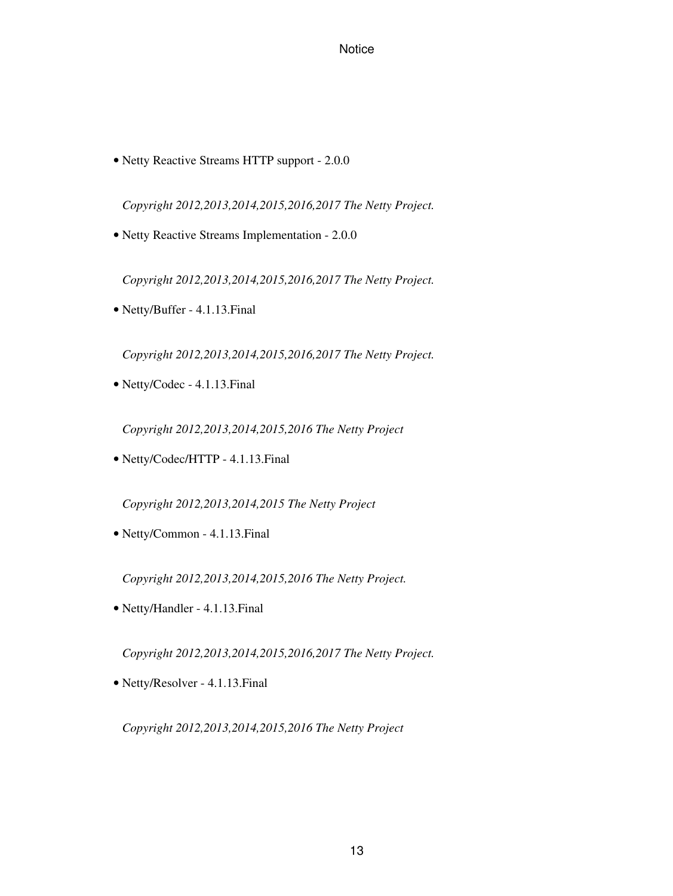• Netty Reactive Streams HTTP support - 2.0.0

*Copyright 2012,2013,2014,2015,2016,2017 The Netty Project.*

• Netty Reactive Streams Implementation - 2.0.0

*Copyright 2012,2013,2014,2015,2016,2017 The Netty Project.*

• Netty/Buffer - 4.1.13.Final

*Copyright 2012,2013,2014,2015,2016,2017 The Netty Project.*

• Netty/Codec - 4.1.13.Final

*Copyright 2012,2013,2014,2015,2016 The Netty Project*

• Netty/Codec/HTTP - 4.1.13.Final

*Copyright 2012,2013,2014,2015 The Netty Project*

• Netty/Common - 4.1.13.Final

*Copyright 2012,2013,2014,2015,2016 The Netty Project.*

• Netty/Handler - 4.1.13.Final

*Copyright 2012,2013,2014,2015,2016,2017 The Netty Project.*

• Netty/Resolver - 4.1.13.Final

*Copyright 2012,2013,2014,2015,2016 The Netty Project*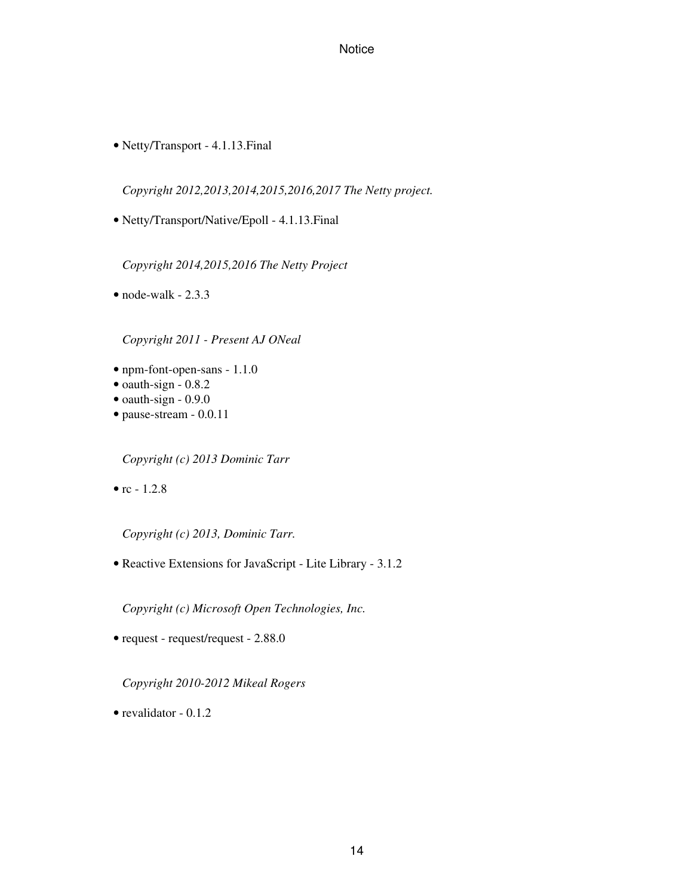• Netty/Transport - 4.1.13.Final

*Copyright 2012,2013,2014,2015,2016,2017 The Netty project.*

• Netty/Transport/Native/Epoll - 4.1.13.Final

*Copyright 2014,2015,2016 The Netty Project*

 $\bullet$  node-walk - 2.3.3

*Copyright 2011 - Present AJ ONeal*

- npm-font-open-sans 1.1.0
- oauth-sign 0.8.2
- oauth-sign  $-0.9.0$
- pause-stream 0.0.11

*Copyright (c) 2013 Dominic Tarr*

•  $rc - 1.2.8$ 

*Copyright (c) 2013, Dominic Tarr.*

• Reactive Extensions for JavaScript - Lite Library - 3.1.2

*Copyright (c) Microsoft Open Technologies, Inc.*

• request - request/request - 2.88.0

*Copyright 2010-2012 Mikeal Rogers*

• revalidator  $-0.1.2$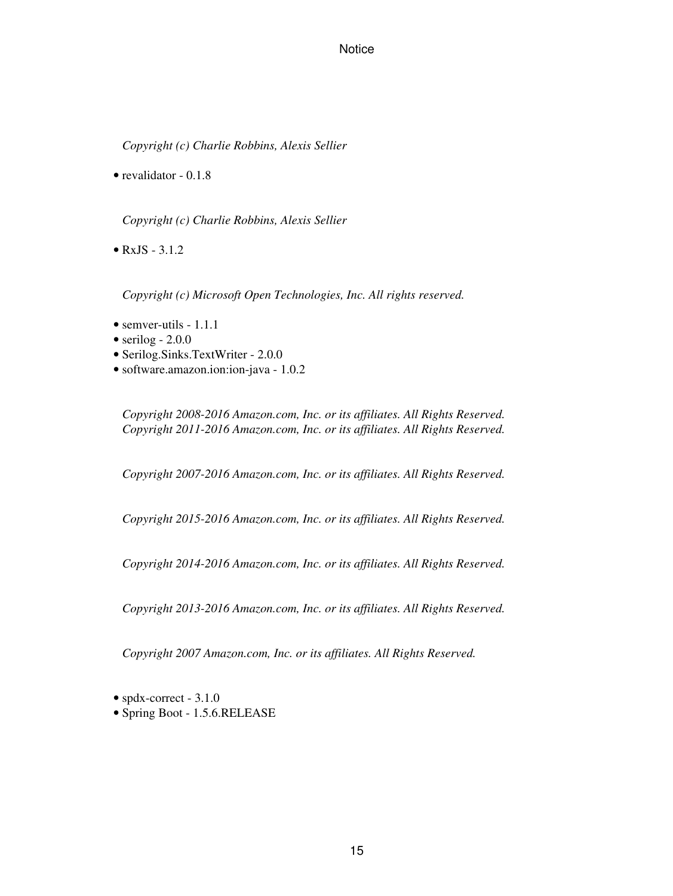*Copyright (c) Charlie Robbins, Alexis Sellier*

• revalidator - 0.1.8

*Copyright (c) Charlie Robbins, Alexis Sellier*

•  $RxJS - 3.1.2$ 

*Copyright (c) Microsoft Open Technologies, Inc. All rights reserved.*

- semver-utils 1.1.1
- serilog  $-2.0.0$
- Serilog.Sinks.TextWriter 2.0.0
- software.amazon.ion:ion-java 1.0.2

*Copyright 2008-2016 Amazon.com, Inc. or its affiliates. All Rights Reserved. Copyright 2011-2016 Amazon.com, Inc. or its affiliates. All Rights Reserved.*

*Copyright 2007-2016 Amazon.com, Inc. or its affiliates. All Rights Reserved.*

*Copyright 2015-2016 Amazon.com, Inc. or its affiliates. All Rights Reserved.*

*Copyright 2014-2016 Amazon.com, Inc. or its affiliates. All Rights Reserved.*

*Copyright 2013-2016 Amazon.com, Inc. or its affiliates. All Rights Reserved.*

*Copyright 2007 Amazon.com, Inc. or its affiliates. All Rights Reserved.*

• spdx-correct - 3.1.0

• Spring Boot - 1.5.6.RELEASE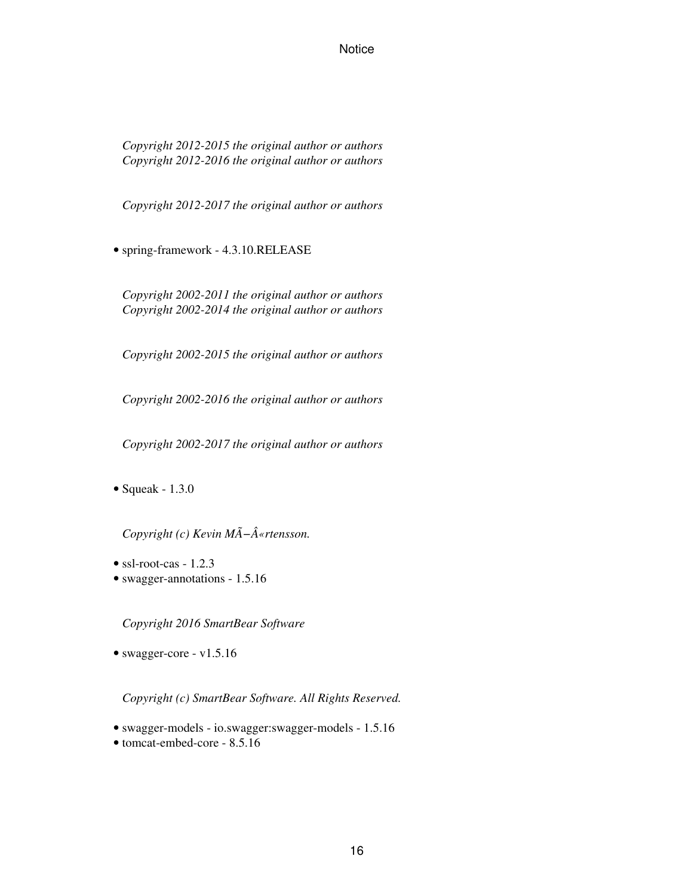*Copyright 2012-2015 the original author or authors Copyright 2012-2016 the original author or authors*

*Copyright 2012-2017 the original author or authors*

• spring-framework - 4.3.10.RELEASE

*Copyright 2002-2011 the original author or authors Copyright 2002-2014 the original author or authors*

*Copyright 2002-2015 the original author or authors*

*Copyright 2002-2016 the original author or authors*

*Copyright 2002-2017 the original author or authors*

• Squeak - 1.3.0

*Copyright (c) Kevin MÃ−«rtensson.*

- ssl-root-cas  $1.2.3$
- swagger-annotations 1.5.16

*Copyright 2016 SmartBear Software*

• swagger-core - v1.5.16

*Copyright (c) SmartBear Software. All Rights Reserved.*

- swagger-models io.swagger:swagger-models 1.5.16
- tomcat-embed-core 8.5.16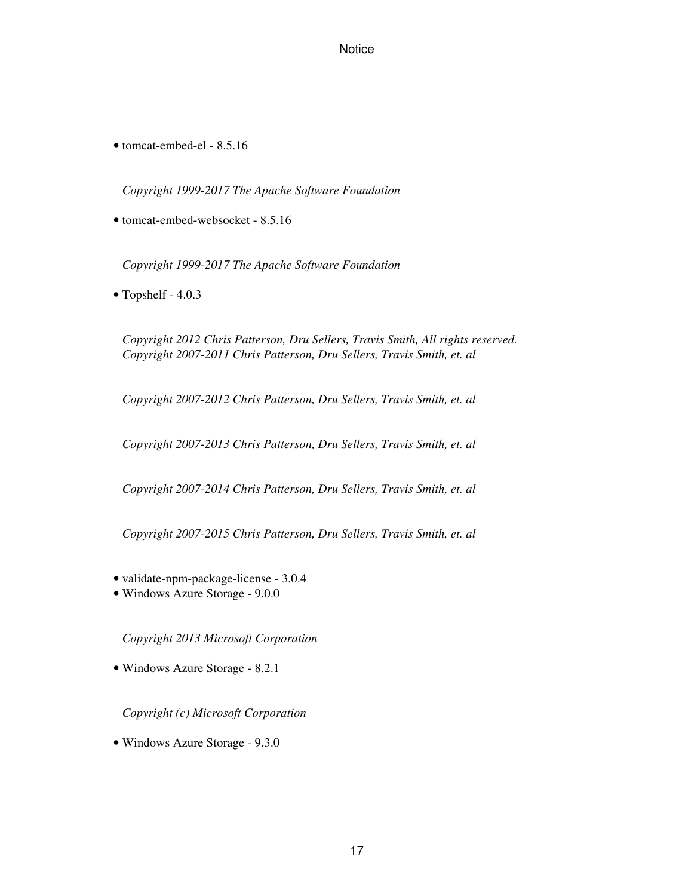• tomcat-embed-el - 8.5.16

*Copyright 1999-2017 The Apache Software Foundation*

• tomcat-embed-websocket - 8.5.16

*Copyright 1999-2017 The Apache Software Foundation*

• Topshelf - 4.0.3

*Copyright 2012 Chris Patterson, Dru Sellers, Travis Smith, All rights reserved. Copyright 2007-2011 Chris Patterson, Dru Sellers, Travis Smith, et. al*

*Copyright 2007-2012 Chris Patterson, Dru Sellers, Travis Smith, et. al*

*Copyright 2007-2013 Chris Patterson, Dru Sellers, Travis Smith, et. al*

*Copyright 2007-2014 Chris Patterson, Dru Sellers, Travis Smith, et. al*

*Copyright 2007-2015 Chris Patterson, Dru Sellers, Travis Smith, et. al*

- validate-npm-package-license 3.0.4
- Windows Azure Storage 9.0.0

*Copyright 2013 Microsoft Corporation*

• Windows Azure Storage - 8.2.1

*Copyright (c) Microsoft Corporation*

• Windows Azure Storage - 9.3.0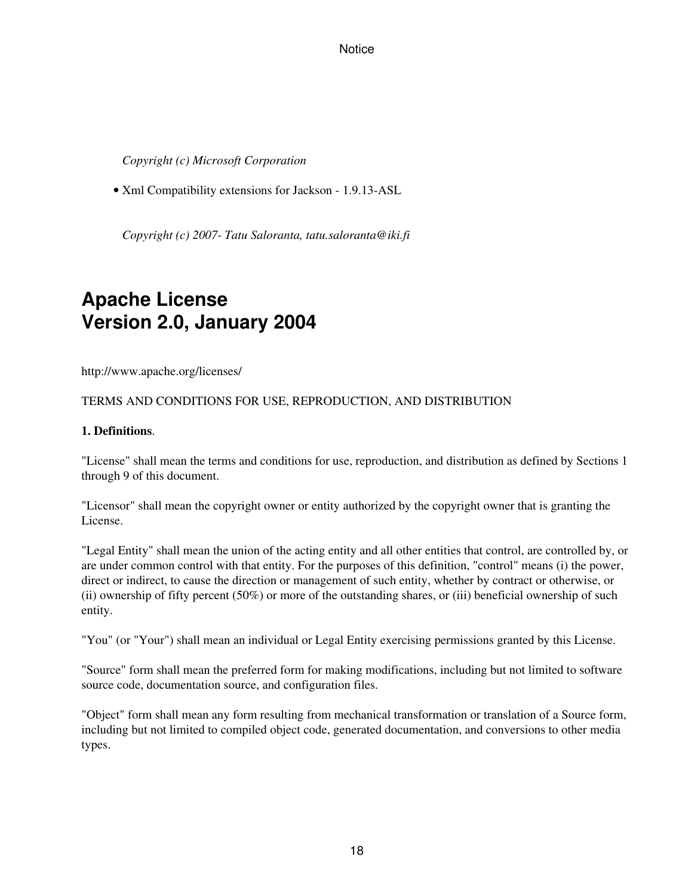*Copyright (c) Microsoft Corporation*

• Xml Compatibility extensions for Jackson - 1.9.13-ASL

*Copyright (c) 2007- Tatu Saloranta, tatu.saloranta@iki.fi*

## **Apache License Version 2.0, January 2004**

http://www.apache.org/licenses/

#### TERMS AND CONDITIONS FOR USE, REPRODUCTION, AND DISTRIBUTION

#### **1. Definitions**.

"License" shall mean the terms and conditions for use, reproduction, and distribution as defined by Sections 1 through 9 of this document.

"Licensor" shall mean the copyright owner or entity authorized by the copyright owner that is granting the License.

"Legal Entity" shall mean the union of the acting entity and all other entities that control, are controlled by, or are under common control with that entity. For the purposes of this definition, "control" means (i) the power, direct or indirect, to cause the direction or management of such entity, whether by contract or otherwise, or (ii) ownership of fifty percent (50%) or more of the outstanding shares, or (iii) beneficial ownership of such entity.

"You" (or "Your") shall mean an individual or Legal Entity exercising permissions granted by this License.

"Source" form shall mean the preferred form for making modifications, including but not limited to software source code, documentation source, and configuration files.

"Object" form shall mean any form resulting from mechanical transformation or translation of a Source form, including but not limited to compiled object code, generated documentation, and conversions to other media types.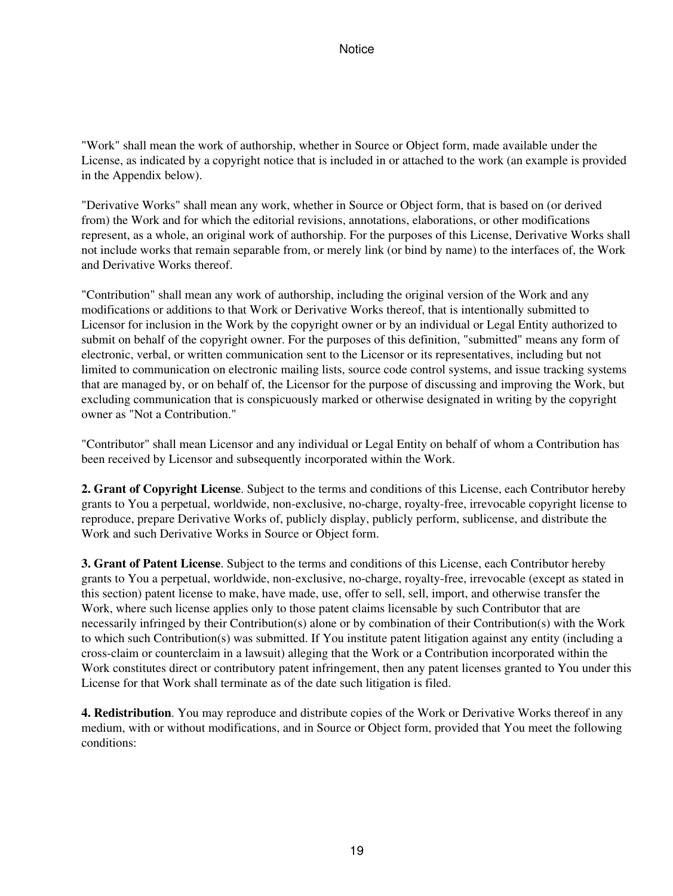"Work" shall mean the work of authorship, whether in Source or Object form, made available under the License, as indicated by a copyright notice that is included in or attached to the work (an example is provided in the Appendix below).

"Derivative Works" shall mean any work, whether in Source or Object form, that is based on (or derived from) the Work and for which the editorial revisions, annotations, elaborations, or other modifications represent, as a whole, an original work of authorship. For the purposes of this License, Derivative Works shall not include works that remain separable from, or merely link (or bind by name) to the interfaces of, the Work and Derivative Works thereof.

"Contribution" shall mean any work of authorship, including the original version of the Work and any modifications or additions to that Work or Derivative Works thereof, that is intentionally submitted to Licensor for inclusion in the Work by the copyright owner or by an individual or Legal Entity authorized to submit on behalf of the copyright owner. For the purposes of this definition, "submitted" means any form of electronic, verbal, or written communication sent to the Licensor or its representatives, including but not limited to communication on electronic mailing lists, source code control systems, and issue tracking systems that are managed by, or on behalf of, the Licensor for the purpose of discussing and improving the Work, but excluding communication that is conspicuously marked or otherwise designated in writing by the copyright owner as "Not a Contribution."

"Contributor" shall mean Licensor and any individual or Legal Entity on behalf of whom a Contribution has been received by Licensor and subsequently incorporated within the Work.

**2. Grant of Copyright License**. Subject to the terms and conditions of this License, each Contributor hereby grants to You a perpetual, worldwide, non-exclusive, no-charge, royalty-free, irrevocable copyright license to reproduce, prepare Derivative Works of, publicly display, publicly perform, sublicense, and distribute the Work and such Derivative Works in Source or Object form.

**3. Grant of Patent License**. Subject to the terms and conditions of this License, each Contributor hereby grants to You a perpetual, worldwide, non-exclusive, no-charge, royalty-free, irrevocable (except as stated in this section) patent license to make, have made, use, offer to sell, sell, import, and otherwise transfer the Work, where such license applies only to those patent claims licensable by such Contributor that are necessarily infringed by their Contribution(s) alone or by combination of their Contribution(s) with the Work to which such Contribution(s) was submitted. If You institute patent litigation against any entity (including a cross-claim or counterclaim in a lawsuit) alleging that the Work or a Contribution incorporated within the Work constitutes direct or contributory patent infringement, then any patent licenses granted to You under this License for that Work shall terminate as of the date such litigation is filed.

**4. Redistribution**. You may reproduce and distribute copies of the Work or Derivative Works thereof in any medium, with or without modifications, and in Source or Object form, provided that You meet the following conditions: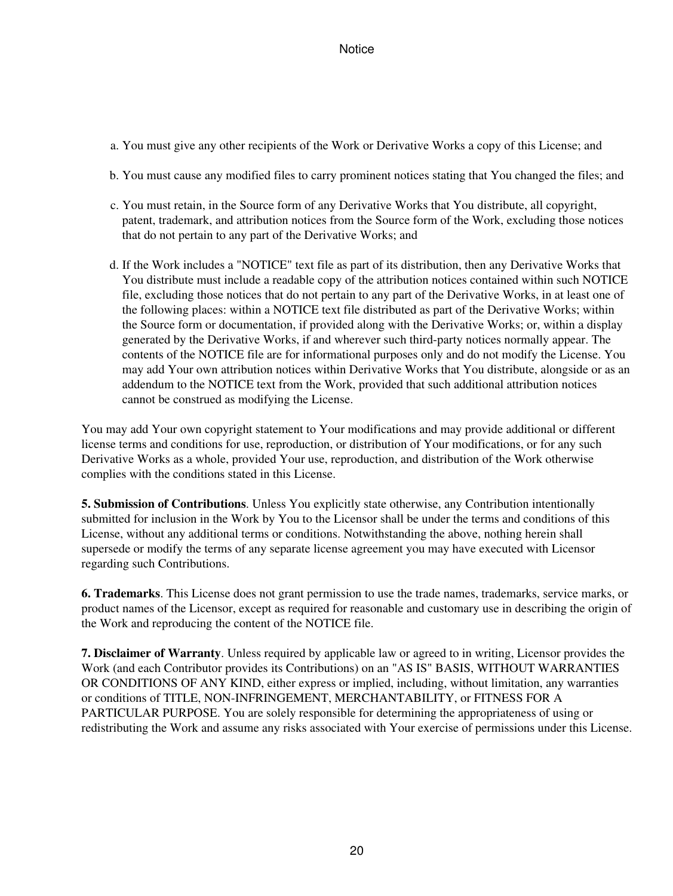- a. You must give any other recipients of the Work or Derivative Works a copy of this License; and
- b. You must cause any modified files to carry prominent notices stating that You changed the files; and
- c. You must retain, in the Source form of any Derivative Works that You distribute, all copyright, patent, trademark, and attribution notices from the Source form of the Work, excluding those notices that do not pertain to any part of the Derivative Works; and
- d. If the Work includes a "NOTICE" text file as part of its distribution, then any Derivative Works that You distribute must include a readable copy of the attribution notices contained within such NOTICE file, excluding those notices that do not pertain to any part of the Derivative Works, in at least one of the following places: within a NOTICE text file distributed as part of the Derivative Works; within the Source form or documentation, if provided along with the Derivative Works; or, within a display generated by the Derivative Works, if and wherever such third-party notices normally appear. The contents of the NOTICE file are for informational purposes only and do not modify the License. You may add Your own attribution notices within Derivative Works that You distribute, alongside or as an addendum to the NOTICE text from the Work, provided that such additional attribution notices cannot be construed as modifying the License.

You may add Your own copyright statement to Your modifications and may provide additional or different license terms and conditions for use, reproduction, or distribution of Your modifications, or for any such Derivative Works as a whole, provided Your use, reproduction, and distribution of the Work otherwise complies with the conditions stated in this License.

**5. Submission of Contributions**. Unless You explicitly state otherwise, any Contribution intentionally submitted for inclusion in the Work by You to the Licensor shall be under the terms and conditions of this License, without any additional terms or conditions. Notwithstanding the above, nothing herein shall supersede or modify the terms of any separate license agreement you may have executed with Licensor regarding such Contributions.

**6. Trademarks**. This License does not grant permission to use the trade names, trademarks, service marks, or product names of the Licensor, except as required for reasonable and customary use in describing the origin of the Work and reproducing the content of the NOTICE file.

**7. Disclaimer of Warranty**. Unless required by applicable law or agreed to in writing, Licensor provides the Work (and each Contributor provides its Contributions) on an "AS IS" BASIS, WITHOUT WARRANTIES OR CONDITIONS OF ANY KIND, either express or implied, including, without limitation, any warranties or conditions of TITLE, NON-INFRINGEMENT, MERCHANTABILITY, or FITNESS FOR A PARTICULAR PURPOSE. You are solely responsible for determining the appropriateness of using or redistributing the Work and assume any risks associated with Your exercise of permissions under this License.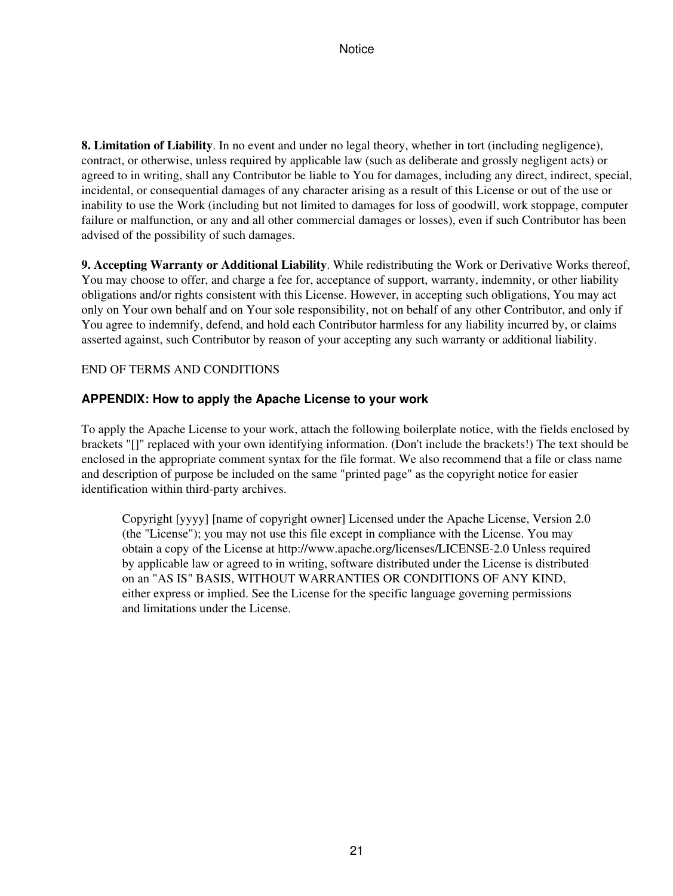**8. Limitation of Liability**. In no event and under no legal theory, whether in tort (including negligence), contract, or otherwise, unless required by applicable law (such as deliberate and grossly negligent acts) or agreed to in writing, shall any Contributor be liable to You for damages, including any direct, indirect, special, incidental, or consequential damages of any character arising as a result of this License or out of the use or inability to use the Work (including but not limited to damages for loss of goodwill, work stoppage, computer failure or malfunction, or any and all other commercial damages or losses), even if such Contributor has been advised of the possibility of such damages.

**9. Accepting Warranty or Additional Liability**. While redistributing the Work or Derivative Works thereof, You may choose to offer, and charge a fee for, acceptance of support, warranty, indemnity, or other liability obligations and/or rights consistent with this License. However, in accepting such obligations, You may act only on Your own behalf and on Your sole responsibility, not on behalf of any other Contributor, and only if You agree to indemnify, defend, and hold each Contributor harmless for any liability incurred by, or claims asserted against, such Contributor by reason of your accepting any such warranty or additional liability.

#### END OF TERMS AND CONDITIONS

#### **APPENDIX: How to apply the Apache License to your work**

To apply the Apache License to your work, attach the following boilerplate notice, with the fields enclosed by brackets "[]" replaced with your own identifying information. (Don't include the brackets!) The text should be enclosed in the appropriate comment syntax for the file format. We also recommend that a file or class name and description of purpose be included on the same "printed page" as the copyright notice for easier identification within third-party archives.

Copyright [yyyy] [name of copyright owner] Licensed under the Apache License, Version 2.0 (the "License"); you may not use this file except in compliance with the License. You may obtain a copy of the License at http://www.apache.org/licenses/LICENSE-2.0 Unless required by applicable law or agreed to in writing, software distributed under the License is distributed on an "AS IS" BASIS, WITHOUT WARRANTIES OR CONDITIONS OF ANY KIND, either express or implied. See the License for the specific language governing permissions and limitations under the License.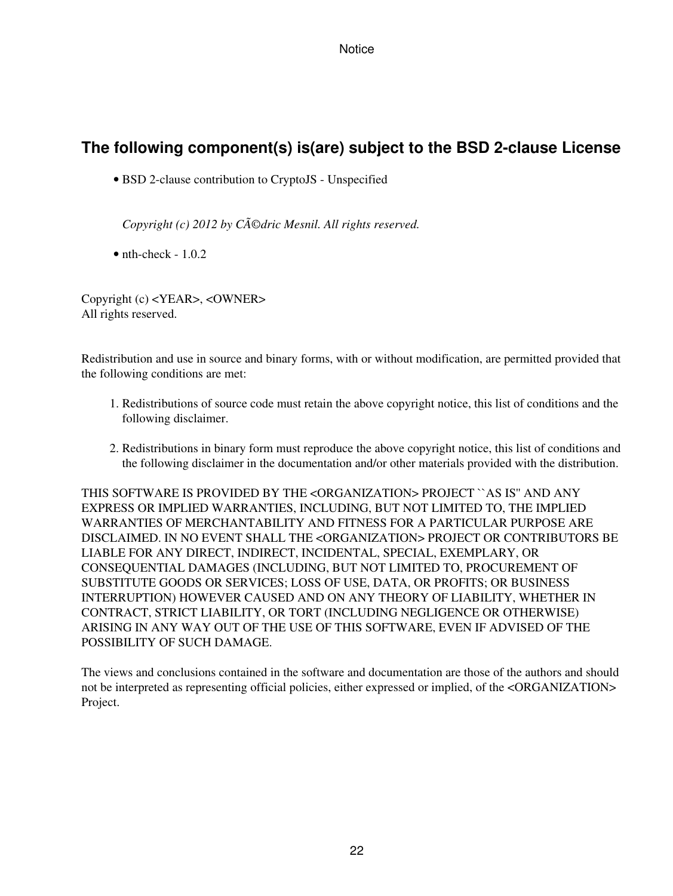## **The following component(s) is(are) subject to the BSD 2-clause License**

• BSD 2-clause contribution to CryptoJS - Unspecified

*Copyright (c) 2012 by CAOdric Mesnil. All rights reserved.* 

 $\bullet$  nth-check - 1.0.2

Copyright (c) <YEAR>, <OWNER> All rights reserved.

Redistribution and use in source and binary forms, with or without modification, are permitted provided that the following conditions are met:

- 1. Redistributions of source code must retain the above copyright notice, this list of conditions and the following disclaimer.
- 2. Redistributions in binary form must reproduce the above copyright notice, this list of conditions and the following disclaimer in the documentation and/or other materials provided with the distribution.

THIS SOFTWARE IS PROVIDED BY THE <ORGANIZATION> PROJECT ``AS IS'' AND ANY EXPRESS OR IMPLIED WARRANTIES, INCLUDING, BUT NOT LIMITED TO, THE IMPLIED WARRANTIES OF MERCHANTABILITY AND FITNESS FOR A PARTICULAR PURPOSE ARE DISCLAIMED. IN NO EVENT SHALL THE <ORGANIZATION> PROJECT OR CONTRIBUTORS BE LIABLE FOR ANY DIRECT, INDIRECT, INCIDENTAL, SPECIAL, EXEMPLARY, OR CONSEQUENTIAL DAMAGES (INCLUDING, BUT NOT LIMITED TO, PROCUREMENT OF SUBSTITUTE GOODS OR SERVICES; LOSS OF USE, DATA, OR PROFITS; OR BUSINESS INTERRUPTION) HOWEVER CAUSED AND ON ANY THEORY OF LIABILITY, WHETHER IN CONTRACT, STRICT LIABILITY, OR TORT (INCLUDING NEGLIGENCE OR OTHERWISE) ARISING IN ANY WAY OUT OF THE USE OF THIS SOFTWARE, EVEN IF ADVISED OF THE POSSIBILITY OF SUCH DAMAGE.

The views and conclusions contained in the software and documentation are those of the authors and should not be interpreted as representing official policies, either expressed or implied, of the <ORGANIZATION> Project.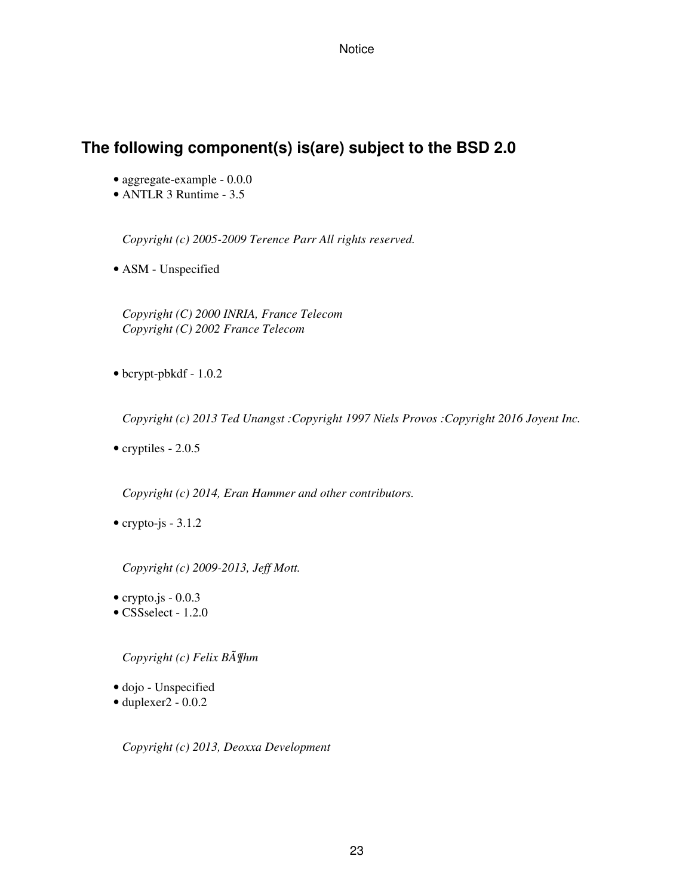### **The following component(s) is(are) subject to the BSD 2.0**

- aggregate-example 0.0.0
- ANTLR 3 Runtime 3.5

*Copyright (c) 2005-2009 Terence Parr All rights reserved.*

• ASM - Unspecified

*Copyright (C) 2000 INRIA, France Telecom Copyright (C) 2002 France Telecom*

• bcrypt-pbkdf - 1.0.2

*Copyright (c) 2013 Ted Unangst :Copyright 1997 Niels Provos :Copyright 2016 Joyent Inc.*

• cryptiles - 2.0.5

*Copyright (c) 2014, Eran Hammer and other contributors.*

• crypto-js  $-3.1.2$ 

*Copyright (c) 2009-2013, Jeff Mott.*

- crypto.js  $-0.0.3$
- CSSselect 1.2.0

*Copyright (c) Felix Böhm*

- dojo Unspecified
- duplexer2 0.0.2

*Copyright (c) 2013, Deoxxa Development*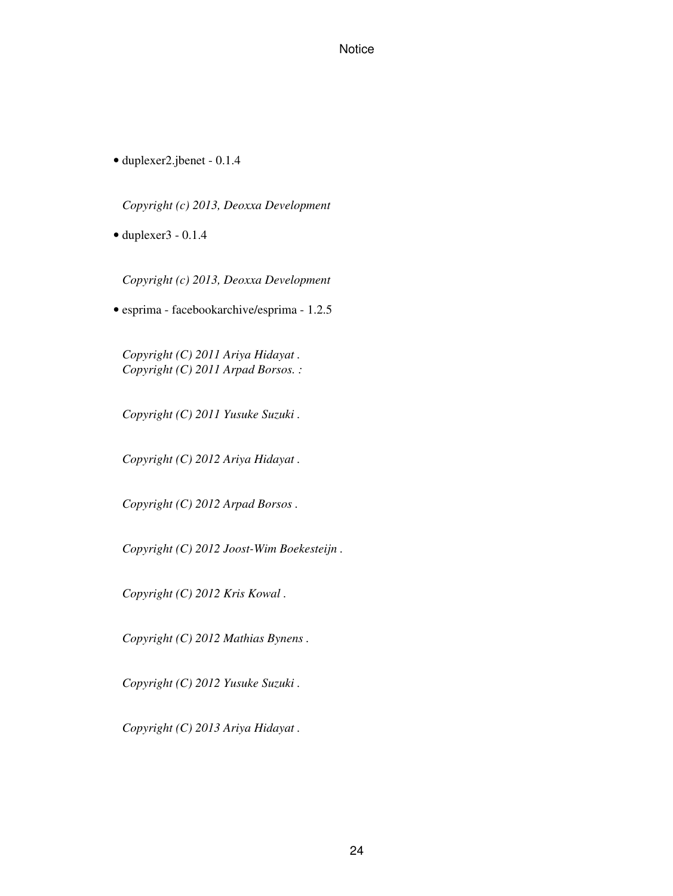• duplexer2.jbenet - 0.1.4

*Copyright (c) 2013, Deoxxa Development*

 $\bullet$  duplexer3 - 0.1.4

*Copyright (c) 2013, Deoxxa Development*

• esprima - facebookarchive/esprima - 1.2.5

*Copyright (C) 2011 Ariya Hidayat . Copyright (C) 2011 Arpad Borsos. :*

*Copyright (C) 2011 Yusuke Suzuki .*

*Copyright (C) 2012 Ariya Hidayat .*

*Copyright (C) 2012 Arpad Borsos .*

*Copyright (C) 2012 Joost-Wim Boekesteijn .*

*Copyright (C) 2012 Kris Kowal .*

*Copyright (C) 2012 Mathias Bynens .*

*Copyright (C) 2012 Yusuke Suzuki .*

*Copyright (C) 2013 Ariya Hidayat .*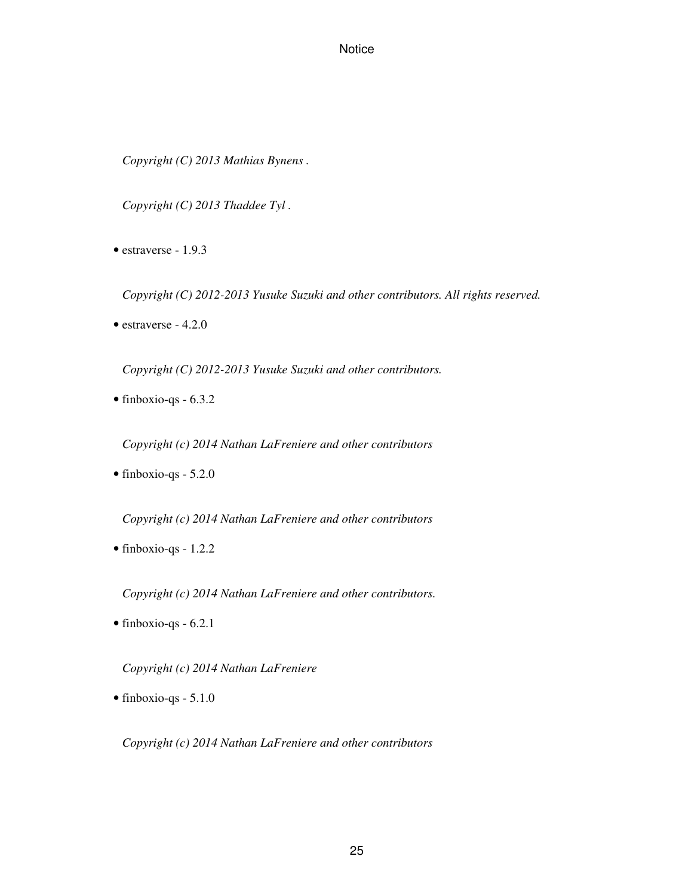*Copyright (C) 2013 Mathias Bynens .*

*Copyright (C) 2013 Thaddee Tyl .*

• estraverse - 1.9.3

*Copyright (C) 2012-2013 Yusuke Suzuki and other contributors. All rights reserved.*

• estraverse - 4.2.0

*Copyright (C) 2012-2013 Yusuke Suzuki and other contributors.*

• finboxio-qs - 6.3.2

*Copyright (c) 2014 Nathan LaFreniere and other contributors*

• finboxio-qs - 5.2.0

*Copyright (c) 2014 Nathan LaFreniere and other contributors*

• finboxio-qs - 1.2.2

*Copyright (c) 2014 Nathan LaFreniere and other contributors.*

• finboxio-qs - 6.2.1

*Copyright (c) 2014 Nathan LaFreniere*

• finboxio-qs - 5.1.0

*Copyright (c) 2014 Nathan LaFreniere and other contributors*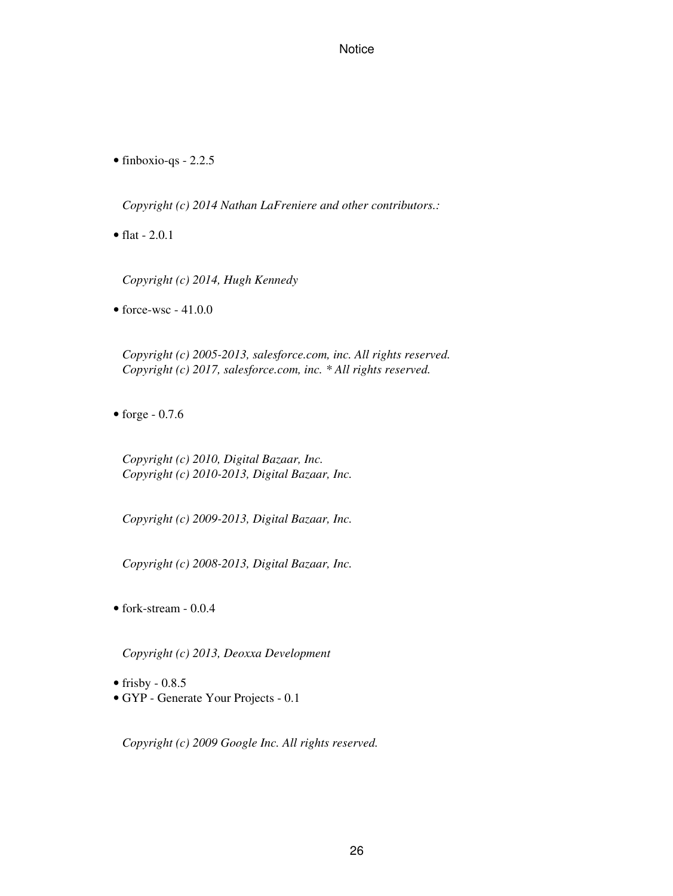• finboxio-qs - 2.2.5

*Copyright (c) 2014 Nathan LaFreniere and other contributors.:*

• flat - 2.0.1

*Copyright (c) 2014, Hugh Kennedy*

 $\bullet$  force-wsc - 41.0.0

*Copyright (c) 2005-2013, salesforce.com, inc. All rights reserved. Copyright (c) 2017, salesforce.com, inc. \* All rights reserved.*

 $\bullet$  forge - 0.7.6

*Copyright (c) 2010, Digital Bazaar, Inc. Copyright (c) 2010-2013, Digital Bazaar, Inc.*

*Copyright (c) 2009-2013, Digital Bazaar, Inc.*

*Copyright (c) 2008-2013, Digital Bazaar, Inc.*

• fork-stream - 0.0.4

*Copyright (c) 2013, Deoxxa Development*

- frisby  $-0.8.5$
- GYP Generate Your Projects 0.1

*Copyright (c) 2009 Google Inc. All rights reserved.*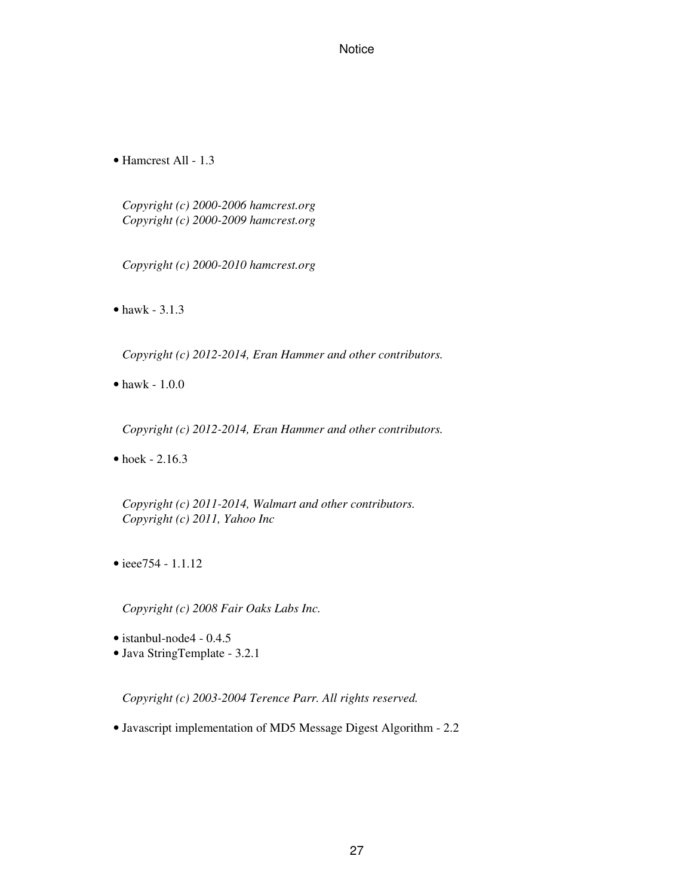• Hamcrest All - 1.3

*Copyright (c) 2000-2006 hamcrest.org Copyright (c) 2000-2009 hamcrest.org*

*Copyright (c) 2000-2010 hamcrest.org*

• hawk - 3.1.3

*Copyright (c) 2012-2014, Eran Hammer and other contributors.*

• hawk - 1.0.0

*Copyright (c) 2012-2014, Eran Hammer and other contributors.*

• hoek - 2.16.3

*Copyright (c) 2011-2014, Walmart and other contributors. Copyright (c) 2011, Yahoo Inc*

• ieee754 - 1.1.12

*Copyright (c) 2008 Fair Oaks Labs Inc.*

- istanbul-node4 0.4.5
- Java StringTemplate 3.2.1

*Copyright (c) 2003-2004 Terence Parr. All rights reserved.*

• Javascript implementation of MD5 Message Digest Algorithm - 2.2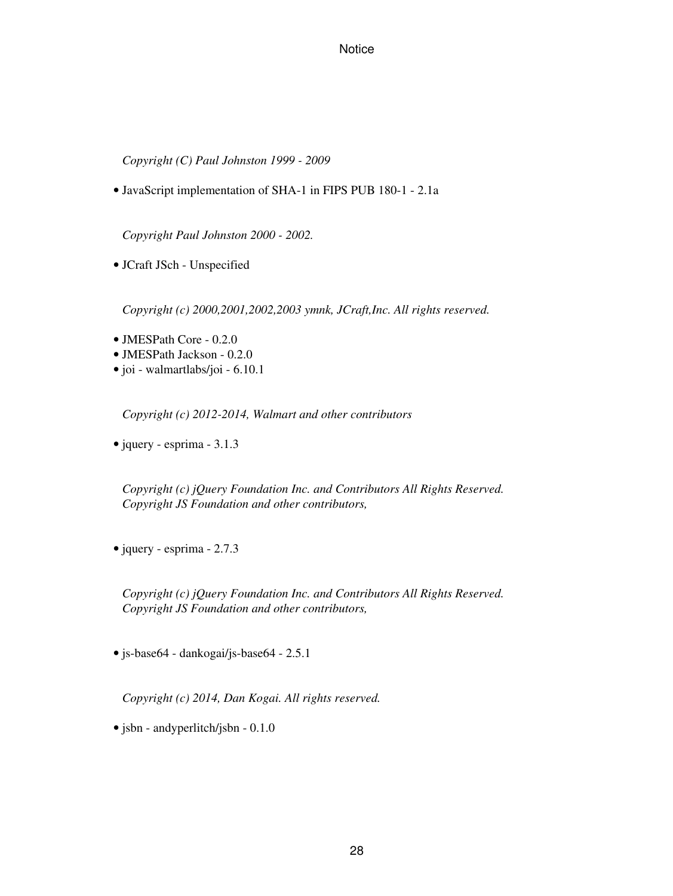*Copyright (C) Paul Johnston 1999 - 2009*

• JavaScript implementation of SHA-1 in FIPS PUB 180-1 - 2.1a

*Copyright Paul Johnston 2000 - 2002.*

• JCraft JSch - Unspecified

*Copyright (c) 2000,2001,2002,2003 ymnk, JCraft,Inc. All rights reserved.*

- JMESPath Core 0.2.0
- JMESPath Jackson 0.2.0
- joi walmartlabs/joi 6.10.1

*Copyright (c) 2012-2014, Walmart and other contributors*

• jquery - esprima - 3.1.3

*Copyright (c) jQuery Foundation Inc. and Contributors All Rights Reserved. Copyright JS Foundation and other contributors,*

• jquery - esprima - 2.7.3

*Copyright (c) jQuery Foundation Inc. and Contributors All Rights Reserved. Copyright JS Foundation and other contributors,*

• js-base64 - dankogai/js-base64 - 2.5.1

*Copyright (c) 2014, Dan Kogai. All rights reserved.*

• jsbn - andyperlitch/jsbn - 0.1.0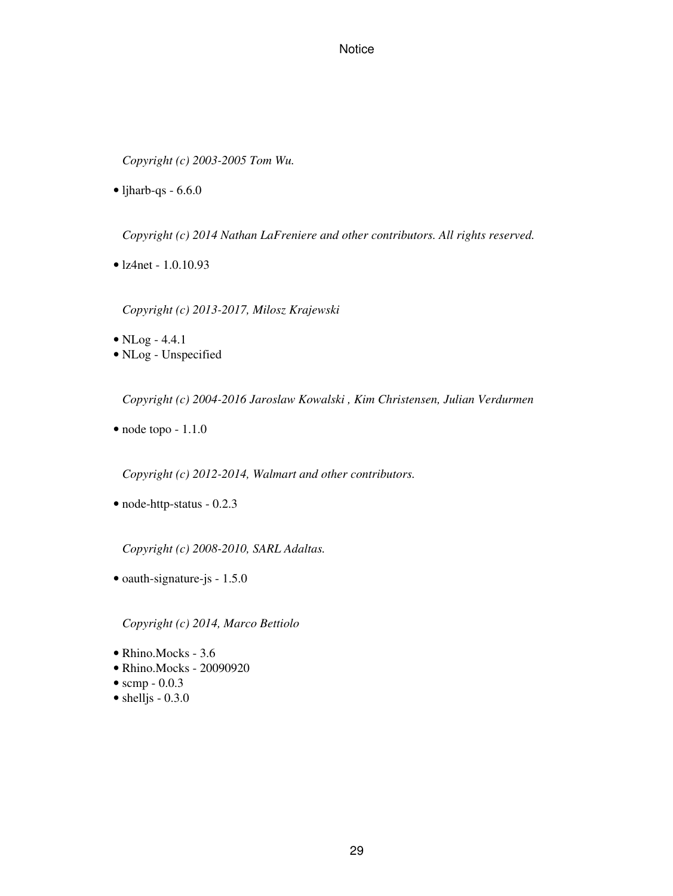*Copyright (c) 2003-2005 Tom Wu.*

 $\bullet$  ljharb-qs - 6.6.0

*Copyright (c) 2014 Nathan LaFreniere and other contributors. All rights reserved.*

• lz4net - 1.0.10.93

*Copyright (c) 2013-2017, Milosz Krajewski*

- NLog 4.4.1
- NLog Unspecified

*Copyright (c) 2004-2016 Jaroslaw Kowalski , Kim Christensen, Julian Verdurmen*

• node topo - 1.1.0

*Copyright (c) 2012-2014, Walmart and other contributors.*

• node-http-status - 0.2.3

*Copyright (c) 2008-2010, SARL Adaltas.*

• oauth-signature-js - 1.5.0

*Copyright (c) 2014, Marco Bettiolo*

- Rhino.Mocks 3.6
- Rhino.Mocks 20090920
- scmp  $-0.0.3$
- $\bullet$  shelljs 0.3.0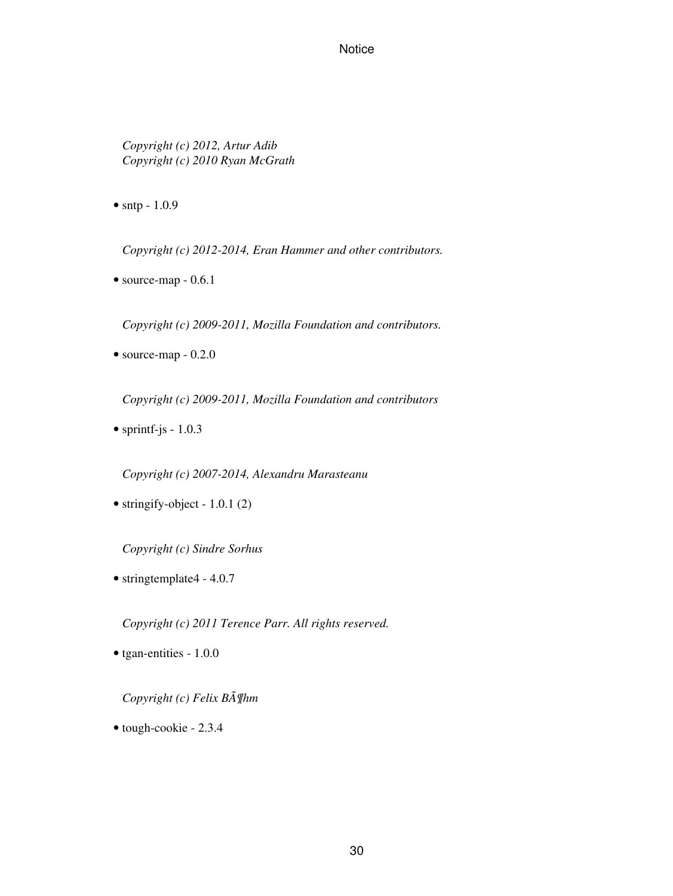*Copyright (c) 2012, Artur Adib Copyright (c) 2010 Ryan McGrath*

• sntp - 1.0.9

*Copyright (c) 2012-2014, Eran Hammer and other contributors.*

• source-map - 0.6.1

*Copyright (c) 2009-2011, Mozilla Foundation and contributors.*

• source-map - 0.2.0

*Copyright (c) 2009-2011, Mozilla Foundation and contributors*

• sprintf-js -  $1.0.3$ 

*Copyright (c) 2007-2014, Alexandru Marasteanu*

• stringify-object - 1.0.1 (2)

*Copyright (c) Sindre Sorhus*

• stringtemplate4 - 4.0.7

*Copyright (c) 2011 Terence Parr. All rights reserved.*

• tgan-entities - 1.0.0

*Copyright (c) Felix Böhm*

• tough-cookie - 2.3.4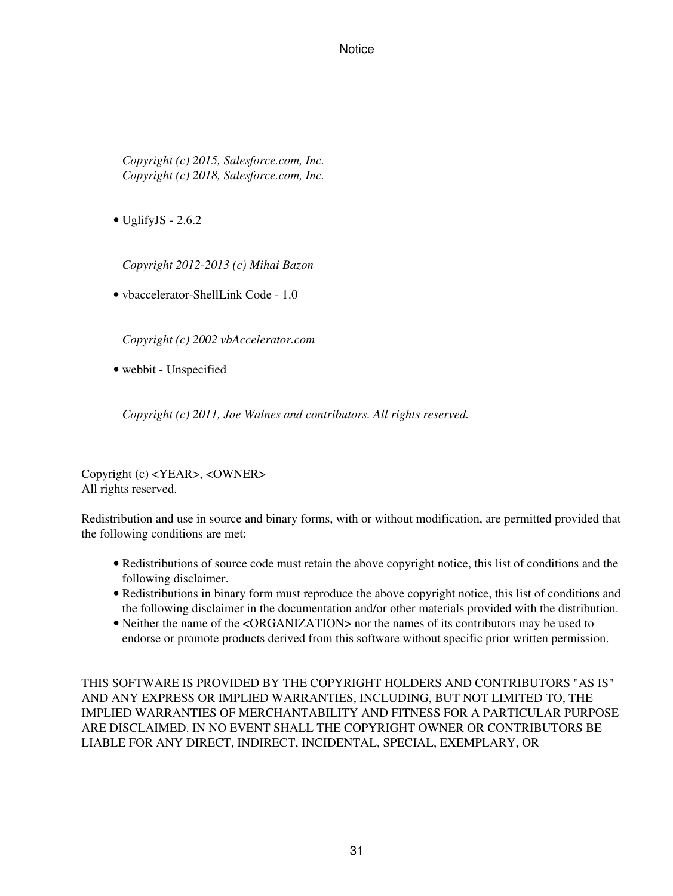*Copyright (c) 2015, Salesforce.com, Inc. Copyright (c) 2018, Salesforce.com, Inc.*

• UglifyJS - 2.6.2

*Copyright 2012-2013 (c) Mihai Bazon*

• vbaccelerator-ShellLink Code - 1.0

*Copyright (c) 2002 vbAccelerator.com*

• webbit - Unspecified

*Copyright (c) 2011, Joe Walnes and contributors. All rights reserved.*

Copyright (c) <YEAR>, <OWNER> All rights reserved.

Redistribution and use in source and binary forms, with or without modification, are permitted provided that the following conditions are met:

- Redistributions of source code must retain the above copyright notice, this list of conditions and the following disclaimer.
- Redistributions in binary form must reproduce the above copyright notice, this list of conditions and the following disclaimer in the documentation and/or other materials provided with the distribution.
- Neither the name of the <ORGANIZATION> nor the names of its contributors may be used to endorse or promote products derived from this software without specific prior written permission.

THIS SOFTWARE IS PROVIDED BY THE COPYRIGHT HOLDERS AND CONTRIBUTORS "AS IS" AND ANY EXPRESS OR IMPLIED WARRANTIES, INCLUDING, BUT NOT LIMITED TO, THE IMPLIED WARRANTIES OF MERCHANTABILITY AND FITNESS FOR A PARTICULAR PURPOSE ARE DISCLAIMED. IN NO EVENT SHALL THE COPYRIGHT OWNER OR CONTRIBUTORS BE LIABLE FOR ANY DIRECT, INDIRECT, INCIDENTAL, SPECIAL, EXEMPLARY, OR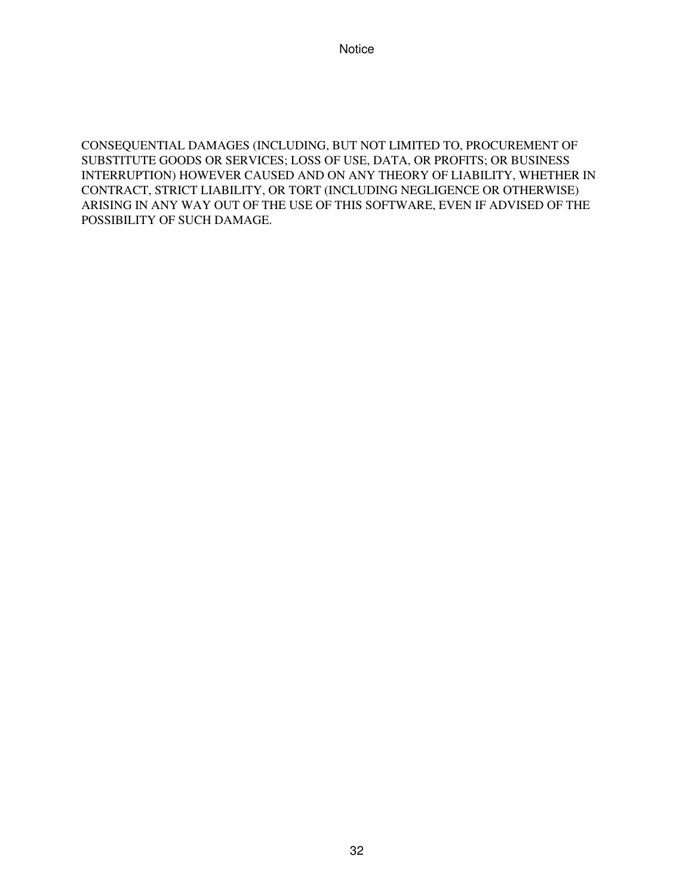CONSEQUENTIAL DAMAGES (INCLUDING, BUT NOT LIMITED TO, PROCUREMENT OF SUBSTITUTE GOODS OR SERVICES; LOSS OF USE, DATA, OR PROFITS; OR BUSINESS INTERRUPTION) HOWEVER CAUSED AND ON ANY THEORY OF LIABILITY, WHETHER IN CONTRACT, STRICT LIABILITY, OR TORT (INCLUDING NEGLIGENCE OR OTHERWISE) ARISING IN ANY WAY OUT OF THE USE OF THIS SOFTWARE, EVEN IF ADVISED OF THE POSSIBILITY OF SUCH DAMAGE.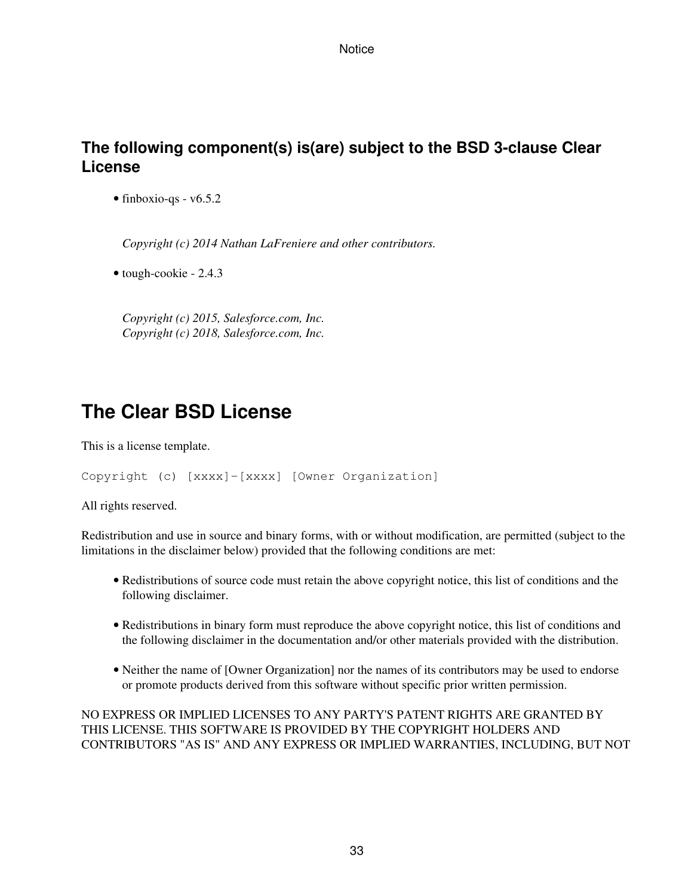### **The following component(s) is(are) subject to the BSD 3-clause Clear License**

• finboxio-qs - v6.5.2

*Copyright (c) 2014 Nathan LaFreniere and other contributors.*

• tough-cookie - 2.4.3

*Copyright (c) 2015, Salesforce.com, Inc. Copyright (c) 2018, Salesforce.com, Inc.*

## **The Clear BSD License**

This is a license template.

```
Copyright (c) [xxxx]-[xxxx] [Owner Organization]
```
All rights reserved.

Redistribution and use in source and binary forms, with or without modification, are permitted (subject to the limitations in the disclaimer below) provided that the following conditions are met:

- Redistributions of source code must retain the above copyright notice, this list of conditions and the following disclaimer.
- Redistributions in binary form must reproduce the above copyright notice, this list of conditions and the following disclaimer in the documentation and/or other materials provided with the distribution.
- Neither the name of [Owner Organization] nor the names of its contributors may be used to endorse or promote products derived from this software without specific prior written permission.

NO EXPRESS OR IMPLIED LICENSES TO ANY PARTY'S PATENT RIGHTS ARE GRANTED BY THIS LICENSE. THIS SOFTWARE IS PROVIDED BY THE COPYRIGHT HOLDERS AND CONTRIBUTORS "AS IS" AND ANY EXPRESS OR IMPLIED WARRANTIES, INCLUDING, BUT NOT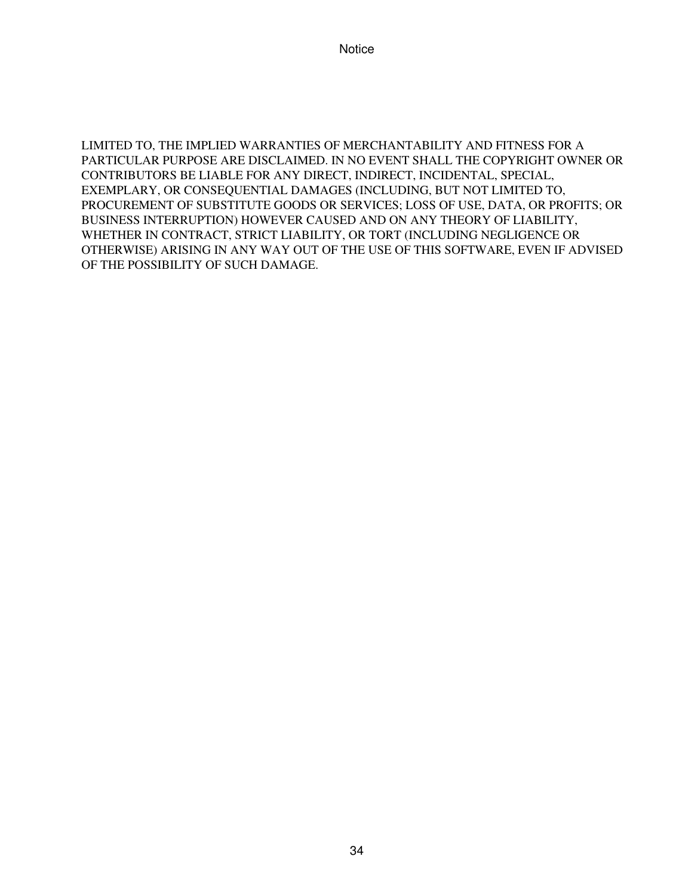LIMITED TO, THE IMPLIED WARRANTIES OF MERCHANTABILITY AND FITNESS FOR A PARTICULAR PURPOSE ARE DISCLAIMED. IN NO EVENT SHALL THE COPYRIGHT OWNER OR CONTRIBUTORS BE LIABLE FOR ANY DIRECT, INDIRECT, INCIDENTAL, SPECIAL, EXEMPLARY, OR CONSEQUENTIAL DAMAGES (INCLUDING, BUT NOT LIMITED TO, PROCUREMENT OF SUBSTITUTE GOODS OR SERVICES; LOSS OF USE, DATA, OR PROFITS; OR BUSINESS INTERRUPTION) HOWEVER CAUSED AND ON ANY THEORY OF LIABILITY, WHETHER IN CONTRACT, STRICT LIABILITY, OR TORT (INCLUDING NEGLIGENCE OR OTHERWISE) ARISING IN ANY WAY OUT OF THE USE OF THIS SOFTWARE, EVEN IF ADVISED OF THE POSSIBILITY OF SUCH DAMAGE.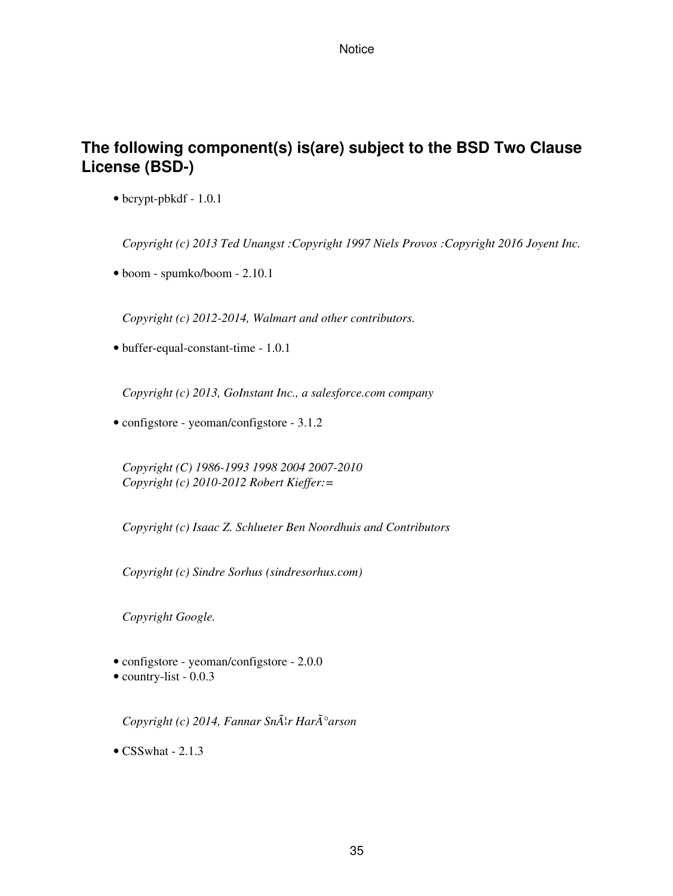### **The following component(s) is(are) subject to the BSD Two Clause License (BSD-)**

• bcrypt-pbkdf - 1.0.1

*Copyright (c) 2013 Ted Unangst :Copyright 1997 Niels Provos :Copyright 2016 Joyent Inc.*

• boom - spumko/boom - 2.10.1

*Copyright (c) 2012-2014, Walmart and other contributors.*

• buffer-equal-constant-time - 1.0.1

*Copyright (c) 2013, GoInstant Inc., a salesforce.com company*

• configstore - yeoman/configstore - 3.1.2

*Copyright (C) 1986-1993 1998 2004 2007-2010 Copyright (c) 2010-2012 Robert Kieffer:=*

*Copyright (c) Isaac Z. Schlueter Ben Noordhuis and Contributors*

*Copyright (c) Sindre Sorhus (sindresorhus.com)*

*Copyright Google.*

- configstore yeoman/configstore 2.0.0
- country-list 0.0.3

*Copyright (c) 2014, Fannar Sn*Å<sup>1</sup>r Har $\tilde{A}^\circ$ arson

 $\bullet$  CSSwhat - 2.1.3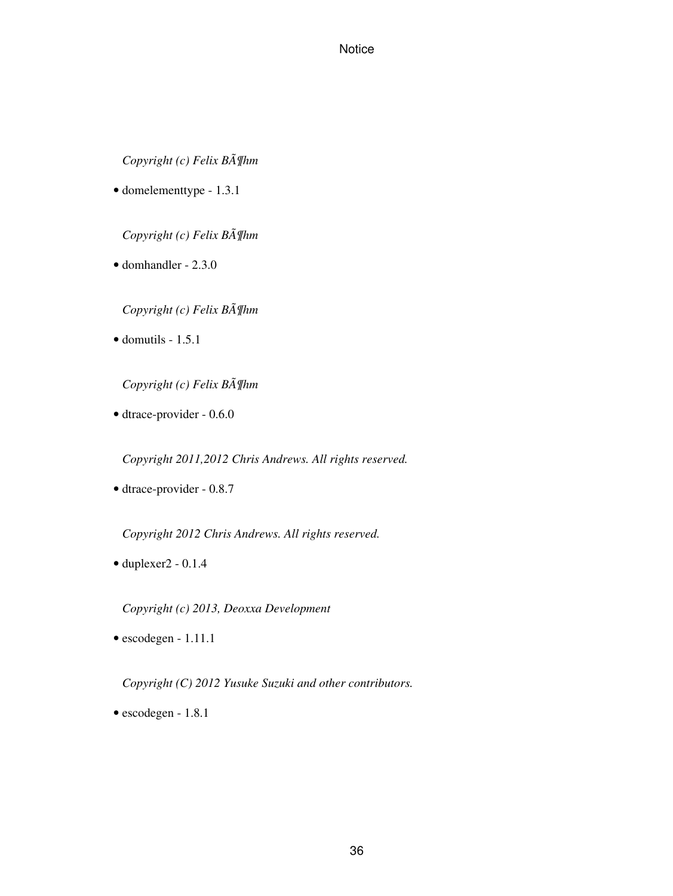*Copyright (c) Felix Böhm*

• domelementtype - 1.3.1

*Copyright (c) Felix Böhm*

• domhandler - 2.3.0

*Copyright (c) Felix Böhm*

 $\bullet$  domutils - 1.5.1

*Copyright (c) Felix Böhm*

• dtrace-provider - 0.6.0

*Copyright 2011,2012 Chris Andrews. All rights reserved.*

• dtrace-provider - 0.8.7

*Copyright 2012 Chris Andrews. All rights reserved.*

 $\bullet$  duplexer2 - 0.1.4

*Copyright (c) 2013, Deoxxa Development*

• escodegen - 1.11.1

*Copyright (C) 2012 Yusuke Suzuki and other contributors.*

• escodegen - 1.8.1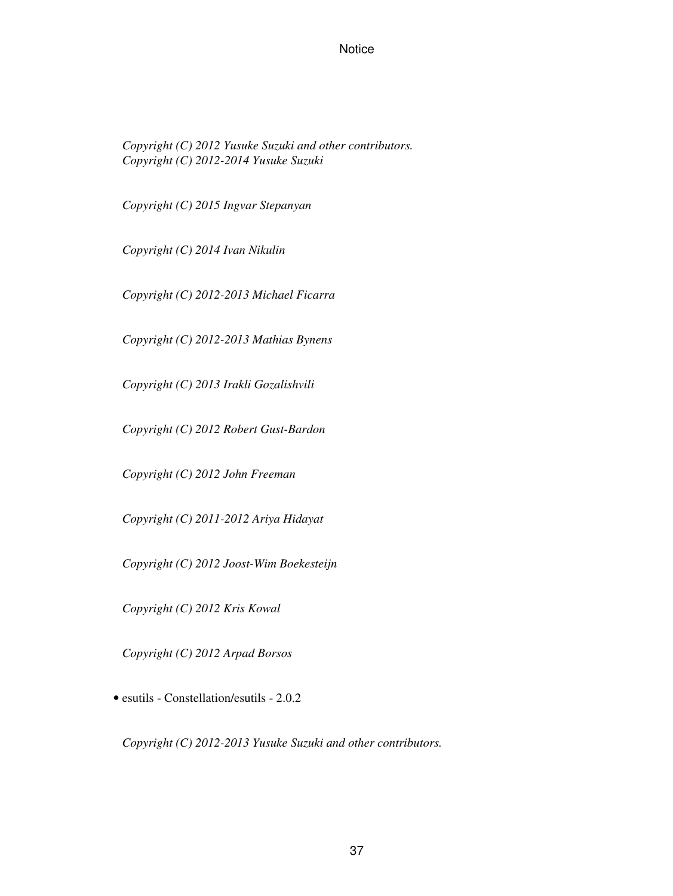*Copyright (C) 2012 Yusuke Suzuki and other contributors. Copyright (C) 2012-2014 Yusuke Suzuki*

*Copyright (C) 2015 Ingvar Stepanyan*

*Copyright (C) 2014 Ivan Nikulin*

*Copyright (C) 2012-2013 Michael Ficarra*

*Copyright (C) 2012-2013 Mathias Bynens*

*Copyright (C) 2013 Irakli Gozalishvili*

*Copyright (C) 2012 Robert Gust-Bardon*

*Copyright (C) 2012 John Freeman*

*Copyright (C) 2011-2012 Ariya Hidayat*

*Copyright (C) 2012 Joost-Wim Boekesteijn*

*Copyright (C) 2012 Kris Kowal*

*Copyright (C) 2012 Arpad Borsos*

• esutils - Constellation/esutils - 2.0.2

*Copyright (C) 2012-2013 Yusuke Suzuki and other contributors.*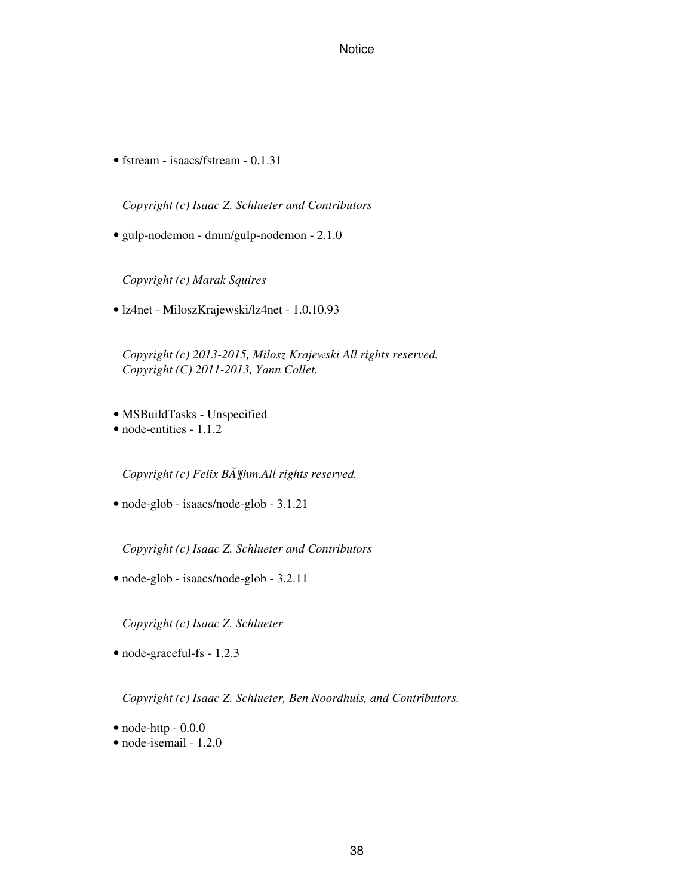• fstream - isaacs/fstream - 0.1.31

*Copyright (c) Isaac Z. Schlueter and Contributors*

• gulp-nodemon - dmm/gulp-nodemon - 2.1.0

*Copyright (c) Marak Squires*

• lz4net - MiloszKrajewski/lz4net - 1.0.10.93

*Copyright (c) 2013-2015, Milosz Krajewski All rights reserved. Copyright (C) 2011-2013, Yann Collet.*

- MSBuildTasks Unspecified
- node-entities 1.1.2

*Copyright (c) Felix Böhm.All rights reserved.*

• node-glob - isaacs/node-glob - 3.1.21

*Copyright (c) Isaac Z. Schlueter and Contributors*

• node-glob - isaacs/node-glob - 3.2.11

*Copyright (c) Isaac Z. Schlueter*

• node-graceful-fs - 1.2.3

*Copyright (c) Isaac Z. Schlueter, Ben Noordhuis, and Contributors.*

- $\bullet$  node-http  $0.0.0$
- node-isemail 1.2.0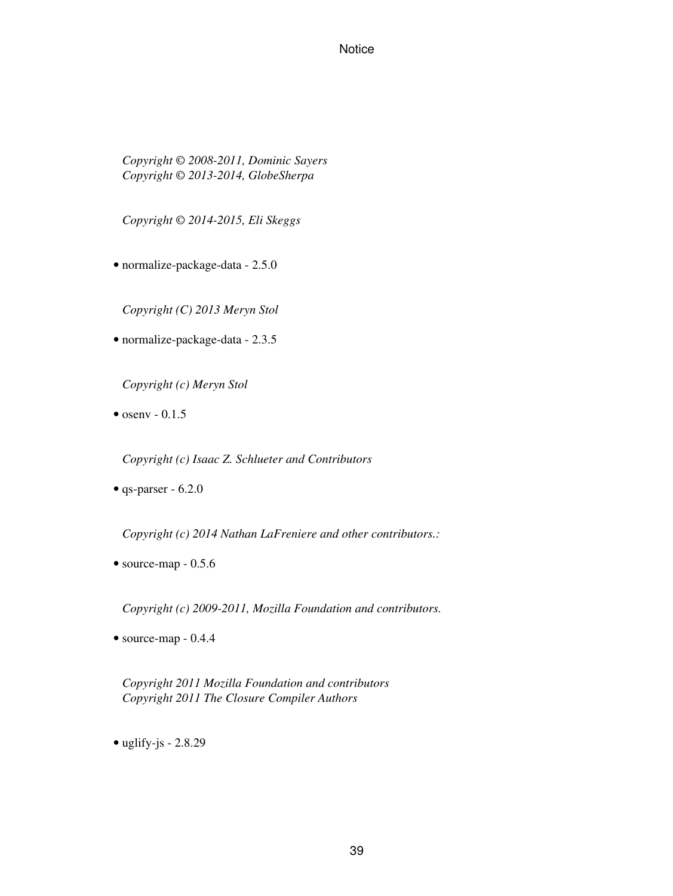*Copyright © 2008-2011, Dominic Sayers Copyright © 2013-2014, GlobeSherpa*

*Copyright © 2014-2015, Eli Skeggs*

• normalize-package-data - 2.5.0

*Copyright (C) 2013 Meryn Stol*

• normalize-package-data - 2.3.5

*Copyright (c) Meryn Stol*

 $\bullet$  osenv - 0.1.5

*Copyright (c) Isaac Z. Schlueter and Contributors*

 $\bullet$  qs-parser - 6.2.0

*Copyright (c) 2014 Nathan LaFreniere and other contributors.:*

 $\bullet$  source-map - 0.5.6

*Copyright (c) 2009-2011, Mozilla Foundation and contributors.*

• source-map - 0.4.4

*Copyright 2011 Mozilla Foundation and contributors Copyright 2011 The Closure Compiler Authors*

• uglify-js -  $2.8.29$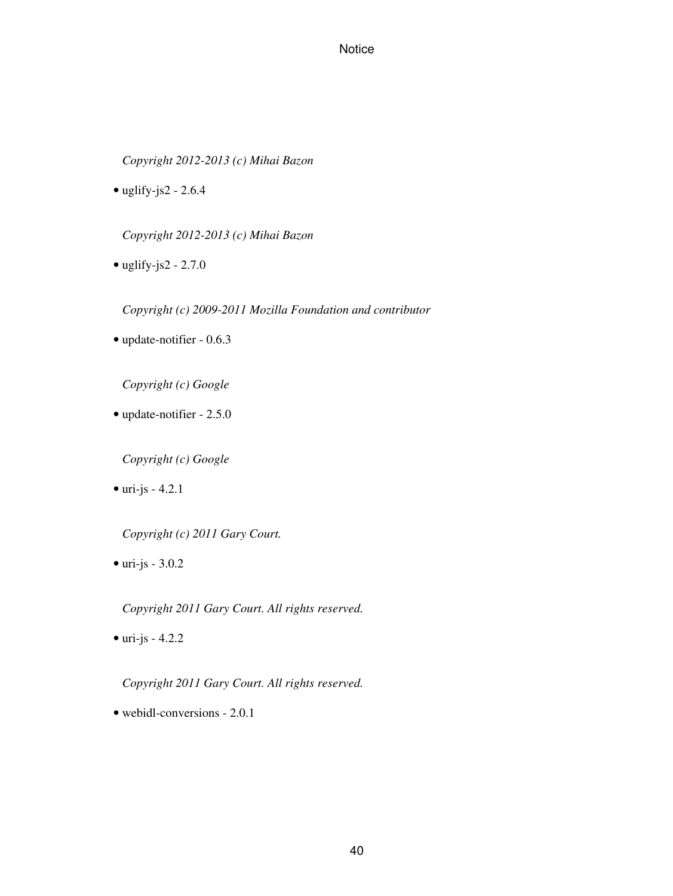*Copyright 2012-2013 (c) Mihai Bazon*

• uglify-js2 - 2.6.4

*Copyright 2012-2013 (c) Mihai Bazon*

• uglify-js2 - 2.7.0

*Copyright (c) 2009-2011 Mozilla Foundation and contributor*

• update-notifier - 0.6.3

*Copyright (c) Google*

• update-notifier - 2.5.0

*Copyright (c) Google*

 $\bullet$  uri-js - 4.2.1

*Copyright (c) 2011 Gary Court.*

 $\bullet$  uri-js - 3.0.2

*Copyright 2011 Gary Court. All rights reserved.*

 $\bullet$  uri-js - 4.2.2

*Copyright 2011 Gary Court. All rights reserved.*

• webidl-conversions - 2.0.1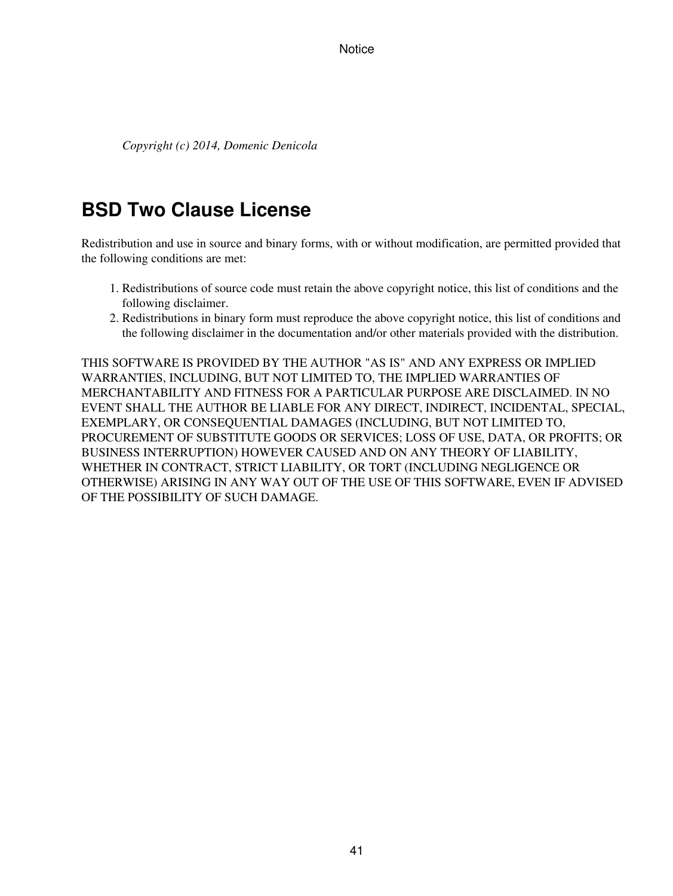*Copyright (c) 2014, Domenic Denicola*

# **BSD Two Clause License**

Redistribution and use in source and binary forms, with or without modification, are permitted provided that the following conditions are met:

- 1. Redistributions of source code must retain the above copyright notice, this list of conditions and the following disclaimer.
- 2. Redistributions in binary form must reproduce the above copyright notice, this list of conditions and the following disclaimer in the documentation and/or other materials provided with the distribution.

THIS SOFTWARE IS PROVIDED BY THE AUTHOR "AS IS" AND ANY EXPRESS OR IMPLIED WARRANTIES, INCLUDING, BUT NOT LIMITED TO, THE IMPLIED WARRANTIES OF MERCHANTABILITY AND FITNESS FOR A PARTICULAR PURPOSE ARE DISCLAIMED. IN NO EVENT SHALL THE AUTHOR BE LIABLE FOR ANY DIRECT, INDIRECT, INCIDENTAL, SPECIAL, EXEMPLARY, OR CONSEQUENTIAL DAMAGES (INCLUDING, BUT NOT LIMITED TO, PROCUREMENT OF SUBSTITUTE GOODS OR SERVICES; LOSS OF USE, DATA, OR PROFITS; OR BUSINESS INTERRUPTION) HOWEVER CAUSED AND ON ANY THEORY OF LIABILITY, WHETHER IN CONTRACT, STRICT LIABILITY, OR TORT (INCLUDING NEGLIGENCE OR OTHERWISE) ARISING IN ANY WAY OUT OF THE USE OF THIS SOFTWARE, EVEN IF ADVISED OF THE POSSIBILITY OF SUCH DAMAGE.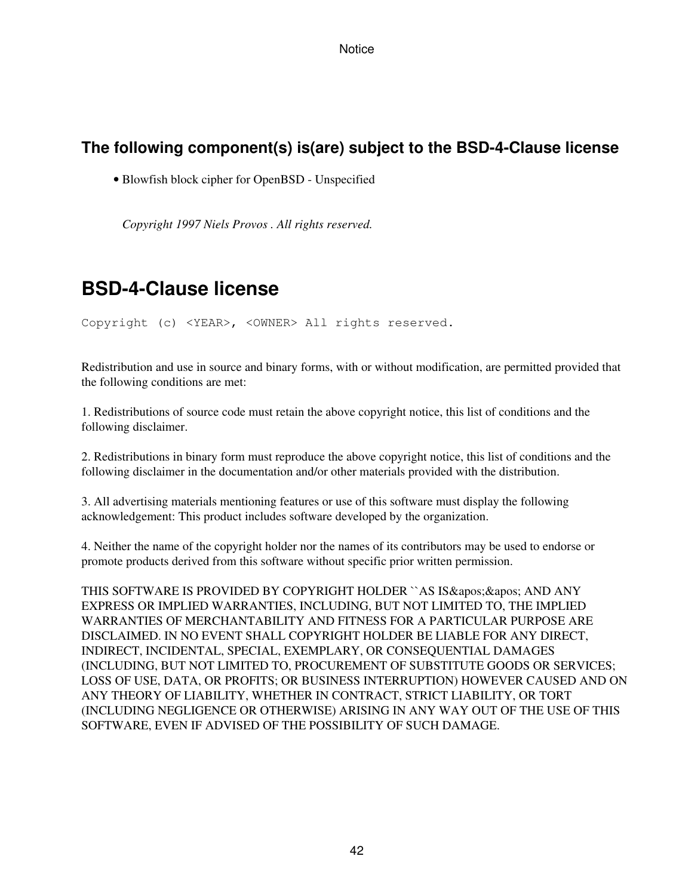# **The following component(s) is(are) subject to the BSD-4-Clause license**

• Blowfish block cipher for OpenBSD - Unspecified

*Copyright 1997 Niels Provos . All rights reserved.*

# **BSD-4-Clause license**

Copyright (c) <YEAR>, <OWNER> All rights reserved.

Redistribution and use in source and binary forms, with or without modification, are permitted provided that the following conditions are met:

1. Redistributions of source code must retain the above copyright notice, this list of conditions and the following disclaimer.

2. Redistributions in binary form must reproduce the above copyright notice, this list of conditions and the following disclaimer in the documentation and/or other materials provided with the distribution.

3. All advertising materials mentioning features or use of this software must display the following acknowledgement: This product includes software developed by the organization.

4. Neither the name of the copyright holder nor the names of its contributors may be used to endorse or promote products derived from this software without specific prior written permission.

THIS SOFTWARE IS PROVIDED BY COPYRIGHT HOLDER "AS IS & apos; & apos; AND ANY EXPRESS OR IMPLIED WARRANTIES, INCLUDING, BUT NOT LIMITED TO, THE IMPLIED WARRANTIES OF MERCHANTABILITY AND FITNESS FOR A PARTICULAR PURPOSE ARE DISCLAIMED. IN NO EVENT SHALL COPYRIGHT HOLDER BE LIABLE FOR ANY DIRECT, INDIRECT, INCIDENTAL, SPECIAL, EXEMPLARY, OR CONSEQUENTIAL DAMAGES (INCLUDING, BUT NOT LIMITED TO, PROCUREMENT OF SUBSTITUTE GOODS OR SERVICES; LOSS OF USE, DATA, OR PROFITS; OR BUSINESS INTERRUPTION) HOWEVER CAUSED AND ON ANY THEORY OF LIABILITY, WHETHER IN CONTRACT, STRICT LIABILITY, OR TORT (INCLUDING NEGLIGENCE OR OTHERWISE) ARISING IN ANY WAY OUT OF THE USE OF THIS SOFTWARE, EVEN IF ADVISED OF THE POSSIBILITY OF SUCH DAMAGE.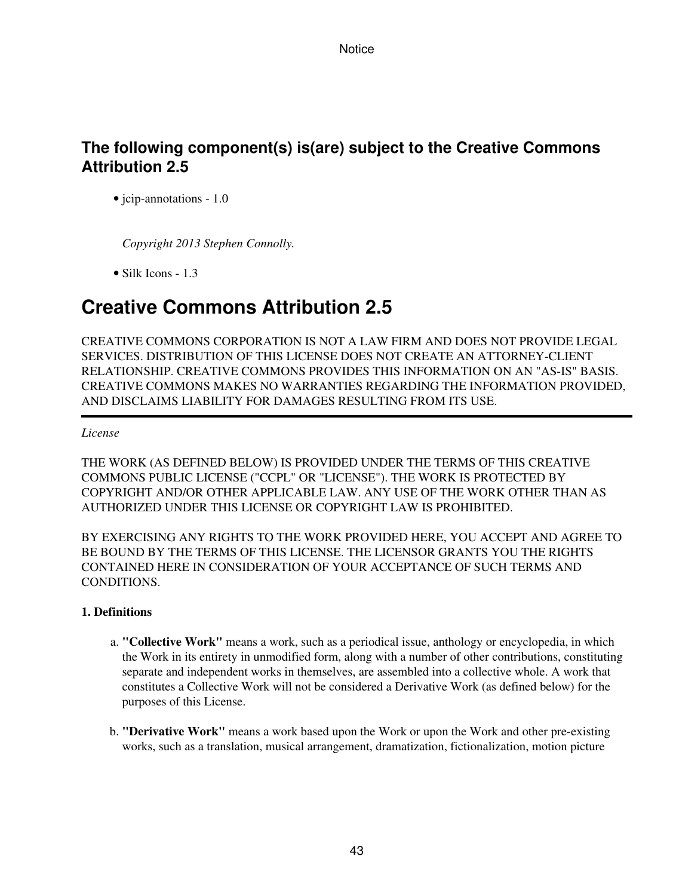# **The following component(s) is(are) subject to the Creative Commons Attribution 2.5**

• jcip-annotations - 1.0

*Copyright 2013 Stephen Connolly.*

• Silk Icons - 1.3

# **Creative Commons Attribution 2.5**

CREATIVE COMMONS CORPORATION IS NOT A LAW FIRM AND DOES NOT PROVIDE LEGAL SERVICES. DISTRIBUTION OF THIS LICENSE DOES NOT CREATE AN ATTORNEY-CLIENT RELATIONSHIP. CREATIVE COMMONS PROVIDES THIS INFORMATION ON AN "AS-IS" BASIS. CREATIVE COMMONS MAKES NO WARRANTIES REGARDING THE INFORMATION PROVIDED, AND DISCLAIMS LIABILITY FOR DAMAGES RESULTING FROM ITS USE.

### *License*

THE WORK (AS DEFINED BELOW) IS PROVIDED UNDER THE TERMS OF THIS CREATIVE COMMONS PUBLIC LICENSE ("CCPL" OR "LICENSE"). THE WORK IS PROTECTED BY COPYRIGHT AND/OR OTHER APPLICABLE LAW. ANY USE OF THE WORK OTHER THAN AS AUTHORIZED UNDER THIS LICENSE OR COPYRIGHT LAW IS PROHIBITED.

BY EXERCISING ANY RIGHTS TO THE WORK PROVIDED HERE, YOU ACCEPT AND AGREE TO BE BOUND BY THE TERMS OF THIS LICENSE. THE LICENSOR GRANTS YOU THE RIGHTS CONTAINED HERE IN CONSIDERATION OF YOUR ACCEPTANCE OF SUCH TERMS AND **CONDITIONS** 

## **1. Definitions**

- **"Collective Work"** means a work, such as a periodical issue, anthology or encyclopedia, in which a. the Work in its entirety in unmodified form, along with a number of other contributions, constituting separate and independent works in themselves, are assembled into a collective whole. A work that constitutes a Collective Work will not be considered a Derivative Work (as defined below) for the purposes of this License.
- **"Derivative Work"** means a work based upon the Work or upon the Work and other pre-existing b. works, such as a translation, musical arrangement, dramatization, fictionalization, motion picture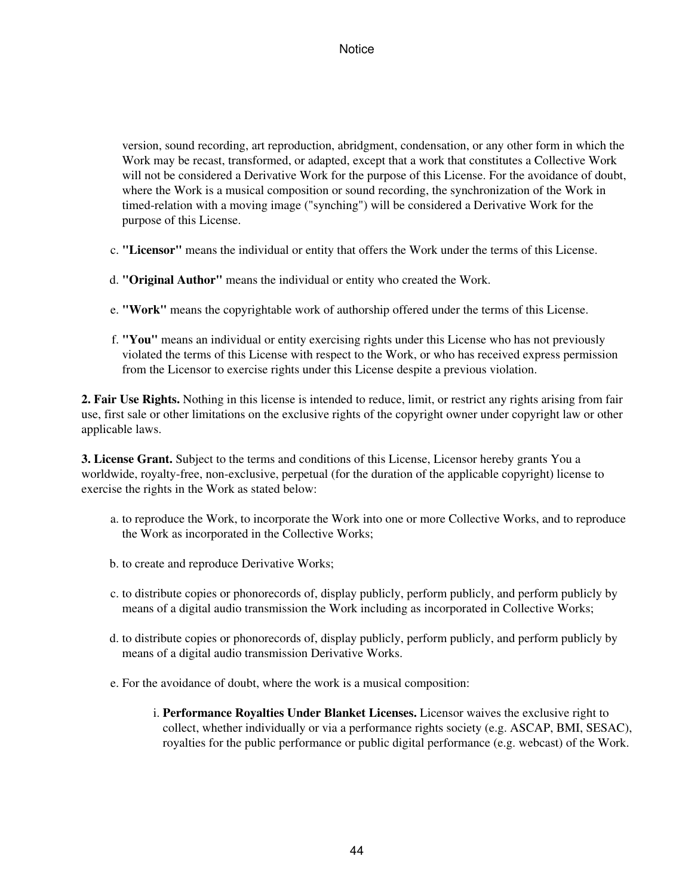version, sound recording, art reproduction, abridgment, condensation, or any other form in which the Work may be recast, transformed, or adapted, except that a work that constitutes a Collective Work will not be considered a Derivative Work for the purpose of this License. For the avoidance of doubt, where the Work is a musical composition or sound recording, the synchronization of the Work in timed-relation with a moving image ("synching") will be considered a Derivative Work for the purpose of this License.

- c. **"Licensor"** means the individual or entity that offers the Work under the terms of this License.
- d. **"Original Author"** means the individual or entity who created the Work.
- e. **"Work"** means the copyrightable work of authorship offered under the terms of this License.
- **"You"** means an individual or entity exercising rights under this License who has not previously f. violated the terms of this License with respect to the Work, or who has received express permission from the Licensor to exercise rights under this License despite a previous violation.

**2. Fair Use Rights.** Nothing in this license is intended to reduce, limit, or restrict any rights arising from fair use, first sale or other limitations on the exclusive rights of the copyright owner under copyright law or other applicable laws.

**3. License Grant.** Subject to the terms and conditions of this License, Licensor hereby grants You a worldwide, royalty-free, non-exclusive, perpetual (for the duration of the applicable copyright) license to exercise the rights in the Work as stated below:

- a. to reproduce the Work, to incorporate the Work into one or more Collective Works, and to reproduce the Work as incorporated in the Collective Works;
- b. to create and reproduce Derivative Works;
- c. to distribute copies or phonorecords of, display publicly, perform publicly, and perform publicly by means of a digital audio transmission the Work including as incorporated in Collective Works;
- d. to distribute copies or phonorecords of, display publicly, perform publicly, and perform publicly by means of a digital audio transmission Derivative Works.
- e. For the avoidance of doubt, where the work is a musical composition:
	- **Performance Royalties Under Blanket Licenses.** Licensor waives the exclusive right to i. collect, whether individually or via a performance rights society (e.g. ASCAP, BMI, SESAC), royalties for the public performance or public digital performance (e.g. webcast) of the Work.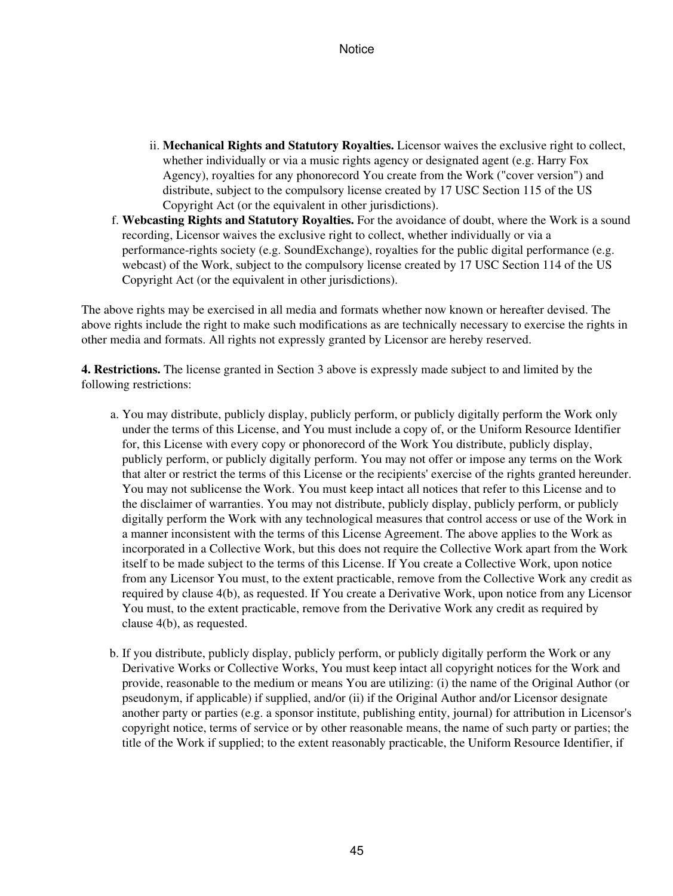- ii. Mechanical Rights and Statutory Royalties. Licensor waives the exclusive right to collect, whether individually or via a music rights agency or designated agent (e.g. Harry Fox Agency), royalties for any phonorecord You create from the Work ("cover version") and distribute, subject to the compulsory license created by 17 USC Section 115 of the US Copyright Act (or the equivalent in other jurisdictions).
- **Webcasting Rights and Statutory Royalties.** For the avoidance of doubt, where the Work is a sound f. recording, Licensor waives the exclusive right to collect, whether individually or via a performance-rights society (e.g. SoundExchange), royalties for the public digital performance (e.g. webcast) of the Work, subject to the compulsory license created by 17 USC Section 114 of the US Copyright Act (or the equivalent in other jurisdictions).

The above rights may be exercised in all media and formats whether now known or hereafter devised. The above rights include the right to make such modifications as are technically necessary to exercise the rights in other media and formats. All rights not expressly granted by Licensor are hereby reserved.

**4. Restrictions.** The license granted in Section 3 above is expressly made subject to and limited by the following restrictions:

- a. You may distribute, publicly display, publicly perform, or publicly digitally perform the Work only under the terms of this License, and You must include a copy of, or the Uniform Resource Identifier for, this License with every copy or phonorecord of the Work You distribute, publicly display, publicly perform, or publicly digitally perform. You may not offer or impose any terms on the Work that alter or restrict the terms of this License or the recipients' exercise of the rights granted hereunder. You may not sublicense the Work. You must keep intact all notices that refer to this License and to the disclaimer of warranties. You may not distribute, publicly display, publicly perform, or publicly digitally perform the Work with any technological measures that control access or use of the Work in a manner inconsistent with the terms of this License Agreement. The above applies to the Work as incorporated in a Collective Work, but this does not require the Collective Work apart from the Work itself to be made subject to the terms of this License. If You create a Collective Work, upon notice from any Licensor You must, to the extent practicable, remove from the Collective Work any credit as required by clause 4(b), as requested. If You create a Derivative Work, upon notice from any Licensor You must, to the extent practicable, remove from the Derivative Work any credit as required by clause 4(b), as requested.
- b. If you distribute, publicly display, publicly perform, or publicly digitally perform the Work or any Derivative Works or Collective Works, You must keep intact all copyright notices for the Work and provide, reasonable to the medium or means You are utilizing: (i) the name of the Original Author (or pseudonym, if applicable) if supplied, and/or (ii) if the Original Author and/or Licensor designate another party or parties (e.g. a sponsor institute, publishing entity, journal) for attribution in Licensor's copyright notice, terms of service or by other reasonable means, the name of such party or parties; the title of the Work if supplied; to the extent reasonably practicable, the Uniform Resource Identifier, if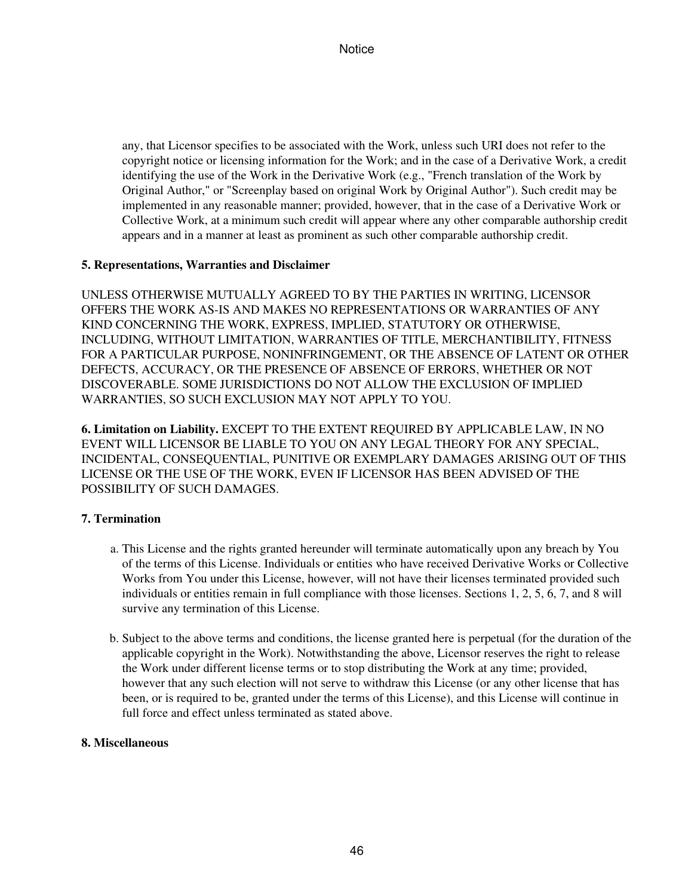any, that Licensor specifies to be associated with the Work, unless such URI does not refer to the copyright notice or licensing information for the Work; and in the case of a Derivative Work, a credit identifying the use of the Work in the Derivative Work (e.g., "French translation of the Work by Original Author," or "Screenplay based on original Work by Original Author"). Such credit may be implemented in any reasonable manner; provided, however, that in the case of a Derivative Work or Collective Work, at a minimum such credit will appear where any other comparable authorship credit appears and in a manner at least as prominent as such other comparable authorship credit.

## **5. Representations, Warranties and Disclaimer**

UNLESS OTHERWISE MUTUALLY AGREED TO BY THE PARTIES IN WRITING, LICENSOR OFFERS THE WORK AS-IS AND MAKES NO REPRESENTATIONS OR WARRANTIES OF ANY KIND CONCERNING THE WORK, EXPRESS, IMPLIED, STATUTORY OR OTHERWISE, INCLUDING, WITHOUT LIMITATION, WARRANTIES OF TITLE, MERCHANTIBILITY, FITNESS FOR A PARTICULAR PURPOSE, NONINFRINGEMENT, OR THE ABSENCE OF LATENT OR OTHER DEFECTS, ACCURACY, OR THE PRESENCE OF ABSENCE OF ERRORS, WHETHER OR NOT DISCOVERABLE. SOME JURISDICTIONS DO NOT ALLOW THE EXCLUSION OF IMPLIED WARRANTIES, SO SUCH EXCLUSION MAY NOT APPLY TO YOU.

**6. Limitation on Liability.** EXCEPT TO THE EXTENT REQUIRED BY APPLICABLE LAW, IN NO EVENT WILL LICENSOR BE LIABLE TO YOU ON ANY LEGAL THEORY FOR ANY SPECIAL, INCIDENTAL, CONSEQUENTIAL, PUNITIVE OR EXEMPLARY DAMAGES ARISING OUT OF THIS LICENSE OR THE USE OF THE WORK, EVEN IF LICENSOR HAS BEEN ADVISED OF THE POSSIBILITY OF SUCH DAMAGES.

### **7. Termination**

- This License and the rights granted hereunder will terminate automatically upon any breach by You a. of the terms of this License. Individuals or entities who have received Derivative Works or Collective Works from You under this License, however, will not have their licenses terminated provided such individuals or entities remain in full compliance with those licenses. Sections 1, 2, 5, 6, 7, and 8 will survive any termination of this License.
- b. Subject to the above terms and conditions, the license granted here is perpetual (for the duration of the applicable copyright in the Work). Notwithstanding the above, Licensor reserves the right to release the Work under different license terms or to stop distributing the Work at any time; provided, however that any such election will not serve to withdraw this License (or any other license that has been, or is required to be, granted under the terms of this License), and this License will continue in full force and effect unless terminated as stated above.

### **8. Miscellaneous**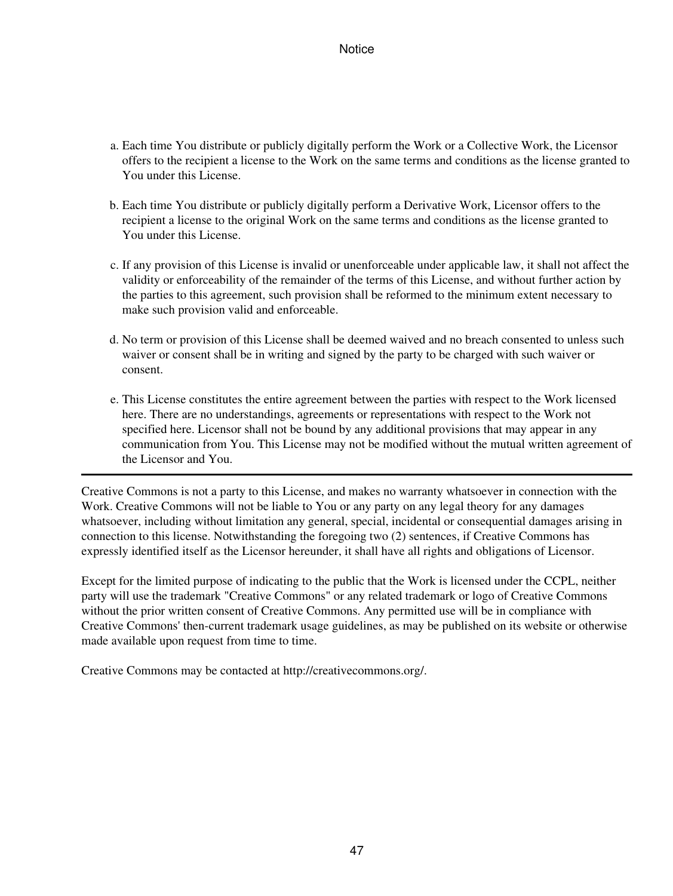- Each time You distribute or publicly digitally perform the Work or a Collective Work, the Licensor a. offers to the recipient a license to the Work on the same terms and conditions as the license granted to You under this License.
- b. Each time You distribute or publicly digitally perform a Derivative Work, Licensor offers to the recipient a license to the original Work on the same terms and conditions as the license granted to You under this License.
- c. If any provision of this License is invalid or unenforceable under applicable law, it shall not affect the validity or enforceability of the remainder of the terms of this License, and without further action by the parties to this agreement, such provision shall be reformed to the minimum extent necessary to make such provision valid and enforceable.
- d. No term or provision of this License shall be deemed waived and no breach consented to unless such waiver or consent shall be in writing and signed by the party to be charged with such waiver or consent.
- e. This License constitutes the entire agreement between the parties with respect to the Work licensed here. There are no understandings, agreements or representations with respect to the Work not specified here. Licensor shall not be bound by any additional provisions that may appear in any communication from You. This License may not be modified without the mutual written agreement of the Licensor and You.

Creative Commons is not a party to this License, and makes no warranty whatsoever in connection with the Work. Creative Commons will not be liable to You or any party on any legal theory for any damages whatsoever, including without limitation any general, special, incidental or consequential damages arising in connection to this license. Notwithstanding the foregoing two (2) sentences, if Creative Commons has expressly identified itself as the Licensor hereunder, it shall have all rights and obligations of Licensor.

Except for the limited purpose of indicating to the public that the Work is licensed under the CCPL, neither party will use the trademark "Creative Commons" or any related trademark or logo of Creative Commons without the prior written consent of Creative Commons. Any permitted use will be in compliance with Creative Commons' then-current trademark usage guidelines, as may be published on its website or otherwise made available upon request from time to time.

Creative Commons may be contacted at http://creativecommons.org/.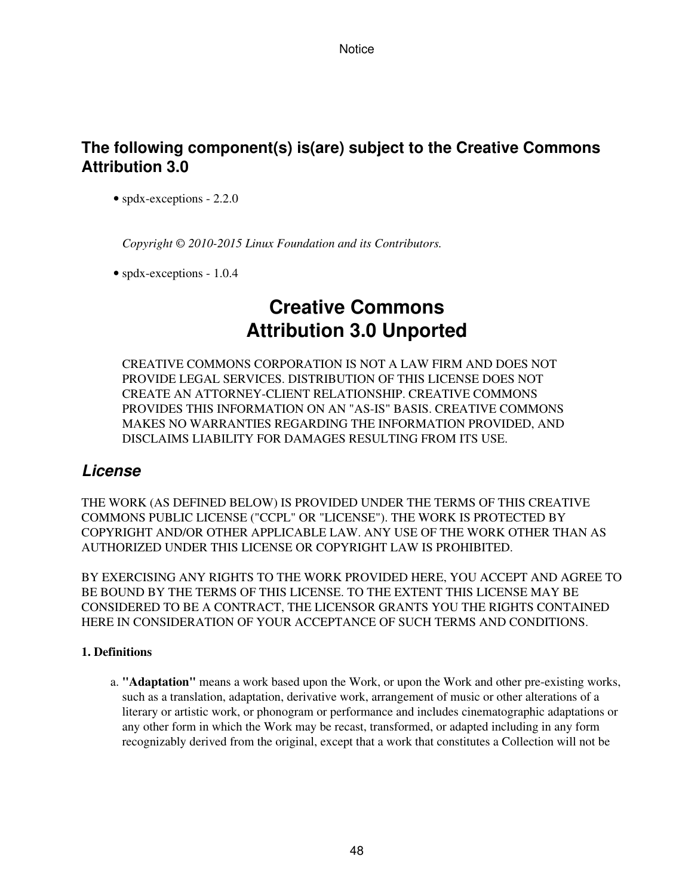# **The following component(s) is(are) subject to the Creative Commons Attribution 3.0**

• spdx-exceptions - 2.2.0

*Copyright © 2010-2015 Linux Foundation and its Contributors.*

• spdx-exceptions - 1.0.4

# **Creative Commons Attribution 3.0 Unported**

CREATIVE COMMONS CORPORATION IS NOT A LAW FIRM AND DOES NOT PROVIDE LEGAL SERVICES. DISTRIBUTION OF THIS LICENSE DOES NOT CREATE AN ATTORNEY-CLIENT RELATIONSHIP. CREATIVE COMMONS PROVIDES THIS INFORMATION ON AN "AS-IS" BASIS. CREATIVE COMMONS MAKES NO WARRANTIES REGARDING THE INFORMATION PROVIDED, AND DISCLAIMS LIABILITY FOR DAMAGES RESULTING FROM ITS USE.

## *License*

THE WORK (AS DEFINED BELOW) IS PROVIDED UNDER THE TERMS OF THIS CREATIVE COMMONS PUBLIC LICENSE ("CCPL" OR "LICENSE"). THE WORK IS PROTECTED BY COPYRIGHT AND/OR OTHER APPLICABLE LAW. ANY USE OF THE WORK OTHER THAN AS AUTHORIZED UNDER THIS LICENSE OR COPYRIGHT LAW IS PROHIBITED.

BY EXERCISING ANY RIGHTS TO THE WORK PROVIDED HERE, YOU ACCEPT AND AGREE TO BE BOUND BY THE TERMS OF THIS LICENSE. TO THE EXTENT THIS LICENSE MAY BE CONSIDERED TO BE A CONTRACT, THE LICENSOR GRANTS YOU THE RIGHTS CONTAINED HERE IN CONSIDERATION OF YOUR ACCEPTANCE OF SUCH TERMS AND CONDITIONS.

## **1. Definitions**

a. "Adaptation" means a work based upon the Work, or upon the Work and other pre-existing works, such as a translation, adaptation, derivative work, arrangement of music or other alterations of a literary or artistic work, or phonogram or performance and includes cinematographic adaptations or any other form in which the Work may be recast, transformed, or adapted including in any form recognizably derived from the original, except that a work that constitutes a Collection will not be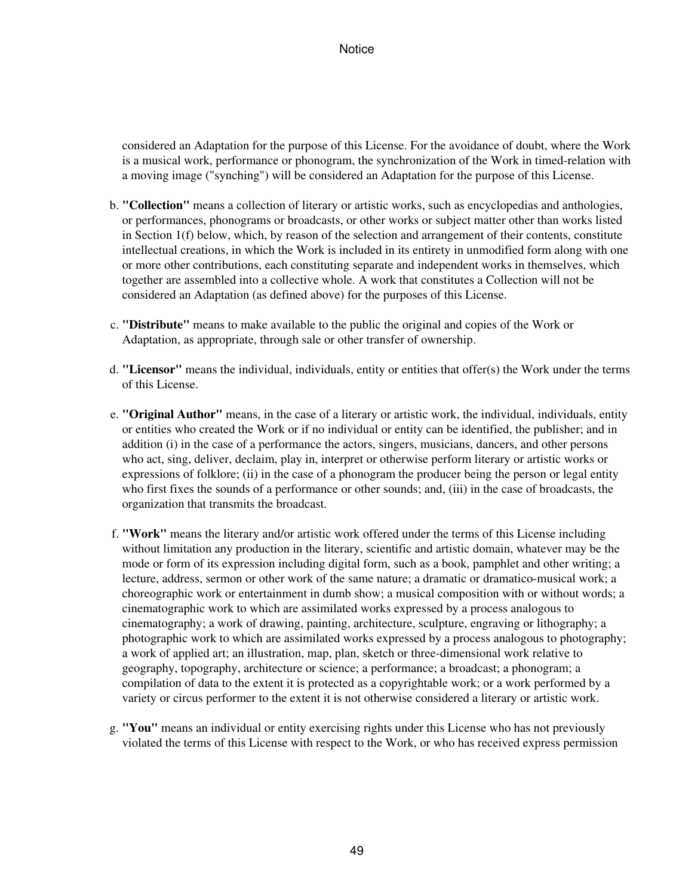considered an Adaptation for the purpose of this License. For the avoidance of doubt, where the Work is a musical work, performance or phonogram, the synchronization of the Work in timed-relation with a moving image ("synching") will be considered an Adaptation for the purpose of this License.

- b. "Collection" means a collection of literary or artistic works, such as encyclopedias and anthologies, or performances, phonograms or broadcasts, or other works or subject matter other than works listed in Section 1(f) below, which, by reason of the selection and arrangement of their contents, constitute intellectual creations, in which the Work is included in its entirety in unmodified form along with one or more other contributions, each constituting separate and independent works in themselves, which together are assembled into a collective whole. A work that constitutes a Collection will not be considered an Adaptation (as defined above) for the purposes of this License.
- **"Distribute"** means to make available to the public the original and copies of the Work or c. Adaptation, as appropriate, through sale or other transfer of ownership.
- **"Licensor"** means the individual, individuals, entity or entities that offer(s) the Work under the terms d. of this License.
- e. "Original Author" means, in the case of a literary or artistic work, the individual, individuals, entity or entities who created the Work or if no individual or entity can be identified, the publisher; and in addition (i) in the case of a performance the actors, singers, musicians, dancers, and other persons who act, sing, deliver, declaim, play in, interpret or otherwise perform literary or artistic works or expressions of folklore; (ii) in the case of a phonogram the producer being the person or legal entity who first fixes the sounds of a performance or other sounds; and, (iii) in the case of broadcasts, the organization that transmits the broadcast.
- **"Work"** means the literary and/or artistic work offered under the terms of this License including f. without limitation any production in the literary, scientific and artistic domain, whatever may be the mode or form of its expression including digital form, such as a book, pamphlet and other writing; a lecture, address, sermon or other work of the same nature; a dramatic or dramatico-musical work; a choreographic work or entertainment in dumb show; a musical composition with or without words; a cinematographic work to which are assimilated works expressed by a process analogous to cinematography; a work of drawing, painting, architecture, sculpture, engraving or lithography; a photographic work to which are assimilated works expressed by a process analogous to photography; a work of applied art; an illustration, map, plan, sketch or three-dimensional work relative to geography, topography, architecture or science; a performance; a broadcast; a phonogram; a compilation of data to the extent it is protected as a copyrightable work; or a work performed by a variety or circus performer to the extent it is not otherwise considered a literary or artistic work.
- **"You"** means an individual or entity exercising rights under this License who has not previously g. violated the terms of this License with respect to the Work, or who has received express permission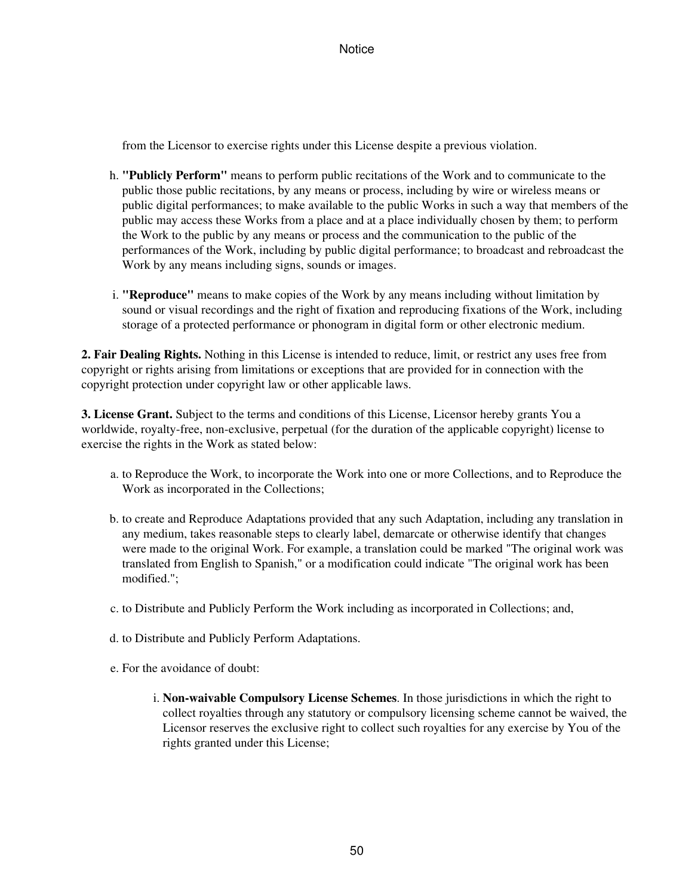from the Licensor to exercise rights under this License despite a previous violation.

- **"Publicly Perform"** means to perform public recitations of the Work and to communicate to the h. public those public recitations, by any means or process, including by wire or wireless means or public digital performances; to make available to the public Works in such a way that members of the public may access these Works from a place and at a place individually chosen by them; to perform the Work to the public by any means or process and the communication to the public of the performances of the Work, including by public digital performance; to broadcast and rebroadcast the Work by any means including signs, sounds or images.
- **"Reproduce"** means to make copies of the Work by any means including without limitation by i. sound or visual recordings and the right of fixation and reproducing fixations of the Work, including storage of a protected performance or phonogram in digital form or other electronic medium.

**2. Fair Dealing Rights.** Nothing in this License is intended to reduce, limit, or restrict any uses free from copyright or rights arising from limitations or exceptions that are provided for in connection with the copyright protection under copyright law or other applicable laws.

**3. License Grant.** Subject to the terms and conditions of this License, Licensor hereby grants You a worldwide, royalty-free, non-exclusive, perpetual (for the duration of the applicable copyright) license to exercise the rights in the Work as stated below:

- a. to Reproduce the Work, to incorporate the Work into one or more Collections, and to Reproduce the Work as incorporated in the Collections;
- b. to create and Reproduce Adaptations provided that any such Adaptation, including any translation in any medium, takes reasonable steps to clearly label, demarcate or otherwise identify that changes were made to the original Work. For example, a translation could be marked "The original work was translated from English to Spanish," or a modification could indicate "The original work has been modified.";
- c. to Distribute and Publicly Perform the Work including as incorporated in Collections; and,
- d. to Distribute and Publicly Perform Adaptations.
- e. For the avoidance of doubt:
	- **Non-waivable Compulsory License Schemes**. In those jurisdictions in which the right to i. collect royalties through any statutory or compulsory licensing scheme cannot be waived, the Licensor reserves the exclusive right to collect such royalties for any exercise by You of the rights granted under this License;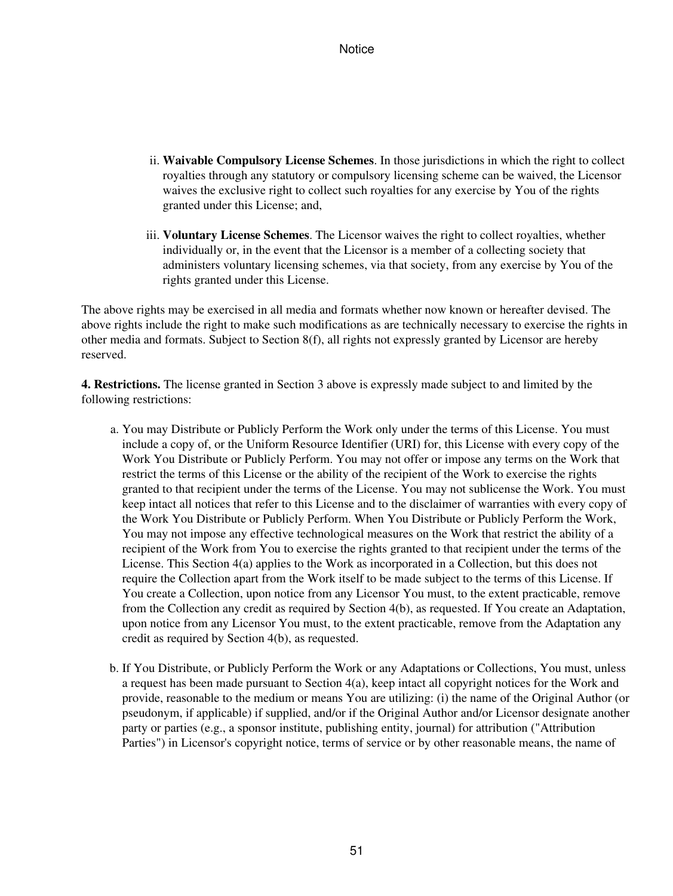- ii. Waivable Compulsory License Schemes. In those jurisdictions in which the right to collect royalties through any statutory or compulsory licensing scheme can be waived, the Licensor waives the exclusive right to collect such royalties for any exercise by You of the rights granted under this License; and,
- iii. Voluntary License Schemes. The Licensor waives the right to collect royalties, whether individually or, in the event that the Licensor is a member of a collecting society that administers voluntary licensing schemes, via that society, from any exercise by You of the rights granted under this License.

The above rights may be exercised in all media and formats whether now known or hereafter devised. The above rights include the right to make such modifications as are technically necessary to exercise the rights in other media and formats. Subject to Section 8(f), all rights not expressly granted by Licensor are hereby reserved.

**4. Restrictions.** The license granted in Section 3 above is expressly made subject to and limited by the following restrictions:

- a. You may Distribute or Publicly Perform the Work only under the terms of this License. You must include a copy of, or the Uniform Resource Identifier (URI) for, this License with every copy of the Work You Distribute or Publicly Perform. You may not offer or impose any terms on the Work that restrict the terms of this License or the ability of the recipient of the Work to exercise the rights granted to that recipient under the terms of the License. You may not sublicense the Work. You must keep intact all notices that refer to this License and to the disclaimer of warranties with every copy of the Work You Distribute or Publicly Perform. When You Distribute or Publicly Perform the Work, You may not impose any effective technological measures on the Work that restrict the ability of a recipient of the Work from You to exercise the rights granted to that recipient under the terms of the License. This Section 4(a) applies to the Work as incorporated in a Collection, but this does not require the Collection apart from the Work itself to be made subject to the terms of this License. If You create a Collection, upon notice from any Licensor You must, to the extent practicable, remove from the Collection any credit as required by Section 4(b), as requested. If You create an Adaptation, upon notice from any Licensor You must, to the extent practicable, remove from the Adaptation any credit as required by Section 4(b), as requested.
- b. If You Distribute, or Publicly Perform the Work or any Adaptations or Collections, You must, unless a request has been made pursuant to Section 4(a), keep intact all copyright notices for the Work and provide, reasonable to the medium or means You are utilizing: (i) the name of the Original Author (or pseudonym, if applicable) if supplied, and/or if the Original Author and/or Licensor designate another party or parties (e.g., a sponsor institute, publishing entity, journal) for attribution ("Attribution Parties") in Licensor's copyright notice, terms of service or by other reasonable means, the name of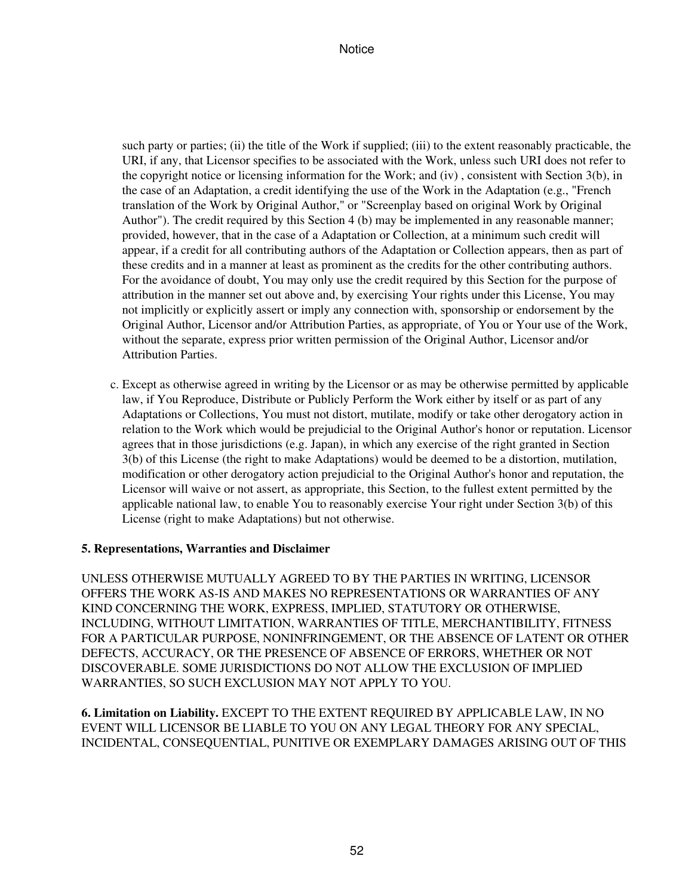such party or parties; (ii) the title of the Work if supplied; (iii) to the extent reasonably practicable, the URI, if any, that Licensor specifies to be associated with the Work, unless such URI does not refer to the copyright notice or licensing information for the Work; and (iv) , consistent with Section 3(b), in the case of an Adaptation, a credit identifying the use of the Work in the Adaptation (e.g., "French translation of the Work by Original Author," or "Screenplay based on original Work by Original Author"). The credit required by this Section 4 (b) may be implemented in any reasonable manner; provided, however, that in the case of a Adaptation or Collection, at a minimum such credit will appear, if a credit for all contributing authors of the Adaptation or Collection appears, then as part of these credits and in a manner at least as prominent as the credits for the other contributing authors. For the avoidance of doubt, You may only use the credit required by this Section for the purpose of attribution in the manner set out above and, by exercising Your rights under this License, You may not implicitly or explicitly assert or imply any connection with, sponsorship or endorsement by the Original Author, Licensor and/or Attribution Parties, as appropriate, of You or Your use of the Work, without the separate, express prior written permission of the Original Author, Licensor and/or Attribution Parties.

Except as otherwise agreed in writing by the Licensor or as may be otherwise permitted by applicable c. law, if You Reproduce, Distribute or Publicly Perform the Work either by itself or as part of any Adaptations or Collections, You must not distort, mutilate, modify or take other derogatory action in relation to the Work which would be prejudicial to the Original Author's honor or reputation. Licensor agrees that in those jurisdictions (e.g. Japan), in which any exercise of the right granted in Section 3(b) of this License (the right to make Adaptations) would be deemed to be a distortion, mutilation, modification or other derogatory action prejudicial to the Original Author's honor and reputation, the Licensor will waive or not assert, as appropriate, this Section, to the fullest extent permitted by the applicable national law, to enable You to reasonably exercise Your right under Section 3(b) of this License (right to make Adaptations) but not otherwise.

## **5. Representations, Warranties and Disclaimer**

UNLESS OTHERWISE MUTUALLY AGREED TO BY THE PARTIES IN WRITING, LICENSOR OFFERS THE WORK AS-IS AND MAKES NO REPRESENTATIONS OR WARRANTIES OF ANY KIND CONCERNING THE WORK, EXPRESS, IMPLIED, STATUTORY OR OTHERWISE, INCLUDING, WITHOUT LIMITATION, WARRANTIES OF TITLE, MERCHANTIBILITY, FITNESS FOR A PARTICULAR PURPOSE, NONINFRINGEMENT, OR THE ABSENCE OF LATENT OR OTHER DEFECTS, ACCURACY, OR THE PRESENCE OF ABSENCE OF ERRORS, WHETHER OR NOT DISCOVERABLE. SOME JURISDICTIONS DO NOT ALLOW THE EXCLUSION OF IMPLIED WARRANTIES, SO SUCH EXCLUSION MAY NOT APPLY TO YOU.

**6. Limitation on Liability.** EXCEPT TO THE EXTENT REQUIRED BY APPLICABLE LAW, IN NO EVENT WILL LICENSOR BE LIABLE TO YOU ON ANY LEGAL THEORY FOR ANY SPECIAL, INCIDENTAL, CONSEQUENTIAL, PUNITIVE OR EXEMPLARY DAMAGES ARISING OUT OF THIS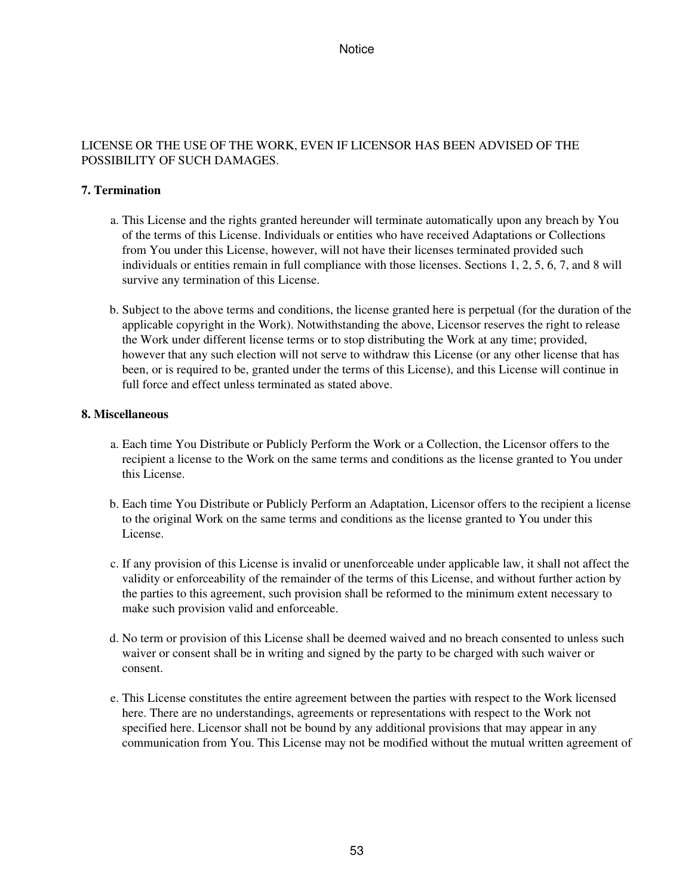### LICENSE OR THE USE OF THE WORK, EVEN IF LICENSOR HAS BEEN ADVISED OF THE POSSIBILITY OF SUCH DAMAGES.

## **7. Termination**

- This License and the rights granted hereunder will terminate automatically upon any breach by You a. of the terms of this License. Individuals or entities who have received Adaptations or Collections from You under this License, however, will not have their licenses terminated provided such individuals or entities remain in full compliance with those licenses. Sections 1, 2, 5, 6, 7, and 8 will survive any termination of this License.
- b. Subject to the above terms and conditions, the license granted here is perpetual (for the duration of the applicable copyright in the Work). Notwithstanding the above, Licensor reserves the right to release the Work under different license terms or to stop distributing the Work at any time; provided, however that any such election will not serve to withdraw this License (or any other license that has been, or is required to be, granted under the terms of this License), and this License will continue in full force and effect unless terminated as stated above.

### **8. Miscellaneous**

- Each time You Distribute or Publicly Perform the Work or a Collection, the Licensor offers to the a. recipient a license to the Work on the same terms and conditions as the license granted to You under this License.
- b. Each time You Distribute or Publicly Perform an Adaptation, Licensor offers to the recipient a license to the original Work on the same terms and conditions as the license granted to You under this License.
- c. If any provision of this License is invalid or unenforceable under applicable law, it shall not affect the validity or enforceability of the remainder of the terms of this License, and without further action by the parties to this agreement, such provision shall be reformed to the minimum extent necessary to make such provision valid and enforceable.
- d. No term or provision of this License shall be deemed waived and no breach consented to unless such waiver or consent shall be in writing and signed by the party to be charged with such waiver or consent.
- e. This License constitutes the entire agreement between the parties with respect to the Work licensed here. There are no understandings, agreements or representations with respect to the Work not specified here. Licensor shall not be bound by any additional provisions that may appear in any communication from You. This License may not be modified without the mutual written agreement of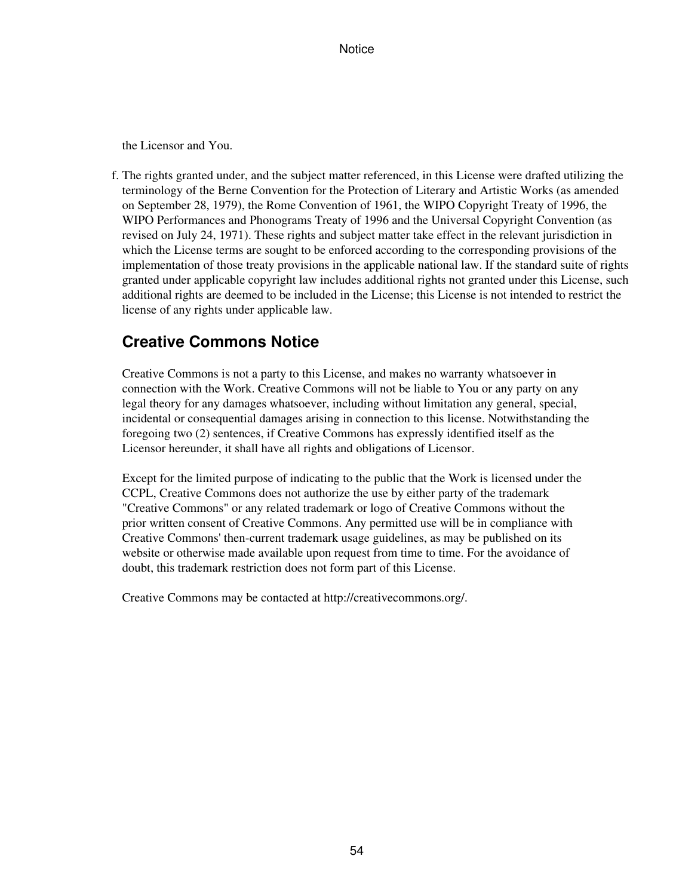the Licensor and You.

f. The rights granted under, and the subject matter referenced, in this License were drafted utilizing the terminology of the Berne Convention for the Protection of Literary and Artistic Works (as amended on September 28, 1979), the Rome Convention of 1961, the WIPO Copyright Treaty of 1996, the WIPO Performances and Phonograms Treaty of 1996 and the Universal Copyright Convention (as revised on July 24, 1971). These rights and subject matter take effect in the relevant jurisdiction in which the License terms are sought to be enforced according to the corresponding provisions of the implementation of those treaty provisions in the applicable national law. If the standard suite of rights granted under applicable copyright law includes additional rights not granted under this License, such additional rights are deemed to be included in the License; this License is not intended to restrict the license of any rights under applicable law.

# **Creative Commons Notice**

Creative Commons is not a party to this License, and makes no warranty whatsoever in connection with the Work. Creative Commons will not be liable to You or any party on any legal theory for any damages whatsoever, including without limitation any general, special, incidental or consequential damages arising in connection to this license. Notwithstanding the foregoing two (2) sentences, if Creative Commons has expressly identified itself as the Licensor hereunder, it shall have all rights and obligations of Licensor.

Except for the limited purpose of indicating to the public that the Work is licensed under the CCPL, Creative Commons does not authorize the use by either party of the trademark "Creative Commons" or any related trademark or logo of Creative Commons without the prior written consent of Creative Commons. Any permitted use will be in compliance with Creative Commons' then-current trademark usage guidelines, as may be published on its website or otherwise made available upon request from time to time. For the avoidance of doubt, this trademark restriction does not form part of this License.

Creative Commons may be contacted at http://creativecommons.org/.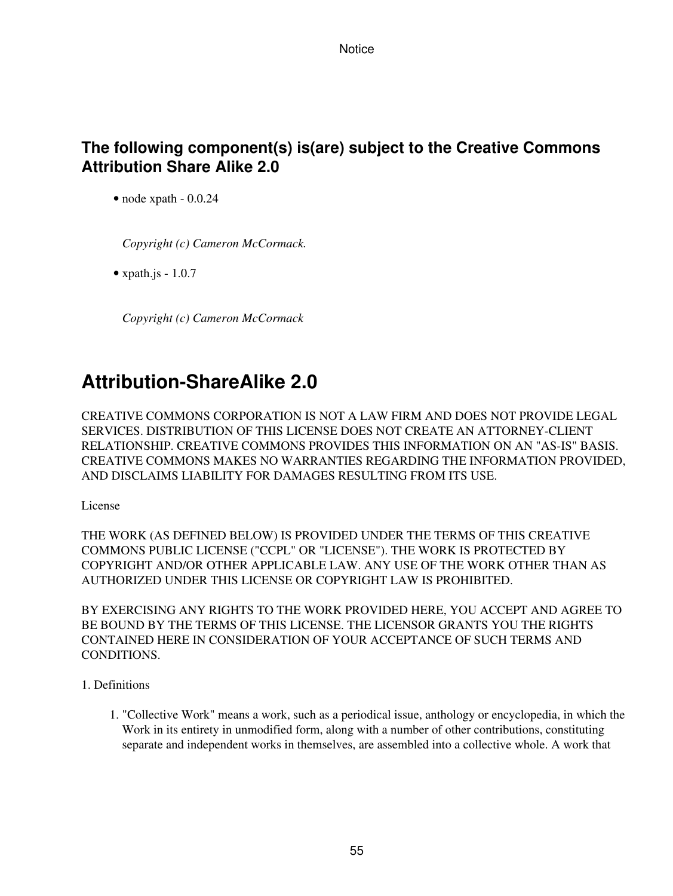# **The following component(s) is(are) subject to the Creative Commons Attribution Share Alike 2.0**

• node xpath - 0.0.24

*Copyright (c) Cameron McCormack.*

• xpath.js  $-1.0.7$ 

*Copyright (c) Cameron McCormack*

# **Attribution-ShareAlike 2.0**

CREATIVE COMMONS CORPORATION IS NOT A LAW FIRM AND DOES NOT PROVIDE LEGAL SERVICES. DISTRIBUTION OF THIS LICENSE DOES NOT CREATE AN ATTORNEY-CLIENT RELATIONSHIP. CREATIVE COMMONS PROVIDES THIS INFORMATION ON AN "AS-IS" BASIS. CREATIVE COMMONS MAKES NO WARRANTIES REGARDING THE INFORMATION PROVIDED, AND DISCLAIMS LIABILITY FOR DAMAGES RESULTING FROM ITS USE.

License

THE WORK (AS DEFINED BELOW) IS PROVIDED UNDER THE TERMS OF THIS CREATIVE COMMONS PUBLIC LICENSE ("CCPL" OR "LICENSE"). THE WORK IS PROTECTED BY COPYRIGHT AND/OR OTHER APPLICABLE LAW. ANY USE OF THE WORK OTHER THAN AS AUTHORIZED UNDER THIS LICENSE OR COPYRIGHT LAW IS PROHIBITED.

BY EXERCISING ANY RIGHTS TO THE WORK PROVIDED HERE, YOU ACCEPT AND AGREE TO BE BOUND BY THE TERMS OF THIS LICENSE. THE LICENSOR GRANTS YOU THE RIGHTS CONTAINED HERE IN CONSIDERATION OF YOUR ACCEPTANCE OF SUCH TERMS AND CONDITIONS.

- 1. Definitions
	- 1. "Collective Work" means a work, such as a periodical issue, anthology or encyclopedia, in which the Work in its entirety in unmodified form, along with a number of other contributions, constituting separate and independent works in themselves, are assembled into a collective whole. A work that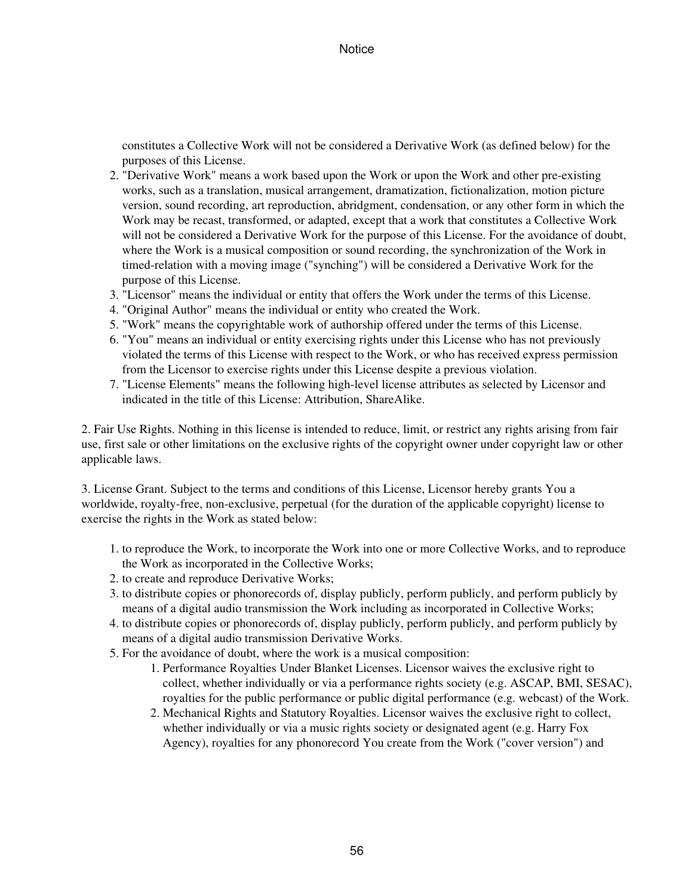constitutes a Collective Work will not be considered a Derivative Work (as defined below) for the purposes of this License.

- 2. "Derivative Work" means a work based upon the Work or upon the Work and other pre-existing works, such as a translation, musical arrangement, dramatization, fictionalization, motion picture version, sound recording, art reproduction, abridgment, condensation, or any other form in which the Work may be recast, transformed, or adapted, except that a work that constitutes a Collective Work will not be considered a Derivative Work for the purpose of this License. For the avoidance of doubt, where the Work is a musical composition or sound recording, the synchronization of the Work in timed-relation with a moving image ("synching") will be considered a Derivative Work for the purpose of this License.
- 3. "Licensor" means the individual or entity that offers the Work under the terms of this License.
- 4. "Original Author" means the individual or entity who created the Work.
- 5. "Work" means the copyrightable work of authorship offered under the terms of this License.
- "You" means an individual or entity exercising rights under this License who has not previously 6. violated the terms of this License with respect to the Work, or who has received express permission from the Licensor to exercise rights under this License despite a previous violation.
- 7. "License Elements" means the following high-level license attributes as selected by Licensor and indicated in the title of this License: Attribution, ShareAlike.

2. Fair Use Rights. Nothing in this license is intended to reduce, limit, or restrict any rights arising from fair use, first sale or other limitations on the exclusive rights of the copyright owner under copyright law or other applicable laws.

3. License Grant. Subject to the terms and conditions of this License, Licensor hereby grants You a worldwide, royalty-free, non-exclusive, perpetual (for the duration of the applicable copyright) license to exercise the rights in the Work as stated below:

- 1. to reproduce the Work, to incorporate the Work into one or more Collective Works, and to reproduce the Work as incorporated in the Collective Works;
- 2. to create and reproduce Derivative Works;
- 3. to distribute copies or phonorecords of, display publicly, perform publicly, and perform publicly by means of a digital audio transmission the Work including as incorporated in Collective Works;
- 4. to distribute copies or phonorecords of, display publicly, perform publicly, and perform publicly by means of a digital audio transmission Derivative Works.
- 5. For the avoidance of doubt, where the work is a musical composition:
	- 1. Performance Royalties Under Blanket Licenses. Licensor waives the exclusive right to collect, whether individually or via a performance rights society (e.g. ASCAP, BMI, SESAC), royalties for the public performance or public digital performance (e.g. webcast) of the Work.
	- 2. Mechanical Rights and Statutory Royalties. Licensor waives the exclusive right to collect, whether individually or via a music rights society or designated agent (e.g. Harry Fox Agency), royalties for any phonorecord You create from the Work ("cover version") and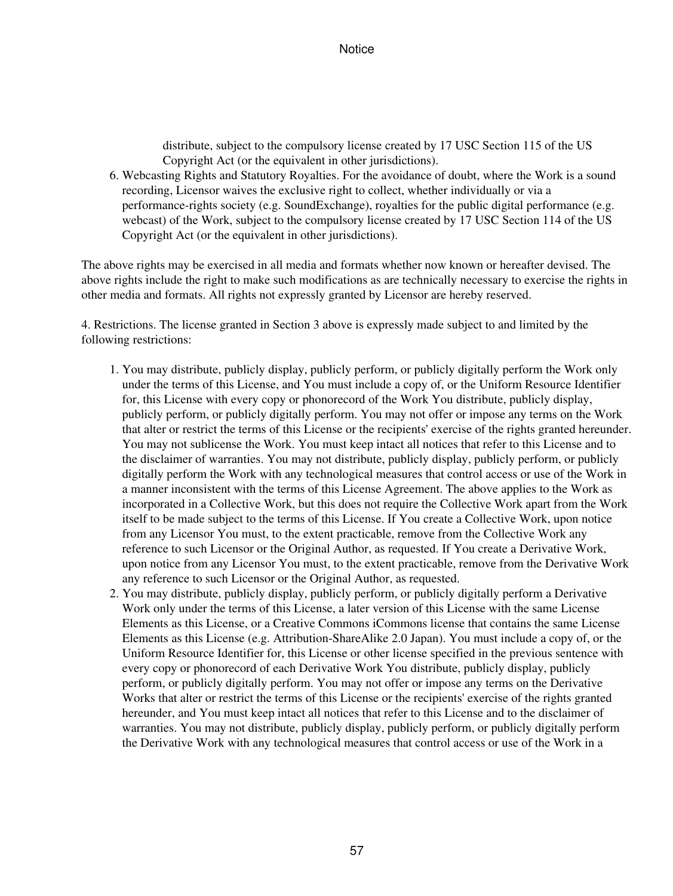distribute, subject to the compulsory license created by 17 USC Section 115 of the US Copyright Act (or the equivalent in other jurisdictions).

Webcasting Rights and Statutory Royalties. For the avoidance of doubt, where the Work is a sound 6. recording, Licensor waives the exclusive right to collect, whether individually or via a performance-rights society (e.g. SoundExchange), royalties for the public digital performance (e.g. webcast) of the Work, subject to the compulsory license created by 17 USC Section 114 of the US Copyright Act (or the equivalent in other jurisdictions).

The above rights may be exercised in all media and formats whether now known or hereafter devised. The above rights include the right to make such modifications as are technically necessary to exercise the rights in other media and formats. All rights not expressly granted by Licensor are hereby reserved.

4. Restrictions. The license granted in Section 3 above is expressly made subject to and limited by the following restrictions:

- 1. You may distribute, publicly display, publicly perform, or publicly digitally perform the Work only under the terms of this License, and You must include a copy of, or the Uniform Resource Identifier for, this License with every copy or phonorecord of the Work You distribute, publicly display, publicly perform, or publicly digitally perform. You may not offer or impose any terms on the Work that alter or restrict the terms of this License or the recipients' exercise of the rights granted hereunder. You may not sublicense the Work. You must keep intact all notices that refer to this License and to the disclaimer of warranties. You may not distribute, publicly display, publicly perform, or publicly digitally perform the Work with any technological measures that control access or use of the Work in a manner inconsistent with the terms of this License Agreement. The above applies to the Work as incorporated in a Collective Work, but this does not require the Collective Work apart from the Work itself to be made subject to the terms of this License. If You create a Collective Work, upon notice from any Licensor You must, to the extent practicable, remove from the Collective Work any reference to such Licensor or the Original Author, as requested. If You create a Derivative Work, upon notice from any Licensor You must, to the extent practicable, remove from the Derivative Work any reference to such Licensor or the Original Author, as requested.
- 2. You may distribute, publicly display, publicly perform, or publicly digitally perform a Derivative Work only under the terms of this License, a later version of this License with the same License Elements as this License, or a Creative Commons iCommons license that contains the same License Elements as this License (e.g. Attribution-ShareAlike 2.0 Japan). You must include a copy of, or the Uniform Resource Identifier for, this License or other license specified in the previous sentence with every copy or phonorecord of each Derivative Work You distribute, publicly display, publicly perform, or publicly digitally perform. You may not offer or impose any terms on the Derivative Works that alter or restrict the terms of this License or the recipients' exercise of the rights granted hereunder, and You must keep intact all notices that refer to this License and to the disclaimer of warranties. You may not distribute, publicly display, publicly perform, or publicly digitally perform the Derivative Work with any technological measures that control access or use of the Work in a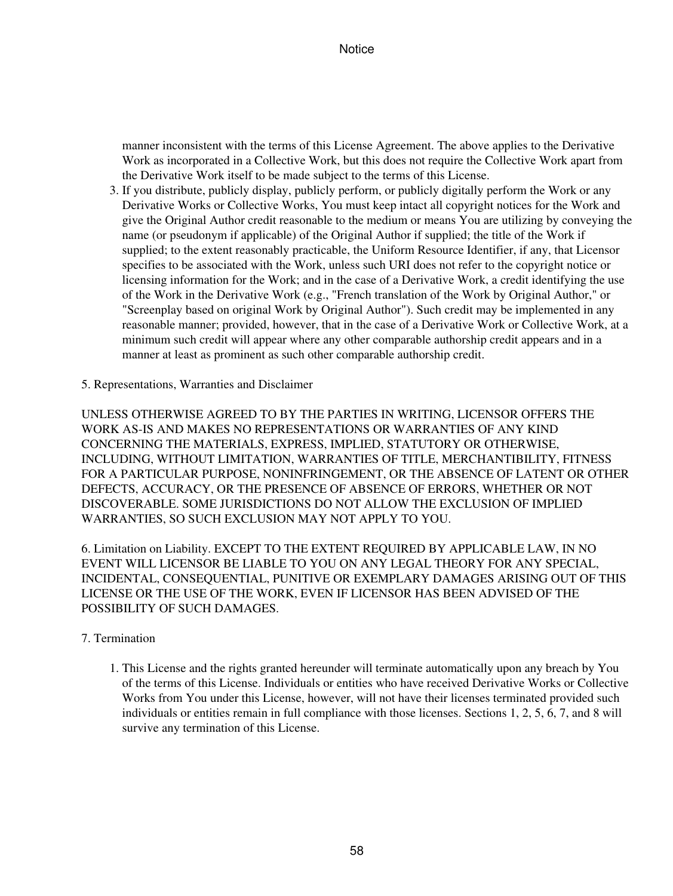manner inconsistent with the terms of this License Agreement. The above applies to the Derivative Work as incorporated in a Collective Work, but this does not require the Collective Work apart from the Derivative Work itself to be made subject to the terms of this License.

- 3. If you distribute, publicly display, publicly perform, or publicly digitally perform the Work or any Derivative Works or Collective Works, You must keep intact all copyright notices for the Work and give the Original Author credit reasonable to the medium or means You are utilizing by conveying the name (or pseudonym if applicable) of the Original Author if supplied; the title of the Work if supplied; to the extent reasonably practicable, the Uniform Resource Identifier, if any, that Licensor specifies to be associated with the Work, unless such URI does not refer to the copyright notice or licensing information for the Work; and in the case of a Derivative Work, a credit identifying the use of the Work in the Derivative Work (e.g., "French translation of the Work by Original Author," or "Screenplay based on original Work by Original Author"). Such credit may be implemented in any reasonable manner; provided, however, that in the case of a Derivative Work or Collective Work, at a minimum such credit will appear where any other comparable authorship credit appears and in a manner at least as prominent as such other comparable authorship credit.
- 5. Representations, Warranties and Disclaimer

UNLESS OTHERWISE AGREED TO BY THE PARTIES IN WRITING, LICENSOR OFFERS THE WORK AS-IS AND MAKES NO REPRESENTATIONS OR WARRANTIES OF ANY KIND CONCERNING THE MATERIALS, EXPRESS, IMPLIED, STATUTORY OR OTHERWISE, INCLUDING, WITHOUT LIMITATION, WARRANTIES OF TITLE, MERCHANTIBILITY, FITNESS FOR A PARTICULAR PURPOSE, NONINFRINGEMENT, OR THE ABSENCE OF LATENT OR OTHER DEFECTS, ACCURACY, OR THE PRESENCE OF ABSENCE OF ERRORS, WHETHER OR NOT DISCOVERABLE. SOME JURISDICTIONS DO NOT ALLOW THE EXCLUSION OF IMPLIED WARRANTIES, SO SUCH EXCLUSION MAY NOT APPLY TO YOU.

6. Limitation on Liability. EXCEPT TO THE EXTENT REQUIRED BY APPLICABLE LAW, IN NO EVENT WILL LICENSOR BE LIABLE TO YOU ON ANY LEGAL THEORY FOR ANY SPECIAL, INCIDENTAL, CONSEQUENTIAL, PUNITIVE OR EXEMPLARY DAMAGES ARISING OUT OF THIS LICENSE OR THE USE OF THE WORK, EVEN IF LICENSOR HAS BEEN ADVISED OF THE POSSIBILITY OF SUCH DAMAGES.

### 7. Termination

1. This License and the rights granted hereunder will terminate automatically upon any breach by You of the terms of this License. Individuals or entities who have received Derivative Works or Collective Works from You under this License, however, will not have their licenses terminated provided such individuals or entities remain in full compliance with those licenses. Sections 1, 2, 5, 6, 7, and 8 will survive any termination of this License.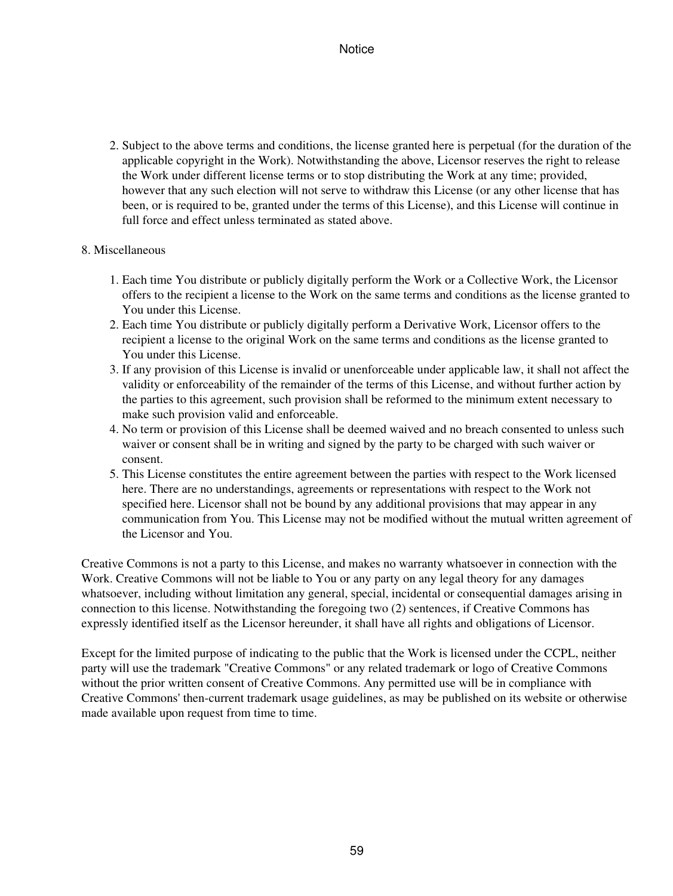2. Subject to the above terms and conditions, the license granted here is perpetual (for the duration of the applicable copyright in the Work). Notwithstanding the above, Licensor reserves the right to release the Work under different license terms or to stop distributing the Work at any time; provided, however that any such election will not serve to withdraw this License (or any other license that has been, or is required to be, granted under the terms of this License), and this License will continue in full force and effect unless terminated as stated above.

### 8. Miscellaneous

- Each time You distribute or publicly digitally perform the Work or a Collective Work, the Licensor 1. offers to the recipient a license to the Work on the same terms and conditions as the license granted to You under this License.
- Each time You distribute or publicly digitally perform a Derivative Work, Licensor offers to the 2. recipient a license to the original Work on the same terms and conditions as the license granted to You under this License.
- If any provision of this License is invalid or unenforceable under applicable law, it shall not affect the 3. validity or enforceability of the remainder of the terms of this License, and without further action by the parties to this agreement, such provision shall be reformed to the minimum extent necessary to make such provision valid and enforceable.
- 4. No term or provision of this License shall be deemed waived and no breach consented to unless such waiver or consent shall be in writing and signed by the party to be charged with such waiver or consent.
- 5. This License constitutes the entire agreement between the parties with respect to the Work licensed here. There are no understandings, agreements or representations with respect to the Work not specified here. Licensor shall not be bound by any additional provisions that may appear in any communication from You. This License may not be modified without the mutual written agreement of the Licensor and You.

Creative Commons is not a party to this License, and makes no warranty whatsoever in connection with the Work. Creative Commons will not be liable to You or any party on any legal theory for any damages whatsoever, including without limitation any general, special, incidental or consequential damages arising in connection to this license. Notwithstanding the foregoing two (2) sentences, if Creative Commons has expressly identified itself as the Licensor hereunder, it shall have all rights and obligations of Licensor.

Except for the limited purpose of indicating to the public that the Work is licensed under the CCPL, neither party will use the trademark "Creative Commons" or any related trademark or logo of Creative Commons without the prior written consent of Creative Commons. Any permitted use will be in compliance with Creative Commons' then-current trademark usage guidelines, as may be published on its website or otherwise made available upon request from time to time.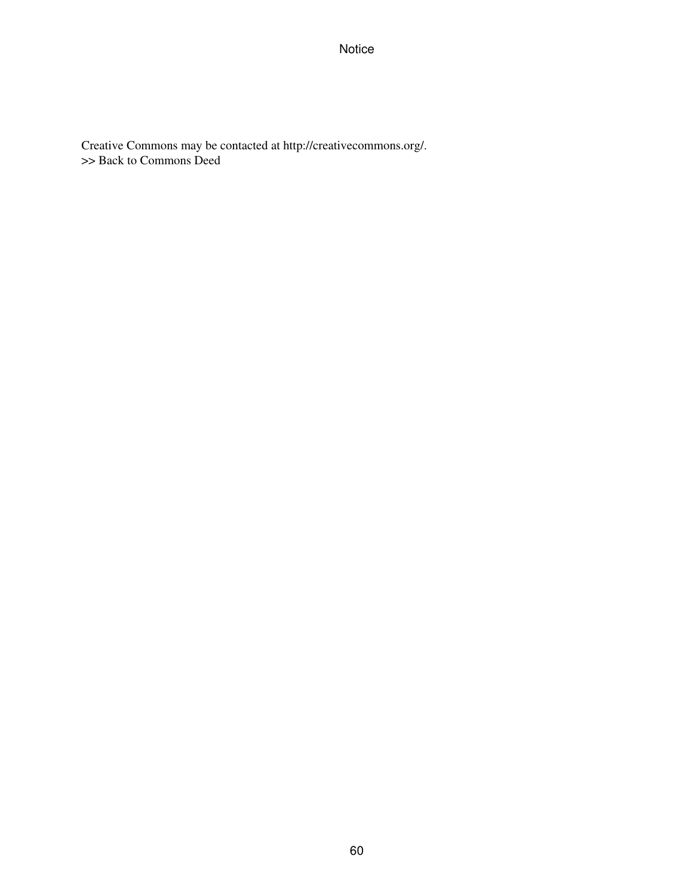Creative Commons may be contacted at http://creativecommons.org/. >> Back to Commons Deed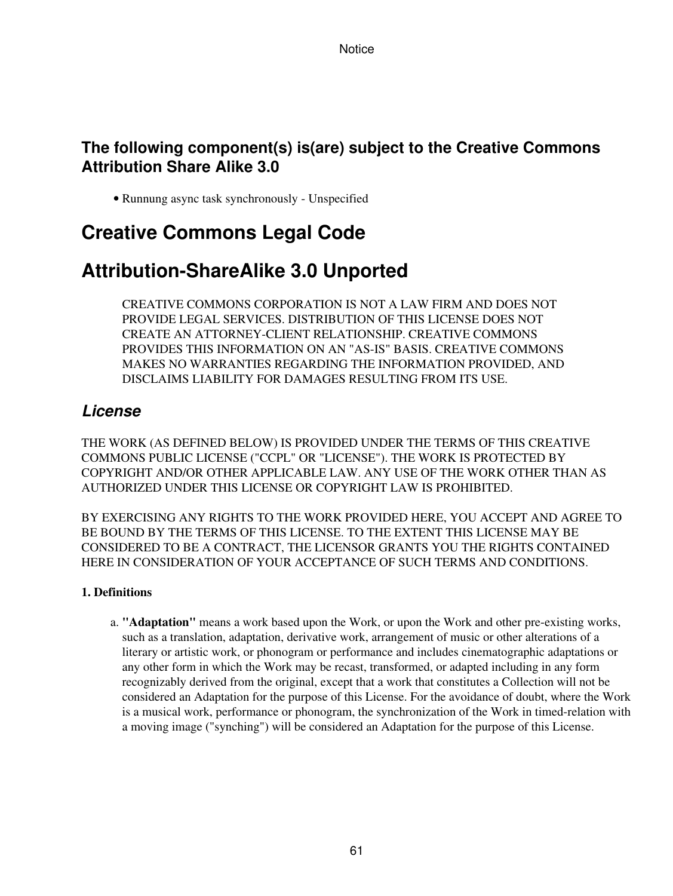# **The following component(s) is(are) subject to the Creative Commons Attribution Share Alike 3.0**

• Runnung async task synchronously - Unspecified

# **Creative Commons Legal Code**

# **Attribution-ShareAlike 3.0 Unported**

CREATIVE COMMONS CORPORATION IS NOT A LAW FIRM AND DOES NOT PROVIDE LEGAL SERVICES. DISTRIBUTION OF THIS LICENSE DOES NOT CREATE AN ATTORNEY-CLIENT RELATIONSHIP. CREATIVE COMMONS PROVIDES THIS INFORMATION ON AN "AS-IS" BASIS. CREATIVE COMMONS MAKES NO WARRANTIES REGARDING THE INFORMATION PROVIDED, AND DISCLAIMS LIABILITY FOR DAMAGES RESULTING FROM ITS USE.

# *License*

THE WORK (AS DEFINED BELOW) IS PROVIDED UNDER THE TERMS OF THIS CREATIVE COMMONS PUBLIC LICENSE ("CCPL" OR "LICENSE"). THE WORK IS PROTECTED BY COPYRIGHT AND/OR OTHER APPLICABLE LAW. ANY USE OF THE WORK OTHER THAN AS AUTHORIZED UNDER THIS LICENSE OR COPYRIGHT LAW IS PROHIBITED.

BY EXERCISING ANY RIGHTS TO THE WORK PROVIDED HERE, YOU ACCEPT AND AGREE TO BE BOUND BY THE TERMS OF THIS LICENSE. TO THE EXTENT THIS LICENSE MAY BE CONSIDERED TO BE A CONTRACT, THE LICENSOR GRANTS YOU THE RIGHTS CONTAINED HERE IN CONSIDERATION OF YOUR ACCEPTANCE OF SUCH TERMS AND CONDITIONS.

## **1. Definitions**

a. "Adaptation" means a work based upon the Work, or upon the Work and other pre-existing works, such as a translation, adaptation, derivative work, arrangement of music or other alterations of a literary or artistic work, or phonogram or performance and includes cinematographic adaptations or any other form in which the Work may be recast, transformed, or adapted including in any form recognizably derived from the original, except that a work that constitutes a Collection will not be considered an Adaptation for the purpose of this License. For the avoidance of doubt, where the Work is a musical work, performance or phonogram, the synchronization of the Work in timed-relation with a moving image ("synching") will be considered an Adaptation for the purpose of this License.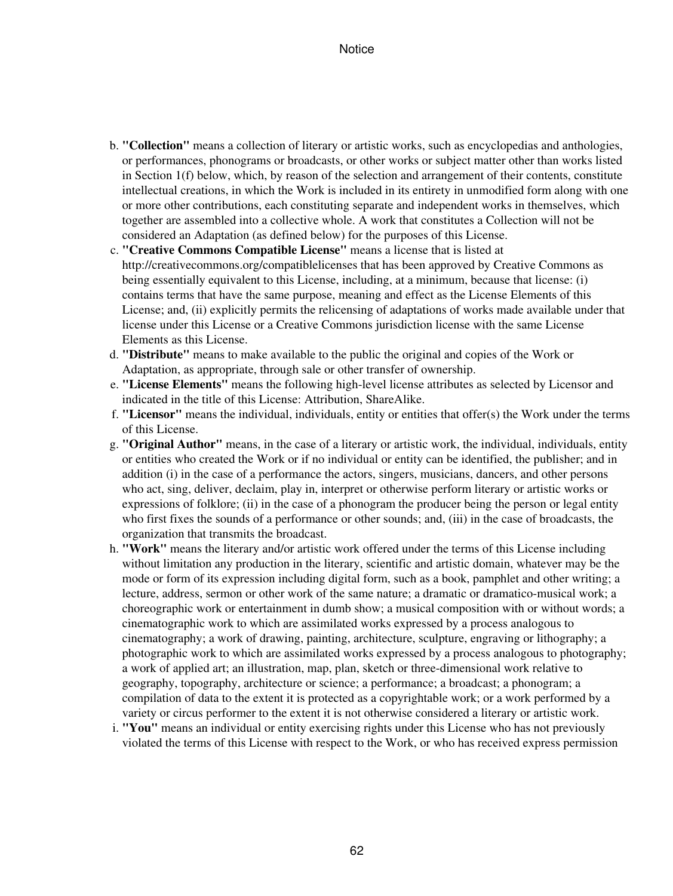- b. "Collection" means a collection of literary or artistic works, such as encyclopedias and anthologies, or performances, phonograms or broadcasts, or other works or subject matter other than works listed in Section 1(f) below, which, by reason of the selection and arrangement of their contents, constitute intellectual creations, in which the Work is included in its entirety in unmodified form along with one or more other contributions, each constituting separate and independent works in themselves, which together are assembled into a collective whole. A work that constitutes a Collection will not be considered an Adaptation (as defined below) for the purposes of this License.
- **"Creative Commons Compatible License"** means a license that is listed at c. http://creativecommons.org/compatiblelicenses that has been approved by Creative Commons as being essentially equivalent to this License, including, at a minimum, because that license: (i) contains terms that have the same purpose, meaning and effect as the License Elements of this License; and, (ii) explicitly permits the relicensing of adaptations of works made available under that license under this License or a Creative Commons jurisdiction license with the same License Elements as this License.
- **"Distribute"** means to make available to the public the original and copies of the Work or d. Adaptation, as appropriate, through sale or other transfer of ownership.
- **"License Elements"** means the following high-level license attributes as selected by Licensor and e. indicated in the title of this License: Attribution, ShareAlike.
- **"Licensor"** means the individual, individuals, entity or entities that offer(s) the Work under the terms f. of this License.
- **"Original Author"** means, in the case of a literary or artistic work, the individual, individuals, entity g. or entities who created the Work or if no individual or entity can be identified, the publisher; and in addition (i) in the case of a performance the actors, singers, musicians, dancers, and other persons who act, sing, deliver, declaim, play in, interpret or otherwise perform literary or artistic works or expressions of folklore; (ii) in the case of a phonogram the producer being the person or legal entity who first fixes the sounds of a performance or other sounds; and, (iii) in the case of broadcasts, the organization that transmits the broadcast.
- **"Work"** means the literary and/or artistic work offered under the terms of this License including h. without limitation any production in the literary, scientific and artistic domain, whatever may be the mode or form of its expression including digital form, such as a book, pamphlet and other writing; a lecture, address, sermon or other work of the same nature; a dramatic or dramatico-musical work; a choreographic work or entertainment in dumb show; a musical composition with or without words; a cinematographic work to which are assimilated works expressed by a process analogous to cinematography; a work of drawing, painting, architecture, sculpture, engraving or lithography; a photographic work to which are assimilated works expressed by a process analogous to photography; a work of applied art; an illustration, map, plan, sketch or three-dimensional work relative to geography, topography, architecture or science; a performance; a broadcast; a phonogram; a compilation of data to the extent it is protected as a copyrightable work; or a work performed by a variety or circus performer to the extent it is not otherwise considered a literary or artistic work.
- **"You"** means an individual or entity exercising rights under this License who has not previously i. violated the terms of this License with respect to the Work, or who has received express permission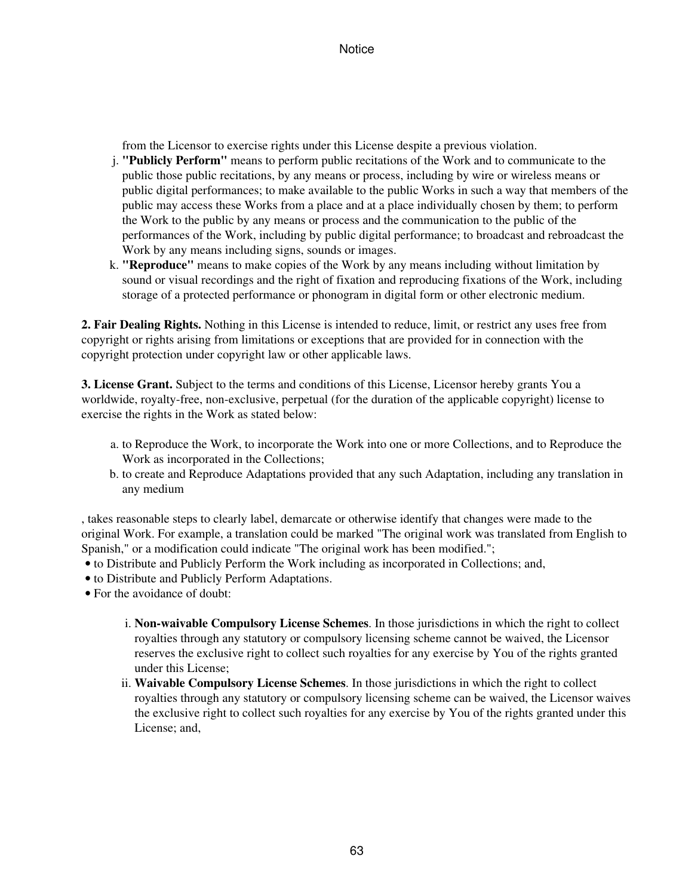from the Licensor to exercise rights under this License despite a previous violation.

- **"Publicly Perform"** means to perform public recitations of the Work and to communicate to the j. public those public recitations, by any means or process, including by wire or wireless means or public digital performances; to make available to the public Works in such a way that members of the public may access these Works from a place and at a place individually chosen by them; to perform the Work to the public by any means or process and the communication to the public of the performances of the Work, including by public digital performance; to broadcast and rebroadcast the Work by any means including signs, sounds or images.
- **"Reproduce"** means to make copies of the Work by any means including without limitation by k. sound or visual recordings and the right of fixation and reproducing fixations of the Work, including storage of a protected performance or phonogram in digital form or other electronic medium.

**2. Fair Dealing Rights.** Nothing in this License is intended to reduce, limit, or restrict any uses free from copyright or rights arising from limitations or exceptions that are provided for in connection with the copyright protection under copyright law or other applicable laws.

**3. License Grant.** Subject to the terms and conditions of this License, Licensor hereby grants You a worldwide, royalty-free, non-exclusive, perpetual (for the duration of the applicable copyright) license to exercise the rights in the Work as stated below:

- a. to Reproduce the Work, to incorporate the Work into one or more Collections, and to Reproduce the Work as incorporated in the Collections;
- b. to create and Reproduce Adaptations provided that any such Adaptation, including any translation in any medium

, takes reasonable steps to clearly label, demarcate or otherwise identify that changes were made to the original Work. For example, a translation could be marked "The original work was translated from English to Spanish," or a modification could indicate "The original work has been modified.";

- to Distribute and Publicly Perform the Work including as incorporated in Collections; and,
- to Distribute and Publicly Perform Adaptations.
- For the avoidance of doubt:
	- **Non-waivable Compulsory License Schemes**. In those jurisdictions in which the right to collect i. royalties through any statutory or compulsory licensing scheme cannot be waived, the Licensor reserves the exclusive right to collect such royalties for any exercise by You of the rights granted under this License;
	- ii. Waivable Compulsory License Schemes. In those jurisdictions in which the right to collect royalties through any statutory or compulsory licensing scheme can be waived, the Licensor waives the exclusive right to collect such royalties for any exercise by You of the rights granted under this License; and,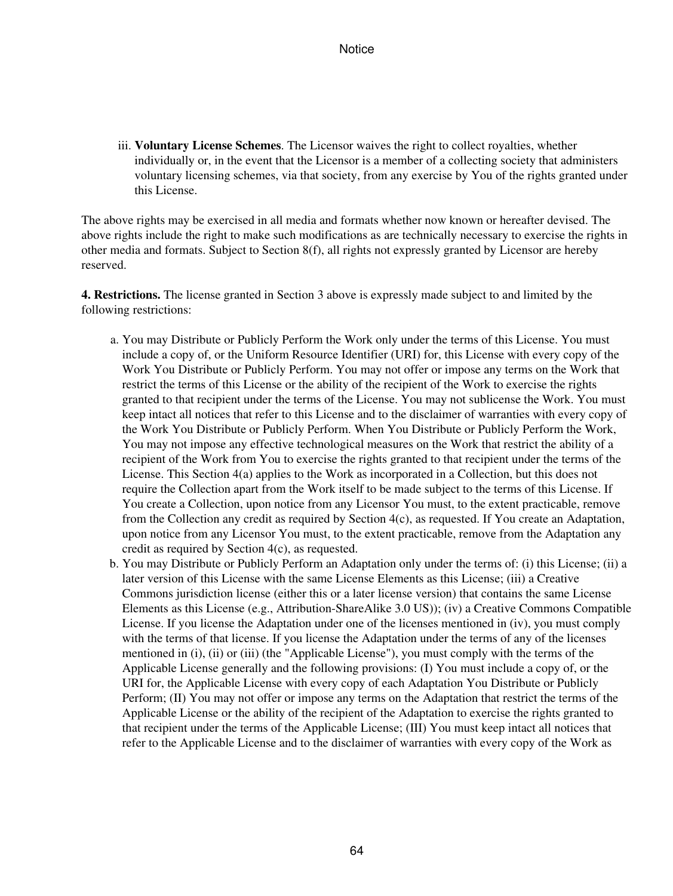iii. Voluntary License Schemes. The Licensor waives the right to collect royalties, whether individually or, in the event that the Licensor is a member of a collecting society that administers voluntary licensing schemes, via that society, from any exercise by You of the rights granted under this License.

The above rights may be exercised in all media and formats whether now known or hereafter devised. The above rights include the right to make such modifications as are technically necessary to exercise the rights in other media and formats. Subject to Section 8(f), all rights not expressly granted by Licensor are hereby reserved.

**4. Restrictions.** The license granted in Section 3 above is expressly made subject to and limited by the following restrictions:

- a. You may Distribute or Publicly Perform the Work only under the terms of this License. You must include a copy of, or the Uniform Resource Identifier (URI) for, this License with every copy of the Work You Distribute or Publicly Perform. You may not offer or impose any terms on the Work that restrict the terms of this License or the ability of the recipient of the Work to exercise the rights granted to that recipient under the terms of the License. You may not sublicense the Work. You must keep intact all notices that refer to this License and to the disclaimer of warranties with every copy of the Work You Distribute or Publicly Perform. When You Distribute or Publicly Perform the Work, You may not impose any effective technological measures on the Work that restrict the ability of a recipient of the Work from You to exercise the rights granted to that recipient under the terms of the License. This Section 4(a) applies to the Work as incorporated in a Collection, but this does not require the Collection apart from the Work itself to be made subject to the terms of this License. If You create a Collection, upon notice from any Licensor You must, to the extent practicable, remove from the Collection any credit as required by Section 4(c), as requested. If You create an Adaptation, upon notice from any Licensor You must, to the extent practicable, remove from the Adaptation any credit as required by Section 4(c), as requested.
- b. You may Distribute or Publicly Perform an Adaptation only under the terms of: (i) this License; (ii) a later version of this License with the same License Elements as this License; (iii) a Creative Commons jurisdiction license (either this or a later license version) that contains the same License Elements as this License (e.g., Attribution-ShareAlike 3.0 US)); (iv) a Creative Commons Compatible License. If you license the Adaptation under one of the licenses mentioned in (iv), you must comply with the terms of that license. If you license the Adaptation under the terms of any of the licenses mentioned in (i), (ii) or (iii) (the "Applicable License"), you must comply with the terms of the Applicable License generally and the following provisions: (I) You must include a copy of, or the URI for, the Applicable License with every copy of each Adaptation You Distribute or Publicly Perform; (II) You may not offer or impose any terms on the Adaptation that restrict the terms of the Applicable License or the ability of the recipient of the Adaptation to exercise the rights granted to that recipient under the terms of the Applicable License; (III) You must keep intact all notices that refer to the Applicable License and to the disclaimer of warranties with every copy of the Work as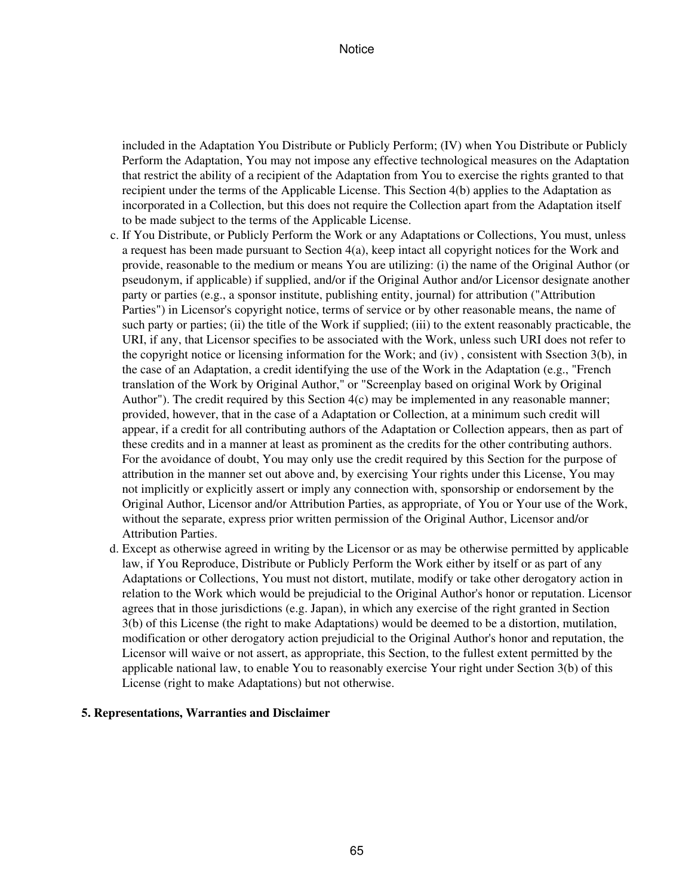included in the Adaptation You Distribute or Publicly Perform; (IV) when You Distribute or Publicly Perform the Adaptation, You may not impose any effective technological measures on the Adaptation that restrict the ability of a recipient of the Adaptation from You to exercise the rights granted to that recipient under the terms of the Applicable License. This Section 4(b) applies to the Adaptation as incorporated in a Collection, but this does not require the Collection apart from the Adaptation itself to be made subject to the terms of the Applicable License.

- c. If You Distribute, or Publicly Perform the Work or any Adaptations or Collections, You must, unless a request has been made pursuant to Section 4(a), keep intact all copyright notices for the Work and provide, reasonable to the medium or means You are utilizing: (i) the name of the Original Author (or pseudonym, if applicable) if supplied, and/or if the Original Author and/or Licensor designate another party or parties (e.g., a sponsor institute, publishing entity, journal) for attribution ("Attribution Parties") in Licensor's copyright notice, terms of service or by other reasonable means, the name of such party or parties; (ii) the title of the Work if supplied; (iii) to the extent reasonably practicable, the URI, if any, that Licensor specifies to be associated with the Work, unless such URI does not refer to the copyright notice or licensing information for the Work; and (iv) , consistent with Ssection 3(b), in the case of an Adaptation, a credit identifying the use of the Work in the Adaptation (e.g., "French translation of the Work by Original Author," or "Screenplay based on original Work by Original Author"). The credit required by this Section 4(c) may be implemented in any reasonable manner; provided, however, that in the case of a Adaptation or Collection, at a minimum such credit will appear, if a credit for all contributing authors of the Adaptation or Collection appears, then as part of these credits and in a manner at least as prominent as the credits for the other contributing authors. For the avoidance of doubt, You may only use the credit required by this Section for the purpose of attribution in the manner set out above and, by exercising Your rights under this License, You may not implicitly or explicitly assert or imply any connection with, sponsorship or endorsement by the Original Author, Licensor and/or Attribution Parties, as appropriate, of You or Your use of the Work, without the separate, express prior written permission of the Original Author, Licensor and/or Attribution Parties.
- d. Except as otherwise agreed in writing by the Licensor or as may be otherwise permitted by applicable law, if You Reproduce, Distribute or Publicly Perform the Work either by itself or as part of any Adaptations or Collections, You must not distort, mutilate, modify or take other derogatory action in relation to the Work which would be prejudicial to the Original Author's honor or reputation. Licensor agrees that in those jurisdictions (e.g. Japan), in which any exercise of the right granted in Section 3(b) of this License (the right to make Adaptations) would be deemed to be a distortion, mutilation, modification or other derogatory action prejudicial to the Original Author's honor and reputation, the Licensor will waive or not assert, as appropriate, this Section, to the fullest extent permitted by the applicable national law, to enable You to reasonably exercise Your right under Section 3(b) of this License (right to make Adaptations) but not otherwise.

#### **5. Representations, Warranties and Disclaimer**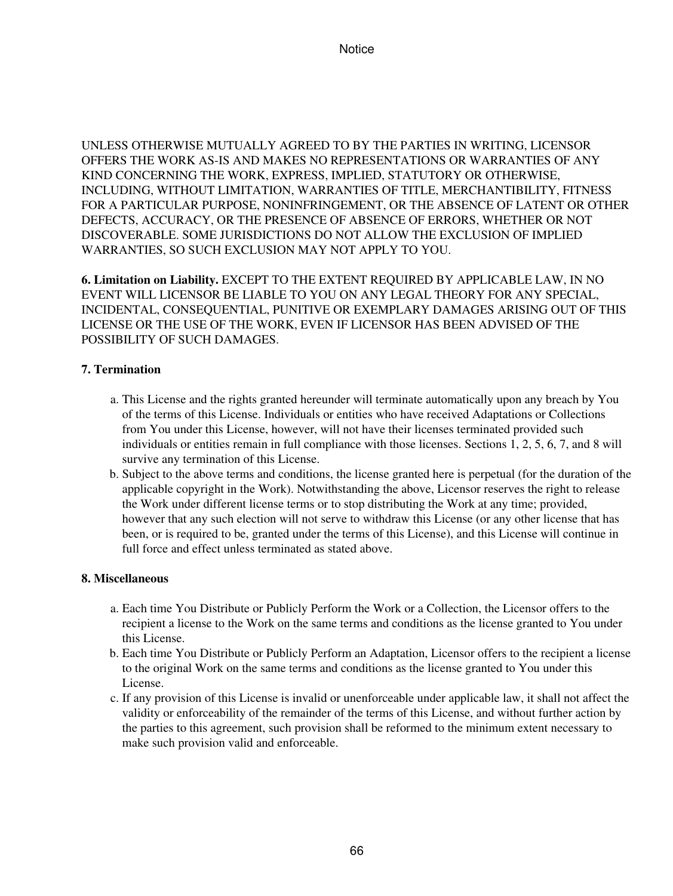UNLESS OTHERWISE MUTUALLY AGREED TO BY THE PARTIES IN WRITING, LICENSOR OFFERS THE WORK AS-IS AND MAKES NO REPRESENTATIONS OR WARRANTIES OF ANY KIND CONCERNING THE WORK, EXPRESS, IMPLIED, STATUTORY OR OTHERWISE, INCLUDING, WITHOUT LIMITATION, WARRANTIES OF TITLE, MERCHANTIBILITY, FITNESS FOR A PARTICULAR PURPOSE, NONINFRINGEMENT, OR THE ABSENCE OF LATENT OR OTHER DEFECTS, ACCURACY, OR THE PRESENCE OF ABSENCE OF ERRORS, WHETHER OR NOT DISCOVERABLE. SOME JURISDICTIONS DO NOT ALLOW THE EXCLUSION OF IMPLIED WARRANTIES, SO SUCH EXCLUSION MAY NOT APPLY TO YOU.

**6. Limitation on Liability.** EXCEPT TO THE EXTENT REQUIRED BY APPLICABLE LAW, IN NO EVENT WILL LICENSOR BE LIABLE TO YOU ON ANY LEGAL THEORY FOR ANY SPECIAL, INCIDENTAL, CONSEQUENTIAL, PUNITIVE OR EXEMPLARY DAMAGES ARISING OUT OF THIS LICENSE OR THE USE OF THE WORK, EVEN IF LICENSOR HAS BEEN ADVISED OF THE POSSIBILITY OF SUCH DAMAGES.

## **7. Termination**

- This License and the rights granted hereunder will terminate automatically upon any breach by You a. of the terms of this License. Individuals or entities who have received Adaptations or Collections from You under this License, however, will not have their licenses terminated provided such individuals or entities remain in full compliance with those licenses. Sections 1, 2, 5, 6, 7, and 8 will survive any termination of this License.
- b. Subject to the above terms and conditions, the license granted here is perpetual (for the duration of the applicable copyright in the Work). Notwithstanding the above, Licensor reserves the right to release the Work under different license terms or to stop distributing the Work at any time; provided, however that any such election will not serve to withdraw this License (or any other license that has been, or is required to be, granted under the terms of this License), and this License will continue in full force and effect unless terminated as stated above.

## **8. Miscellaneous**

- Each time You Distribute or Publicly Perform the Work or a Collection, the Licensor offers to the a. recipient a license to the Work on the same terms and conditions as the license granted to You under this License.
- b. Each time You Distribute or Publicly Perform an Adaptation, Licensor offers to the recipient a license to the original Work on the same terms and conditions as the license granted to You under this License.
- c. If any provision of this License is invalid or unenforceable under applicable law, it shall not affect the validity or enforceability of the remainder of the terms of this License, and without further action by the parties to this agreement, such provision shall be reformed to the minimum extent necessary to make such provision valid and enforceable.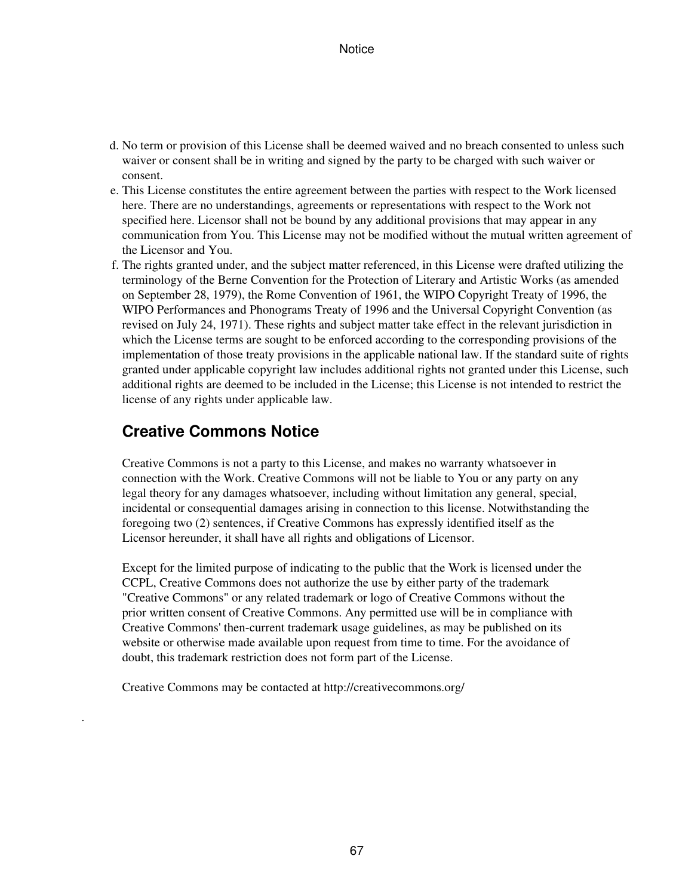- d. No term or provision of this License shall be deemed waived and no breach consented to unless such waiver or consent shall be in writing and signed by the party to be charged with such waiver or consent.
- e. This License constitutes the entire agreement between the parties with respect to the Work licensed here. There are no understandings, agreements or representations with respect to the Work not specified here. Licensor shall not be bound by any additional provisions that may appear in any communication from You. This License may not be modified without the mutual written agreement of the Licensor and You.
- f. The rights granted under, and the subject matter referenced, in this License were drafted utilizing the terminology of the Berne Convention for the Protection of Literary and Artistic Works (as amended on September 28, 1979), the Rome Convention of 1961, the WIPO Copyright Treaty of 1996, the WIPO Performances and Phonograms Treaty of 1996 and the Universal Copyright Convention (as revised on July 24, 1971). These rights and subject matter take effect in the relevant jurisdiction in which the License terms are sought to be enforced according to the corresponding provisions of the implementation of those treaty provisions in the applicable national law. If the standard suite of rights granted under applicable copyright law includes additional rights not granted under this License, such additional rights are deemed to be included in the License; this License is not intended to restrict the license of any rights under applicable law.

## **Creative Commons Notice**

.

Creative Commons is not a party to this License, and makes no warranty whatsoever in connection with the Work. Creative Commons will not be liable to You or any party on any legal theory for any damages whatsoever, including without limitation any general, special, incidental or consequential damages arising in connection to this license. Notwithstanding the foregoing two (2) sentences, if Creative Commons has expressly identified itself as the Licensor hereunder, it shall have all rights and obligations of Licensor.

Except for the limited purpose of indicating to the public that the Work is licensed under the CCPL, Creative Commons does not authorize the use by either party of the trademark "Creative Commons" or any related trademark or logo of Creative Commons without the prior written consent of Creative Commons. Any permitted use will be in compliance with Creative Commons' then-current trademark usage guidelines, as may be published on its website or otherwise made available upon request from time to time. For the avoidance of doubt, this trademark restriction does not form part of the License.

Creative Commons may be contacted at http://creativecommons.org/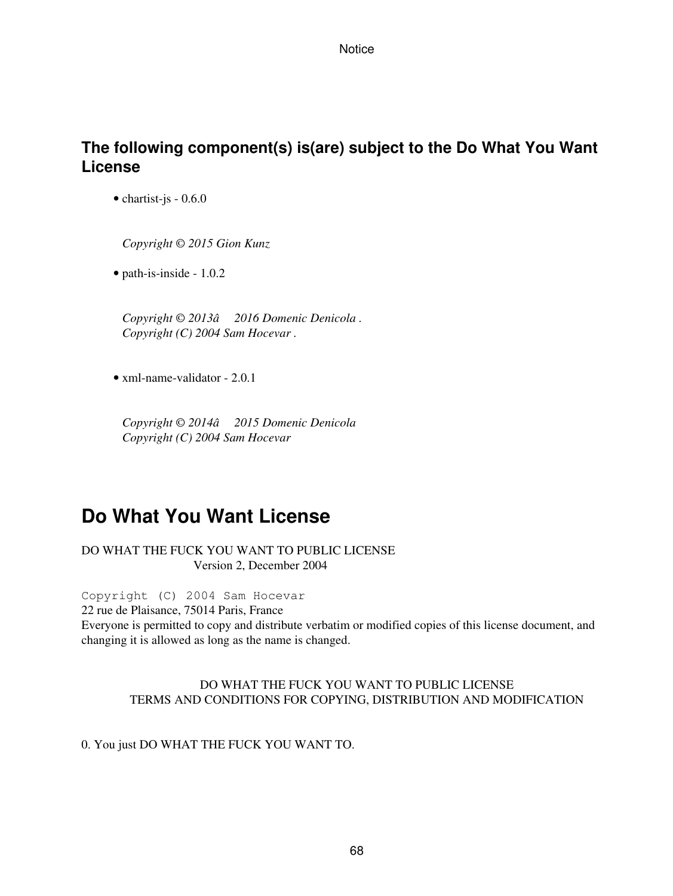# **The following component(s) is(are) subject to the Do What You Want License**

• chartist-js - 0.6.0

*Copyright © 2015 Gion Kunz*

• path-is-inside - 1.0.2

*Copyright © 2013â2016 Domenic Denicola . Copyright (C) 2004 Sam Hocevar .*

• xml-name-validator - 2.0.1

*Copyright © 2014â2015 Domenic Denicola Copyright (C) 2004 Sam Hocevar*

# **Do What You Want License**

DO WHAT THE FUCK YOU WANT TO PUBLIC LICENSE Version 2, December 2004

Copyright (C) 2004 Sam Hocevar

22 rue de Plaisance, 75014 Paris, France

Everyone is permitted to copy and distribute verbatim or modified copies of this license document, and changing it is allowed as long as the name is changed.

### DO WHAT THE FUCK YOU WANT TO PUBLIC LICENSE TERMS AND CONDITIONS FOR COPYING, DISTRIBUTION AND MODIFICATION

## 0. You just DO WHAT THE FUCK YOU WANT TO.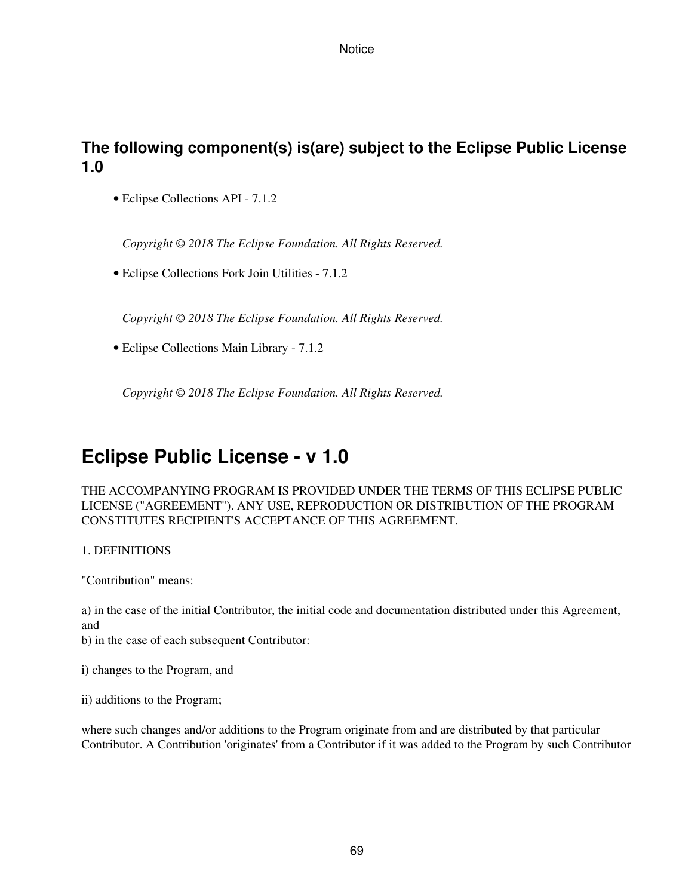# **The following component(s) is(are) subject to the Eclipse Public License 1.0**

• Eclipse Collections API - 7.1.2

*Copyright © 2018 The Eclipse Foundation. All Rights Reserved.*

• Eclipse Collections Fork Join Utilities - 7.1.2

*Copyright © 2018 The Eclipse Foundation. All Rights Reserved.*

• Eclipse Collections Main Library - 7.1.2

*Copyright © 2018 The Eclipse Foundation. All Rights Reserved.*

# **Eclipse Public License - v 1.0**

THE ACCOMPANYING PROGRAM IS PROVIDED UNDER THE TERMS OF THIS ECLIPSE PUBLIC LICENSE ("AGREEMENT"). ANY USE, REPRODUCTION OR DISTRIBUTION OF THE PROGRAM CONSTITUTES RECIPIENT'S ACCEPTANCE OF THIS AGREEMENT.

### 1. DEFINITIONS

"Contribution" means:

a) in the case of the initial Contributor, the initial code and documentation distributed under this Agreement, and

b) in the case of each subsequent Contributor:

i) changes to the Program, and

ii) additions to the Program;

where such changes and/or additions to the Program originate from and are distributed by that particular Contributor. A Contribution 'originates' from a Contributor if it was added to the Program by such Contributor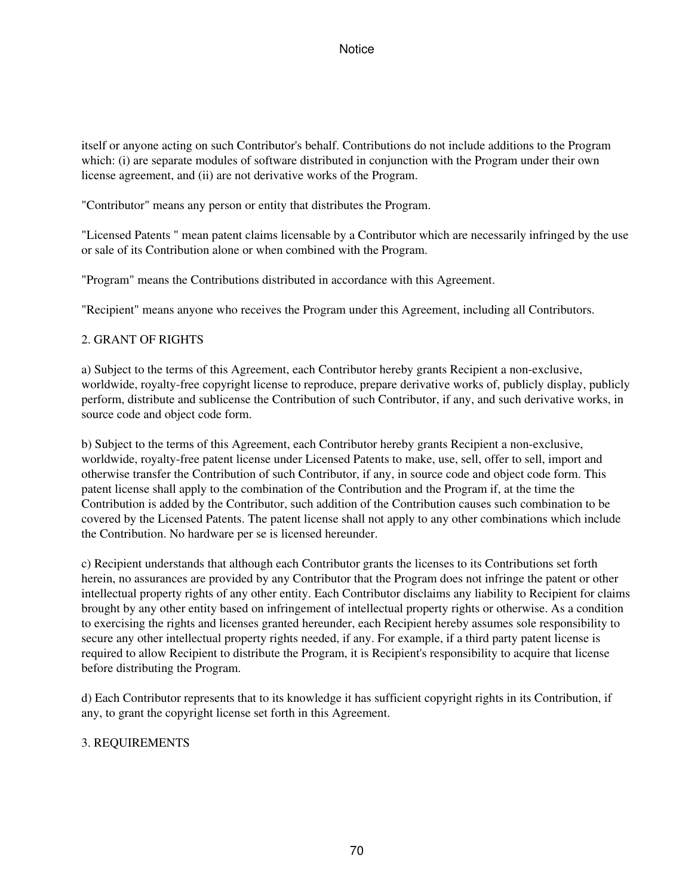itself or anyone acting on such Contributor's behalf. Contributions do not include additions to the Program which: (i) are separate modules of software distributed in conjunction with the Program under their own license agreement, and (ii) are not derivative works of the Program.

"Contributor" means any person or entity that distributes the Program.

"Licensed Patents " mean patent claims licensable by a Contributor which are necessarily infringed by the use or sale of its Contribution alone or when combined with the Program.

"Program" means the Contributions distributed in accordance with this Agreement.

"Recipient" means anyone who receives the Program under this Agreement, including all Contributors.

## 2. GRANT OF RIGHTS

a) Subject to the terms of this Agreement, each Contributor hereby grants Recipient a non-exclusive, worldwide, royalty-free copyright license to reproduce, prepare derivative works of, publicly display, publicly perform, distribute and sublicense the Contribution of such Contributor, if any, and such derivative works, in source code and object code form.

b) Subject to the terms of this Agreement, each Contributor hereby grants Recipient a non-exclusive, worldwide, royalty-free patent license under Licensed Patents to make, use, sell, offer to sell, import and otherwise transfer the Contribution of such Contributor, if any, in source code and object code form. This patent license shall apply to the combination of the Contribution and the Program if, at the time the Contribution is added by the Contributor, such addition of the Contribution causes such combination to be covered by the Licensed Patents. The patent license shall not apply to any other combinations which include the Contribution. No hardware per se is licensed hereunder.

c) Recipient understands that although each Contributor grants the licenses to its Contributions set forth herein, no assurances are provided by any Contributor that the Program does not infringe the patent or other intellectual property rights of any other entity. Each Contributor disclaims any liability to Recipient for claims brought by any other entity based on infringement of intellectual property rights or otherwise. As a condition to exercising the rights and licenses granted hereunder, each Recipient hereby assumes sole responsibility to secure any other intellectual property rights needed, if any. For example, if a third party patent license is required to allow Recipient to distribute the Program, it is Recipient's responsibility to acquire that license before distributing the Program.

d) Each Contributor represents that to its knowledge it has sufficient copyright rights in its Contribution, if any, to grant the copyright license set forth in this Agreement.

### 3. REQUIREMENTS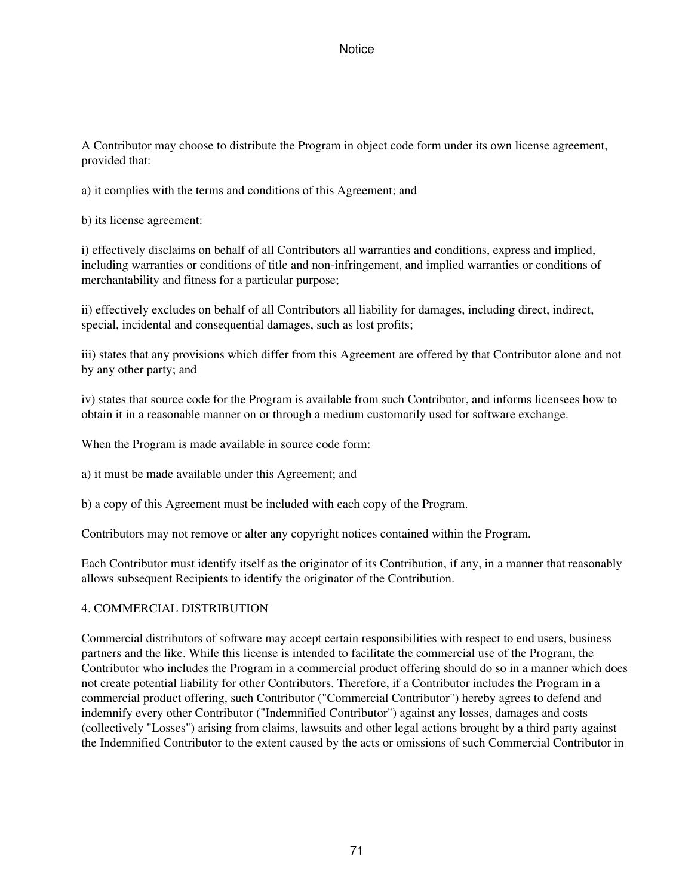A Contributor may choose to distribute the Program in object code form under its own license agreement, provided that:

a) it complies with the terms and conditions of this Agreement; and

b) its license agreement:

i) effectively disclaims on behalf of all Contributors all warranties and conditions, express and implied, including warranties or conditions of title and non-infringement, and implied warranties or conditions of merchantability and fitness for a particular purpose;

ii) effectively excludes on behalf of all Contributors all liability for damages, including direct, indirect, special, incidental and consequential damages, such as lost profits;

iii) states that any provisions which differ from this Agreement are offered by that Contributor alone and not by any other party; and

iv) states that source code for the Program is available from such Contributor, and informs licensees how to obtain it in a reasonable manner on or through a medium customarily used for software exchange.

When the Program is made available in source code form:

a) it must be made available under this Agreement; and

b) a copy of this Agreement must be included with each copy of the Program.

Contributors may not remove or alter any copyright notices contained within the Program.

Each Contributor must identify itself as the originator of its Contribution, if any, in a manner that reasonably allows subsequent Recipients to identify the originator of the Contribution.

## 4. COMMERCIAL DISTRIBUTION

Commercial distributors of software may accept certain responsibilities with respect to end users, business partners and the like. While this license is intended to facilitate the commercial use of the Program, the Contributor who includes the Program in a commercial product offering should do so in a manner which does not create potential liability for other Contributors. Therefore, if a Contributor includes the Program in a commercial product offering, such Contributor ("Commercial Contributor") hereby agrees to defend and indemnify every other Contributor ("Indemnified Contributor") against any losses, damages and costs (collectively "Losses") arising from claims, lawsuits and other legal actions brought by a third party against the Indemnified Contributor to the extent caused by the acts or omissions of such Commercial Contributor in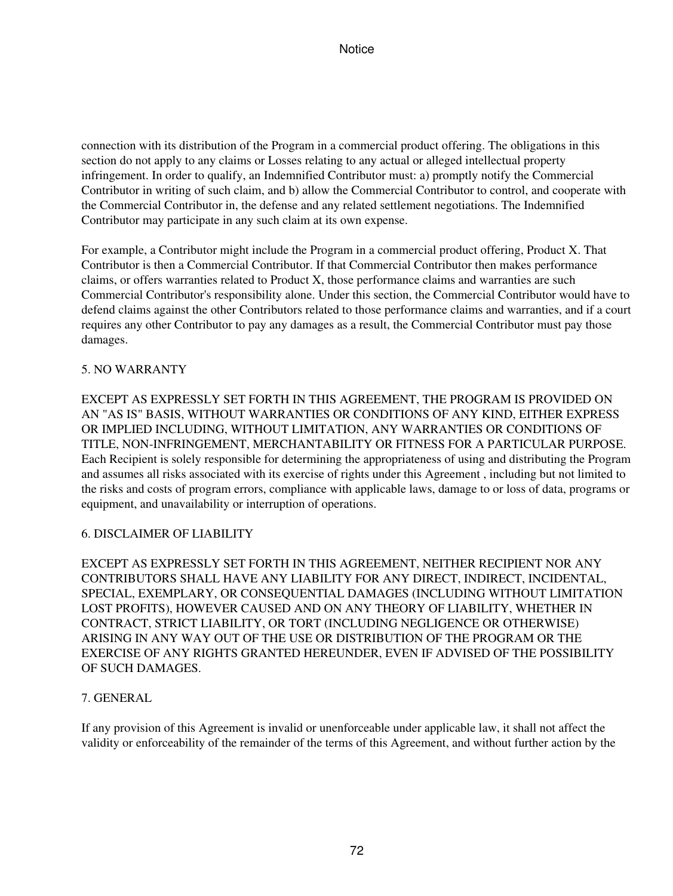connection with its distribution of the Program in a commercial product offering. The obligations in this section do not apply to any claims or Losses relating to any actual or alleged intellectual property infringement. In order to qualify, an Indemnified Contributor must: a) promptly notify the Commercial Contributor in writing of such claim, and b) allow the Commercial Contributor to control, and cooperate with the Commercial Contributor in, the defense and any related settlement negotiations. The Indemnified Contributor may participate in any such claim at its own expense.

For example, a Contributor might include the Program in a commercial product offering, Product X. That Contributor is then a Commercial Contributor. If that Commercial Contributor then makes performance claims, or offers warranties related to Product X, those performance claims and warranties are such Commercial Contributor's responsibility alone. Under this section, the Commercial Contributor would have to defend claims against the other Contributors related to those performance claims and warranties, and if a court requires any other Contributor to pay any damages as a result, the Commercial Contributor must pay those damages.

## 5. NO WARRANTY

EXCEPT AS EXPRESSLY SET FORTH IN THIS AGREEMENT, THE PROGRAM IS PROVIDED ON AN "AS IS" BASIS, WITHOUT WARRANTIES OR CONDITIONS OF ANY KIND, EITHER EXPRESS OR IMPLIED INCLUDING, WITHOUT LIMITATION, ANY WARRANTIES OR CONDITIONS OF TITLE, NON-INFRINGEMENT, MERCHANTABILITY OR FITNESS FOR A PARTICULAR PURPOSE. Each Recipient is solely responsible for determining the appropriateness of using and distributing the Program and assumes all risks associated with its exercise of rights under this Agreement , including but not limited to the risks and costs of program errors, compliance with applicable laws, damage to or loss of data, programs or equipment, and unavailability or interruption of operations.

### 6. DISCLAIMER OF LIABILITY

EXCEPT AS EXPRESSLY SET FORTH IN THIS AGREEMENT, NEITHER RECIPIENT NOR ANY CONTRIBUTORS SHALL HAVE ANY LIABILITY FOR ANY DIRECT, INDIRECT, INCIDENTAL, SPECIAL, EXEMPLARY, OR CONSEQUENTIAL DAMAGES (INCLUDING WITHOUT LIMITATION LOST PROFITS), HOWEVER CAUSED AND ON ANY THEORY OF LIABILITY, WHETHER IN CONTRACT, STRICT LIABILITY, OR TORT (INCLUDING NEGLIGENCE OR OTHERWISE) ARISING IN ANY WAY OUT OF THE USE OR DISTRIBUTION OF THE PROGRAM OR THE EXERCISE OF ANY RIGHTS GRANTED HEREUNDER, EVEN IF ADVISED OF THE POSSIBILITY OF SUCH DAMAGES.

### 7. GENERAL

If any provision of this Agreement is invalid or unenforceable under applicable law, it shall not affect the validity or enforceability of the remainder of the terms of this Agreement, and without further action by the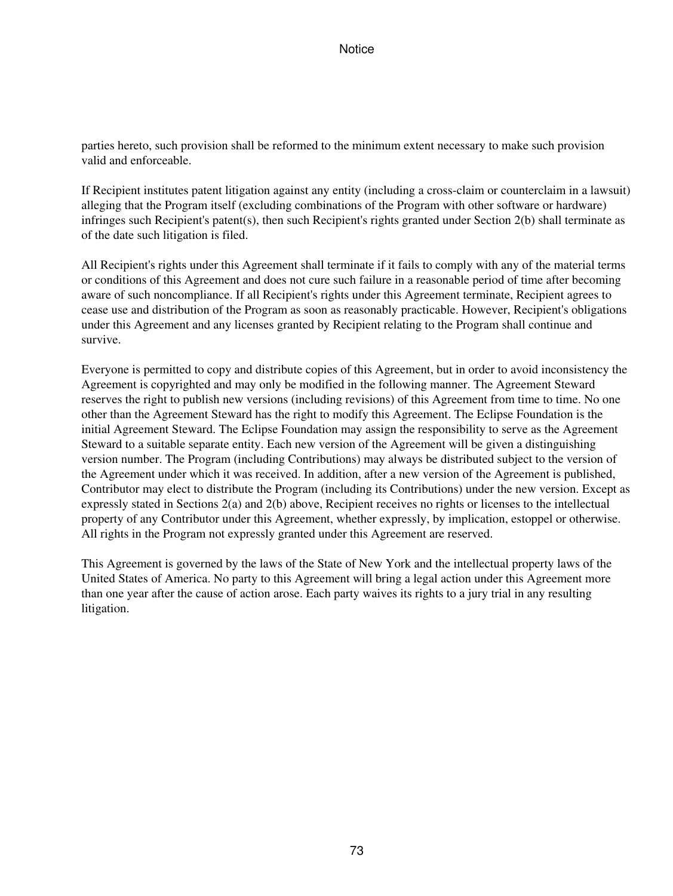parties hereto, such provision shall be reformed to the minimum extent necessary to make such provision valid and enforceable.

If Recipient institutes patent litigation against any entity (including a cross-claim or counterclaim in a lawsuit) alleging that the Program itself (excluding combinations of the Program with other software or hardware) infringes such Recipient's patent(s), then such Recipient's rights granted under Section 2(b) shall terminate as of the date such litigation is filed.

All Recipient's rights under this Agreement shall terminate if it fails to comply with any of the material terms or conditions of this Agreement and does not cure such failure in a reasonable period of time after becoming aware of such noncompliance. If all Recipient's rights under this Agreement terminate, Recipient agrees to cease use and distribution of the Program as soon as reasonably practicable. However, Recipient's obligations under this Agreement and any licenses granted by Recipient relating to the Program shall continue and survive.

Everyone is permitted to copy and distribute copies of this Agreement, but in order to avoid inconsistency the Agreement is copyrighted and may only be modified in the following manner. The Agreement Steward reserves the right to publish new versions (including revisions) of this Agreement from time to time. No one other than the Agreement Steward has the right to modify this Agreement. The Eclipse Foundation is the initial Agreement Steward. The Eclipse Foundation may assign the responsibility to serve as the Agreement Steward to a suitable separate entity. Each new version of the Agreement will be given a distinguishing version number. The Program (including Contributions) may always be distributed subject to the version of the Agreement under which it was received. In addition, after a new version of the Agreement is published, Contributor may elect to distribute the Program (including its Contributions) under the new version. Except as expressly stated in Sections 2(a) and 2(b) above, Recipient receives no rights or licenses to the intellectual property of any Contributor under this Agreement, whether expressly, by implication, estoppel or otherwise. All rights in the Program not expressly granted under this Agreement are reserved.

This Agreement is governed by the laws of the State of New York and the intellectual property laws of the United States of America. No party to this Agreement will bring a legal action under this Agreement more than one year after the cause of action arose. Each party waives its rights to a jury trial in any resulting litigation.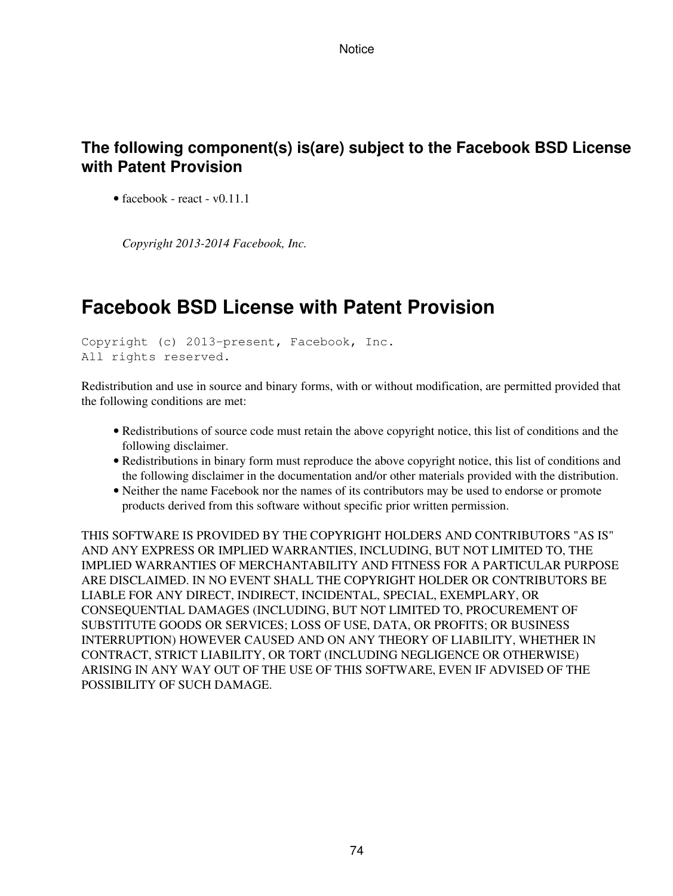## **The following component(s) is(are) subject to the Facebook BSD License with Patent Provision**

• facebook - react -  $v0.11.1$ 

*Copyright 2013-2014 Facebook, Inc.*

## **Facebook BSD License with Patent Provision**

```
Copyright (c) 2013-present, Facebook, Inc.
All rights reserved.
```
Redistribution and use in source and binary forms, with or without modification, are permitted provided that the following conditions are met:

- Redistributions of source code must retain the above copyright notice, this list of conditions and the following disclaimer.
- Redistributions in binary form must reproduce the above copyright notice, this list of conditions and the following disclaimer in the documentation and/or other materials provided with the distribution.
- Neither the name Facebook nor the names of its contributors may be used to endorse or promote products derived from this software without specific prior written permission.

THIS SOFTWARE IS PROVIDED BY THE COPYRIGHT HOLDERS AND CONTRIBUTORS "AS IS" AND ANY EXPRESS OR IMPLIED WARRANTIES, INCLUDING, BUT NOT LIMITED TO, THE IMPLIED WARRANTIES OF MERCHANTABILITY AND FITNESS FOR A PARTICULAR PURPOSE ARE DISCLAIMED. IN NO EVENT SHALL THE COPYRIGHT HOLDER OR CONTRIBUTORS BE LIABLE FOR ANY DIRECT, INDIRECT, INCIDENTAL, SPECIAL, EXEMPLARY, OR CONSEQUENTIAL DAMAGES (INCLUDING, BUT NOT LIMITED TO, PROCUREMENT OF SUBSTITUTE GOODS OR SERVICES; LOSS OF USE, DATA, OR PROFITS; OR BUSINESS INTERRUPTION) HOWEVER CAUSED AND ON ANY THEORY OF LIABILITY, WHETHER IN CONTRACT, STRICT LIABILITY, OR TORT (INCLUDING NEGLIGENCE OR OTHERWISE) ARISING IN ANY WAY OUT OF THE USE OF THIS SOFTWARE, EVEN IF ADVISED OF THE POSSIBILITY OF SUCH DAMAGE.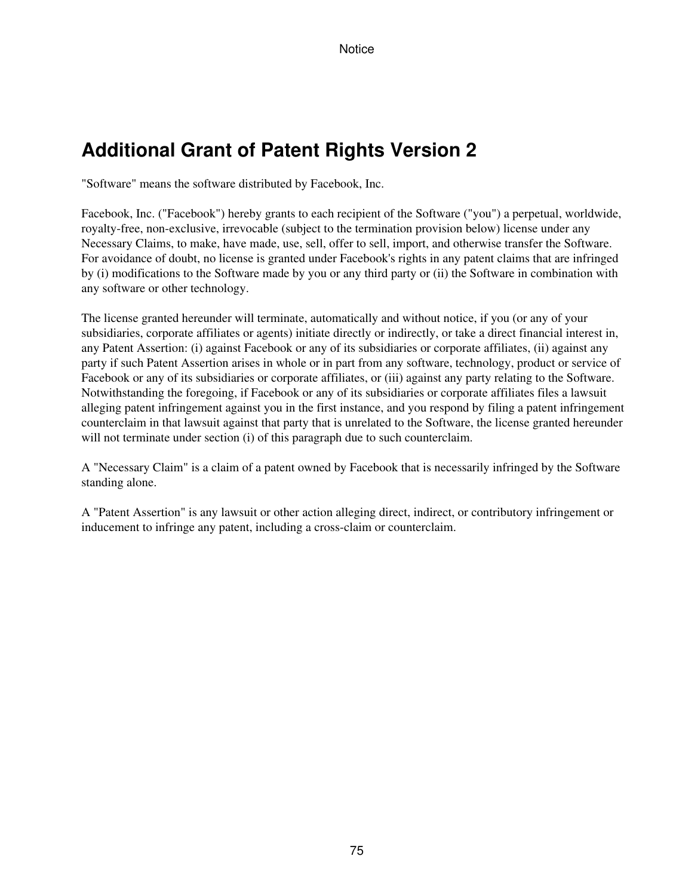# **Additional Grant of Patent Rights Version 2**

"Software" means the software distributed by Facebook, Inc.

Facebook, Inc. ("Facebook") hereby grants to each recipient of the Software ("you") a perpetual, worldwide, royalty-free, non-exclusive, irrevocable (subject to the termination provision below) license under any Necessary Claims, to make, have made, use, sell, offer to sell, import, and otherwise transfer the Software. For avoidance of doubt, no license is granted under Facebook's rights in any patent claims that are infringed by (i) modifications to the Software made by you or any third party or (ii) the Software in combination with any software or other technology.

The license granted hereunder will terminate, automatically and without notice, if you (or any of your subsidiaries, corporate affiliates or agents) initiate directly or indirectly, or take a direct financial interest in, any Patent Assertion: (i) against Facebook or any of its subsidiaries or corporate affiliates, (ii) against any party if such Patent Assertion arises in whole or in part from any software, technology, product or service of Facebook or any of its subsidiaries or corporate affiliates, or (iii) against any party relating to the Software. Notwithstanding the foregoing, if Facebook or any of its subsidiaries or corporate affiliates files a lawsuit alleging patent infringement against you in the first instance, and you respond by filing a patent infringement counterclaim in that lawsuit against that party that is unrelated to the Software, the license granted hereunder will not terminate under section (i) of this paragraph due to such counterclaim.

A "Necessary Claim" is a claim of a patent owned by Facebook that is necessarily infringed by the Software standing alone.

A "Patent Assertion" is any lawsuit or other action alleging direct, indirect, or contributory infringement or inducement to infringe any patent, including a cross-claim or counterclaim.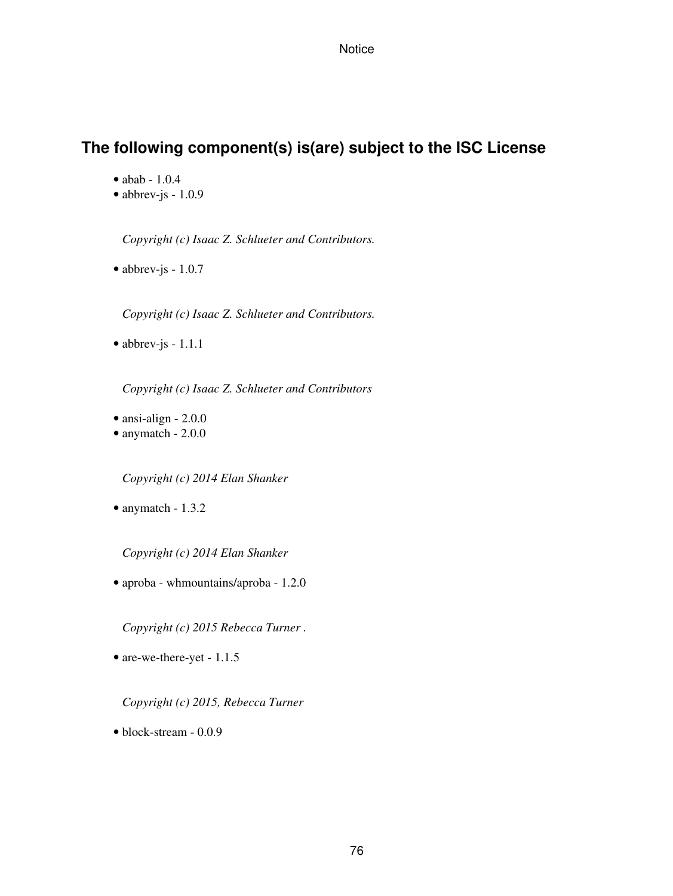## **The following component(s) is(are) subject to the ISC License**

- abab 1.0.4
- $\bullet$  abbrev-js 1.0.9

*Copyright (c) Isaac Z. Schlueter and Contributors.*

• abbrev-js - 1.0.7

*Copyright (c) Isaac Z. Schlueter and Contributors.*

• abbrev-js - 1.1.1

*Copyright (c) Isaac Z. Schlueter and Contributors*

- ansi-align 2.0.0
- anymatch 2.0.0

*Copyright (c) 2014 Elan Shanker*

• anymatch - 1.3.2

*Copyright (c) 2014 Elan Shanker*

• aproba - whmountains/aproba - 1.2.0

*Copyright (c) 2015 Rebecca Turner .*

• are-we-there-yet - 1.1.5

*Copyright (c) 2015, Rebecca Turner*

• block-stream - 0.0.9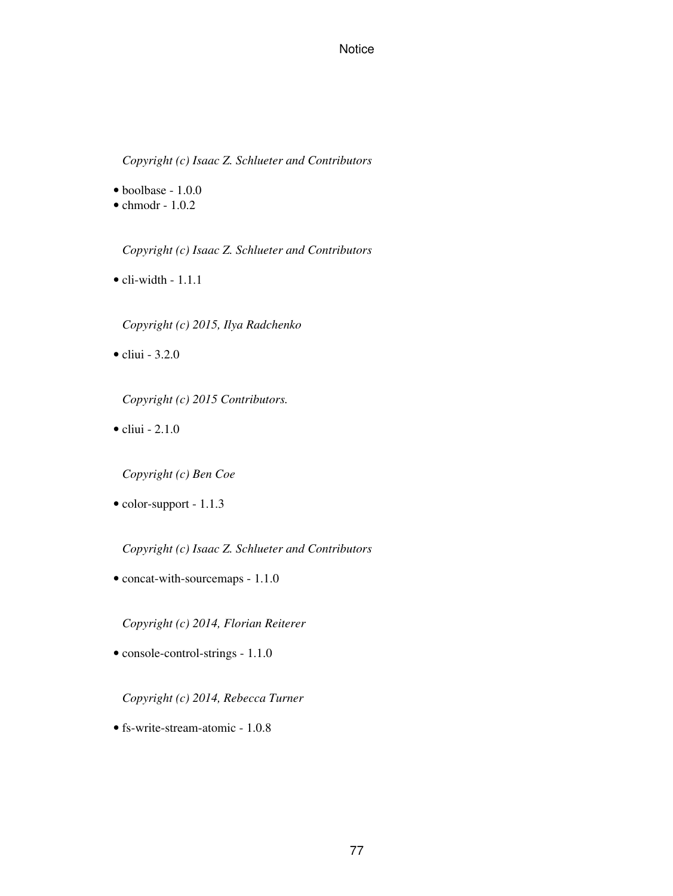*Copyright (c) Isaac Z. Schlueter and Contributors*

• boolbase - 1.0.0

 $\bullet$  chmodr - 1.0.2

*Copyright (c) Isaac Z. Schlueter and Contributors*

 $\bullet$  cli-width - 1.1.1

*Copyright (c) 2015, Ilya Radchenko*

• cliui - 3.2.0

*Copyright (c) 2015 Contributors.*

 $\bullet$  cliui - 2.1.0

*Copyright (c) Ben Coe*

• color-support - 1.1.3

*Copyright (c) Isaac Z. Schlueter and Contributors*

• concat-with-sourcemaps - 1.1.0

*Copyright (c) 2014, Florian Reiterer*

• console-control-strings - 1.1.0

*Copyright (c) 2014, Rebecca Turner*

• fs-write-stream-atomic - 1.0.8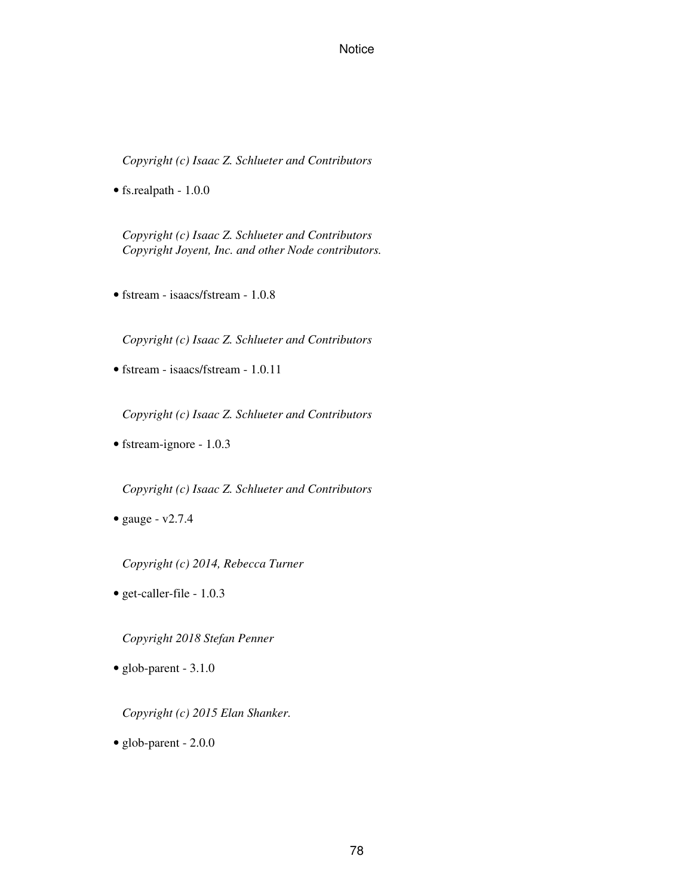*Copyright (c) Isaac Z. Schlueter and Contributors*

• fs.realpath - 1.0.0

*Copyright (c) Isaac Z. Schlueter and Contributors Copyright Joyent, Inc. and other Node contributors.*

• fstream - isaacs/fstream - 1.0.8

*Copyright (c) Isaac Z. Schlueter and Contributors*

• fstream - isaacs/fstream - 1.0.11

*Copyright (c) Isaac Z. Schlueter and Contributors*

• fstream-ignore - 1.0.3

*Copyright (c) Isaac Z. Schlueter and Contributors*

• gauge -  $v2.7.4$ 

*Copyright (c) 2014, Rebecca Turner*

• get-caller-file - 1.0.3

*Copyright 2018 Stefan Penner*

• glob-parent - 3.1.0

*Copyright (c) 2015 Elan Shanker.*

• glob-parent - 2.0.0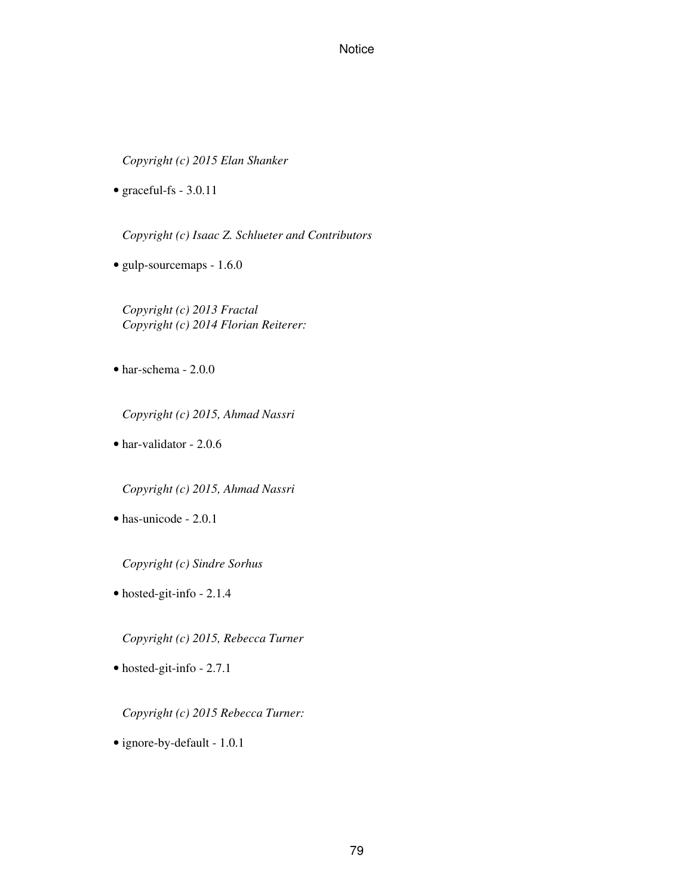*Copyright (c) 2015 Elan Shanker*

• graceful-fs - 3.0.11

*Copyright (c) Isaac Z. Schlueter and Contributors*

• gulp-sourcemaps - 1.6.0

*Copyright (c) 2013 Fractal Copyright (c) 2014 Florian Reiterer:*

• har-schema - 2.0.0

*Copyright (c) 2015, Ahmad Nassri*

• har-validator - 2.0.6

*Copyright (c) 2015, Ahmad Nassri*

• has-unicode - 2.0.1

*Copyright (c) Sindre Sorhus*

• hosted-git-info - 2.1.4

*Copyright (c) 2015, Rebecca Turner*

• hosted-git-info - 2.7.1

*Copyright (c) 2015 Rebecca Turner:*

• ignore-by-default - 1.0.1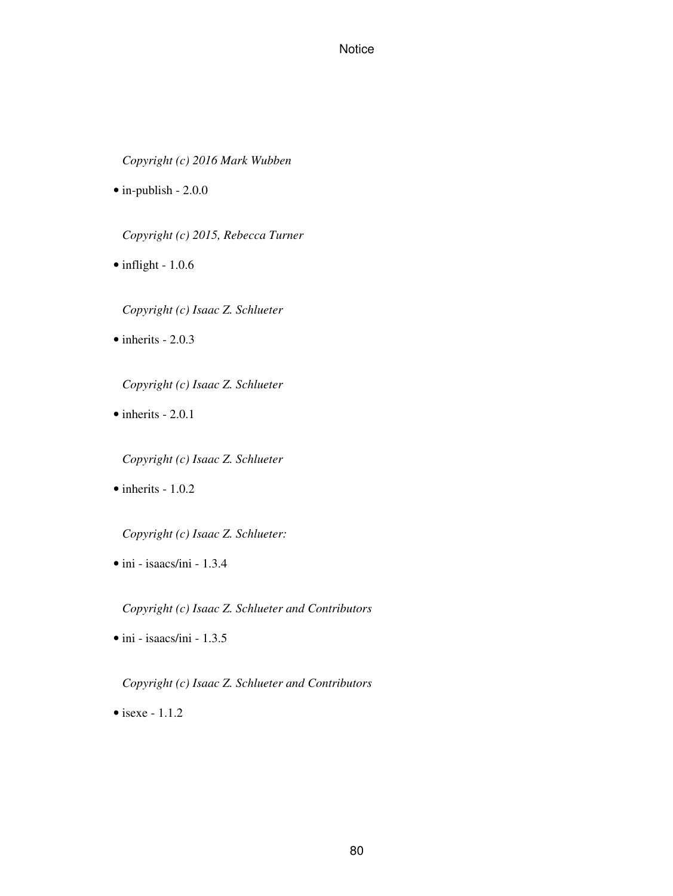*Copyright (c) 2016 Mark Wubben*

• in-publish - 2.0.0

*Copyright (c) 2015, Rebecca Turner*

• inflight - 1.0.6

*Copyright (c) Isaac Z. Schlueter*

 $\bullet$  inherits - 2.0.3

*Copyright (c) Isaac Z. Schlueter*

 $\bullet$  inherits  $-2.0.1$ 

*Copyright (c) Isaac Z. Schlueter*

 $\bullet$  inherits - 1.0.2

*Copyright (c) Isaac Z. Schlueter:*

• ini - isaacs/ini - 1.3.4

*Copyright (c) Isaac Z. Schlueter and Contributors*

• ini - isaacs/ini - 1.3.5

*Copyright (c) Isaac Z. Schlueter and Contributors*

 $\bullet$  isexe - 1.1.2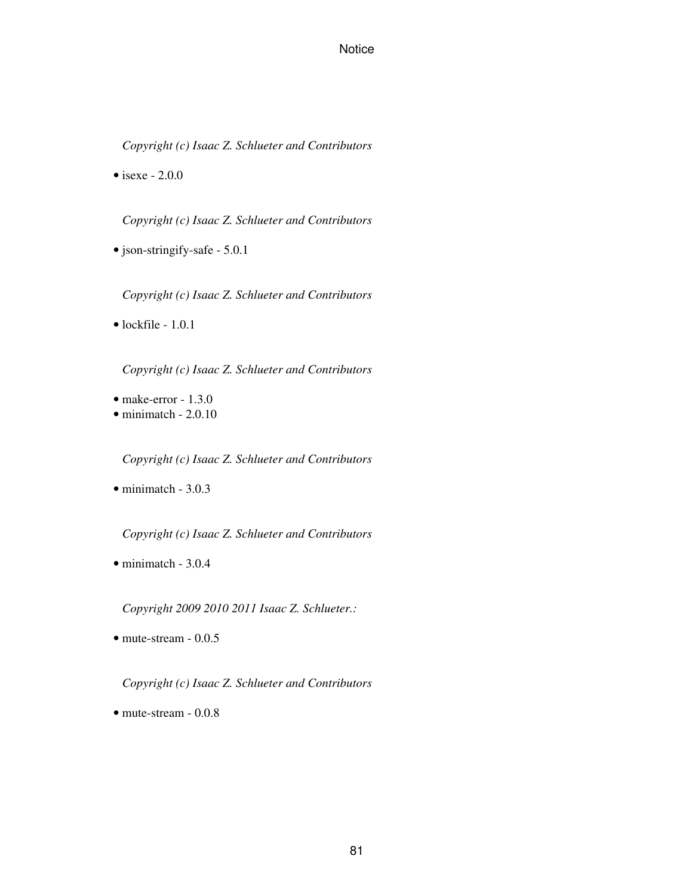*Copyright (c) Isaac Z. Schlueter and Contributors*

• isexe -  $2.0.0$ 

*Copyright (c) Isaac Z. Schlueter and Contributors*

• json-stringify-safe - 5.0.1

*Copyright (c) Isaac Z. Schlueter and Contributors*

 $\bullet$  lockfile - 1.0.1

*Copyright (c) Isaac Z. Schlueter and Contributors*

• make-error - 1.3.0

• minimatch - 2.0.10

*Copyright (c) Isaac Z. Schlueter and Contributors*

• minimatch - 3.0.3

*Copyright (c) Isaac Z. Schlueter and Contributors*

• minimatch - 3.0.4

*Copyright 2009 2010 2011 Isaac Z. Schlueter.:*

• mute-stream - 0.0.5

*Copyright (c) Isaac Z. Schlueter and Contributors*

• mute-stream - 0.0.8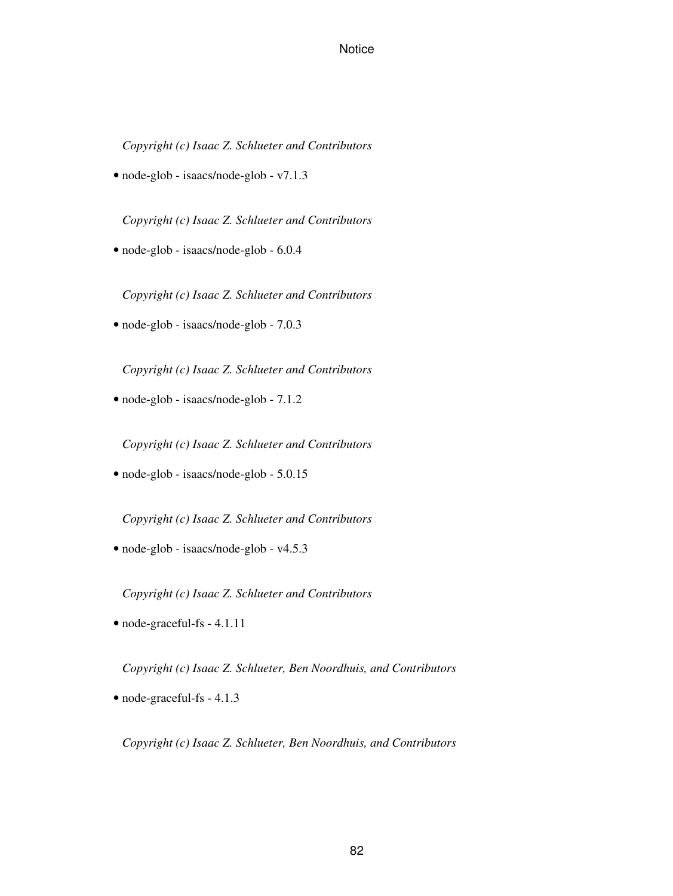*Copyright (c) Isaac Z. Schlueter and Contributors*

• node-glob - isaacs/node-glob - v7.1.3

*Copyright (c) Isaac Z. Schlueter and Contributors*

• node-glob - isaacs/node-glob - 6.0.4

*Copyright (c) Isaac Z. Schlueter and Contributors*

• node-glob - isaacs/node-glob - 7.0.3

*Copyright (c) Isaac Z. Schlueter and Contributors*

• node-glob - isaacs/node-glob - 7.1.2

*Copyright (c) Isaac Z. Schlueter and Contributors*

• node-glob - isaacs/node-glob - 5.0.15

*Copyright (c) Isaac Z. Schlueter and Contributors*

• node-glob - isaacs/node-glob - v4.5.3

*Copyright (c) Isaac Z. Schlueter and Contributors*

• node-graceful-fs - 4.1.11

*Copyright (c) Isaac Z. Schlueter, Ben Noordhuis, and Contributors*

• node-graceful-fs - 4.1.3

*Copyright (c) Isaac Z. Schlueter, Ben Noordhuis, and Contributors*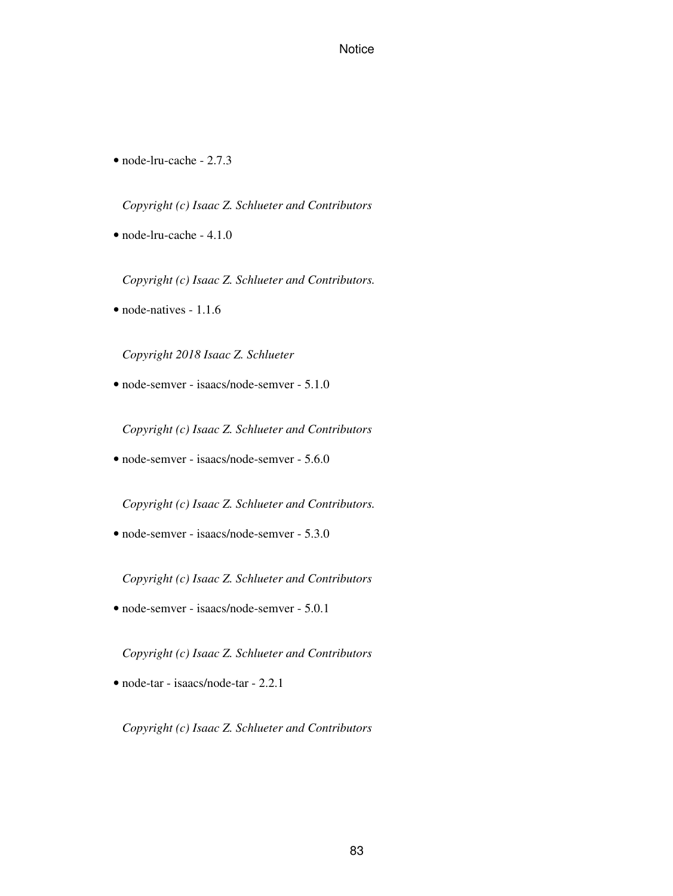• node-lru-cache - 2.7.3

*Copyright (c) Isaac Z. Schlueter and Contributors*

• node-lru-cache - 4.1.0

*Copyright (c) Isaac Z. Schlueter and Contributors.*

• node-natives - 1.1.6

*Copyright 2018 Isaac Z. Schlueter*

• node-semver - isaacs/node-semver - 5.1.0

*Copyright (c) Isaac Z. Schlueter and Contributors*

• node-semver - isaacs/node-semver - 5.6.0

*Copyright (c) Isaac Z. Schlueter and Contributors.*

• node-semver - isaacs/node-semver - 5.3.0

*Copyright (c) Isaac Z. Schlueter and Contributors*

• node-semver - isaacs/node-semver - 5.0.1

*Copyright (c) Isaac Z. Schlueter and Contributors*

• node-tar - isaacs/node-tar - 2.2.1

*Copyright (c) Isaac Z. Schlueter and Contributors*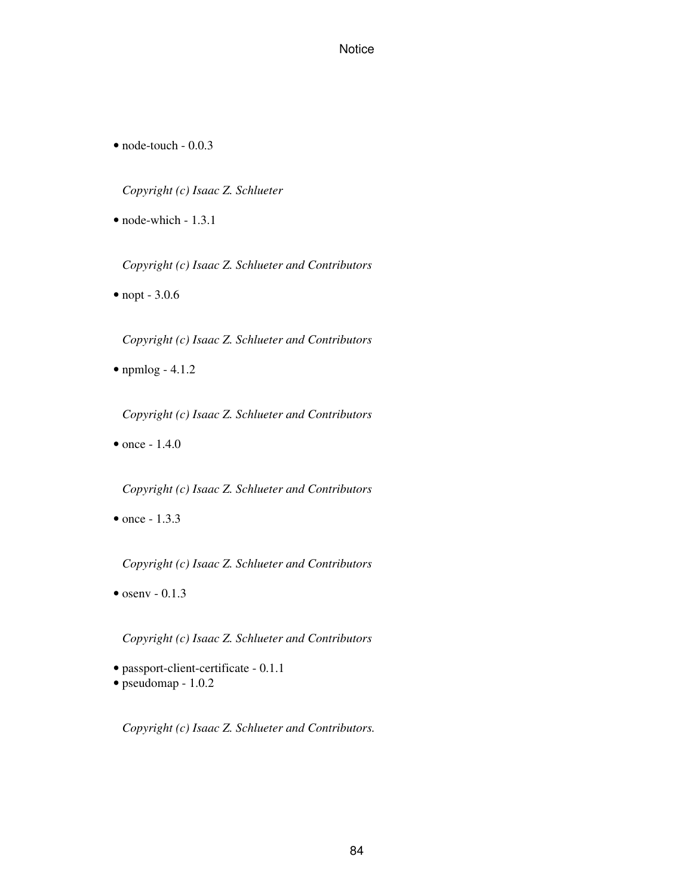• node-touch - 0.0.3

*Copyright (c) Isaac Z. Schlueter*

• node-which - 1.3.1

*Copyright (c) Isaac Z. Schlueter and Contributors*

• nopt - 3.0.6

*Copyright (c) Isaac Z. Schlueter and Contributors*

• npmlog - 4.1.2

*Copyright (c) Isaac Z. Schlueter and Contributors*

• once - 1.4.0

*Copyright (c) Isaac Z. Schlueter and Contributors*

• once - 1.3.3

*Copyright (c) Isaac Z. Schlueter and Contributors*

 $\bullet$  osenv - 0.1.3

*Copyright (c) Isaac Z. Schlueter and Contributors*

- passport-client-certificate 0.1.1
- pseudomap 1.0.2

*Copyright (c) Isaac Z. Schlueter and Contributors.*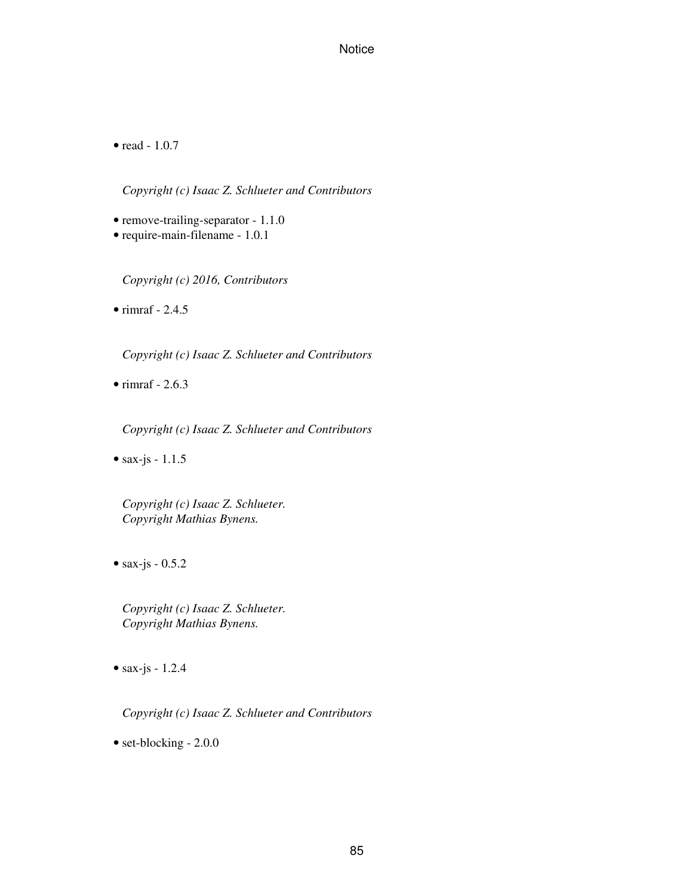• read - 1.0.7

*Copyright (c) Isaac Z. Schlueter and Contributors*

• remove-trailing-separator - 1.1.0

• require-main-filename - 1.0.1

*Copyright (c) 2016, Contributors*

 $\bullet$  rimraf - 2.4.5

*Copyright (c) Isaac Z. Schlueter and Contributors*

 $\bullet$  rimraf - 2.6.3

*Copyright (c) Isaac Z. Schlueter and Contributors*

• sax-js -  $1.1.5$ 

*Copyright (c) Isaac Z. Schlueter. Copyright Mathias Bynens.*

• sax-js - 0.5.2

*Copyright (c) Isaac Z. Schlueter. Copyright Mathias Bynens.*

• sax-js -  $1.2.4$ 

*Copyright (c) Isaac Z. Schlueter and Contributors*

• set-blocking - 2.0.0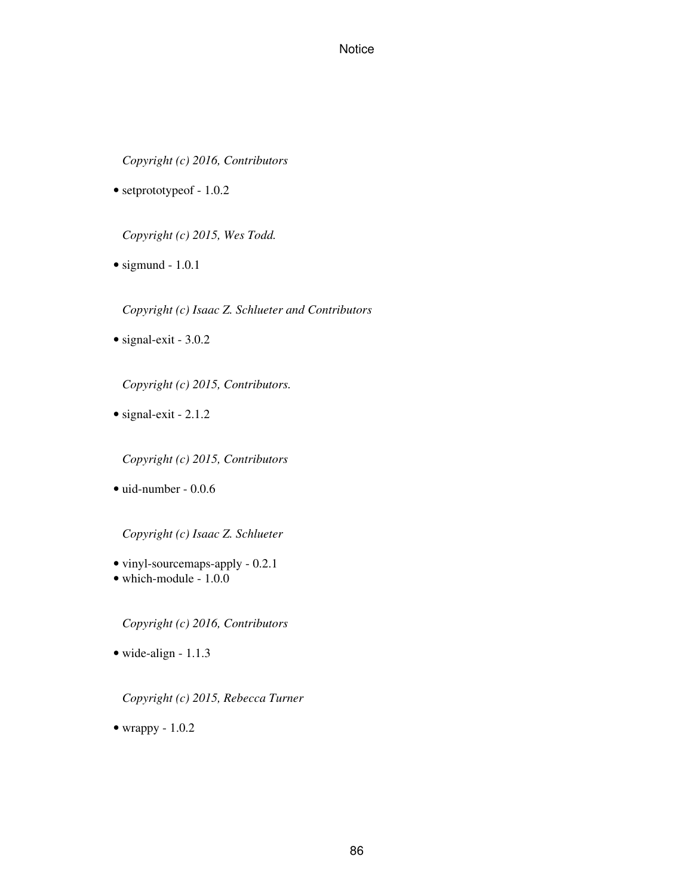*Copyright (c) 2016, Contributors*

• setprototypeof - 1.0.2

*Copyright (c) 2015, Wes Todd.*

 $\bullet$  sigmund - 1.0.1

*Copyright (c) Isaac Z. Schlueter and Contributors*

• signal-exit - 3.0.2

*Copyright (c) 2015, Contributors.*

• signal-exit - 2.1.2

*Copyright (c) 2015, Contributors*

• uid-number - 0.0.6

*Copyright (c) Isaac Z. Schlueter*

- vinyl-sourcemaps-apply 0.2.1
- which-module 1.0.0

*Copyright (c) 2016, Contributors*

• wide-align - 1.1.3

*Copyright (c) 2015, Rebecca Turner*

• wrappy - 1.0.2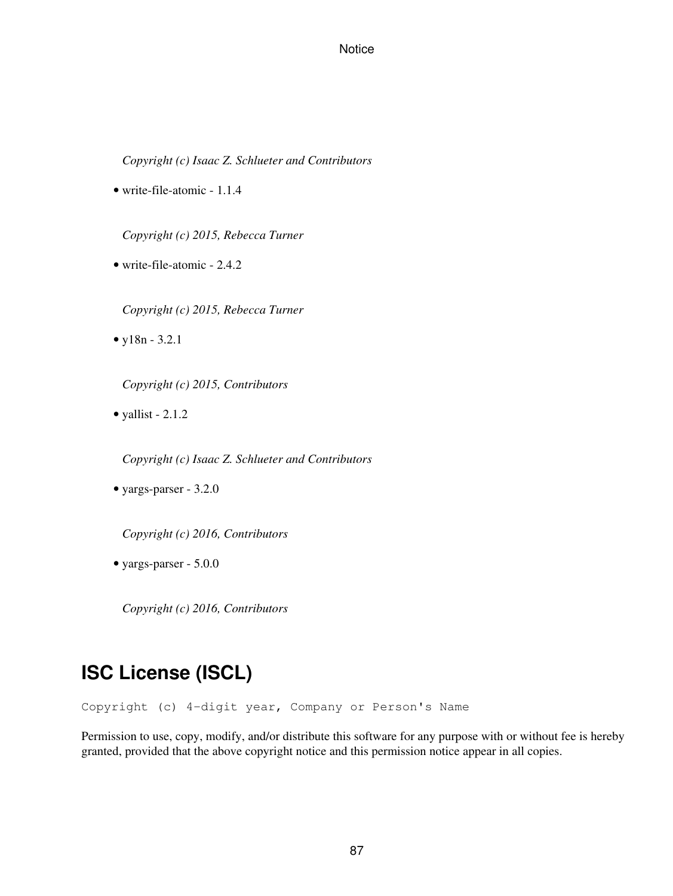*Copyright (c) Isaac Z. Schlueter and Contributors*

• write-file-atomic - 1.1.4

*Copyright (c) 2015, Rebecca Turner*

• write-file-atomic - 2.4.2

*Copyright (c) 2015, Rebecca Turner*

• y18n - 3.2.1

*Copyright (c) 2015, Contributors*

• yallist -  $2.1.2$ 

*Copyright (c) Isaac Z. Schlueter and Contributors*

• yargs-parser - 3.2.0

*Copyright (c) 2016, Contributors*

• yargs-parser - 5.0.0

*Copyright (c) 2016, Contributors*

# **ISC License (ISCL)**

Copyright (c) 4-digit year, Company or Person's Name

Permission to use, copy, modify, and/or distribute this software for any purpose with or without fee is hereby granted, provided that the above copyright notice and this permission notice appear in all copies.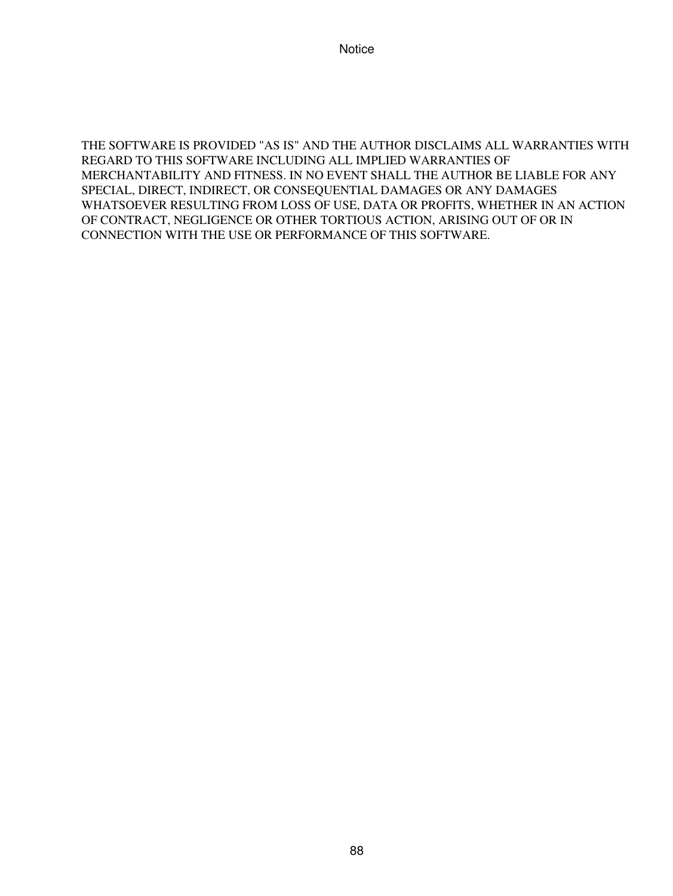THE SOFTWARE IS PROVIDED "AS IS" AND THE AUTHOR DISCLAIMS ALL WARRANTIES WITH REGARD TO THIS SOFTWARE INCLUDING ALL IMPLIED WARRANTIES OF MERCHANTABILITY AND FITNESS. IN NO EVENT SHALL THE AUTHOR BE LIABLE FOR ANY SPECIAL, DIRECT, INDIRECT, OR CONSEQUENTIAL DAMAGES OR ANY DAMAGES WHATSOEVER RESULTING FROM LOSS OF USE, DATA OR PROFITS, WHETHER IN AN ACTION OF CONTRACT, NEGLIGENCE OR OTHER TORTIOUS ACTION, ARISING OUT OF OR IN CONNECTION WITH THE USE OR PERFORMANCE OF THIS SOFTWARE.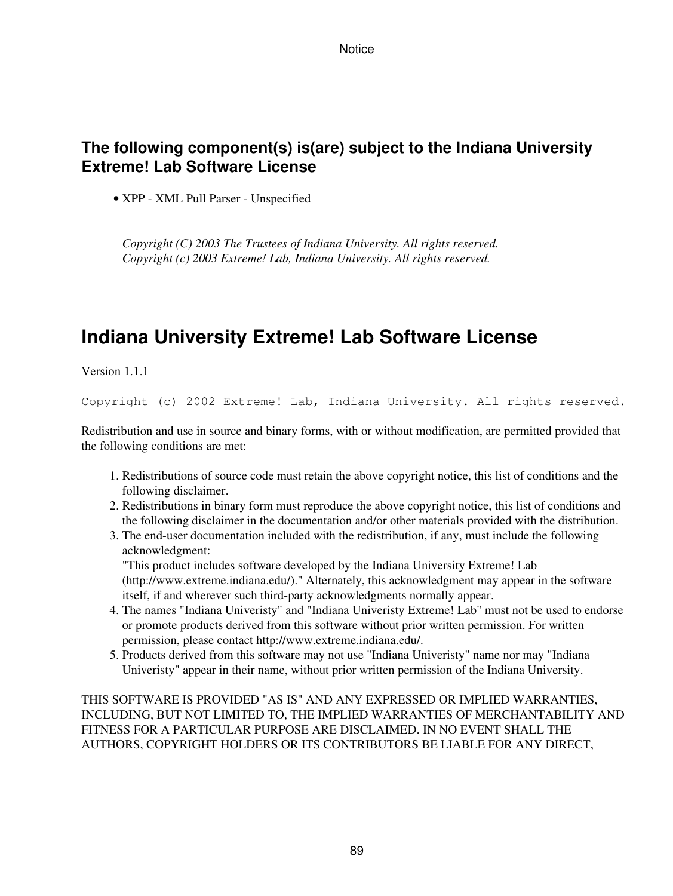## **The following component(s) is(are) subject to the Indiana University Extreme! Lab Software License**

• XPP - XML Pull Parser - Unspecified

*Copyright (C) 2003 The Trustees of Indiana University. All rights reserved. Copyright (c) 2003 Extreme! Lab, Indiana University. All rights reserved.*

# **Indiana University Extreme! Lab Software License**

Version 1.1.1

Copyright (c) 2002 Extreme! Lab, Indiana University. All rights reserved.

Redistribution and use in source and binary forms, with or without modification, are permitted provided that the following conditions are met:

- 1. Redistributions of source code must retain the above copyright notice, this list of conditions and the following disclaimer.
- 2. Redistributions in binary form must reproduce the above copyright notice, this list of conditions and the following disclaimer in the documentation and/or other materials provided with the distribution.
- 3. The end-user documentation included with the redistribution, if any, must include the following acknowledgment:

"This product includes software developed by the Indiana University Extreme! Lab (http://www.extreme.indiana.edu/)." Alternately, this acknowledgment may appear in the software itself, if and wherever such third-party acknowledgments normally appear.

- The names "Indiana Univeristy" and "Indiana Univeristy Extreme! Lab" must not be used to endorse 4. or promote products derived from this software without prior written permission. For written permission, please contact http://www.extreme.indiana.edu/.
- 5. Products derived from this software may not use "Indiana Univeristy" name nor may "Indiana Univeristy" appear in their name, without prior written permission of the Indiana University.

THIS SOFTWARE IS PROVIDED "AS IS" AND ANY EXPRESSED OR IMPLIED WARRANTIES, INCLUDING, BUT NOT LIMITED TO, THE IMPLIED WARRANTIES OF MERCHANTABILITY AND FITNESS FOR A PARTICULAR PURPOSE ARE DISCLAIMED. IN NO EVENT SHALL THE AUTHORS, COPYRIGHT HOLDERS OR ITS CONTRIBUTORS BE LIABLE FOR ANY DIRECT,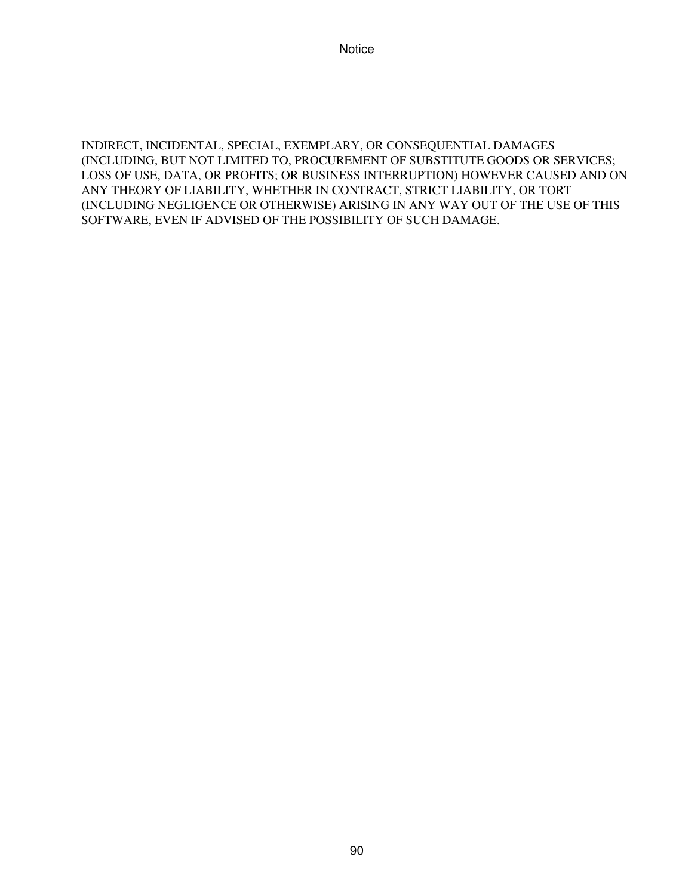INDIRECT, INCIDENTAL, SPECIAL, EXEMPLARY, OR CONSEQUENTIAL DAMAGES (INCLUDING, BUT NOT LIMITED TO, PROCUREMENT OF SUBSTITUTE GOODS OR SERVICES; LOSS OF USE, DATA, OR PROFITS; OR BUSINESS INTERRUPTION) HOWEVER CAUSED AND ON ANY THEORY OF LIABILITY, WHETHER IN CONTRACT, STRICT LIABILITY, OR TORT (INCLUDING NEGLIGENCE OR OTHERWISE) ARISING IN ANY WAY OUT OF THE USE OF THIS SOFTWARE, EVEN IF ADVISED OF THE POSSIBILITY OF SUCH DAMAGE.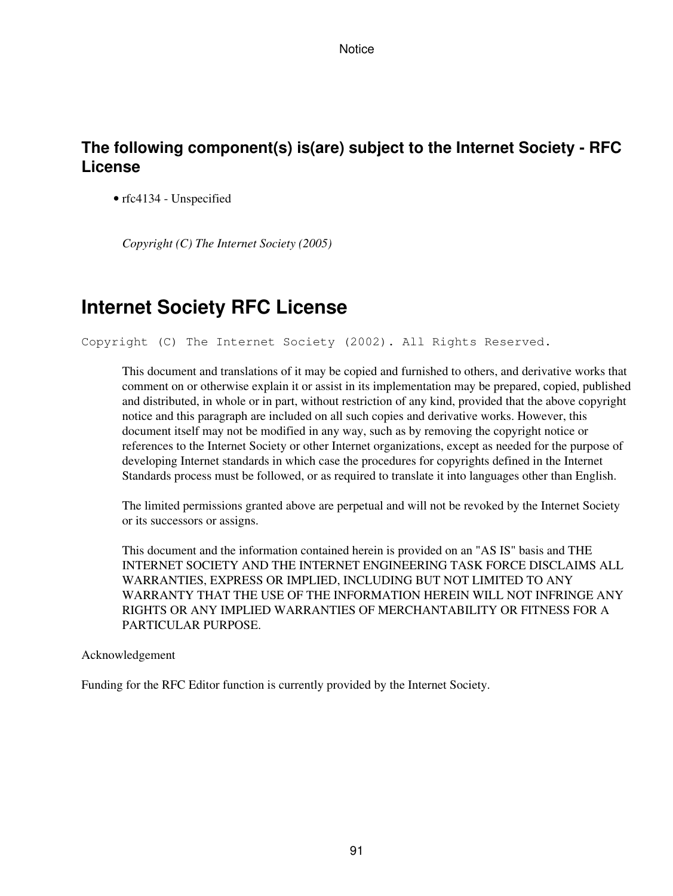## **The following component(s) is(are) subject to the Internet Society - RFC License**

• rfc4134 - Unspecified

*Copyright (C) The Internet Society (2005)*

## **Internet Society RFC License**

Copyright (C) The Internet Society (2002). All Rights Reserved.

This document and translations of it may be copied and furnished to others, and derivative works that comment on or otherwise explain it or assist in its implementation may be prepared, copied, published and distributed, in whole or in part, without restriction of any kind, provided that the above copyright notice and this paragraph are included on all such copies and derivative works. However, this document itself may not be modified in any way, such as by removing the copyright notice or references to the Internet Society or other Internet organizations, except as needed for the purpose of developing Internet standards in which case the procedures for copyrights defined in the Internet Standards process must be followed, or as required to translate it into languages other than English.

The limited permissions granted above are perpetual and will not be revoked by the Internet Society or its successors or assigns.

This document and the information contained herein is provided on an "AS IS" basis and THE INTERNET SOCIETY AND THE INTERNET ENGINEERING TASK FORCE DISCLAIMS ALL WARRANTIES, EXPRESS OR IMPLIED, INCLUDING BUT NOT LIMITED TO ANY WARRANTY THAT THE USE OF THE INFORMATION HEREIN WILL NOT INFRINGE ANY RIGHTS OR ANY IMPLIED WARRANTIES OF MERCHANTABILITY OR FITNESS FOR A PARTICULAR PURPOSE.

Acknowledgement

Funding for the RFC Editor function is currently provided by the Internet Society.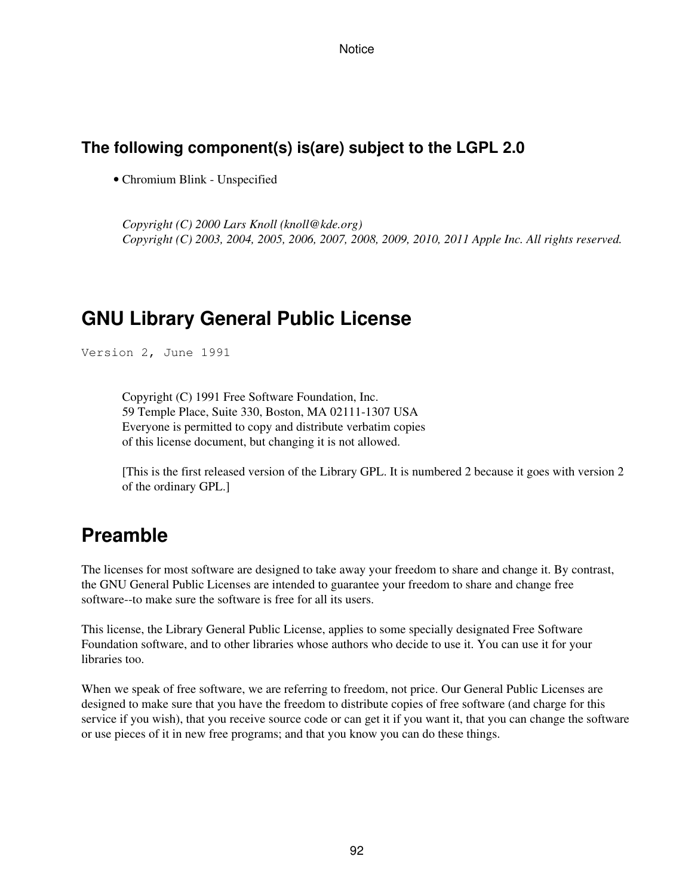### **The following component(s) is(are) subject to the LGPL 2.0**

• Chromium Blink - Unspecified

*Copyright (C) 2000 Lars Knoll (knoll@kde.org) Copyright (C) 2003, 2004, 2005, 2006, 2007, 2008, 2009, 2010, 2011 Apple Inc. All rights reserved.*

## **GNU Library General Public License**

Version 2, June 1991

Copyright (C) 1991 Free Software Foundation, Inc. 59 Temple Place, Suite 330, Boston, MA 02111-1307 USA Everyone is permitted to copy and distribute verbatim copies of this license document, but changing it is not allowed.

[This is the first released version of the Library GPL. It is numbered 2 because it goes with version 2 of the ordinary GPL.]

## **Preamble**

The licenses for most software are designed to take away your freedom to share and change it. By contrast, the GNU General Public Licenses are intended to guarantee your freedom to share and change free software--to make sure the software is free for all its users.

This license, the Library General Public License, applies to some specially designated Free Software Foundation software, and to other libraries whose authors who decide to use it. You can use it for your libraries too.

When we speak of free software, we are referring to freedom, not price. Our General Public Licenses are designed to make sure that you have the freedom to distribute copies of free software (and charge for this service if you wish), that you receive source code or can get it if you want it, that you can change the software or use pieces of it in new free programs; and that you know you can do these things.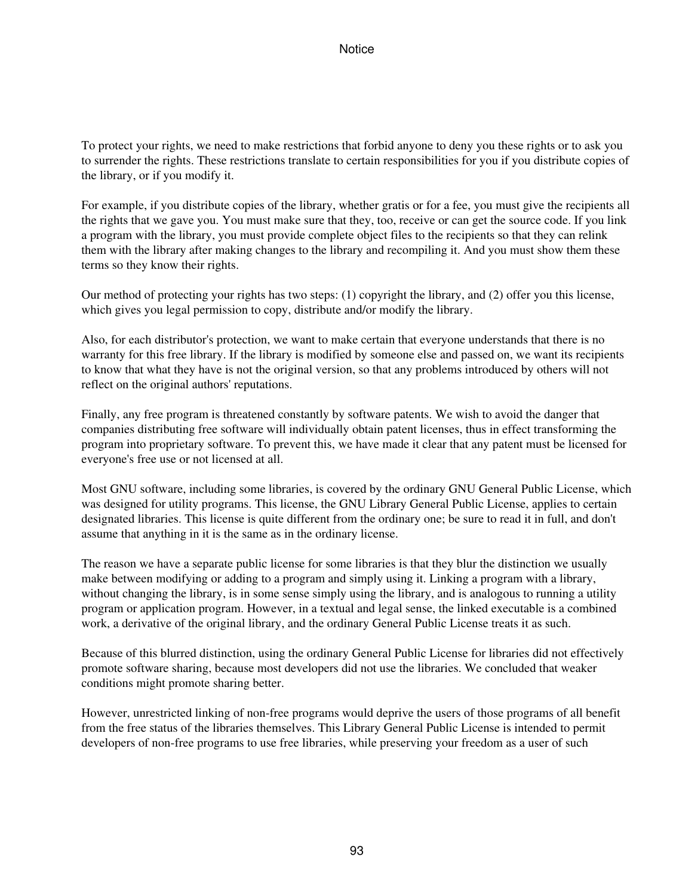To protect your rights, we need to make restrictions that forbid anyone to deny you these rights or to ask you to surrender the rights. These restrictions translate to certain responsibilities for you if you distribute copies of the library, or if you modify it.

For example, if you distribute copies of the library, whether gratis or for a fee, you must give the recipients all the rights that we gave you. You must make sure that they, too, receive or can get the source code. If you link a program with the library, you must provide complete object files to the recipients so that they can relink them with the library after making changes to the library and recompiling it. And you must show them these terms so they know their rights.

Our method of protecting your rights has two steps: (1) copyright the library, and (2) offer you this license, which gives you legal permission to copy, distribute and/or modify the library.

Also, for each distributor's protection, we want to make certain that everyone understands that there is no warranty for this free library. If the library is modified by someone else and passed on, we want its recipients to know that what they have is not the original version, so that any problems introduced by others will not reflect on the original authors' reputations.

Finally, any free program is threatened constantly by software patents. We wish to avoid the danger that companies distributing free software will individually obtain patent licenses, thus in effect transforming the program into proprietary software. To prevent this, we have made it clear that any patent must be licensed for everyone's free use or not licensed at all.

Most GNU software, including some libraries, is covered by the ordinary GNU General Public License, which was designed for utility programs. This license, the GNU Library General Public License, applies to certain designated libraries. This license is quite different from the ordinary one; be sure to read it in full, and don't assume that anything in it is the same as in the ordinary license.

The reason we have a separate public license for some libraries is that they blur the distinction we usually make between modifying or adding to a program and simply using it. Linking a program with a library, without changing the library, is in some sense simply using the library, and is analogous to running a utility program or application program. However, in a textual and legal sense, the linked executable is a combined work, a derivative of the original library, and the ordinary General Public License treats it as such.

Because of this blurred distinction, using the ordinary General Public License for libraries did not effectively promote software sharing, because most developers did not use the libraries. We concluded that weaker conditions might promote sharing better.

However, unrestricted linking of non-free programs would deprive the users of those programs of all benefit from the free status of the libraries themselves. This Library General Public License is intended to permit developers of non-free programs to use free libraries, while preserving your freedom as a user of such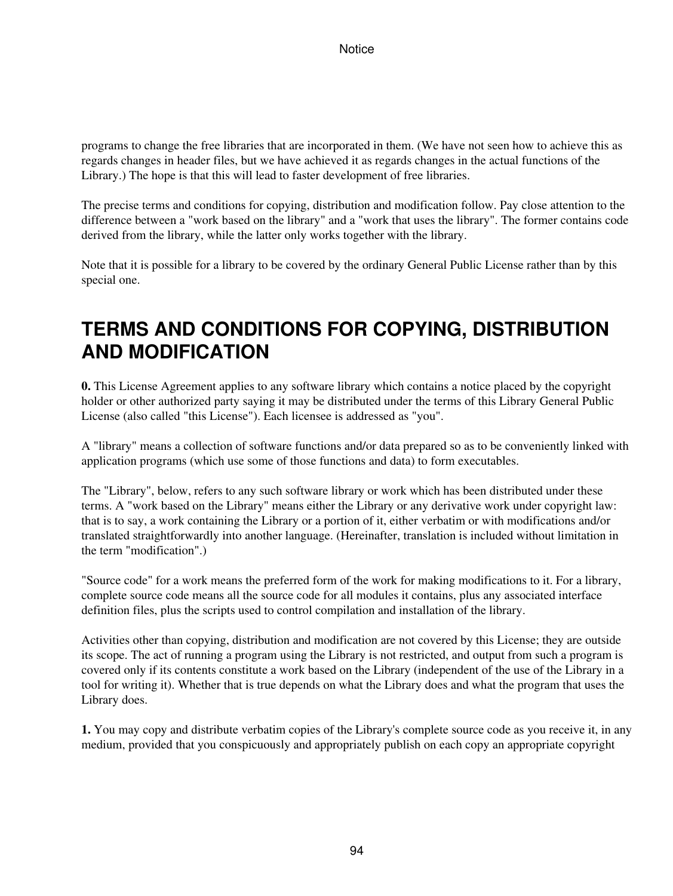programs to change the free libraries that are incorporated in them. (We have not seen how to achieve this as regards changes in header files, but we have achieved it as regards changes in the actual functions of the Library.) The hope is that this will lead to faster development of free libraries.

The precise terms and conditions for copying, distribution and modification follow. Pay close attention to the difference between a "work based on the library" and a "work that uses the library". The former contains code derived from the library, while the latter only works together with the library.

Note that it is possible for a library to be covered by the ordinary General Public License rather than by this special one.

# **TERMS AND CONDITIONS FOR COPYING, DISTRIBUTION AND MODIFICATION**

**0.** This License Agreement applies to any software library which contains a notice placed by the copyright holder or other authorized party saying it may be distributed under the terms of this Library General Public License (also called "this License"). Each licensee is addressed as "you".

A "library" means a collection of software functions and/or data prepared so as to be conveniently linked with application programs (which use some of those functions and data) to form executables.

The "Library", below, refers to any such software library or work which has been distributed under these terms. A "work based on the Library" means either the Library or any derivative work under copyright law: that is to say, a work containing the Library or a portion of it, either verbatim or with modifications and/or translated straightforwardly into another language. (Hereinafter, translation is included without limitation in the term "modification".)

"Source code" for a work means the preferred form of the work for making modifications to it. For a library, complete source code means all the source code for all modules it contains, plus any associated interface definition files, plus the scripts used to control compilation and installation of the library.

Activities other than copying, distribution and modification are not covered by this License; they are outside its scope. The act of running a program using the Library is not restricted, and output from such a program is covered only if its contents constitute a work based on the Library (independent of the use of the Library in a tool for writing it). Whether that is true depends on what the Library does and what the program that uses the Library does.

**1.** You may copy and distribute verbatim copies of the Library's complete source code as you receive it, in any medium, provided that you conspicuously and appropriately publish on each copy an appropriate copyright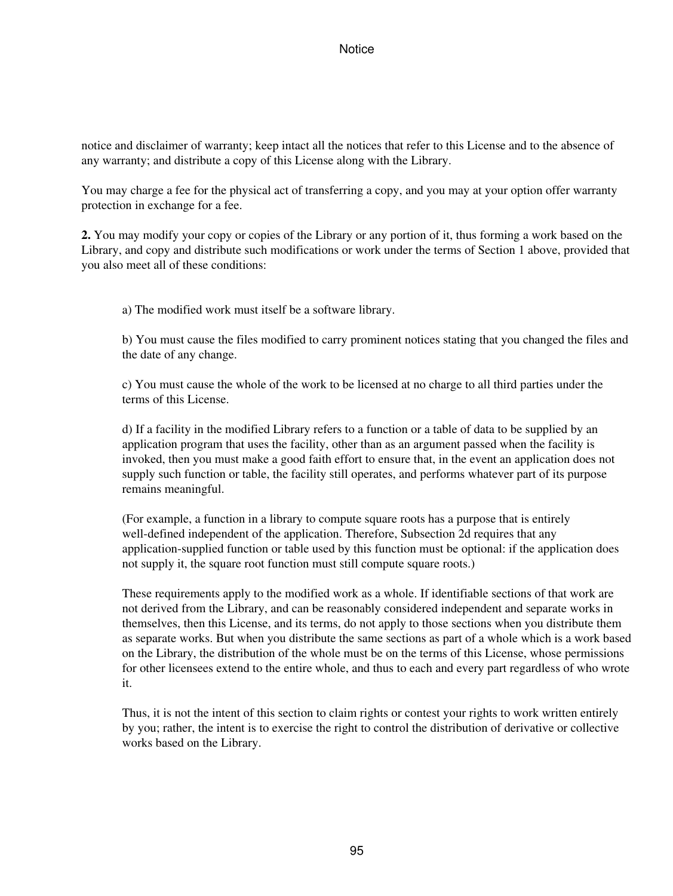notice and disclaimer of warranty; keep intact all the notices that refer to this License and to the absence of any warranty; and distribute a copy of this License along with the Library.

You may charge a fee for the physical act of transferring a copy, and you may at your option offer warranty protection in exchange for a fee.

**2.** You may modify your copy or copies of the Library or any portion of it, thus forming a work based on the Library, and copy and distribute such modifications or work under the terms of Section 1 above, provided that you also meet all of these conditions:

a) The modified work must itself be a software library.

b) You must cause the files modified to carry prominent notices stating that you changed the files and the date of any change.

c) You must cause the whole of the work to be licensed at no charge to all third parties under the terms of this License.

d) If a facility in the modified Library refers to a function or a table of data to be supplied by an application program that uses the facility, other than as an argument passed when the facility is invoked, then you must make a good faith effort to ensure that, in the event an application does not supply such function or table, the facility still operates, and performs whatever part of its purpose remains meaningful.

(For example, a function in a library to compute square roots has a purpose that is entirely well-defined independent of the application. Therefore, Subsection 2d requires that any application-supplied function or table used by this function must be optional: if the application does not supply it, the square root function must still compute square roots.)

These requirements apply to the modified work as a whole. If identifiable sections of that work are not derived from the Library, and can be reasonably considered independent and separate works in themselves, then this License, and its terms, do not apply to those sections when you distribute them as separate works. But when you distribute the same sections as part of a whole which is a work based on the Library, the distribution of the whole must be on the terms of this License, whose permissions for other licensees extend to the entire whole, and thus to each and every part regardless of who wrote it.

Thus, it is not the intent of this section to claim rights or contest your rights to work written entirely by you; rather, the intent is to exercise the right to control the distribution of derivative or collective works based on the Library.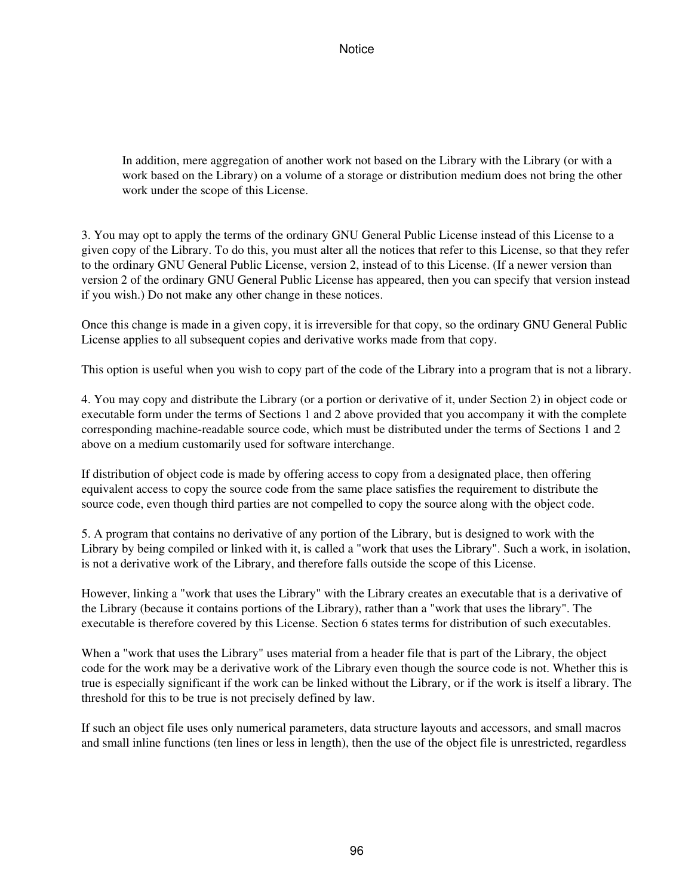In addition, mere aggregation of another work not based on the Library with the Library (or with a work based on the Library) on a volume of a storage or distribution medium does not bring the other work under the scope of this License.

3. You may opt to apply the terms of the ordinary GNU General Public License instead of this License to a given copy of the Library. To do this, you must alter all the notices that refer to this License, so that they refer to the ordinary GNU General Public License, version 2, instead of to this License. (If a newer version than version 2 of the ordinary GNU General Public License has appeared, then you can specify that version instead if you wish.) Do not make any other change in these notices.

Once this change is made in a given copy, it is irreversible for that copy, so the ordinary GNU General Public License applies to all subsequent copies and derivative works made from that copy.

This option is useful when you wish to copy part of the code of the Library into a program that is not a library.

4. You may copy and distribute the Library (or a portion or derivative of it, under Section 2) in object code or executable form under the terms of Sections 1 and 2 above provided that you accompany it with the complete corresponding machine-readable source code, which must be distributed under the terms of Sections 1 and 2 above on a medium customarily used for software interchange.

If distribution of object code is made by offering access to copy from a designated place, then offering equivalent access to copy the source code from the same place satisfies the requirement to distribute the source code, even though third parties are not compelled to copy the source along with the object code.

5. A program that contains no derivative of any portion of the Library, but is designed to work with the Library by being compiled or linked with it, is called a "work that uses the Library". Such a work, in isolation, is not a derivative work of the Library, and therefore falls outside the scope of this License.

However, linking a "work that uses the Library" with the Library creates an executable that is a derivative of the Library (because it contains portions of the Library), rather than a "work that uses the library". The executable is therefore covered by this License. Section 6 states terms for distribution of such executables.

When a "work that uses the Library" uses material from a header file that is part of the Library, the object code for the work may be a derivative work of the Library even though the source code is not. Whether this is true is especially significant if the work can be linked without the Library, or if the work is itself a library. The threshold for this to be true is not precisely defined by law.

If such an object file uses only numerical parameters, data structure layouts and accessors, and small macros and small inline functions (ten lines or less in length), then the use of the object file is unrestricted, regardless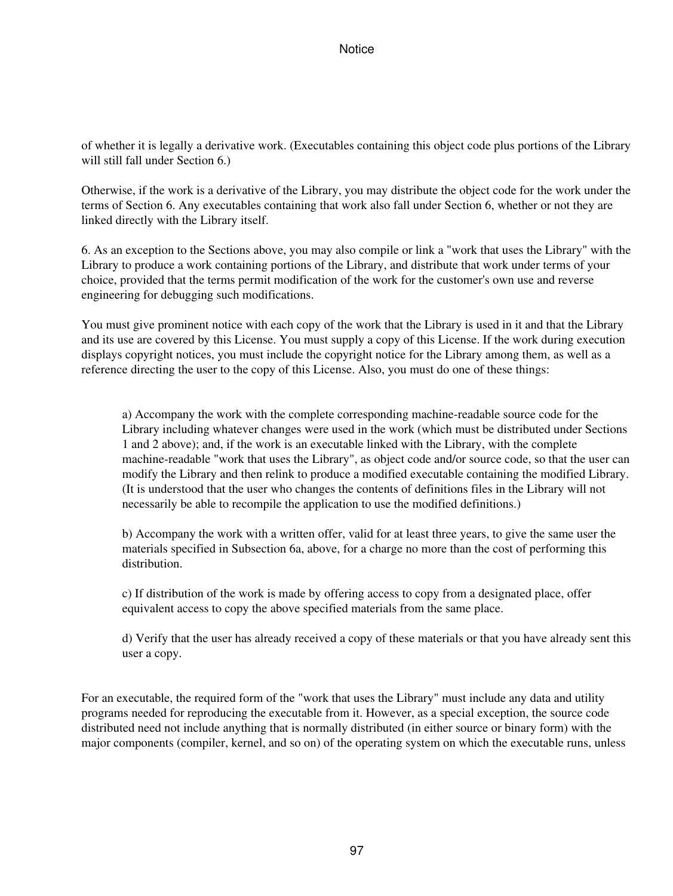of whether it is legally a derivative work. (Executables containing this object code plus portions of the Library will still fall under Section 6.)

Otherwise, if the work is a derivative of the Library, you may distribute the object code for the work under the terms of Section 6. Any executables containing that work also fall under Section 6, whether or not they are linked directly with the Library itself.

6. As an exception to the Sections above, you may also compile or link a "work that uses the Library" with the Library to produce a work containing portions of the Library, and distribute that work under terms of your choice, provided that the terms permit modification of the work for the customer's own use and reverse engineering for debugging such modifications.

You must give prominent notice with each copy of the work that the Library is used in it and that the Library and its use are covered by this License. You must supply a copy of this License. If the work during execution displays copyright notices, you must include the copyright notice for the Library among them, as well as a reference directing the user to the copy of this License. Also, you must do one of these things:

a) Accompany the work with the complete corresponding machine-readable source code for the Library including whatever changes were used in the work (which must be distributed under Sections 1 and 2 above); and, if the work is an executable linked with the Library, with the complete machine-readable "work that uses the Library", as object code and/or source code, so that the user can modify the Library and then relink to produce a modified executable containing the modified Library. (It is understood that the user who changes the contents of definitions files in the Library will not necessarily be able to recompile the application to use the modified definitions.)

b) Accompany the work with a written offer, valid for at least three years, to give the same user the materials specified in Subsection 6a, above, for a charge no more than the cost of performing this distribution.

c) If distribution of the work is made by offering access to copy from a designated place, offer equivalent access to copy the above specified materials from the same place.

d) Verify that the user has already received a copy of these materials or that you have already sent this user a copy.

For an executable, the required form of the "work that uses the Library" must include any data and utility programs needed for reproducing the executable from it. However, as a special exception, the source code distributed need not include anything that is normally distributed (in either source or binary form) with the major components (compiler, kernel, and so on) of the operating system on which the executable runs, unless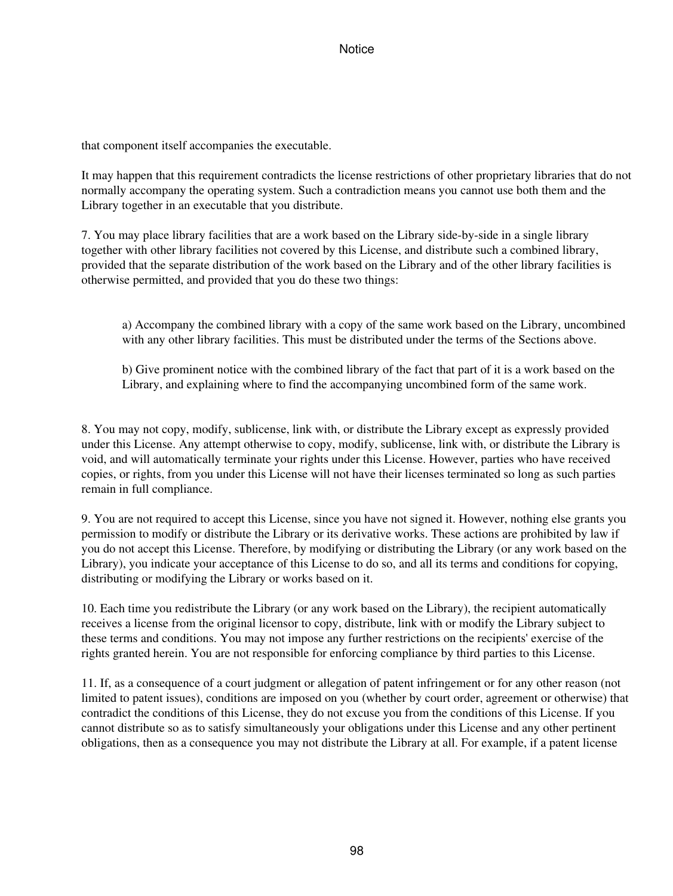that component itself accompanies the executable.

It may happen that this requirement contradicts the license restrictions of other proprietary libraries that do not normally accompany the operating system. Such a contradiction means you cannot use both them and the Library together in an executable that you distribute.

7. You may place library facilities that are a work based on the Library side-by-side in a single library together with other library facilities not covered by this License, and distribute such a combined library, provided that the separate distribution of the work based on the Library and of the other library facilities is otherwise permitted, and provided that you do these two things:

a) Accompany the combined library with a copy of the same work based on the Library, uncombined with any other library facilities. This must be distributed under the terms of the Sections above.

b) Give prominent notice with the combined library of the fact that part of it is a work based on the Library, and explaining where to find the accompanying uncombined form of the same work.

8. You may not copy, modify, sublicense, link with, or distribute the Library except as expressly provided under this License. Any attempt otherwise to copy, modify, sublicense, link with, or distribute the Library is void, and will automatically terminate your rights under this License. However, parties who have received copies, or rights, from you under this License will not have their licenses terminated so long as such parties remain in full compliance.

9. You are not required to accept this License, since you have not signed it. However, nothing else grants you permission to modify or distribute the Library or its derivative works. These actions are prohibited by law if you do not accept this License. Therefore, by modifying or distributing the Library (or any work based on the Library), you indicate your acceptance of this License to do so, and all its terms and conditions for copying, distributing or modifying the Library or works based on it.

10. Each time you redistribute the Library (or any work based on the Library), the recipient automatically receives a license from the original licensor to copy, distribute, link with or modify the Library subject to these terms and conditions. You may not impose any further restrictions on the recipients' exercise of the rights granted herein. You are not responsible for enforcing compliance by third parties to this License.

11. If, as a consequence of a court judgment or allegation of patent infringement or for any other reason (not limited to patent issues), conditions are imposed on you (whether by court order, agreement or otherwise) that contradict the conditions of this License, they do not excuse you from the conditions of this License. If you cannot distribute so as to satisfy simultaneously your obligations under this License and any other pertinent obligations, then as a consequence you may not distribute the Library at all. For example, if a patent license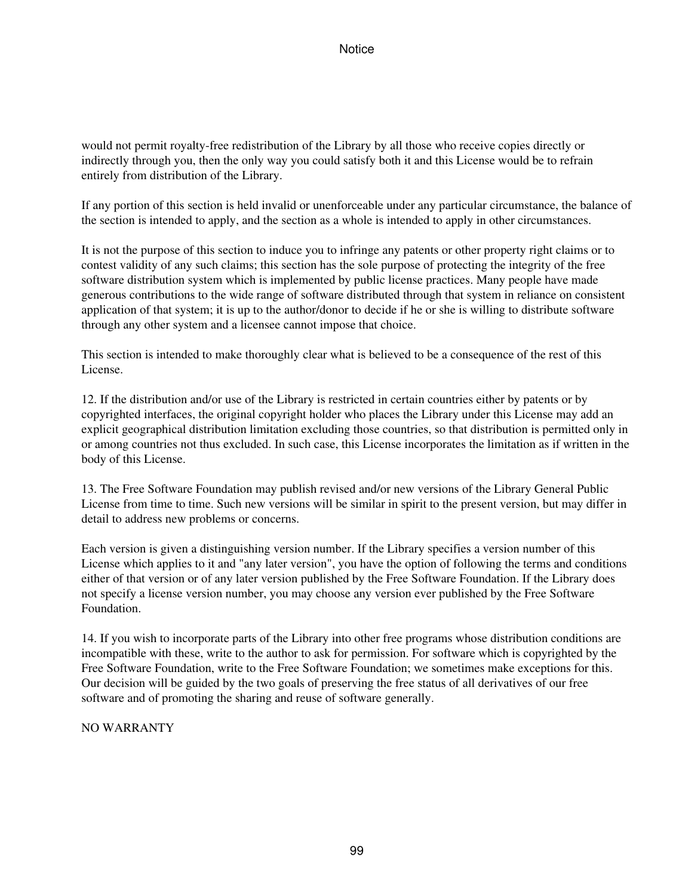would not permit royalty-free redistribution of the Library by all those who receive copies directly or indirectly through you, then the only way you could satisfy both it and this License would be to refrain entirely from distribution of the Library.

If any portion of this section is held invalid or unenforceable under any particular circumstance, the balance of the section is intended to apply, and the section as a whole is intended to apply in other circumstances.

It is not the purpose of this section to induce you to infringe any patents or other property right claims or to contest validity of any such claims; this section has the sole purpose of protecting the integrity of the free software distribution system which is implemented by public license practices. Many people have made generous contributions to the wide range of software distributed through that system in reliance on consistent application of that system; it is up to the author/donor to decide if he or she is willing to distribute software through any other system and a licensee cannot impose that choice.

This section is intended to make thoroughly clear what is believed to be a consequence of the rest of this License.

12. If the distribution and/or use of the Library is restricted in certain countries either by patents or by copyrighted interfaces, the original copyright holder who places the Library under this License may add an explicit geographical distribution limitation excluding those countries, so that distribution is permitted only in or among countries not thus excluded. In such case, this License incorporates the limitation as if written in the body of this License.

13. The Free Software Foundation may publish revised and/or new versions of the Library General Public License from time to time. Such new versions will be similar in spirit to the present version, but may differ in detail to address new problems or concerns.

Each version is given a distinguishing version number. If the Library specifies a version number of this License which applies to it and "any later version", you have the option of following the terms and conditions either of that version or of any later version published by the Free Software Foundation. If the Library does not specify a license version number, you may choose any version ever published by the Free Software Foundation.

14. If you wish to incorporate parts of the Library into other free programs whose distribution conditions are incompatible with these, write to the author to ask for permission. For software which is copyrighted by the Free Software Foundation, write to the Free Software Foundation; we sometimes make exceptions for this. Our decision will be guided by the two goals of preserving the free status of all derivatives of our free software and of promoting the sharing and reuse of software generally.

NO WARRANTY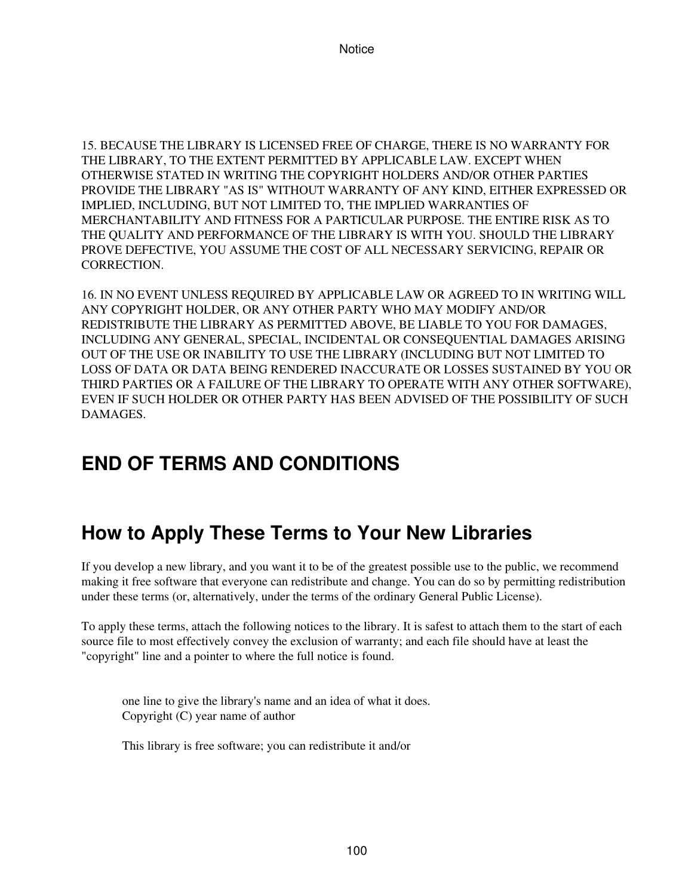15. BECAUSE THE LIBRARY IS LICENSED FREE OF CHARGE, THERE IS NO WARRANTY FOR THE LIBRARY, TO THE EXTENT PERMITTED BY APPLICABLE LAW. EXCEPT WHEN OTHERWISE STATED IN WRITING THE COPYRIGHT HOLDERS AND/OR OTHER PARTIES PROVIDE THE LIBRARY "AS IS" WITHOUT WARRANTY OF ANY KIND, EITHER EXPRESSED OR IMPLIED, INCLUDING, BUT NOT LIMITED TO, THE IMPLIED WARRANTIES OF MERCHANTABILITY AND FITNESS FOR A PARTICULAR PURPOSE. THE ENTIRE RISK AS TO THE QUALITY AND PERFORMANCE OF THE LIBRARY IS WITH YOU. SHOULD THE LIBRARY PROVE DEFECTIVE, YOU ASSUME THE COST OF ALL NECESSARY SERVICING, REPAIR OR CORRECTION.

16. IN NO EVENT UNLESS REQUIRED BY APPLICABLE LAW OR AGREED TO IN WRITING WILL ANY COPYRIGHT HOLDER, OR ANY OTHER PARTY WHO MAY MODIFY AND/OR REDISTRIBUTE THE LIBRARY AS PERMITTED ABOVE, BE LIABLE TO YOU FOR DAMAGES, INCLUDING ANY GENERAL, SPECIAL, INCIDENTAL OR CONSEQUENTIAL DAMAGES ARISING OUT OF THE USE OR INABILITY TO USE THE LIBRARY (INCLUDING BUT NOT LIMITED TO LOSS OF DATA OR DATA BEING RENDERED INACCURATE OR LOSSES SUSTAINED BY YOU OR THIRD PARTIES OR A FAILURE OF THE LIBRARY TO OPERATE WITH ANY OTHER SOFTWARE), EVEN IF SUCH HOLDER OR OTHER PARTY HAS BEEN ADVISED OF THE POSSIBILITY OF SUCH **DAMAGES** 

# **END OF TERMS AND CONDITIONS**

# **How to Apply These Terms to Your New Libraries**

If you develop a new library, and you want it to be of the greatest possible use to the public, we recommend making it free software that everyone can redistribute and change. You can do so by permitting redistribution under these terms (or, alternatively, under the terms of the ordinary General Public License).

To apply these terms, attach the following notices to the library. It is safest to attach them to the start of each source file to most effectively convey the exclusion of warranty; and each file should have at least the "copyright" line and a pointer to where the full notice is found.

one line to give the library's name and an idea of what it does. Copyright (C) year name of author

This library is free software; you can redistribute it and/or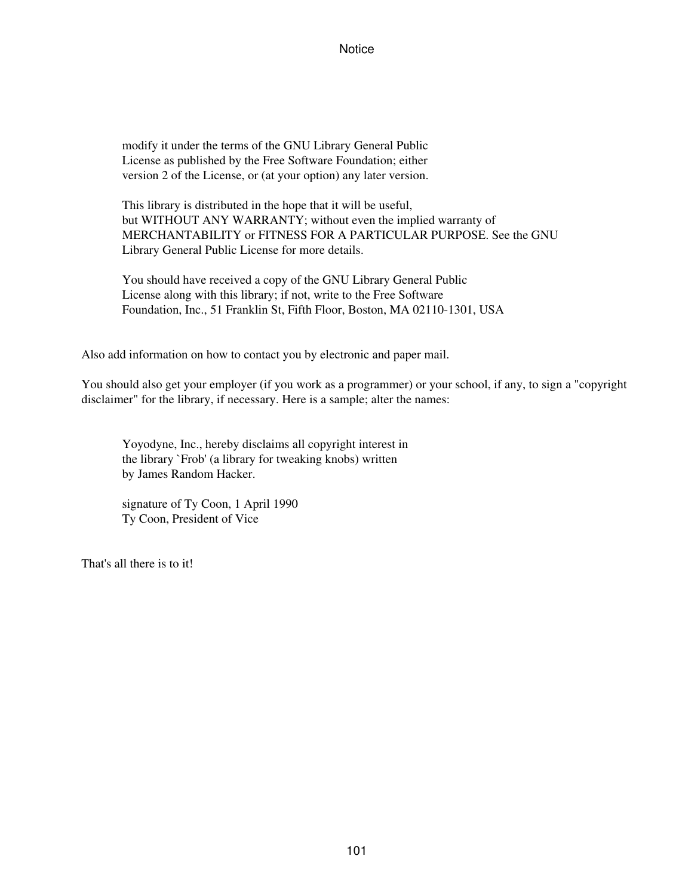modify it under the terms of the GNU Library General Public License as published by the Free Software Foundation; either version 2 of the License, or (at your option) any later version.

This library is distributed in the hope that it will be useful, but WITHOUT ANY WARRANTY; without even the implied warranty of MERCHANTABILITY or FITNESS FOR A PARTICULAR PURPOSE. See the GNU Library General Public License for more details.

You should have received a copy of the GNU Library General Public License along with this library; if not, write to the Free Software Foundation, Inc., 51 Franklin St, Fifth Floor, Boston, MA 02110-1301, USA

Also add information on how to contact you by electronic and paper mail.

You should also get your employer (if you work as a programmer) or your school, if any, to sign a "copyright disclaimer" for the library, if necessary. Here is a sample; alter the names:

Yoyodyne, Inc., hereby disclaims all copyright interest in the library `Frob' (a library for tweaking knobs) written by James Random Hacker.

signature of Ty Coon, 1 April 1990 Ty Coon, President of Vice

That's all there is to it!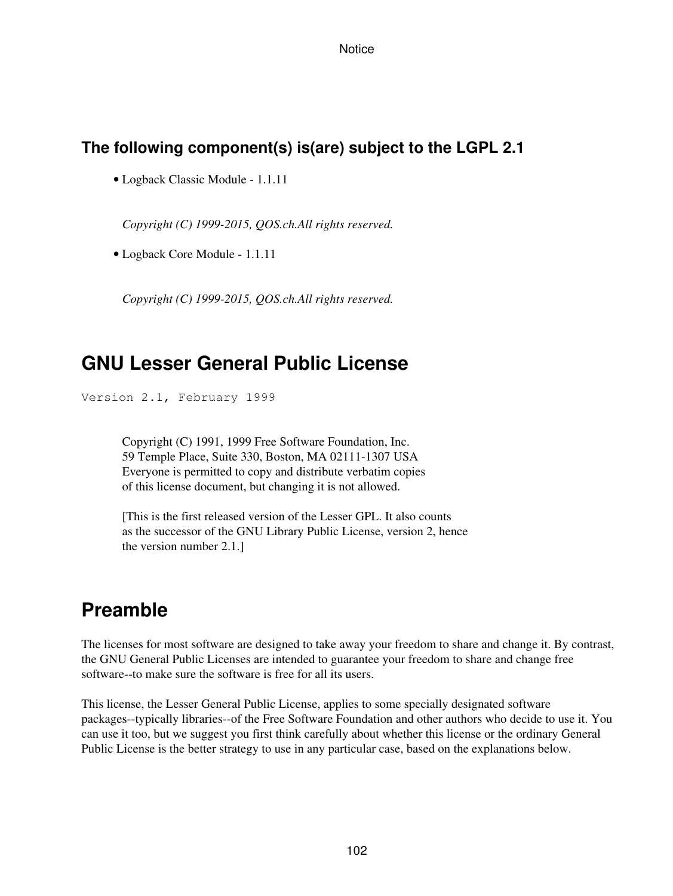### **The following component(s) is(are) subject to the LGPL 2.1**

• Logback Classic Module - 1.1.11

*Copyright (C) 1999-2015, QOS.ch.All rights reserved.*

• Logback Core Module - 1.1.11

*Copyright (C) 1999-2015, QOS.ch.All rights reserved.*

## **GNU Lesser General Public License**

Version 2.1, February 1999

Copyright (C) 1991, 1999 Free Software Foundation, Inc. 59 Temple Place, Suite 330, Boston, MA 02111-1307 USA Everyone is permitted to copy and distribute verbatim copies of this license document, but changing it is not allowed.

[This is the first released version of the Lesser GPL. It also counts as the successor of the GNU Library Public License, version 2, hence the version number 2.1.]

## **Preamble**

The licenses for most software are designed to take away your freedom to share and change it. By contrast, the GNU General Public Licenses are intended to guarantee your freedom to share and change free software--to make sure the software is free for all its users.

This license, the Lesser General Public License, applies to some specially designated software packages--typically libraries--of the Free Software Foundation and other authors who decide to use it. You can use it too, but we suggest you first think carefully about whether this license or the ordinary General Public License is the better strategy to use in any particular case, based on the explanations below.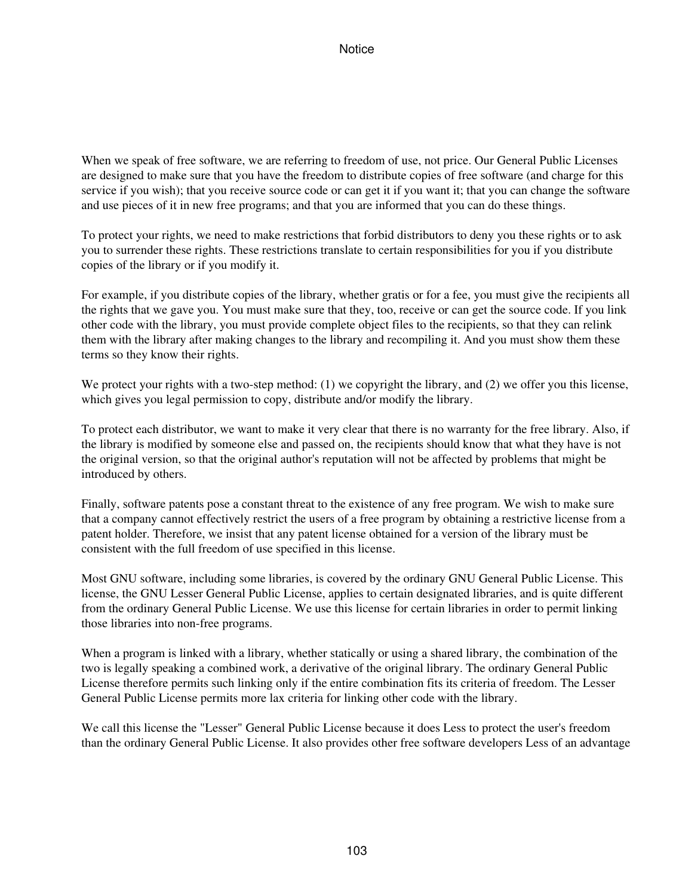When we speak of free software, we are referring to freedom of use, not price. Our General Public Licenses are designed to make sure that you have the freedom to distribute copies of free software (and charge for this service if you wish); that you receive source code or can get it if you want it; that you can change the software and use pieces of it in new free programs; and that you are informed that you can do these things.

To protect your rights, we need to make restrictions that forbid distributors to deny you these rights or to ask you to surrender these rights. These restrictions translate to certain responsibilities for you if you distribute copies of the library or if you modify it.

For example, if you distribute copies of the library, whether gratis or for a fee, you must give the recipients all the rights that we gave you. You must make sure that they, too, receive or can get the source code. If you link other code with the library, you must provide complete object files to the recipients, so that they can relink them with the library after making changes to the library and recompiling it. And you must show them these terms so they know their rights.

We protect your rights with a two-step method: (1) we copyright the library, and (2) we offer you this license, which gives you legal permission to copy, distribute and/or modify the library.

To protect each distributor, we want to make it very clear that there is no warranty for the free library. Also, if the library is modified by someone else and passed on, the recipients should know that what they have is not the original version, so that the original author's reputation will not be affected by problems that might be introduced by others.

Finally, software patents pose a constant threat to the existence of any free program. We wish to make sure that a company cannot effectively restrict the users of a free program by obtaining a restrictive license from a patent holder. Therefore, we insist that any patent license obtained for a version of the library must be consistent with the full freedom of use specified in this license.

Most GNU software, including some libraries, is covered by the ordinary GNU General Public License. This license, the GNU Lesser General Public License, applies to certain designated libraries, and is quite different from the ordinary General Public License. We use this license for certain libraries in order to permit linking those libraries into non-free programs.

When a program is linked with a library, whether statically or using a shared library, the combination of the two is legally speaking a combined work, a derivative of the original library. The ordinary General Public License therefore permits such linking only if the entire combination fits its criteria of freedom. The Lesser General Public License permits more lax criteria for linking other code with the library.

We call this license the "Lesser" General Public License because it does Less to protect the user's freedom than the ordinary General Public License. It also provides other free software developers Less of an advantage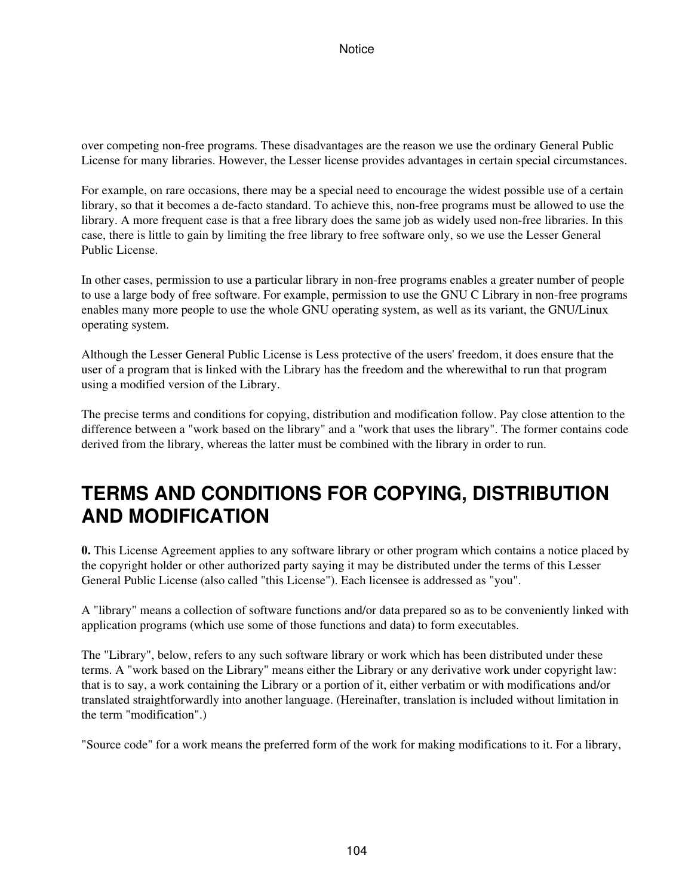over competing non-free programs. These disadvantages are the reason we use the ordinary General Public License for many libraries. However, the Lesser license provides advantages in certain special circumstances.

For example, on rare occasions, there may be a special need to encourage the widest possible use of a certain library, so that it becomes a de-facto standard. To achieve this, non-free programs must be allowed to use the library. A more frequent case is that a free library does the same job as widely used non-free libraries. In this case, there is little to gain by limiting the free library to free software only, so we use the Lesser General Public License.

In other cases, permission to use a particular library in non-free programs enables a greater number of people to use a large body of free software. For example, permission to use the GNU C Library in non-free programs enables many more people to use the whole GNU operating system, as well as its variant, the GNU/Linux operating system.

Although the Lesser General Public License is Less protective of the users' freedom, it does ensure that the user of a program that is linked with the Library has the freedom and the wherewithal to run that program using a modified version of the Library.

The precise terms and conditions for copying, distribution and modification follow. Pay close attention to the difference between a "work based on the library" and a "work that uses the library". The former contains code derived from the library, whereas the latter must be combined with the library in order to run.

# **TERMS AND CONDITIONS FOR COPYING, DISTRIBUTION AND MODIFICATION**

**0.** This License Agreement applies to any software library or other program which contains a notice placed by the copyright holder or other authorized party saying it may be distributed under the terms of this Lesser General Public License (also called "this License"). Each licensee is addressed as "you".

A "library" means a collection of software functions and/or data prepared so as to be conveniently linked with application programs (which use some of those functions and data) to form executables.

The "Library", below, refers to any such software library or work which has been distributed under these terms. A "work based on the Library" means either the Library or any derivative work under copyright law: that is to say, a work containing the Library or a portion of it, either verbatim or with modifications and/or translated straightforwardly into another language. (Hereinafter, translation is included without limitation in the term "modification".)

"Source code" for a work means the preferred form of the work for making modifications to it. For a library,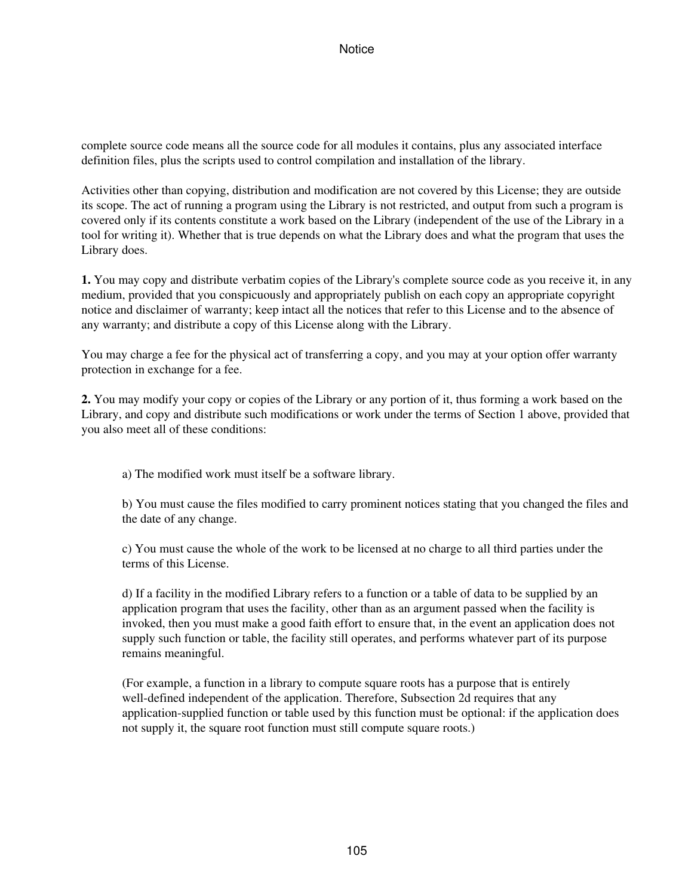complete source code means all the source code for all modules it contains, plus any associated interface definition files, plus the scripts used to control compilation and installation of the library.

Activities other than copying, distribution and modification are not covered by this License; they are outside its scope. The act of running a program using the Library is not restricted, and output from such a program is covered only if its contents constitute a work based on the Library (independent of the use of the Library in a tool for writing it). Whether that is true depends on what the Library does and what the program that uses the Library does.

**1.** You may copy and distribute verbatim copies of the Library's complete source code as you receive it, in any medium, provided that you conspicuously and appropriately publish on each copy an appropriate copyright notice and disclaimer of warranty; keep intact all the notices that refer to this License and to the absence of any warranty; and distribute a copy of this License along with the Library.

You may charge a fee for the physical act of transferring a copy, and you may at your option offer warranty protection in exchange for a fee.

**2.** You may modify your copy or copies of the Library or any portion of it, thus forming a work based on the Library, and copy and distribute such modifications or work under the terms of Section 1 above, provided that you also meet all of these conditions:

a) The modified work must itself be a software library.

b) You must cause the files modified to carry prominent notices stating that you changed the files and the date of any change.

c) You must cause the whole of the work to be licensed at no charge to all third parties under the terms of this License.

d) If a facility in the modified Library refers to a function or a table of data to be supplied by an application program that uses the facility, other than as an argument passed when the facility is invoked, then you must make a good faith effort to ensure that, in the event an application does not supply such function or table, the facility still operates, and performs whatever part of its purpose remains meaningful.

(For example, a function in a library to compute square roots has a purpose that is entirely well-defined independent of the application. Therefore, Subsection 2d requires that any application-supplied function or table used by this function must be optional: if the application does not supply it, the square root function must still compute square roots.)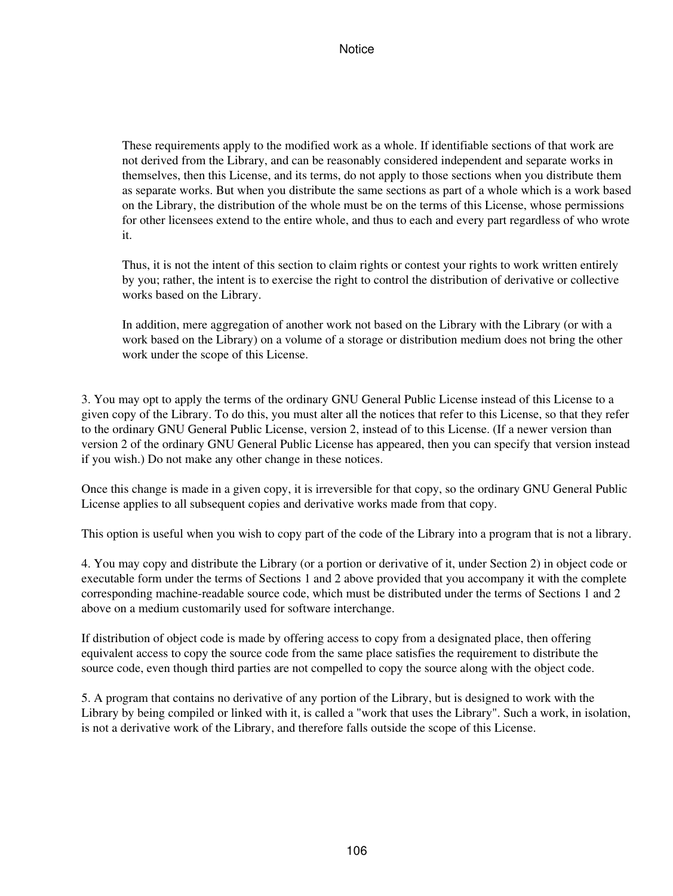These requirements apply to the modified work as a whole. If identifiable sections of that work are not derived from the Library, and can be reasonably considered independent and separate works in themselves, then this License, and its terms, do not apply to those sections when you distribute them as separate works. But when you distribute the same sections as part of a whole which is a work based on the Library, the distribution of the whole must be on the terms of this License, whose permissions for other licensees extend to the entire whole, and thus to each and every part regardless of who wrote it.

Thus, it is not the intent of this section to claim rights or contest your rights to work written entirely by you; rather, the intent is to exercise the right to control the distribution of derivative or collective works based on the Library.

In addition, mere aggregation of another work not based on the Library with the Library (or with a work based on the Library) on a volume of a storage or distribution medium does not bring the other work under the scope of this License.

3. You may opt to apply the terms of the ordinary GNU General Public License instead of this License to a given copy of the Library. To do this, you must alter all the notices that refer to this License, so that they refer to the ordinary GNU General Public License, version 2, instead of to this License. (If a newer version than version 2 of the ordinary GNU General Public License has appeared, then you can specify that version instead if you wish.) Do not make any other change in these notices.

Once this change is made in a given copy, it is irreversible for that copy, so the ordinary GNU General Public License applies to all subsequent copies and derivative works made from that copy.

This option is useful when you wish to copy part of the code of the Library into a program that is not a library.

4. You may copy and distribute the Library (or a portion or derivative of it, under Section 2) in object code or executable form under the terms of Sections 1 and 2 above provided that you accompany it with the complete corresponding machine-readable source code, which must be distributed under the terms of Sections 1 and 2 above on a medium customarily used for software interchange.

If distribution of object code is made by offering access to copy from a designated place, then offering equivalent access to copy the source code from the same place satisfies the requirement to distribute the source code, even though third parties are not compelled to copy the source along with the object code.

5. A program that contains no derivative of any portion of the Library, but is designed to work with the Library by being compiled or linked with it, is called a "work that uses the Library". Such a work, in isolation, is not a derivative work of the Library, and therefore falls outside the scope of this License.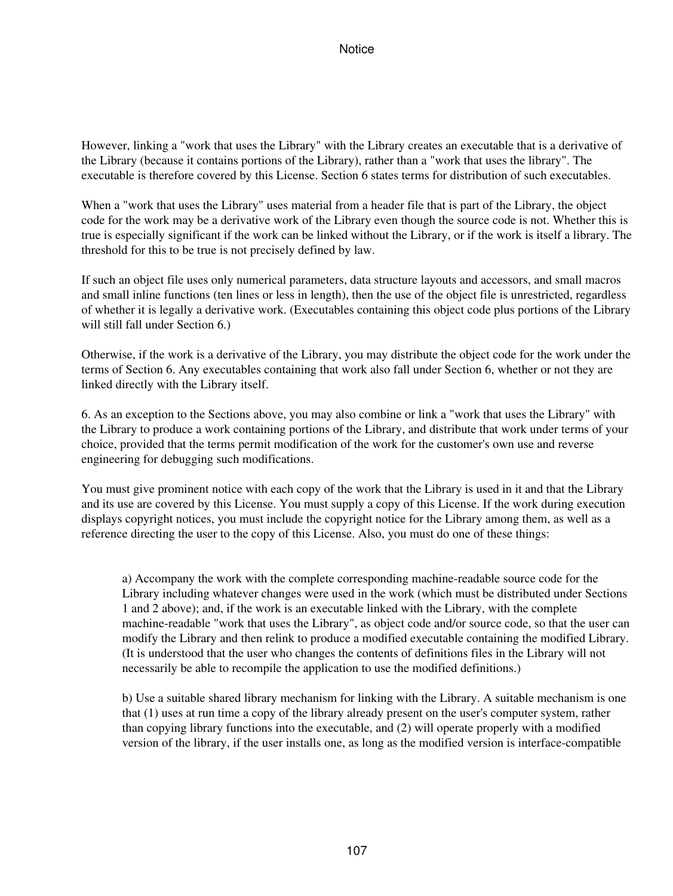However, linking a "work that uses the Library" with the Library creates an executable that is a derivative of the Library (because it contains portions of the Library), rather than a "work that uses the library". The executable is therefore covered by this License. Section 6 states terms for distribution of such executables.

When a "work that uses the Library" uses material from a header file that is part of the Library, the object code for the work may be a derivative work of the Library even though the source code is not. Whether this is true is especially significant if the work can be linked without the Library, or if the work is itself a library. The threshold for this to be true is not precisely defined by law.

If such an object file uses only numerical parameters, data structure layouts and accessors, and small macros and small inline functions (ten lines or less in length), then the use of the object file is unrestricted, regardless of whether it is legally a derivative work. (Executables containing this object code plus portions of the Library will still fall under Section 6.)

Otherwise, if the work is a derivative of the Library, you may distribute the object code for the work under the terms of Section 6. Any executables containing that work also fall under Section 6, whether or not they are linked directly with the Library itself.

6. As an exception to the Sections above, you may also combine or link a "work that uses the Library" with the Library to produce a work containing portions of the Library, and distribute that work under terms of your choice, provided that the terms permit modification of the work for the customer's own use and reverse engineering for debugging such modifications.

You must give prominent notice with each copy of the work that the Library is used in it and that the Library and its use are covered by this License. You must supply a copy of this License. If the work during execution displays copyright notices, you must include the copyright notice for the Library among them, as well as a reference directing the user to the copy of this License. Also, you must do one of these things:

a) Accompany the work with the complete corresponding machine-readable source code for the Library including whatever changes were used in the work (which must be distributed under Sections 1 and 2 above); and, if the work is an executable linked with the Library, with the complete machine-readable "work that uses the Library", as object code and/or source code, so that the user can modify the Library and then relink to produce a modified executable containing the modified Library. (It is understood that the user who changes the contents of definitions files in the Library will not necessarily be able to recompile the application to use the modified definitions.)

b) Use a suitable shared library mechanism for linking with the Library. A suitable mechanism is one that (1) uses at run time a copy of the library already present on the user's computer system, rather than copying library functions into the executable, and (2) will operate properly with a modified version of the library, if the user installs one, as long as the modified version is interface-compatible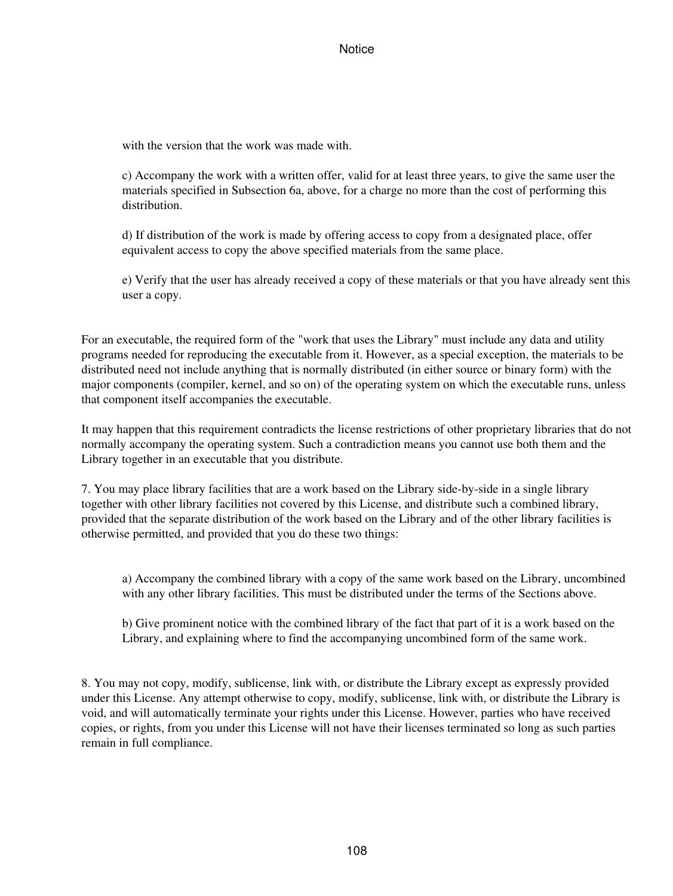with the version that the work was made with.

c) Accompany the work with a written offer, valid for at least three years, to give the same user the materials specified in Subsection 6a, above, for a charge no more than the cost of performing this distribution.

d) If distribution of the work is made by offering access to copy from a designated place, offer equivalent access to copy the above specified materials from the same place.

e) Verify that the user has already received a copy of these materials or that you have already sent this user a copy.

For an executable, the required form of the "work that uses the Library" must include any data and utility programs needed for reproducing the executable from it. However, as a special exception, the materials to be distributed need not include anything that is normally distributed (in either source or binary form) with the major components (compiler, kernel, and so on) of the operating system on which the executable runs, unless that component itself accompanies the executable.

It may happen that this requirement contradicts the license restrictions of other proprietary libraries that do not normally accompany the operating system. Such a contradiction means you cannot use both them and the Library together in an executable that you distribute.

7. You may place library facilities that are a work based on the Library side-by-side in a single library together with other library facilities not covered by this License, and distribute such a combined library, provided that the separate distribution of the work based on the Library and of the other library facilities is otherwise permitted, and provided that you do these two things:

a) Accompany the combined library with a copy of the same work based on the Library, uncombined with any other library facilities. This must be distributed under the terms of the Sections above.

b) Give prominent notice with the combined library of the fact that part of it is a work based on the Library, and explaining where to find the accompanying uncombined form of the same work.

8. You may not copy, modify, sublicense, link with, or distribute the Library except as expressly provided under this License. Any attempt otherwise to copy, modify, sublicense, link with, or distribute the Library is void, and will automatically terminate your rights under this License. However, parties who have received copies, or rights, from you under this License will not have their licenses terminated so long as such parties remain in full compliance.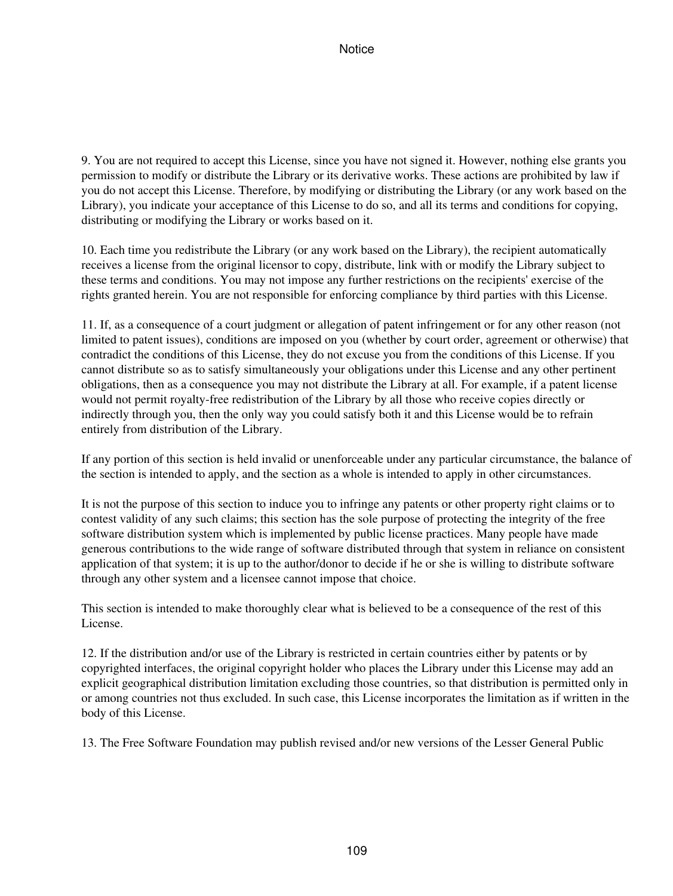9. You are not required to accept this License, since you have not signed it. However, nothing else grants you permission to modify or distribute the Library or its derivative works. These actions are prohibited by law if you do not accept this License. Therefore, by modifying or distributing the Library (or any work based on the Library), you indicate your acceptance of this License to do so, and all its terms and conditions for copying, distributing or modifying the Library or works based on it.

10. Each time you redistribute the Library (or any work based on the Library), the recipient automatically receives a license from the original licensor to copy, distribute, link with or modify the Library subject to these terms and conditions. You may not impose any further restrictions on the recipients' exercise of the rights granted herein. You are not responsible for enforcing compliance by third parties with this License.

11. If, as a consequence of a court judgment or allegation of patent infringement or for any other reason (not limited to patent issues), conditions are imposed on you (whether by court order, agreement or otherwise) that contradict the conditions of this License, they do not excuse you from the conditions of this License. If you cannot distribute so as to satisfy simultaneously your obligations under this License and any other pertinent obligations, then as a consequence you may not distribute the Library at all. For example, if a patent license would not permit royalty-free redistribution of the Library by all those who receive copies directly or indirectly through you, then the only way you could satisfy both it and this License would be to refrain entirely from distribution of the Library.

If any portion of this section is held invalid or unenforceable under any particular circumstance, the balance of the section is intended to apply, and the section as a whole is intended to apply in other circumstances.

It is not the purpose of this section to induce you to infringe any patents or other property right claims or to contest validity of any such claims; this section has the sole purpose of protecting the integrity of the free software distribution system which is implemented by public license practices. Many people have made generous contributions to the wide range of software distributed through that system in reliance on consistent application of that system; it is up to the author/donor to decide if he or she is willing to distribute software through any other system and a licensee cannot impose that choice.

This section is intended to make thoroughly clear what is believed to be a consequence of the rest of this License.

12. If the distribution and/or use of the Library is restricted in certain countries either by patents or by copyrighted interfaces, the original copyright holder who places the Library under this License may add an explicit geographical distribution limitation excluding those countries, so that distribution is permitted only in or among countries not thus excluded. In such case, this License incorporates the limitation as if written in the body of this License.

13. The Free Software Foundation may publish revised and/or new versions of the Lesser General Public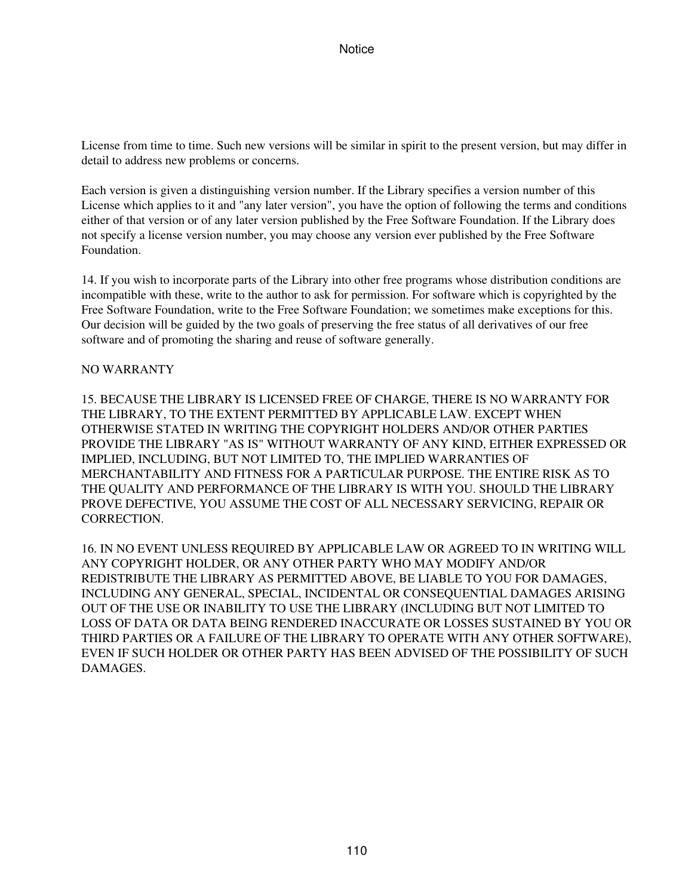License from time to time. Such new versions will be similar in spirit to the present version, but may differ in detail to address new problems or concerns.

Each version is given a distinguishing version number. If the Library specifies a version number of this License which applies to it and "any later version", you have the option of following the terms and conditions either of that version or of any later version published by the Free Software Foundation. If the Library does not specify a license version number, you may choose any version ever published by the Free Software Foundation.

14. If you wish to incorporate parts of the Library into other free programs whose distribution conditions are incompatible with these, write to the author to ask for permission. For software which is copyrighted by the Free Software Foundation, write to the Free Software Foundation; we sometimes make exceptions for this. Our decision will be guided by the two goals of preserving the free status of all derivatives of our free software and of promoting the sharing and reuse of software generally.

# NO WARRANTY

15. BECAUSE THE LIBRARY IS LICENSED FREE OF CHARGE, THERE IS NO WARRANTY FOR THE LIBRARY, TO THE EXTENT PERMITTED BY APPLICABLE LAW. EXCEPT WHEN OTHERWISE STATED IN WRITING THE COPYRIGHT HOLDERS AND/OR OTHER PARTIES PROVIDE THE LIBRARY "AS IS" WITHOUT WARRANTY OF ANY KIND, EITHER EXPRESSED OR IMPLIED, INCLUDING, BUT NOT LIMITED TO, THE IMPLIED WARRANTIES OF MERCHANTABILITY AND FITNESS FOR A PARTICULAR PURPOSE. THE ENTIRE RISK AS TO THE QUALITY AND PERFORMANCE OF THE LIBRARY IS WITH YOU. SHOULD THE LIBRARY PROVE DEFECTIVE, YOU ASSUME THE COST OF ALL NECESSARY SERVICING, REPAIR OR CORRECTION.

16. IN NO EVENT UNLESS REQUIRED BY APPLICABLE LAW OR AGREED TO IN WRITING WILL ANY COPYRIGHT HOLDER, OR ANY OTHER PARTY WHO MAY MODIFY AND/OR REDISTRIBUTE THE LIBRARY AS PERMITTED ABOVE, BE LIABLE TO YOU FOR DAMAGES, INCLUDING ANY GENERAL, SPECIAL, INCIDENTAL OR CONSEQUENTIAL DAMAGES ARISING OUT OF THE USE OR INABILITY TO USE THE LIBRARY (INCLUDING BUT NOT LIMITED TO LOSS OF DATA OR DATA BEING RENDERED INACCURATE OR LOSSES SUSTAINED BY YOU OR THIRD PARTIES OR A FAILURE OF THE LIBRARY TO OPERATE WITH ANY OTHER SOFTWARE), EVEN IF SUCH HOLDER OR OTHER PARTY HAS BEEN ADVISED OF THE POSSIBILITY OF SUCH DAMAGES.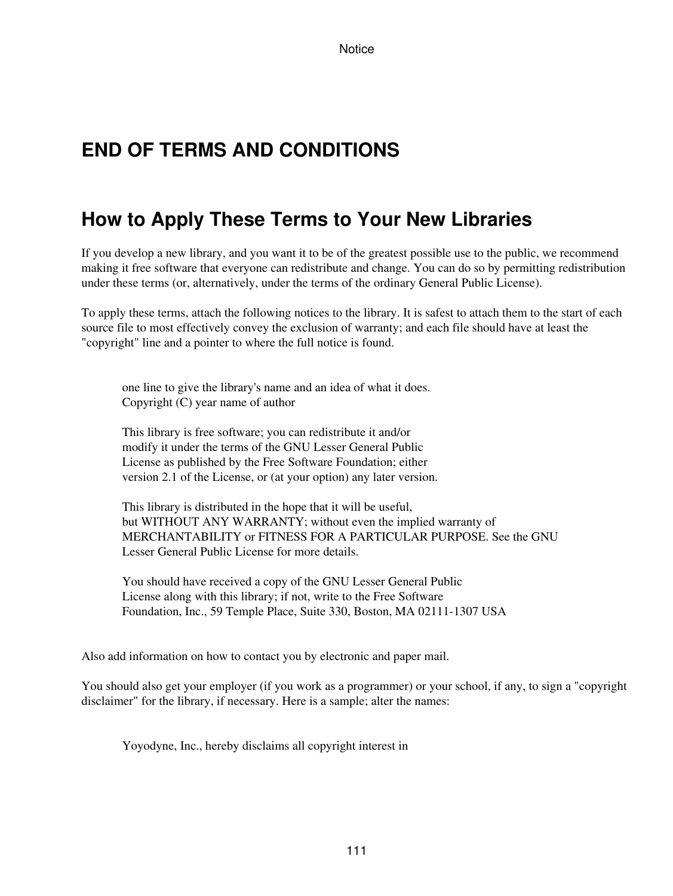# **END OF TERMS AND CONDITIONS**

# **How to Apply These Terms to Your New Libraries**

If you develop a new library, and you want it to be of the greatest possible use to the public, we recommend making it free software that everyone can redistribute and change. You can do so by permitting redistribution under these terms (or, alternatively, under the terms of the ordinary General Public License).

To apply these terms, attach the following notices to the library. It is safest to attach them to the start of each source file to most effectively convey the exclusion of warranty; and each file should have at least the "copyright" line and a pointer to where the full notice is found.

one line to give the library's name and an idea of what it does. Copyright (C) year name of author

This library is free software; you can redistribute it and/or modify it under the terms of the GNU Lesser General Public License as published by the Free Software Foundation; either version 2.1 of the License, or (at your option) any later version.

This library is distributed in the hope that it will be useful, but WITHOUT ANY WARRANTY; without even the implied warranty of MERCHANTABILITY or FITNESS FOR A PARTICULAR PURPOSE. See the GNU Lesser General Public License for more details.

You should have received a copy of the GNU Lesser General Public License along with this library; if not, write to the Free Software Foundation, Inc., 59 Temple Place, Suite 330, Boston, MA 02111-1307 USA

Also add information on how to contact you by electronic and paper mail.

You should also get your employer (if you work as a programmer) or your school, if any, to sign a "copyright disclaimer" for the library, if necessary. Here is a sample; alter the names:

Yoyodyne, Inc., hereby disclaims all copyright interest in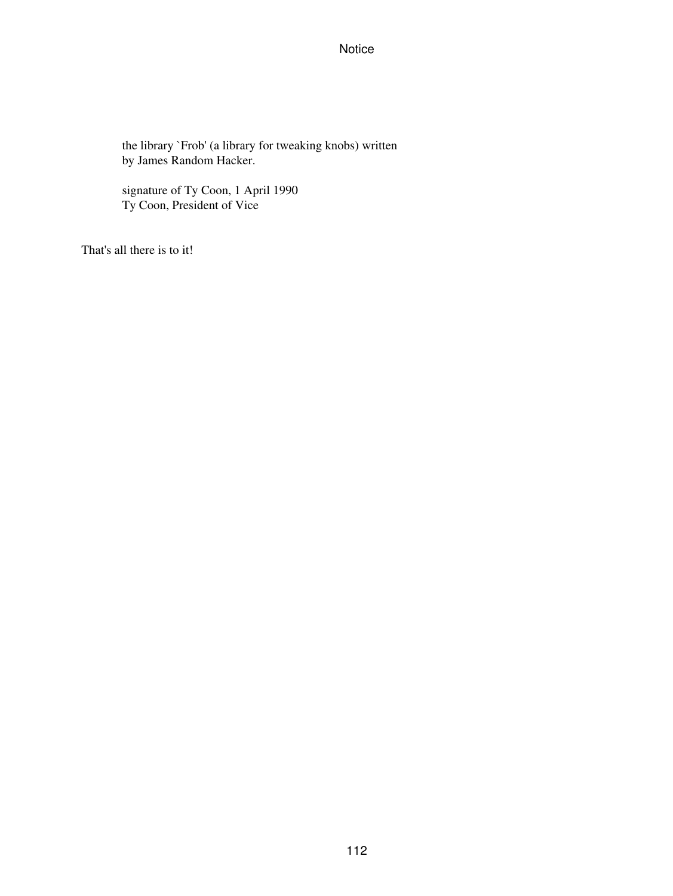the library `Frob' (a library for tweaking knobs) written by James Random Hacker.

signature of Ty Coon, 1 April 1990 Ty Coon, President of Vice

That's all there is to it!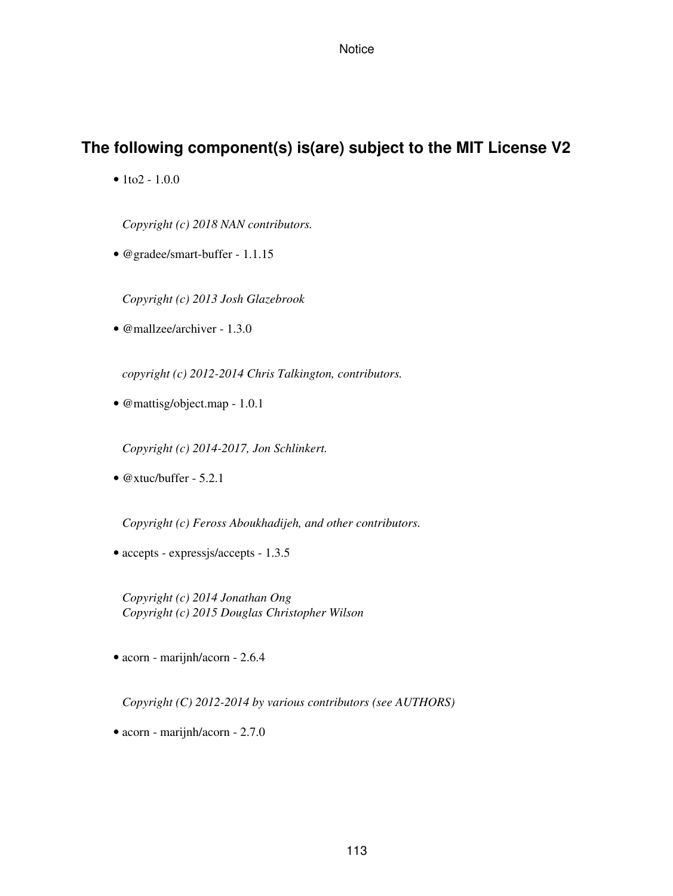# **The following component(s) is(are) subject to the MIT License V2**

•  $1$ to $2 - 1.0.0$ 

*Copyright (c) 2018 NAN contributors.*

• @gradee/smart-buffer - 1.1.15

*Copyright (c) 2013 Josh Glazebrook*

• @mallzee/archiver - 1.3.0

*copyright (c) 2012-2014 Chris Talkington, contributors.*

• @mattisg/object.map - 1.0.1

*Copyright (c) 2014-2017, Jon Schlinkert.*

• @xtuc/buffer - 5.2.1

*Copyright (c) Feross Aboukhadijeh, and other contributors.*

• accepts - expressjs/accepts - 1.3.5

*Copyright (c) 2014 Jonathan Ong Copyright (c) 2015 Douglas Christopher Wilson*

• acorn - marijnh/acorn - 2.6.4

*Copyright (C) 2012-2014 by various contributors (see AUTHORS)*

• acorn - marijnh/acorn - 2.7.0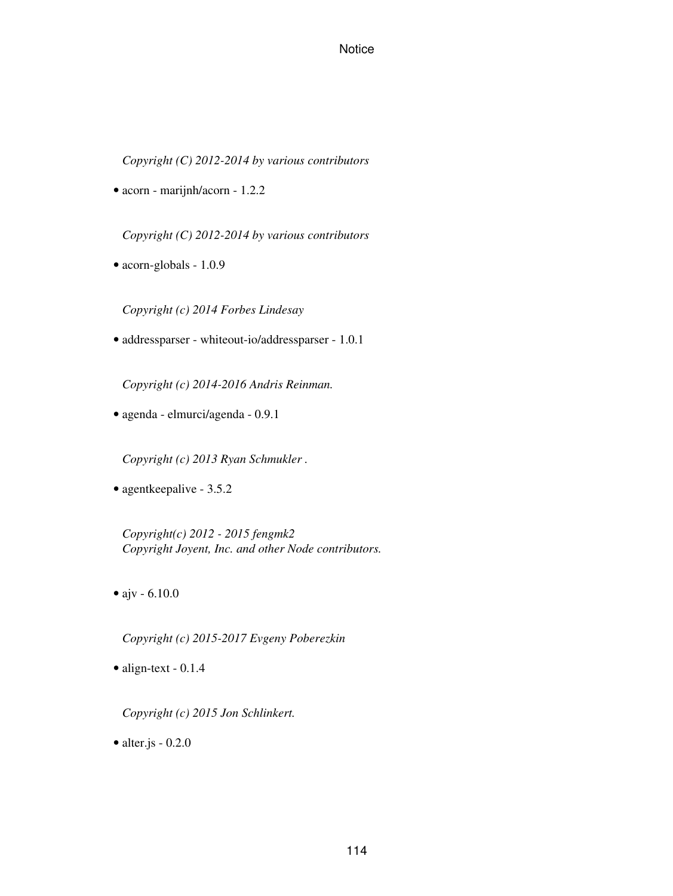*Copyright (C) 2012-2014 by various contributors*

• acorn - marijnh/acorn - 1.2.2

*Copyright (C) 2012-2014 by various contributors*

• acorn-globals - 1.0.9

*Copyright (c) 2014 Forbes Lindesay*

• addressparser - whiteout-io/addressparser - 1.0.1

*Copyright (c) 2014-2016 Andris Reinman.*

• agenda - elmurci/agenda - 0.9.1

*Copyright (c) 2013 Ryan Schmukler .*

• agentkeepalive - 3.5.2

*Copyright(c) 2012 - 2015 fengmk2 Copyright Joyent, Inc. and other Node contributors.*

• ajv - 6.10.0

*Copyright (c) 2015-2017 Evgeny Poberezkin*

• align-text - 0.1.4

*Copyright (c) 2015 Jon Schlinkert.*

• alter.js  $-0.2.0$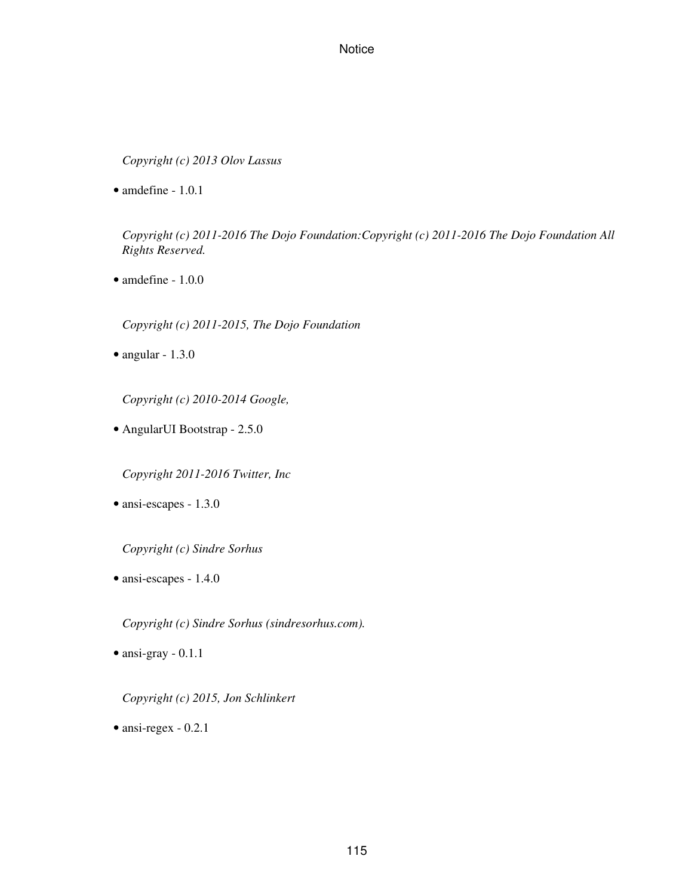*Copyright (c) 2013 Olov Lassus*

• amdefine - 1.0.1

*Copyright (c) 2011-2016 The Dojo Foundation:Copyright (c) 2011-2016 The Dojo Foundation All Rights Reserved.*

• amdefine - 1.0.0

*Copyright (c) 2011-2015, The Dojo Foundation*

• angular - 1.3.0

*Copyright (c) 2010-2014 Google,*

• AngularUI Bootstrap - 2.5.0

*Copyright 2011-2016 Twitter, Inc*

• ansi-escapes - 1.3.0

*Copyright (c) Sindre Sorhus*

• ansi-escapes - 1.4.0

*Copyright (c) Sindre Sorhus (sindresorhus.com).*

• ansi-gray - 0.1.1

*Copyright (c) 2015, Jon Schlinkert*

• ansi-regex - 0.2.1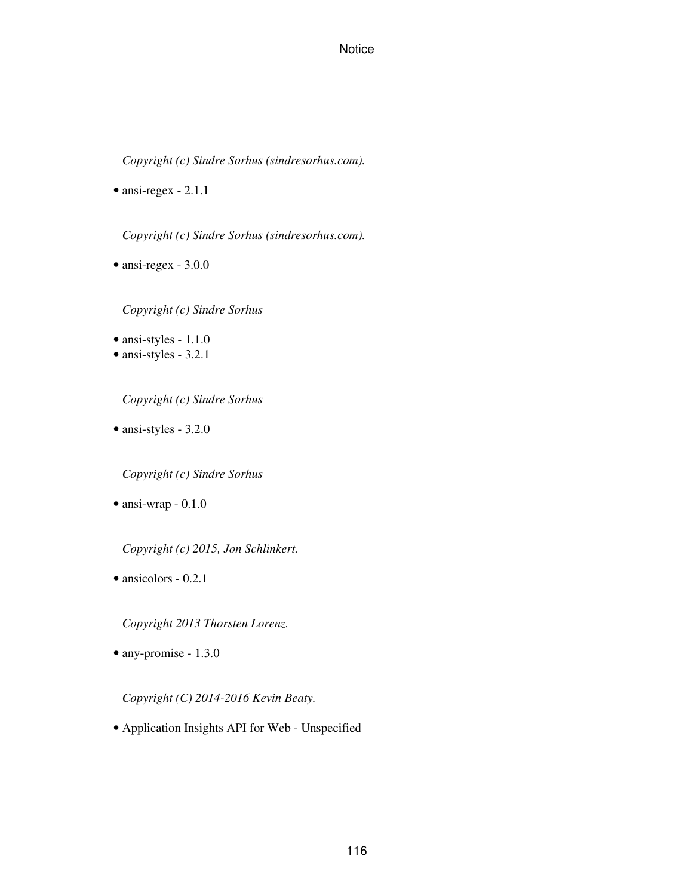*Copyright (c) Sindre Sorhus (sindresorhus.com).*

• ansi-regex - 2.1.1

*Copyright (c) Sindre Sorhus (sindresorhus.com).*

• ansi-regex - 3.0.0

*Copyright (c) Sindre Sorhus*

- ansi-styles 1.1.0
- ansi-styles 3.2.1

*Copyright (c) Sindre Sorhus*

• ansi-styles - 3.2.0

*Copyright (c) Sindre Sorhus*

• ansi-wrap - 0.1.0

*Copyright (c) 2015, Jon Schlinkert.*

• ansicolors - 0.2.1

*Copyright 2013 Thorsten Lorenz.*

• any-promise - 1.3.0

*Copyright (C) 2014-2016 Kevin Beaty.*

• Application Insights API for Web - Unspecified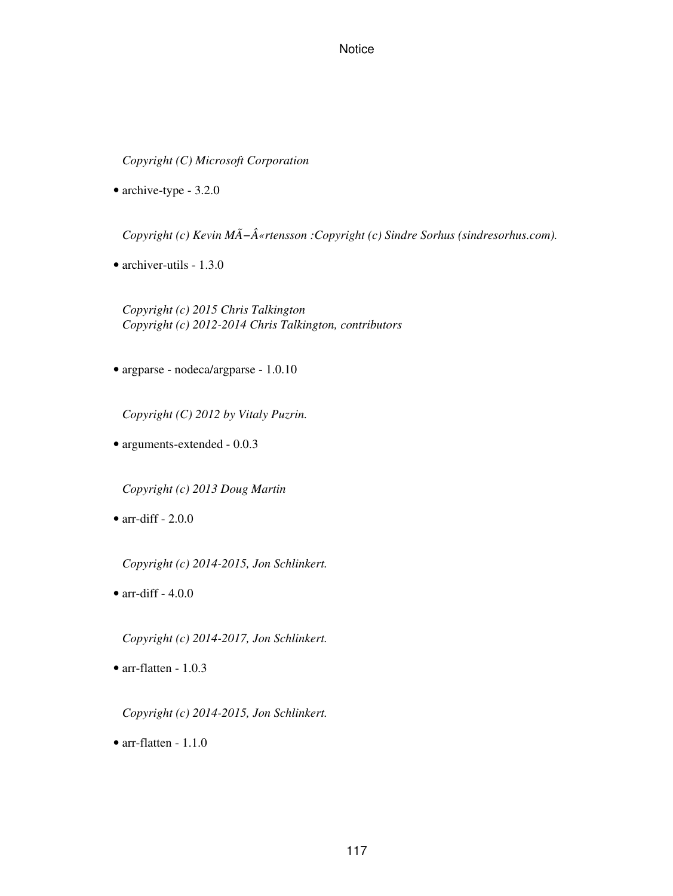*Copyright (C) Microsoft Corporation*

• archive-type - 3.2.0

Copyright (c) Kevin MÃ-«rtensson : Copyright (c) Sindre Sorhus (sindresorhus.com).

• archiver-utils - 1.3.0

*Copyright (c) 2015 Chris Talkington Copyright (c) 2012-2014 Chris Talkington, contributors*

• argparse - nodeca/argparse - 1.0.10

*Copyright (C) 2012 by Vitaly Puzrin.*

• arguments-extended - 0.0.3

*Copyright (c) 2013 Doug Martin*

• arr-diff  $-2.0.0$ 

*Copyright (c) 2014-2015, Jon Schlinkert.*

• arr-diff  $-4.0.0$ 

*Copyright (c) 2014-2017, Jon Schlinkert.*

• arr-flatten - 1.0.3

*Copyright (c) 2014-2015, Jon Schlinkert.*

• arr-flatten - 1.1.0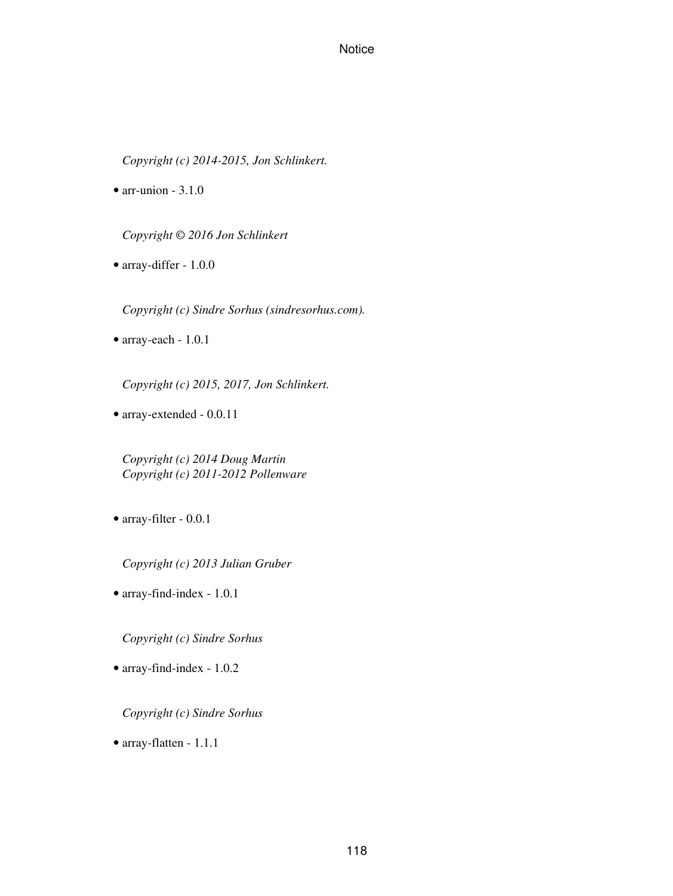*Copyright (c) 2014-2015, Jon Schlinkert.*

 $\bullet$  arr-union - 3.1.0

*Copyright © 2016 Jon Schlinkert*

• array-differ - 1.0.0

*Copyright (c) Sindre Sorhus (sindresorhus.com).*

• array-each - 1.0.1

*Copyright (c) 2015, 2017, Jon Schlinkert.*

• array-extended - 0.0.11

*Copyright (c) 2014 Doug Martin Copyright (c) 2011-2012 Pollenware*

• array-filter - 0.0.1

*Copyright (c) 2013 Julian Gruber*

• array-find-index - 1.0.1

*Copyright (c) Sindre Sorhus*

• array-find-index - 1.0.2

*Copyright (c) Sindre Sorhus*

• array-flatten - 1.1.1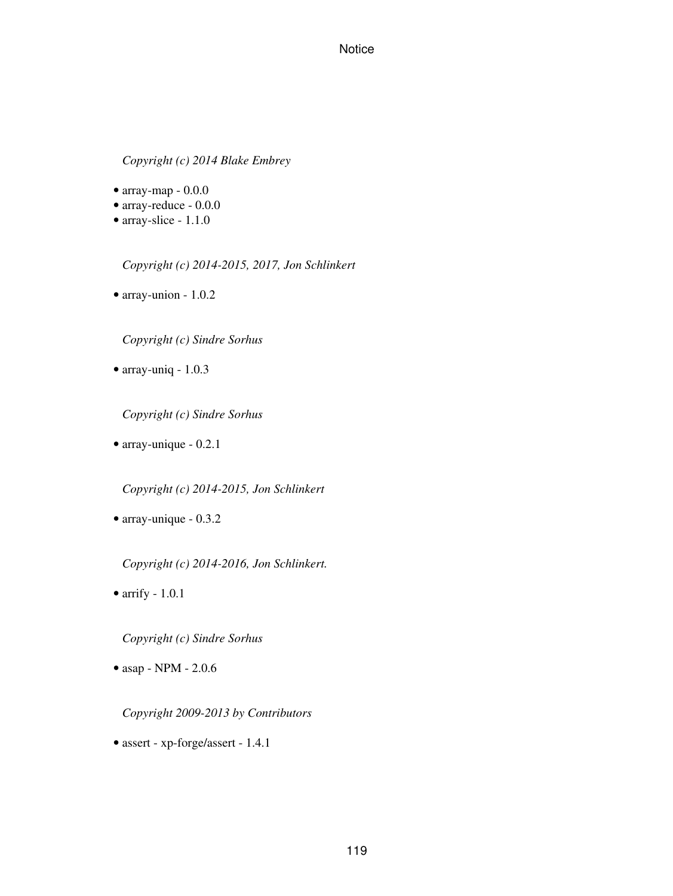*Copyright (c) 2014 Blake Embrey*

- $\bullet$  array-map 0.0.0
- array-reduce 0.0.0
- array-slice 1.1.0

*Copyright (c) 2014-2015, 2017, Jon Schlinkert*

• array-union - 1.0.2

*Copyright (c) Sindre Sorhus*

• array-uniq - 1.0.3

*Copyright (c) Sindre Sorhus*

• array-unique - 0.2.1

*Copyright (c) 2014-2015, Jon Schlinkert*

• array-unique - 0.3.2

*Copyright (c) 2014-2016, Jon Schlinkert.*

• arrify - 1.0.1

*Copyright (c) Sindre Sorhus*

• asap - NPM - 2.0.6

*Copyright 2009-2013 by Contributors*

• assert - xp-forge/assert - 1.4.1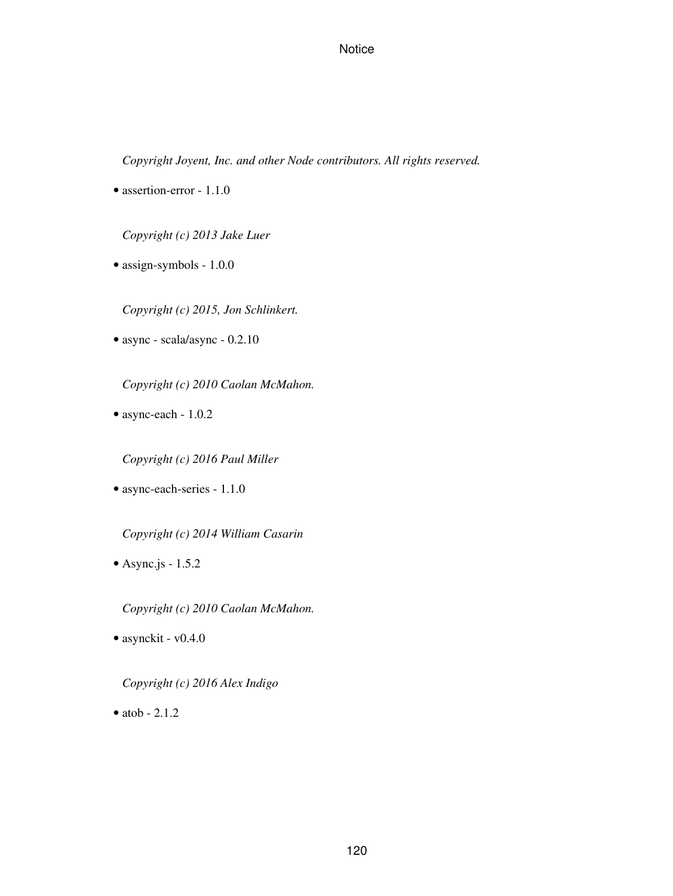*Copyright Joyent, Inc. and other Node contributors. All rights reserved.*

• assertion-error - 1.1.0

*Copyright (c) 2013 Jake Luer*

• assign-symbols - 1.0.0

*Copyright (c) 2015, Jon Schlinkert.*

• async - scala/async - 0.2.10

*Copyright (c) 2010 Caolan McMahon.*

• async-each - 1.0.2

*Copyright (c) 2016 Paul Miller*

• async-each-series - 1.1.0

*Copyright (c) 2014 William Casarin*

 $\bullet$  Async.js - 1.5.2

*Copyright (c) 2010 Caolan McMahon.*

• asynckit - v0.4.0

*Copyright (c) 2016 Alex Indigo*

 $\bullet$  atob  $-2.1.2$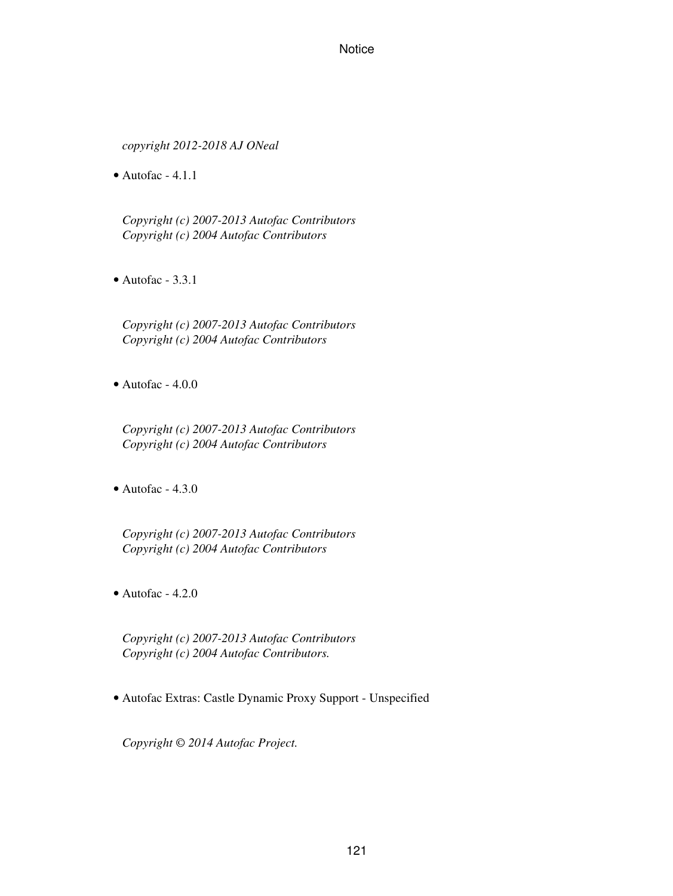*copyright 2012-2018 AJ ONeal*

 $\bullet$  Autofac - 4.1.1

*Copyright (c) 2007-2013 Autofac Contributors Copyright (c) 2004 Autofac Contributors*

 $\bullet$  Autofac - 3.3.1

*Copyright (c) 2007-2013 Autofac Contributors Copyright (c) 2004 Autofac Contributors*

• Autofac - 4.0.0

*Copyright (c) 2007-2013 Autofac Contributors Copyright (c) 2004 Autofac Contributors*

 $\bullet$  Autofac - 4.3.0

*Copyright (c) 2007-2013 Autofac Contributors Copyright (c) 2004 Autofac Contributors*

 $\bullet$  Autofac - 4.2.0

*Copyright (c) 2007-2013 Autofac Contributors Copyright (c) 2004 Autofac Contributors.*

• Autofac Extras: Castle Dynamic Proxy Support - Unspecified

*Copyright © 2014 Autofac Project.*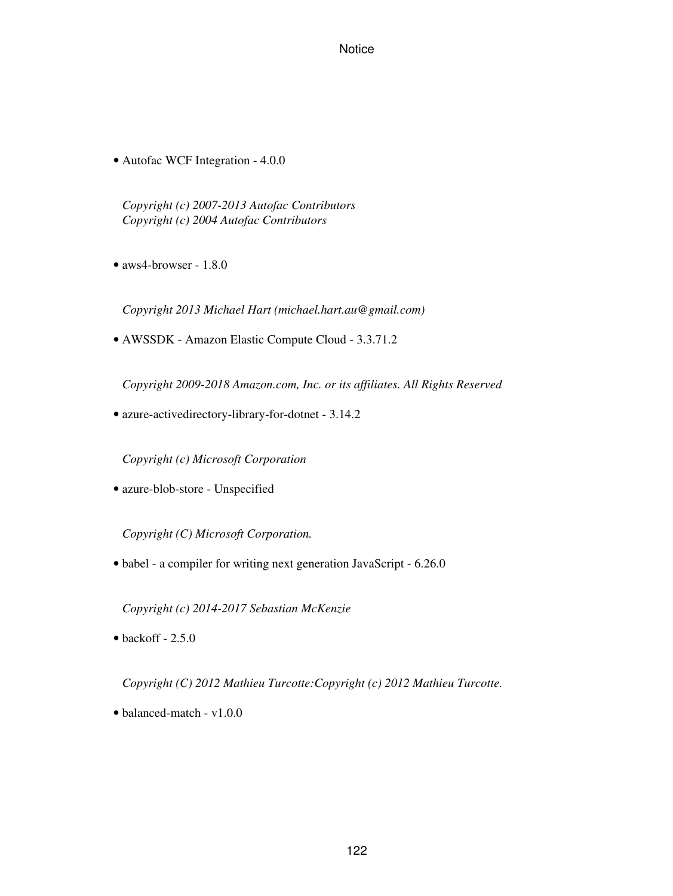• Autofac WCF Integration - 4.0.0

*Copyright (c) 2007-2013 Autofac Contributors Copyright (c) 2004 Autofac Contributors*

• aws4-browser - 1.8.0

*Copyright 2013 Michael Hart (michael.hart.au@gmail.com)*

• AWSSDK - Amazon Elastic Compute Cloud - 3.3.71.2

*Copyright 2009-2018 Amazon.com, Inc. or its affiliates. All Rights Reserved*

• azure-activedirectory-library-for-dotnet - 3.14.2

*Copyright (c) Microsoft Corporation*

• azure-blob-store - Unspecified

*Copyright (C) Microsoft Corporation.*

• babel - a compiler for writing next generation JavaScript - 6.26.0

*Copyright (c) 2014-2017 Sebastian McKenzie*

 $\bullet$  backoff - 2.5.0

*Copyright (C) 2012 Mathieu Turcotte:Copyright (c) 2012 Mathieu Turcotte.*

• balanced-match - v1.0.0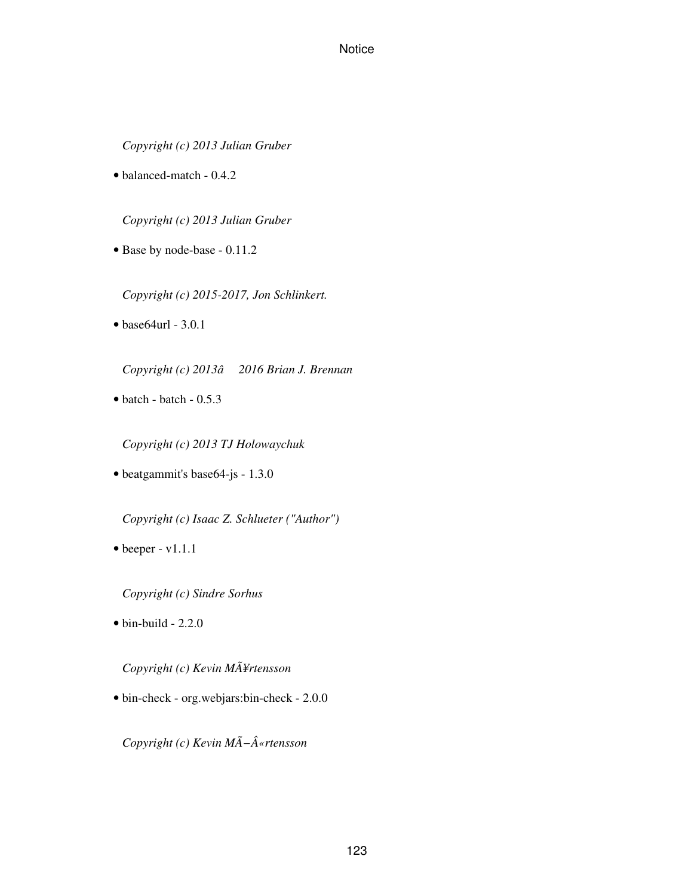*Copyright (c) 2013 Julian Gruber*

• balanced-match - 0.4.2

*Copyright (c) 2013 Julian Gruber*

• Base by node-base - 0.11.2

*Copyright (c) 2015-2017, Jon Schlinkert.*

• base64url - 3.0.1

*Copyright (c) 2013â2016 Brian J. Brennan*

 $\bullet$  batch - batch - 0.5.3

*Copyright (c) 2013 TJ Holowaychuk*

• beatgammit's base64-js - 1.3.0

*Copyright (c) Isaac Z. Schlueter ("Author")*

• beeper - v1.1.1

*Copyright (c) Sindre Sorhus*

 $\bullet$  bin-build - 2.2.0

*Copyright (c) Kevin MÃ¥rtensson*

• bin-check - org.webjars:bin-check - 2.0.0

*Copyright (c) Kevin MÃ−«rtensson*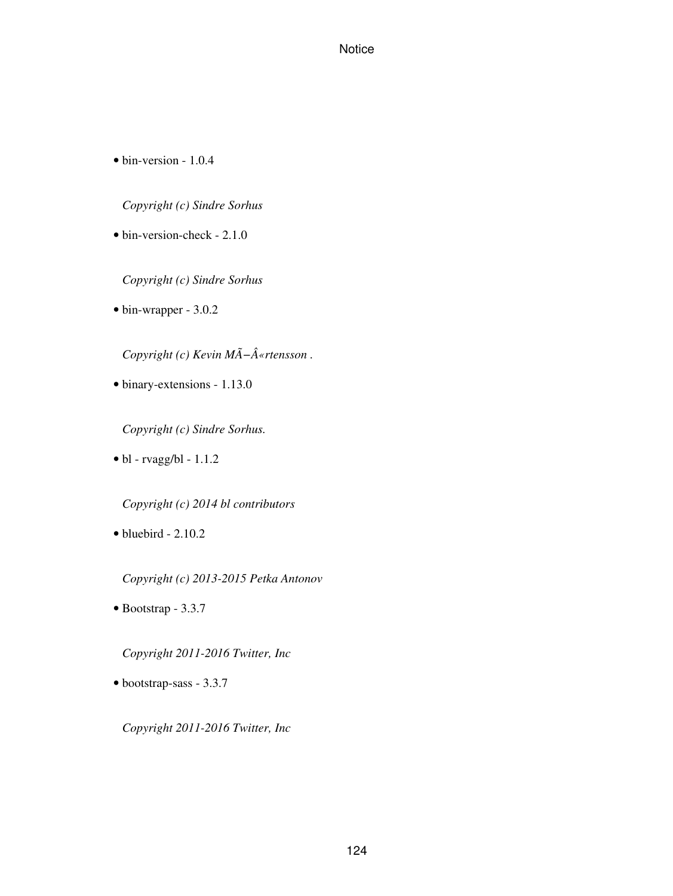• bin-version - 1.0.4

*Copyright (c) Sindre Sorhus*

• bin-version-check - 2.1.0

*Copyright (c) Sindre Sorhus*

• bin-wrapper - 3.0.2

*Copyright (c) Kevin MÃ−«rtensson.* 

• binary-extensions - 1.13.0

*Copyright (c) Sindre Sorhus.*

 $\bullet$  bl - rvagg/bl - 1.1.2

*Copyright (c) 2014 bl contributors*

 $\bullet$  bluebird - 2.10.2

*Copyright (c) 2013-2015 Petka Antonov*

• Bootstrap - 3.3.7

*Copyright 2011-2016 Twitter, Inc*

• bootstrap-sass - 3.3.7

*Copyright 2011-2016 Twitter, Inc*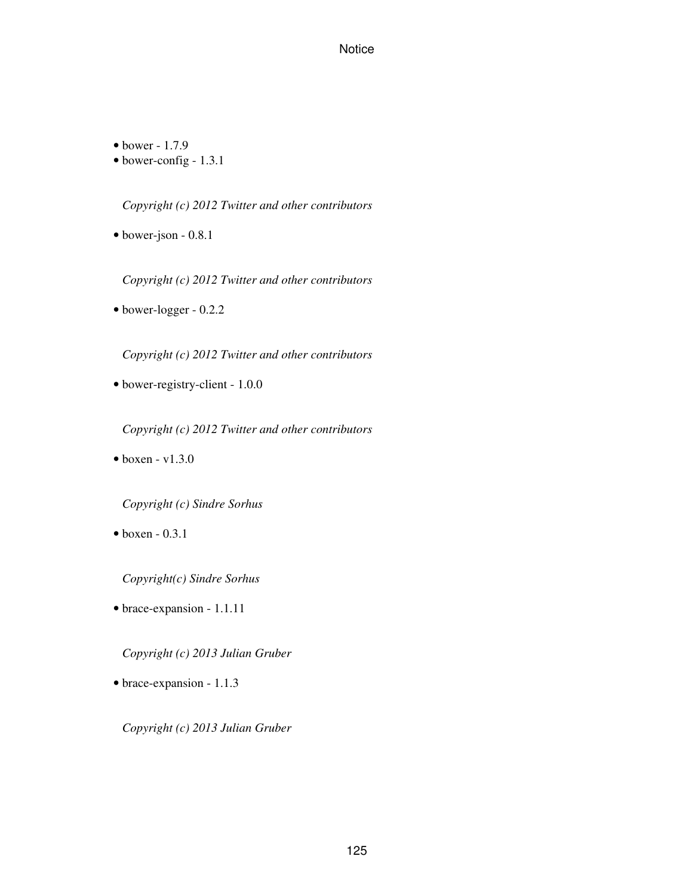• bower - 1.7.9

• bower-config - 1.3.1

*Copyright (c) 2012 Twitter and other contributors*

• bower-json - 0.8.1

*Copyright (c) 2012 Twitter and other contributors*

• bower-logger - 0.2.2

*Copyright (c) 2012 Twitter and other contributors*

• bower-registry-client - 1.0.0

*Copyright (c) 2012 Twitter and other contributors*

 $\bullet$  boxen - v1.3.0

*Copyright (c) Sindre Sorhus*

 $\bullet$  boxen - 0.3.1

*Copyright(c) Sindre Sorhus*

• brace-expansion - 1.1.11

*Copyright (c) 2013 Julian Gruber*

• brace-expansion - 1.1.3

*Copyright (c) 2013 Julian Gruber*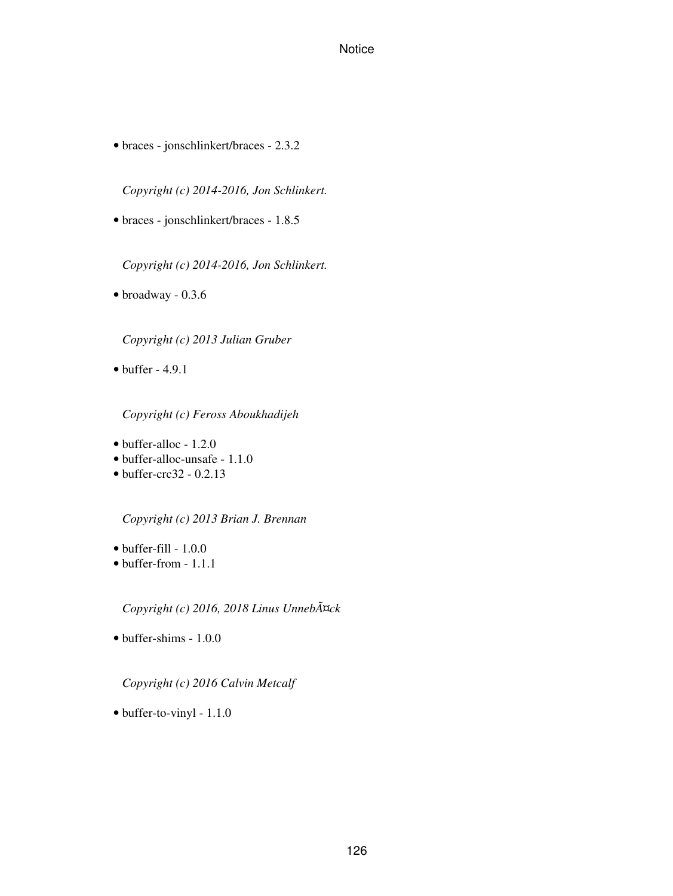• braces - jonschlinkert/braces - 2.3.2

*Copyright (c) 2014-2016, Jon Schlinkert.*

• braces - jonschlinkert/braces - 1.8.5

*Copyright (c) 2014-2016, Jon Schlinkert.*

• broadway - 0.3.6

*Copyright (c) 2013 Julian Gruber*

 $\bullet$  buffer - 4.9.1

*Copyright (c) Feross Aboukhadijeh*

- buffer-alloc 1.2.0
- buffer-alloc-unsafe 1.1.0
- $\bullet$  buffer-crc32 0.2.13

*Copyright (c) 2013 Brian J. Brennan*

- $\bullet$  buffer-fill 1.0.0
- buffer-from 1.1.1

*Copyright (c) 2016, 2018 Linus Unnebäck*

• buffer-shims - 1.0.0

*Copyright (c) 2016 Calvin Metcalf*

• buffer-to-vinyl - 1.1.0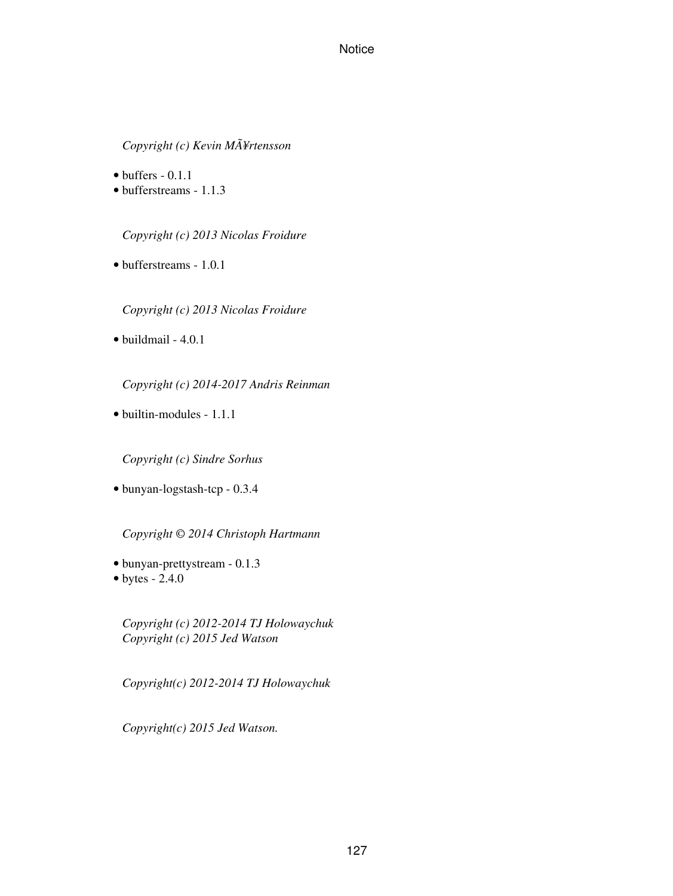*Copyright (c) Kevin MÃ¥rtensson*

- $\bullet$  buffers 0.1.1
- bufferstreams 1.1.3

*Copyright (c) 2013 Nicolas Froidure*

• bufferstreams - 1.0.1

*Copyright (c) 2013 Nicolas Froidure*

• buildmail - 4.0.1

*Copyright (c) 2014-2017 Andris Reinman*

• builtin-modules - 1.1.1

*Copyright (c) Sindre Sorhus*

• bunyan-logstash-tcp - 0.3.4

*Copyright © 2014 Christoph Hartmann*

- bunyan-prettystream 0.1.3
- $\bullet$  bytes 2.4.0

*Copyright (c) 2012-2014 TJ Holowaychuk Copyright (c) 2015 Jed Watson*

*Copyright(c) 2012-2014 TJ Holowaychuk*

*Copyright(c) 2015 Jed Watson.*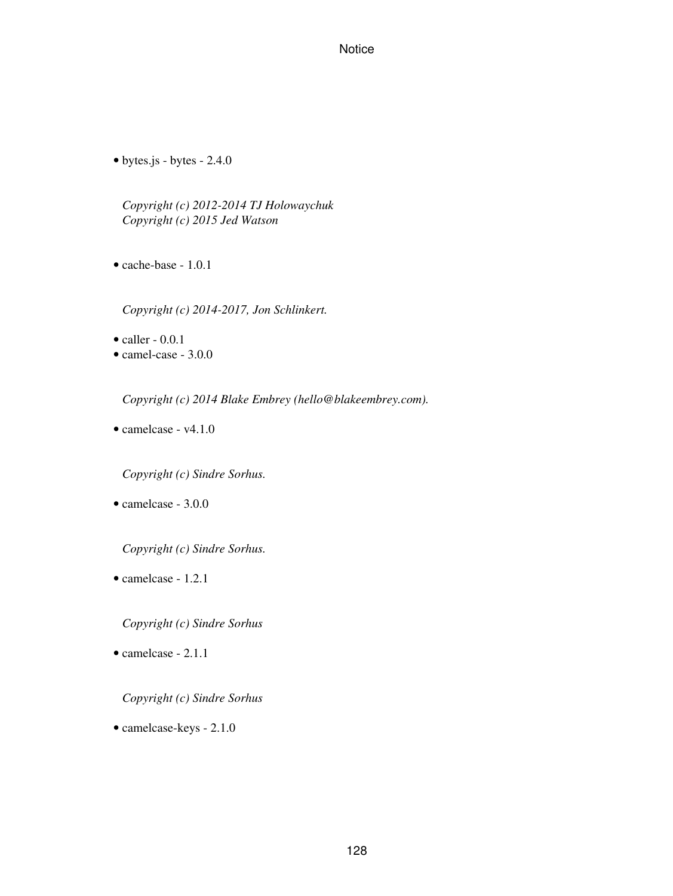• bytes.js - bytes - 2.4.0

*Copyright (c) 2012-2014 TJ Holowaychuk Copyright (c) 2015 Jed Watson*

• cache-base - 1.0.1

*Copyright (c) 2014-2017, Jon Schlinkert.*

 $\bullet$  caller - 0.0.1

• camel-case - 3.0.0

*Copyright (c) 2014 Blake Embrey (hello@blakeembrey.com).*

• camelcase - v4.1.0

*Copyright (c) Sindre Sorhus.*

• camelcase - 3.0.0

*Copyright (c) Sindre Sorhus.*

• camelcase - 1.2.1

*Copyright (c) Sindre Sorhus*

• camelcase - 2.1.1

#### *Copyright (c) Sindre Sorhus*

• camelcase-keys - 2.1.0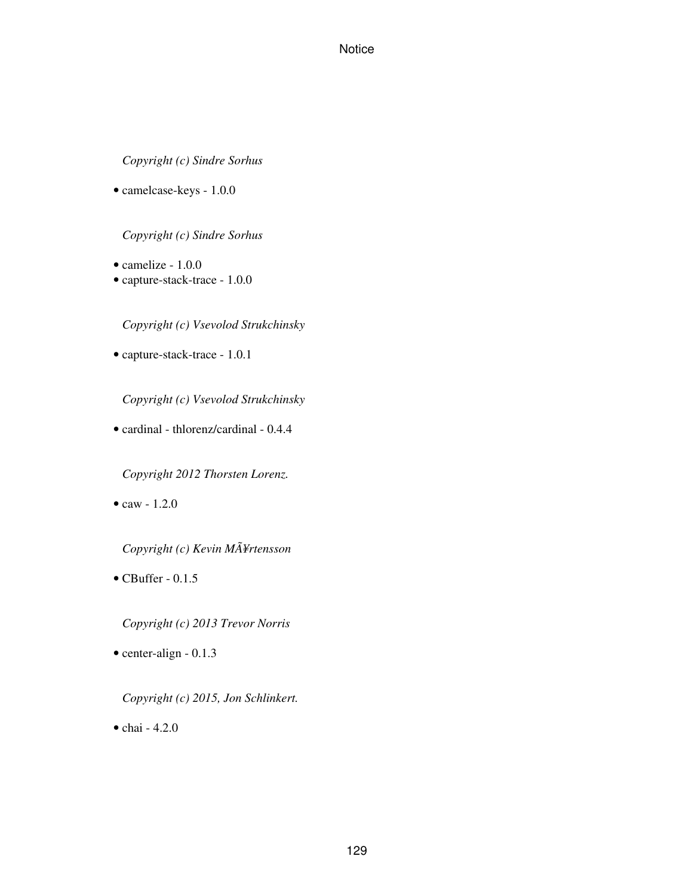*Copyright (c) Sindre Sorhus*

• camelcase-keys - 1.0.0

*Copyright (c) Sindre Sorhus*

- camelize 1.0.0
- capture-stack-trace 1.0.0

*Copyright (c) Vsevolod Strukchinsky*

• capture-stack-trace - 1.0.1

*Copyright (c) Vsevolod Strukchinsky*

• cardinal - thlorenz/cardinal - 0.4.4

*Copyright 2012 Thorsten Lorenz.*

• caw -  $1.2.0$ 

*Copyright (c) Kevin MÃ¥rtensson*

 $\bullet$  CBuffer - 0.1.5

*Copyright (c) 2013 Trevor Norris*

• center-align - 0.1.3

*Copyright (c) 2015, Jon Schlinkert.*

• chai - 4.2.0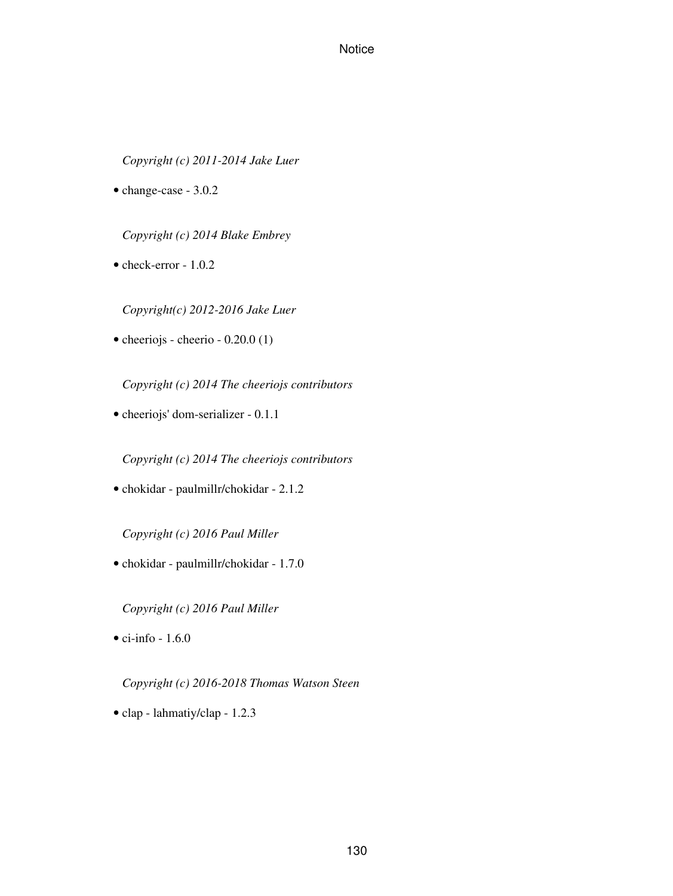*Copyright (c) 2011-2014 Jake Luer*

• change-case - 3.0.2

*Copyright (c) 2014 Blake Embrey*

• check-error - 1.0.2

*Copyright(c) 2012-2016 Jake Luer*

• cheeriojs - cheerio - 0.20.0 (1)

*Copyright (c) 2014 The cheeriojs contributors*

• cheeriojs' dom-serializer - 0.1.1

*Copyright (c) 2014 The cheeriojs contributors*

• chokidar - paulmillr/chokidar - 2.1.2

*Copyright (c) 2016 Paul Miller*

• chokidar - paulmillr/chokidar - 1.7.0

*Copyright (c) 2016 Paul Miller*

 $\bullet$  ci-info - 1.6.0

*Copyright (c) 2016-2018 Thomas Watson Steen*

• clap - lahmatiy/clap - 1.2.3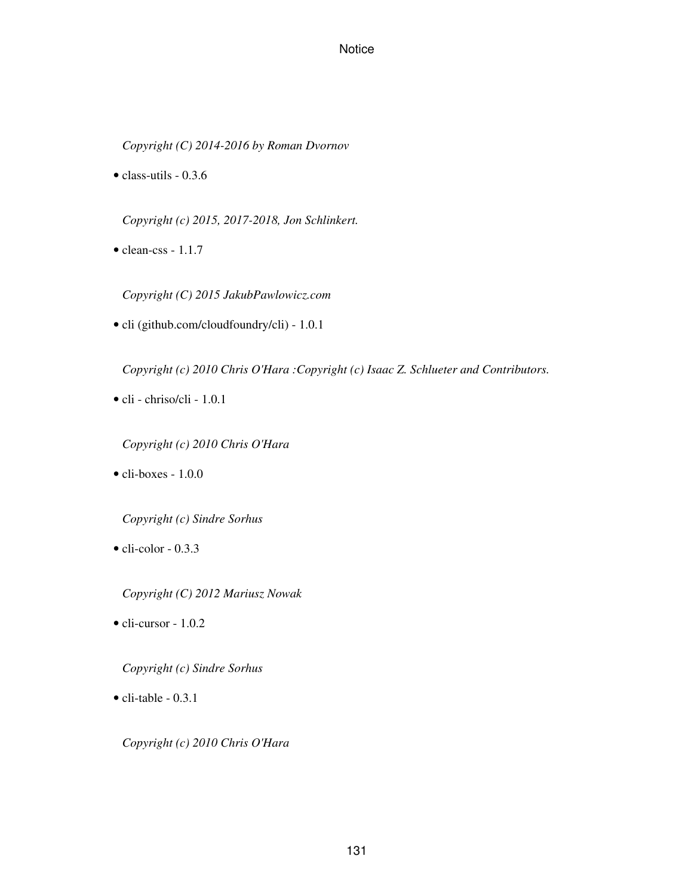*Copyright (C) 2014-2016 by Roman Dvornov*

• class-utils - 0.3.6

*Copyright (c) 2015, 2017-2018, Jon Schlinkert.*

• clean-css - 1.1.7

*Copyright (C) 2015 JakubPawlowicz.com*

• cli (github.com/cloudfoundry/cli) - 1.0.1

*Copyright (c) 2010 Chris O'Hara :Copyright (c) Isaac Z. Schlueter and Contributors.*

- cli chriso/cli 1.0.1
	- *Copyright (c) 2010 Chris O'Hara*
- $\bullet$  cli-boxes 1.0.0

*Copyright (c) Sindre Sorhus*

 $\bullet$  cli-color - 0.3.3

*Copyright (C) 2012 Mariusz Nowak*

• cli-cursor - 1.0.2

*Copyright (c) Sindre Sorhus*

 $\bullet$  cli-table - 0.3.1

*Copyright (c) 2010 Chris O'Hara*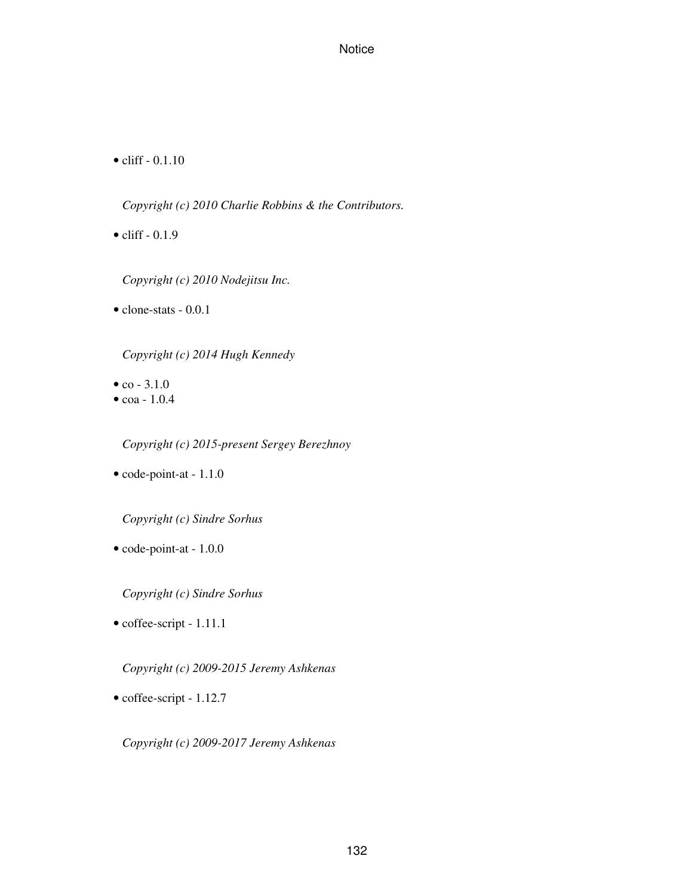$\bullet$  cliff - 0.1.10

*Copyright (c) 2010 Charlie Robbins & the Contributors.*

 $\bullet$  cliff - 0.1.9

*Copyright (c) 2010 Nodejitsu Inc.*

• clone-stats - 0.0.1

*Copyright (c) 2014 Hugh Kennedy*

- $co 3.1.0$
- $\cos -1.0.4$

*Copyright (c) 2015-present Sergey Berezhnoy*

• code-point-at - 1.1.0

*Copyright (c) Sindre Sorhus*

• code-point-at - 1.0.0

*Copyright (c) Sindre Sorhus*

• coffee-script - 1.11.1

*Copyright (c) 2009-2015 Jeremy Ashkenas*

• coffee-script - 1.12.7

*Copyright (c) 2009-2017 Jeremy Ashkenas*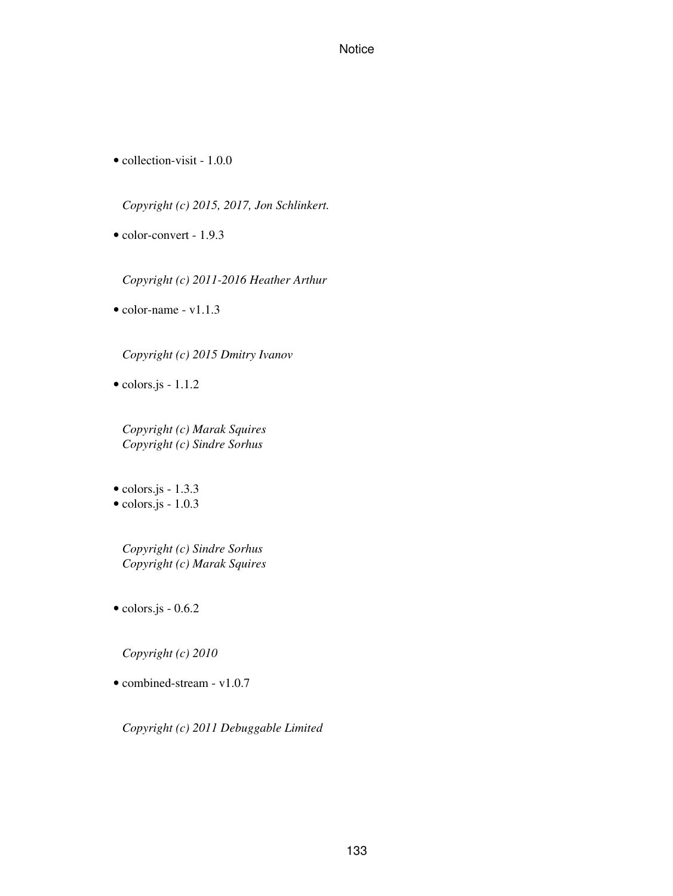• collection-visit - 1.0.0

*Copyright (c) 2015, 2017, Jon Schlinkert.*

• color-convert - 1.9.3

*Copyright (c) 2011-2016 Heather Arthur*

• color-name - v1.1.3

*Copyright (c) 2015 Dmitry Ivanov*

• colors.js - 1.1.2

*Copyright (c) Marak Squires Copyright (c) Sindre Sorhus*

 $\bullet$  colors.js - 1.3.3

 $\bullet$  colors.js - 1.0.3

*Copyright (c) Sindre Sorhus Copyright (c) Marak Squires*

• colors.js - 0.6.2

*Copyright (c) 2010*

• combined-stream - v1.0.7

*Copyright (c) 2011 Debuggable Limited*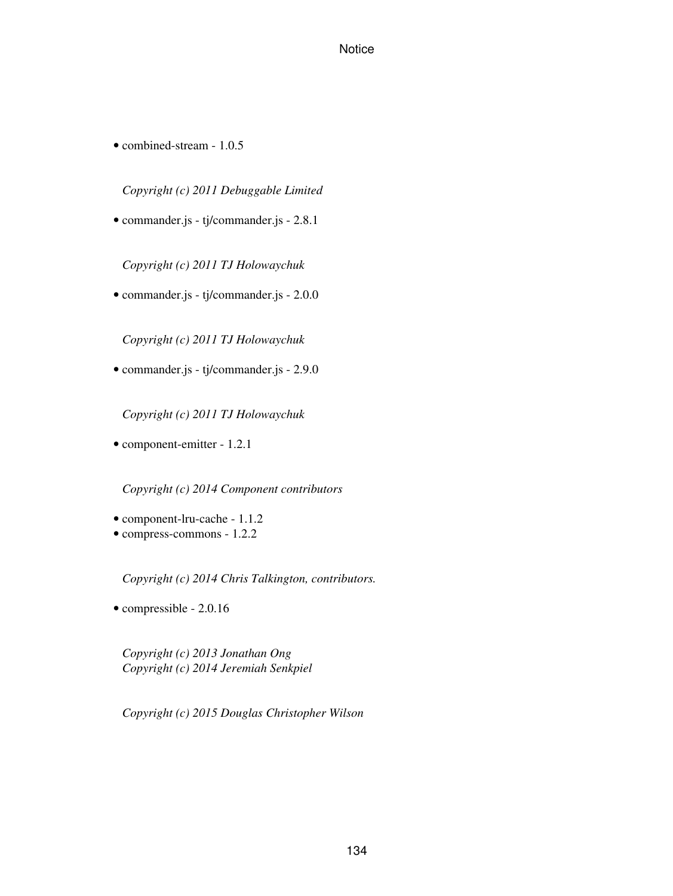• combined-stream - 1.0.5

*Copyright (c) 2011 Debuggable Limited*

• commander.js - tj/commander.js - 2.8.1

*Copyright (c) 2011 TJ Holowaychuk*

• commander.js - tj/commander.js - 2.0.0

*Copyright (c) 2011 TJ Holowaychuk*

• commander.js - tj/commander.js - 2.9.0

*Copyright (c) 2011 TJ Holowaychuk*

• component-emitter - 1.2.1

*Copyright (c) 2014 Component contributors*

- component-lru-cache 1.1.2
- compress-commons 1.2.2

*Copyright (c) 2014 Chris Talkington, contributors.*

• compressible - 2.0.16

*Copyright (c) 2013 Jonathan Ong Copyright (c) 2014 Jeremiah Senkpiel*

*Copyright (c) 2015 Douglas Christopher Wilson*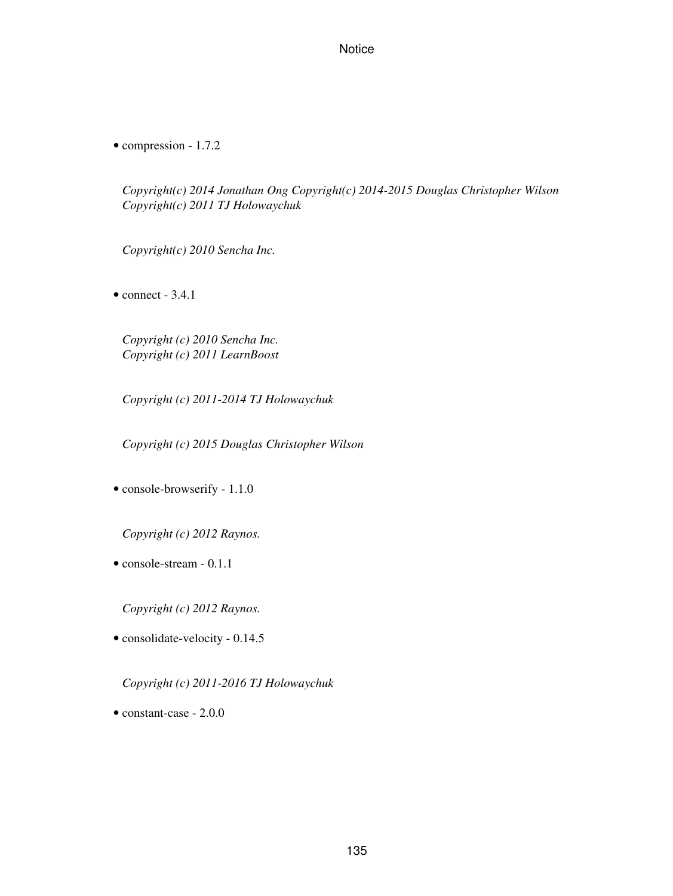• compression - 1.7.2

*Copyright(c) 2014 Jonathan Ong Copyright(c) 2014-2015 Douglas Christopher Wilson Copyright(c) 2011 TJ Holowaychuk*

*Copyright(c) 2010 Sencha Inc.*

 $\bullet$  connect - 3.4.1

*Copyright (c) 2010 Sencha Inc. Copyright (c) 2011 LearnBoost*

*Copyright (c) 2011-2014 TJ Holowaychuk*

*Copyright (c) 2015 Douglas Christopher Wilson*

• console-browserify - 1.1.0

*Copyright (c) 2012 Raynos.*

• console-stream - 0.1.1

*Copyright (c) 2012 Raynos.*

• consolidate-velocity - 0.14.5

*Copyright (c) 2011-2016 TJ Holowaychuk*

• constant-case - 2.0.0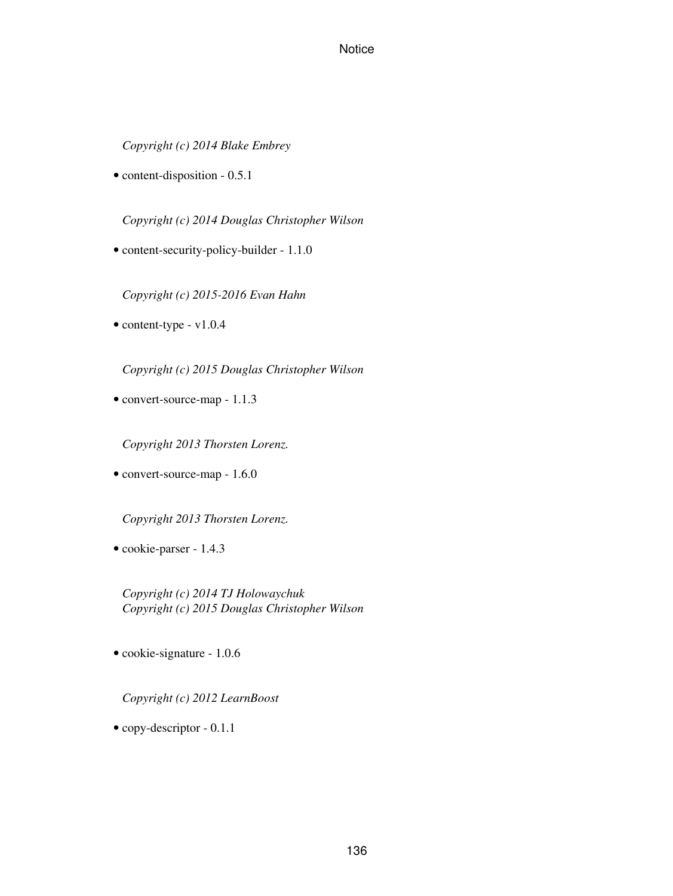*Copyright (c) 2014 Blake Embrey*

• content-disposition - 0.5.1

*Copyright (c) 2014 Douglas Christopher Wilson*

• content-security-policy-builder - 1.1.0

*Copyright (c) 2015-2016 Evan Hahn*

• content-type - v1.0.4

*Copyright (c) 2015 Douglas Christopher Wilson*

• convert-source-map - 1.1.3

*Copyright 2013 Thorsten Lorenz.*

• convert-source-map - 1.6.0

*Copyright 2013 Thorsten Lorenz.*

• cookie-parser - 1.4.3

*Copyright (c) 2014 TJ Holowaychuk Copyright (c) 2015 Douglas Christopher Wilson*

• cookie-signature - 1.0.6

*Copyright (c) 2012 LearnBoost*

• copy-descriptor - 0.1.1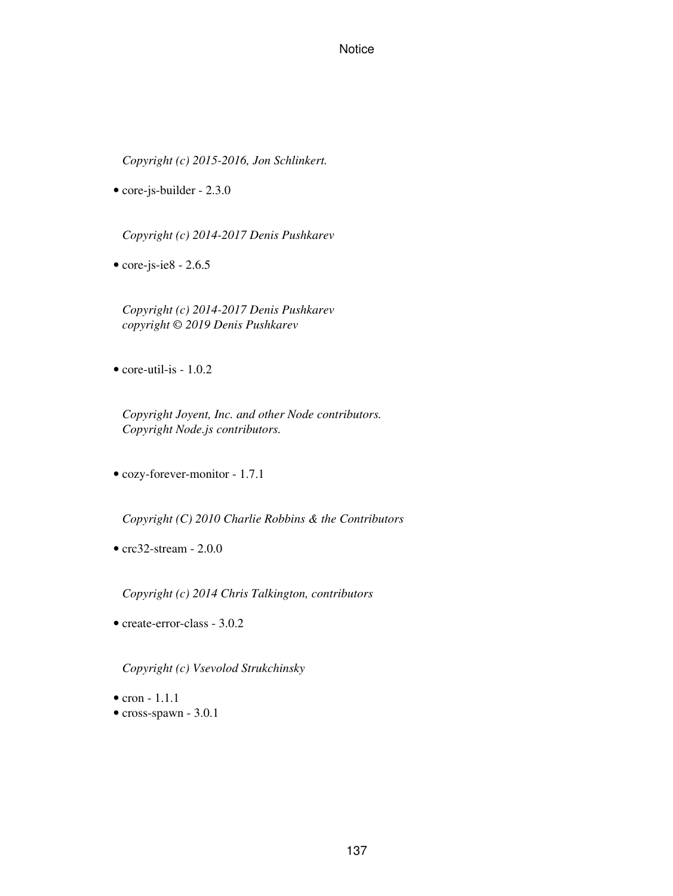*Copyright (c) 2015-2016, Jon Schlinkert.*

• core-js-builder - 2.3.0

*Copyright (c) 2014-2017 Denis Pushkarev*

 $\bullet$  core-js-ie8 - 2.6.5

*Copyright (c) 2014-2017 Denis Pushkarev copyright © 2019 Denis Pushkarev*

• core-util-is - 1.0.2

*Copyright Joyent, Inc. and other Node contributors. Copyright Node.js contributors.*

• cozy-forever-monitor - 1.7.1

*Copyright (C) 2010 Charlie Robbins & the Contributors*

•  $crc32-stream - 2.0.0$ 

*Copyright (c) 2014 Chris Talkington, contributors*

• create-error-class - 3.0.2

*Copyright (c) Vsevolod Strukchinsky*

- $\bullet$  cron  $-1.1.1$
- cross-spawn 3.0.1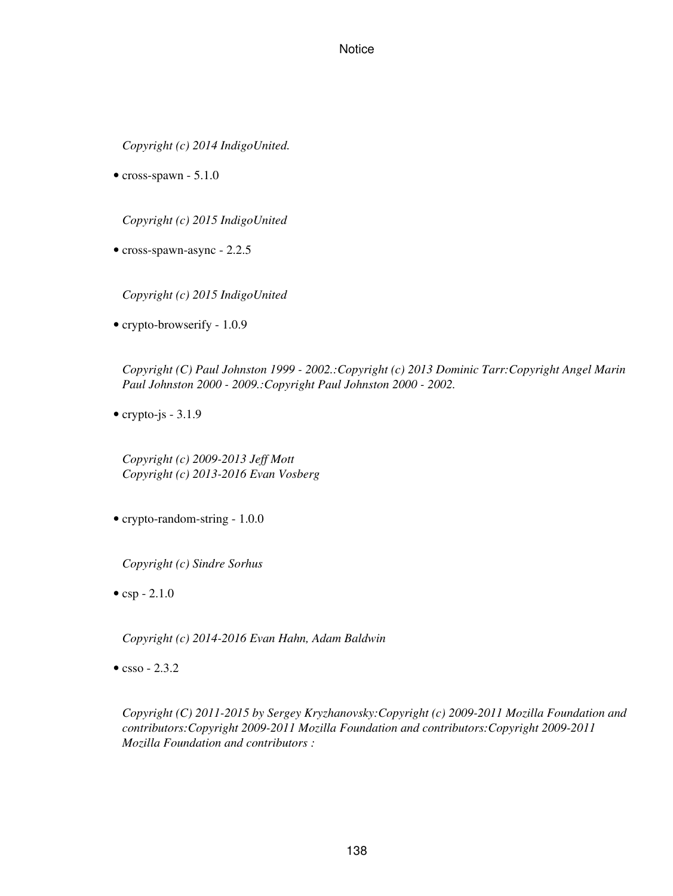*Copyright (c) 2014 IndigoUnited.*

 $\bullet$  cross-spawn - 5.1.0

*Copyright (c) 2015 IndigoUnited*

• cross-spawn-async - 2.2.5

*Copyright (c) 2015 IndigoUnited*

• crypto-browserify - 1.0.9

*Copyright (C) Paul Johnston 1999 - 2002.:Copyright (c) 2013 Dominic Tarr:Copyright Angel Marin Paul Johnston 2000 - 2009.:Copyright Paul Johnston 2000 - 2002.*

• crypto-js  $-3.1.9$ 

*Copyright (c) 2009-2013 Jeff Mott Copyright (c) 2013-2016 Evan Vosberg*

• crypto-random-string - 1.0.0

*Copyright (c) Sindre Sorhus*

•  $csp - 2.1.0$ 

*Copyright (c) 2014-2016 Evan Hahn, Adam Baldwin*

 $\bullet$  csso - 2.3.2

*Copyright (C) 2011-2015 by Sergey Kryzhanovsky:Copyright (c) 2009-2011 Mozilla Foundation and contributors:Copyright 2009-2011 Mozilla Foundation and contributors:Copyright 2009-2011 Mozilla Foundation and contributors :*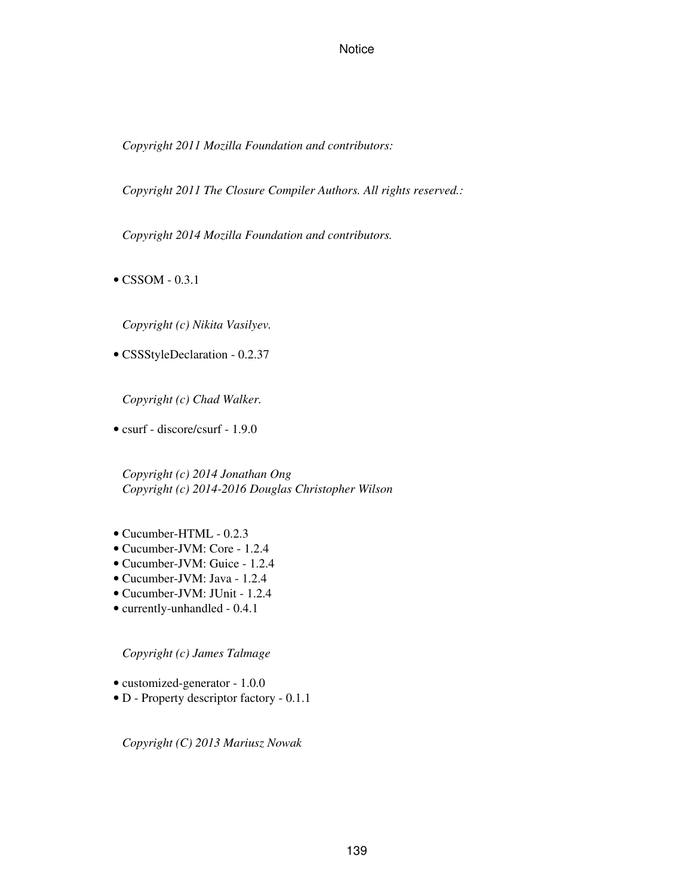*Copyright 2011 Mozilla Foundation and contributors:*

*Copyright 2011 The Closure Compiler Authors. All rights reserved.:*

*Copyright 2014 Mozilla Foundation and contributors.*

• CSSOM - 0.3.1

*Copyright (c) Nikita Vasilyev.*

• CSSStyleDeclaration - 0.2.37

*Copyright (c) Chad Walker.*

• csurf - discore/csurf - 1.9.0

*Copyright (c) 2014 Jonathan Ong Copyright (c) 2014-2016 Douglas Christopher Wilson*

- Cucumber-HTML 0.2.3
- Cucumber-JVM: Core 1.2.4
- Cucumber-JVM: Guice 1.2.4
- Cucumber-JVM: Java 1.2.4
- Cucumber-JVM: JUnit 1.2.4
- currently-unhandled 0.4.1

*Copyright (c) James Talmage*

- customized-generator 1.0.0
- D Property descriptor factory 0.1.1

*Copyright (C) 2013 Mariusz Nowak*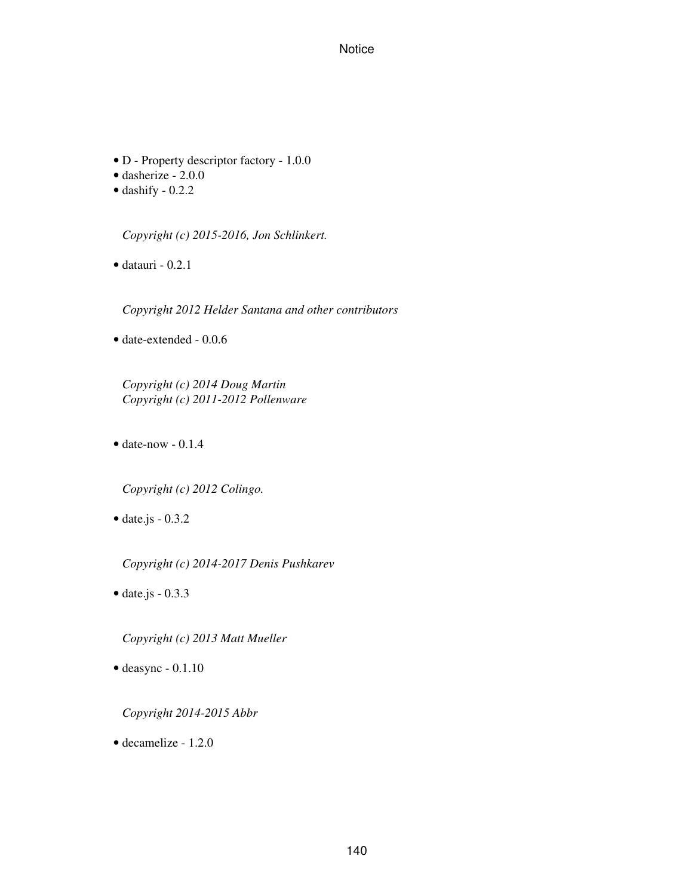- D Property descriptor factory 1.0.0
- dasherize 2.0.0
- $\bullet$  dashify 0.2.2

*Copyright (c) 2015-2016, Jon Schlinkert.*

 $\bullet$  datauri - 0.2.1

*Copyright 2012 Helder Santana and other contributors*

• date-extended - 0.0.6

*Copyright (c) 2014 Doug Martin Copyright (c) 2011-2012 Pollenware*

 $\bullet$  date-now  $-0.1.4$ 

*Copyright (c) 2012 Colingo.*

• date.js - 0.3.2

*Copyright (c) 2014-2017 Denis Pushkarev*

 $\bullet$  date.js - 0.3.3

*Copyright (c) 2013 Matt Mueller*

• deasync - 0.1.10

*Copyright 2014-2015 Abbr*

• decamelize - 1.2.0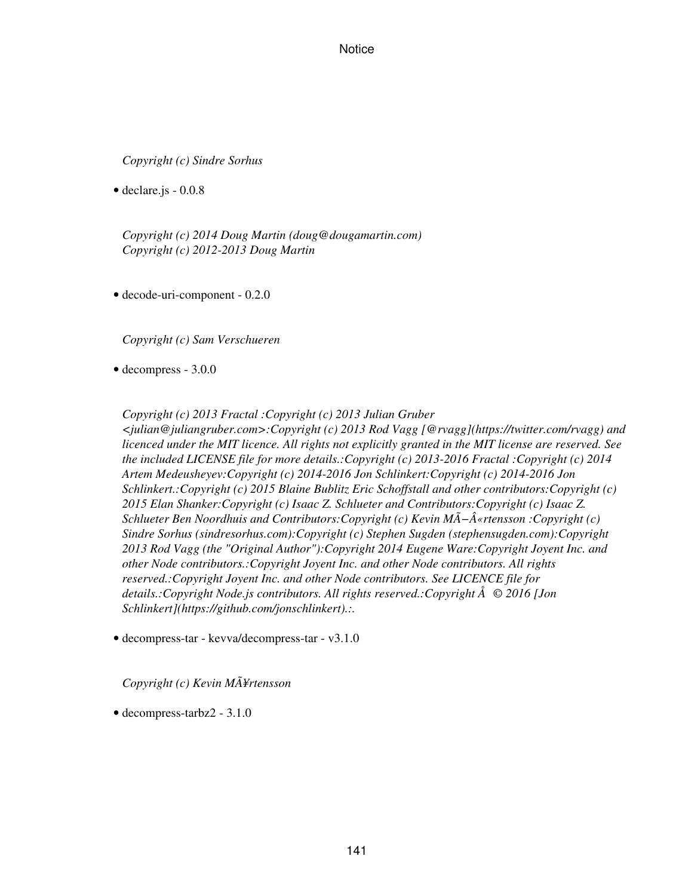*Copyright (c) Sindre Sorhus*

• declare.js - 0.0.8

*Copyright (c) 2014 Doug Martin (doug@dougamartin.com) Copyright (c) 2012-2013 Doug Martin*

• decode-uri-component - 0.2.0

*Copyright (c) Sam Verschueren*

• decompress - 3.0.0

*Copyright (c) 2013 Fractal :Copyright (c) 2013 Julian Gruber <julian@juliangruber.com>:Copyright (c) 2013 Rod Vagg [@rvagg](https://twitter.com/rvagg) and licenced under the MIT licence. All rights not explicitly granted in the MIT license are reserved. See the included LICENSE file for more details.:Copyright (c) 2013-2016 Fractal :Copyright (c) 2014 Artem Medeusheyev:Copyright (c) 2014-2016 Jon Schlinkert:Copyright (c) 2014-2016 Jon Schlinkert.:Copyright (c) 2015 Blaine Bublitz Eric Schoffstall and other contributors:Copyright (c) 2015 Elan Shanker:Copyright (c) Isaac Z. Schlueter and Contributors:Copyright (c) Isaac Z. Schlueter Ben Noordhuis and Contributors:Copyright (c) Kevin MÖ«rtensson :Copyright (c) Sindre Sorhus (sindresorhus.com):Copyright (c) Stephen Sugden (stephensugden.com):Copyright 2013 Rod Vagg (the "Original Author"):Copyright 2014 Eugene Ware:Copyright Joyent Inc. and other Node contributors.:Copyright Joyent Inc. and other Node contributors. All rights reserved.:Copyright Joyent Inc. and other Node contributors. See LICENCE file for details.:Copyright Node.js contributors. All rights reserved.:Copyright Å© 2016 [Jon Schlinkert](https://github.com/jonschlinkert).:.*

• decompress-tar - kevva/decompress-tar - v3.1.0

*Copyright (c) Kevin MÃ¥rtensson*

• decompress-tarbz2 - 3.1.0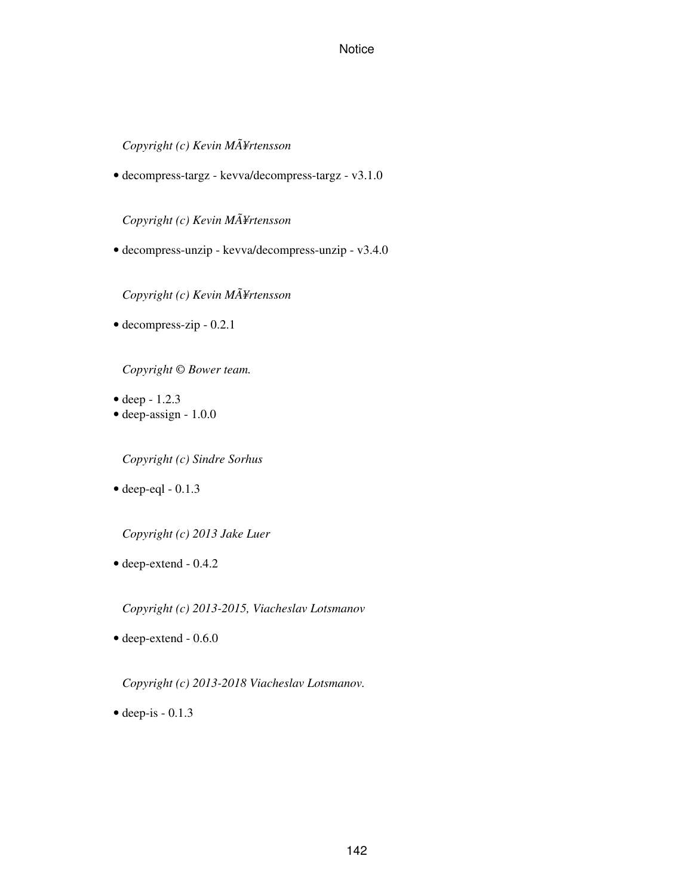*Copyright (c) Kevin MÃ¥rtensson*

• decompress-targz - kevva/decompress-targz - v3.1.0

*Copyright (c) Kevin MÃ¥rtensson*

• decompress-unzip - kevva/decompress-unzip - v3.4.0

*Copyright (c) Kevin MÃ¥rtensson*

• decompress-zip - 0.2.1

*Copyright © Bower team.*

- deep  $-1.2.3$
- deep-assign 1.0.0

*Copyright (c) Sindre Sorhus*

 $\bullet$  deep-eql - 0.1.3

*Copyright (c) 2013 Jake Luer*

• deep-extend - 0.4.2

*Copyright (c) 2013-2015, Viacheslav Lotsmanov*

• deep-extend - 0.6.0

*Copyright (c) 2013-2018 Viacheslav Lotsmanov.*

 $\bullet$  deep-is - 0.1.3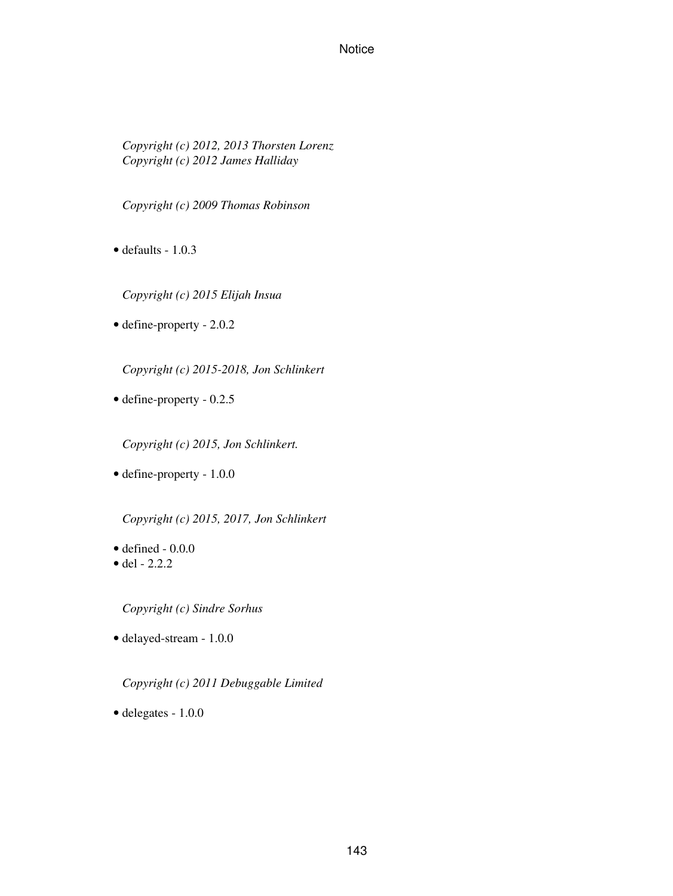*Copyright (c) 2012, 2013 Thorsten Lorenz Copyright (c) 2012 James Halliday*

*Copyright (c) 2009 Thomas Robinson*

- $\bullet$  defaults 1.0.3
	- *Copyright (c) 2015 Elijah Insua*
- define-property 2.0.2

*Copyright (c) 2015-2018, Jon Schlinkert*

• define-property - 0.2.5

*Copyright (c) 2015, Jon Schlinkert.*

• define-property - 1.0.0

*Copyright (c) 2015, 2017, Jon Schlinkert*

- $\bullet$  defined  $-0.0.0$
- del  $2.2.2$

*Copyright (c) Sindre Sorhus*

• delayed-stream - 1.0.0

*Copyright (c) 2011 Debuggable Limited*

• delegates - 1.0.0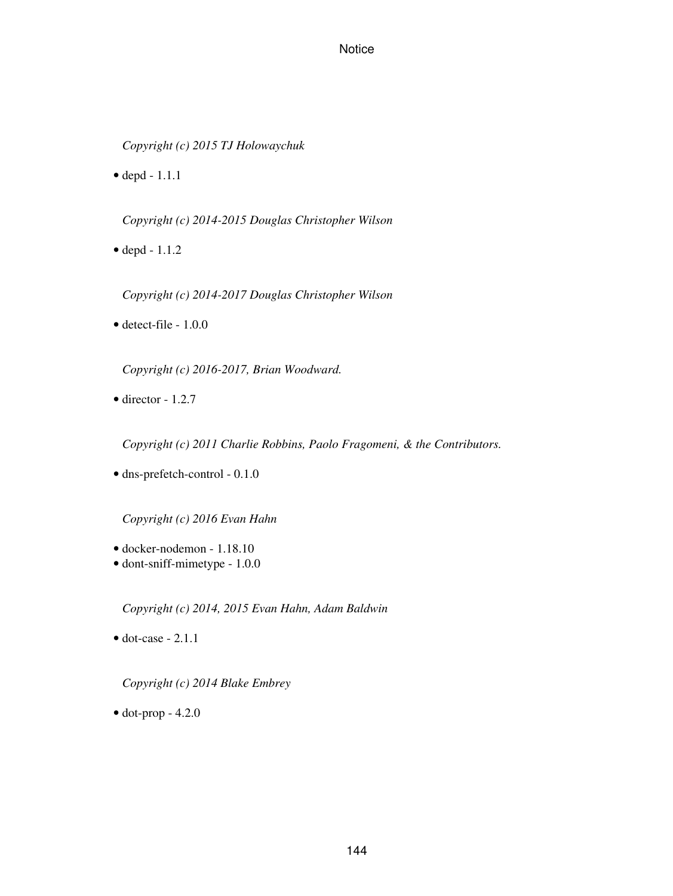*Copyright (c) 2015 TJ Holowaychuk*

• depd - 1.1.1

*Copyright (c) 2014-2015 Douglas Christopher Wilson*

• depd - 1.1.2

*Copyright (c) 2014-2017 Douglas Christopher Wilson*

• detect-file - 1.0.0

*Copyright (c) 2016-2017, Brian Woodward.*

 $\bullet$  director - 1.2.7

*Copyright (c) 2011 Charlie Robbins, Paolo Fragomeni, & the Contributors.*

• dns-prefetch-control - 0.1.0

*Copyright (c) 2016 Evan Hahn*

- docker-nodemon 1.18.10
- dont-sniff-mimetype 1.0.0

*Copyright (c) 2014, 2015 Evan Hahn, Adam Baldwin*

 $\bullet$  dot-case - 2.1.1

*Copyright (c) 2014 Blake Embrey*

 $\bullet$  dot-prop - 4.2.0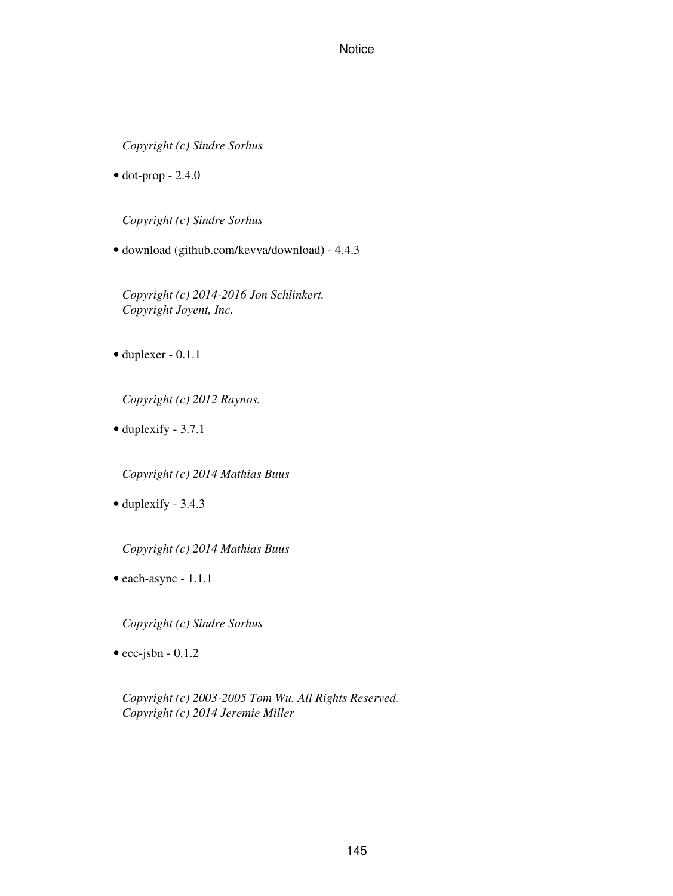*Copyright (c) Sindre Sorhus*

 $\bullet$  dot-prop - 2.4.0

*Copyright (c) Sindre Sorhus*

• download (github.com/kevva/download) - 4.4.3

*Copyright (c) 2014-2016 Jon Schlinkert. Copyright Joyent, Inc.*

• duplexer - 0.1.1

*Copyright (c) 2012 Raynos.*

• duplexify - 3.7.1

*Copyright (c) 2014 Mathias Buus*

• duplexify - 3.4.3

*Copyright (c) 2014 Mathias Buus*

• each-async - 1.1.1

*Copyright (c) Sindre Sorhus*

 $\bullet$  ecc-jsbn - 0.1.2

*Copyright (c) 2003-2005 Tom Wu. All Rights Reserved. Copyright (c) 2014 Jeremie Miller*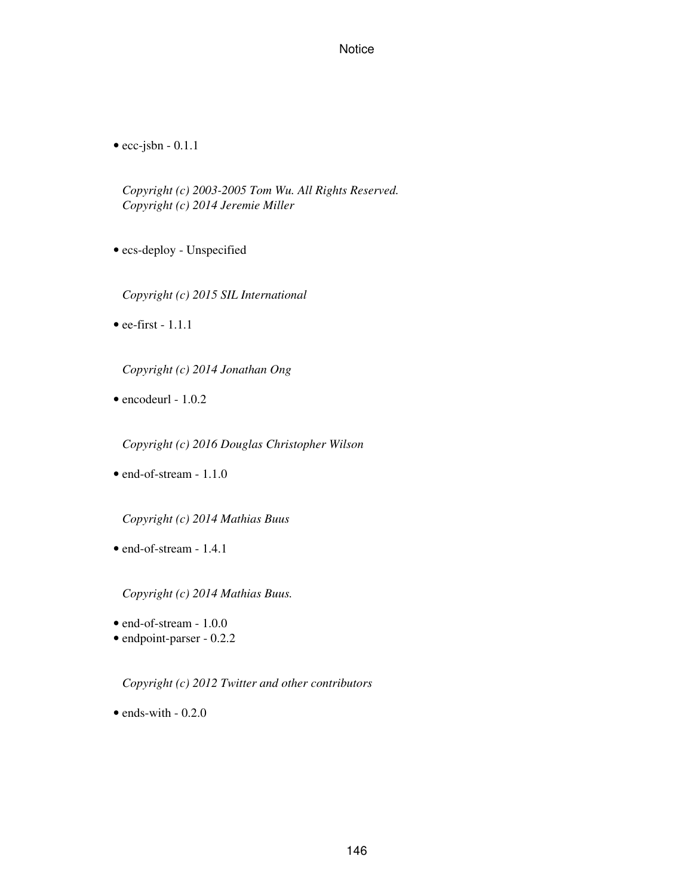$\bullet$  ecc-jsbn - 0.1.1

*Copyright (c) 2003-2005 Tom Wu. All Rights Reserved. Copyright (c) 2014 Jeremie Miller*

- ecs-deploy Unspecified
	- *Copyright (c) 2015 SIL International*
- ee-first  $-1.1.1$

*Copyright (c) 2014 Jonathan Ong*

 $\bullet$  encodeurl - 1.0.2

*Copyright (c) 2016 Douglas Christopher Wilson*

• end-of-stream - 1.1.0

*Copyright (c) 2014 Mathias Buus*

• end-of-stream - 1.4.1

*Copyright (c) 2014 Mathias Buus.*

- end-of-stream 1.0.0
- endpoint-parser 0.2.2

*Copyright (c) 2012 Twitter and other contributors*

 $\bullet$  ends-with  $-0.2.0$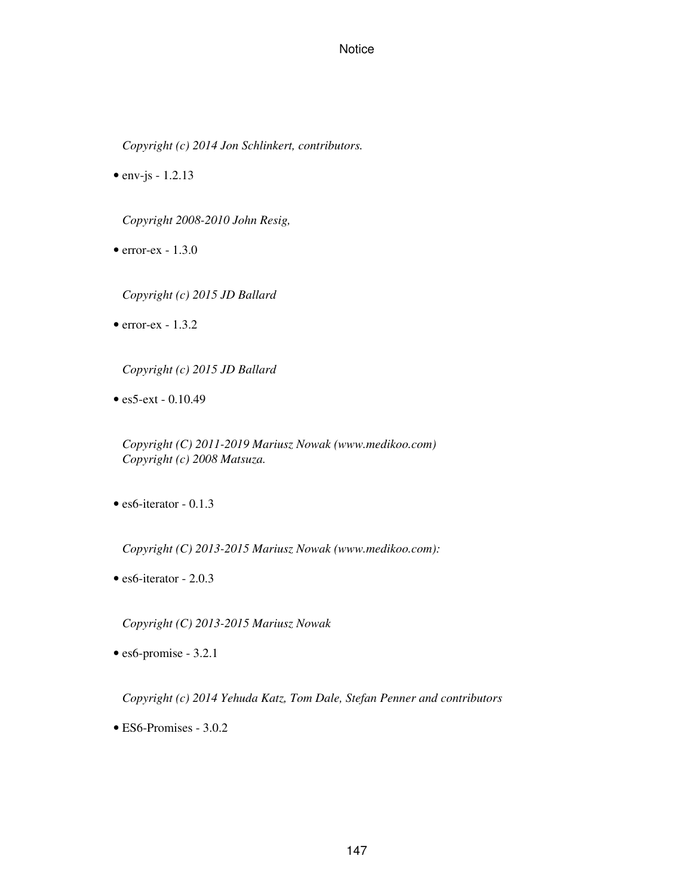*Copyright (c) 2014 Jon Schlinkert, contributors.*

•  $env$ -js - 1.2.13

*Copyright 2008-2010 John Resig,*

- $\bullet$  error-ex 1.3.0
	- *Copyright (c) 2015 JD Ballard*
- $\bullet$  error-ex 1.3.2
	- *Copyright (c) 2015 JD Ballard*
- es5-ext 0.10.49

*Copyright (C) 2011-2019 Mariusz Nowak (www.medikoo.com) Copyright (c) 2008 Matsuza.*

• es6-iterator - 0.1.3

*Copyright (C) 2013-2015 Mariusz Nowak (www.medikoo.com):*

• es6-iterator - 2.0.3

*Copyright (C) 2013-2015 Mariusz Nowak*

• es6-promise - 3.2.1

*Copyright (c) 2014 Yehuda Katz, Tom Dale, Stefan Penner and contributors*

• ES6-Promises - 3.0.2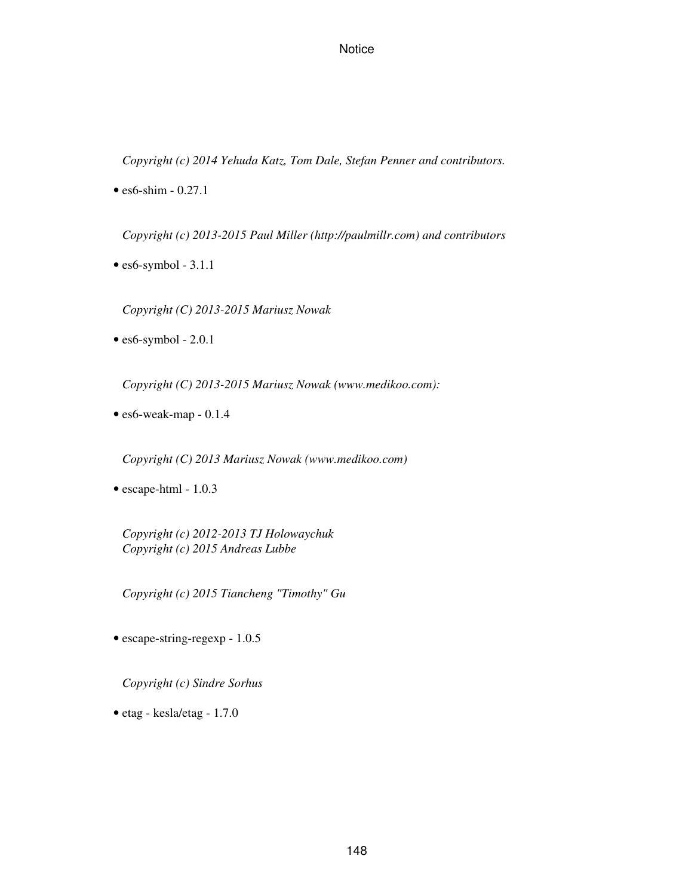*Copyright (c) 2014 Yehuda Katz, Tom Dale, Stefan Penner and contributors.*

• es6-shim - 0.27.1

*Copyright (c) 2013-2015 Paul Miller (http://paulmillr.com) and contributors*

 $\bullet$  es6-symbol - 3.1.1

*Copyright (C) 2013-2015 Mariusz Nowak*

 $\bullet$  es6-symbol - 2.0.1

*Copyright (C) 2013-2015 Mariusz Nowak (www.medikoo.com):*

• es6-weak-map - 0.1.4

*Copyright (C) 2013 Mariusz Nowak (www.medikoo.com)*

• escape-html - 1.0.3

*Copyright (c) 2012-2013 TJ Holowaychuk Copyright (c) 2015 Andreas Lubbe*

*Copyright (c) 2015 Tiancheng "Timothy" Gu*

• escape-string-regexp - 1.0.5

*Copyright (c) Sindre Sorhus*

• etag - kesla/etag - 1.7.0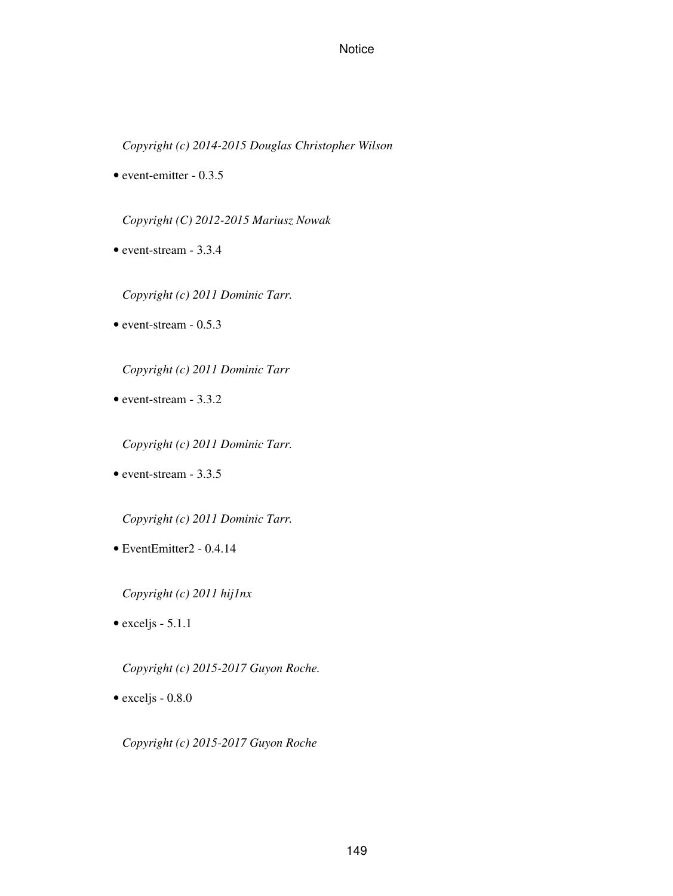*Copyright (c) 2014-2015 Douglas Christopher Wilson*

• event-emitter - 0.3.5

*Copyright (C) 2012-2015 Mariusz Nowak*

- event-stream 3.3.4
	- *Copyright (c) 2011 Dominic Tarr.*
- event-stream 0.5.3

*Copyright (c) 2011 Dominic Tarr*

- event-stream 3.3.2
	- *Copyright (c) 2011 Dominic Tarr.*
- event-stream 3.3.5

*Copyright (c) 2011 Dominic Tarr.*

• EventEmitter2 - 0.4.14

*Copyright (c) 2011 hij1nx*

 $\bullet$  exceljs - 5.1.1

*Copyright (c) 2015-2017 Guyon Roche.*

• exceljs - 0.8.0

*Copyright (c) 2015-2017 Guyon Roche*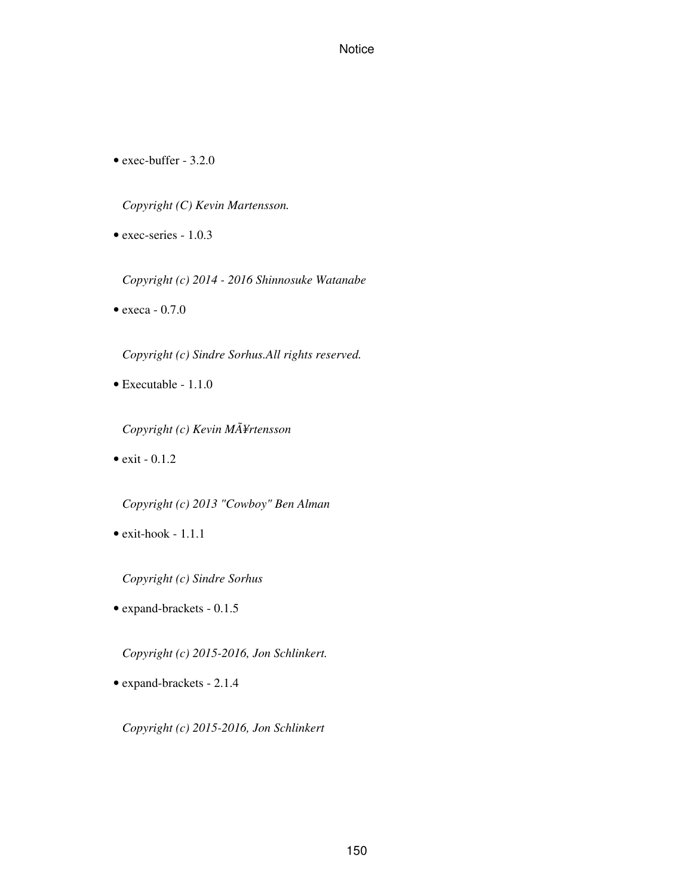• exec-buffer - 3.2.0

*Copyright (C) Kevin Martensson.*

• exec-series - 1.0.3

*Copyright (c) 2014 - 2016 Shinnosuke Watanabe*

• execa - 0.7.0

*Copyright (c) Sindre Sorhus.All rights reserved.*

• Executable - 1.1.0

*Copyright (c) Kevin MÃ¥rtensson*

 $\bullet$  exit - 0.1.2

*Copyright (c) 2013 "Cowboy" Ben Alman*

• exit-hook - 1.1.1

*Copyright (c) Sindre Sorhus*

• expand-brackets - 0.1.5

*Copyright (c) 2015-2016, Jon Schlinkert.*

• expand-brackets - 2.1.4

*Copyright (c) 2015-2016, Jon Schlinkert*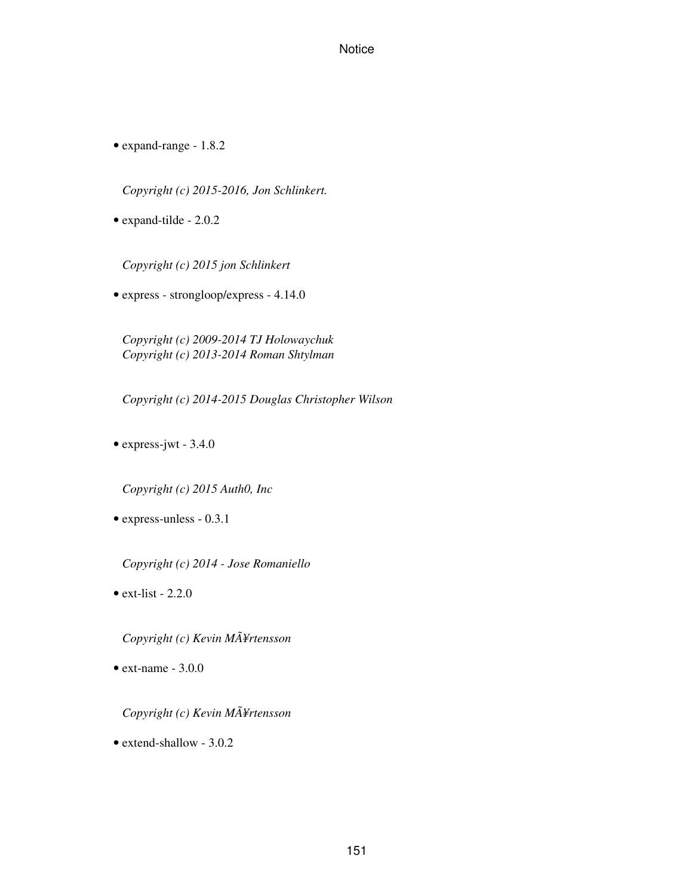• expand-range - 1.8.2

*Copyright (c) 2015-2016, Jon Schlinkert.*

• expand-tilde - 2.0.2

*Copyright (c) 2015 jon Schlinkert*

• express - strongloop/express - 4.14.0

*Copyright (c) 2009-2014 TJ Holowaychuk Copyright (c) 2013-2014 Roman Shtylman*

*Copyright (c) 2014-2015 Douglas Christopher Wilson*

• express-jwt - 3.4.0

*Copyright (c) 2015 Auth0, Inc*

• express-unless - 0.3.1

*Copyright (c) 2014 - Jose Romaniello*

 $\bullet$  ext-list - 2.2.0

*Copyright (c) Kevin MÃ¥rtensson*

 $\bullet$  ext-name - 3.0.0

*Copyright (c) Kevin MÃ¥rtensson*

• extend-shallow - 3.0.2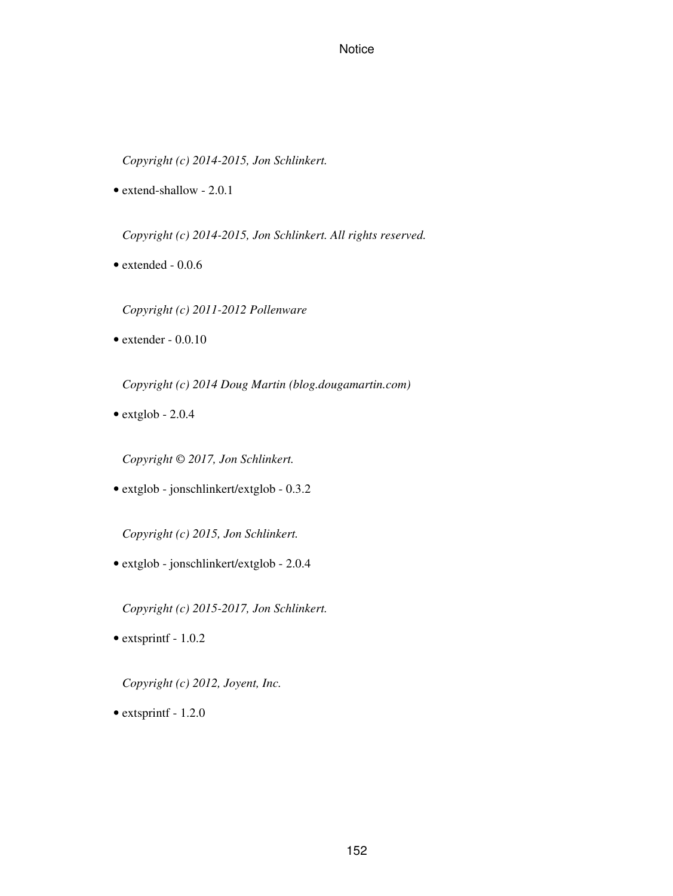*Copyright (c) 2014-2015, Jon Schlinkert.*

• extend-shallow - 2.0.1

*Copyright (c) 2014-2015, Jon Schlinkert. All rights reserved.*

• extended - 0.0.6

*Copyright (c) 2011-2012 Pollenware*

 $\bullet$  extender - 0.0.10

*Copyright (c) 2014 Doug Martin (blog.dougamartin.com)*

 $\bullet$  extglob - 2.0.4

*Copyright © 2017, Jon Schlinkert.*

• extglob - jonschlinkert/extglob - 0.3.2

*Copyright (c) 2015, Jon Schlinkert.*

• extglob - jonschlinkert/extglob - 2.0.4

*Copyright (c) 2015-2017, Jon Schlinkert.*

• extsprintf - 1.0.2

*Copyright (c) 2012, Joyent, Inc.*

• extsprintf - 1.2.0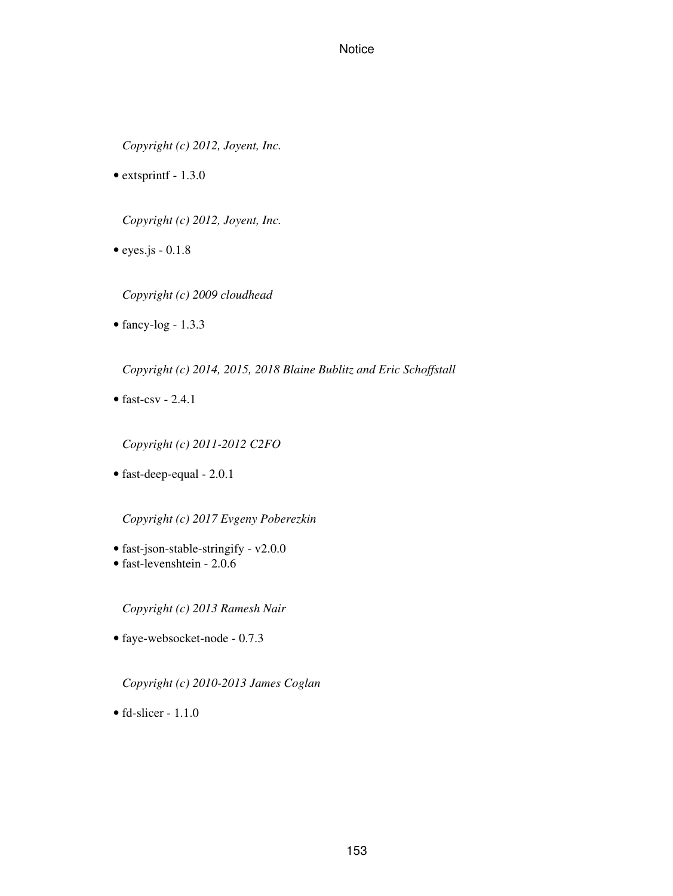*Copyright (c) 2012, Joyent, Inc.*

• extsprintf - 1.3.0

*Copyright (c) 2012, Joyent, Inc.*

 $\bullet$  eyes.js - 0.1.8

*Copyright (c) 2009 cloudhead*

 $\bullet$  fancy-log - 1.3.3

*Copyright (c) 2014, 2015, 2018 Blaine Bublitz and Eric Schoffstall*

• fast-csv  $-2.4.1$ 

*Copyright (c) 2011-2012 C2FO*

• fast-deep-equal - 2.0.1

*Copyright (c) 2017 Evgeny Poberezkin*

- fast-json-stable-stringify v2.0.0
- fast-levenshtein 2.0.6

*Copyright (c) 2013 Ramesh Nair*

• faye-websocket-node - 0.7.3

*Copyright (c) 2010-2013 James Coglan*

 $\bullet$  fd-slicer - 1.1.0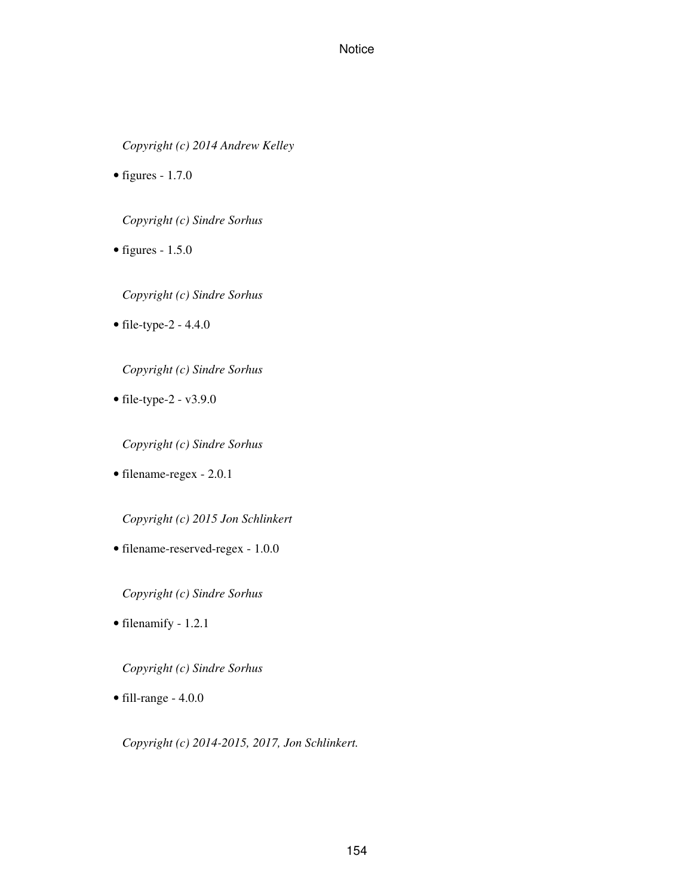*Copyright (c) 2014 Andrew Kelley*

• figures -  $1.7.0$ 

*Copyright (c) Sindre Sorhus*

• figures -  $1.5.0$ 

*Copyright (c) Sindre Sorhus*

• file-type-2 - 4.4.0

*Copyright (c) Sindre Sorhus*

• file-type-2 -  $v3.9.0$ 

*Copyright (c) Sindre Sorhus*

• filename-regex - 2.0.1

*Copyright (c) 2015 Jon Schlinkert*

• filename-reserved-regex - 1.0.0

*Copyright (c) Sindre Sorhus*

• filenamify - 1.2.1

*Copyright (c) Sindre Sorhus*

• fill-range - 4.0.0

*Copyright (c) 2014-2015, 2017, Jon Schlinkert.*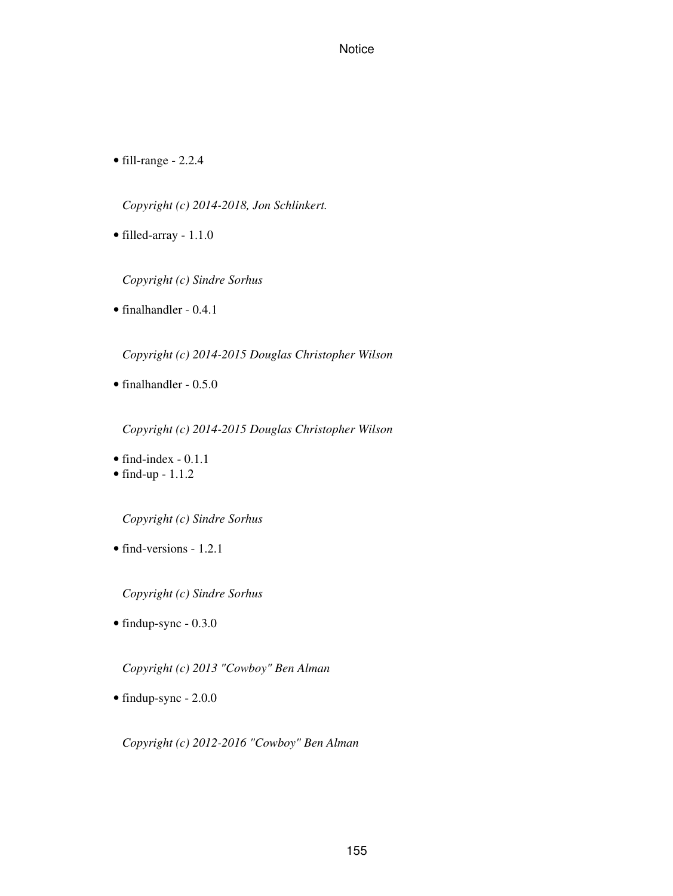• fill-range - 2.2.4

*Copyright (c) 2014-2018, Jon Schlinkert.*

• filled-array - 1.1.0

*Copyright (c) Sindre Sorhus*

• finalhandler - 0.4.1

*Copyright (c) 2014-2015 Douglas Christopher Wilson*

• finalhandler - 0.5.0

*Copyright (c) 2014-2015 Douglas Christopher Wilson*

- find-index 0.1.1
- $\bullet$  find-up 1.1.2

*Copyright (c) Sindre Sorhus*

• find-versions - 1.2.1

*Copyright (c) Sindre Sorhus*

• findup-sync - 0.3.0

*Copyright (c) 2013 "Cowboy" Ben Alman*

• findup-sync - 2.0.0

*Copyright (c) 2012-2016 "Cowboy" Ben Alman*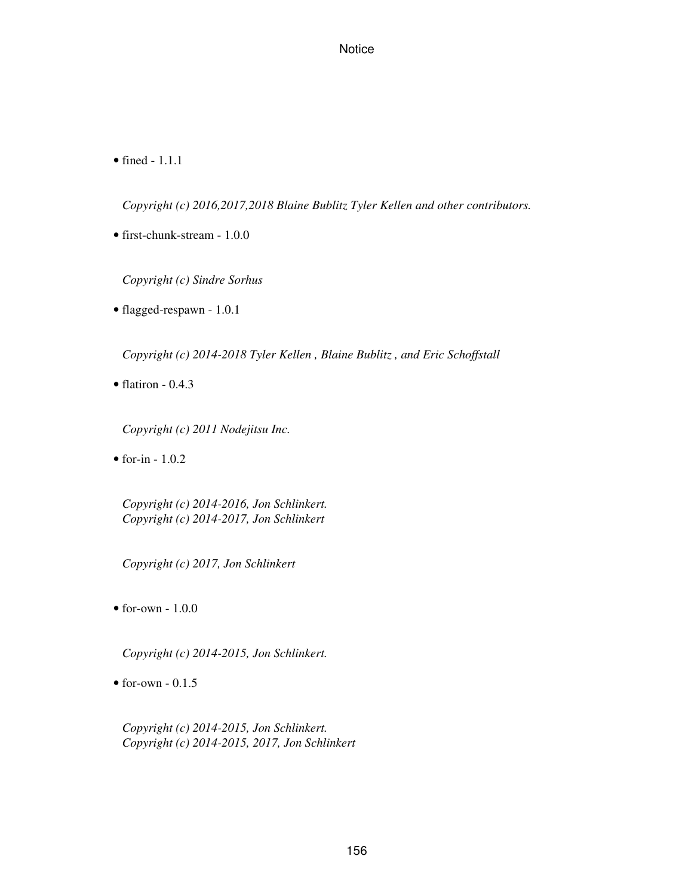• fined - 1.1.1

*Copyright (c) 2016,2017,2018 Blaine Bublitz Tyler Kellen and other contributors.*

• first-chunk-stream - 1.0.0

*Copyright (c) Sindre Sorhus*

• flagged-respawn - 1.0.1

*Copyright (c) 2014-2018 Tyler Kellen , Blaine Bublitz , and Eric Schoffstall*

 $\bullet$  flatiron - 0.4.3

*Copyright (c) 2011 Nodejitsu Inc.*

 $\bullet$  for-in - 1.0.2

*Copyright (c) 2014-2016, Jon Schlinkert. Copyright (c) 2014-2017, Jon Schlinkert*

*Copyright (c) 2017, Jon Schlinkert*

 $\bullet$  for-own -  $1.0.0$ 

*Copyright (c) 2014-2015, Jon Schlinkert.*

 $\bullet$  for-own - 0.1.5

*Copyright (c) 2014-2015, Jon Schlinkert. Copyright (c) 2014-2015, 2017, Jon Schlinkert*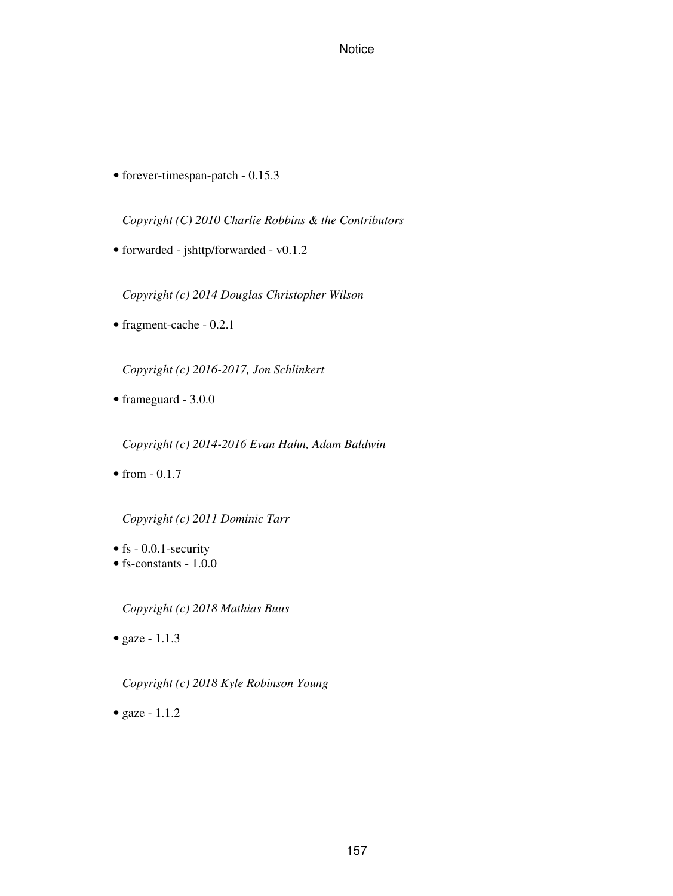• forever-timespan-patch - 0.15.3

*Copyright (C) 2010 Charlie Robbins & the Contributors*

• forwarded - jshttp/forwarded - v0.1.2

*Copyright (c) 2014 Douglas Christopher Wilson*

• fragment-cache - 0.2.1

*Copyright (c) 2016-2017, Jon Schlinkert*

• frameguard - 3.0.0

*Copyright (c) 2014-2016 Evan Hahn, Adam Baldwin*

• from  $-0.1.7$ 

*Copyright (c) 2011 Dominic Tarr*

- fs 0.0.1-security
- fs-constants 1.0.0

*Copyright (c) 2018 Mathias Buus*

• gaze - 1.1.3

*Copyright (c) 2018 Kyle Robinson Young*

• gaze - 1.1.2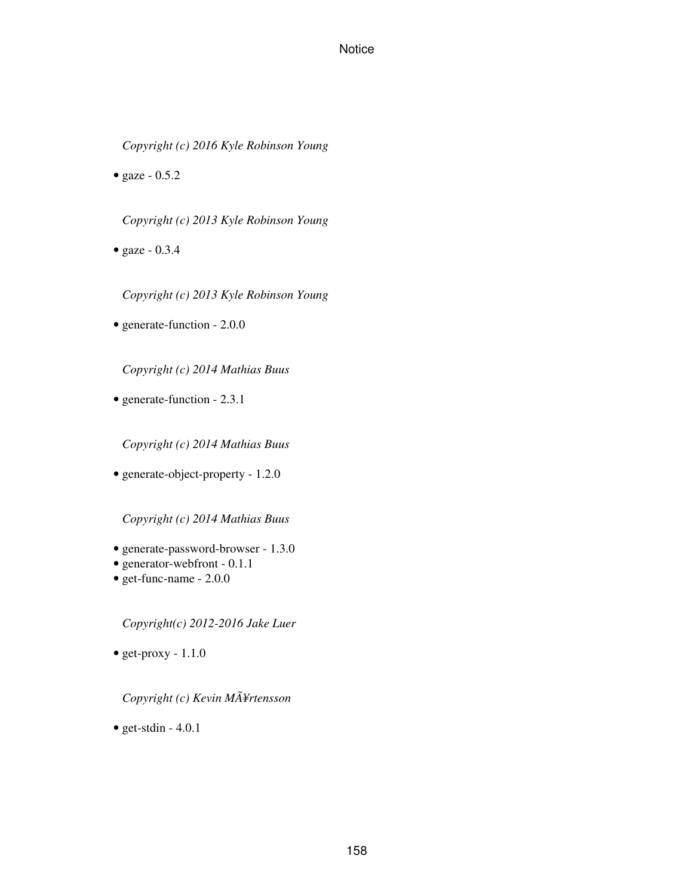*Copyright (c) 2016 Kyle Robinson Young*

• gaze  $-0.5.2$ 

*Copyright (c) 2013 Kyle Robinson Young*

• gaze - 0.3.4

*Copyright (c) 2013 Kyle Robinson Young*

• generate-function - 2.0.0

*Copyright (c) 2014 Mathias Buus*

• generate-function - 2.3.1

*Copyright (c) 2014 Mathias Buus*

• generate-object-property - 1.2.0

*Copyright (c) 2014 Mathias Buus*

- generate-password-browser 1.3.0
- generator-webfront 0.1.1
- get-func-name 2.0.0

*Copyright(c) 2012-2016 Jake Luer*

• get-proxy  $-1.1.0$ 

*Copyright (c) Kevin MÃ¥rtensson*

• get-stdin  $-4.0.1$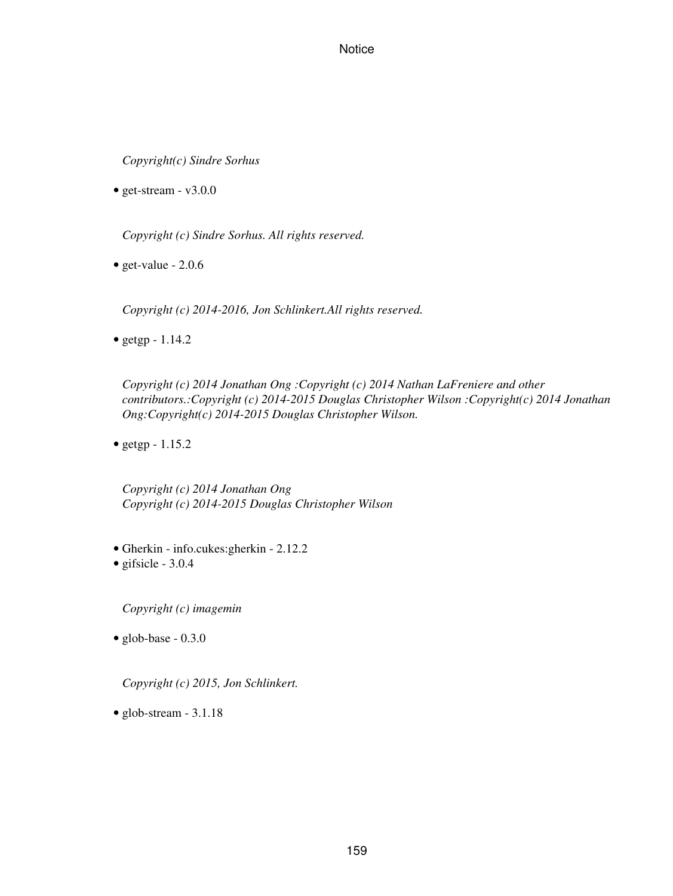*Copyright(c) Sindre Sorhus*

• get-stream -  $v3.0.0$ 

*Copyright (c) Sindre Sorhus. All rights reserved.*

• get-value -  $2.0.6$ 

*Copyright (c) 2014-2016, Jon Schlinkert.All rights reserved.*

• getgp  $-1.14.2$ 

*Copyright (c) 2014 Jonathan Ong :Copyright (c) 2014 Nathan LaFreniere and other contributors.:Copyright (c) 2014-2015 Douglas Christopher Wilson :Copyright(c) 2014 Jonathan Ong:Copyright(c) 2014-2015 Douglas Christopher Wilson.*

• getgp - 1.15.2

*Copyright (c) 2014 Jonathan Ong Copyright (c) 2014-2015 Douglas Christopher Wilson*

- Gherkin info.cukes:gherkin 2.12.2
- gifsicle 3.0.4

*Copyright (c) imagemin*

 $\bullet$  glob-base - 0.3.0

*Copyright (c) 2015, Jon Schlinkert.*

• glob-stream - 3.1.18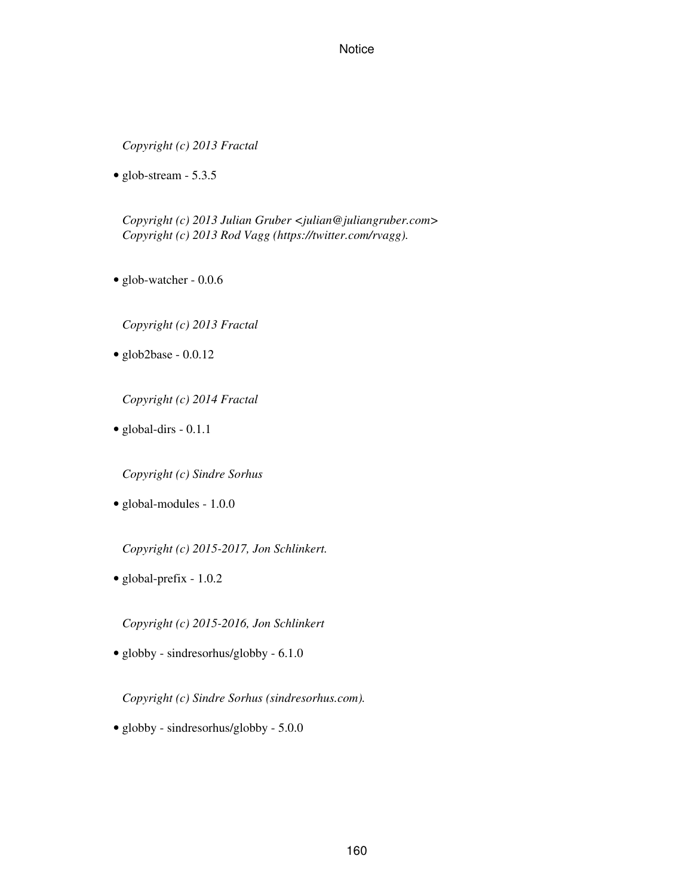*Copyright (c) 2013 Fractal*

• glob-stream - 5.3.5

*Copyright (c) 2013 Julian Gruber <julian@juliangruber.com> Copyright (c) 2013 Rod Vagg (https://twitter.com/rvagg).*

• glob-watcher - 0.0.6

*Copyright (c) 2013 Fractal*

• glob2base - 0.0.12

*Copyright (c) 2014 Fractal*

• global-dirs - 0.1.1

*Copyright (c) Sindre Sorhus*

• global-modules - 1.0.0

*Copyright (c) 2015-2017, Jon Schlinkert.*

• global-prefix - 1.0.2

*Copyright (c) 2015-2016, Jon Schlinkert*

• globby - sindresorhus/globby - 6.1.0

*Copyright (c) Sindre Sorhus (sindresorhus.com).*

• globby - sindresorhus/globby - 5.0.0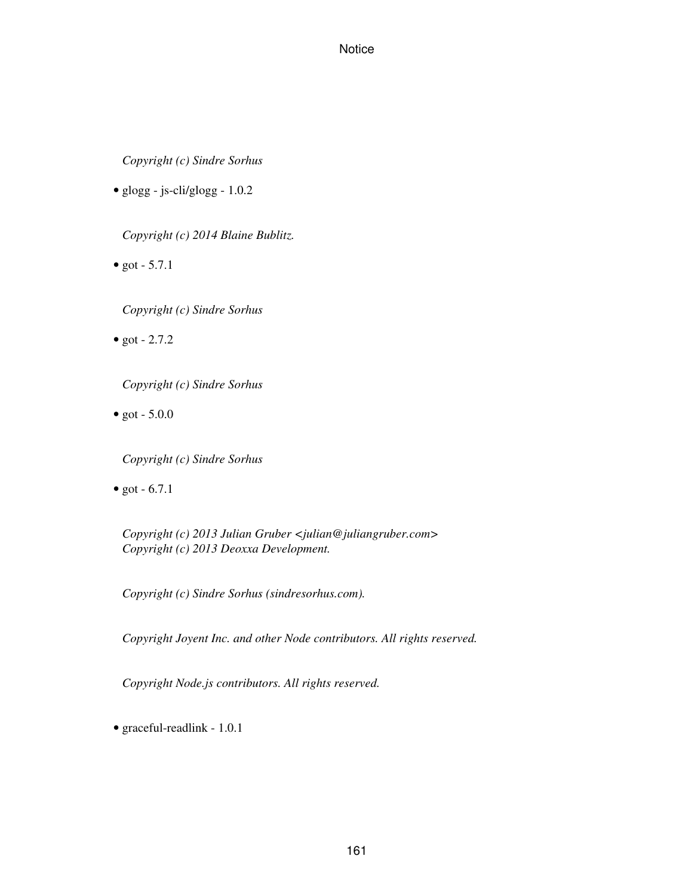*Copyright (c) Sindre Sorhus*

• glogg - js-cli/glogg - 1.0.2

*Copyright (c) 2014 Blaine Bublitz.*

• got  $-5.7.1$ 

*Copyright (c) Sindre Sorhus*

• got  $-2.7.2$ 

*Copyright (c) Sindre Sorhus*

• got  $-5.0.0$ 

*Copyright (c) Sindre Sorhus*

• got  $-6.7.1$ 

*Copyright (c) 2013 Julian Gruber <julian@juliangruber.com> Copyright (c) 2013 Deoxxa Development.*

*Copyright (c) Sindre Sorhus (sindresorhus.com).*

*Copyright Joyent Inc. and other Node contributors. All rights reserved.*

*Copyright Node.js contributors. All rights reserved.*

• graceful-readlink - 1.0.1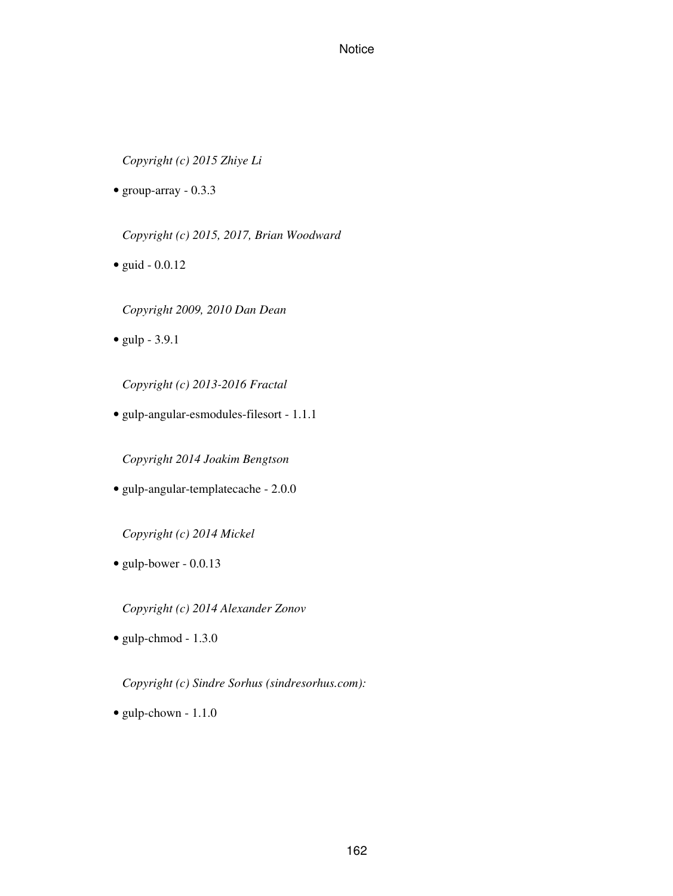*Copyright (c) 2015 Zhiye Li*

• group-array  $-0.3.3$ 

*Copyright (c) 2015, 2017, Brian Woodward*

• guid - 0.0.12

*Copyright 2009, 2010 Dan Dean*

• gulp - 3.9.1

*Copyright (c) 2013-2016 Fractal*

• gulp-angular-esmodules-filesort - 1.1.1

*Copyright 2014 Joakim Bengtson*

• gulp-angular-templatecache - 2.0.0

*Copyright (c) 2014 Mickel*

• gulp-bower - 0.0.13

*Copyright (c) 2014 Alexander Zonov*

• gulp-chmod - 1.3.0

*Copyright (c) Sindre Sorhus (sindresorhus.com):*

• gulp-chown - 1.1.0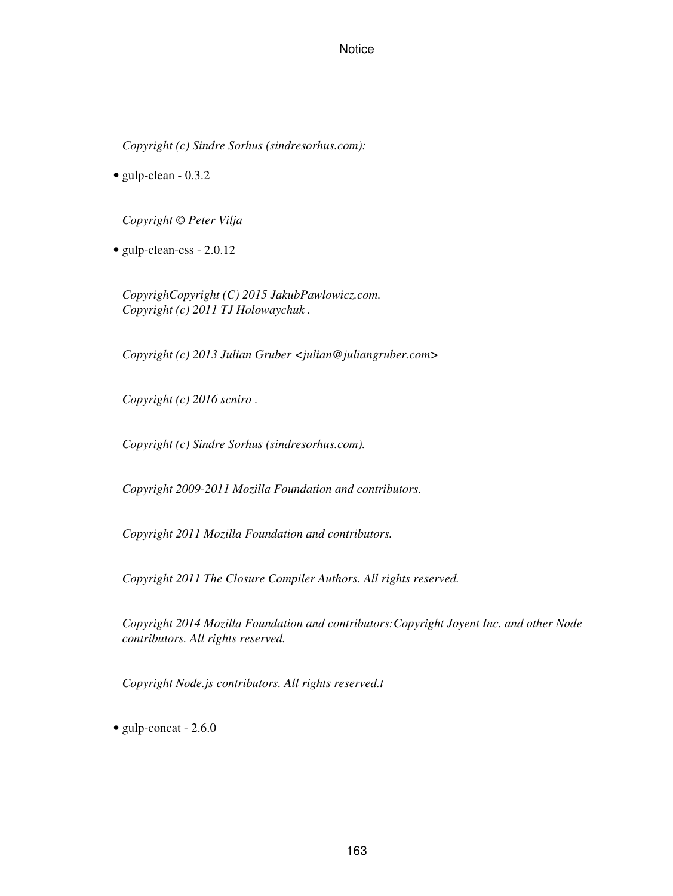*Copyright (c) Sindre Sorhus (sindresorhus.com):*

• gulp-clean - 0.3.2

*Copyright © Peter Vilja*

• gulp-clean-css - 2.0.12

*CopyrighCopyright (C) 2015 JakubPawlowicz.com. Copyright (c) 2011 TJ Holowaychuk .*

*Copyright (c) 2013 Julian Gruber <julian@juliangruber.com>*

*Copyright (c) 2016 scniro .*

*Copyright (c) Sindre Sorhus (sindresorhus.com).*

*Copyright 2009-2011 Mozilla Foundation and contributors.*

*Copyright 2011 Mozilla Foundation and contributors.*

*Copyright 2011 The Closure Compiler Authors. All rights reserved.*

*Copyright 2014 Mozilla Foundation and contributors:Copyright Joyent Inc. and other Node contributors. All rights reserved.*

*Copyright Node.js contributors. All rights reserved.t*

• gulp-concat - 2.6.0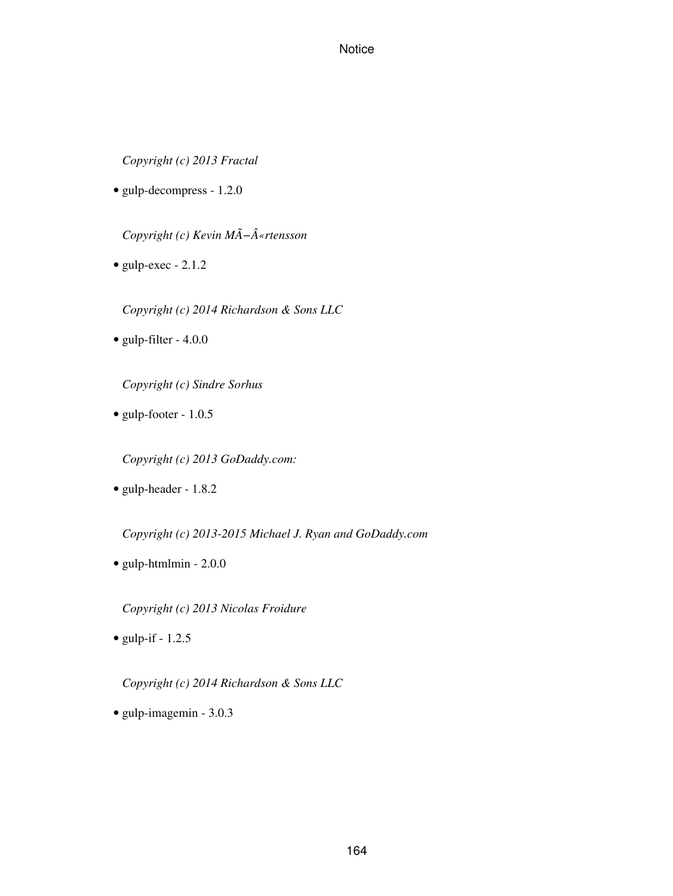*Copyright (c) 2013 Fractal*

• gulp-decompress - 1.2.0

*Copyright (c) Kevin MÃ−«rtensson*

• gulp-exec - 2.1.2

*Copyright (c) 2014 Richardson & Sons LLC*

• gulp-filter - 4.0.0

*Copyright (c) Sindre Sorhus*

• gulp-footer - 1.0.5

*Copyright (c) 2013 GoDaddy.com:*

• gulp-header - 1.8.2

*Copyright (c) 2013-2015 Michael J. Ryan and GoDaddy.com*

• gulp-htmlmin - 2.0.0

*Copyright (c) 2013 Nicolas Froidure*

• gulp-if  $-1.2.5$ 

*Copyright (c) 2014 Richardson & Sons LLC*

• gulp-imagemin - 3.0.3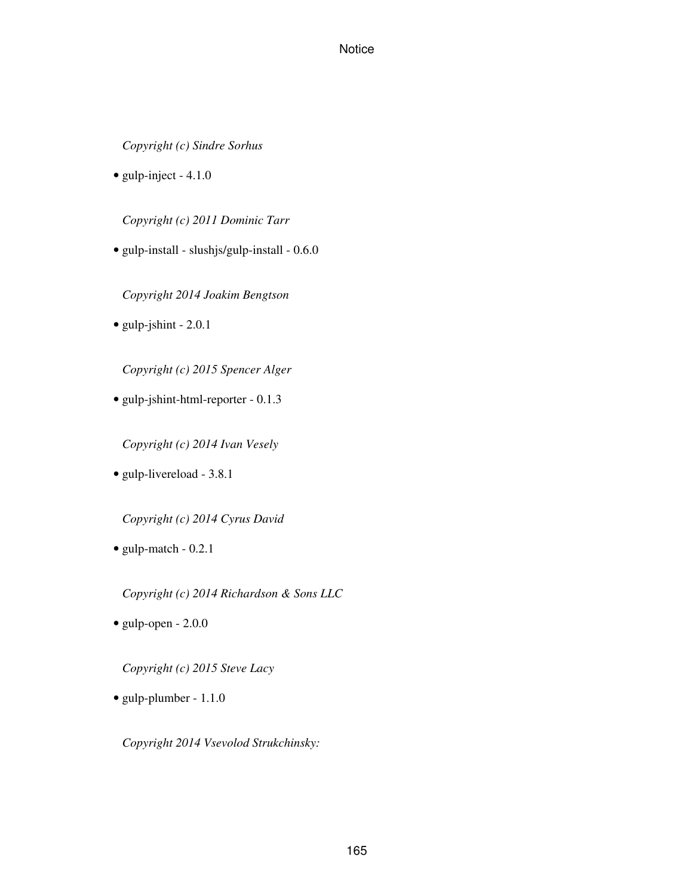*Copyright (c) Sindre Sorhus*

• gulp-inject - 4.1.0

*Copyright (c) 2011 Dominic Tarr*

• gulp-install - slushjs/gulp-install - 0.6.0

*Copyright 2014 Joakim Bengtson*

• gulp-jshint - 2.0.1

*Copyright (c) 2015 Spencer Alger*

• gulp-jshint-html-reporter - 0.1.3

*Copyright (c) 2014 Ivan Vesely*

• gulp-livereload - 3.8.1

*Copyright (c) 2014 Cyrus David*

• gulp-match - 0.2.1

*Copyright (c) 2014 Richardson & Sons LLC*

 $\bullet$  gulp-open - 2.0.0

*Copyright (c) 2015 Steve Lacy*

• gulp-plumber - 1.1.0

*Copyright 2014 Vsevolod Strukchinsky:*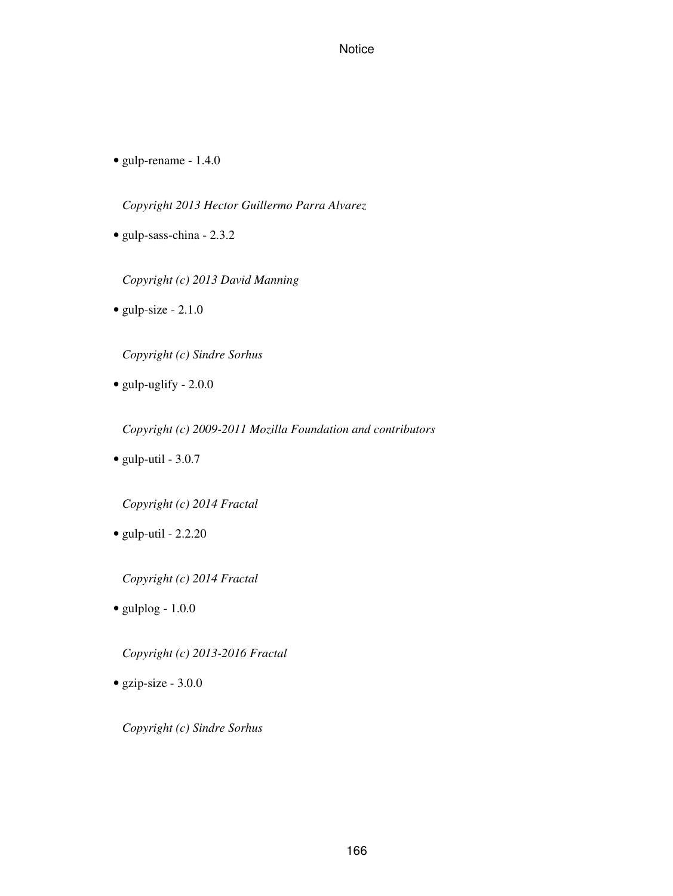• gulp-rename - 1.4.0

*Copyright 2013 Hector Guillermo Parra Alvarez*

• gulp-sass-china - 2.3.2

*Copyright (c) 2013 David Manning*

• gulp-size - 2.1.0

*Copyright (c) Sindre Sorhus*

• gulp-uglify - 2.0.0

*Copyright (c) 2009-2011 Mozilla Foundation and contributors*

• gulp-util - 3.0.7

*Copyright (c) 2014 Fractal*

 $\bullet$  gulp-util - 2.2.20

*Copyright (c) 2014 Fractal*

 $\bullet$  gulplog - 1.0.0

*Copyright (c) 2013-2016 Fractal*

• gzip-size - 3.0.0

*Copyright (c) Sindre Sorhus*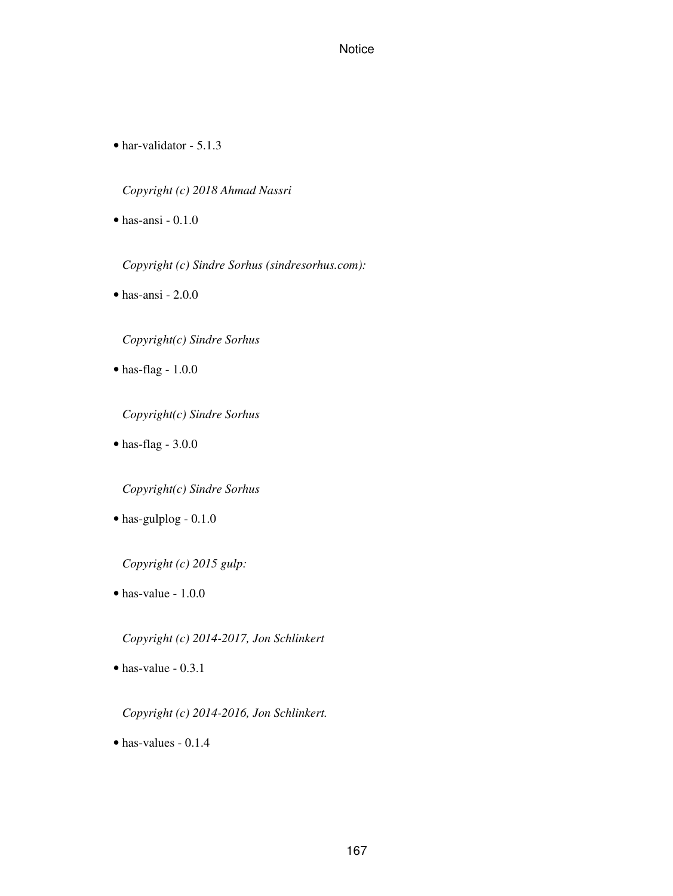• har-validator - 5.1.3

*Copyright (c) 2018 Ahmad Nassri*

• has-ansi - 0.1.0

*Copyright (c) Sindre Sorhus (sindresorhus.com):*

• has-ansi - 2.0.0

*Copyright(c) Sindre Sorhus*

• has-flag - 1.0.0

*Copyright(c) Sindre Sorhus*

• has-flag - 3.0.0

*Copyright(c) Sindre Sorhus*

• has-gulplog - 0.1.0

*Copyright (c) 2015 gulp:*

• has-value - 1.0.0

*Copyright (c) 2014-2017, Jon Schlinkert*

• has-value - 0.3.1

*Copyright (c) 2014-2016, Jon Schlinkert.*

• has-values - 0.1.4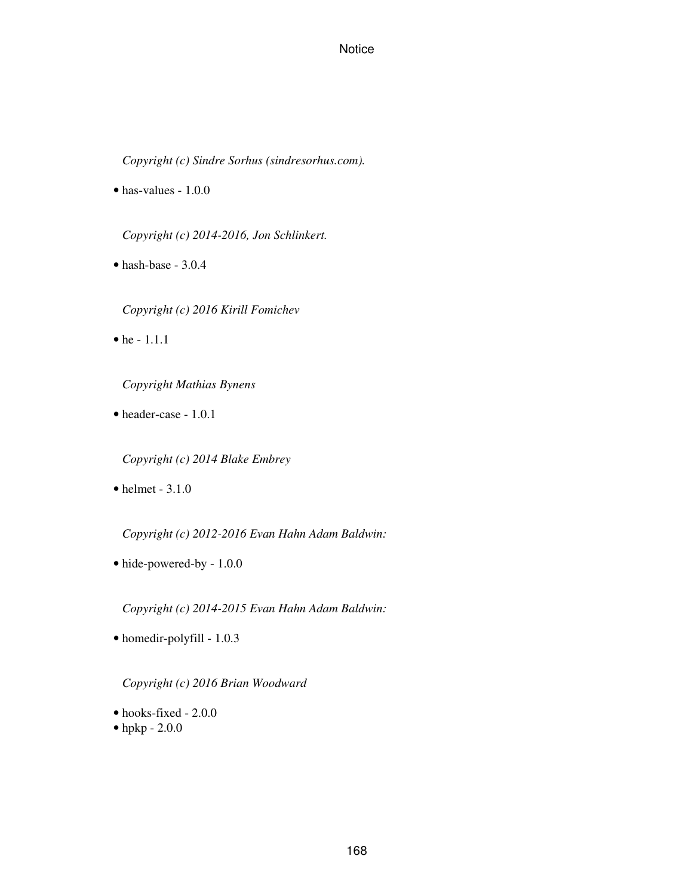*Copyright (c) Sindre Sorhus (sindresorhus.com).*

• has-values - 1.0.0

*Copyright (c) 2014-2016, Jon Schlinkert.*

• hash-base - 3.0.4

*Copyright (c) 2016 Kirill Fomichev*

 $\bullet$  he - 1.1.1

*Copyright Mathias Bynens*

• header-case - 1.0.1

*Copyright (c) 2014 Blake Embrey*

 $\bullet$  helmet - 3.1.0

*Copyright (c) 2012-2016 Evan Hahn Adam Baldwin:*

• hide-powered-by - 1.0.0

*Copyright (c) 2014-2015 Evan Hahn Adam Baldwin:*

• homedir-polyfill - 1.0.3

*Copyright (c) 2016 Brian Woodward*

- hooks-fixed 2.0.0
- hpkp 2.0.0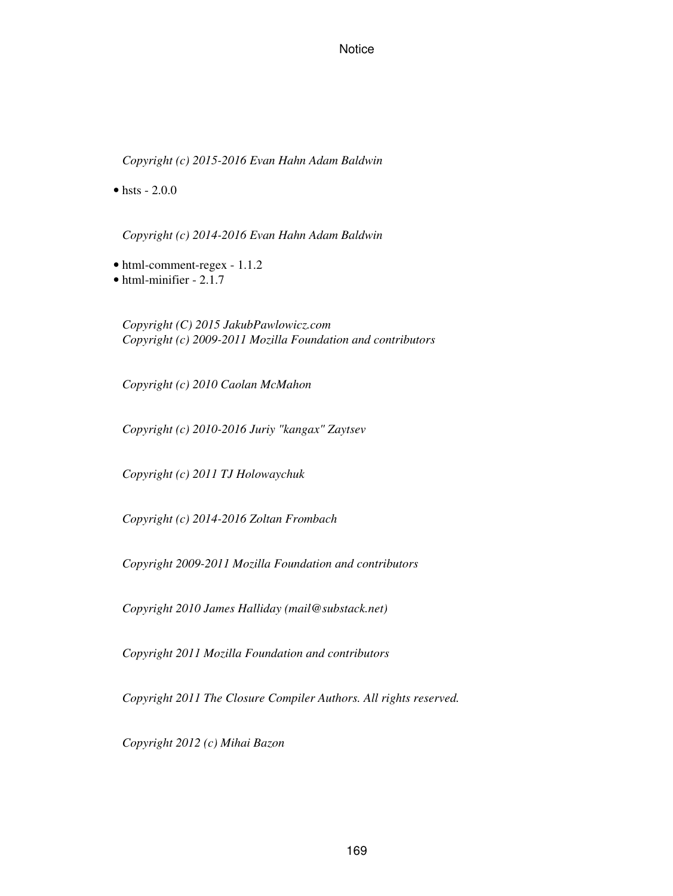*Copyright (c) 2015-2016 Evan Hahn Adam Baldwin*

• hsts  $-2.0.0$ 

*Copyright (c) 2014-2016 Evan Hahn Adam Baldwin*

- html-comment-regex 1.1.2
- html-minifier 2.1.7

*Copyright (C) 2015 JakubPawlowicz.com Copyright (c) 2009-2011 Mozilla Foundation and contributors*

*Copyright (c) 2010 Caolan McMahon*

*Copyright (c) 2010-2016 Juriy "kangax" Zaytsev*

*Copyright (c) 2011 TJ Holowaychuk*

*Copyright (c) 2014-2016 Zoltan Frombach*

*Copyright 2009-2011 Mozilla Foundation and contributors*

*Copyright 2010 James Halliday (mail@substack.net)*

*Copyright 2011 Mozilla Foundation and contributors*

*Copyright 2011 The Closure Compiler Authors. All rights reserved.*

*Copyright 2012 (c) Mihai Bazon*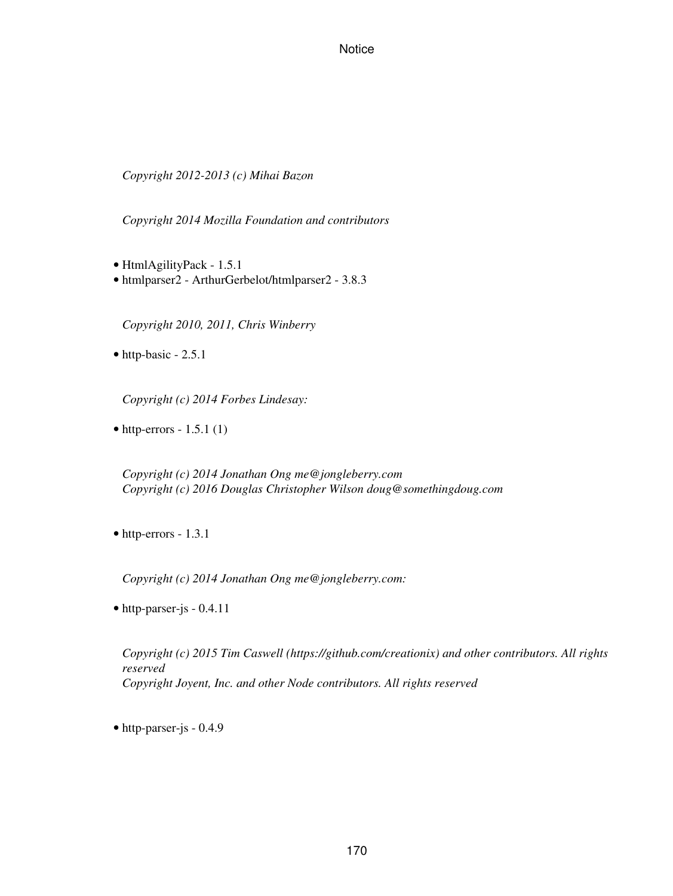*Copyright 2012-2013 (c) Mihai Bazon*

*Copyright 2014 Mozilla Foundation and contributors*

- HtmlAgilityPack 1.5.1
- htmlparser2 ArthurGerbelot/htmlparser2 3.8.3

*Copyright 2010, 2011, Chris Winberry*

• http-basic - 2.5.1

*Copyright (c) 2014 Forbes Lindesay:*

 $\bullet$  http-errors - 1.5.1 (1)

*Copyright (c) 2014 Jonathan Ong me@jongleberry.com Copyright (c) 2016 Douglas Christopher Wilson doug@somethingdoug.com*

• http-errors - 1.3.1

*Copyright (c) 2014 Jonathan Ong me@jongleberry.com:*

• http-parser-js - 0.4.11

*Copyright (c) 2015 Tim Caswell (https://github.com/creationix) and other contributors. All rights reserved Copyright Joyent, Inc. and other Node contributors. All rights reserved*

• http-parser-js - 0.4.9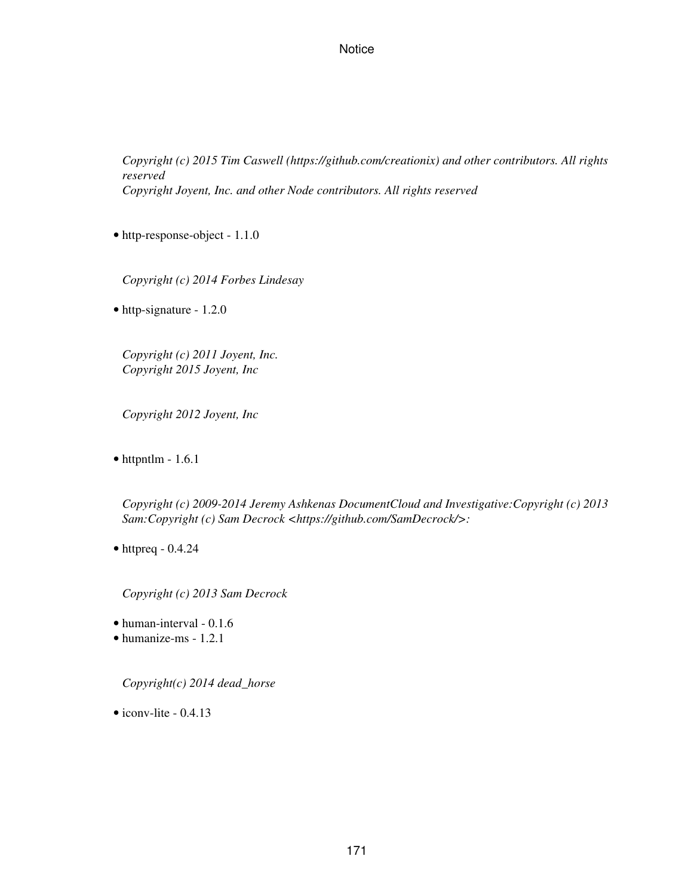*Copyright (c) 2015 Tim Caswell (https://github.com/creationix) and other contributors. All rights reserved Copyright Joyent, Inc. and other Node contributors. All rights reserved*

• http-response-object - 1.1.0

*Copyright (c) 2014 Forbes Lindesay*

• http-signature - 1.2.0

*Copyright (c) 2011 Joyent, Inc. Copyright 2015 Joyent, Inc*

*Copyright 2012 Joyent, Inc*

 $\bullet$  httpntlm - 1.6.1

*Copyright (c) 2009-2014 Jeremy Ashkenas DocumentCloud and Investigative:Copyright (c) 2013 Sam:Copyright (c) Sam Decrock <https://github.com/SamDecrock/>:*

 $\bullet$  httpreq - 0.4.24

*Copyright (c) 2013 Sam Decrock*

• human-interval - 0.1.6

• humanize-ms - 1.2.1

*Copyright(c) 2014 dead\_horse*

 $\bullet$  iconv-lite - 0.4.13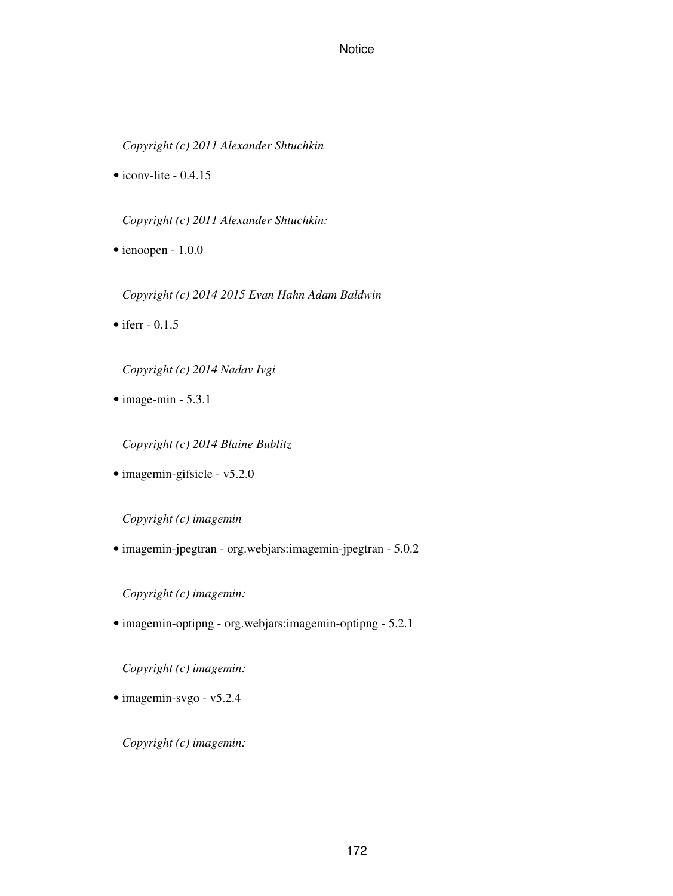*Copyright (c) 2011 Alexander Shtuchkin*

 $\bullet$  iconv-lite - 0.4.15

*Copyright (c) 2011 Alexander Shtuchkin:*

• ienoopen - 1.0.0

*Copyright (c) 2014 2015 Evan Hahn Adam Baldwin*

• iferr  $-0.1.5$ 

*Copyright (c) 2014 Nadav Ivgi*

 $\bullet$  image-min - 5.3.1

*Copyright (c) 2014 Blaine Bublitz*

• imagemin-gifsicle - v5.2.0

*Copyright (c) imagemin*

• imagemin-jpegtran - org.webjars:imagemin-jpegtran - 5.0.2

*Copyright (c) imagemin:*

• imagemin-optipng - org.webjars:imagemin-optipng - 5.2.1

*Copyright (c) imagemin:*

• imagemin-svgo - v5.2.4

*Copyright (c) imagemin:*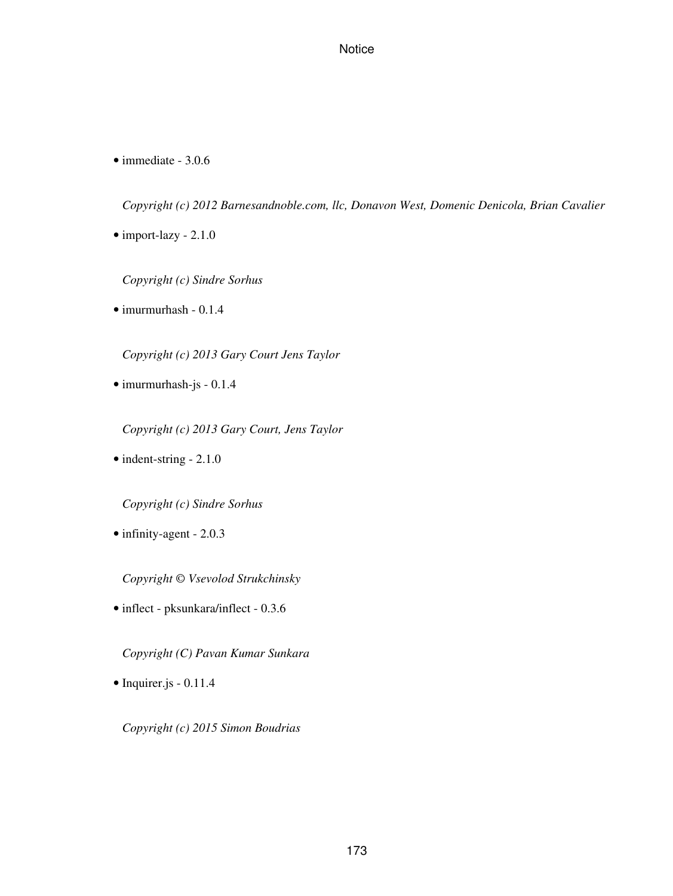• immediate - 3.0.6

*Copyright (c) 2012 Barnesandnoble.com, llc, Donavon West, Domenic Denicola, Brian Cavalier*

• import-lazy - 2.1.0

*Copyright (c) Sindre Sorhus*

• imurmurhash - 0.1.4

*Copyright (c) 2013 Gary Court Jens Taylor*

• imurmurhash-js - 0.1.4

*Copyright (c) 2013 Gary Court, Jens Taylor*

• indent-string - 2.1.0

*Copyright (c) Sindre Sorhus*

• infinity-agent - 2.0.3

*Copyright © Vsevolod Strukchinsky*

• inflect - pksunkara/inflect - 0.3.6

*Copyright (C) Pavan Kumar Sunkara*

• Inquirer.js - 0.11.4

*Copyright (c) 2015 Simon Boudrias*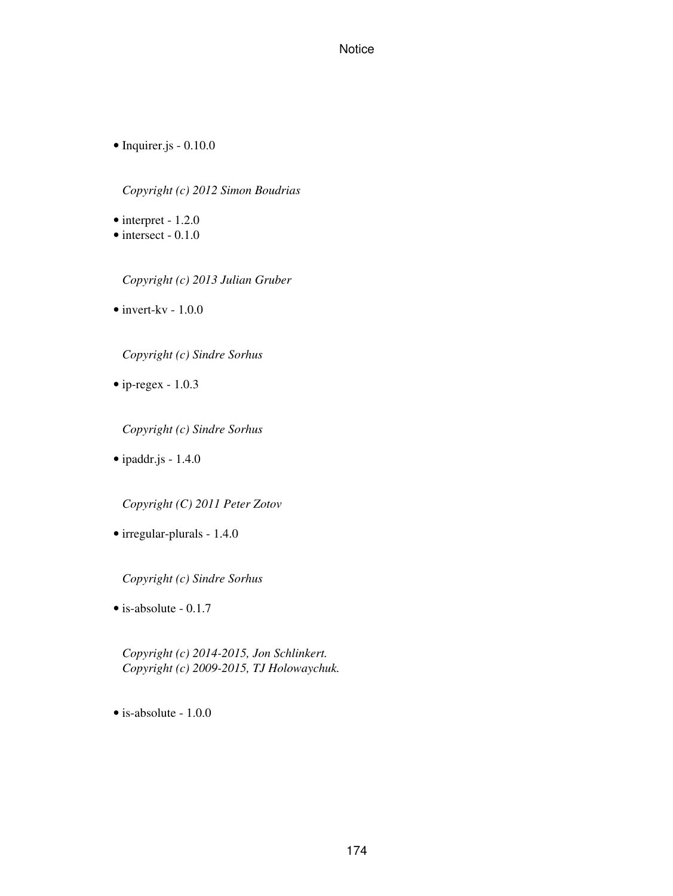• Inquirer.js - 0.10.0

*Copyright (c) 2012 Simon Boudrias*

• interpret - 1.2.0

• intersect - 0.1.0

*Copyright (c) 2013 Julian Gruber*

 $\bullet$  invert-kv - 1.0.0

*Copyright (c) Sindre Sorhus*

• ip-regex - 1.0.3

*Copyright (c) Sindre Sorhus*

• ipaddr.js - 1.4.0

*Copyright (C) 2011 Peter Zotov*

• irregular-plurals - 1.4.0

*Copyright (c) Sindre Sorhus*

• is-absolute - 0.1.7

*Copyright (c) 2014-2015, Jon Schlinkert. Copyright (c) 2009-2015, TJ Holowaychuk.*

• is-absolute - 1.0.0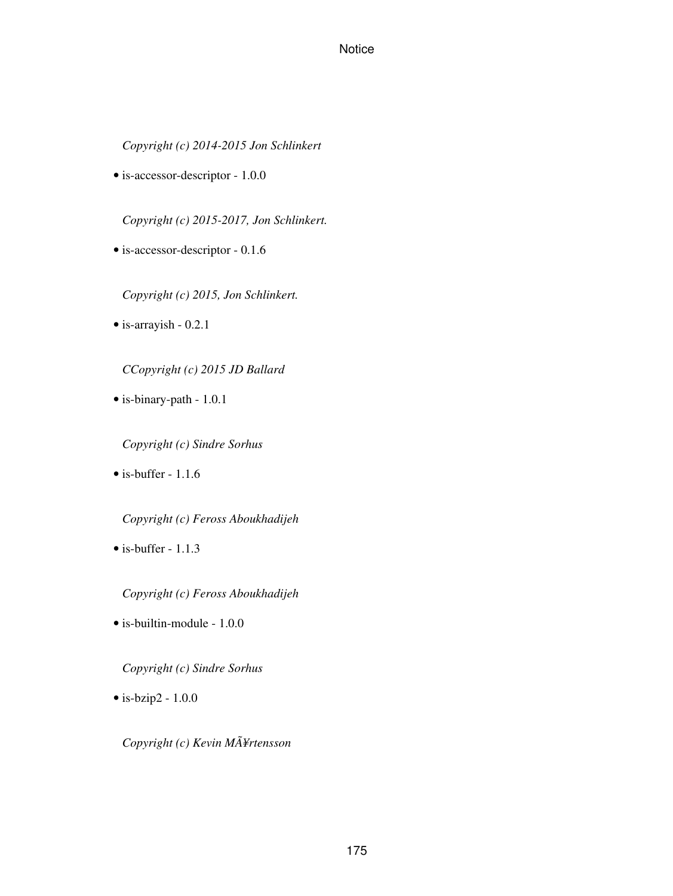*Copyright (c) 2014-2015 Jon Schlinkert*

• is-accessor-descriptor - 1.0.0

*Copyright (c) 2015-2017, Jon Schlinkert.*

• is-accessor-descriptor - 0.1.6

*Copyright (c) 2015, Jon Schlinkert.*

• is-arrayish - 0.2.1

*CCopyright (c) 2015 JD Ballard*

• is-binary-path - 1.0.1

*Copyright (c) Sindre Sorhus*

 $\bullet$  is-buffer - 1.1.6

*Copyright (c) Feross Aboukhadijeh*

 $\bullet$  is-buffer - 1.1.3

*Copyright (c) Feross Aboukhadijeh*

• is-builtin-module - 1.0.0

*Copyright (c) Sindre Sorhus*

• is-bzip2 - 1.0.0

*Copyright (c) Kevin MÃ¥rtensson*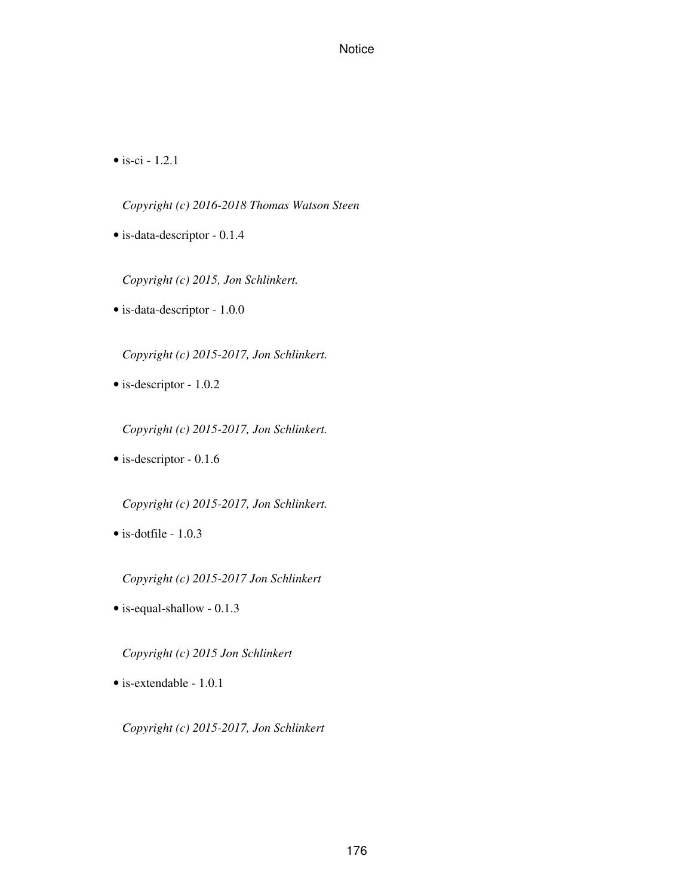• is-ci -  $1.2.1$ 

*Copyright (c) 2016-2018 Thomas Watson Steen*

• is-data-descriptor - 0.1.4

*Copyright (c) 2015, Jon Schlinkert.*

• is-data-descriptor - 1.0.0

*Copyright (c) 2015-2017, Jon Schlinkert.*

• is-descriptor - 1.0.2

*Copyright (c) 2015-2017, Jon Schlinkert.*

• is-descriptor - 0.1.6

*Copyright (c) 2015-2017, Jon Schlinkert.*

• is-dotfile - 1.0.3

*Copyright (c) 2015-2017 Jon Schlinkert*

• is-equal-shallow - 0.1.3

*Copyright (c) 2015 Jon Schlinkert*

• is-extendable - 1.0.1

*Copyright (c) 2015-2017, Jon Schlinkert*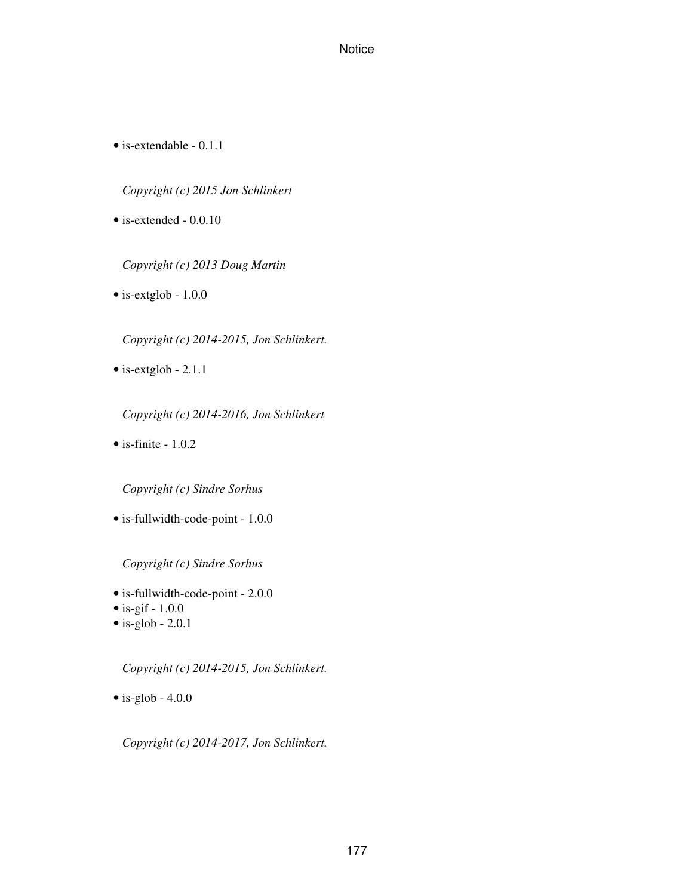• is-extendable - 0.1.1

*Copyright (c) 2015 Jon Schlinkert*

• is-extended - 0.0.10

*Copyright (c) 2013 Doug Martin*

• is-extglob - 1.0.0

*Copyright (c) 2014-2015, Jon Schlinkert.*

• is-extglob - 2.1.1

*Copyright (c) 2014-2016, Jon Schlinkert*

 $\bullet$  is-finite - 1.0.2

*Copyright (c) Sindre Sorhus*

• is-fullwidth-code-point - 1.0.0

*Copyright (c) Sindre Sorhus*

- is-fullwidth-code-point 2.0.0
- $\bullet$  is-gif 1.0.0
- $\bullet$  is-glob 2.0.1

*Copyright (c) 2014-2015, Jon Schlinkert.*

 $\bullet$  is-glob - 4.0.0

*Copyright (c) 2014-2017, Jon Schlinkert.*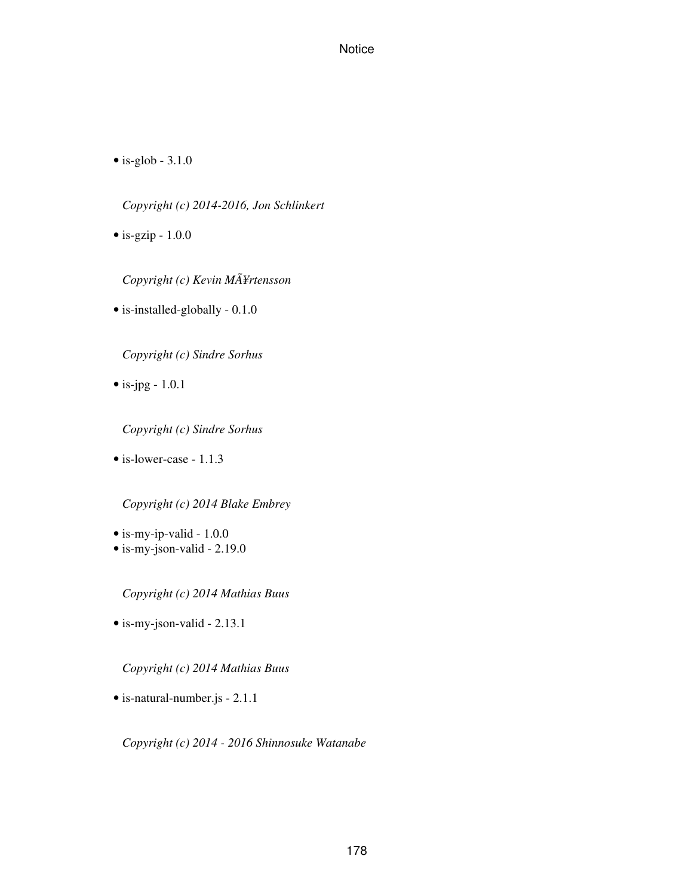$\bullet$  is-glob - 3.1.0

*Copyright (c) 2014-2016, Jon Schlinkert*

 $\bullet$  is-gzip -  $1.0.0$ 

*Copyright (c) Kevin MÃ¥rtensson*

• is-installed-globally - 0.1.0

*Copyright (c) Sindre Sorhus*

 $\bullet$  is-jpg - 1.0.1

*Copyright (c) Sindre Sorhus*

• is-lower-case - 1.1.3

*Copyright (c) 2014 Blake Embrey*

- is-my-ip-valid 1.0.0
- is-my-json-valid 2.19.0

*Copyright (c) 2014 Mathias Buus*

• is-my-json-valid - 2.13.1

*Copyright (c) 2014 Mathias Buus*

• is-natural-number.js - 2.1.1

*Copyright (c) 2014 - 2016 Shinnosuke Watanabe*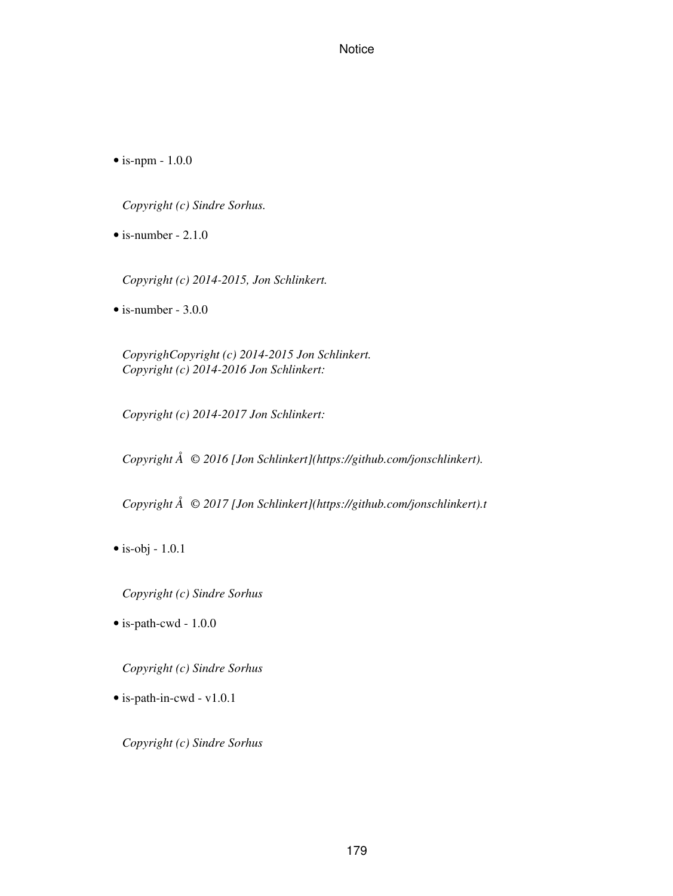• is-npm - 1.0.0

*Copyright (c) Sindre Sorhus.*

 $\bullet$  is-number - 2.1.0

*Copyright (c) 2014-2015, Jon Schlinkert.*

 $\bullet$  is-number - 3.0.0

*CopyrighCopyright (c) 2014-2015 Jon Schlinkert. Copyright (c) 2014-2016 Jon Schlinkert:*

*Copyright (c) 2014-2017 Jon Schlinkert:*

*Copyright Å© 2016 [Jon Schlinkert](https://github.com/jonschlinkert).*

*Copyright Å© 2017 [Jon Schlinkert](https://github.com/jonschlinkert).t*

 $\bullet$  is-obj - 1.0.1

*Copyright (c) Sindre Sorhus*

• is-path-cwd - 1.0.0

*Copyright (c) Sindre Sorhus*

• is-path-in-cwd - v1.0.1

*Copyright (c) Sindre Sorhus*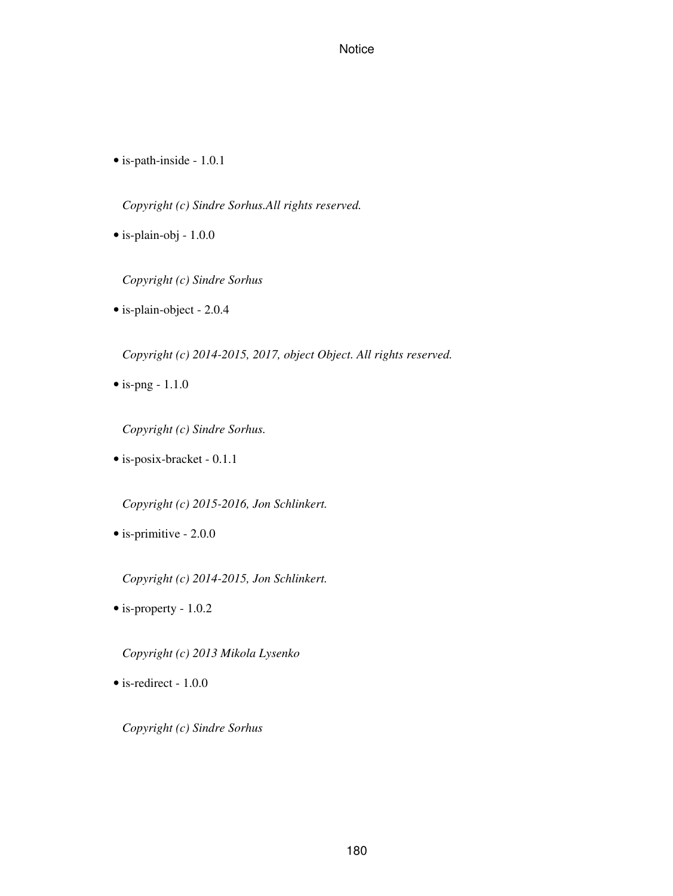• is-path-inside - 1.0.1

*Copyright (c) Sindre Sorhus.All rights reserved.*

• is-plain-obj - 1.0.0

*Copyright (c) Sindre Sorhus*

• is-plain-object - 2.0.4

*Copyright (c) 2014-2015, 2017, object Object. All rights reserved.*

 $\bullet$  is-png - 1.1.0

*Copyright (c) Sindre Sorhus.*

• is-posix-bracket - 0.1.1

*Copyright (c) 2015-2016, Jon Schlinkert.*

• is-primitive - 2.0.0

*Copyright (c) 2014-2015, Jon Schlinkert.*

• is-property - 1.0.2

*Copyright (c) 2013 Mikola Lysenko*

• is-redirect - 1.0.0

*Copyright (c) Sindre Sorhus*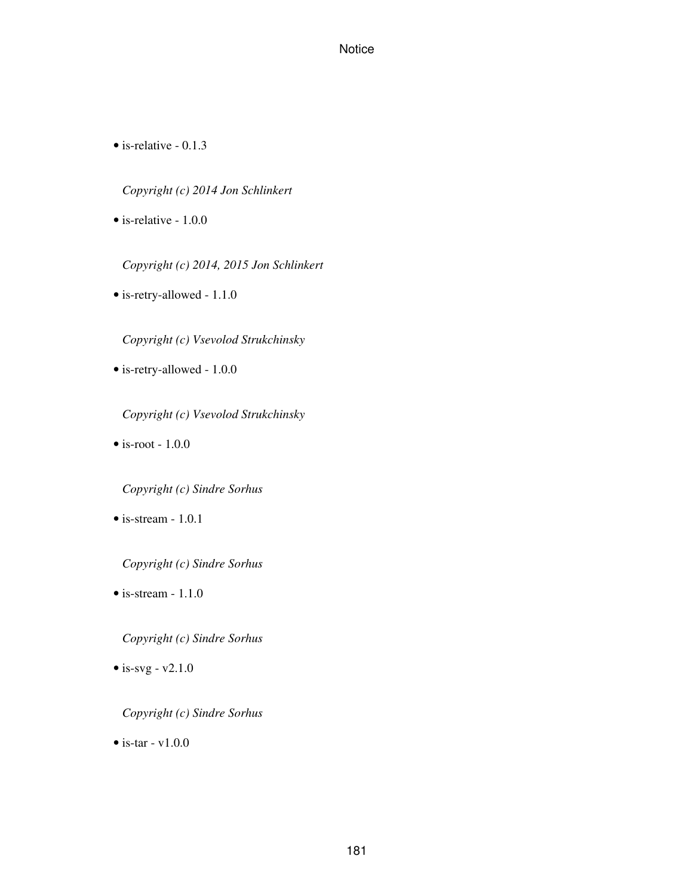• is-relative - 0.1.3

*Copyright (c) 2014 Jon Schlinkert*

• is-relative - 1.0.0

*Copyright (c) 2014, 2015 Jon Schlinkert*

• is-retry-allowed - 1.1.0

*Copyright (c) Vsevolod Strukchinsky*

• is-retry-allowed - 1.0.0

*Copyright (c) Vsevolod Strukchinsky*

 $\bullet$  is-root -  $1.0.0$ 

*Copyright (c) Sindre Sorhus*

• is-stream - 1.0.1

*Copyright (c) Sindre Sorhus*

 $\bullet$  is-stream - 1.1.0

*Copyright (c) Sindre Sorhus*

 $\bullet$  is-svg - v2.1.0

*Copyright (c) Sindre Sorhus*

 $\bullet$  is-tar - v1.0.0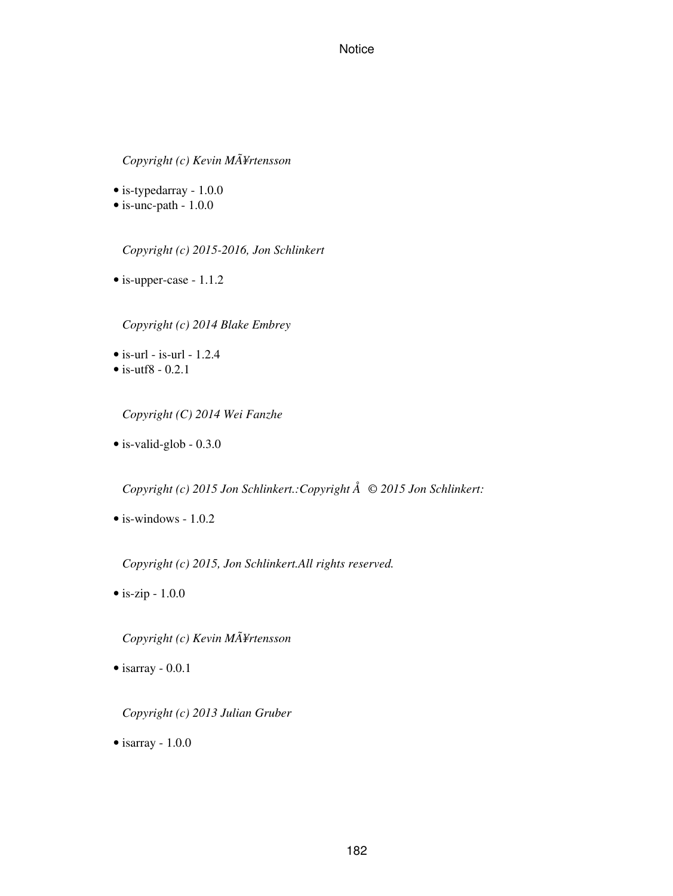# *Copyright (c) Kevin MÃ¥rtensson*

• is-typedarray - 1.0.0

• is-unc-path - 1.0.0

*Copyright (c) 2015-2016, Jon Schlinkert*

• is-upper-case - 1.1.2

*Copyright (c) 2014 Blake Embrey*

- $\bullet$  is-url is-url 1.2.4
- $\bullet$  is-utf8 0.2.1

*Copyright (C) 2014 Wei Fanzhe*

• is-valid-glob - 0.3.0

*Copyright (c) 2015 Jon Schlinkert.:Copyright Å© 2015 Jon Schlinkert:*

 $\bullet$  is-windows - 1.0.2

*Copyright (c) 2015, Jon Schlinkert.All rights reserved.*

• is-zip - 1.0.0

*Copyright (c) Kevin MÃ¥rtensson*

• isarray - 0.0.1

*Copyright (c) 2013 Julian Gruber*

• isarray - 1.0.0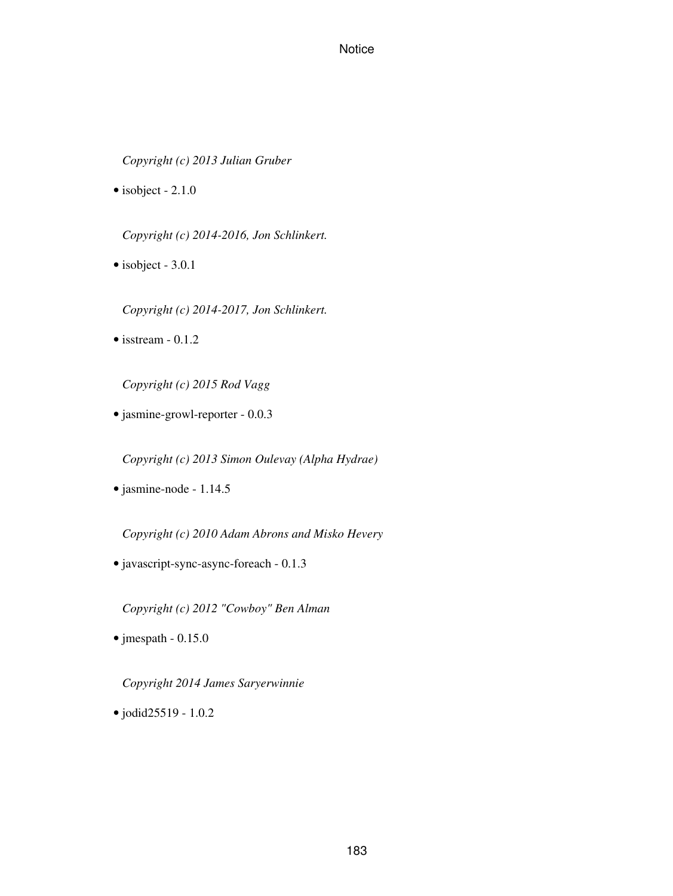*Copyright (c) 2013 Julian Gruber*

• isobject - 2.1.0

*Copyright (c) 2014-2016, Jon Schlinkert.*

• isobject - 3.0.1

*Copyright (c) 2014-2017, Jon Schlinkert.*

 $\bullet$  isstream - 0.1.2

*Copyright (c) 2015 Rod Vagg*

• jasmine-growl-reporter - 0.0.3

*Copyright (c) 2013 Simon Oulevay (Alpha Hydrae)*

• jasmine-node - 1.14.5

*Copyright (c) 2010 Adam Abrons and Misko Hevery*

• javascript-sync-async-foreach - 0.1.3

*Copyright (c) 2012 "Cowboy" Ben Alman*

 $\bullet$  jmespath - 0.15.0

*Copyright 2014 James Saryerwinnie*

• jodid25519 - 1.0.2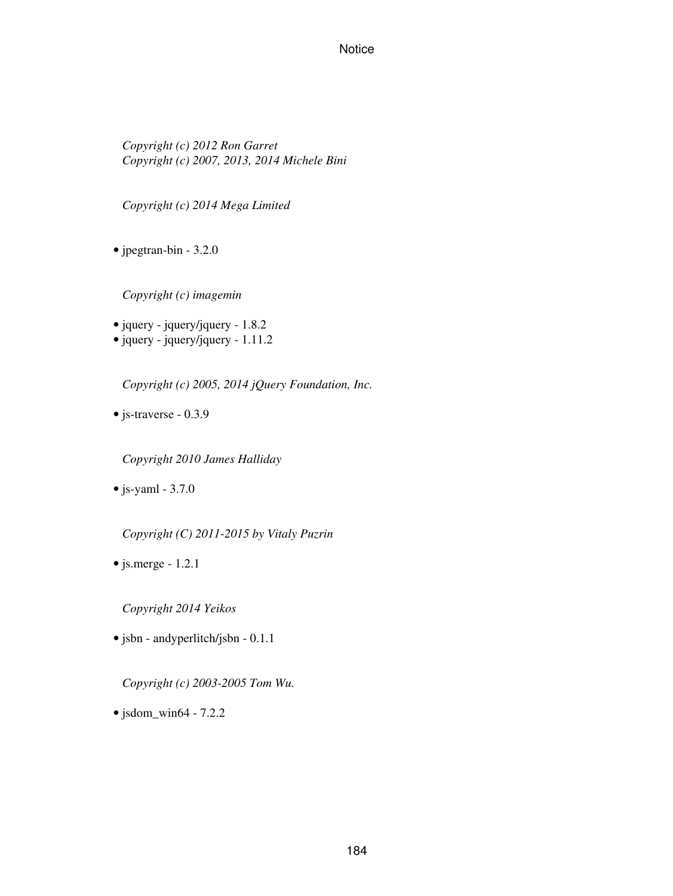*Copyright (c) 2012 Ron Garret Copyright (c) 2007, 2013, 2014 Michele Bini*

*Copyright (c) 2014 Mega Limited*

• jpegtran-bin - 3.2.0

*Copyright (c) imagemin*

- jquery jquery/jquery 1.8.2
- $\bullet$  jquery jquery/jquery 1.11.2

*Copyright (c) 2005, 2014 jQuery Foundation, Inc.*

• js-traverse - 0.3.9

*Copyright 2010 James Halliday*

 $\bullet$  js-yaml - 3.7.0

*Copyright (C) 2011-2015 by Vitaly Puzrin*

 $\bullet$  js.merge - 1.2.1

*Copyright 2014 Yeikos*

• jsbn - andyperlitch/jsbn - 0.1.1

*Copyright (c) 2003-2005 Tom Wu.*

• jsdom\_win64 - 7.2.2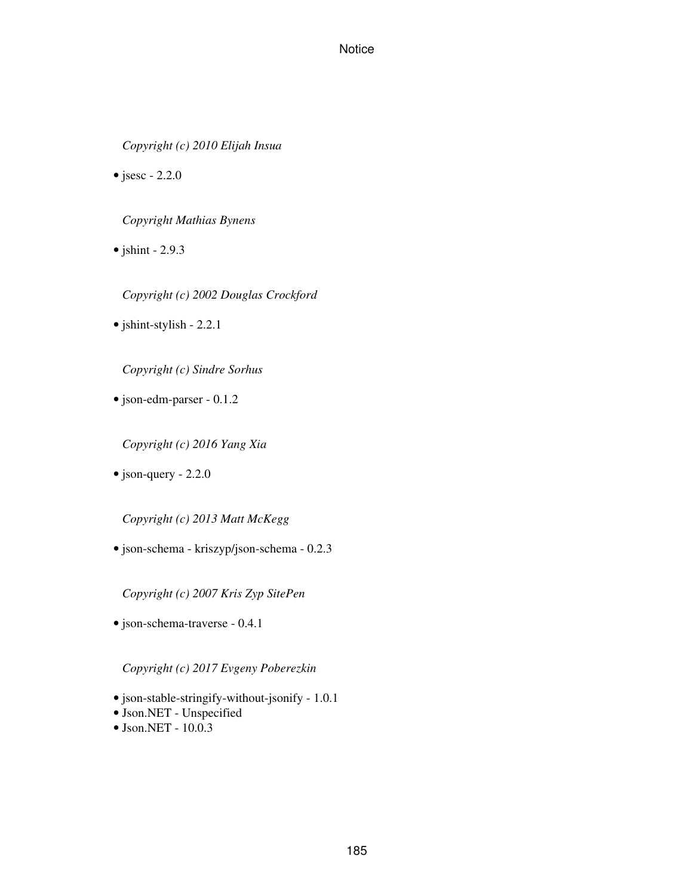*Copyright (c) 2010 Elijah Insua*

• jsesc -  $2.2.0$ 

*Copyright Mathias Bynens*

 $\bullet$  jshint - 2.9.3

*Copyright (c) 2002 Douglas Crockford*

• jshint-stylish - 2.2.1

*Copyright (c) Sindre Sorhus*

• json-edm-parser - 0.1.2

*Copyright (c) 2016 Yang Xia*

• json-query - 2.2.0

*Copyright (c) 2013 Matt McKegg*

• json-schema - kriszyp/json-schema - 0.2.3

*Copyright (c) 2007 Kris Zyp SitePen*

• json-schema-traverse - 0.4.1

*Copyright (c) 2017 Evgeny Poberezkin*

- json-stable-stringify-without-jsonify 1.0.1
- Json.NET Unspecified
- Json.NET 10.0.3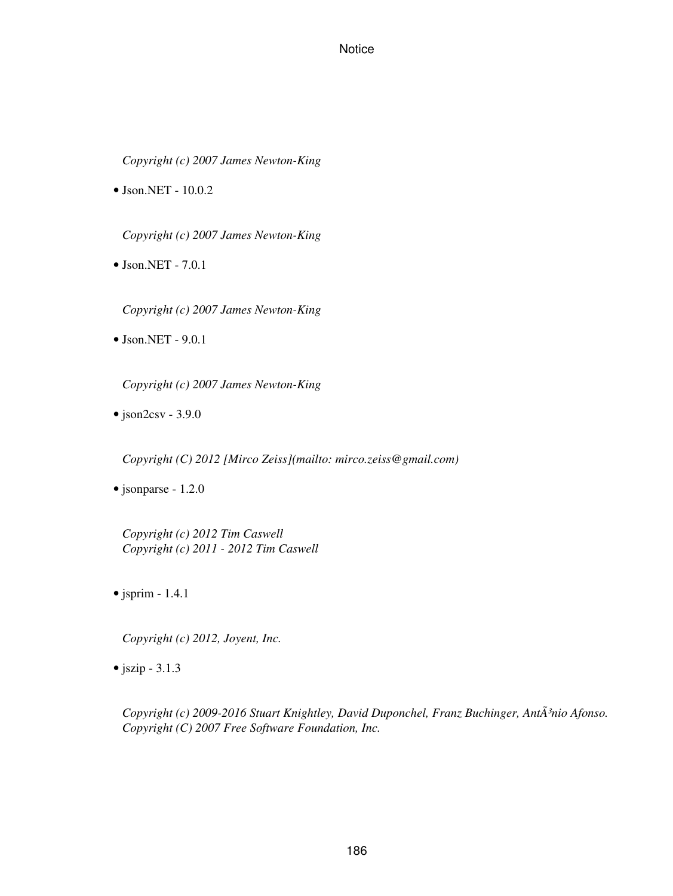*Copyright (c) 2007 James Newton-King*

• Json.NET - 10.0.2

*Copyright (c) 2007 James Newton-King*

• Json.NET - 7.0.1

*Copyright (c) 2007 James Newton-King*

• Json.NET - 9.0.1

*Copyright (c) 2007 James Newton-King*

 $\bullet$  json2csv - 3.9.0

*Copyright (C) 2012 [Mirco Zeiss](mailto: mirco.zeiss@gmail.com)*

• jsonparse - 1.2.0

*Copyright (c) 2012 Tim Caswell Copyright (c) 2011 - 2012 Tim Caswell*

• jsprim - 1.4.1

*Copyright (c) 2012, Joyent, Inc.*

 $\bullet$  jszip - 3.1.3

*Copyright (c) 2009-2016 Stuart Knightley, David Duponchel, Franz Buchinger, AntÃ<sup>3</sup>nio Afonso. Copyright (C) 2007 Free Software Foundation, Inc.*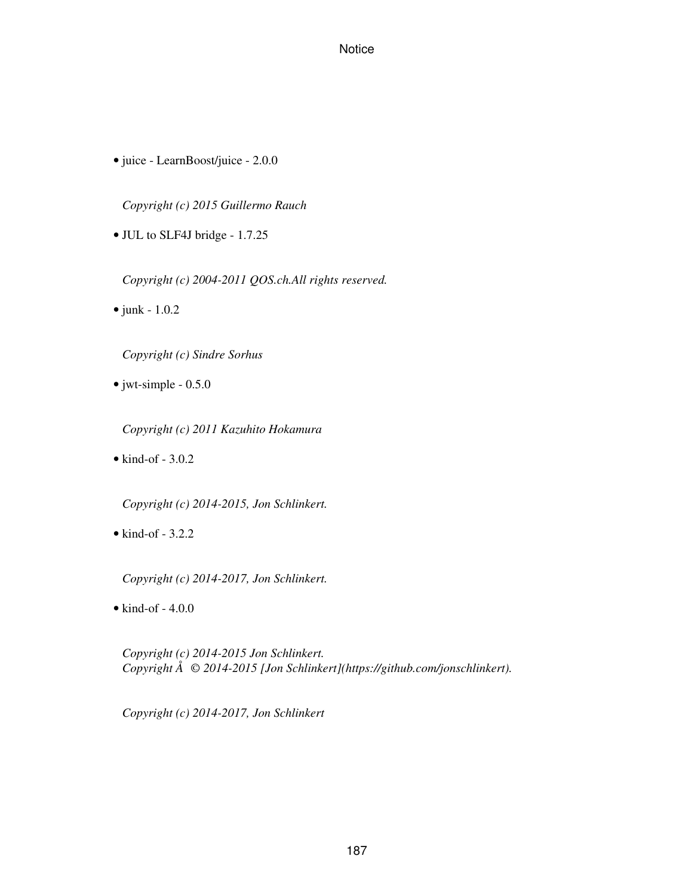• juice - LearnBoost/juice - 2.0.0

*Copyright (c) 2015 Guillermo Rauch*

• JUL to SLF4J bridge - 1.7.25

*Copyright (c) 2004-2011 QOS.ch.All rights reserved.*

• junk - 1.0.2

*Copyright (c) Sindre Sorhus*

• jwt-simple - 0.5.0

*Copyright (c) 2011 Kazuhito Hokamura*

 $\bullet$  kind-of - 3.0.2

*Copyright (c) 2014-2015, Jon Schlinkert.*

 $\bullet$  kind-of - 3.2.2

*Copyright (c) 2014-2017, Jon Schlinkert.*

 $\bullet$  kind-of - 4.0.0

*Copyright (c) 2014-2015 Jon Schlinkert. Copyright Å© 2014-2015 [Jon Schlinkert](https://github.com/jonschlinkert).*

*Copyright (c) 2014-2017, Jon Schlinkert*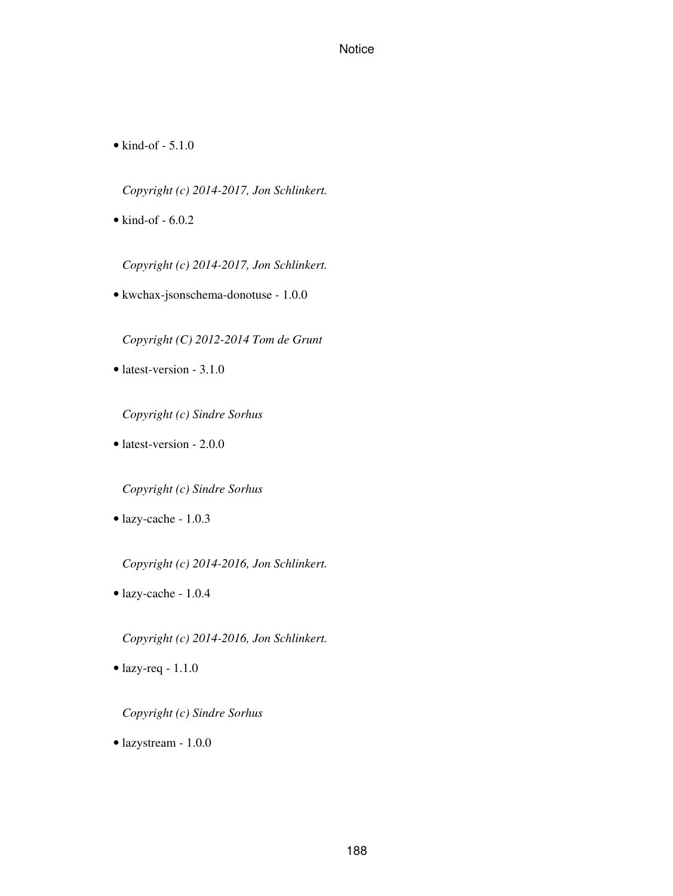• kind-of - 5.1.0

*Copyright (c) 2014-2017, Jon Schlinkert.*

 $\bullet$  kind-of - 6.0.2

*Copyright (c) 2014-2017, Jon Schlinkert.*

• kwchax-jsonschema-donotuse - 1.0.0

*Copyright (C) 2012-2014 Tom de Grunt*

• latest-version - 3.1.0

*Copyright (c) Sindre Sorhus*

• latest-version - 2.0.0

*Copyright (c) Sindre Sorhus*

• lazy-cache - 1.0.3

*Copyright (c) 2014-2016, Jon Schlinkert.*

• lazy-cache - 1.0.4

*Copyright (c) 2014-2016, Jon Schlinkert.*

• lazy-req - 1.1.0

*Copyright (c) Sindre Sorhus*

• lazystream - 1.0.0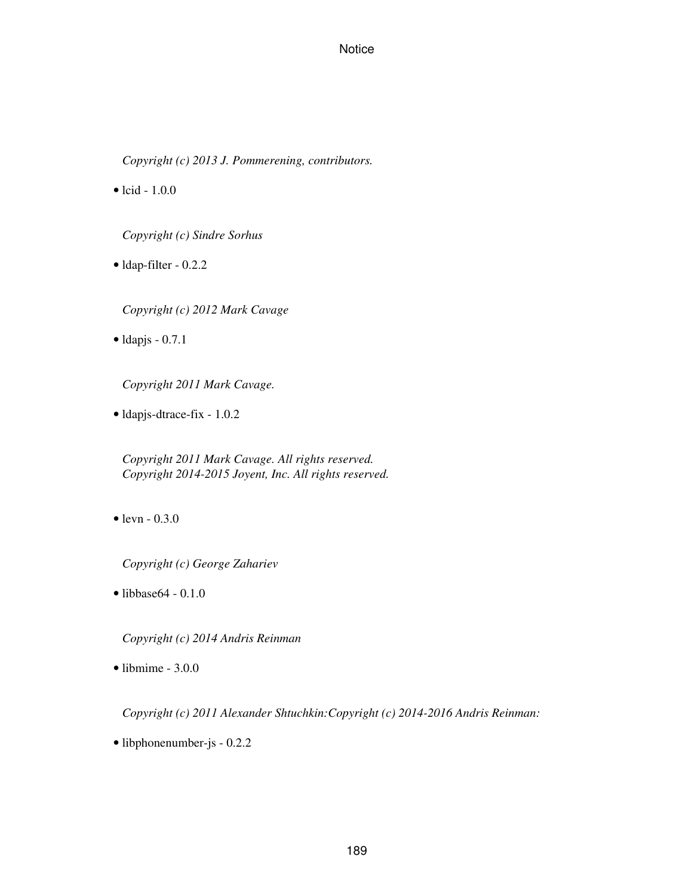*Copyright (c) 2013 J. Pommerening, contributors.*

• lcid -  $1.0.0$ 

*Copyright (c) Sindre Sorhus*

• ldap-filter - 0.2.2

*Copyright (c) 2012 Mark Cavage*

 $\bullet$  ldapjs - 0.7.1

*Copyright 2011 Mark Cavage.*

• ldapjs-dtrace-fix - 1.0.2

*Copyright 2011 Mark Cavage. All rights reserved. Copyright 2014-2015 Joyent, Inc. All rights reserved.*

• levn - 0.3.0

*Copyright (c) George Zahariev*

• libbase64 - 0.1.0

*Copyright (c) 2014 Andris Reinman*

 $\bullet$  libmime - 3.0.0

*Copyright (c) 2011 Alexander Shtuchkin:Copyright (c) 2014-2016 Andris Reinman:*

• libphonenumber-js - 0.2.2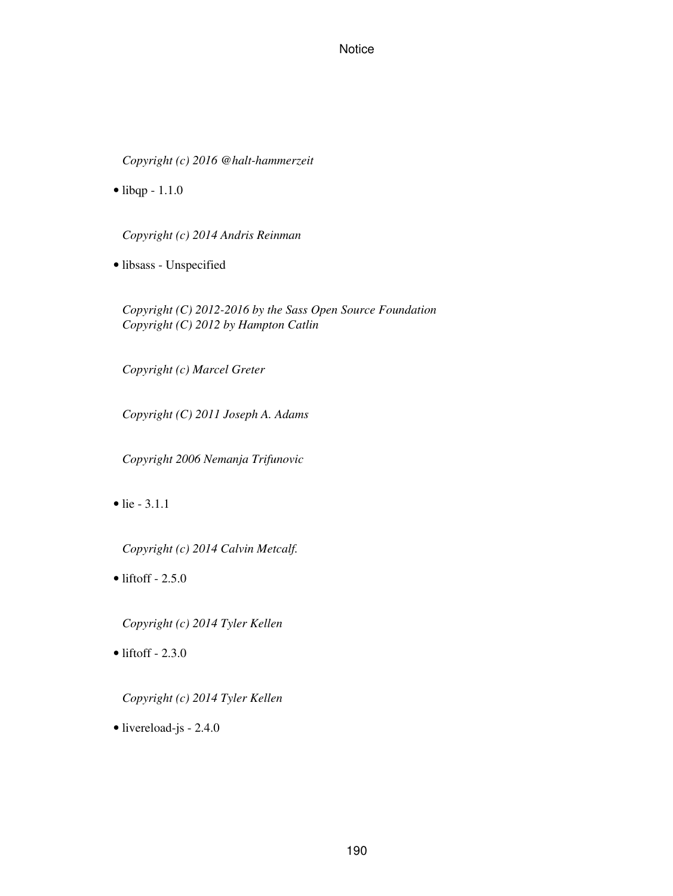*Copyright (c) 2016 @halt-hammerzeit*

• libqp - 1.1.0

*Copyright (c) 2014 Andris Reinman*

• libsass - Unspecified

*Copyright (C) 2012-2016 by the Sass Open Source Foundation Copyright (C) 2012 by Hampton Catlin*

*Copyright (c) Marcel Greter*

*Copyright (C) 2011 Joseph A. Adams*

*Copyright 2006 Nemanja Trifunovic*

• lie - 3.1.1

*Copyright (c) 2014 Calvin Metcalf.*

 $\bullet$  liftoff - 2.5.0

*Copyright (c) 2014 Tyler Kellen*

 $\bullet$  liftoff - 2.3.0

*Copyright (c) 2014 Tyler Kellen*

• livereload-js - 2.4.0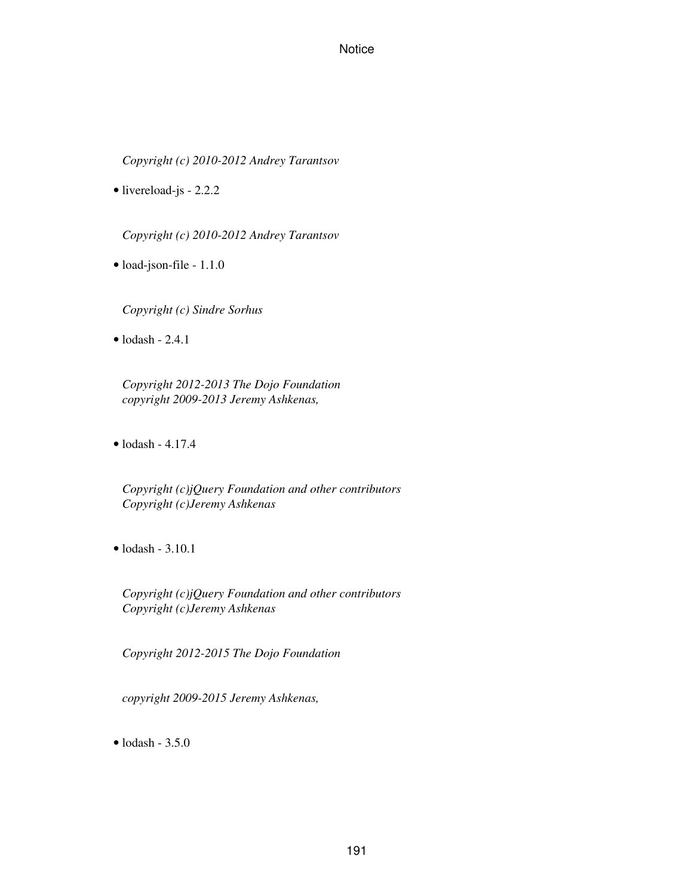*Copyright (c) 2010-2012 Andrey Tarantsov*

• livereload-js - 2.2.2

*Copyright (c) 2010-2012 Andrey Tarantsov*

• load-json-file - 1.1.0

*Copyright (c) Sindre Sorhus*

 $\bullet$  lodash - 2.4.1

*Copyright 2012-2013 The Dojo Foundation copyright 2009-2013 Jeremy Ashkenas,*

• lodash - 4.17.4

*Copyright (c)jQuery Foundation and other contributors Copyright (c)Jeremy Ashkenas*

 $\bullet$  lodash - 3.10.1

*Copyright (c)jQuery Foundation and other contributors Copyright (c)Jeremy Ashkenas*

*Copyright 2012-2015 The Dojo Foundation*

*copyright 2009-2015 Jeremy Ashkenas,*

• lodash - 3.5.0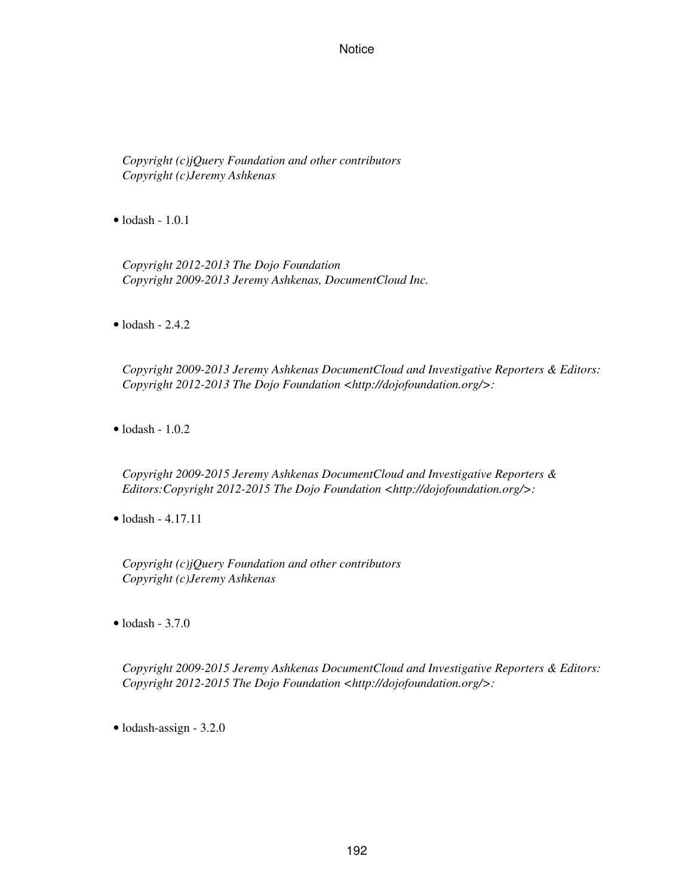*Copyright (c)jQuery Foundation and other contributors Copyright (c)Jeremy Ashkenas*

• lodash - 1.0.1

*Copyright 2012-2013 The Dojo Foundation Copyright 2009-2013 Jeremy Ashkenas, DocumentCloud Inc.*

 $\bullet$  lodash - 2.4.2

*Copyright 2009-2013 Jeremy Ashkenas DocumentCloud and Investigative Reporters & Editors: Copyright 2012-2013 The Dojo Foundation <http://dojofoundation.org/>:*

• lodash - 1.0.2

*Copyright 2009-2015 Jeremy Ashkenas DocumentCloud and Investigative Reporters & Editors:Copyright 2012-2015 The Dojo Foundation <http://dojofoundation.org/>:*

• lodash - 4.17.11

*Copyright (c)jQuery Foundation and other contributors Copyright (c)Jeremy Ashkenas*

 $\bullet$  lodash - 3.7.0

*Copyright 2009-2015 Jeremy Ashkenas DocumentCloud and Investigative Reporters & Editors: Copyright 2012-2015 The Dojo Foundation <http://dojofoundation.org/>:*

• lodash-assign - 3.2.0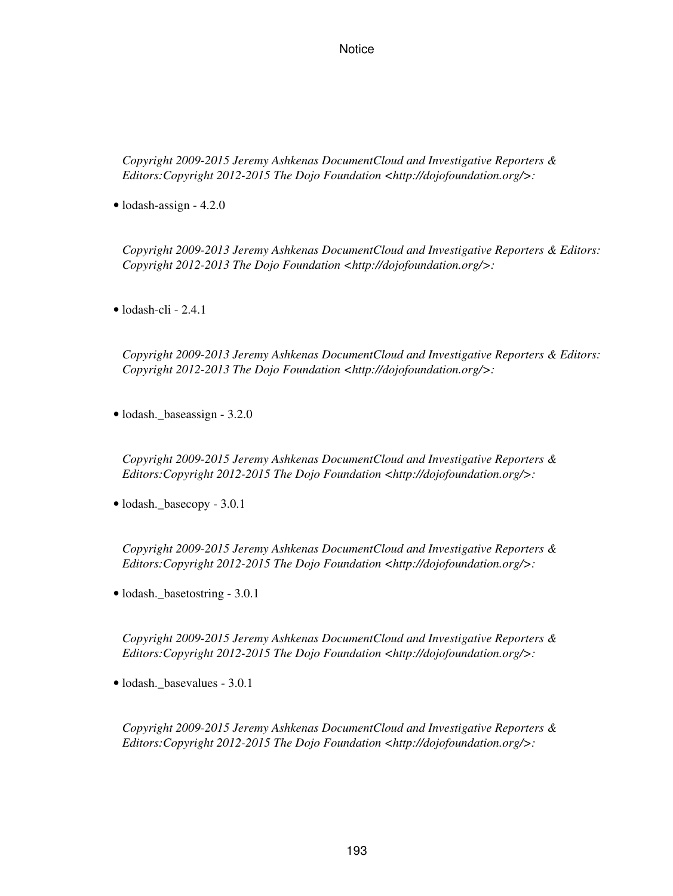*Copyright 2009-2015 Jeremy Ashkenas DocumentCloud and Investigative Reporters & Editors:Copyright 2012-2015 The Dojo Foundation <http://dojofoundation.org/>:*

• lodash-assign - 4.2.0

*Copyright 2009-2013 Jeremy Ashkenas DocumentCloud and Investigative Reporters & Editors: Copyright 2012-2013 The Dojo Foundation <http://dojofoundation.org/>:*

• lodash-cli - 2.4.1

*Copyright 2009-2013 Jeremy Ashkenas DocumentCloud and Investigative Reporters & Editors: Copyright 2012-2013 The Dojo Foundation <http://dojofoundation.org/>:*

• lodash.\_baseassign - 3.2.0

*Copyright 2009-2015 Jeremy Ashkenas DocumentCloud and Investigative Reporters & Editors:Copyright 2012-2015 The Dojo Foundation <http://dojofoundation.org/>:*

• lodash.\_basecopy - 3.0.1

*Copyright 2009-2015 Jeremy Ashkenas DocumentCloud and Investigative Reporters & Editors:Copyright 2012-2015 The Dojo Foundation <http://dojofoundation.org/>:*

• lodash.\_basetostring - 3.0.1

*Copyright 2009-2015 Jeremy Ashkenas DocumentCloud and Investigative Reporters & Editors:Copyright 2012-2015 The Dojo Foundation <http://dojofoundation.org/>:*

• lodash.\_basevalues - 3.0.1

*Copyright 2009-2015 Jeremy Ashkenas DocumentCloud and Investigative Reporters & Editors:Copyright 2012-2015 The Dojo Foundation <http://dojofoundation.org/>:*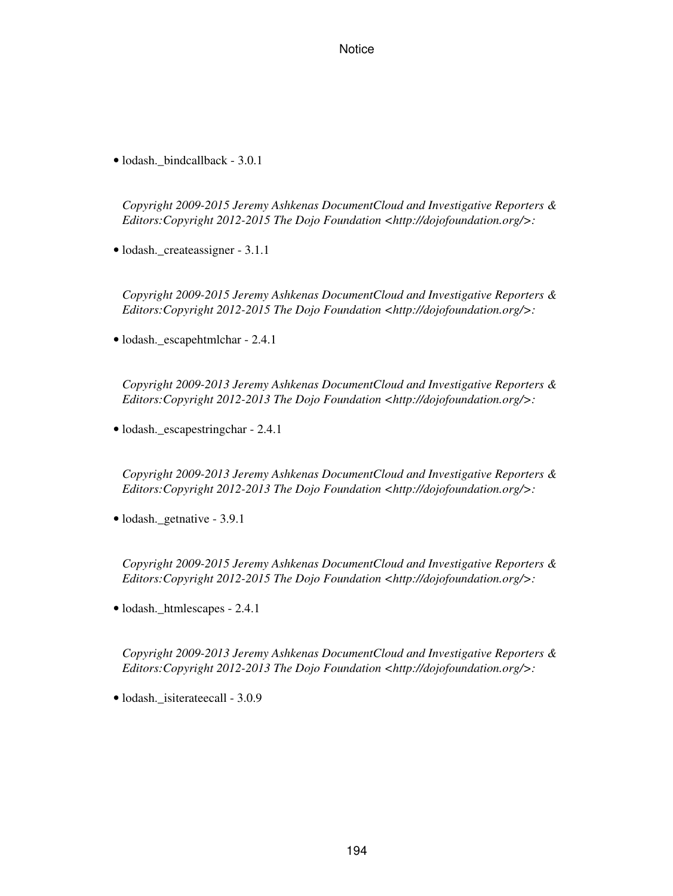• lodash.\_bindcallback - 3.0.1

*Copyright 2009-2015 Jeremy Ashkenas DocumentCloud and Investigative Reporters & Editors:Copyright 2012-2015 The Dojo Foundation <http://dojofoundation.org/>:*

• lodash. createassigner - 3.1.1

*Copyright 2009-2015 Jeremy Ashkenas DocumentCloud and Investigative Reporters & Editors:Copyright 2012-2015 The Dojo Foundation <http://dojofoundation.org/>:*

• lodash.\_escapehtmlchar - 2.4.1

*Copyright 2009-2013 Jeremy Ashkenas DocumentCloud and Investigative Reporters & Editors:Copyright 2012-2013 The Dojo Foundation <http://dojofoundation.org/>:*

• lodash.\_escapestringchar - 2.4.1

*Copyright 2009-2013 Jeremy Ashkenas DocumentCloud and Investigative Reporters & Editors:Copyright 2012-2013 The Dojo Foundation <http://dojofoundation.org/>:*

• lodash.\_getnative - 3.9.1

*Copyright 2009-2015 Jeremy Ashkenas DocumentCloud and Investigative Reporters & Editors:Copyright 2012-2015 The Dojo Foundation <http://dojofoundation.org/>:*

• lodash.\_htmlescapes - 2.4.1

*Copyright 2009-2013 Jeremy Ashkenas DocumentCloud and Investigative Reporters & Editors:Copyright 2012-2013 The Dojo Foundation <http://dojofoundation.org/>:*

• lodash. isiterateecall - 3.0.9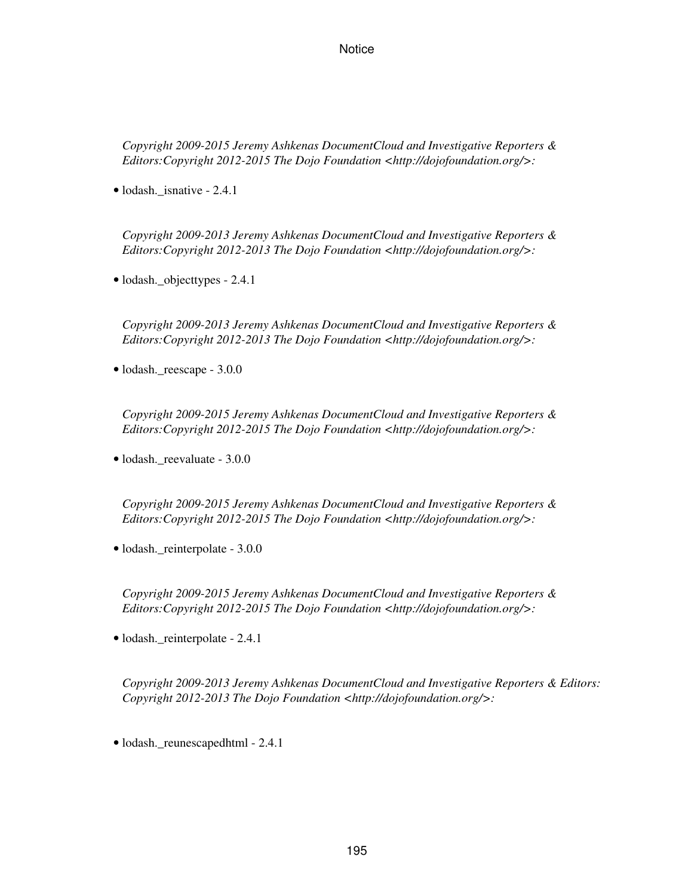*Copyright 2009-2015 Jeremy Ashkenas DocumentCloud and Investigative Reporters & Editors:Copyright 2012-2015 The Dojo Foundation <http://dojofoundation.org/>:*

• lodash. isnative - 2.4.1

*Copyright 2009-2013 Jeremy Ashkenas DocumentCloud and Investigative Reporters & Editors:Copyright 2012-2013 The Dojo Foundation <http://dojofoundation.org/>:*

• lodash.\_objecttypes - 2.4.1

*Copyright 2009-2013 Jeremy Ashkenas DocumentCloud and Investigative Reporters & Editors:Copyright 2012-2013 The Dojo Foundation <http://dojofoundation.org/>:*

• lodash.\_reescape - 3.0.0

*Copyright 2009-2015 Jeremy Ashkenas DocumentCloud and Investigative Reporters & Editors:Copyright 2012-2015 The Dojo Foundation <http://dojofoundation.org/>:*

• lodash. reevaluate - 3.0.0

*Copyright 2009-2015 Jeremy Ashkenas DocumentCloud and Investigative Reporters & Editors:Copyright 2012-2015 The Dojo Foundation <http://dojofoundation.org/>:*

• lodash. reinterpolate - 3.0.0

*Copyright 2009-2015 Jeremy Ashkenas DocumentCloud and Investigative Reporters & Editors:Copyright 2012-2015 The Dojo Foundation <http://dojofoundation.org/>:*

• lodash.\_reinterpolate - 2.4.1

*Copyright 2009-2013 Jeremy Ashkenas DocumentCloud and Investigative Reporters & Editors: Copyright 2012-2013 The Dojo Foundation <http://dojofoundation.org/>:*

• lodash.\_reunescapedhtml - 2.4.1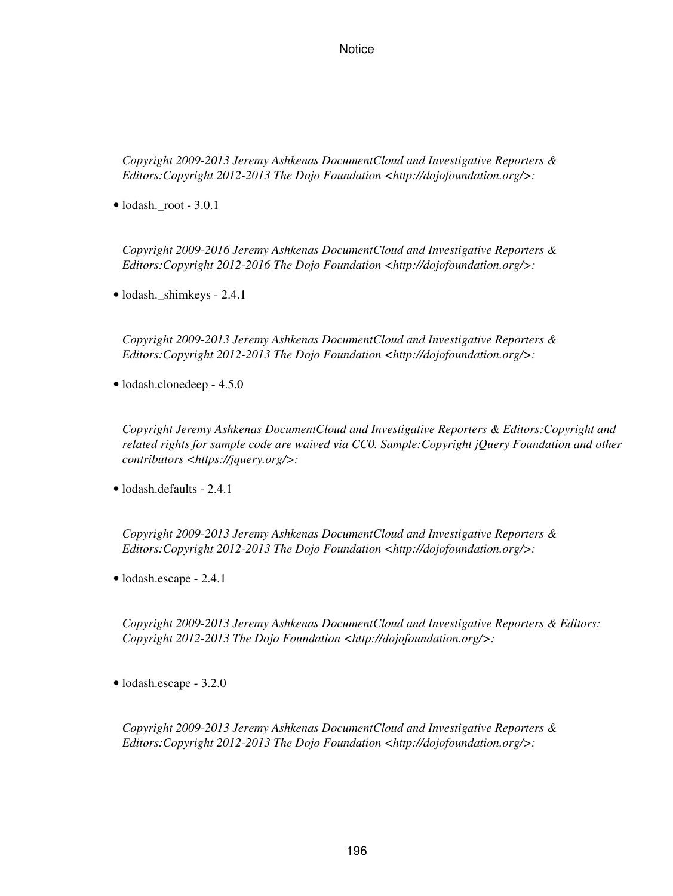*Copyright 2009-2013 Jeremy Ashkenas DocumentCloud and Investigative Reporters & Editors:Copyright 2012-2013 The Dojo Foundation <http://dojofoundation.org/>:*

• lodash.\_root - 3.0.1

*Copyright 2009-2016 Jeremy Ashkenas DocumentCloud and Investigative Reporters & Editors:Copyright 2012-2016 The Dojo Foundation <http://dojofoundation.org/>:*

• lodash.\_shimkeys - 2.4.1

*Copyright 2009-2013 Jeremy Ashkenas DocumentCloud and Investigative Reporters & Editors:Copyright 2012-2013 The Dojo Foundation <http://dojofoundation.org/>:*

• lodash.clonedeep - 4.5.0

*Copyright Jeremy Ashkenas DocumentCloud and Investigative Reporters & Editors:Copyright and related rights for sample code are waived via CC0. Sample:Copyright jQuery Foundation and other contributors <https://jquery.org/>:*

• lodash.defaults - 2.4.1

*Copyright 2009-2013 Jeremy Ashkenas DocumentCloud and Investigative Reporters & Editors:Copyright 2012-2013 The Dojo Foundation <http://dojofoundation.org/>:*

• lodash.escape - 2.4.1

*Copyright 2009-2013 Jeremy Ashkenas DocumentCloud and Investigative Reporters & Editors: Copyright 2012-2013 The Dojo Foundation <http://dojofoundation.org/>:*

• lodash.escape - 3.2.0

*Copyright 2009-2013 Jeremy Ashkenas DocumentCloud and Investigative Reporters & Editors:Copyright 2012-2013 The Dojo Foundation <http://dojofoundation.org/>:*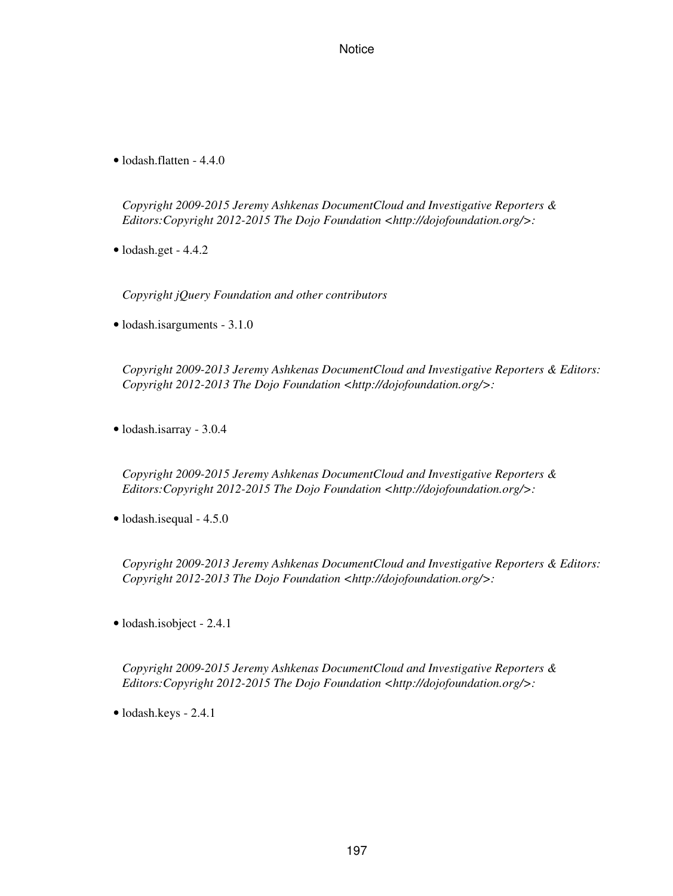• lodash.flatten - 4.4.0

*Copyright 2009-2015 Jeremy Ashkenas DocumentCloud and Investigative Reporters & Editors:Copyright 2012-2015 The Dojo Foundation <http://dojofoundation.org/>:*

• lodash.get - 4.4.2

*Copyright jQuery Foundation and other contributors*

• lodash.isarguments - 3.1.0

*Copyright 2009-2013 Jeremy Ashkenas DocumentCloud and Investigative Reporters & Editors: Copyright 2012-2013 The Dojo Foundation <http://dojofoundation.org/>:*

• lodash.isarray - 3.0.4

*Copyright 2009-2015 Jeremy Ashkenas DocumentCloud and Investigative Reporters & Editors:Copyright 2012-2015 The Dojo Foundation <http://dojofoundation.org/>:*

• lodash.isequal - 4.5.0

*Copyright 2009-2013 Jeremy Ashkenas DocumentCloud and Investigative Reporters & Editors: Copyright 2012-2013 The Dojo Foundation <http://dojofoundation.org/>:*

• lodash.isobject - 2.4.1

*Copyright 2009-2015 Jeremy Ashkenas DocumentCloud and Investigative Reporters & Editors:Copyright 2012-2015 The Dojo Foundation <http://dojofoundation.org/>:*

• lodash.keys - 2.4.1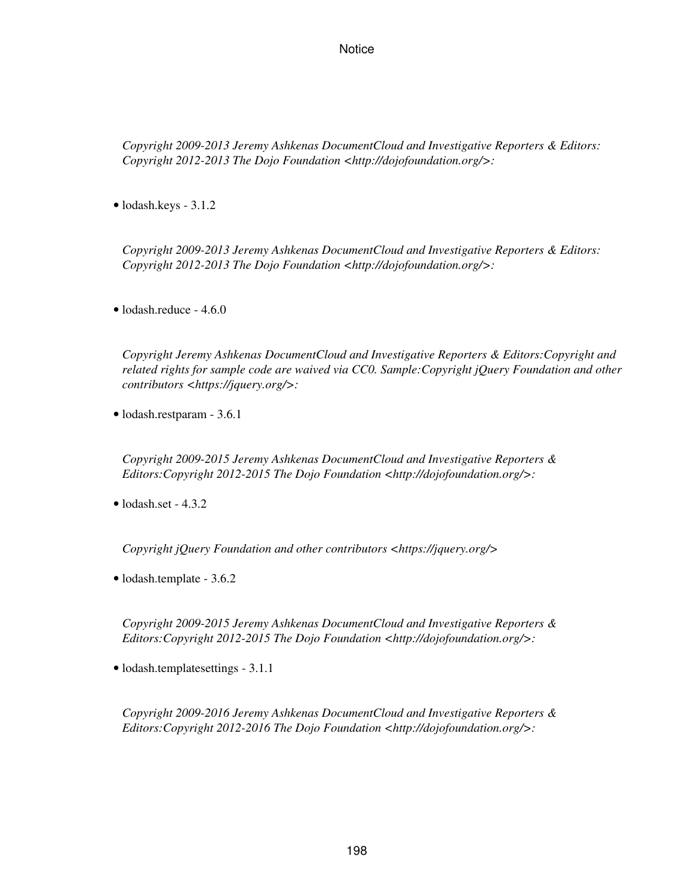*Copyright 2009-2013 Jeremy Ashkenas DocumentCloud and Investigative Reporters & Editors: Copyright 2012-2013 The Dojo Foundation <http://dojofoundation.org/>:*

• lodash.keys - 3.1.2

*Copyright 2009-2013 Jeremy Ashkenas DocumentCloud and Investigative Reporters & Editors: Copyright 2012-2013 The Dojo Foundation <http://dojofoundation.org/>:*

• lodash.reduce - 4.6.0

*Copyright Jeremy Ashkenas DocumentCloud and Investigative Reporters & Editors:Copyright and related rights for sample code are waived via CC0. Sample:Copyright jQuery Foundation and other contributors <https://jquery.org/>:*

• lodash.restparam - 3.6.1

*Copyright 2009-2015 Jeremy Ashkenas DocumentCloud and Investigative Reporters & Editors:Copyright 2012-2015 The Dojo Foundation <http://dojofoundation.org/>:*

• lodash.set - 4.3.2

*Copyright jQuery Foundation and other contributors <https://jquery.org/>*

• lodash.template - 3.6.2

*Copyright 2009-2015 Jeremy Ashkenas DocumentCloud and Investigative Reporters & Editors:Copyright 2012-2015 The Dojo Foundation <http://dojofoundation.org/>:*

• lodash.templatesettings - 3.1.1

*Copyright 2009-2016 Jeremy Ashkenas DocumentCloud and Investigative Reporters & Editors:Copyright 2012-2016 The Dojo Foundation <http://dojofoundation.org/>:*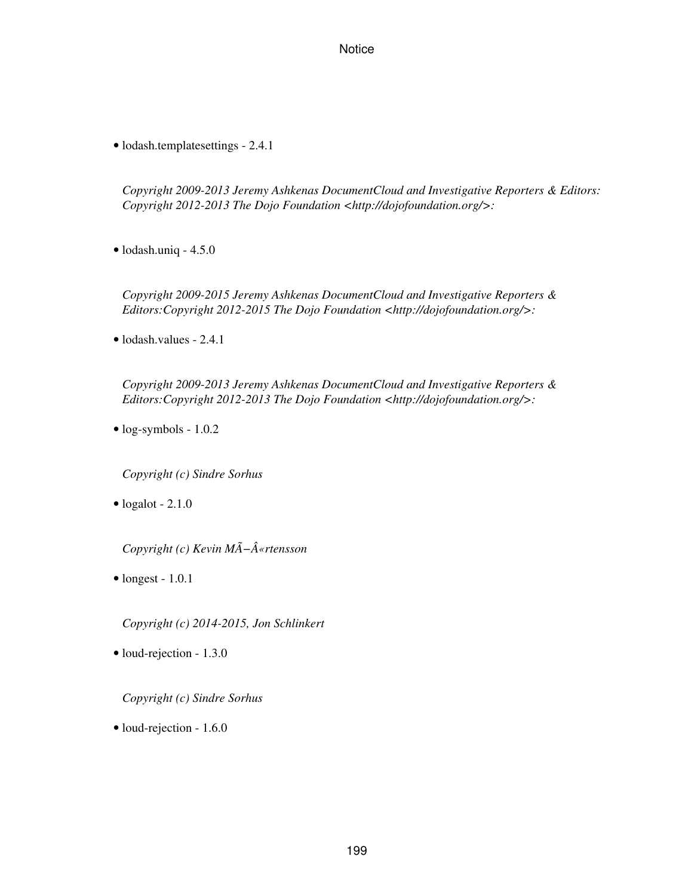• lodash.templatesettings - 2.4.1

*Copyright 2009-2013 Jeremy Ashkenas DocumentCloud and Investigative Reporters & Editors: Copyright 2012-2013 The Dojo Foundation <http://dojofoundation.org/>:*

• lodash.uniq - 4.5.0

*Copyright 2009-2015 Jeremy Ashkenas DocumentCloud and Investigative Reporters & Editors:Copyright 2012-2015 The Dojo Foundation <http://dojofoundation.org/>:*

• lodash.values - 2.4.1

*Copyright 2009-2013 Jeremy Ashkenas DocumentCloud and Investigative Reporters & Editors:Copyright 2012-2013 The Dojo Foundation <http://dojofoundation.org/>:*

• log-symbols - 1.0.2

*Copyright (c) Sindre Sorhus*

 $\bullet$  logalot - 2.1.0

*Copyright (c) Kevin MÃ−«rtensson*

 $\bullet$  longest - 1.0.1

*Copyright (c) 2014-2015, Jon Schlinkert*

• loud-rejection - 1.3.0

*Copyright (c) Sindre Sorhus*

• loud-rejection - 1.6.0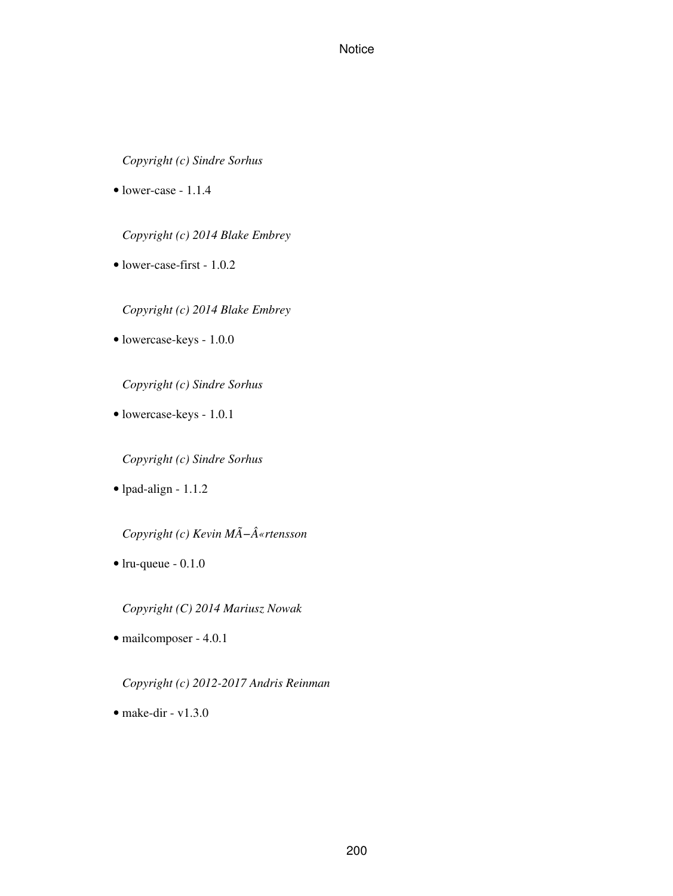*Copyright (c) Sindre Sorhus*

• lower-case - 1.1.4

*Copyright (c) 2014 Blake Embrey*

• lower-case-first - 1.0.2

*Copyright (c) 2014 Blake Embrey*

• lowercase-keys - 1.0.0

*Copyright (c) Sindre Sorhus*

• lowercase-keys - 1.0.1

*Copyright (c) Sindre Sorhus*

• lpad-align - 1.1.2

*Copyright (c) Kevin MÃ−«rtensson*

• lru-queue - 0.1.0

*Copyright (C) 2014 Mariusz Nowak*

• mailcomposer - 4.0.1

*Copyright (c) 2012-2017 Andris Reinman*

• make-dir -  $v1.3.0$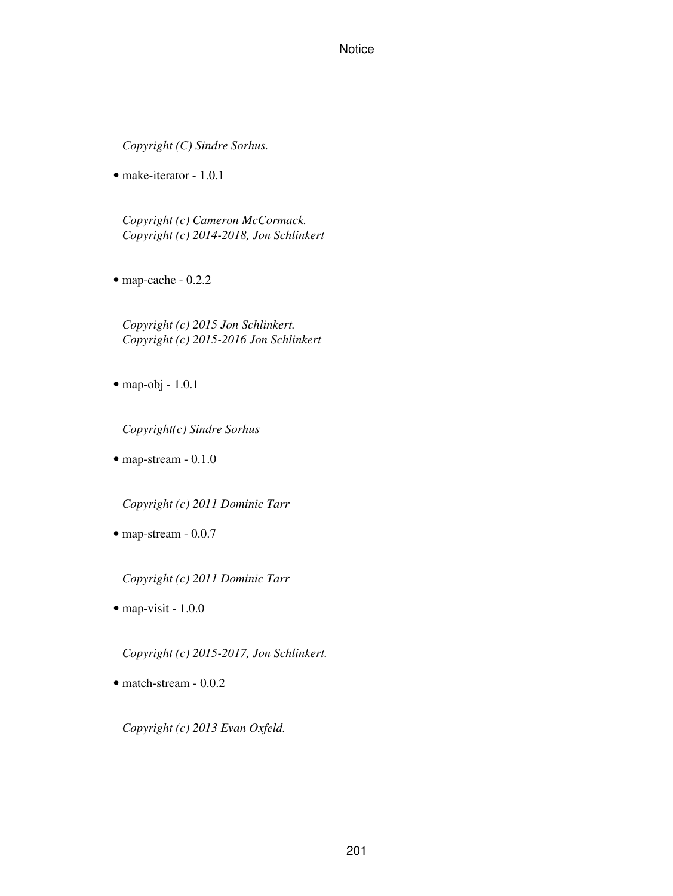*Copyright (C) Sindre Sorhus.*

• make-iterator - 1.0.1

*Copyright (c) Cameron McCormack. Copyright (c) 2014-2018, Jon Schlinkert*

• map-cache - 0.2.2

*Copyright (c) 2015 Jon Schlinkert. Copyright (c) 2015-2016 Jon Schlinkert*

• map-obj - 1.0.1

*Copyright(c) Sindre Sorhus*

• map-stream - 0.1.0

*Copyright (c) 2011 Dominic Tarr*

• map-stream - 0.0.7

*Copyright (c) 2011 Dominic Tarr*

• map-visit - 1.0.0

*Copyright (c) 2015-2017, Jon Schlinkert.*

• match-stream - 0.0.2

*Copyright (c) 2013 Evan Oxfeld.*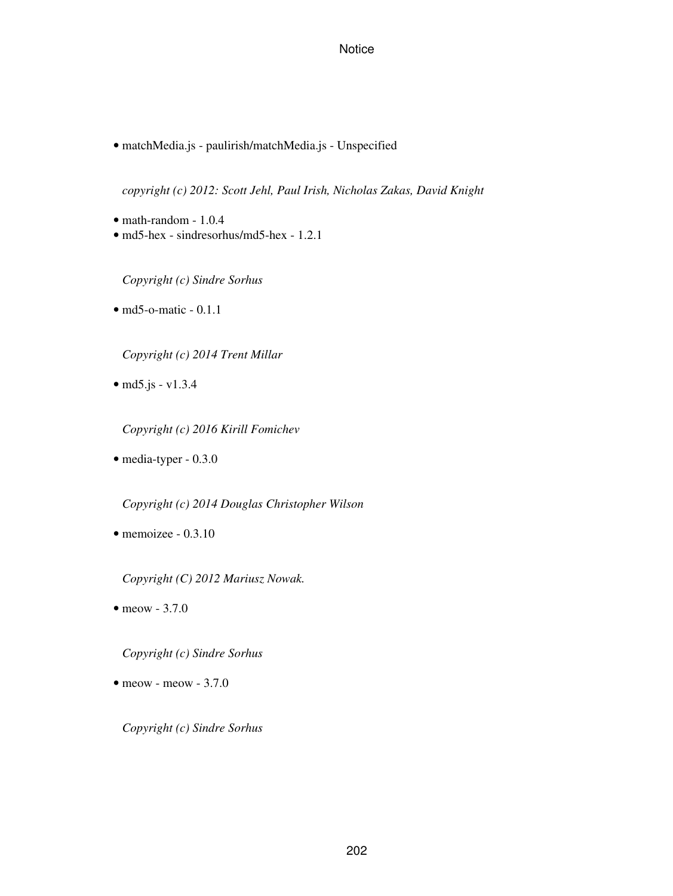• matchMedia.js - paulirish/matchMedia.js - Unspecified

*copyright (c) 2012: Scott Jehl, Paul Irish, Nicholas Zakas, David Knight*

- math-random 1.0.4
- md5-hex sindresorhus/md5-hex 1.2.1

*Copyright (c) Sindre Sorhus*

• md5-o-matic - 0.1.1

*Copyright (c) 2014 Trent Millar*

• md5.js - v1.3.4

*Copyright (c) 2016 Kirill Fomichev*

• media-typer - 0.3.0

*Copyright (c) 2014 Douglas Christopher Wilson*

• memoizee - 0.3.10

*Copyright (C) 2012 Mariusz Nowak.*

• meow - 3.7.0

*Copyright (c) Sindre Sorhus*

 $\bullet$  meow - meow - 3.7.0

*Copyright (c) Sindre Sorhus*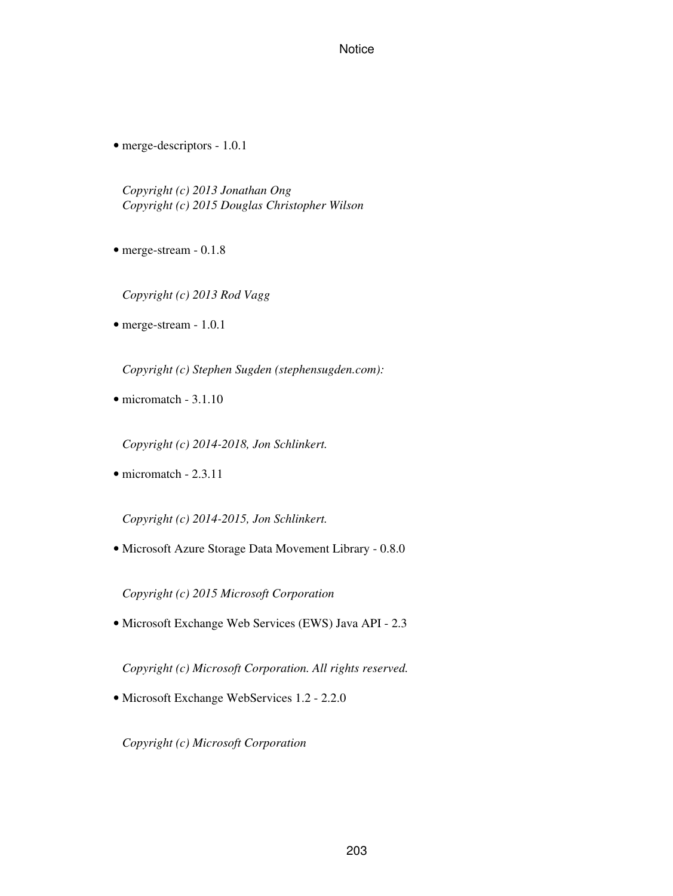• merge-descriptors - 1.0.1

*Copyright (c) 2013 Jonathan Ong Copyright (c) 2015 Douglas Christopher Wilson*

- merge-stream 0.1.8
	- *Copyright (c) 2013 Rod Vagg*
- merge-stream 1.0.1

*Copyright (c) Stephen Sugden (stephensugden.com):*

• micromatch - 3.1.10

*Copyright (c) 2014-2018, Jon Schlinkert.*

• micromatch - 2.3.11

*Copyright (c) 2014-2015, Jon Schlinkert.*

• Microsoft Azure Storage Data Movement Library - 0.8.0

*Copyright (c) 2015 Microsoft Corporation*

• Microsoft Exchange Web Services (EWS) Java API - 2.3

*Copyright (c) Microsoft Corporation. All rights reserved.*

• Microsoft Exchange WebServices 1.2 - 2.2.0

*Copyright (c) Microsoft Corporation*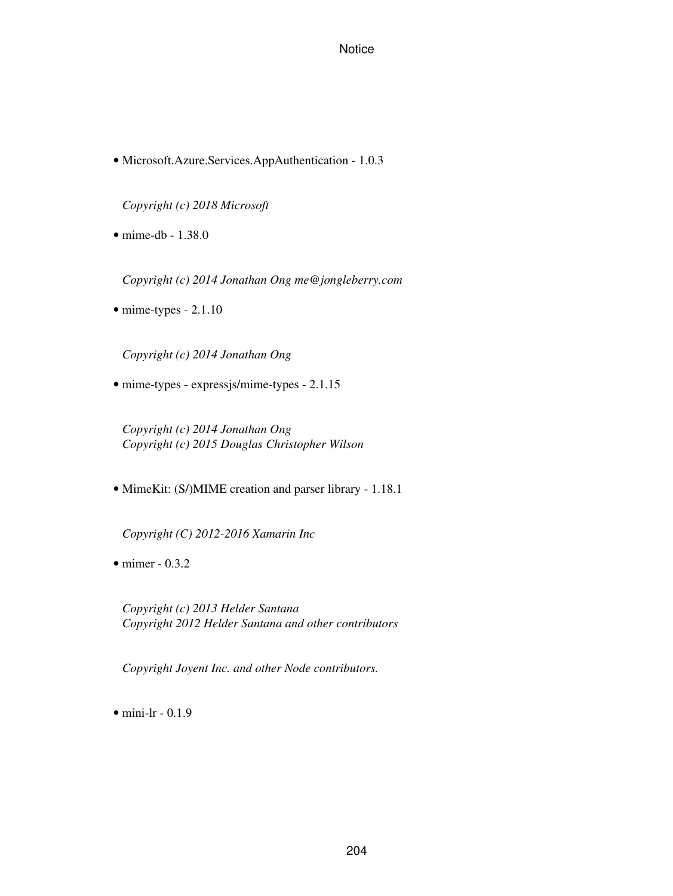• Microsoft.Azure.Services.AppAuthentication - 1.0.3

*Copyright (c) 2018 Microsoft*

• mime-db - 1.38.0

*Copyright (c) 2014 Jonathan Ong me@jongleberry.com*

• mime-types - 2.1.10

*Copyright (c) 2014 Jonathan Ong*

• mime-types - expressjs/mime-types - 2.1.15

*Copyright (c) 2014 Jonathan Ong Copyright (c) 2015 Douglas Christopher Wilson*

• MimeKit: (S/)MIME creation and parser library - 1.18.1

*Copyright (C) 2012-2016 Xamarin Inc*

• mimer - 0.3.2

*Copyright (c) 2013 Helder Santana Copyright 2012 Helder Santana and other contributors*

*Copyright Joyent Inc. and other Node contributors.*

 $\bullet$  mini-lr - 0.1.9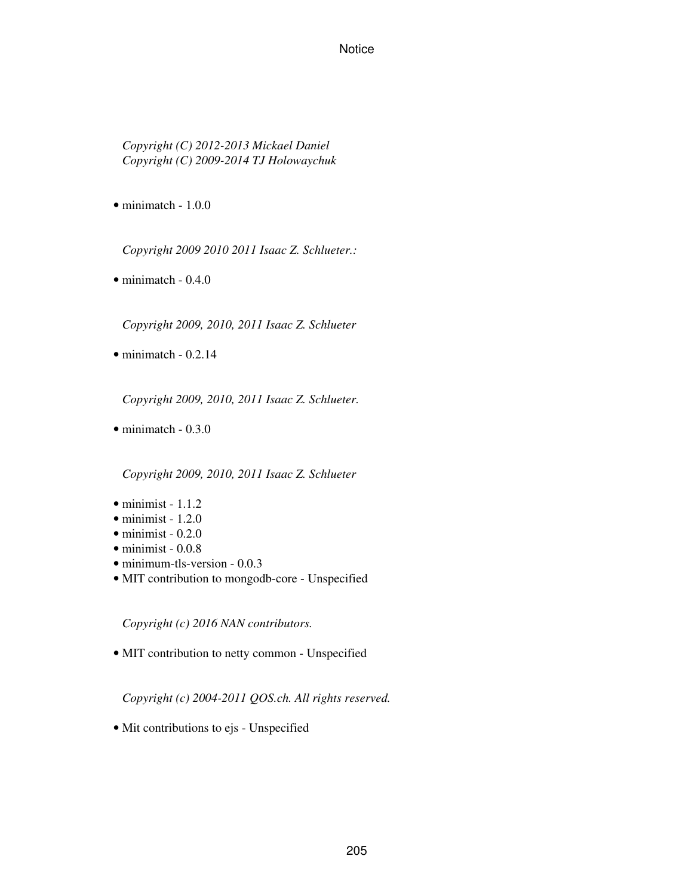*Copyright (C) 2012-2013 Mickael Daniel Copyright (C) 2009-2014 TJ Holowaychuk*

• minimatch - 1.0.0

*Copyright 2009 2010 2011 Isaac Z. Schlueter.:*

• minimatch - 0.4.0

*Copyright 2009, 2010, 2011 Isaac Z. Schlueter*

 $\bullet$  minimatch - 0.2.14

*Copyright 2009, 2010, 2011 Isaac Z. Schlueter.*

• minimatch - 0.3.0

*Copyright 2009, 2010, 2011 Isaac Z. Schlueter*

- $\bullet$  minimist 1.1.2
- $\bullet$  minimist 1.2.0
- $\bullet$  minimist 0.2.0
- $\bullet$  minimist 0.0.8
- minimum-tls-version 0.0.3
- MIT contribution to mongodb-core Unspecified

*Copyright (c) 2016 NAN contributors.*

• MIT contribution to netty common - Unspecified

*Copyright (c) 2004-2011 QOS.ch. All rights reserved.*

• Mit contributions to ejs - Unspecified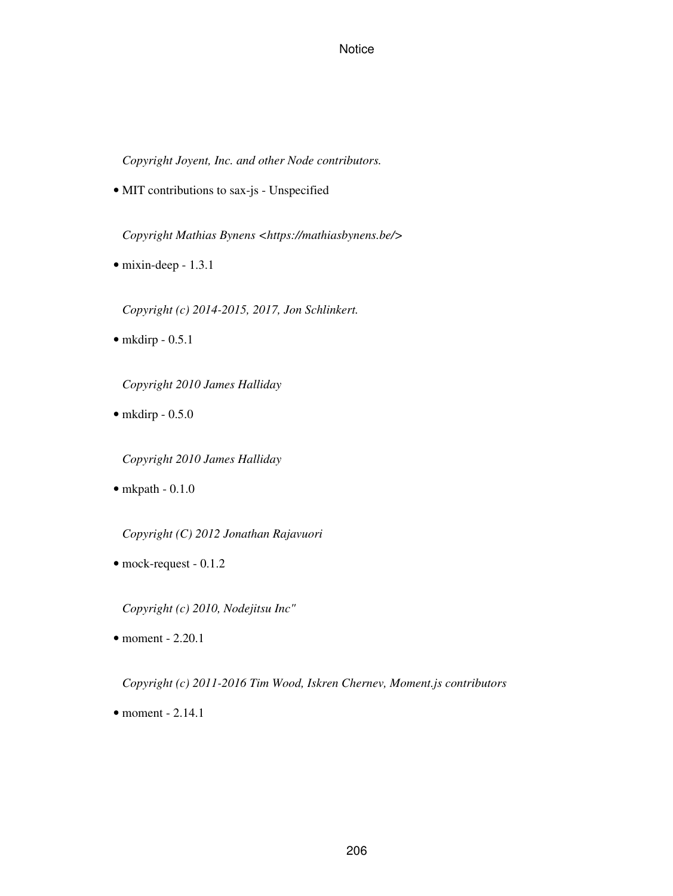*Copyright Joyent, Inc. and other Node contributors.*

• MIT contributions to sax-js - Unspecified

*Copyright Mathias Bynens <https://mathiasbynens.be/>*

• mixin-deep - 1.3.1

*Copyright (c) 2014-2015, 2017, Jon Schlinkert.*

 $\bullet$  mkdirp - 0.5.1

*Copyright 2010 James Halliday*

 $\bullet$  mkdirp - 0.5.0

*Copyright 2010 James Halliday*

 $\bullet$  mkpath - 0.1.0

*Copyright (C) 2012 Jonathan Rajavuori*

• mock-request - 0.1.2

*Copyright (c) 2010, Nodejitsu Inc"*

• moment - 2.20.1

*Copyright (c) 2011-2016 Tim Wood, Iskren Chernev, Moment.js contributors*

 $\bullet$  moment - 2.14.1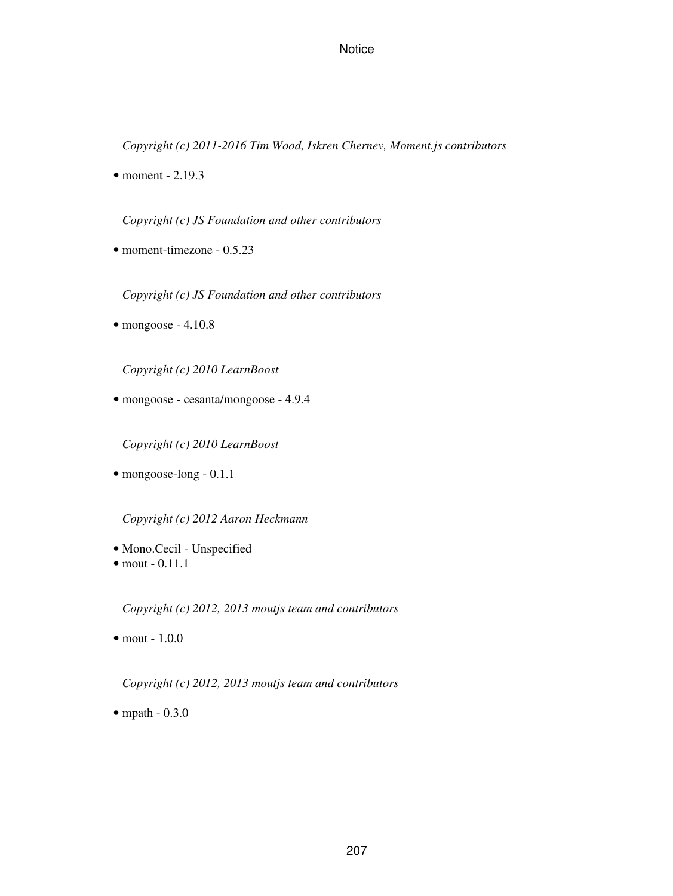*Copyright (c) 2011-2016 Tim Wood, Iskren Chernev, Moment.js contributors*

 $\bullet$  moment - 2.19.3

*Copyright (c) JS Foundation and other contributors*

• moment-timezone - 0.5.23

*Copyright (c) JS Foundation and other contributors*

 $\bullet$  mongoose - 4.10.8

*Copyright (c) 2010 LearnBoost*

• mongoose - cesanta/mongoose - 4.9.4

*Copyright (c) 2010 LearnBoost*

• mongoose-long - 0.1.1

*Copyright (c) 2012 Aaron Heckmann*

- Mono.Cecil Unspecified
- $\bullet$  mout  $-0.11.1$

*Copyright (c) 2012, 2013 moutjs team and contributors*

• mout - 1.0.0

*Copyright (c) 2012, 2013 moutjs team and contributors*

• mpath - 0.3.0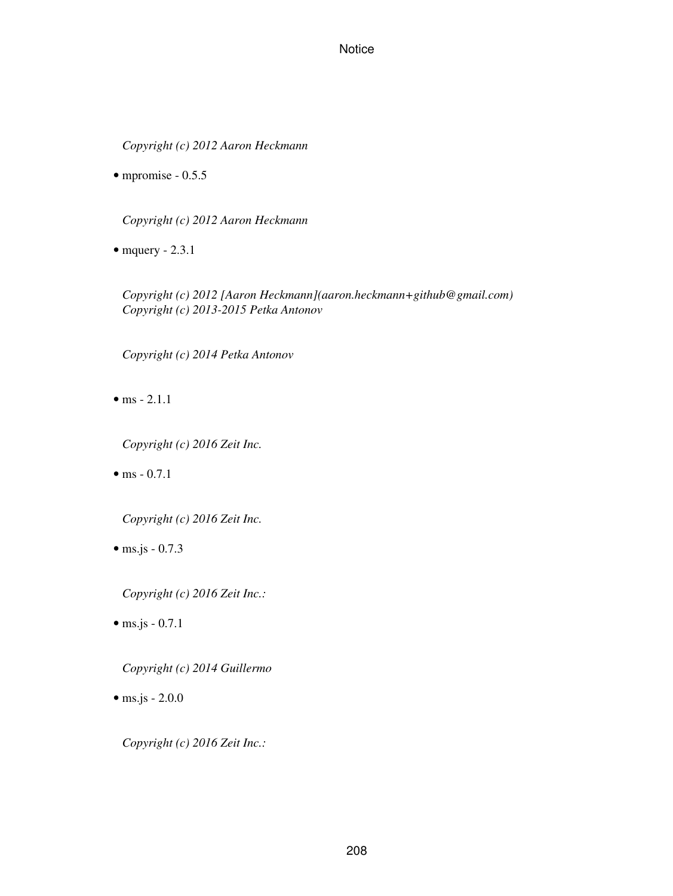*Copyright (c) 2012 Aaron Heckmann*

• mpromise -  $0.5.5$ 

*Copyright (c) 2012 Aaron Heckmann*

• mquery  $-2.3.1$ 

*Copyright (c) 2012 [Aaron Heckmann](aaron.heckmann+github@gmail.com) Copyright (c) 2013-2015 Petka Antonov*

*Copyright (c) 2014 Petka Antonov*

• ms  $- 2.1.1$ 

*Copyright (c) 2016 Zeit Inc.*

• ms  $-0.7.1$ 

*Copyright (c) 2016 Zeit Inc.*

 $\bullet$  ms.js - 0.7.3

*Copyright (c) 2016 Zeit Inc.:*

 $\bullet$  ms.js - 0.7.1

*Copyright (c) 2014 Guillermo*

 $\bullet$  ms.js - 2.0.0

*Copyright (c) 2016 Zeit Inc.:*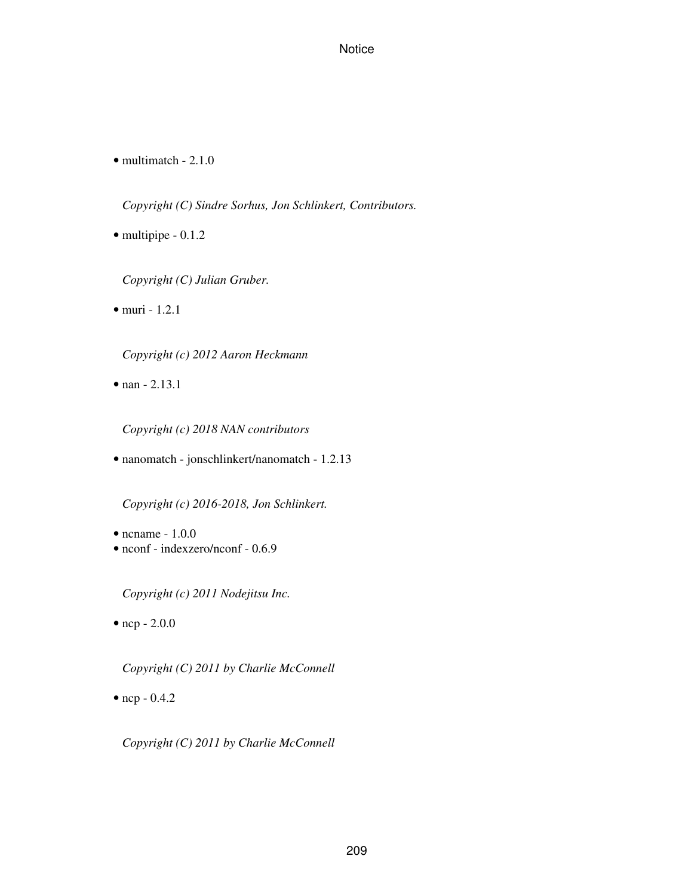• multimatch - 2.1.0

*Copyright (C) Sindre Sorhus, Jon Schlinkert, Contributors.*

• multipipe - 0.1.2

*Copyright (C) Julian Gruber.*

• muri - 1.2.1

*Copyright (c) 2012 Aaron Heckmann*

• nan - 2.13.1

*Copyright (c) 2018 NAN contributors*

• nanomatch - jonschlinkert/nanomatch - 1.2.13

*Copyright (c) 2016-2018, Jon Schlinkert.*

- ncname 1.0.0
- nconf indexzero/nconf 0.6.9

*Copyright (c) 2011 Nodejitsu Inc.*

 $\bullet$  ncp - 2.0.0

*Copyright (C) 2011 by Charlie McConnell*

• ncp - 0.4.2

*Copyright (C) 2011 by Charlie McConnell*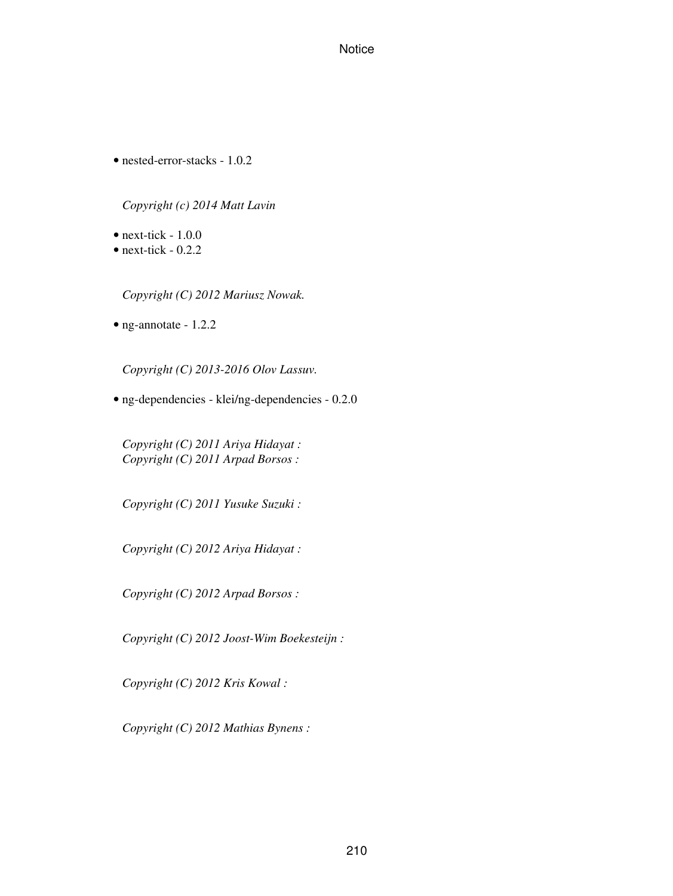• nested-error-stacks - 1.0.2

# *Copyright (c) 2014 Matt Lavin*

- $\bullet$  next-tick 1.0.0
- next-tick  $-0.2.2$

*Copyright (C) 2012 Mariusz Nowak.*

• ng-annotate - 1.2.2

*Copyright (C) 2013-2016 Olov Lassuv.*

• ng-dependencies - klei/ng-dependencies - 0.2.0

*Copyright (C) 2011 Ariya Hidayat : Copyright (C) 2011 Arpad Borsos :*

*Copyright (C) 2011 Yusuke Suzuki :*

*Copyright (C) 2012 Ariya Hidayat :*

*Copyright (C) 2012 Arpad Borsos :*

*Copyright (C) 2012 Joost-Wim Boekesteijn :*

*Copyright (C) 2012 Kris Kowal :*

*Copyright (C) 2012 Mathias Bynens :*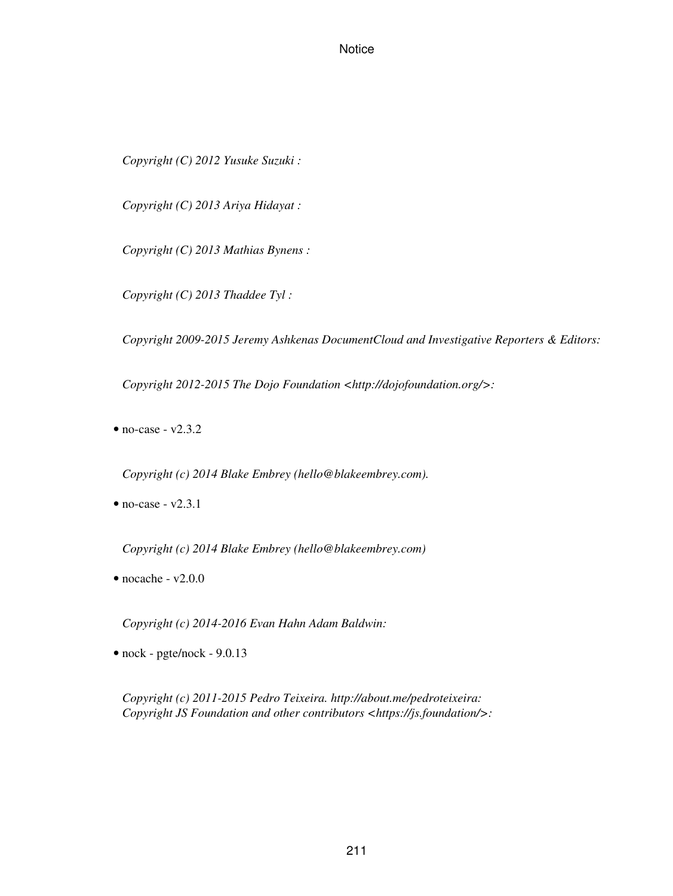*Copyright (C) 2012 Yusuke Suzuki :*

*Copyright (C) 2013 Ariya Hidayat :*

*Copyright (C) 2013 Mathias Bynens :*

*Copyright (C) 2013 Thaddee Tyl :*

*Copyright 2009-2015 Jeremy Ashkenas DocumentCloud and Investigative Reporters & Editors:*

*Copyright 2012-2015 The Dojo Foundation <http://dojofoundation.org/>:*

 $\bullet$  no-case - v2.3.2

*Copyright (c) 2014 Blake Embrey (hello@blakeembrey.com).*

 $\bullet$  no-case - v2.3.1

*Copyright (c) 2014 Blake Embrey (hello@blakeembrey.com)*

 $\bullet$  nocache - v2.0.0

*Copyright (c) 2014-2016 Evan Hahn Adam Baldwin:*

• nock - pgte/nock - 9.0.13

*Copyright (c) 2011-2015 Pedro Teixeira. http://about.me/pedroteixeira: Copyright JS Foundation and other contributors <https://js.foundation/>:*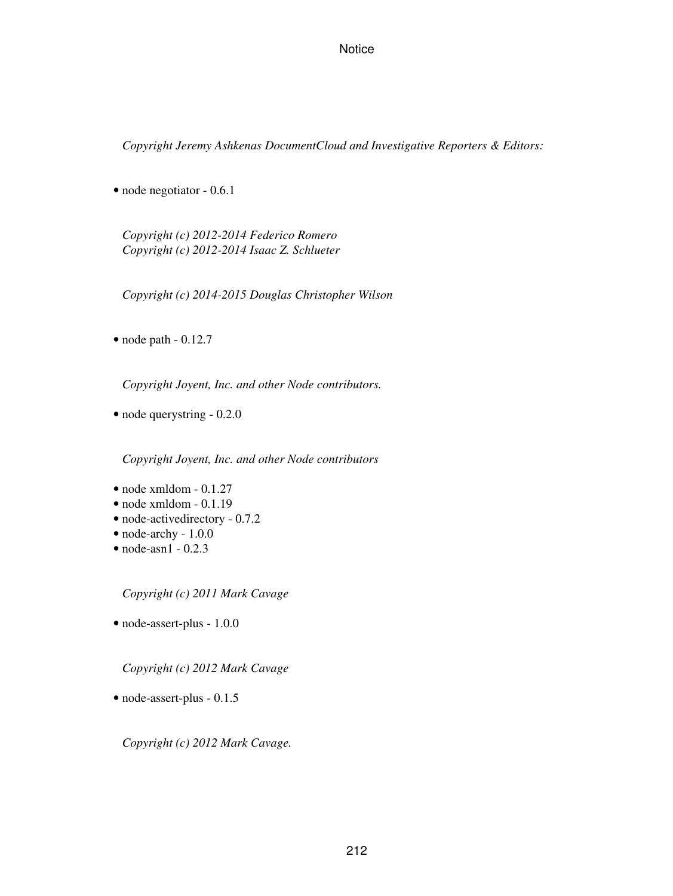*Copyright Jeremy Ashkenas DocumentCloud and Investigative Reporters & Editors:*

• node negotiator - 0.6.1

*Copyright (c) 2012-2014 Federico Romero Copyright (c) 2012-2014 Isaac Z. Schlueter*

*Copyright (c) 2014-2015 Douglas Christopher Wilson*

 $\bullet$  node path  $-0.12.7$ 

*Copyright Joyent, Inc. and other Node contributors.*

• node querystring - 0.2.0

*Copyright Joyent, Inc. and other Node contributors*

- node xmldom 0.1.27
- node xmldom 0.1.19
- node-activedirectory 0.7.2
- node-archy 1.0.0
- $\bullet$  node-asn1 0.2.3

*Copyright (c) 2011 Mark Cavage*

• node-assert-plus - 1.0.0

*Copyright (c) 2012 Mark Cavage*

• node-assert-plus - 0.1.5

*Copyright (c) 2012 Mark Cavage.*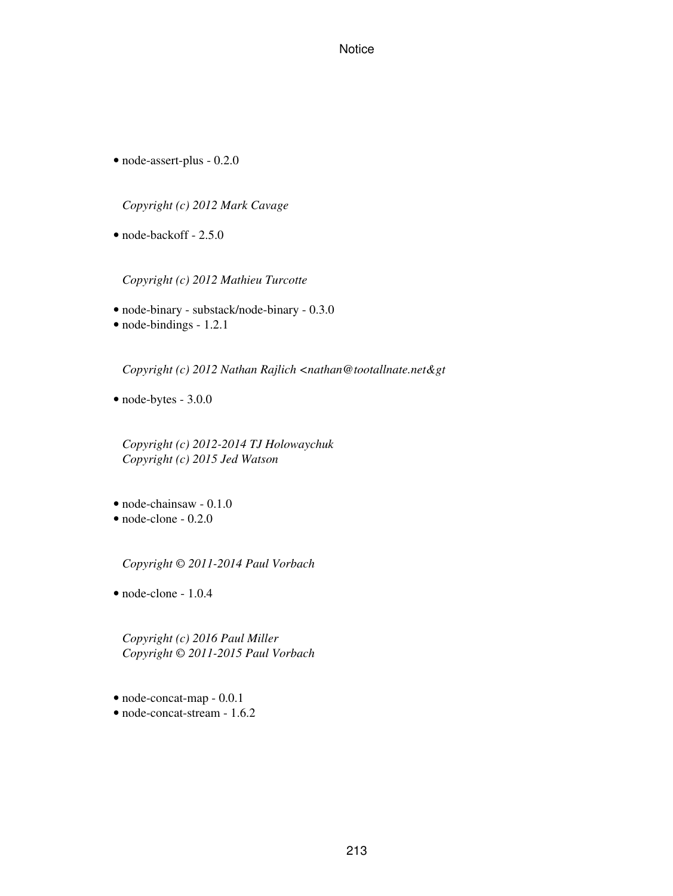• node-assert-plus - 0.2.0

*Copyright (c) 2012 Mark Cavage*

• node-backoff - 2.5.0

*Copyright (c) 2012 Mathieu Turcotte*

- node-binary substack/node-binary 0.3.0
- node-bindings 1.2.1

*Copyright (c) 2012 Nathan Rajlich <nathan@tootallnate.net&gt* 

• node-bytes - 3.0.0

*Copyright (c) 2012-2014 TJ Holowaychuk Copyright (c) 2015 Jed Watson*

- node-chainsaw 0.1.0
- node-clone 0.2.0

*Copyright © 2011-2014 Paul Vorbach*

• node-clone - 1.0.4

*Copyright (c) 2016 Paul Miller Copyright © 2011-2015 Paul Vorbach*

• node-concat-map - 0.0.1 • node-concat-stream - 1.6.2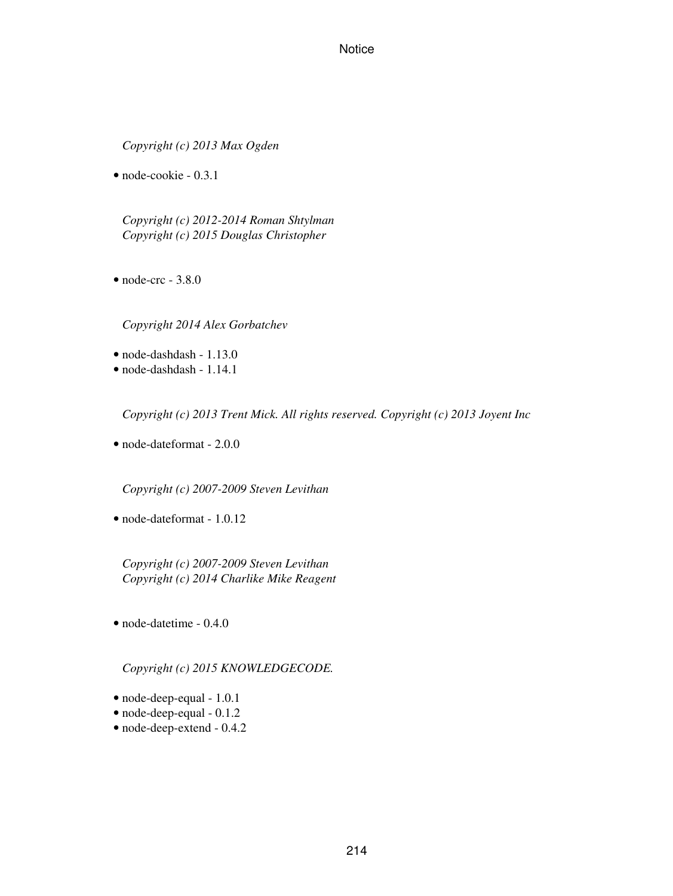*Copyright (c) 2013 Max Ogden*

• node-cookie - 0.3.1

*Copyright (c) 2012-2014 Roman Shtylman Copyright (c) 2015 Douglas Christopher*

 $\bullet$  node-crc - 3.8.0

*Copyright 2014 Alex Gorbatchev*

- node-dashdash 1.13.0
- node-dashdash 1.14.1

*Copyright (c) 2013 Trent Mick. All rights reserved. Copyright (c) 2013 Joyent Inc*

• node-dateformat - 2.0.0

*Copyright (c) 2007-2009 Steven Levithan*

• node-dateformat - 1.0.12

*Copyright (c) 2007-2009 Steven Levithan Copyright (c) 2014 Charlike Mike Reagent*

• node-datetime - 0.4.0

*Copyright (c) 2015 KNOWLEDGECODE.*

- node-deep-equal 1.0.1
- node-deep-equal 0.1.2
- node-deep-extend 0.4.2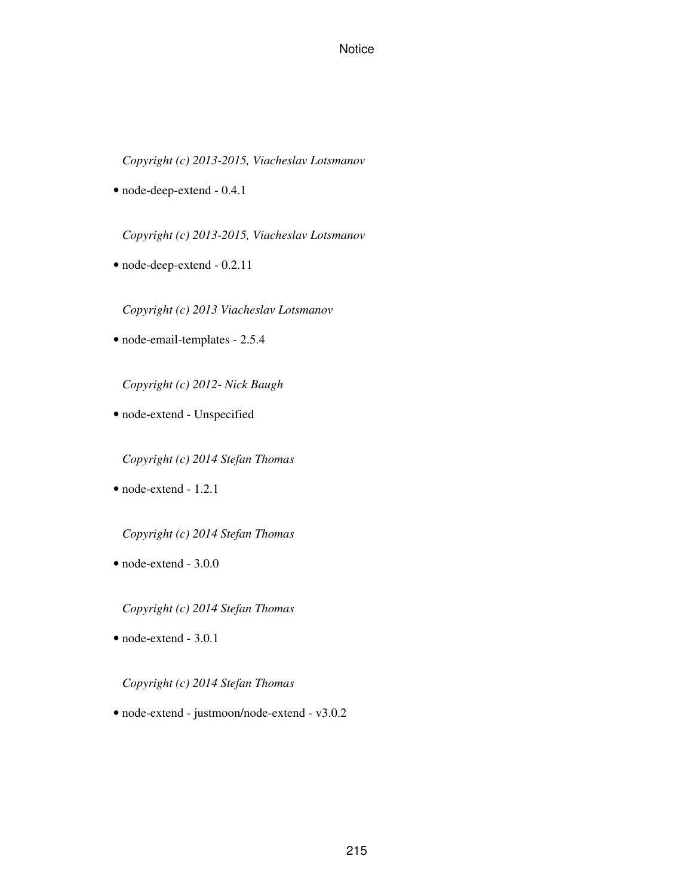*Copyright (c) 2013-2015, Viacheslav Lotsmanov*

• node-deep-extend - 0.4.1

*Copyright (c) 2013-2015, Viacheslav Lotsmanov*

• node-deep-extend - 0.2.11

*Copyright (c) 2013 Viacheslav Lotsmanov*

• node-email-templates - 2.5.4

*Copyright (c) 2012- Nick Baugh*

• node-extend - Unspecified

*Copyright (c) 2014 Stefan Thomas*

• node-extend - 1.2.1

*Copyright (c) 2014 Stefan Thomas*

• node-extend - 3.0.0

*Copyright (c) 2014 Stefan Thomas*

• node-extend - 3.0.1

#### *Copyright (c) 2014 Stefan Thomas*

• node-extend - justmoon/node-extend - v3.0.2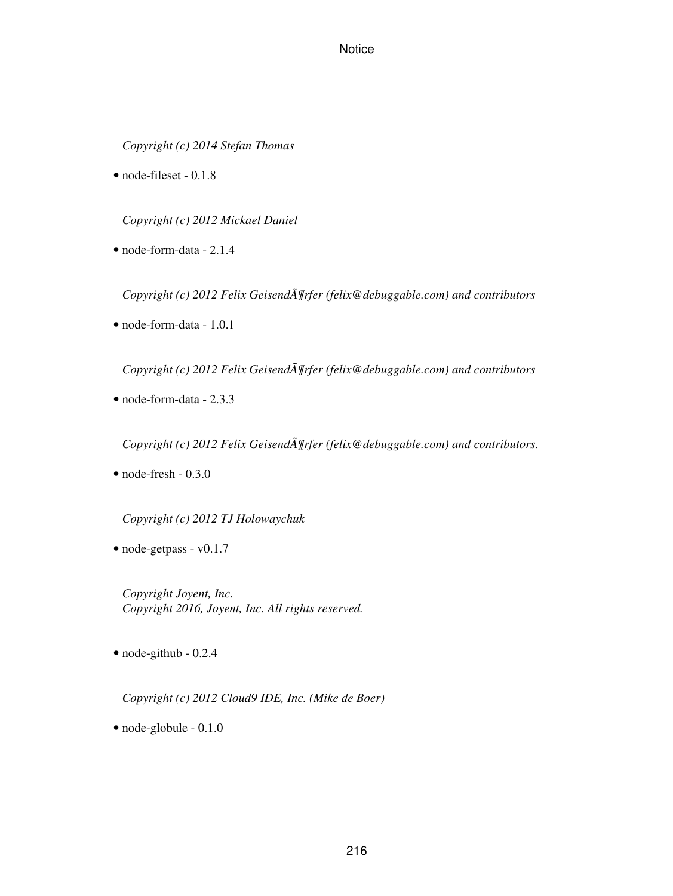*Copyright (c) 2014 Stefan Thomas*

• node-fileset - 0.1.8

*Copyright (c) 2012 Mickael Daniel*

• node-form-data - 2.1.4

*Copyright (c) 2012 Felix Geisend* $\tilde{A}$  *[rfer (felix@debuggable.com) and contributors* 

• node-form-data - 1.0.1

*Copyright (c) 2012 Felix Geisend* $\tilde{A}$  *¶rfer (felix@debuggable.com) and contributors* 

• node-form-data - 2.3.3

*Copyright (c) 2012 Felix Geisend* $\tilde{A}$  *[rfer (felix@debuggable.com) and contributors.* 

 $\bullet$  node-fresh - 0.3.0

*Copyright (c) 2012 TJ Holowaychuk*

• node-getpass - v0.1.7

*Copyright Joyent, Inc. Copyright 2016, Joyent, Inc. All rights reserved.*

• node-github - 0.2.4

*Copyright (c) 2012 Cloud9 IDE, Inc. (Mike de Boer)*

• node-globule - 0.1.0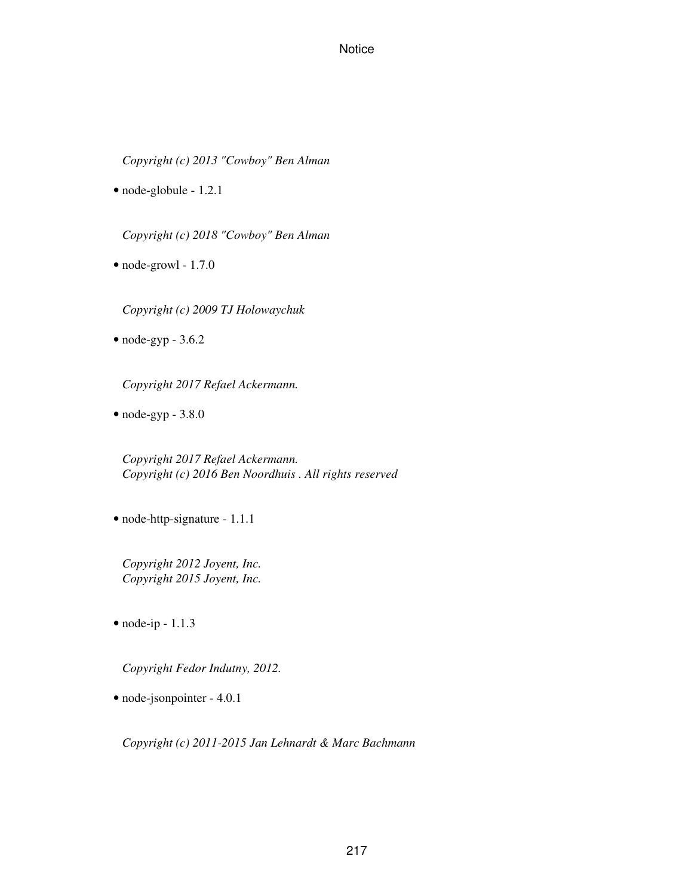*Copyright (c) 2013 "Cowboy" Ben Alman*

• node-globule - 1.2.1

*Copyright (c) 2018 "Cowboy" Ben Alman*

• node-growl - 1.7.0

*Copyright (c) 2009 TJ Holowaychuk*

 $\bullet$  node-gyp - 3.6.2

*Copyright 2017 Refael Ackermann.*

 $\bullet$  node-gyp - 3.8.0

*Copyright 2017 Refael Ackermann. Copyright (c) 2016 Ben Noordhuis . All rights reserved*

• node-http-signature - 1.1.1

*Copyright 2012 Joyent, Inc. Copyright 2015 Joyent, Inc.*

 $\bullet$  node-ip - 1.1.3

*Copyright Fedor Indutny, 2012.*

• node-jsonpointer - 4.0.1

*Copyright (c) 2011-2015 Jan Lehnardt & Marc Bachmann*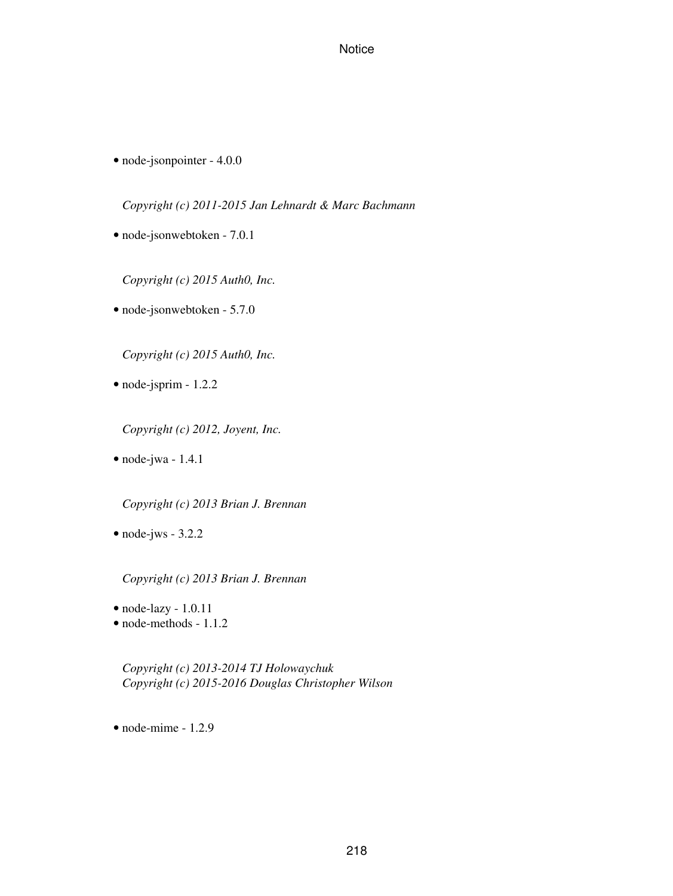• node-jsonpointer - 4.0.0

*Copyright (c) 2011-2015 Jan Lehnardt & Marc Bachmann*

• node-jsonwebtoken - 7.0.1

*Copyright (c) 2015 Auth0, Inc.*

• node-jsonwebtoken - 5.7.0

*Copyright (c) 2015 Auth0, Inc.*

• node-jsprim - 1.2.2

*Copyright (c) 2012, Joyent, Inc.*

• node-jwa - 1.4.1

*Copyright (c) 2013 Brian J. Brennan*

• node-jws - 3.2.2

*Copyright (c) 2013 Brian J. Brennan*

- node-lazy 1.0.11
- node-methods 1.1.2

*Copyright (c) 2013-2014 TJ Holowaychuk Copyright (c) 2015-2016 Douglas Christopher Wilson*

 $\bullet$  node-mime - 1.2.9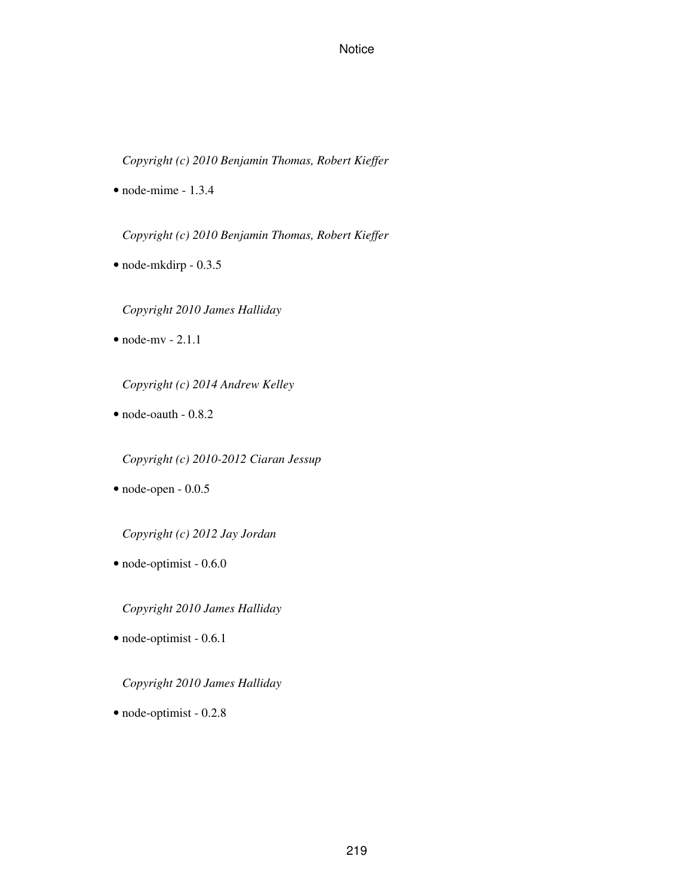*Copyright (c) 2010 Benjamin Thomas, Robert Kieffer*

 $\bullet$  node-mime - 1.3.4

*Copyright (c) 2010 Benjamin Thomas, Robert Kieffer*

• node-mkdirp - 0.3.5

*Copyright 2010 James Halliday*

 $\bullet$  node-mv - 2.1.1

*Copyright (c) 2014 Andrew Kelley*

• node-oauth - 0.8.2

*Copyright (c) 2010-2012 Ciaran Jessup*

• node-open - 0.0.5

*Copyright (c) 2012 Jay Jordan*

• node-optimist - 0.6.0

*Copyright 2010 James Halliday*

• node-optimist - 0.6.1

#### *Copyright 2010 James Halliday*

• node-optimist - 0.2.8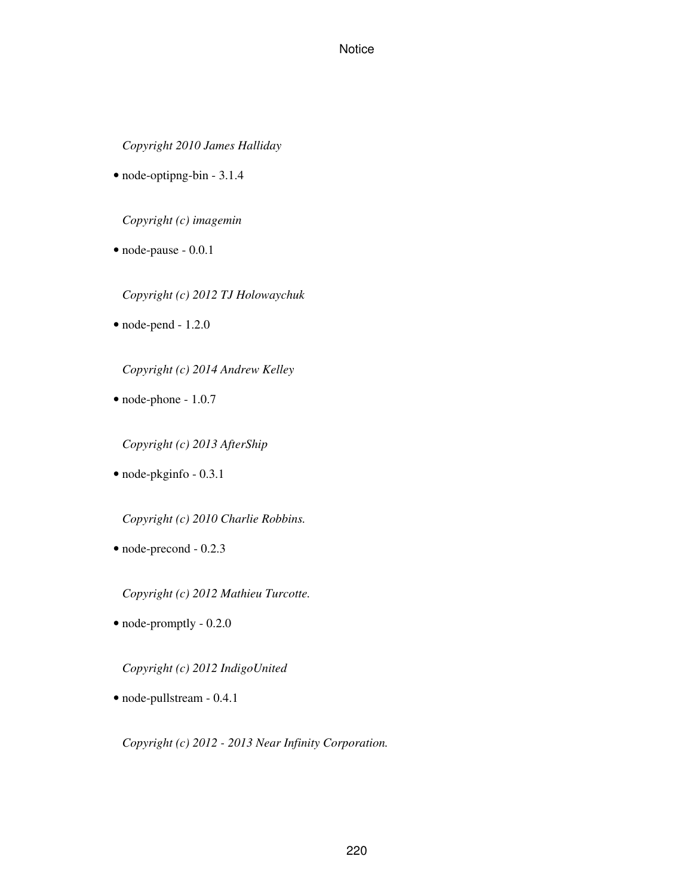*Copyright 2010 James Halliday*

• node-optipng-bin - 3.1.4

*Copyright (c) imagemin*

- node-pause 0.0.1
	- *Copyright (c) 2012 TJ Holowaychuk*
- node-pend 1.2.0

*Copyright (c) 2014 Andrew Kelley*

• node-phone - 1.0.7

*Copyright (c) 2013 AfterShip*

• node-pkginfo - 0.3.1

*Copyright (c) 2010 Charlie Robbins.*

• node-precond - 0.2.3

*Copyright (c) 2012 Mathieu Turcotte.*

• node-promptly - 0.2.0

*Copyright (c) 2012 IndigoUnited*

• node-pullstream - 0.4.1

*Copyright (c) 2012 - 2013 Near Infinity Corporation.*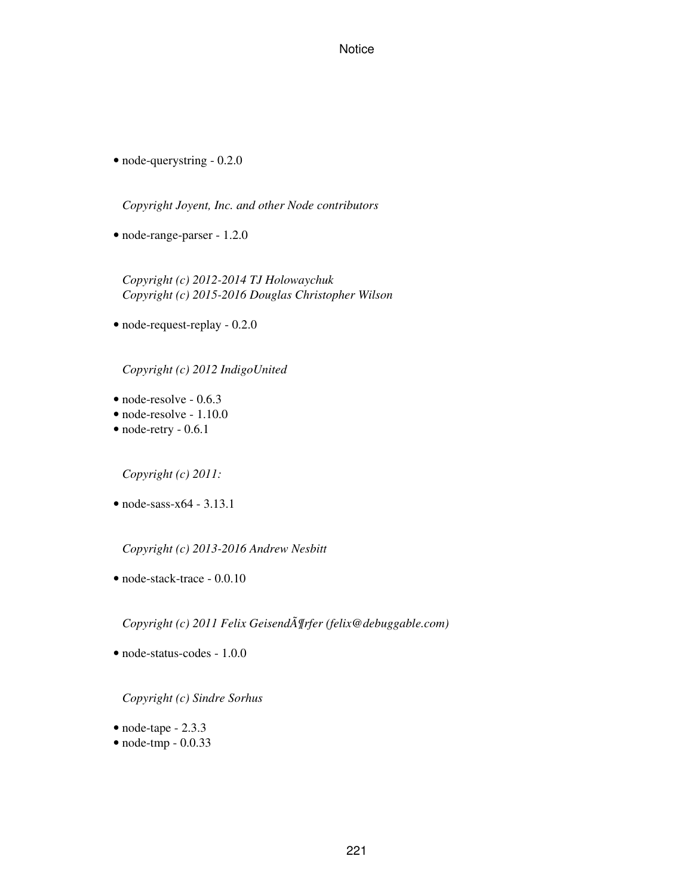• node-querystring - 0.2.0

*Copyright Joyent, Inc. and other Node contributors*

• node-range-parser - 1.2.0

*Copyright (c) 2012-2014 TJ Holowaychuk Copyright (c) 2015-2016 Douglas Christopher Wilson*

• node-request-replay - 0.2.0

*Copyright (c) 2012 IndigoUnited*

- node-resolve 0.6.3
- node-resolve 1.10.0
- node-retry 0.6.1

*Copyright (c) 2011:*

• node-sass-x64 - 3.13.1

*Copyright (c) 2013-2016 Andrew Nesbitt*

• node-stack-trace - 0.0.10

Copyright (c) 2011 Felix GeisendĶrfer (felix@debuggable.com)

• node-status-codes - 1.0.0

*Copyright (c) Sindre Sorhus*

- node-tape 2.3.3
- node-tmp 0.0.33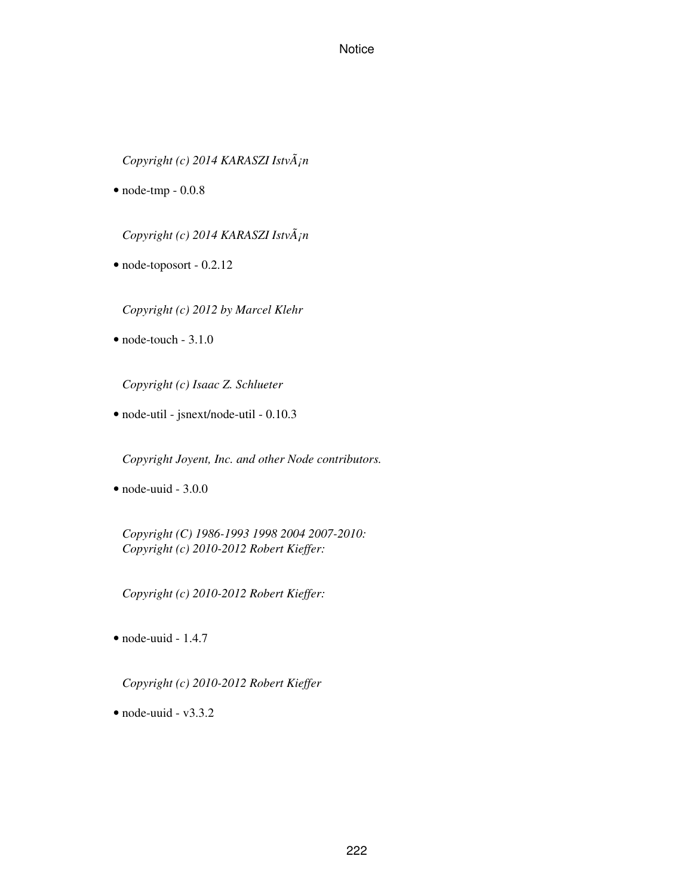*Copyright (c) 2014 KARASZI István*

 $\bullet$  node-tmp - 0.0.8

*Copyright (c) 2014 KARASZI István*

• node-toposort - 0.2.12

*Copyright (c) 2012 by Marcel Klehr*

 $\bullet$  node-touch - 3.1.0

*Copyright (c) Isaac Z. Schlueter*

• node-util - jsnext/node-util - 0.10.3

*Copyright Joyent, Inc. and other Node contributors.*

• node-uuid - 3.0.0

*Copyright (C) 1986-1993 1998 2004 2007-2010: Copyright (c) 2010-2012 Robert Kieffer:*

*Copyright (c) 2010-2012 Robert Kieffer:*

• node-uuid - 1.4.7

*Copyright (c) 2010-2012 Robert Kieffer*

 $\bullet$  node-uuid - v3.3.2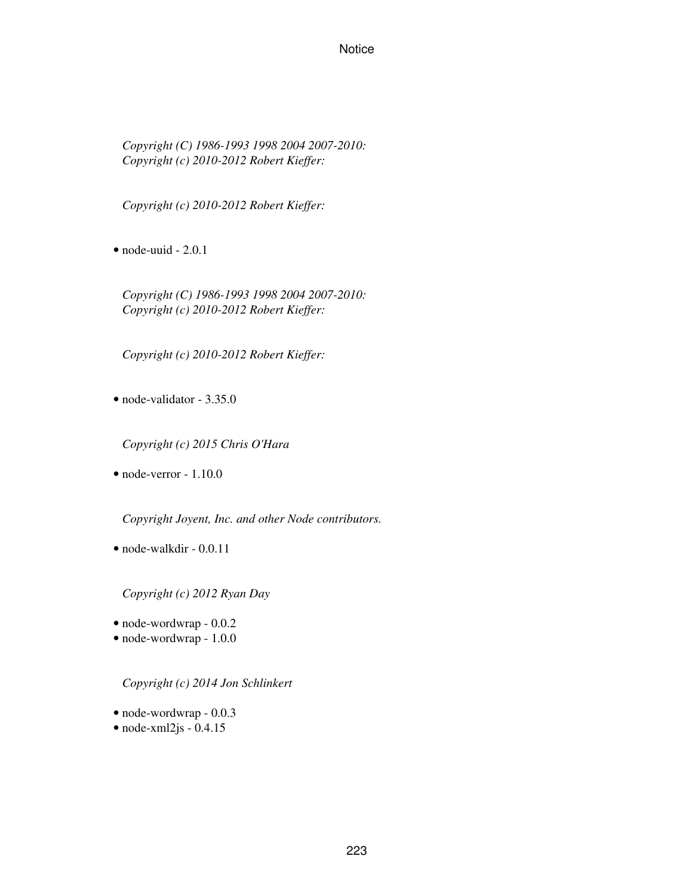*Copyright (C) 1986-1993 1998 2004 2007-2010: Copyright (c) 2010-2012 Robert Kieffer:*

*Copyright (c) 2010-2012 Robert Kieffer:*

 $\bullet$  node-uuid - 2.0.1

*Copyright (C) 1986-1993 1998 2004 2007-2010: Copyright (c) 2010-2012 Robert Kieffer:*

*Copyright (c) 2010-2012 Robert Kieffer:*

• node-validator - 3.35.0

*Copyright (c) 2015 Chris O'Hara*

• node-verror - 1.10.0

*Copyright Joyent, Inc. and other Node contributors.*

• node-walkdir - 0.0.11

*Copyright (c) 2012 Ryan Day*

- node-wordwrap 0.0.2
- node-wordwrap 1.0.0

*Copyright (c) 2014 Jon Schlinkert*

- node-wordwrap 0.0.3
- $\bullet$  node-xml2js 0.4.15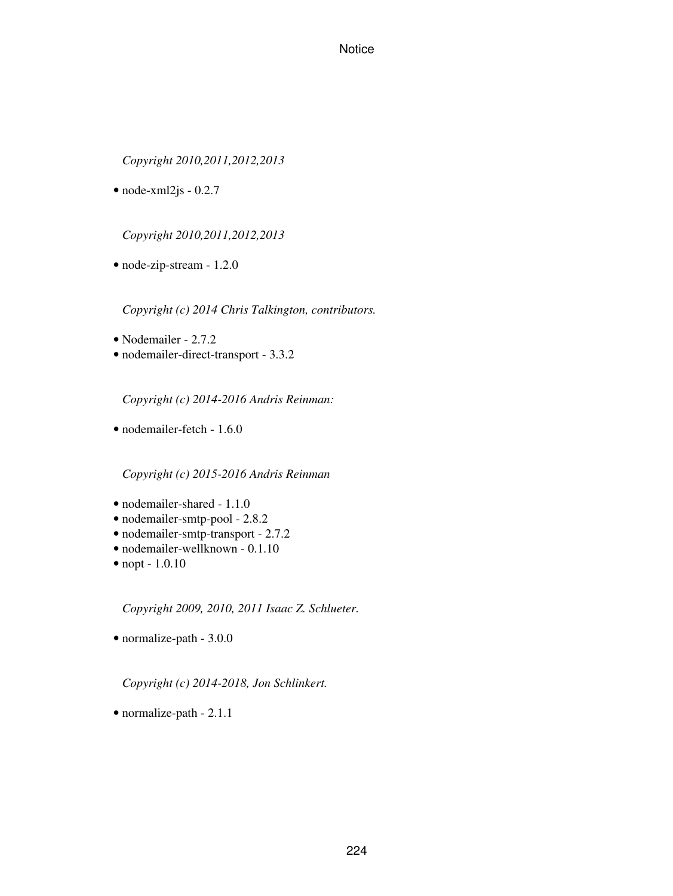*Copyright 2010,2011,2012,2013*

 $\bullet$  node-xml2js - 0.2.7

*Copyright 2010,2011,2012,2013*

• node-zip-stream - 1.2.0

*Copyright (c) 2014 Chris Talkington, contributors.*

- Nodemailer 2.7.2
- nodemailer-direct-transport 3.3.2

*Copyright (c) 2014-2016 Andris Reinman:*

• nodemailer-fetch - 1.6.0

*Copyright (c) 2015-2016 Andris Reinman*

- nodemailer-shared 1.1.0
- nodemailer-smtp-pool 2.8.2
- nodemailer-smtp-transport 2.7.2
- nodemailer-wellknown 0.1.10
- nopt 1.0.10

*Copyright 2009, 2010, 2011 Isaac Z. Schlueter.*

• normalize-path - 3.0.0

*Copyright (c) 2014-2018, Jon Schlinkert.*

• normalize-path - 2.1.1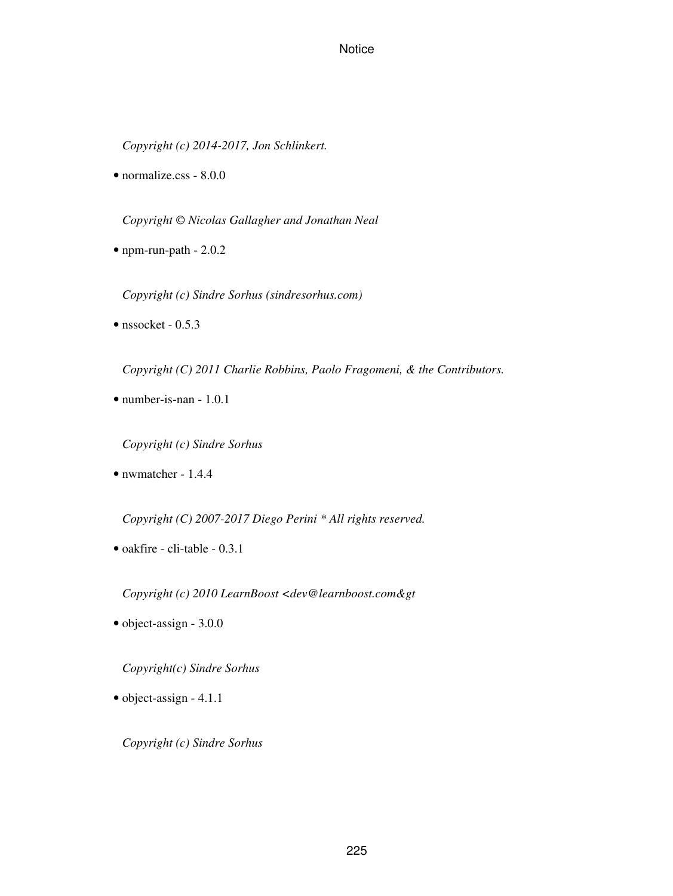*Copyright (c) 2014-2017, Jon Schlinkert.*

• normalize.css - 8.0.0

*Copyright © Nicolas Gallagher and Jonathan Neal*

• npm-run-path - 2.0.2

*Copyright (c) Sindre Sorhus (sindresorhus.com)*

 $\bullet$  nssocket - 0.5.3

*Copyright (C) 2011 Charlie Robbins, Paolo Fragomeni, & the Contributors.*

• number-is-nan - 1.0.1

*Copyright (c) Sindre Sorhus*

• nwmatcher - 1.4.4

*Copyright (C) 2007-2017 Diego Perini \* All rights reserved.*

• oakfire - cli-table - 0.3.1

Copyright (c) 2010 LearnBoost <dev@learnboost.com&gt

• object-assign - 3.0.0

*Copyright(c) Sindre Sorhus*

• object-assign - 4.1.1

*Copyright (c) Sindre Sorhus*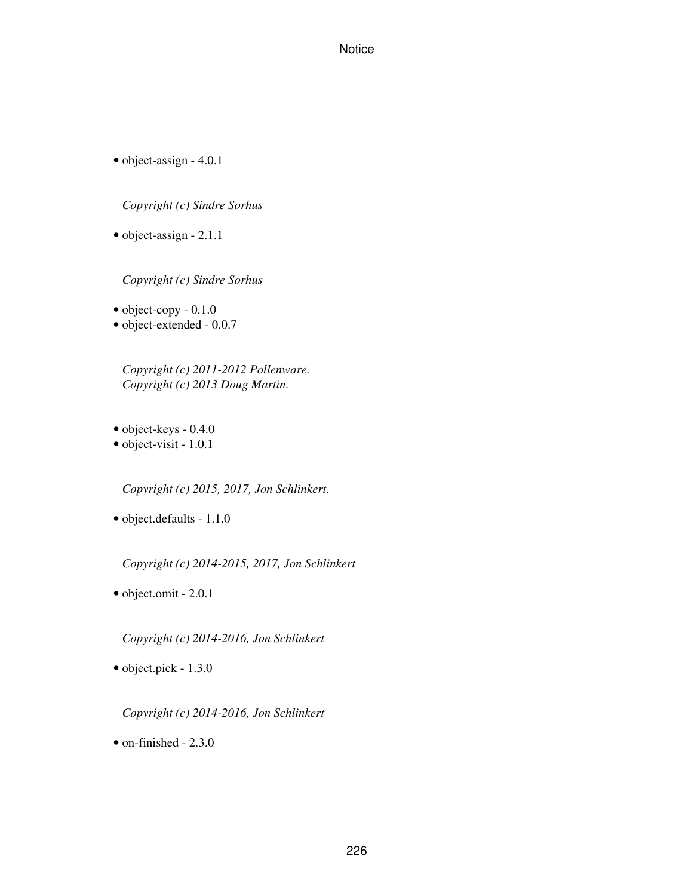• object-assign - 4.0.1

*Copyright (c) Sindre Sorhus*

• object-assign - 2.1.1

*Copyright (c) Sindre Sorhus*

• object-copy - 0.1.0

• object-extended - 0.0.7

*Copyright (c) 2011-2012 Pollenware. Copyright (c) 2013 Doug Martin.*

- object-keys 0.4.0
- object-visit 1.0.1

*Copyright (c) 2015, 2017, Jon Schlinkert.*

• object.defaults - 1.1.0

*Copyright (c) 2014-2015, 2017, Jon Schlinkert*

• object.omit - 2.0.1

*Copyright (c) 2014-2016, Jon Schlinkert*

• object.pick - 1.3.0

*Copyright (c) 2014-2016, Jon Schlinkert*

• on-finished - 2.3.0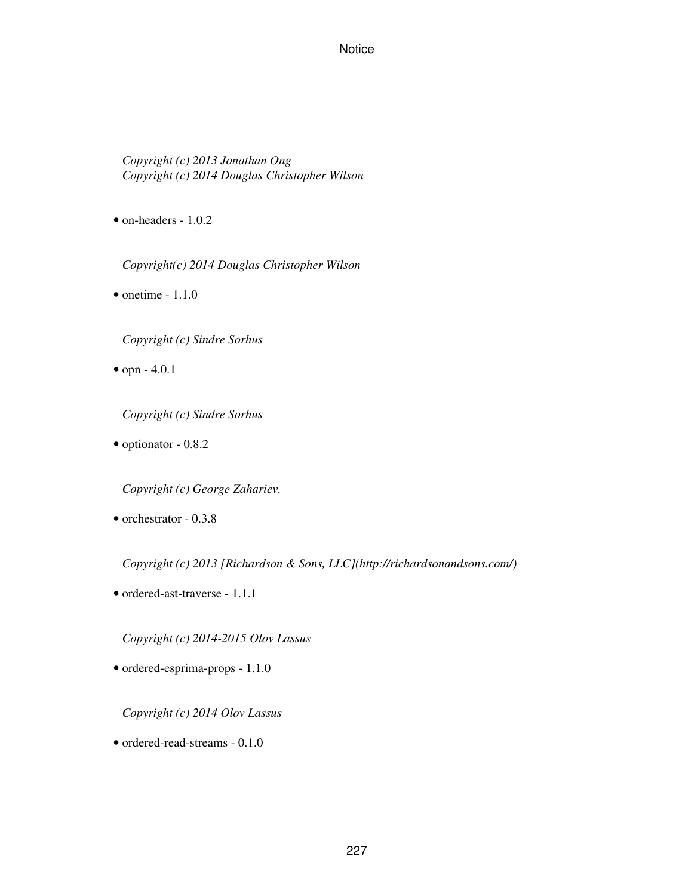*Copyright (c) 2013 Jonathan Ong Copyright (c) 2014 Douglas Christopher Wilson*

• on-headers - 1.0.2

*Copyright(c) 2014 Douglas Christopher Wilson*

 $\bullet$  onetime - 1.1.0

*Copyright (c) Sindre Sorhus*

• opn - 4.0.1

*Copyright (c) Sindre Sorhus*

• optionator - 0.8.2

*Copyright (c) George Zahariev.*

• orchestrator - 0.3.8

*Copyright (c) 2013 [Richardson & Sons, LLC](http://richardsonandsons.com/)*

• ordered-ast-traverse - 1.1.1

*Copyright (c) 2014-2015 Olov Lassus*

• ordered-esprima-props - 1.1.0

*Copyright (c) 2014 Olov Lassus*

• ordered-read-streams - 0.1.0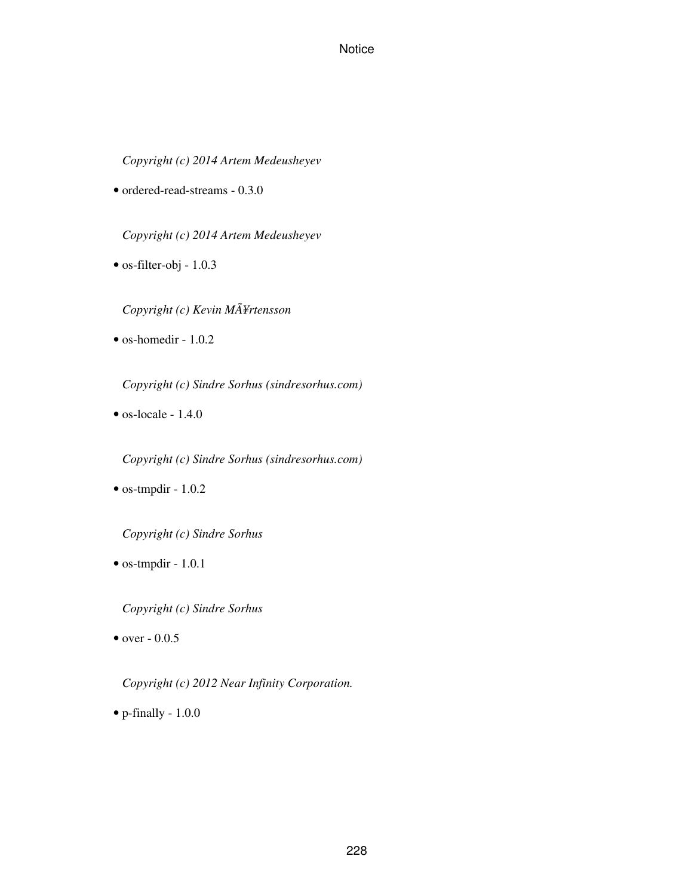*Copyright (c) 2014 Artem Medeusheyev*

• ordered-read-streams - 0.3.0

*Copyright (c) 2014 Artem Medeusheyev*

• os-filter-obj - 1.0.3

*Copyright (c) Kevin MÃ¥rtensson*

• os-homedir - 1.0.2

*Copyright (c) Sindre Sorhus (sindresorhus.com)*

 $\bullet$  os-locale - 1.4.0

*Copyright (c) Sindre Sorhus (sindresorhus.com)*

• os-tmpdir - 1.0.2

*Copyright (c) Sindre Sorhus*

• os-tmpdir - 1.0.1

*Copyright (c) Sindre Sorhus*

• over  $-0.0.5$ 

*Copyright (c) 2012 Near Infinity Corporation.*

• p-finally - 1.0.0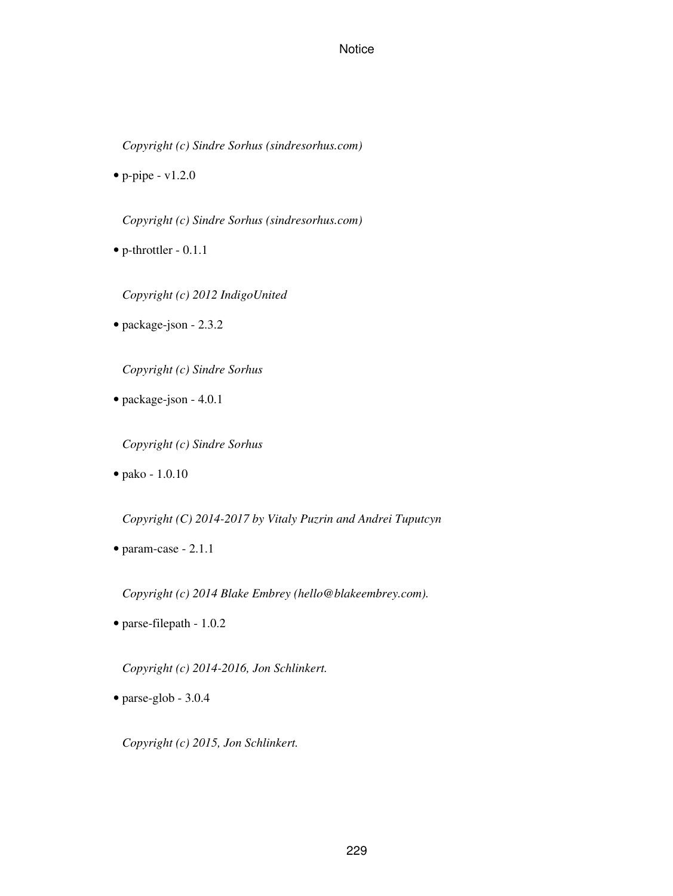*Copyright (c) Sindre Sorhus (sindresorhus.com)*

 $\bullet$  p-pipe - v1.2.0

*Copyright (c) Sindre Sorhus (sindresorhus.com)*

• p-throttler - 0.1.1

*Copyright (c) 2012 IndigoUnited*

• package-json - 2.3.2

*Copyright (c) Sindre Sorhus*

• package-json - 4.0.1

*Copyright (c) Sindre Sorhus*

• pako - 1.0.10

*Copyright (C) 2014-2017 by Vitaly Puzrin and Andrei Tuputcyn*

• param-case - 2.1.1

*Copyright (c) 2014 Blake Embrey (hello@blakeembrey.com).*

• parse-filepath - 1.0.2

*Copyright (c) 2014-2016, Jon Schlinkert.*

• parse-glob - 3.0.4

*Copyright (c) 2015, Jon Schlinkert.*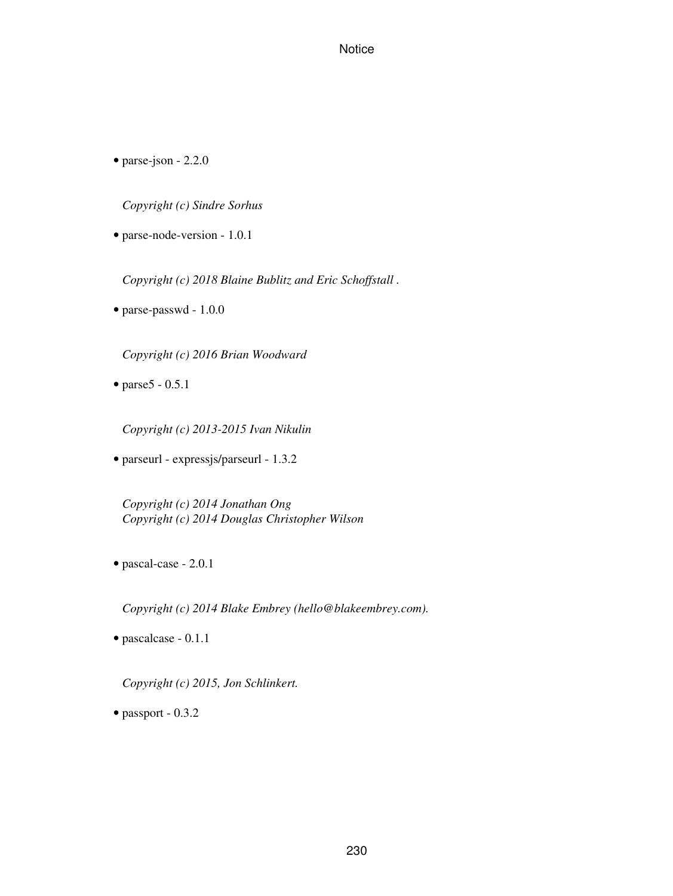• parse-json - 2.2.0

*Copyright (c) Sindre Sorhus*

• parse-node-version - 1.0.1

*Copyright (c) 2018 Blaine Bublitz and Eric Schoffstall .*

• parse-passwd - 1.0.0

*Copyright (c) 2016 Brian Woodward*

• parse5 - 0.5.1

*Copyright (c) 2013-2015 Ivan Nikulin*

• parseurl - expressjs/parseurl - 1.3.2

*Copyright (c) 2014 Jonathan Ong Copyright (c) 2014 Douglas Christopher Wilson*

• pascal-case - 2.0.1

*Copyright (c) 2014 Blake Embrey (hello@blakeembrey.com).*

• pascalcase - 0.1.1

*Copyright (c) 2015, Jon Schlinkert.*

• passport - 0.3.2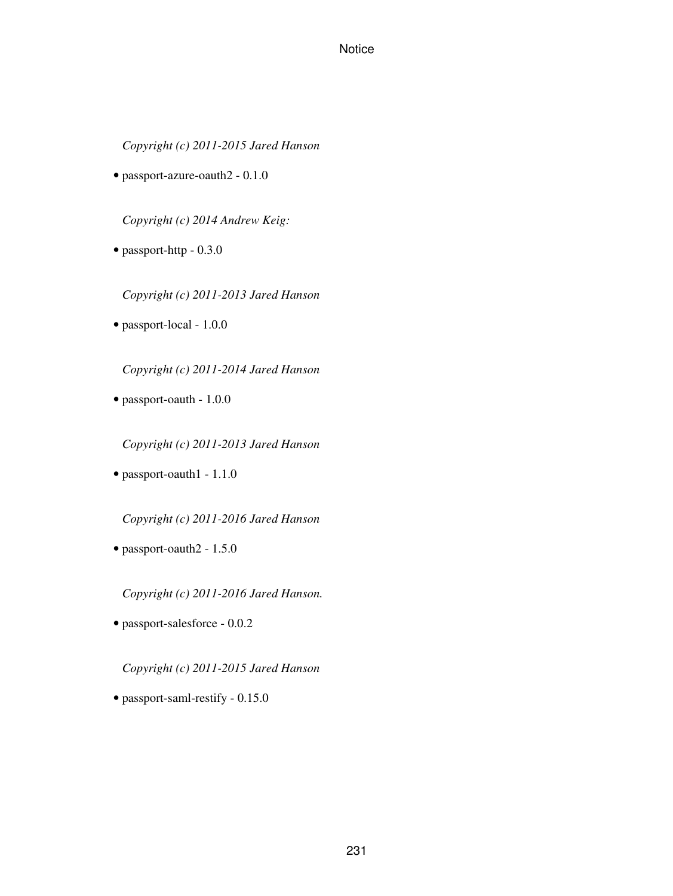*Copyright (c) 2011-2015 Jared Hanson*

• passport-azure-oauth2 - 0.1.0

*Copyright (c) 2014 Andrew Keig:*

• passport-http - 0.3.0

*Copyright (c) 2011-2013 Jared Hanson*

• passport-local - 1.0.0

*Copyright (c) 2011-2014 Jared Hanson*

• passport-oauth - 1.0.0

*Copyright (c) 2011-2013 Jared Hanson*

• passport-oauth1 - 1.1.0

*Copyright (c) 2011-2016 Jared Hanson*

• passport-oauth2 - 1.5.0

*Copyright (c) 2011-2016 Jared Hanson.*

• passport-salesforce - 0.0.2

*Copyright (c) 2011-2015 Jared Hanson*

• passport-saml-restify - 0.15.0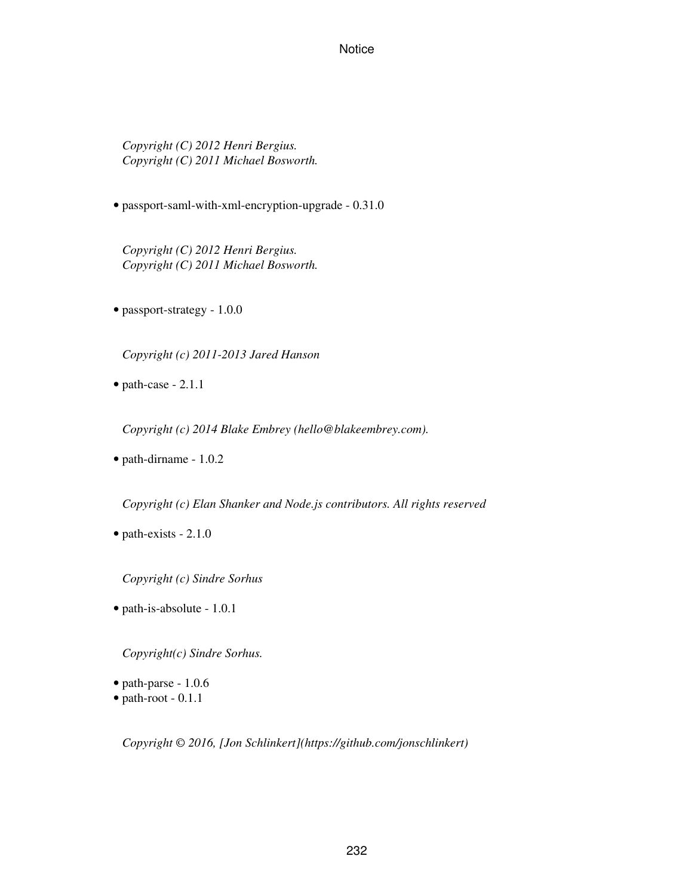*Copyright (C) 2012 Henri Bergius. Copyright (C) 2011 Michael Bosworth.*

• passport-saml-with-xml-encryption-upgrade - 0.31.0

*Copyright (C) 2012 Henri Bergius. Copyright (C) 2011 Michael Bosworth.*

• passport-strategy - 1.0.0

*Copyright (c) 2011-2013 Jared Hanson*

• path-case - 2.1.1

*Copyright (c) 2014 Blake Embrey (hello@blakeembrey.com).*

• path-dirname - 1.0.2

*Copyright (c) Elan Shanker and Node.js contributors. All rights reserved*

• path-exists - 2.1.0

*Copyright (c) Sindre Sorhus*

• path-is-absolute - 1.0.1

*Copyright(c) Sindre Sorhus.*

- path-parse 1.0.6
- path-root 0.1.1

*Copyright © 2016, [Jon Schlinkert](https://github.com/jonschlinkert)*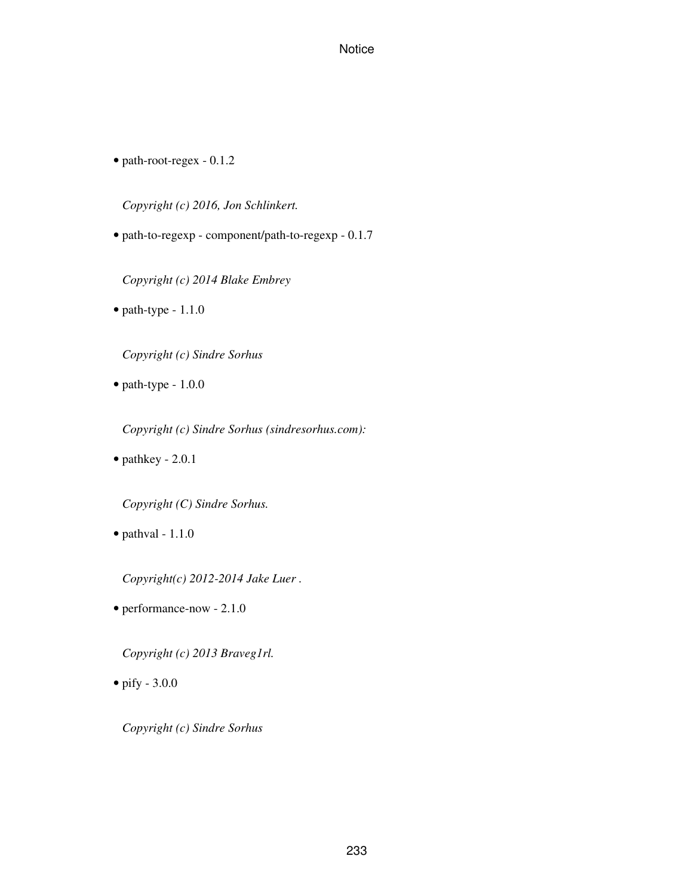• path-root-regex - 0.1.2

*Copyright (c) 2016, Jon Schlinkert.*

• path-to-regexp - component/path-to-regexp - 0.1.7

*Copyright (c) 2014 Blake Embrey*

• path-type - 1.1.0

*Copyright (c) Sindre Sorhus*

• path-type - 1.0.0

*Copyright (c) Sindre Sorhus (sindresorhus.com):*

• pathkey - 2.0.1

*Copyright (C) Sindre Sorhus.*

 $\bullet$  pathval - 1.1.0

*Copyright(c) 2012-2014 Jake Luer .*

• performance-now - 2.1.0

*Copyright (c) 2013 Braveg1rl.*

• pify - 3.0.0

*Copyright (c) Sindre Sorhus*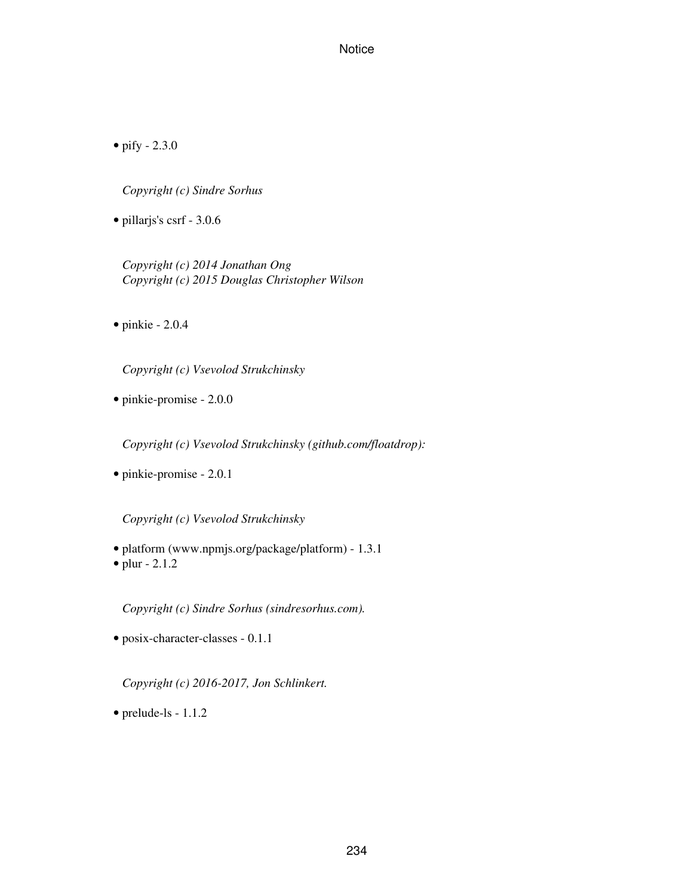• pify - 2.3.0

*Copyright (c) Sindre Sorhus*

• pillarjs's csrf - 3.0.6

*Copyright (c) 2014 Jonathan Ong Copyright (c) 2015 Douglas Christopher Wilson*

 $\bullet$  pinkie - 2.0.4

*Copyright (c) Vsevolod Strukchinsky*

• pinkie-promise - 2.0.0

*Copyright (c) Vsevolod Strukchinsky (github.com/floatdrop):*

• pinkie-promise - 2.0.1

*Copyright (c) Vsevolod Strukchinsky*

• platform (www.npmjs.org/package/platform) - 1.3.1 • plur - 2.1.2

*Copyright (c) Sindre Sorhus (sindresorhus.com).*

• posix-character-classes - 0.1.1

*Copyright (c) 2016-2017, Jon Schlinkert.*

• prelude-ls - 1.1.2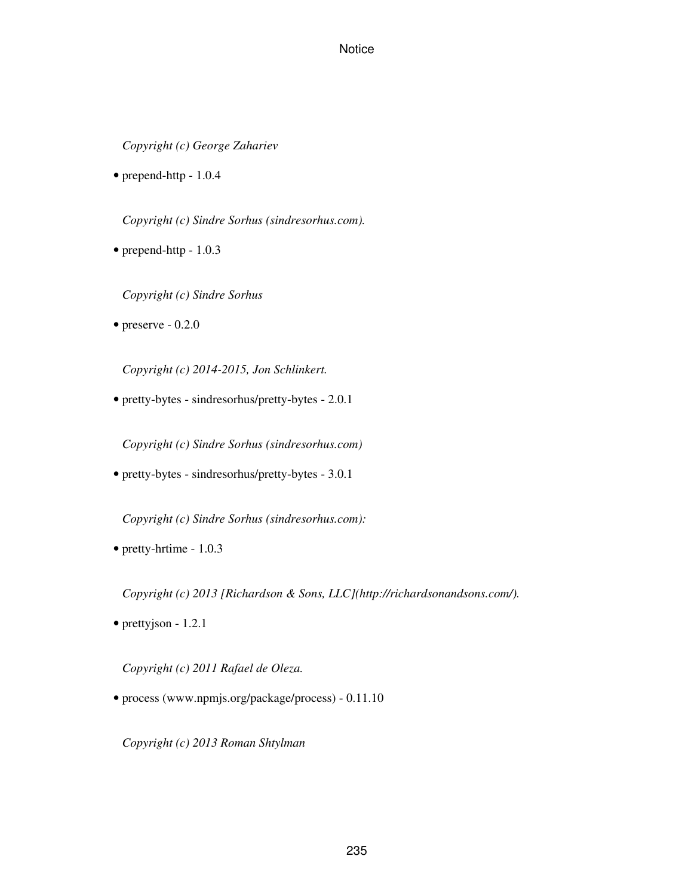*Copyright (c) George Zahariev*

• prepend-http - 1.0.4

*Copyright (c) Sindre Sorhus (sindresorhus.com).*

- prepend-http 1.0.3
	- *Copyright (c) Sindre Sorhus*
- $\bullet$  preserve 0.2.0

*Copyright (c) 2014-2015, Jon Schlinkert.*

• pretty-bytes - sindresorhus/pretty-bytes - 2.0.1

*Copyright (c) Sindre Sorhus (sindresorhus.com)*

• pretty-bytes - sindresorhus/pretty-bytes - 3.0.1

*Copyright (c) Sindre Sorhus (sindresorhus.com):*

• pretty-hrtime - 1.0.3

*Copyright (c) 2013 [Richardson & Sons, LLC](http://richardsonandsons.com/).*

• prettyjson - 1.2.1

*Copyright (c) 2011 Rafael de Oleza.*

• process (www.npmjs.org/package/process) - 0.11.10

*Copyright (c) 2013 Roman Shtylman*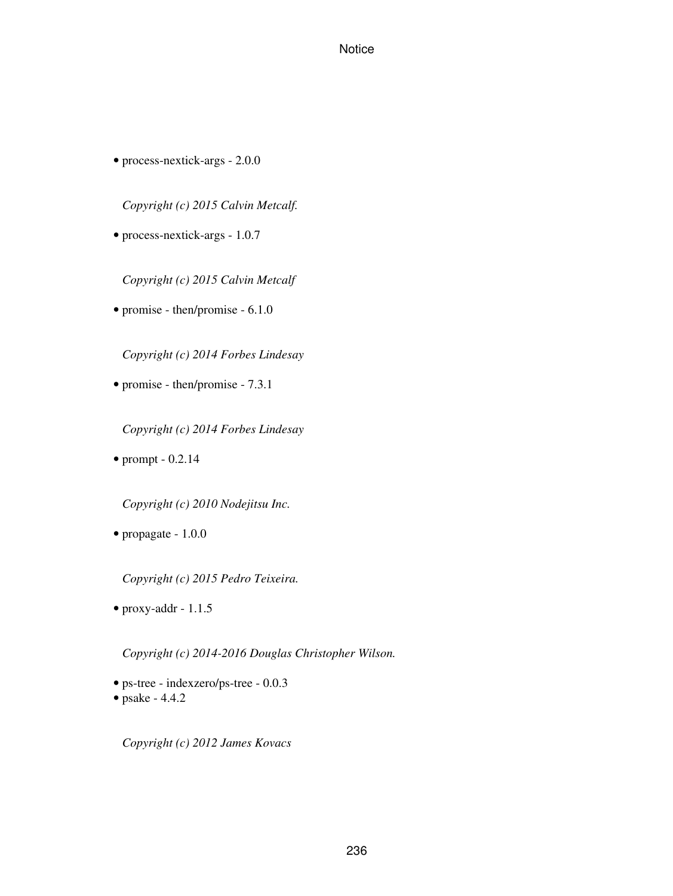• process-nextick-args - 2.0.0

*Copyright (c) 2015 Calvin Metcalf.*

• process-nextick-args - 1.0.7

*Copyright (c) 2015 Calvin Metcalf*

• promise - then/promise - 6.1.0

*Copyright (c) 2014 Forbes Lindesay*

• promise - then/promise - 7.3.1

*Copyright (c) 2014 Forbes Lindesay*

• prompt - 0.2.14

*Copyright (c) 2010 Nodejitsu Inc.*

• propagate - 1.0.0

*Copyright (c) 2015 Pedro Teixeira.*

• proxy-addr - 1.1.5

*Copyright (c) 2014-2016 Douglas Christopher Wilson.*

- ps-tree indexzero/ps-tree 0.0.3
- psake 4.4.2

*Copyright (c) 2012 James Kovacs*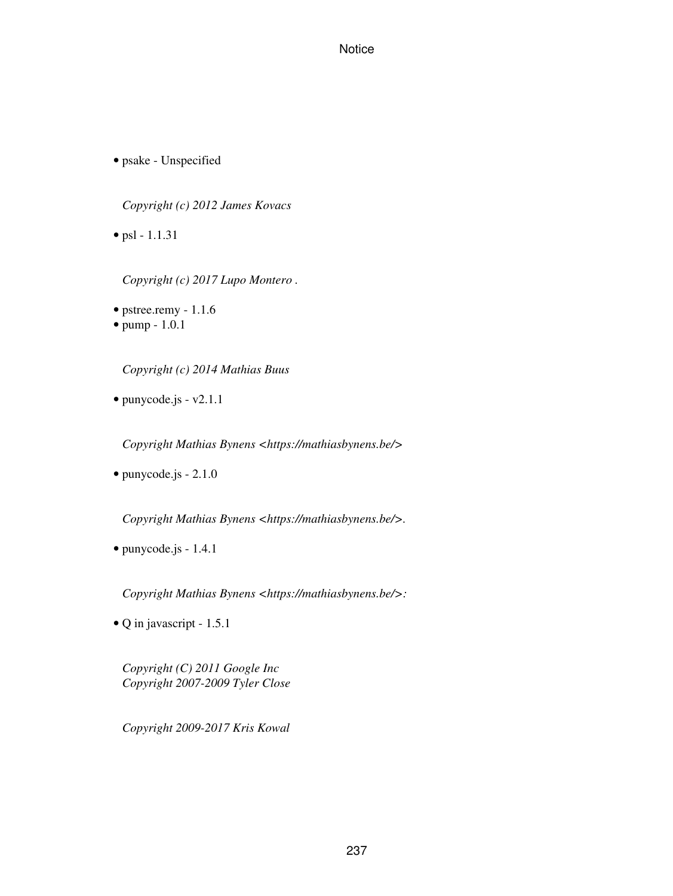• psake - Unspecified

*Copyright (c) 2012 James Kovacs*

• psl - 1.1.31

*Copyright (c) 2017 Lupo Montero .*

• pstree.remy - 1.1.6

• pump - 1.0.1

*Copyright (c) 2014 Mathias Buus*

• punycode.js - v2.1.1

*Copyright Mathias Bynens <https://mathiasbynens.be/>*

• punycode.js - 2.1.0

*Copyright Mathias Bynens <https://mathiasbynens.be/>.*

• punycode.js - 1.4.1

*Copyright Mathias Bynens <https://mathiasbynens.be/>:*

• Q in javascript - 1.5.1

*Copyright (C) 2011 Google Inc Copyright 2007-2009 Tyler Close*

*Copyright 2009-2017 Kris Kowal*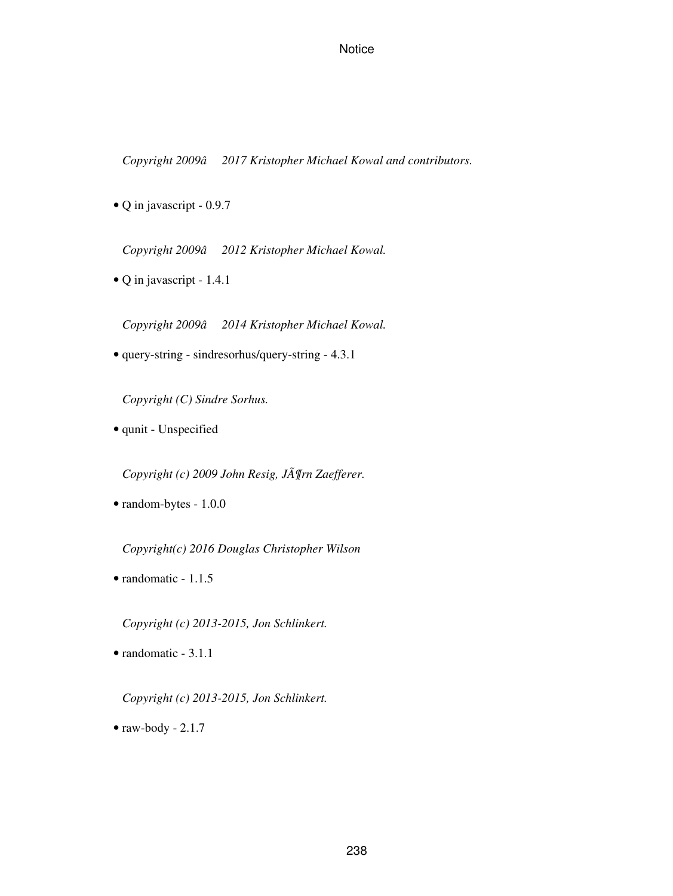*Copyright 2009â2017 Kristopher Michael Kowal and contributors.*

• Q in javascript - 0.9.7

*Copyright 2009â2012 Kristopher Michael Kowal.*

• Q in javascript - 1.4.1

*Copyright 2009â2014 Kristopher Michael Kowal.*

• query-string - sindresorhus/query-string - 4.3.1

*Copyright (C) Sindre Sorhus.*

• qunit - Unspecified

*Copyright (c) 2009 John Resig, Jörn Zaefferer.*

• random-bytes - 1.0.0

*Copyright(c) 2016 Douglas Christopher Wilson*

• randomatic - 1.1.5

*Copyright (c) 2013-2015, Jon Schlinkert.*

• randomatic - 3.1.1

*Copyright (c) 2013-2015, Jon Schlinkert.*

 $\bullet$  raw-body - 2.1.7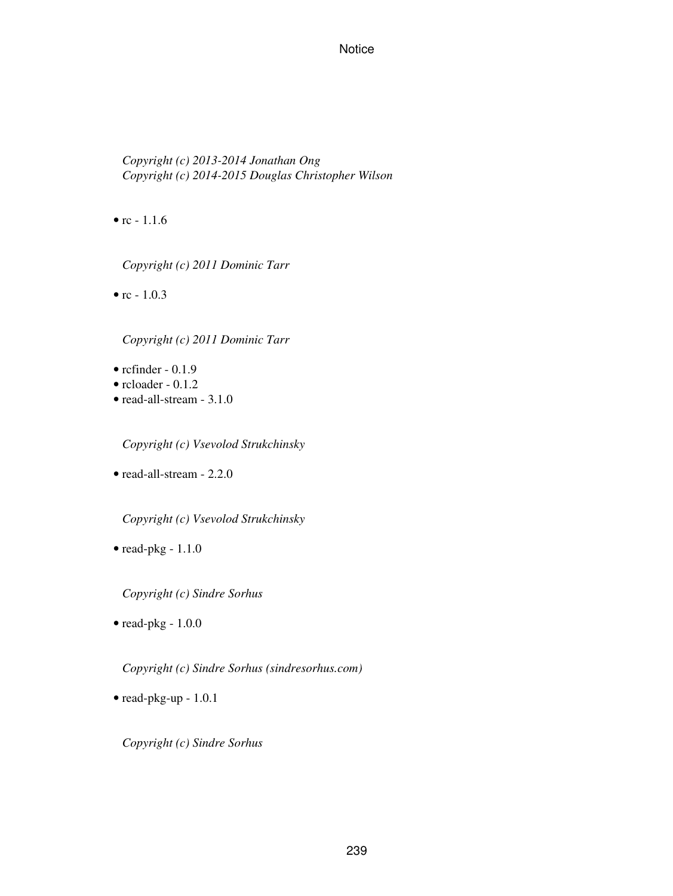*Copyright (c) 2013-2014 Jonathan Ong Copyright (c) 2014-2015 Douglas Christopher Wilson*

•  $rc - 1.1.6$ 

*Copyright (c) 2011 Dominic Tarr*

•  $rc - 1.0.3$ 

*Copyright (c) 2011 Dominic Tarr*

 $\bullet$  rcfinder - 0.1.9

- rcloader 0.1.2
- read-all-stream 3.1.0

*Copyright (c) Vsevolod Strukchinsky*

• read-all-stream - 2.2.0

*Copyright (c) Vsevolod Strukchinsky*

• read-pkg - 1.1.0

*Copyright (c) Sindre Sorhus*

• read-pkg - 1.0.0

*Copyright (c) Sindre Sorhus (sindresorhus.com)*

• read-pkg-up - 1.0.1

*Copyright (c) Sindre Sorhus*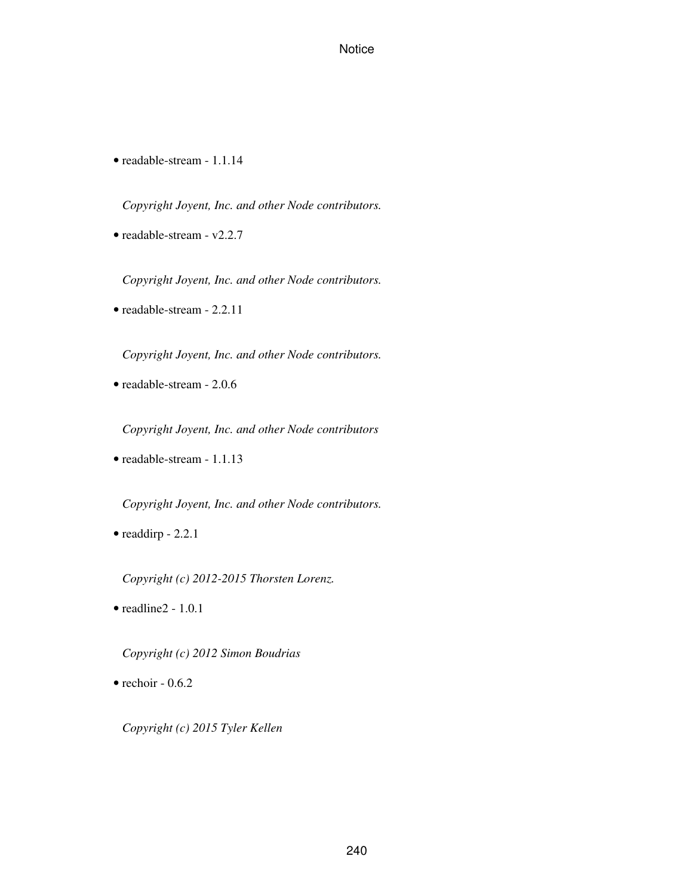• readable-stream - 1.1.14

*Copyright Joyent, Inc. and other Node contributors.*

• readable-stream - v2.2.7

*Copyright Joyent, Inc. and other Node contributors.*

• readable-stream - 2.2.11

*Copyright Joyent, Inc. and other Node contributors.*

• readable-stream - 2.0.6

*Copyright Joyent, Inc. and other Node contributors*

• readable-stream - 1.1.13

*Copyright Joyent, Inc. and other Node contributors.*

• readdirp - 2.2.1

*Copyright (c) 2012-2015 Thorsten Lorenz.*

• readline2 - 1.0.1

*Copyright (c) 2012 Simon Boudrias*

 $\bullet$  rechoir - 0.6.2

*Copyright (c) 2015 Tyler Kellen*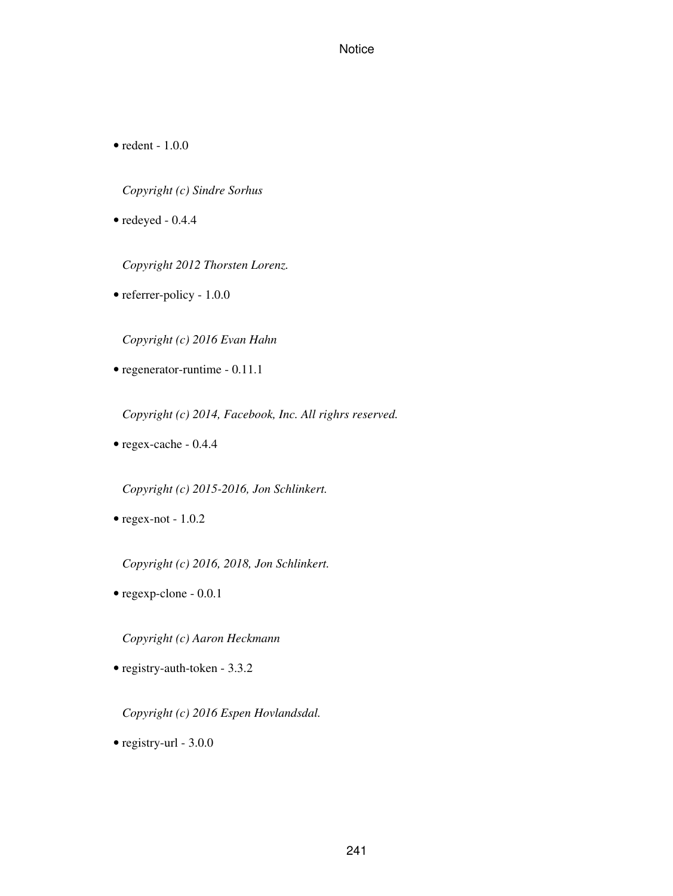• redent - 1.0.0

*Copyright (c) Sindre Sorhus*

• redeyed - 0.4.4

*Copyright 2012 Thorsten Lorenz.*

• referrer-policy - 1.0.0

*Copyright (c) 2016 Evan Hahn*

• regenerator-runtime - 0.11.1

*Copyright (c) 2014, Facebook, Inc. All righrs reserved.*

• regex-cache - 0.4.4

*Copyright (c) 2015-2016, Jon Schlinkert.*

• regex-not - 1.0.2

*Copyright (c) 2016, 2018, Jon Schlinkert.*

• regexp-clone - 0.0.1

*Copyright (c) Aaron Heckmann*

• registry-auth-token - 3.3.2

*Copyright (c) 2016 Espen Hovlandsdal.*

• registry-url - 3.0.0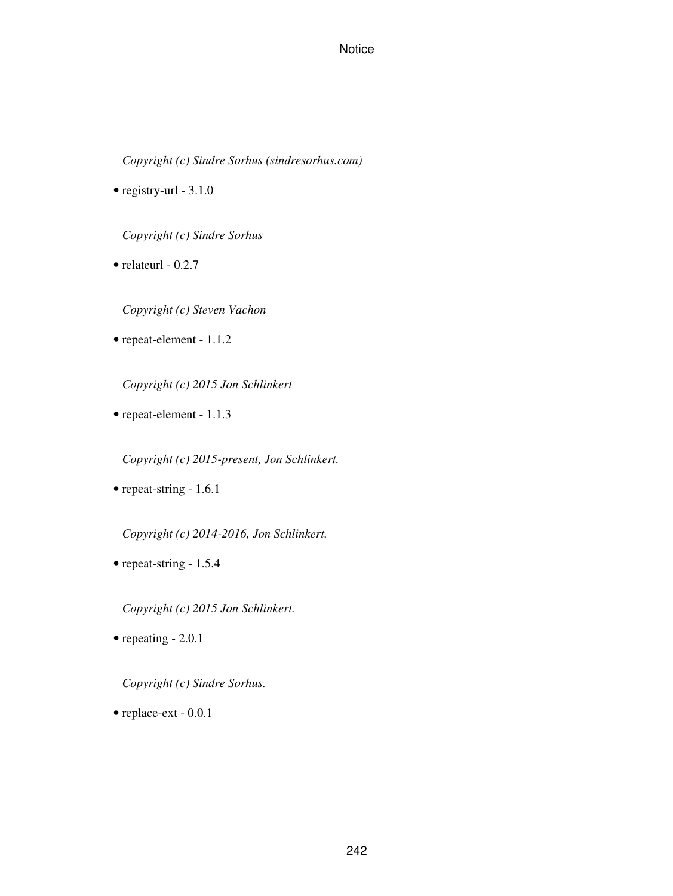*Copyright (c) Sindre Sorhus (sindresorhus.com)*

• registry-url - 3.1.0

*Copyright (c) Sindre Sorhus*

 $\bullet$  relateurl - 0.2.7

*Copyright (c) Steven Vachon*

• repeat-element - 1.1.2

*Copyright (c) 2015 Jon Schlinkert*

• repeat-element - 1.1.3

*Copyright (c) 2015-present, Jon Schlinkert.*

• repeat-string - 1.6.1

*Copyright (c) 2014-2016, Jon Schlinkert.*

• repeat-string - 1.5.4

*Copyright (c) 2015 Jon Schlinkert.*

• repeating - 2.0.1

*Copyright (c) Sindre Sorhus.*

• replace-ext - 0.0.1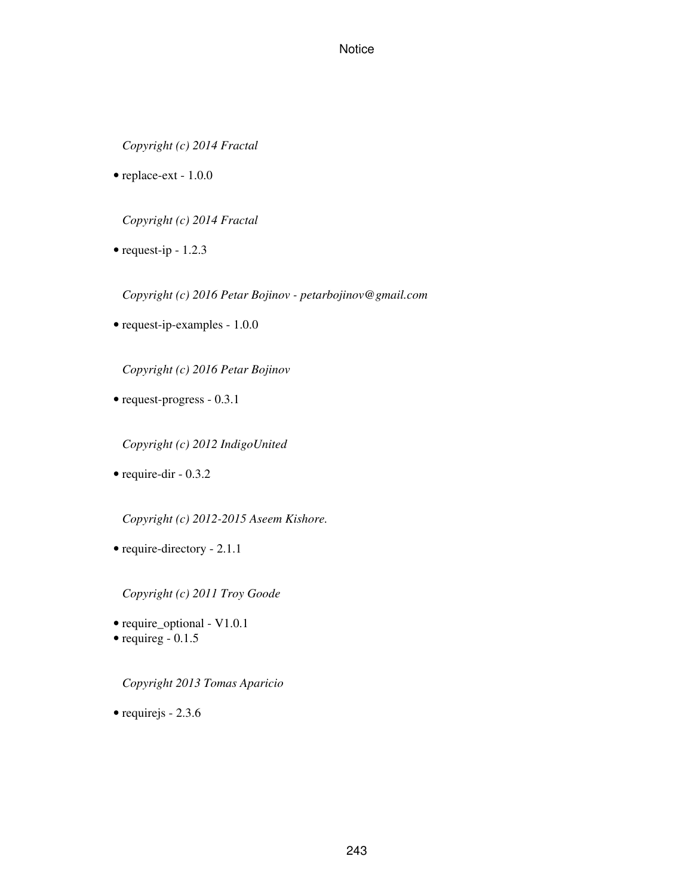*Copyright (c) 2014 Fractal*

• replace-ext - 1.0.0

*Copyright (c) 2014 Fractal*

• request-ip - 1.2.3

*Copyright (c) 2016 Petar Bojinov - petarbojinov@gmail.com*

• request-ip-examples - 1.0.0

*Copyright (c) 2016 Petar Bojinov*

• request-progress - 0.3.1

*Copyright (c) 2012 IndigoUnited*

• require-dir - 0.3.2

*Copyright (c) 2012-2015 Aseem Kishore.*

• require-directory - 2.1.1

*Copyright (c) 2011 Troy Goode*

- require\_optional V1.0.1
- requireg 0.1.5

*Copyright 2013 Tomas Aparicio*

• requirejs - 2.3.6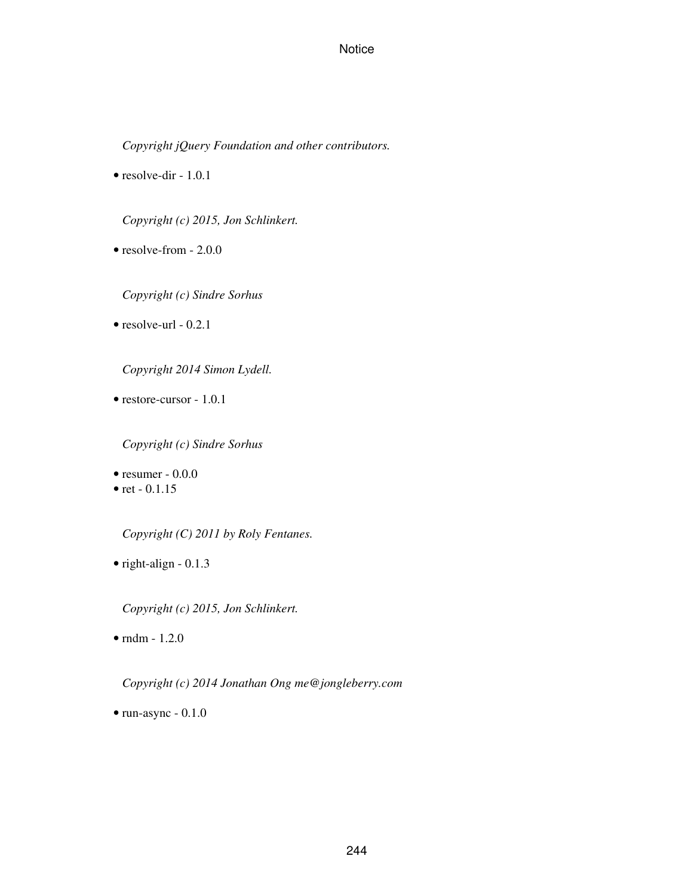*Copyright jQuery Foundation and other contributors.*

• resolve-dir - 1.0.1

*Copyright (c) 2015, Jon Schlinkert.*

• resolve-from - 2.0.0

*Copyright (c) Sindre Sorhus*

 $\bullet$  resolve-url - 0.2.1

*Copyright 2014 Simon Lydell.*

• restore-cursor - 1.0.1

*Copyright (c) Sindre Sorhus*

• resumer  $-0.0.0$ 

• ret  $-0.1.15$ 

*Copyright (C) 2011 by Roly Fentanes.*

• right-align - 0.1.3

*Copyright (c) 2015, Jon Schlinkert.*

 $\bullet$  rndm - 1.2.0

*Copyright (c) 2014 Jonathan Ong me@jongleberry.com*

• run-async - 0.1.0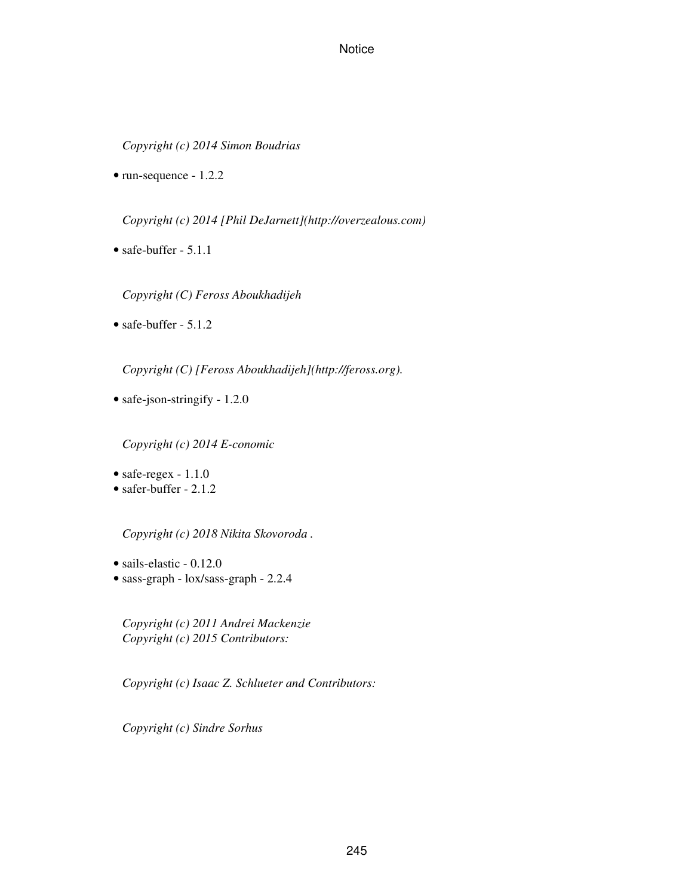*Copyright (c) 2014 Simon Boudrias*

• run-sequence - 1.2.2

*Copyright (c) 2014 [Phil DeJarnett](http://overzealous.com)*

• safe-buffer - 5.1.1

*Copyright (C) Feross Aboukhadijeh*

• safe-buffer - 5.1.2

*Copyright (C) [Feross Aboukhadijeh](http://feross.org).*

• safe-json-stringify - 1.2.0

*Copyright (c) 2014 E-conomic*

- safe-regex 1.1.0
- safer-buffer 2.1.2

*Copyright (c) 2018 Nikita Skovoroda .*

- sails-elastic 0.12.0
- sass-graph lox/sass-graph 2.2.4

*Copyright (c) 2011 Andrei Mackenzie Copyright (c) 2015 Contributors:*

*Copyright (c) Isaac Z. Schlueter and Contributors:*

*Copyright (c) Sindre Sorhus*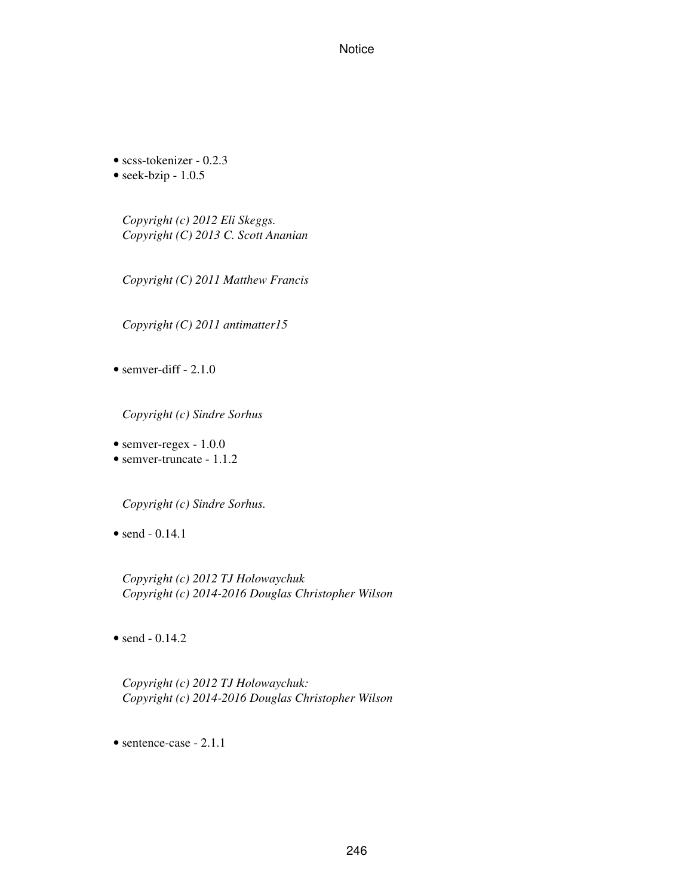• scss-tokenizer - 0.2.3

• seek-bzip - 1.0.5

*Copyright (c) 2012 Eli Skeggs. Copyright (C) 2013 C. Scott Ananian*

*Copyright (C) 2011 Matthew Francis*

*Copyright (C) 2011 antimatter15*

• semver-diff  $-2.1.0$ 

*Copyright (c) Sindre Sorhus*

- semver-regex 1.0.0
- semver-truncate 1.1.2

*Copyright (c) Sindre Sorhus.*

• send - 0.14.1

*Copyright (c) 2012 TJ Holowaychuk Copyright (c) 2014-2016 Douglas Christopher Wilson*

• send  $-0.14.2$ 

*Copyright (c) 2012 TJ Holowaychuk: Copyright (c) 2014-2016 Douglas Christopher Wilson*

• sentence-case - 2.1.1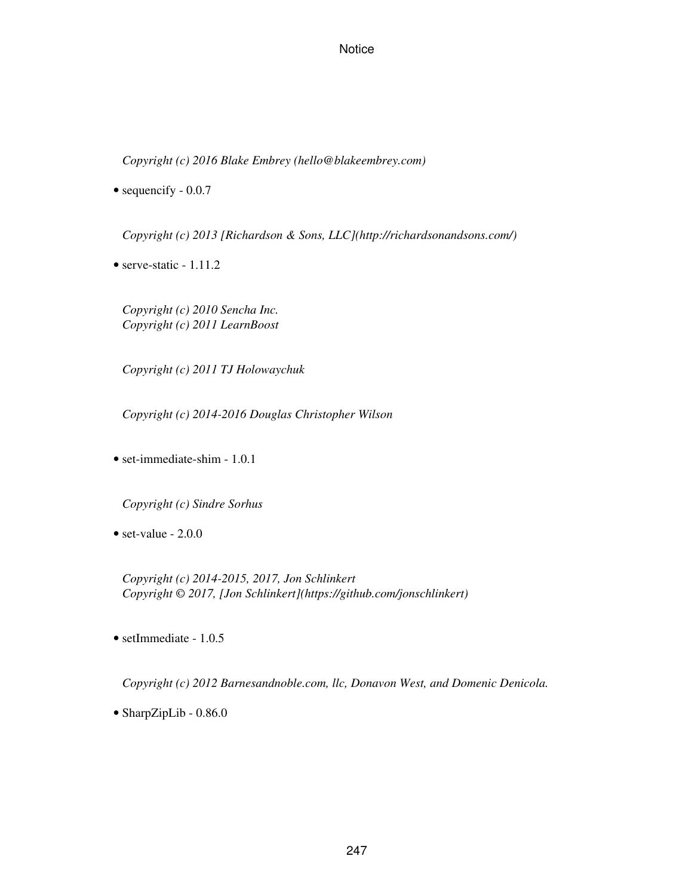*Copyright (c) 2016 Blake Embrey (hello@blakeembrey.com)*

• sequencify  $-0.0.7$ 

*Copyright (c) 2013 [Richardson & Sons, LLC](http://richardsonandsons.com/)*

• serve-static - 1.11.2

*Copyright (c) 2010 Sencha Inc. Copyright (c) 2011 LearnBoost*

*Copyright (c) 2011 TJ Holowaychuk*

*Copyright (c) 2014-2016 Douglas Christopher Wilson*

• set-immediate-shim - 1.0.1

*Copyright (c) Sindre Sorhus*

• set-value - 2.0.0

*Copyright (c) 2014-2015, 2017, Jon Schlinkert Copyright © 2017, [Jon Schlinkert](https://github.com/jonschlinkert)*

• setImmediate - 1.0.5

*Copyright (c) 2012 Barnesandnoble.com, llc, Donavon West, and Domenic Denicola.*

• SharpZipLib - 0.86.0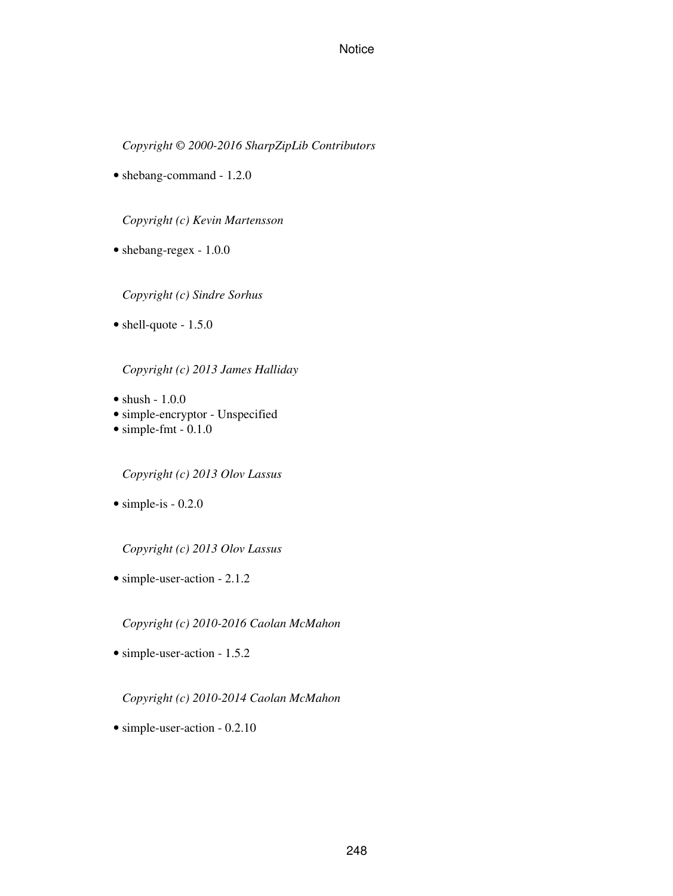*Copyright © 2000-2016 SharpZipLib Contributors*

• shebang-command - 1.2.0

*Copyright (c) Kevin Martensson*

• shebang-regex - 1.0.0

*Copyright (c) Sindre Sorhus*

• shell-quote - 1.5.0

*Copyright (c) 2013 James Halliday*

- $\bullet$  shush  $1.0.0$
- simple-encryptor Unspecified
- $\bullet$  simple-fmt 0.1.0

*Copyright (c) 2013 Olov Lassus*

 $\bullet$  simple-is - 0.2.0

*Copyright (c) 2013 Olov Lassus*

• simple-user-action - 2.1.2

*Copyright (c) 2010-2016 Caolan McMahon*

• simple-user-action - 1.5.2

*Copyright (c) 2010-2014 Caolan McMahon*

• simple-user-action - 0.2.10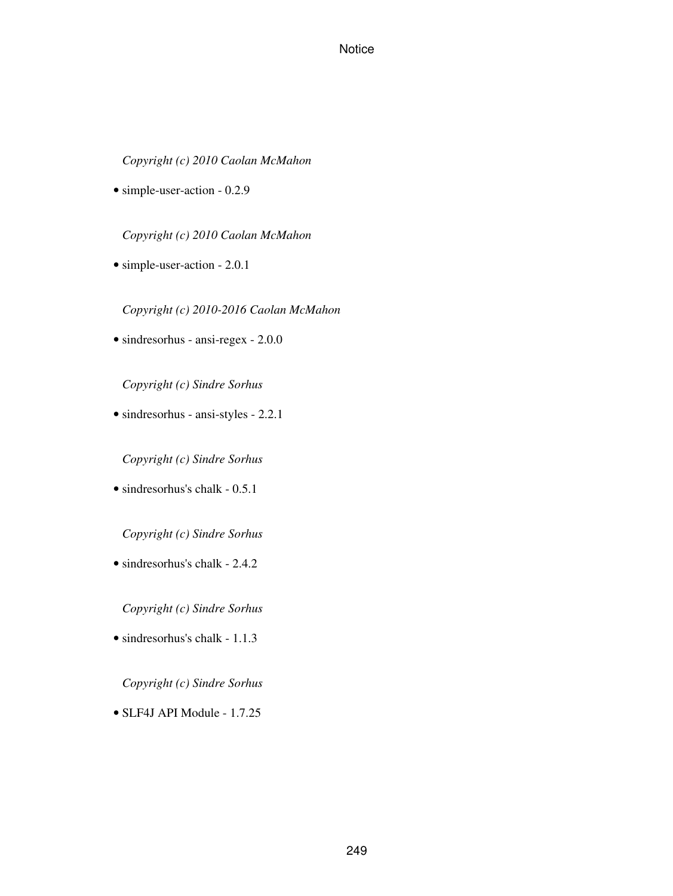# *Copyright (c) 2010 Caolan McMahon*

• simple-user-action - 0.2.9

*Copyright (c) 2010 Caolan McMahon*

• simple-user-action - 2.0.1

*Copyright (c) 2010-2016 Caolan McMahon*

• sindresorhus - ansi-regex - 2.0.0

*Copyright (c) Sindre Sorhus*

• sindresorhus - ansi-styles - 2.2.1

*Copyright (c) Sindre Sorhus*

• sindresorhus's chalk - 0.5.1

*Copyright (c) Sindre Sorhus*

• sindresorhus's chalk - 2.4.2

*Copyright (c) Sindre Sorhus*

• sindresorhus's chalk - 1.1.3

*Copyright (c) Sindre Sorhus*

• SLF4J API Module - 1.7.25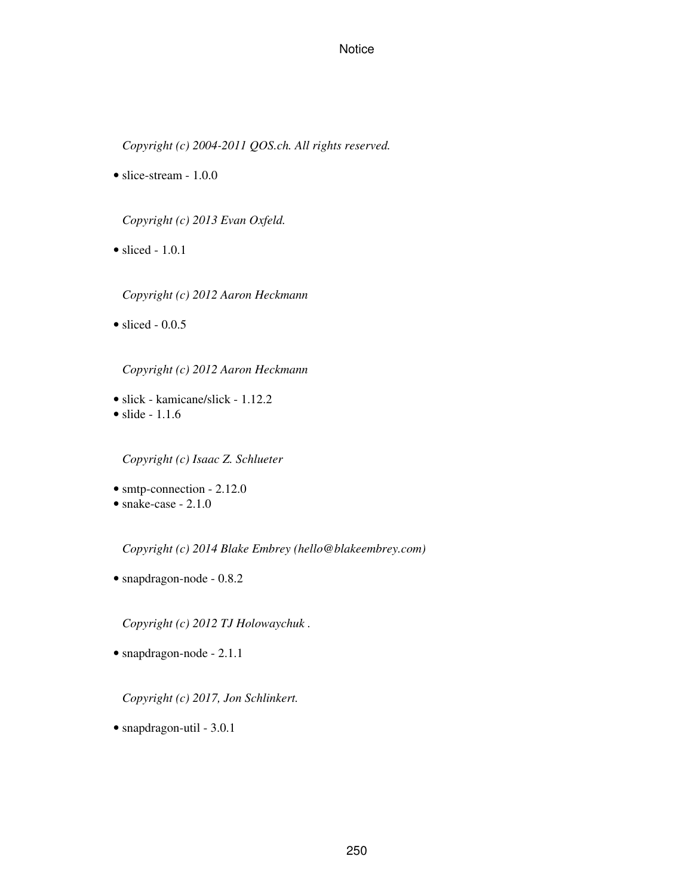*Copyright (c) 2004-2011 QOS.ch. All rights reserved.*

• slice-stream - 1.0.0

*Copyright (c) 2013 Evan Oxfeld.*

 $\bullet$  sliced - 1.0.1

*Copyright (c) 2012 Aaron Heckmann*

 $\bullet$  sliced - 0.0.5

*Copyright (c) 2012 Aaron Heckmann*

• slick - kamicane/slick - 1.12.2 • slide - 1.1.6

*Copyright (c) Isaac Z. Schlueter*

- smtp-connection 2.12.0
- snake-case 2.1.0

*Copyright (c) 2014 Blake Embrey (hello@blakeembrey.com)*

• snapdragon-node - 0.8.2

*Copyright (c) 2012 TJ Holowaychuk .*

• snapdragon-node - 2.1.1

*Copyright (c) 2017, Jon Schlinkert.*

• snapdragon-util - 3.0.1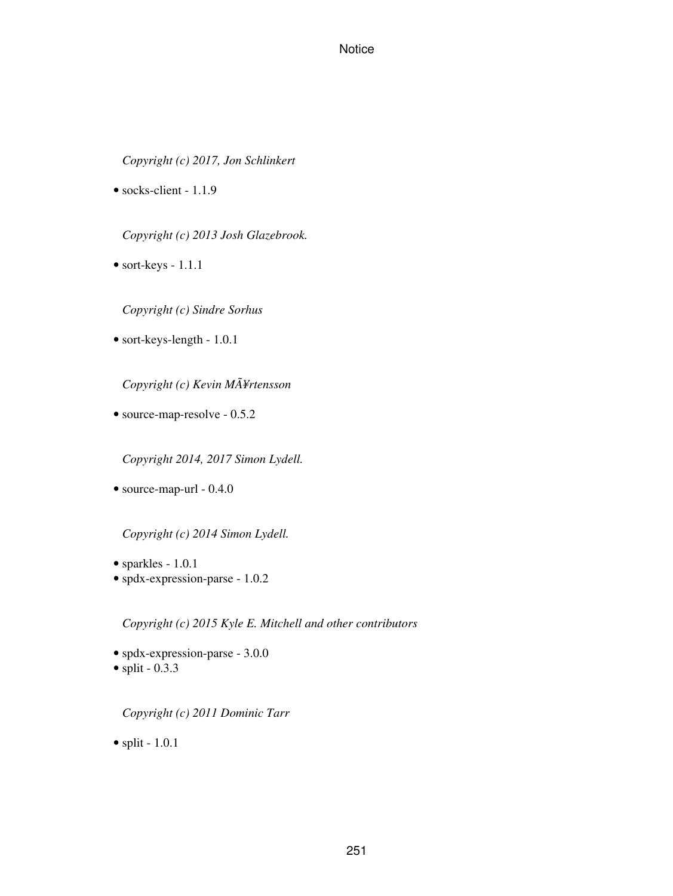*Copyright (c) 2017, Jon Schlinkert*

• socks-client - 1.1.9

*Copyright (c) 2013 Josh Glazebrook.*

• sort-keys - 1.1.1

*Copyright (c) Sindre Sorhus*

• sort-keys-length - 1.0.1

*Copyright (c) Kevin MÃ¥rtensson*

• source-map-resolve - 0.5.2

*Copyright 2014, 2017 Simon Lydell.*

• source-map-url - 0.4.0

*Copyright (c) 2014 Simon Lydell.*

- sparkles 1.0.1
- spdx-expression-parse 1.0.2

*Copyright (c) 2015 Kyle E. Mitchell and other contributors*

- spdx-expression-parse 3.0.0
- $\bullet$  split 0.3.3

*Copyright (c) 2011 Dominic Tarr*

• split -  $1.0.1$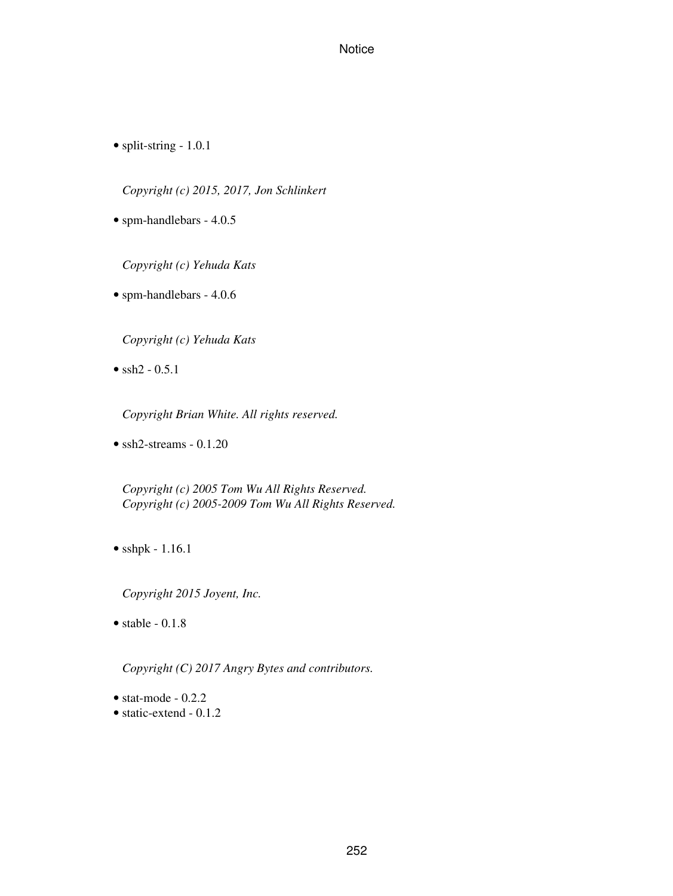• split-string - 1.0.1

*Copyright (c) 2015, 2017, Jon Schlinkert*

• spm-handlebars - 4.0.5

*Copyright (c) Yehuda Kats*

• spm-handlebars - 4.0.6

*Copyright (c) Yehuda Kats*

•  $\text{ssh2 - 0.5.1}$ 

*Copyright Brian White. All rights reserved.*

• ssh2-streams - 0.1.20

*Copyright (c) 2005 Tom Wu All Rights Reserved. Copyright (c) 2005-2009 Tom Wu All Rights Reserved.*

• sshpk - 1.16.1

*Copyright 2015 Joyent, Inc.*

• stable  $-0.1.8$ 

*Copyright (C) 2017 Angry Bytes and contributors.*

- $\bullet$  stat-mode 0.2.2
- static-extend 0.1.2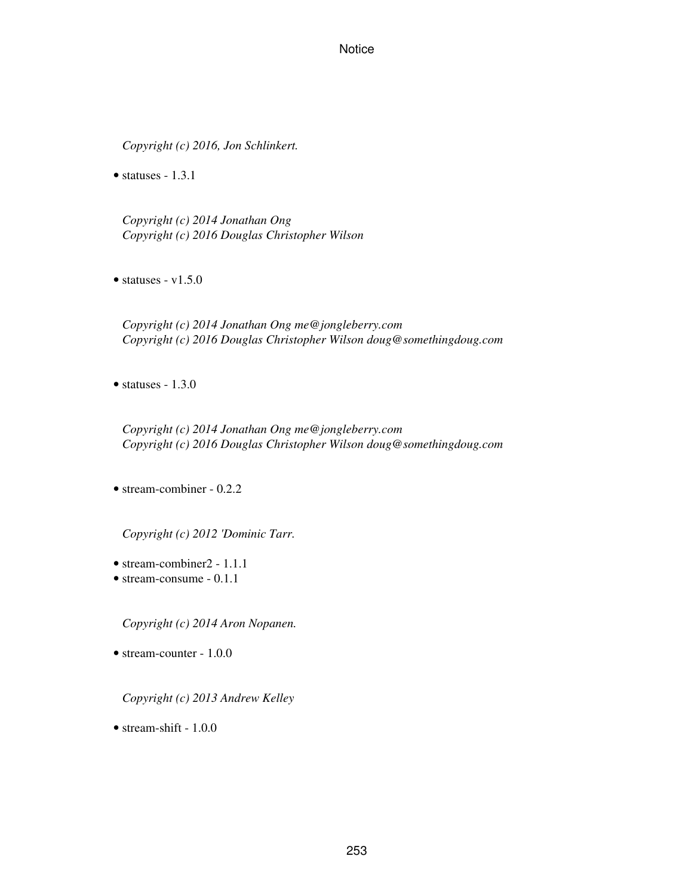*Copyright (c) 2016, Jon Schlinkert.*

• statuses  $-1.3.1$ 

*Copyright (c) 2014 Jonathan Ong Copyright (c) 2016 Douglas Christopher Wilson*

 $\bullet$  statuses - v1.5.0

*Copyright (c) 2014 Jonathan Ong me@jongleberry.com Copyright (c) 2016 Douglas Christopher Wilson doug@somethingdoug.com*

 $\bullet$  statuses - 1.3.0

*Copyright (c) 2014 Jonathan Ong me@jongleberry.com Copyright (c) 2016 Douglas Christopher Wilson doug@somethingdoug.com*

• stream-combiner - 0.2.2

*Copyright (c) 2012 'Dominic Tarr.*

- stream-combiner2 1.1.1
- stream-consume 0.1.1

*Copyright (c) 2014 Aron Nopanen.*

• stream-counter - 1.0.0

*Copyright (c) 2013 Andrew Kelley*

• stream-shift - 1.0.0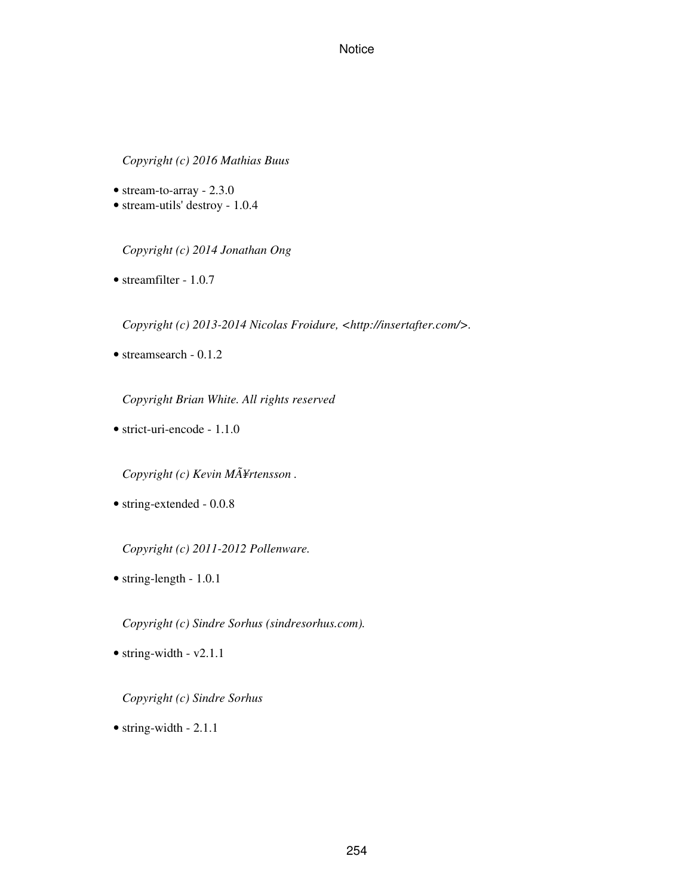*Copyright (c) 2016 Mathias Buus*

- stream-to-array 2.3.0
- stream-utils' destroy 1.0.4

*Copyright (c) 2014 Jonathan Ong*

• streamfilter - 1.0.7

*Copyright (c) 2013-2014 Nicolas Froidure, <http://insertafter.com/>.*

• streamsearch - 0.1.2

*Copyright Brian White. All rights reserved*

• strict-uri-encode - 1.1.0

*Copyright (c) Kevin MÃ¥rtensson .*

• string-extended - 0.0.8

*Copyright (c) 2011-2012 Pollenware.*

• string-length - 1.0.1

*Copyright (c) Sindre Sorhus (sindresorhus.com).*

 $\bullet$  string-width - v2.1.1

#### *Copyright (c) Sindre Sorhus*

• string-width - 2.1.1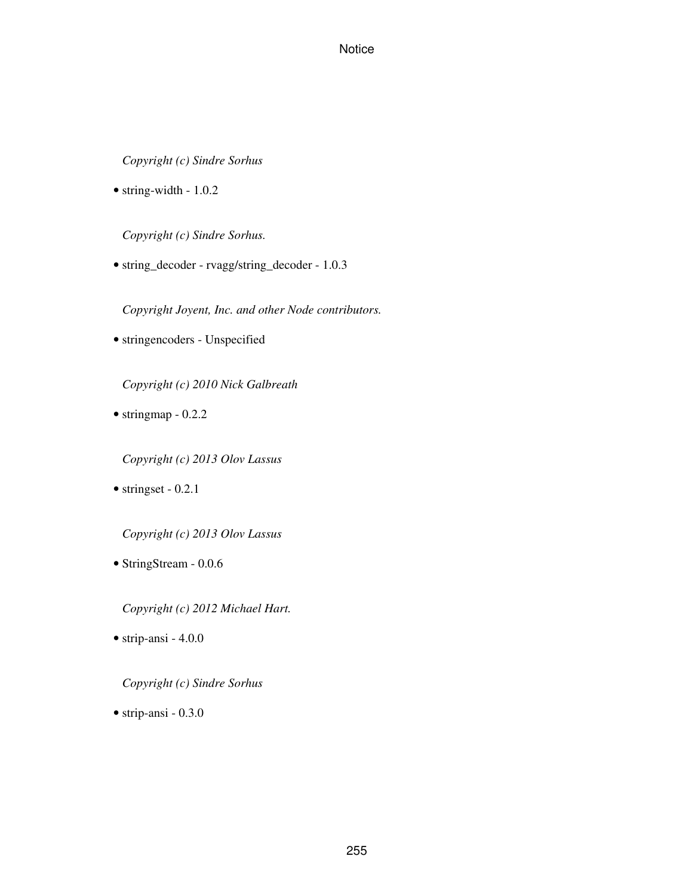*Copyright (c) Sindre Sorhus*

• string-width - 1.0.2

*Copyright (c) Sindre Sorhus.*

• string\_decoder - rvagg/string\_decoder - 1.0.3

*Copyright Joyent, Inc. and other Node contributors.*

• stringencoders - Unspecified

*Copyright (c) 2010 Nick Galbreath*

• stringmap - 0.2.2

*Copyright (c) 2013 Olov Lassus*

• stringset - 0.2.1

*Copyright (c) 2013 Olov Lassus*

• StringStream - 0.0.6

*Copyright (c) 2012 Michael Hart.*

• strip-ansi - 4.0.0

*Copyright (c) Sindre Sorhus*

• strip-ansi - 0.3.0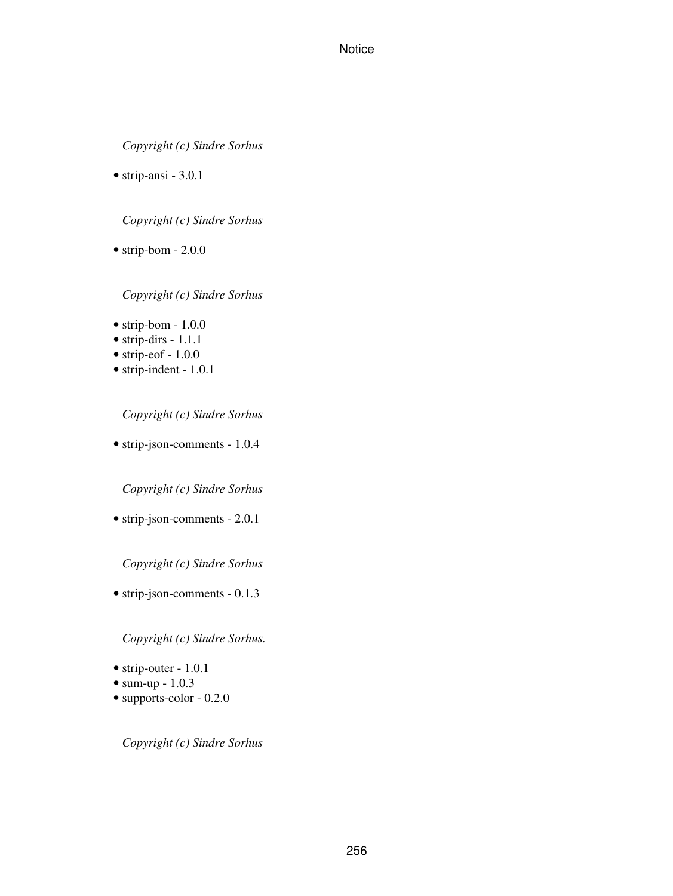*Copyright (c) Sindre Sorhus*

• strip-ansi - 3.0.1

*Copyright (c) Sindre Sorhus*

• strip-bom - 2.0.0

*Copyright (c) Sindre Sorhus*

- $\bullet$  strip-bom 1.0.0
- strip-dirs 1.1.1
- $\bullet$  strip-eof 1.0.0
- strip-indent 1.0.1

*Copyright (c) Sindre Sorhus*

• strip-json-comments - 1.0.4

*Copyright (c) Sindre Sorhus*

• strip-json-comments - 2.0.1

*Copyright (c) Sindre Sorhus*

• strip-json-comments - 0.1.3

*Copyright (c) Sindre Sorhus.*

- strip-outer 1.0.1
- sum-up 1.0.3
- supports-color 0.2.0

*Copyright (c) Sindre Sorhus*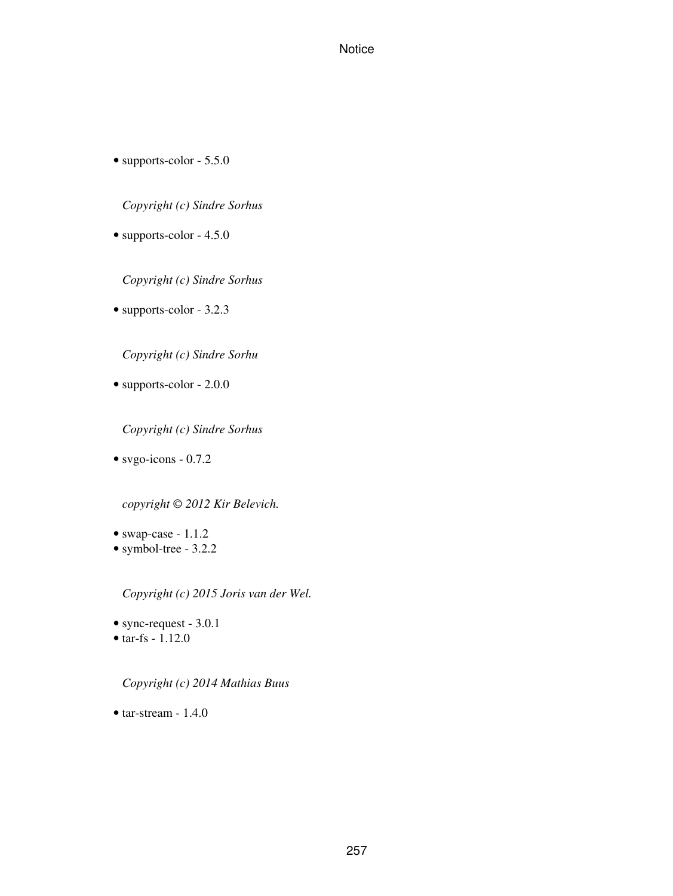• supports-color - 5.5.0

*Copyright (c) Sindre Sorhus*

• supports-color - 4.5.0

*Copyright (c) Sindre Sorhus*

• supports-color - 3.2.3

*Copyright (c) Sindre Sorhu*

• supports-color - 2.0.0

*Copyright (c) Sindre Sorhus*

• svgo-icons - 0.7.2

*copyright © 2012 Kir Belevich.*

- swap-case 1.1.2
- symbol-tree 3.2.2

*Copyright (c) 2015 Joris van der Wel.*

- sync-request 3.0.1
- tar-fs  $1.12.0$

*Copyright (c) 2014 Mathias Buus*

 $\bullet$  tar-stream - 1.4.0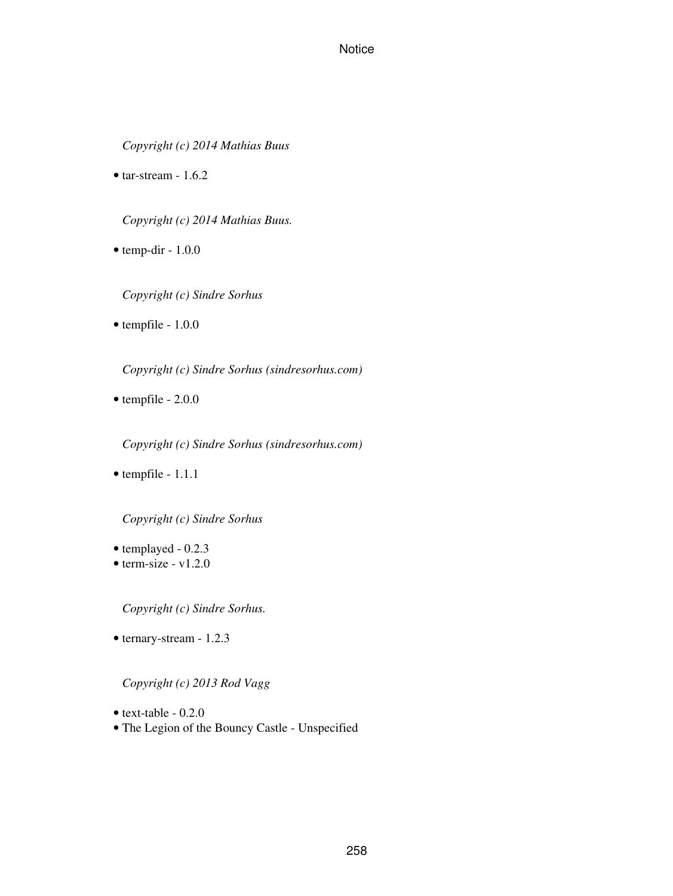*Copyright (c) 2014 Mathias Buus*

• tar-stream  $-1.6.2$ 

*Copyright (c) 2014 Mathias Buus.*

- $\bullet$  temp-dir 1.0.0
	- *Copyright (c) Sindre Sorhus*
- tempfile 1.0.0

*Copyright (c) Sindre Sorhus (sindresorhus.com)*

• tempfile - 2.0.0

*Copyright (c) Sindre Sorhus (sindresorhus.com)*

• tempfile - 1.1.1

*Copyright (c) Sindre Sorhus*

- templayed 0.2.3
- $\bullet$  term-size v1.2.0

*Copyright (c) Sindre Sorhus.*

• ternary-stream - 1.2.3

#### *Copyright (c) 2013 Rod Vagg*

- $\bullet$  text-table 0.2.0
- The Legion of the Bouncy Castle Unspecified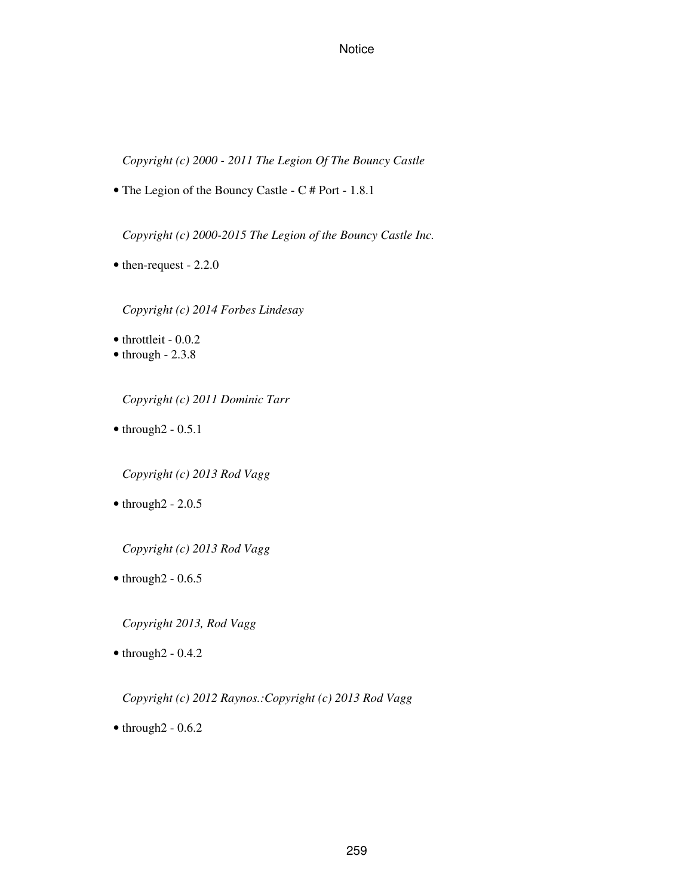*Copyright (c) 2000 - 2011 The Legion Of The Bouncy Castle*

• The Legion of the Bouncy Castle - C # Port - 1.8.1

*Copyright (c) 2000-2015 The Legion of the Bouncy Castle Inc.*

• then-request - 2.2.0

*Copyright (c) 2014 Forbes Lindesay*

• throttleit - 0.0.2

 $\bullet$  through  $-2.3.8$ 

*Copyright (c) 2011 Dominic Tarr*

 $\bullet$  through  $2 - 0.5.1$ 

*Copyright (c) 2013 Rod Vagg*

 $\bullet$  through  $2 - 2.0.5$ 

*Copyright (c) 2013 Rod Vagg*

 $\bullet$  through  $2 - 0.6.5$ 

*Copyright 2013, Rod Vagg*

 $\bullet$  through  $2 - 0.4.2$ 

*Copyright (c) 2012 Raynos.:Copyright (c) 2013 Rod Vagg*

 $\bullet$  through  $2 - 0.6.2$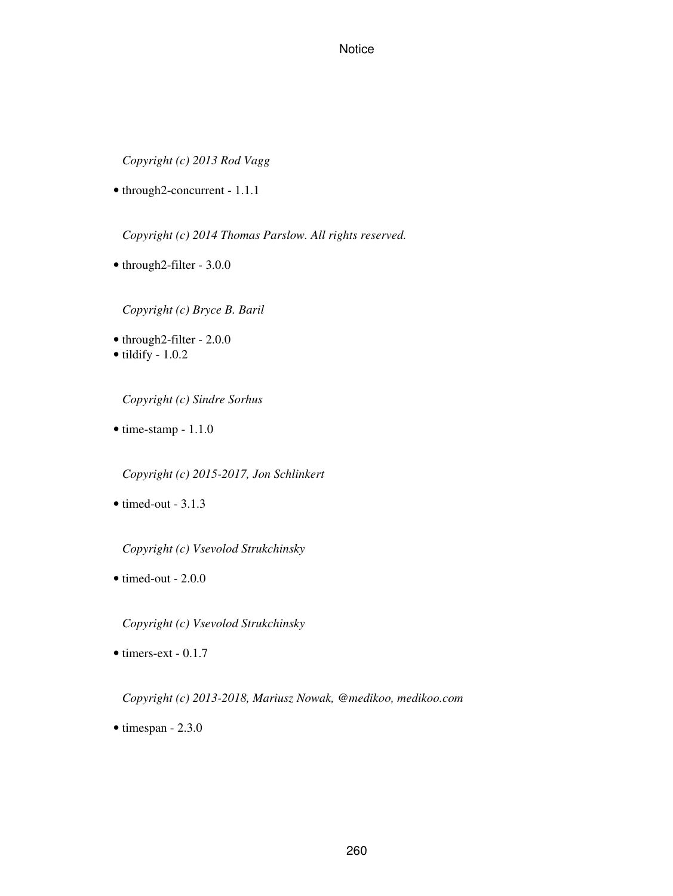*Copyright (c) 2013 Rod Vagg*

• through2-concurrent - 1.1.1

*Copyright (c) 2014 Thomas Parslow. All rights reserved.*

• through2-filter - 3.0.0

*Copyright (c) Bryce B. Baril*

- through2-filter 2.0.0
- $\bullet$  tildify 1.0.2

*Copyright (c) Sindre Sorhus*

• time-stamp - 1.1.0

*Copyright (c) 2015-2017, Jon Schlinkert*

 $\bullet$  timed-out - 3.1.3

*Copyright (c) Vsevolod Strukchinsky*

 $\bullet$  timed-out - 2.0.0

*Copyright (c) Vsevolod Strukchinsky*

• timers-ext - 0.1.7

*Copyright (c) 2013-2018, Mariusz Nowak, @medikoo, medikoo.com*

 $\bullet$  timespan - 2.3.0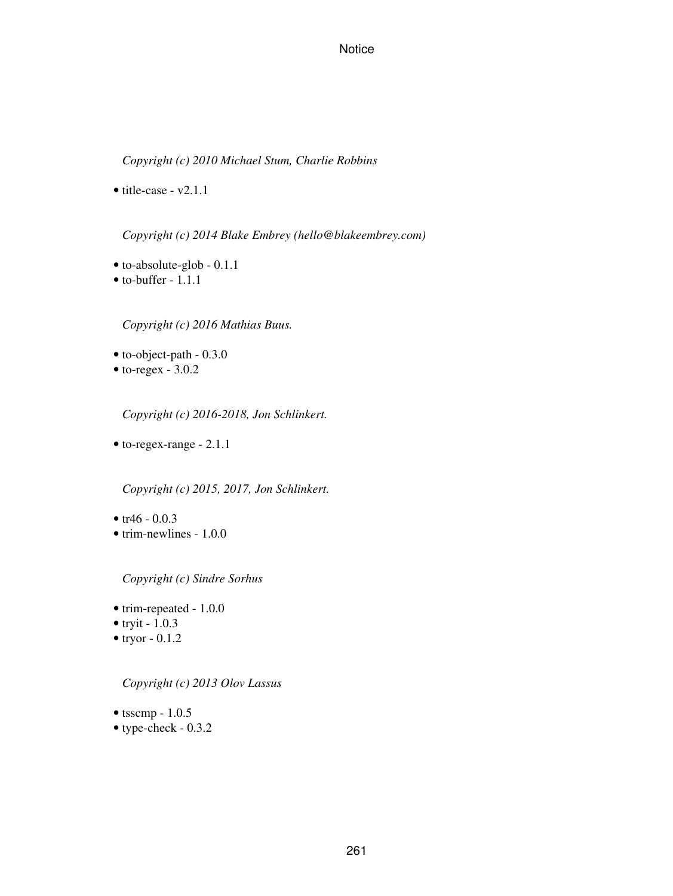*Copyright (c) 2010 Michael Stum, Charlie Robbins*

• title-case - v2.1.1

*Copyright (c) 2014 Blake Embrey (hello@blakeembrey.com)*

- to-absolute-glob 0.1.1
- to-buffer 1.1.1

*Copyright (c) 2016 Mathias Buus.*

- to-object-path 0.3.0
- $\bullet$  to-regex 3.0.2

*Copyright (c) 2016-2018, Jon Schlinkert.*

• to-regex-range - 2.1.1

*Copyright (c) 2015, 2017, Jon Schlinkert.*

- $tr46 0.0.3$
- trim-newlines 1.0.0

*Copyright (c) Sindre Sorhus*

- trim-repeated 1.0.0
- tryit  $-1.0.3$
- $\bullet$  tryor 0.1.2

*Copyright (c) 2013 Olov Lassus*

- $\bullet$  tsscmp 1.0.5
- type-check 0.3.2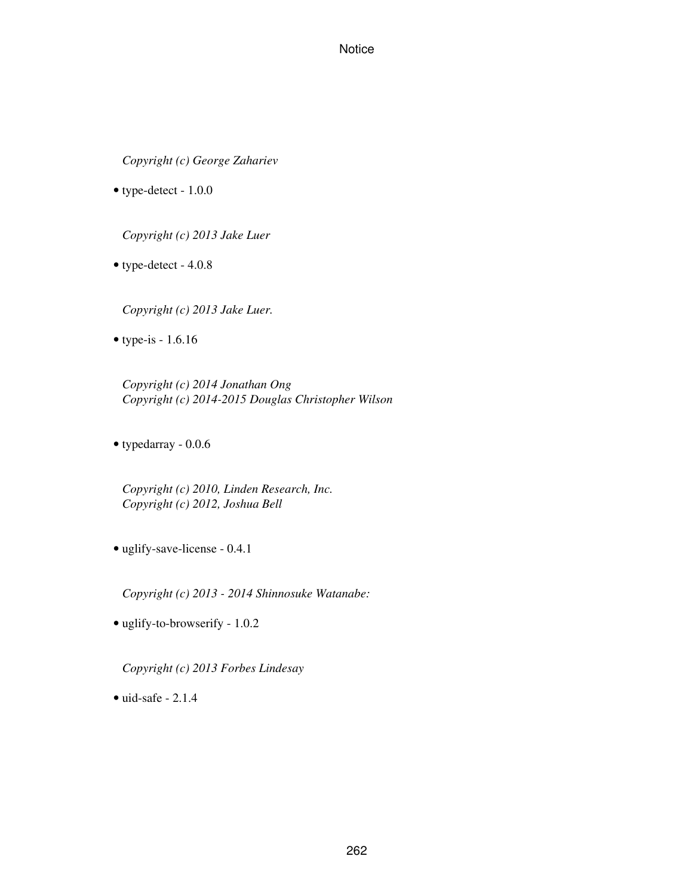*Copyright (c) George Zahariev*

• type-detect - 1.0.0

*Copyright (c) 2013 Jake Luer*

• type-detect - 4.0.8

*Copyright (c) 2013 Jake Luer.*

• type-is - 1.6.16

*Copyright (c) 2014 Jonathan Ong Copyright (c) 2014-2015 Douglas Christopher Wilson*

• typedarray - 0.0.6

*Copyright (c) 2010, Linden Research, Inc. Copyright (c) 2012, Joshua Bell*

• uglify-save-license - 0.4.1

*Copyright (c) 2013 - 2014 Shinnosuke Watanabe:*

• uglify-to-browserify - 1.0.2

*Copyright (c) 2013 Forbes Lindesay*

 $\bullet$  uid-safe - 2.1.4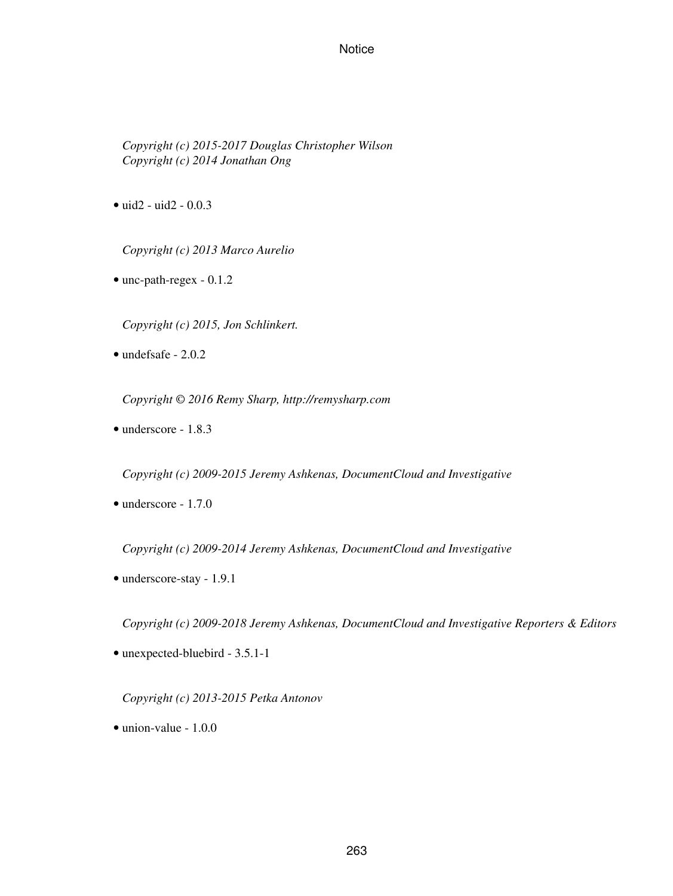*Copyright (c) 2015-2017 Douglas Christopher Wilson Copyright (c) 2014 Jonathan Ong*

• uid2 - uid2 - 0.0.3

*Copyright (c) 2013 Marco Aurelio*

• unc-path-regex - 0.1.2

*Copyright (c) 2015, Jon Schlinkert.*

• undefsafe - 2.0.2

*Copyright © 2016 Remy Sharp, http://remysharp.com*

• underscore - 1.8.3

*Copyright (c) 2009-2015 Jeremy Ashkenas, DocumentCloud and Investigative*

• underscore - 1.7.0

*Copyright (c) 2009-2014 Jeremy Ashkenas, DocumentCloud and Investigative*

• underscore-stay - 1.9.1

*Copyright (c) 2009-2018 Jeremy Ashkenas, DocumentCloud and Investigative Reporters & Editors*

• unexpected-bluebird - 3.5.1-1

*Copyright (c) 2013-2015 Petka Antonov*

• union-value - 1.0.0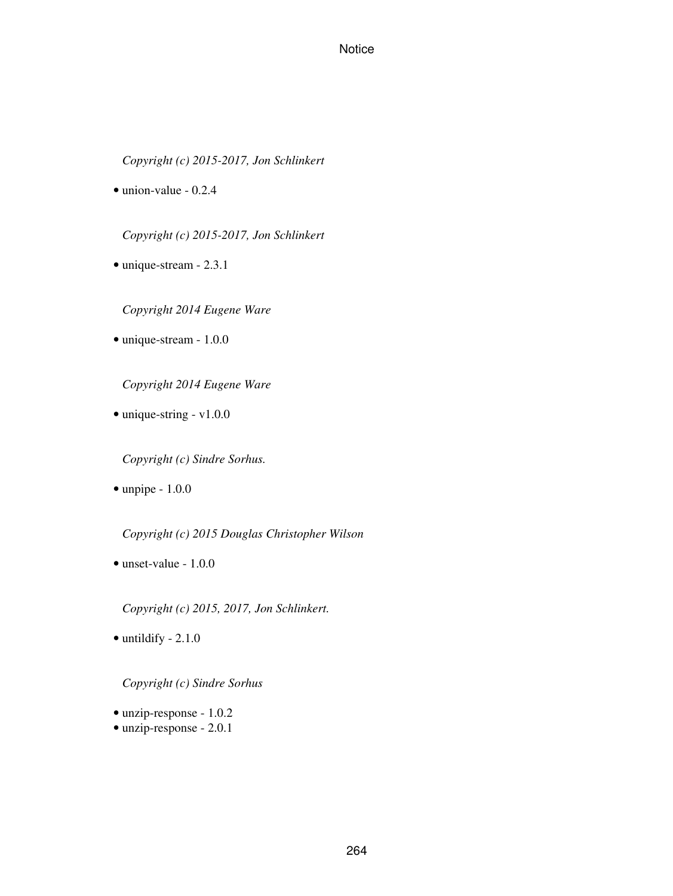*Copyright (c) 2015-2017, Jon Schlinkert*

• union-value - 0.2.4

*Copyright (c) 2015-2017, Jon Schlinkert*

• unique-stream - 2.3.1

*Copyright 2014 Eugene Ware*

• unique-stream - 1.0.0

*Copyright 2014 Eugene Ware*

• unique-string - v1.0.0

*Copyright (c) Sindre Sorhus.*

• unpipe - 1.0.0

*Copyright (c) 2015 Douglas Christopher Wilson*

• unset-value - 1.0.0

*Copyright (c) 2015, 2017, Jon Schlinkert.*

 $\bullet$  untildify - 2.1.0

*Copyright (c) Sindre Sorhus*

- unzip-response 1.0.2
- unzip-response 2.0.1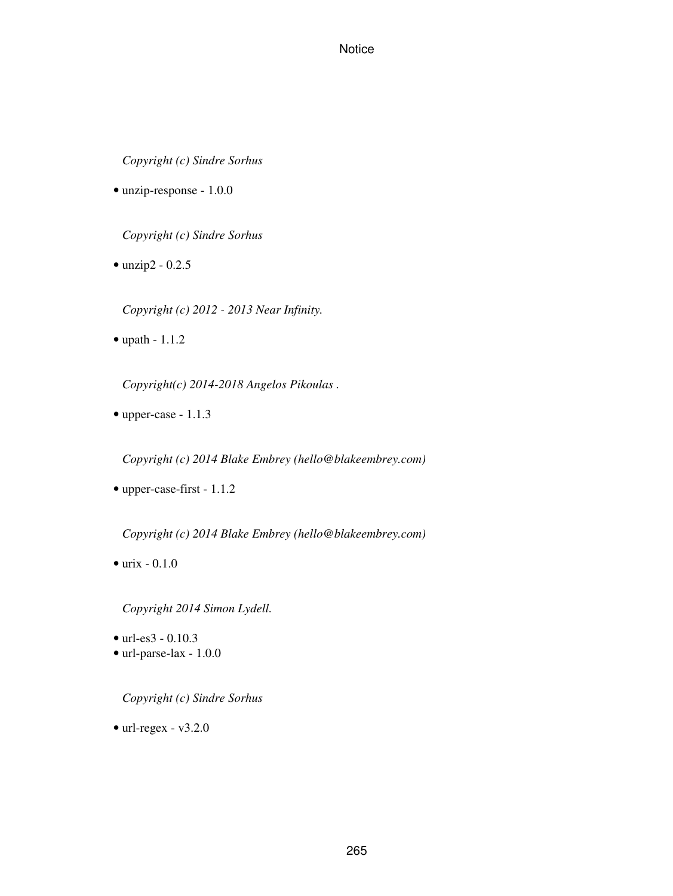*Copyright (c) Sindre Sorhus*

• unzip-response - 1.0.0

*Copyright (c) Sindre Sorhus*

• unzip2 - 0.2.5

*Copyright (c) 2012 - 2013 Near Infinity.*

• upath - 1.1.2

*Copyright(c) 2014-2018 Angelos Pikoulas .*

• upper-case - 1.1.3

*Copyright (c) 2014 Blake Embrey (hello@blakeembrey.com)*

• upper-case-first - 1.1.2

*Copyright (c) 2014 Blake Embrey (hello@blakeembrey.com)*

 $\bullet$  urix - 0.1.0

*Copyright 2014 Simon Lydell.*

- url-es3 0.10.3
- url-parse-lax 1.0.0

*Copyright (c) Sindre Sorhus*

 $\bullet$  url-regex - v3.2.0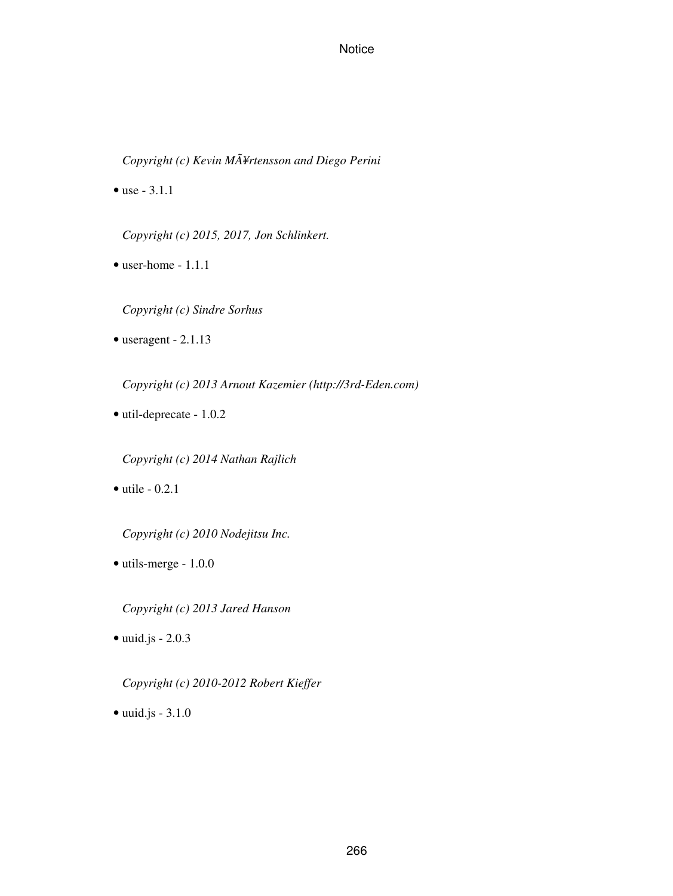*Copyright (c) Kevin MÃ¥rtensson and Diego Perini*

• use - 3.1.1

*Copyright (c) 2015, 2017, Jon Schlinkert.*

• user-home - 1.1.1

*Copyright (c) Sindre Sorhus*

• useragent - 2.1.13

*Copyright (c) 2013 Arnout Kazemier (http://3rd-Eden.com)*

• util-deprecate - 1.0.2

*Copyright (c) 2014 Nathan Rajlich*

 $\bullet$  utile  $-0.2.1$ 

*Copyright (c) 2010 Nodejitsu Inc.*

• utils-merge - 1.0.0

*Copyright (c) 2013 Jared Hanson*

• uuid.js - 2.0.3

*Copyright (c) 2010-2012 Robert Kieffer*

• uuid.js - 3.1.0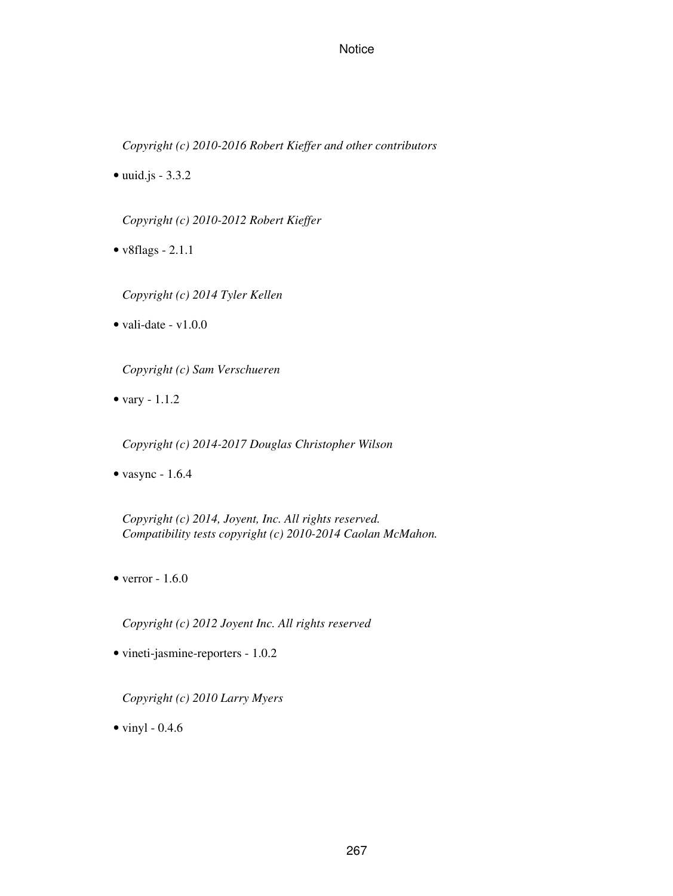*Copyright (c) 2010-2016 Robert Kieffer and other contributors*

 $\bullet$  uuid.js - 3.3.2

*Copyright (c) 2010-2012 Robert Kieffer*

- v8flags 2.1.1
	- *Copyright (c) 2014 Tyler Kellen*
- vali-date  $v1.0.0$

*Copyright (c) Sam Verschueren*

• vary - 1.1.2

*Copyright (c) 2014-2017 Douglas Christopher Wilson*

• vasync - 1.6.4

*Copyright (c) 2014, Joyent, Inc. All rights reserved. Compatibility tests copyright (c) 2010-2014 Caolan McMahon.*

 $\bullet$  verror - 1.6.0

*Copyright (c) 2012 Joyent Inc. All rights reserved*

• vineti-jasmine-reporters - 1.0.2

*Copyright (c) 2010 Larry Myers*

 $\bullet$  vinyl - 0.4.6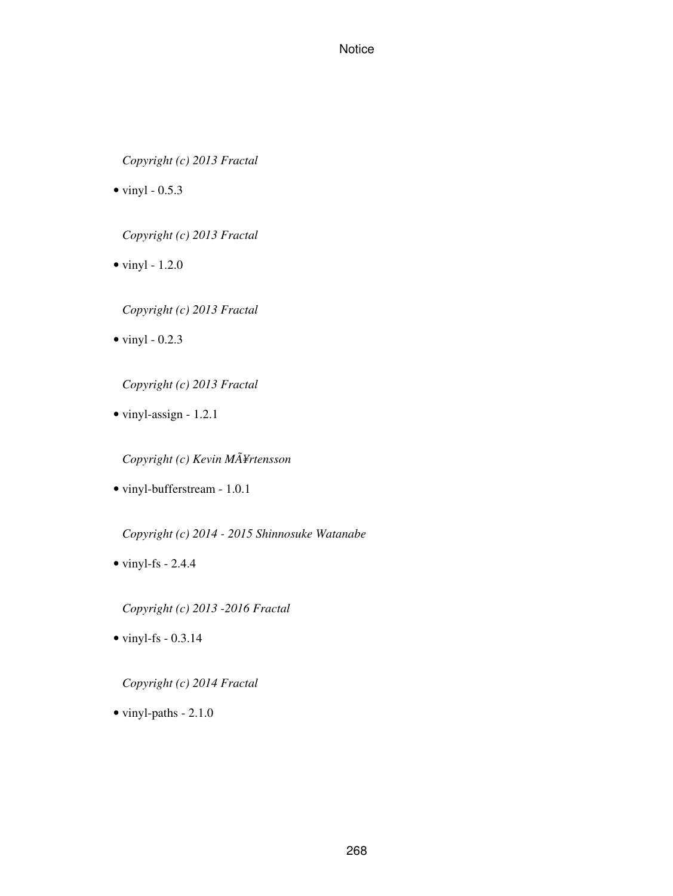*Copyright (c) 2013 Fractal*

 $\bullet$  vinyl - 0.5.3

*Copyright (c) 2013 Fractal*

 $\bullet$  vinyl - 1.2.0

*Copyright (c) 2013 Fractal*

 $\bullet$  vinyl - 0.2.3

*Copyright (c) 2013 Fractal*

• vinyl-assign - 1.2.1

*Copyright (c) Kevin MÃ¥rtensson*

• vinyl-bufferstream - 1.0.1

*Copyright (c) 2014 - 2015 Shinnosuke Watanabe*

 $\bullet$  vinyl-fs - 2.4.4

*Copyright (c) 2013 -2016 Fractal*

 $\bullet$  vinyl-fs - 0.3.14

*Copyright (c) 2014 Fractal*

• vinyl-paths - 2.1.0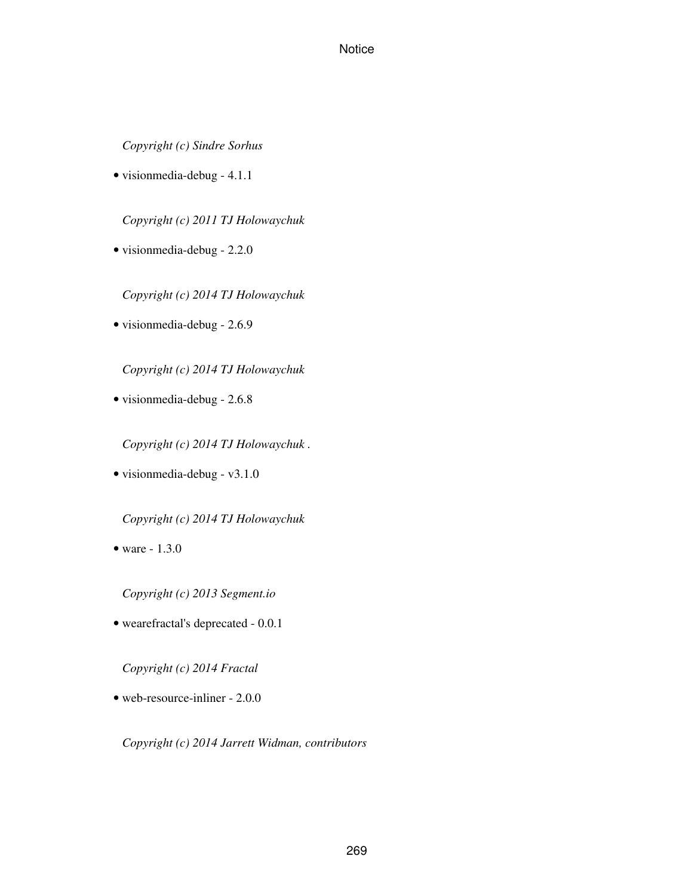*Copyright (c) Sindre Sorhus*

• visionmedia-debug - 4.1.1

*Copyright (c) 2011 TJ Holowaychuk*

• visionmedia-debug - 2.2.0

*Copyright (c) 2014 TJ Holowaychuk*

• visionmedia-debug - 2.6.9

*Copyright (c) 2014 TJ Holowaychuk*

• visionmedia-debug - 2.6.8

*Copyright (c) 2014 TJ Holowaychuk .*

• visionmedia-debug - v3.1.0

*Copyright (c) 2014 TJ Holowaychuk*

• ware - 1.3.0

*Copyright (c) 2013 Segment.io*

• wearefractal's deprecated - 0.0.1

*Copyright (c) 2014 Fractal*

• web-resource-inliner - 2.0.0

*Copyright (c) 2014 Jarrett Widman, contributors*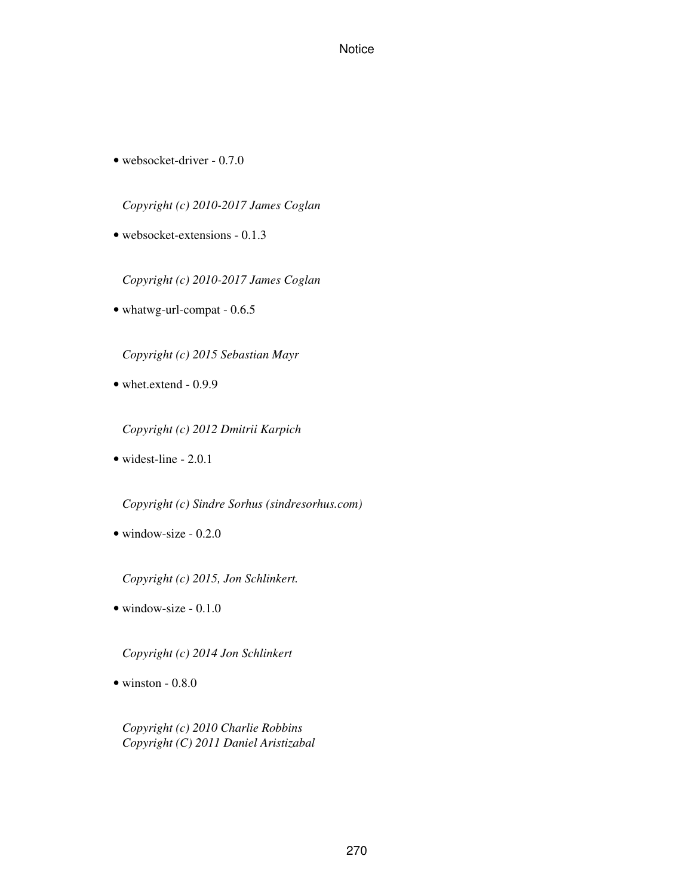• websocket-driver - 0.7.0

*Copyright (c) 2010-2017 James Coglan*

• websocket-extensions - 0.1.3

*Copyright (c) 2010-2017 James Coglan*

• whatwg-url-compat - 0.6.5

*Copyright (c) 2015 Sebastian Mayr*

• whet.extend - 0.9.9

*Copyright (c) 2012 Dmitrii Karpich*

• widest-line - 2.0.1

*Copyright (c) Sindre Sorhus (sindresorhus.com)*

• window-size - 0.2.0

*Copyright (c) 2015, Jon Schlinkert.*

• window-size - 0.1.0

*Copyright (c) 2014 Jon Schlinkert*

 $\bullet$  winston - 0.8.0

*Copyright (c) 2010 Charlie Robbins Copyright (C) 2011 Daniel Aristizabal*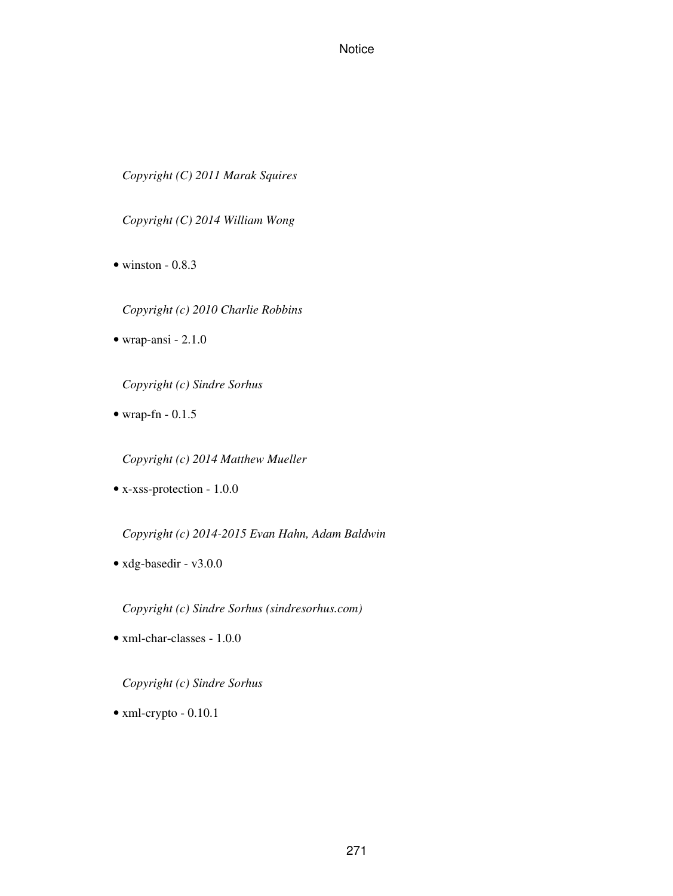*Copyright (C) 2011 Marak Squires*

*Copyright (C) 2014 William Wong*

 $\bullet$  winston - 0.8.3

*Copyright (c) 2010 Charlie Robbins*

• wrap-ansi - 2.1.0

*Copyright (c) Sindre Sorhus*

• wrap-fn - 0.1.5

*Copyright (c) 2014 Matthew Mueller*

• x-xss-protection - 1.0.0

*Copyright (c) 2014-2015 Evan Hahn, Adam Baldwin*

• xdg-basedir - v3.0.0

*Copyright (c) Sindre Sorhus (sindresorhus.com)*

• xml-char-classes - 1.0.0

*Copyright (c) Sindre Sorhus*

• xml-crypto - 0.10.1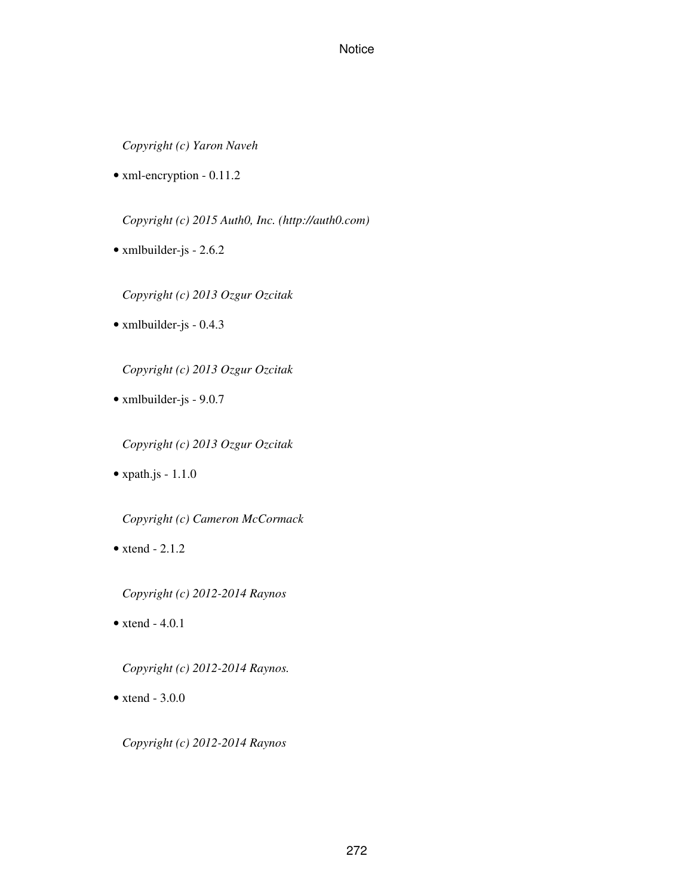*Copyright (c) Yaron Naveh*

• xml-encryption - 0.11.2

*Copyright (c) 2015 Auth0, Inc. (http://auth0.com)*

• xmlbuilder-js - 2.6.2

*Copyright (c) 2013 Ozgur Ozcitak*

• xmlbuilder-js - 0.4.3

*Copyright (c) 2013 Ozgur Ozcitak*

- xmlbuilder-js 9.0.7
	- *Copyright (c) 2013 Ozgur Ozcitak*
- $\bullet$  xpath.js 1.1.0

*Copyright (c) Cameron McCormack*

- $\bullet$  xtend 2.1.2
	- *Copyright (c) 2012-2014 Raynos*
- $\bullet$  xtend 4.0.1

*Copyright (c) 2012-2014 Raynos.*

 $\bullet$  xtend - 3.0.0

*Copyright (c) 2012-2014 Raynos*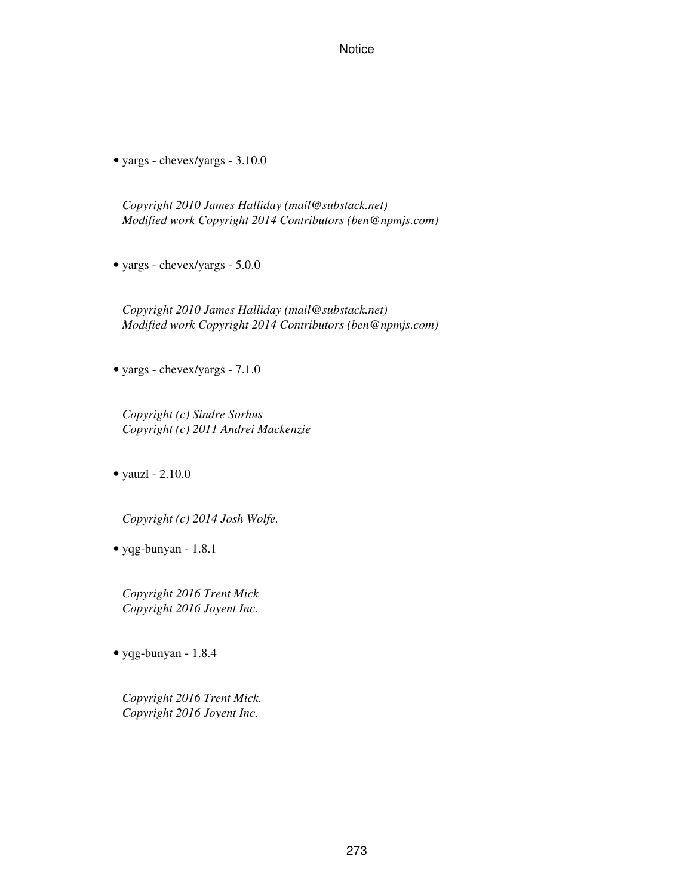• yargs - chevex/yargs - 3.10.0

*Copyright 2010 James Halliday (mail@substack.net) Modified work Copyright 2014 Contributors (ben@npmjs.com)*

• yargs - chevex/yargs - 5.0.0

*Copyright 2010 James Halliday (mail@substack.net) Modified work Copyright 2014 Contributors (ben@npmjs.com)*

• yargs - chevex/yargs - 7.1.0

*Copyright (c) Sindre Sorhus Copyright (c) 2011 Andrei Mackenzie*

• yauzl - 2.10.0

*Copyright (c) 2014 Josh Wolfe.*

• yqg-bunyan - 1.8.1

*Copyright 2016 Trent Mick Copyright 2016 Joyent Inc.*

• yqg-bunyan - 1.8.4

*Copyright 2016 Trent Mick. Copyright 2016 Joyent Inc.*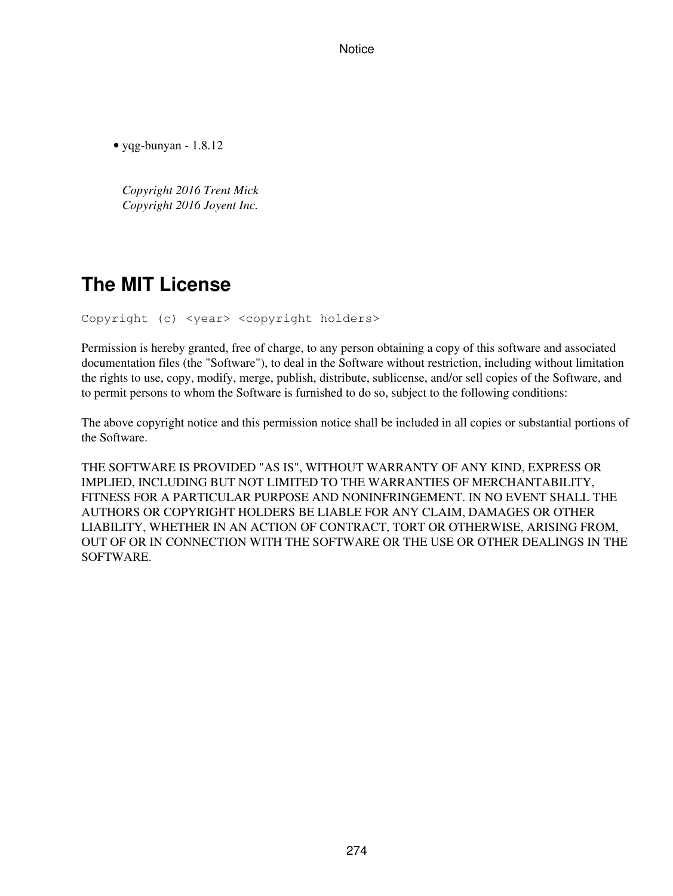• yqg-bunyan - 1.8.12

*Copyright 2016 Trent Mick Copyright 2016 Joyent Inc.*

# **The MIT License**

Copyright (c) <year> <copyright holders>

Permission is hereby granted, free of charge, to any person obtaining a copy of this software and associated documentation files (the "Software"), to deal in the Software without restriction, including without limitation the rights to use, copy, modify, merge, publish, distribute, sublicense, and/or sell copies of the Software, and to permit persons to whom the Software is furnished to do so, subject to the following conditions:

The above copyright notice and this permission notice shall be included in all copies or substantial portions of the Software.

THE SOFTWARE IS PROVIDED "AS IS", WITHOUT WARRANTY OF ANY KIND, EXPRESS OR IMPLIED, INCLUDING BUT NOT LIMITED TO THE WARRANTIES OF MERCHANTABILITY, FITNESS FOR A PARTICULAR PURPOSE AND NONINFRINGEMENT. IN NO EVENT SHALL THE AUTHORS OR COPYRIGHT HOLDERS BE LIABLE FOR ANY CLAIM, DAMAGES OR OTHER LIABILITY, WHETHER IN AN ACTION OF CONTRACT, TORT OR OTHERWISE, ARISING FROM, OUT OF OR IN CONNECTION WITH THE SOFTWARE OR THE USE OR OTHER DEALINGS IN THE **SOFTWARE**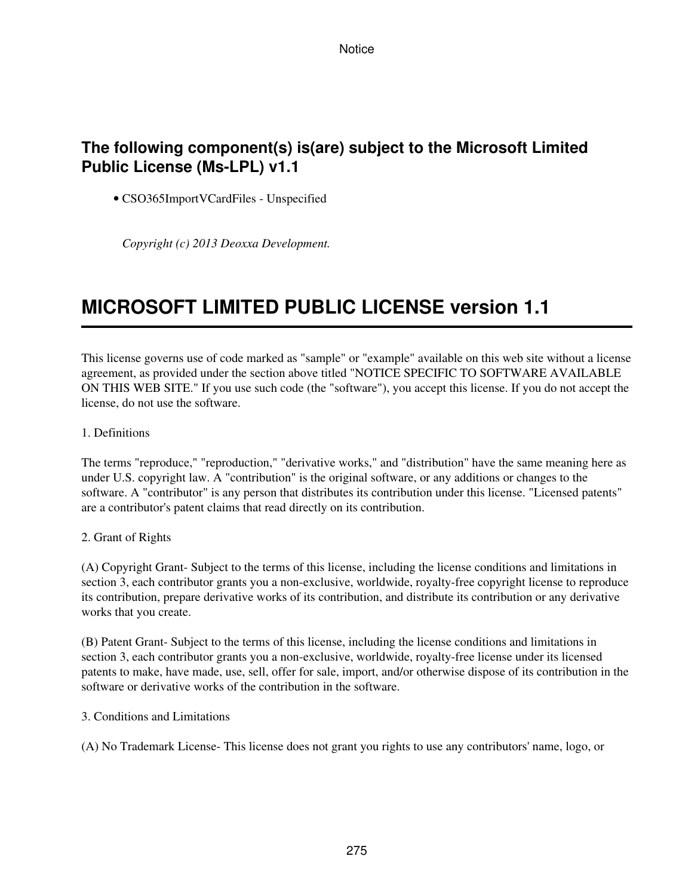# **The following component(s) is(are) subject to the Microsoft Limited Public License (Ms-LPL) v1.1**

• CSO365ImportVCardFiles - Unspecified

*Copyright (c) 2013 Deoxxa Development.*

# **MICROSOFT LIMITED PUBLIC LICENSE version 1.1**

This license governs use of code marked as "sample" or "example" available on this web site without a license agreement, as provided under the section above titled "NOTICE SPECIFIC TO SOFTWARE AVAILABLE ON THIS WEB SITE." If you use such code (the "software"), you accept this license. If you do not accept the license, do not use the software.

1. Definitions

The terms "reproduce," "reproduction," "derivative works," and "distribution" have the same meaning here as under U.S. copyright law. A "contribution" is the original software, or any additions or changes to the software. A "contributor" is any person that distributes its contribution under this license. "Licensed patents" are a contributor's patent claims that read directly on its contribution.

#### 2. Grant of Rights

(A) Copyright Grant- Subject to the terms of this license, including the license conditions and limitations in section 3, each contributor grants you a non-exclusive, worldwide, royalty-free copyright license to reproduce its contribution, prepare derivative works of its contribution, and distribute its contribution or any derivative works that you create.

(B) Patent Grant- Subject to the terms of this license, including the license conditions and limitations in section 3, each contributor grants you a non-exclusive, worldwide, royalty-free license under its licensed patents to make, have made, use, sell, offer for sale, import, and/or otherwise dispose of its contribution in the software or derivative works of the contribution in the software.

3. Conditions and Limitations

(A) No Trademark License- This license does not grant you rights to use any contributors' name, logo, or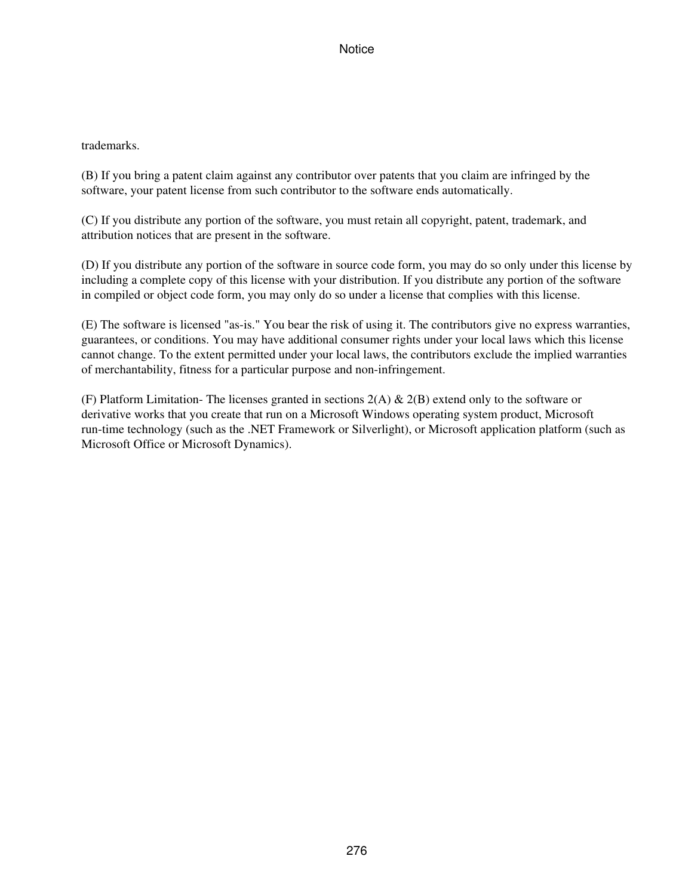# trademarks.

(B) If you bring a patent claim against any contributor over patents that you claim are infringed by the software, your patent license from such contributor to the software ends automatically.

(C) If you distribute any portion of the software, you must retain all copyright, patent, trademark, and attribution notices that are present in the software.

(D) If you distribute any portion of the software in source code form, you may do so only under this license by including a complete copy of this license with your distribution. If you distribute any portion of the software in compiled or object code form, you may only do so under a license that complies with this license.

(E) The software is licensed "as-is." You bear the risk of using it. The contributors give no express warranties, guarantees, or conditions. You may have additional consumer rights under your local laws which this license cannot change. To the extent permitted under your local laws, the contributors exclude the implied warranties of merchantability, fitness for a particular purpose and non-infringement.

(F) Platform Limitation- The licenses granted in sections  $2(A) \& 2(B)$  extend only to the software or derivative works that you create that run on a Microsoft Windows operating system product, Microsoft run-time technology (such as the .NET Framework or Silverlight), or Microsoft application platform (such as Microsoft Office or Microsoft Dynamics).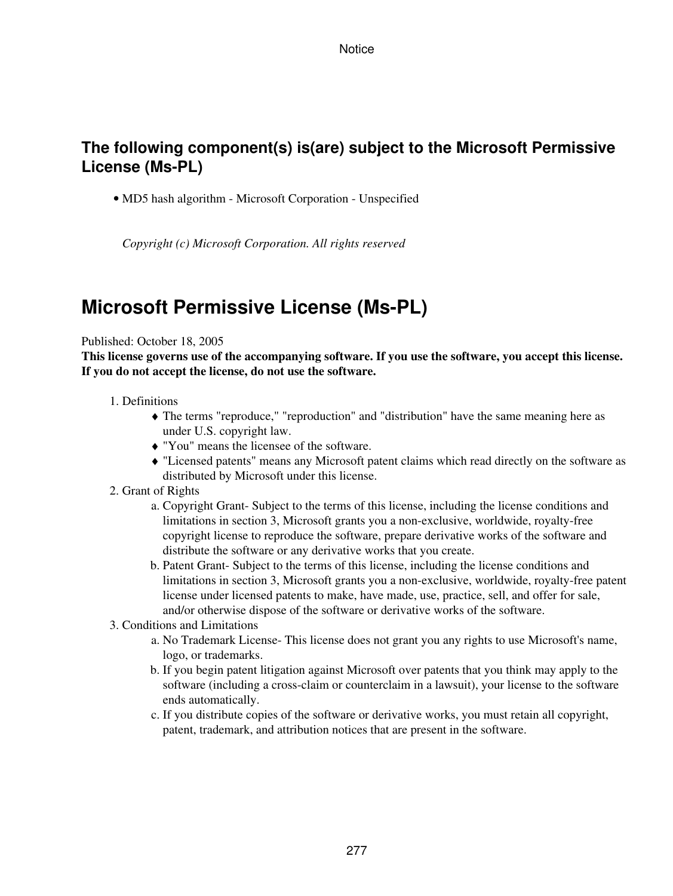# **The following component(s) is(are) subject to the Microsoft Permissive License (Ms-PL)**

• MD5 hash algorithm - Microsoft Corporation - Unspecified

*Copyright (c) Microsoft Corporation. All rights reserved*

# **Microsoft Permissive License (Ms-PL)**

#### Published: October 18, 2005

**This license governs use of the accompanying software. If you use the software, you accept this license. If you do not accept the license, do not use the software.**

- Definitions 1.
	- The terms "reproduce," "reproduction" and "distribution" have the same meaning here as ♦ under U.S. copyright law.
	- ♦ "You" means the licensee of the software.
	- "Licensed patents" means any Microsoft patent claims which read directly on the software as ♦ distributed by Microsoft under this license.
- 2. Grant of Rights
	- a. Copyright Grant-Subject to the terms of this license, including the license conditions and limitations in section 3, Microsoft grants you a non-exclusive, worldwide, royalty-free copyright license to reproduce the software, prepare derivative works of the software and distribute the software or any derivative works that you create.
	- b. Patent Grant- Subject to the terms of this license, including the license conditions and limitations in section 3, Microsoft grants you a non-exclusive, worldwide, royalty-free patent license under licensed patents to make, have made, use, practice, sell, and offer for sale, and/or otherwise dispose of the software or derivative works of the software.
- 3. Conditions and Limitations
	- a. No Trademark License- This license does not grant you any rights to use Microsoft's name, logo, or trademarks.
	- b. If you begin patent litigation against Microsoft over patents that you think may apply to the software (including a cross-claim or counterclaim in a lawsuit), your license to the software ends automatically.
	- c. If you distribute copies of the software or derivative works, you must retain all copyright, patent, trademark, and attribution notices that are present in the software.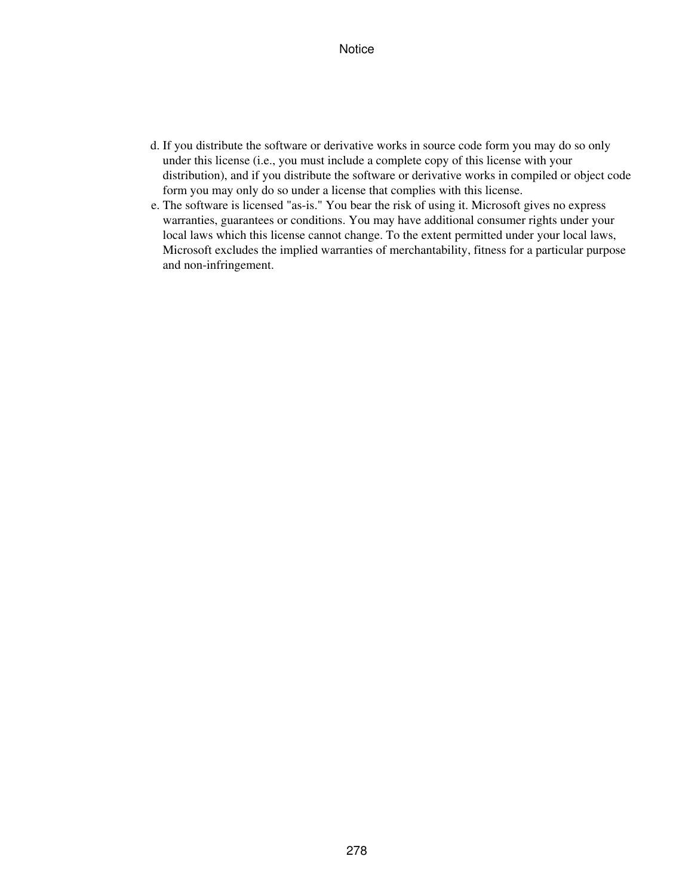- d. If you distribute the software or derivative works in source code form you may do so only under this license (i.e., you must include a complete copy of this license with your distribution), and if you distribute the software or derivative works in compiled or object code form you may only do so under a license that complies with this license.
- The software is licensed "as-is." You bear the risk of using it. Microsoft gives no express e. warranties, guarantees or conditions. You may have additional consumer rights under your local laws which this license cannot change. To the extent permitted under your local laws, Microsoft excludes the implied warranties of merchantability, fitness for a particular purpose and non-infringement.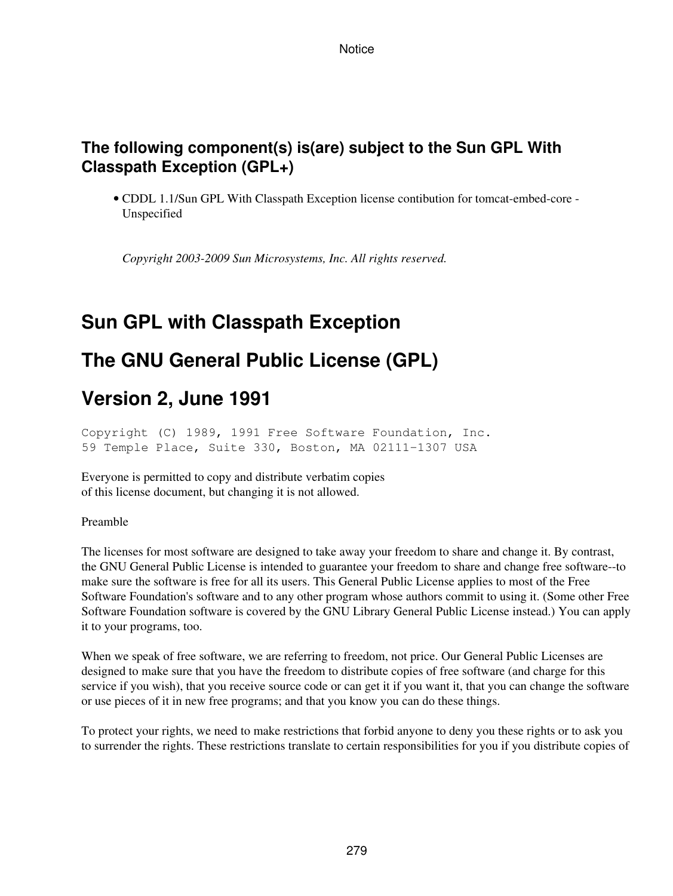# **The following component(s) is(are) subject to the Sun GPL With Classpath Exception (GPL+)**

• CDDL 1.1/Sun GPL With Classpath Exception license contibution for tomcat-embed-core -Unspecified

*Copyright 2003-2009 Sun Microsystems, Inc. All rights reserved.*

# **Sun GPL with Classpath Exception**

# **The GNU General Public License (GPL)**

# **Version 2, June 1991**

Copyright (C) 1989, 1991 Free Software Foundation, Inc. 59 Temple Place, Suite 330, Boston, MA 02111-1307 USA

Everyone is permitted to copy and distribute verbatim copies of this license document, but changing it is not allowed.

Preamble

The licenses for most software are designed to take away your freedom to share and change it. By contrast, the GNU General Public License is intended to guarantee your freedom to share and change free software--to make sure the software is free for all its users. This General Public License applies to most of the Free Software Foundation's software and to any other program whose authors commit to using it. (Some other Free Software Foundation software is covered by the GNU Library General Public License instead.) You can apply it to your programs, too.

When we speak of free software, we are referring to freedom, not price. Our General Public Licenses are designed to make sure that you have the freedom to distribute copies of free software (and charge for this service if you wish), that you receive source code or can get it if you want it, that you can change the software or use pieces of it in new free programs; and that you know you can do these things.

To protect your rights, we need to make restrictions that forbid anyone to deny you these rights or to ask you to surrender the rights. These restrictions translate to certain responsibilities for you if you distribute copies of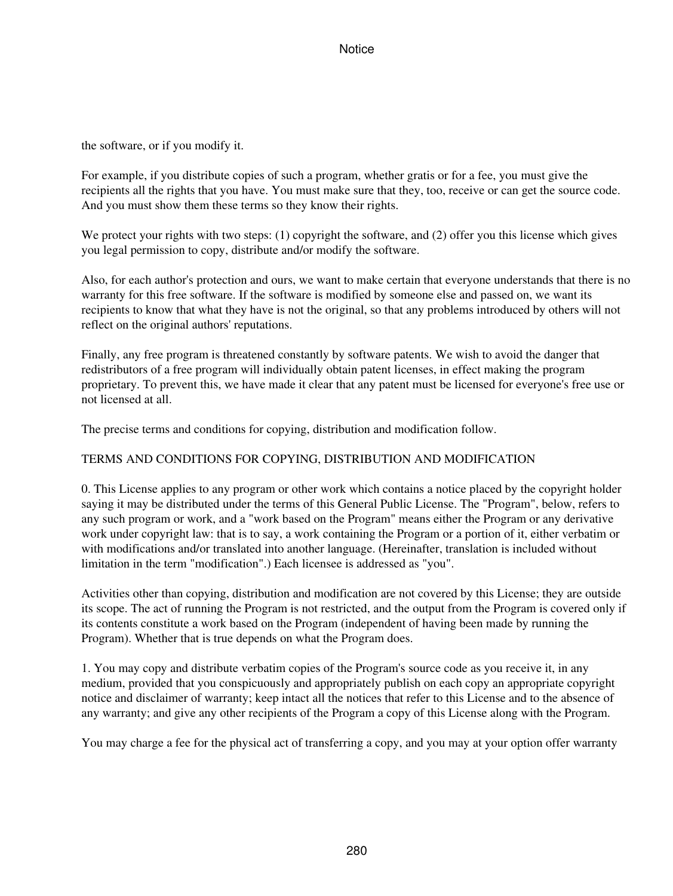the software, or if you modify it.

For example, if you distribute copies of such a program, whether gratis or for a fee, you must give the recipients all the rights that you have. You must make sure that they, too, receive or can get the source code. And you must show them these terms so they know their rights.

We protect your rights with two steps: (1) copyright the software, and (2) offer you this license which gives you legal permission to copy, distribute and/or modify the software.

Also, for each author's protection and ours, we want to make certain that everyone understands that there is no warranty for this free software. If the software is modified by someone else and passed on, we want its recipients to know that what they have is not the original, so that any problems introduced by others will not reflect on the original authors' reputations.

Finally, any free program is threatened constantly by software patents. We wish to avoid the danger that redistributors of a free program will individually obtain patent licenses, in effect making the program proprietary. To prevent this, we have made it clear that any patent must be licensed for everyone's free use or not licensed at all.

The precise terms and conditions for copying, distribution and modification follow.

# TERMS AND CONDITIONS FOR COPYING, DISTRIBUTION AND MODIFICATION

0. This License applies to any program or other work which contains a notice placed by the copyright holder saying it may be distributed under the terms of this General Public License. The "Program", below, refers to any such program or work, and a "work based on the Program" means either the Program or any derivative work under copyright law: that is to say, a work containing the Program or a portion of it, either verbatim or with modifications and/or translated into another language. (Hereinafter, translation is included without limitation in the term "modification".) Each licensee is addressed as "you".

Activities other than copying, distribution and modification are not covered by this License; they are outside its scope. The act of running the Program is not restricted, and the output from the Program is covered only if its contents constitute a work based on the Program (independent of having been made by running the Program). Whether that is true depends on what the Program does.

1. You may copy and distribute verbatim copies of the Program's source code as you receive it, in any medium, provided that you conspicuously and appropriately publish on each copy an appropriate copyright notice and disclaimer of warranty; keep intact all the notices that refer to this License and to the absence of any warranty; and give any other recipients of the Program a copy of this License along with the Program.

You may charge a fee for the physical act of transferring a copy, and you may at your option offer warranty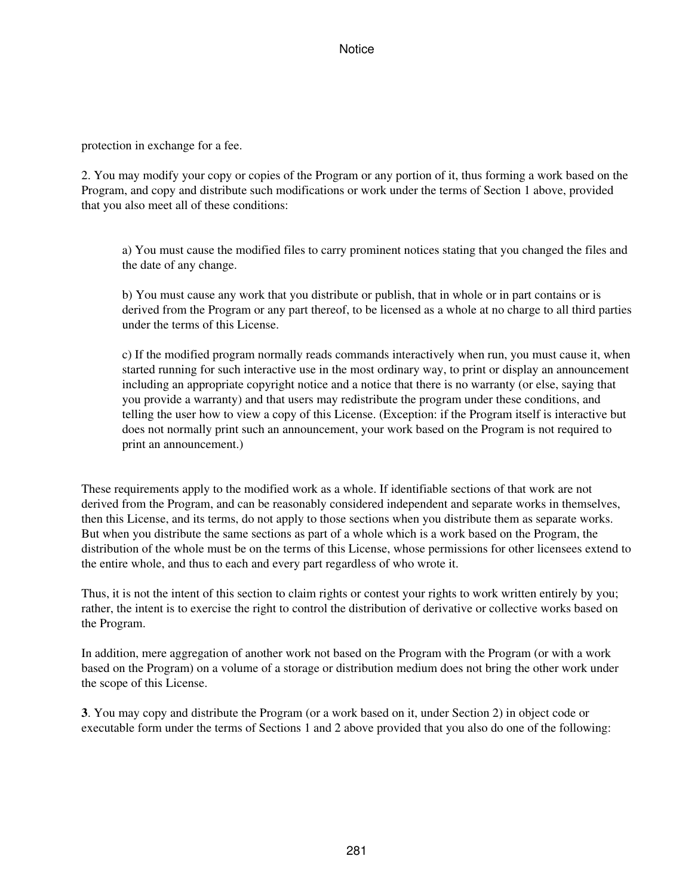protection in exchange for a fee.

2. You may modify your copy or copies of the Program or any portion of it, thus forming a work based on the Program, and copy and distribute such modifications or work under the terms of Section 1 above, provided that you also meet all of these conditions:

a) You must cause the modified files to carry prominent notices stating that you changed the files and the date of any change.

b) You must cause any work that you distribute or publish, that in whole or in part contains or is derived from the Program or any part thereof, to be licensed as a whole at no charge to all third parties under the terms of this License.

c) If the modified program normally reads commands interactively when run, you must cause it, when started running for such interactive use in the most ordinary way, to print or display an announcement including an appropriate copyright notice and a notice that there is no warranty (or else, saying that you provide a warranty) and that users may redistribute the program under these conditions, and telling the user how to view a copy of this License. (Exception: if the Program itself is interactive but does not normally print such an announcement, your work based on the Program is not required to print an announcement.)

These requirements apply to the modified work as a whole. If identifiable sections of that work are not derived from the Program, and can be reasonably considered independent and separate works in themselves, then this License, and its terms, do not apply to those sections when you distribute them as separate works. But when you distribute the same sections as part of a whole which is a work based on the Program, the distribution of the whole must be on the terms of this License, whose permissions for other licensees extend to the entire whole, and thus to each and every part regardless of who wrote it.

Thus, it is not the intent of this section to claim rights or contest your rights to work written entirely by you; rather, the intent is to exercise the right to control the distribution of derivative or collective works based on the Program.

In addition, mere aggregation of another work not based on the Program with the Program (or with a work based on the Program) on a volume of a storage or distribution medium does not bring the other work under the scope of this License.

**3**. You may copy and distribute the Program (or a work based on it, under Section 2) in object code or executable form under the terms of Sections 1 and 2 above provided that you also do one of the following: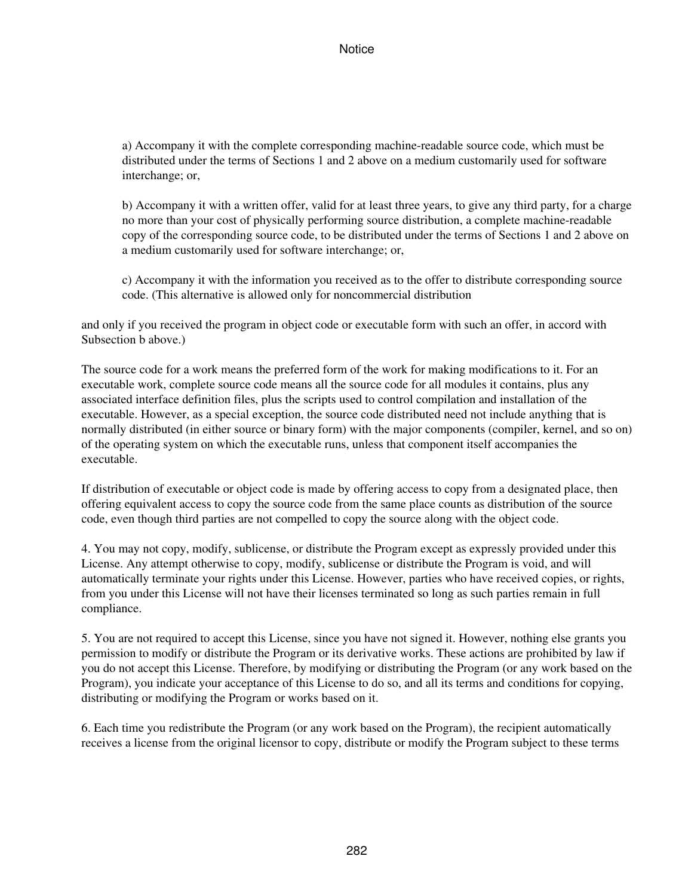a) Accompany it with the complete corresponding machine-readable source code, which must be distributed under the terms of Sections 1 and 2 above on a medium customarily used for software interchange; or,

b) Accompany it with a written offer, valid for at least three years, to give any third party, for a charge no more than your cost of physically performing source distribution, a complete machine-readable copy of the corresponding source code, to be distributed under the terms of Sections 1 and 2 above on a medium customarily used for software interchange; or,

c) Accompany it with the information you received as to the offer to distribute corresponding source code. (This alternative is allowed only for noncommercial distribution

and only if you received the program in object code or executable form with such an offer, in accord with Subsection b above.)

The source code for a work means the preferred form of the work for making modifications to it. For an executable work, complete source code means all the source code for all modules it contains, plus any associated interface definition files, plus the scripts used to control compilation and installation of the executable. However, as a special exception, the source code distributed need not include anything that is normally distributed (in either source or binary form) with the major components (compiler, kernel, and so on) of the operating system on which the executable runs, unless that component itself accompanies the executable.

If distribution of executable or object code is made by offering access to copy from a designated place, then offering equivalent access to copy the source code from the same place counts as distribution of the source code, even though third parties are not compelled to copy the source along with the object code.

4. You may not copy, modify, sublicense, or distribute the Program except as expressly provided under this License. Any attempt otherwise to copy, modify, sublicense or distribute the Program is void, and will automatically terminate your rights under this License. However, parties who have received copies, or rights, from you under this License will not have their licenses terminated so long as such parties remain in full compliance.

5. You are not required to accept this License, since you have not signed it. However, nothing else grants you permission to modify or distribute the Program or its derivative works. These actions are prohibited by law if you do not accept this License. Therefore, by modifying or distributing the Program (or any work based on the Program), you indicate your acceptance of this License to do so, and all its terms and conditions for copying, distributing or modifying the Program or works based on it.

6. Each time you redistribute the Program (or any work based on the Program), the recipient automatically receives a license from the original licensor to copy, distribute or modify the Program subject to these terms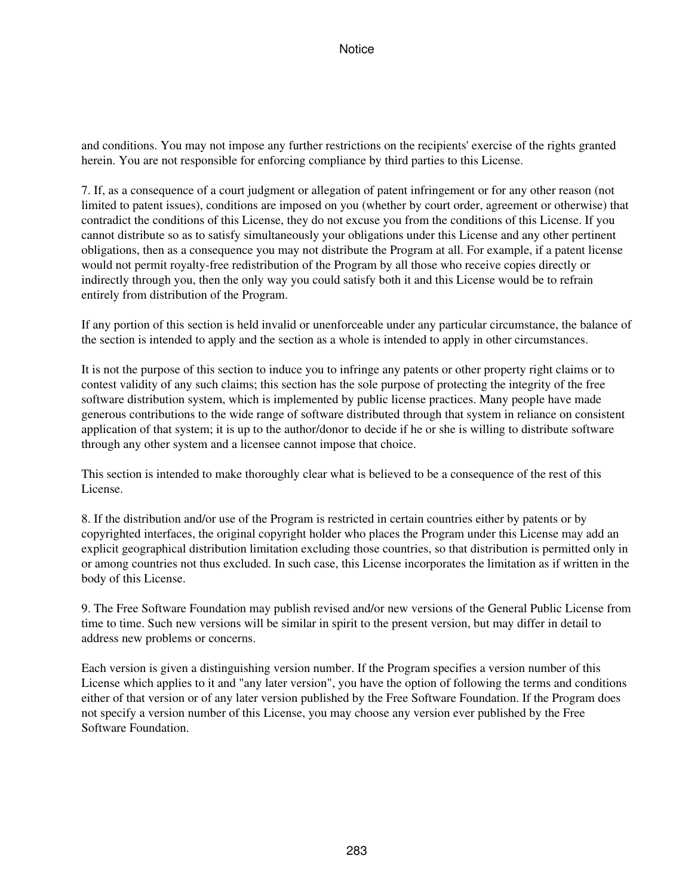and conditions. You may not impose any further restrictions on the recipients' exercise of the rights granted herein. You are not responsible for enforcing compliance by third parties to this License.

7. If, as a consequence of a court judgment or allegation of patent infringement or for any other reason (not limited to patent issues), conditions are imposed on you (whether by court order, agreement or otherwise) that contradict the conditions of this License, they do not excuse you from the conditions of this License. If you cannot distribute so as to satisfy simultaneously your obligations under this License and any other pertinent obligations, then as a consequence you may not distribute the Program at all. For example, if a patent license would not permit royalty-free redistribution of the Program by all those who receive copies directly or indirectly through you, then the only way you could satisfy both it and this License would be to refrain entirely from distribution of the Program.

If any portion of this section is held invalid or unenforceable under any particular circumstance, the balance of the section is intended to apply and the section as a whole is intended to apply in other circumstances.

It is not the purpose of this section to induce you to infringe any patents or other property right claims or to contest validity of any such claims; this section has the sole purpose of protecting the integrity of the free software distribution system, which is implemented by public license practices. Many people have made generous contributions to the wide range of software distributed through that system in reliance on consistent application of that system; it is up to the author/donor to decide if he or she is willing to distribute software through any other system and a licensee cannot impose that choice.

This section is intended to make thoroughly clear what is believed to be a consequence of the rest of this License.

8. If the distribution and/or use of the Program is restricted in certain countries either by patents or by copyrighted interfaces, the original copyright holder who places the Program under this License may add an explicit geographical distribution limitation excluding those countries, so that distribution is permitted only in or among countries not thus excluded. In such case, this License incorporates the limitation as if written in the body of this License.

9. The Free Software Foundation may publish revised and/or new versions of the General Public License from time to time. Such new versions will be similar in spirit to the present version, but may differ in detail to address new problems or concerns.

Each version is given a distinguishing version number. If the Program specifies a version number of this License which applies to it and "any later version", you have the option of following the terms and conditions either of that version or of any later version published by the Free Software Foundation. If the Program does not specify a version number of this License, you may choose any version ever published by the Free Software Foundation.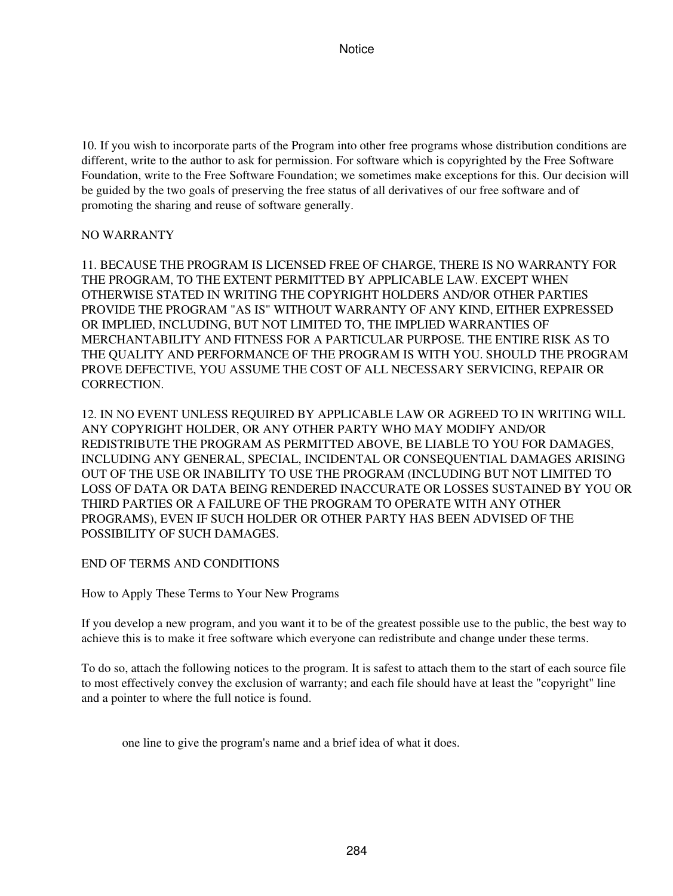10. If you wish to incorporate parts of the Program into other free programs whose distribution conditions are different, write to the author to ask for permission. For software which is copyrighted by the Free Software Foundation, write to the Free Software Foundation; we sometimes make exceptions for this. Our decision will be guided by the two goals of preserving the free status of all derivatives of our free software and of promoting the sharing and reuse of software generally.

### NO WARRANTY

11. BECAUSE THE PROGRAM IS LICENSED FREE OF CHARGE, THERE IS NO WARRANTY FOR THE PROGRAM, TO THE EXTENT PERMITTED BY APPLICABLE LAW. EXCEPT WHEN OTHERWISE STATED IN WRITING THE COPYRIGHT HOLDERS AND/OR OTHER PARTIES PROVIDE THE PROGRAM "AS IS" WITHOUT WARRANTY OF ANY KIND, EITHER EXPRESSED OR IMPLIED, INCLUDING, BUT NOT LIMITED TO, THE IMPLIED WARRANTIES OF MERCHANTABILITY AND FITNESS FOR A PARTICULAR PURPOSE. THE ENTIRE RISK AS TO THE QUALITY AND PERFORMANCE OF THE PROGRAM IS WITH YOU. SHOULD THE PROGRAM PROVE DEFECTIVE, YOU ASSUME THE COST OF ALL NECESSARY SERVICING, REPAIR OR CORRECTION.

12. IN NO EVENT UNLESS REQUIRED BY APPLICABLE LAW OR AGREED TO IN WRITING WILL ANY COPYRIGHT HOLDER, OR ANY OTHER PARTY WHO MAY MODIFY AND/OR REDISTRIBUTE THE PROGRAM AS PERMITTED ABOVE, BE LIABLE TO YOU FOR DAMAGES, INCLUDING ANY GENERAL, SPECIAL, INCIDENTAL OR CONSEQUENTIAL DAMAGES ARISING OUT OF THE USE OR INABILITY TO USE THE PROGRAM (INCLUDING BUT NOT LIMITED TO LOSS OF DATA OR DATA BEING RENDERED INACCURATE OR LOSSES SUSTAINED BY YOU OR THIRD PARTIES OR A FAILURE OF THE PROGRAM TO OPERATE WITH ANY OTHER PROGRAMS), EVEN IF SUCH HOLDER OR OTHER PARTY HAS BEEN ADVISED OF THE POSSIBILITY OF SUCH DAMAGES.

# END OF TERMS AND CONDITIONS

How to Apply These Terms to Your New Programs

If you develop a new program, and you want it to be of the greatest possible use to the public, the best way to achieve this is to make it free software which everyone can redistribute and change under these terms.

To do so, attach the following notices to the program. It is safest to attach them to the start of each source file to most effectively convey the exclusion of warranty; and each file should have at least the "copyright" line and a pointer to where the full notice is found.

one line to give the program's name and a brief idea of what it does.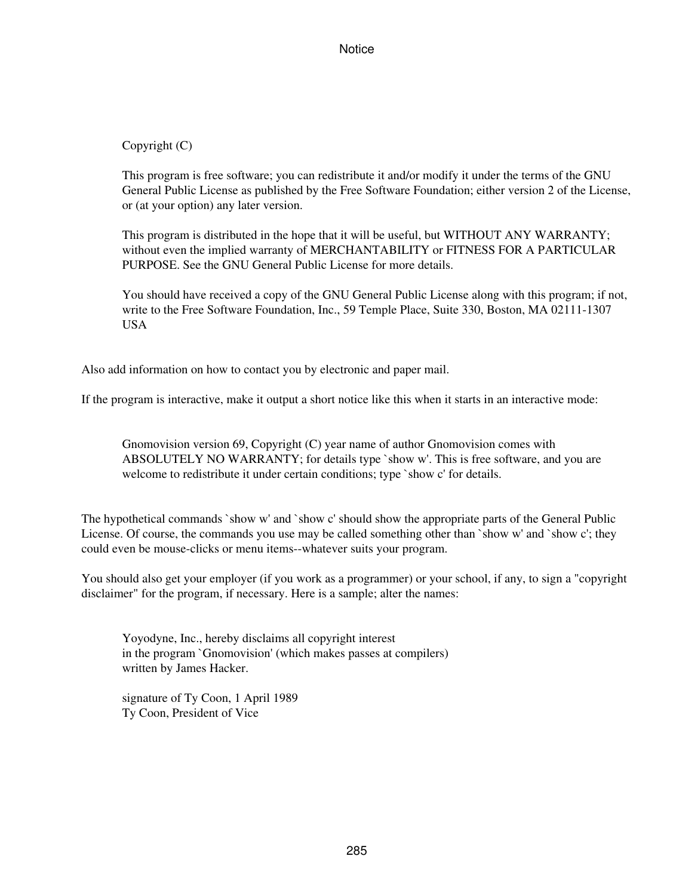Copyright (C)

This program is free software; you can redistribute it and/or modify it under the terms of the GNU General Public License as published by the Free Software Foundation; either version 2 of the License, or (at your option) any later version.

This program is distributed in the hope that it will be useful, but WITHOUT ANY WARRANTY; without even the implied warranty of MERCHANTABILITY or FITNESS FOR A PARTICULAR PURPOSE. See the GNU General Public License for more details.

You should have received a copy of the GNU General Public License along with this program; if not, write to the Free Software Foundation, Inc., 59 Temple Place, Suite 330, Boston, MA 02111-1307 USA

Also add information on how to contact you by electronic and paper mail.

If the program is interactive, make it output a short notice like this when it starts in an interactive mode:

Gnomovision version 69, Copyright (C) year name of author Gnomovision comes with ABSOLUTELY NO WARRANTY; for details type `show w'. This is free software, and you are welcome to redistribute it under certain conditions; type `show c' for details.

The hypothetical commands `show w' and `show c' should show the appropriate parts of the General Public License. Of course, the commands you use may be called something other than `show w' and `show c'; they could even be mouse-clicks or menu items--whatever suits your program.

You should also get your employer (if you work as a programmer) or your school, if any, to sign a "copyright disclaimer" for the program, if necessary. Here is a sample; alter the names:

Yoyodyne, Inc., hereby disclaims all copyright interest in the program `Gnomovision' (which makes passes at compilers) written by James Hacker.

signature of Ty Coon, 1 April 1989 Ty Coon, President of Vice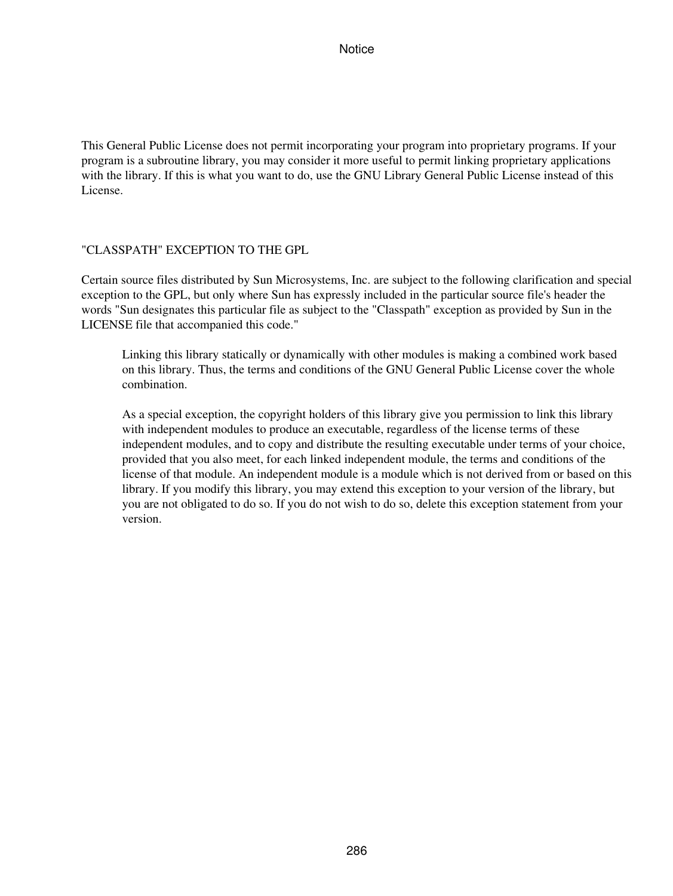This General Public License does not permit incorporating your program into proprietary programs. If your program is a subroutine library, you may consider it more useful to permit linking proprietary applications with the library. If this is what you want to do, use the GNU Library General Public License instead of this License.

#### "CLASSPATH" EXCEPTION TO THE GPL

Certain source files distributed by Sun Microsystems, Inc. are subject to the following clarification and special exception to the GPL, but only where Sun has expressly included in the particular source file's header the words "Sun designates this particular file as subject to the "Classpath" exception as provided by Sun in the LICENSE file that accompanied this code."

Linking this library statically or dynamically with other modules is making a combined work based on this library. Thus, the terms and conditions of the GNU General Public License cover the whole combination.

As a special exception, the copyright holders of this library give you permission to link this library with independent modules to produce an executable, regardless of the license terms of these independent modules, and to copy and distribute the resulting executable under terms of your choice, provided that you also meet, for each linked independent module, the terms and conditions of the license of that module. An independent module is a module which is not derived from or based on this library. If you modify this library, you may extend this exception to your version of the library, but you are not obligated to do so. If you do not wish to do so, delete this exception statement from your version.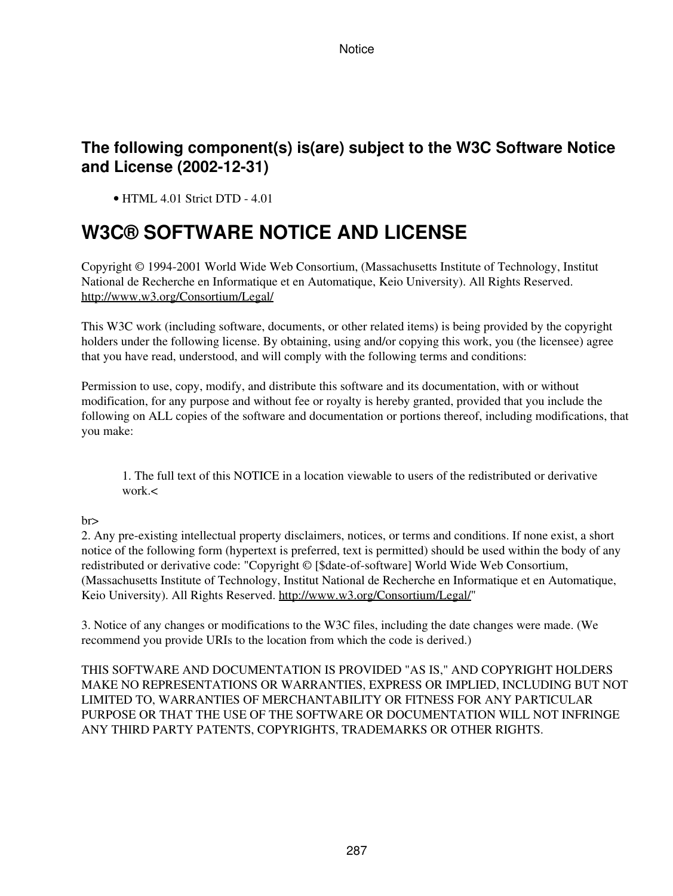# **The following component(s) is(are) subject to the W3C Software Notice and License (2002-12-31)**

• HTML 4.01 Strict DTD - 4.01

# **W3C® SOFTWARE NOTICE AND LICENSE**

Copyright © 1994-2001 World Wide Web Consortium, (Massachusetts Institute of Technology, Institut National de Recherche en Informatique et en Automatique, Keio University). All Rights Reserved. <http://www.w3.org/Consortium/Legal/>

This W3C work (including software, documents, or other related items) is being provided by the copyright holders under the following license. By obtaining, using and/or copying this work, you (the licensee) agree that you have read, understood, and will comply with the following terms and conditions:

Permission to use, copy, modify, and distribute this software and its documentation, with or without modification, for any purpose and without fee or royalty is hereby granted, provided that you include the following on ALL copies of the software and documentation or portions thereof, including modifications, that you make:

1. The full text of this NOTICE in a location viewable to users of the redistributed or derivative work.<

# br>

2. Any pre-existing intellectual property disclaimers, notices, or terms and conditions. If none exist, a short notice of the following form (hypertext is preferred, text is permitted) should be used within the body of any redistributed or derivative code: "Copyright © [\$date-of-software] World Wide Web Consortium, (Massachusetts Institute of Technology, Institut National de Recherche en Informatique et en Automatique, Keio University). All Rights Reserved.<http://www.w3.org/Consortium/Legal/>"

3. Notice of any changes or modifications to the W3C files, including the date changes were made. (We recommend you provide URIs to the location from which the code is derived.)

THIS SOFTWARE AND DOCUMENTATION IS PROVIDED "AS IS," AND COPYRIGHT HOLDERS MAKE NO REPRESENTATIONS OR WARRANTIES, EXPRESS OR IMPLIED, INCLUDING BUT NOT LIMITED TO, WARRANTIES OF MERCHANTABILITY OR FITNESS FOR ANY PARTICULAR PURPOSE OR THAT THE USE OF THE SOFTWARE OR DOCUMENTATION WILL NOT INFRINGE ANY THIRD PARTY PATENTS, COPYRIGHTS, TRADEMARKS OR OTHER RIGHTS.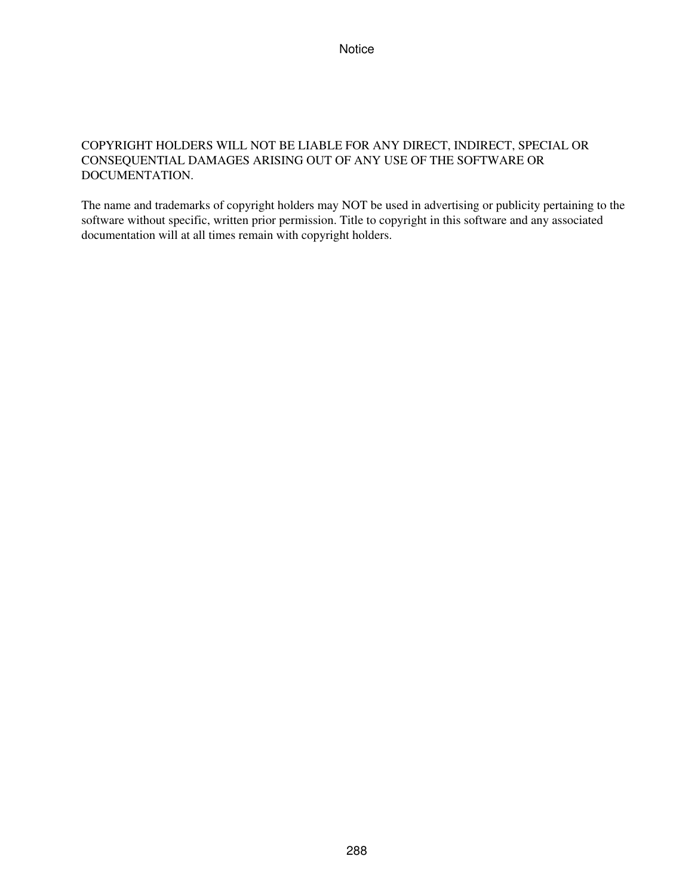# COPYRIGHT HOLDERS WILL NOT BE LIABLE FOR ANY DIRECT, INDIRECT, SPECIAL OR CONSEQUENTIAL DAMAGES ARISING OUT OF ANY USE OF THE SOFTWARE OR DOCUMENTATION.

The name and trademarks of copyright holders may NOT be used in advertising or publicity pertaining to the software without specific, written prior permission. Title to copyright in this software and any associated documentation will at all times remain with copyright holders.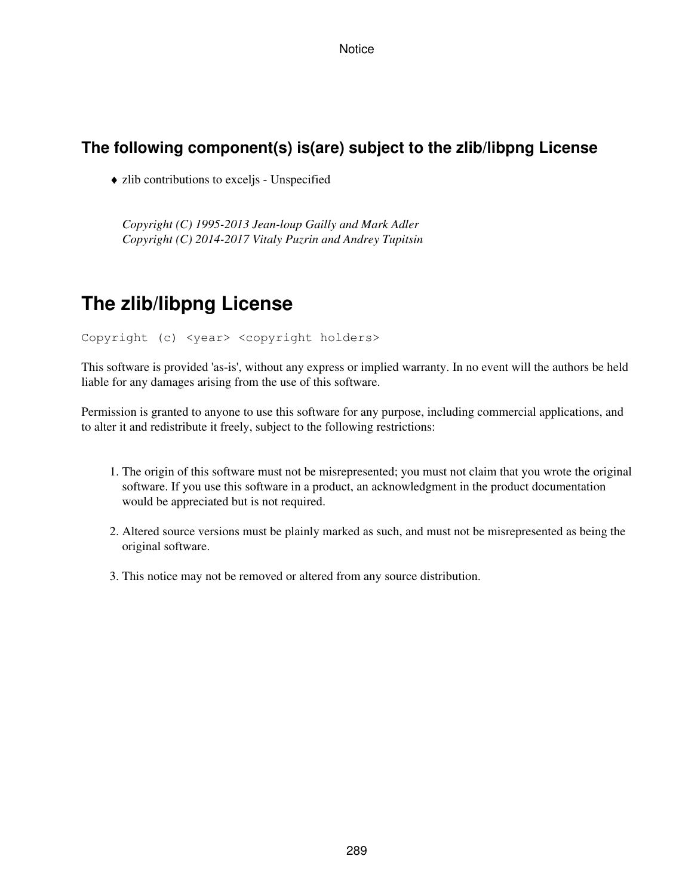**Notice** 

## **The following component(s) is(are) subject to the zlib/libpng License**

♦ zlib contributions to exceljs - Unspecified

*Copyright (C) 1995-2013 Jean-loup Gailly and Mark Adler Copyright (C) 2014-2017 Vitaly Puzrin and Andrey Tupitsin*

## **The zlib/libpng License**

Copyright (c) <year> <copyright holders>

This software is provided 'as-is', without any express or implied warranty. In no event will the authors be held liable for any damages arising from the use of this software.

Permission is granted to anyone to use this software for any purpose, including commercial applications, and to alter it and redistribute it freely, subject to the following restrictions:

- 1. The origin of this software must not be misrepresented; you must not claim that you wrote the original software. If you use this software in a product, an acknowledgment in the product documentation would be appreciated but is not required.
- 2. Altered source versions must be plainly marked as such, and must not be misrepresented as being the original software.
- 3. This notice may not be removed or altered from any source distribution.